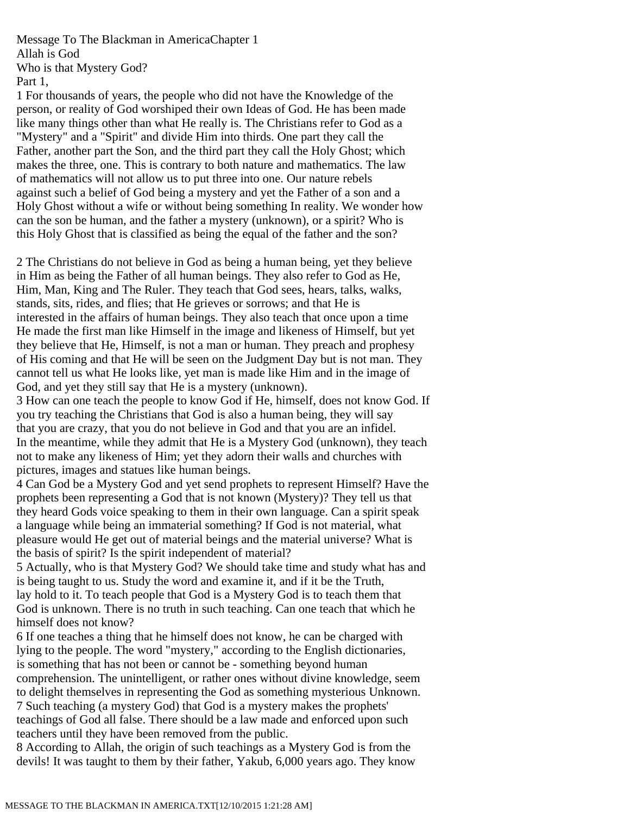Message To The Blackman in AmericaChapter 1 Allah is God Who is that Mystery God? Part 1.

1 For thousands of years, the people who did not have the Knowledge of the person, or reality of God worshiped their own Ideas of God. He has been made like many things other than what He really is. The Christians refer to God as a "Mystery" and a "Spirit" and divide Him into thirds. One part they call the Father, another part the Son, and the third part they call the Holy Ghost; which makes the three, one. This is contrary to both nature and mathematics. The law of mathematics will not allow us to put three into one. Our nature rebels against such a belief of God being a mystery and yet the Father of a son and a Holy Ghost without a wife or without being something In reality. We wonder how can the son be human, and the father a mystery (unknown), or a spirit? Who is this Holy Ghost that is classified as being the equal of the father and the son?

2 The Christians do not believe in God as being a human being, yet they believe in Him as being the Father of all human beings. They also refer to God as He, Him, Man, King and The Ruler. They teach that God sees, hears, talks, walks, stands, sits, rides, and flies; that He grieves or sorrows; and that He is interested in the affairs of human beings. They also teach that once upon a time He made the first man like Himself in the image and likeness of Himself, but yet they believe that He, Himself, is not a man or human. They preach and prophesy of His coming and that He will be seen on the Judgment Day but is not man. They cannot tell us what He looks like, yet man is made like Him and in the image of God, and yet they still say that He is a mystery (unknown).

3 How can one teach the people to know God if He, himself, does not know God. If you try teaching the Christians that God is also a human being, they will say that you are crazy, that you do not believe in God and that you are an infidel. In the meantime, while they admit that He is a Mystery God (unknown), they teach not to make any likeness of Him; yet they adorn their walls and churches with pictures, images and statues like human beings.

4 Can God be a Mystery God and yet send prophets to represent Himself? Have the prophets been representing a God that is not known (Mystery)? They tell us that they heard Gods voice speaking to them in their own language. Can a spirit speak a language while being an immaterial something? If God is not material, what pleasure would He get out of material beings and the material universe? What is the basis of spirit? Is the spirit independent of material?

5 Actually, who is that Mystery God? We should take time and study what has and is being taught to us. Study the word and examine it, and if it be the Truth, lay hold to it. To teach people that God is a Mystery God is to teach them that God is unknown. There is no truth in such teaching. Can one teach that which he himself does not know?

6 If one teaches a thing that he himself does not know, he can be charged with lying to the people. The word "mystery," according to the English dictionaries, is something that has not been or cannot be - something beyond human comprehension. The unintelligent, or rather ones without divine knowledge, seem to delight themselves in representing the God as something mysterious Unknown. 7 Such teaching (a mystery God) that God is a mystery makes the prophets' teachings of God all false. There should be a law made and enforced upon such teachers until they have been removed from the public.

8 According to Allah, the origin of such teachings as a Mystery God is from the devils! It was taught to them by their father, Yakub, 6,000 years ago. They know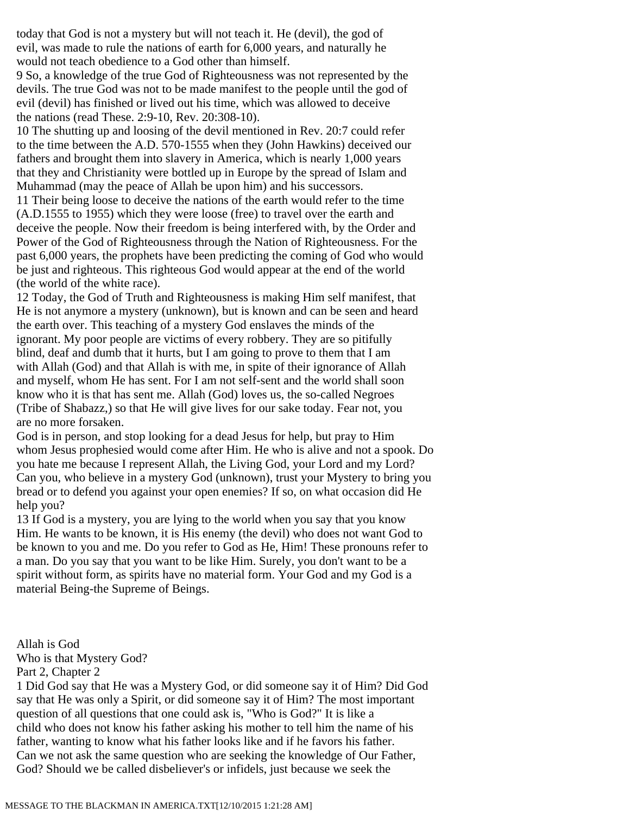today that God is not a mystery but will not teach it. He (devil), the god of evil, was made to rule the nations of earth for 6,000 years, and naturally he would not teach obedience to a God other than himself.

9 So, a knowledge of the true God of Righteousness was not represented by the devils. The true God was not to be made manifest to the people until the god of evil (devil) has finished or lived out his time, which was allowed to deceive the nations (read These. 2:9-10, Rev. 20:308-10).

10 The shutting up and loosing of the devil mentioned in Rev. 20:7 could refer to the time between the A.D. 570-1555 when they (John Hawkins) deceived our fathers and brought them into slavery in America, which is nearly 1,000 years that they and Christianity were bottled up in Europe by the spread of Islam and Muhammad (may the peace of Allah be upon him) and his successors.

11 Their being loose to deceive the nations of the earth would refer to the time (A.D.1555 to 1955) which they were loose (free) to travel over the earth and deceive the people. Now their freedom is being interfered with, by the Order and Power of the God of Righteousness through the Nation of Righteousness. For the past 6,000 years, the prophets have been predicting the coming of God who would be just and righteous. This righteous God would appear at the end of the world (the world of the white race).

12 Today, the God of Truth and Righteousness is making Him self manifest, that He is not anymore a mystery (unknown), but is known and can be seen and heard the earth over. This teaching of a mystery God enslaves the minds of the ignorant. My poor people are victims of every robbery. They are so pitifully blind, deaf and dumb that it hurts, but I am going to prove to them that I am with Allah (God) and that Allah is with me, in spite of their ignorance of Allah and myself, whom He has sent. For I am not self-sent and the world shall soon know who it is that has sent me. Allah (God) loves us, the so-called Negroes (Tribe of Shabazz,) so that He will give lives for our sake today. Fear not, you are no more forsaken.

God is in person, and stop looking for a dead Jesus for help, but pray to Him whom Jesus prophesied would come after Him. He who is alive and not a spook. Do you hate me because I represent Allah, the Living God, your Lord and my Lord? Can you, who believe in a mystery God (unknown), trust your Mystery to bring you bread or to defend you against your open enemies? If so, on what occasion did He help you?

13 If God is a mystery, you are lying to the world when you say that you know Him. He wants to be known, it is His enemy (the devil) who does not want God to be known to you and me. Do you refer to God as He, Him! These pronouns refer to a man. Do you say that you want to be like Him. Surely, you don't want to be a spirit without form, as spirits have no material form. Your God and my God is a material Being-the Supreme of Beings.

Allah is God Who is that Mystery God? Part 2, Chapter 2

1 Did God say that He was a Mystery God, or did someone say it of Him? Did God say that He was only a Spirit, or did someone say it of Him? The most important question of all questions that one could ask is, "Who is God?" It is like a child who does not know his father asking his mother to tell him the name of his father, wanting to know what his father looks like and if he favors his father. Can we not ask the same question who are seeking the knowledge of Our Father, God? Should we be called disbeliever's or infidels, just because we seek the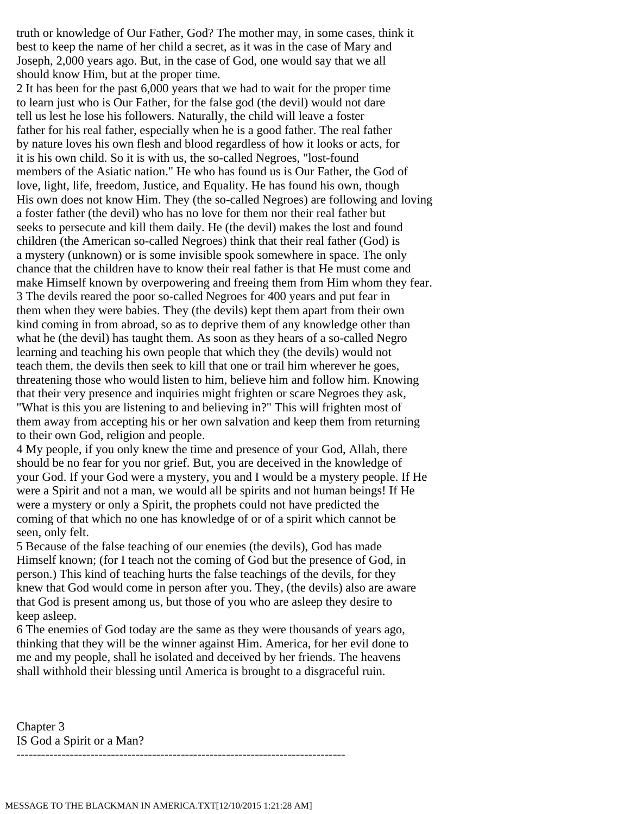truth or knowledge of Our Father, God? The mother may, in some cases, think it best to keep the name of her child a secret, as it was in the case of Mary and Joseph, 2,000 years ago. But, in the case of God, one would say that we all should know Him, but at the proper time.

2 It has been for the past 6,000 years that we had to wait for the proper time to learn just who is Our Father, for the false god (the devil) would not dare tell us lest he lose his followers. Naturally, the child will leave a foster father for his real father, especially when he is a good father. The real father by nature loves his own flesh and blood regardless of how it looks or acts, for it is his own child. So it is with us, the so-called Negroes, "lost-found members of the Asiatic nation." He who has found us is Our Father, the God of love, light, life, freedom, Justice, and Equality. He has found his own, though His own does not know Him. They (the so-called Negroes) are following and loving a foster father (the devil) who has no love for them nor their real father but seeks to persecute and kill them daily. He (the devil) makes the lost and found children (the American so-called Negroes) think that their real father (God) is a mystery (unknown) or is some invisible spook somewhere in space. The only chance that the children have to know their real father is that He must come and make Himself known by overpowering and freeing them from Him whom they fear. 3 The devils reared the poor so-called Negroes for 400 years and put fear in them when they were babies. They (the devils) kept them apart from their own kind coming in from abroad, so as to deprive them of any knowledge other than what he (the devil) has taught them. As soon as they hears of a so-called Negro learning and teaching his own people that which they (the devils) would not teach them, the devils then seek to kill that one or trail him wherever he goes, threatening those who would listen to him, believe him and follow him. Knowing that their very presence and inquiries might frighten or scare Negroes they ask, "What is this you are listening to and believing in?" This will frighten most of them away from accepting his or her own salvation and keep them from returning to their own God, religion and people.

4 My people, if you only knew the time and presence of your God, Allah, there should be no fear for you nor grief. But, you are deceived in the knowledge of your God. If your God were a mystery, you and I would be a mystery people. If He were a Spirit and not a man, we would all be spirits and not human beings! If He were a mystery or only a Spirit, the prophets could not have predicted the coming of that which no one has knowledge of or of a spirit which cannot be seen, only felt.

5 Because of the false teaching of our enemies (the devils), God has made Himself known; (for I teach not the coming of God but the presence of God, in person.) This kind of teaching hurts the false teachings of the devils, for they knew that God would come in person after you. They, (the devils) also are aware that God is present among us, but those of you who are asleep they desire to keep asleep.

6 The enemies of God today are the same as they were thousands of years ago, thinking that they will be the winner against Him. America, for her evil done to me and my people, shall he isolated and deceived by her friends. The heavens shall withhold their blessing until America is brought to a disgraceful ruin.

Chapter 3 IS God a Spirit or a Man?

--------------------------------------------------------------------------------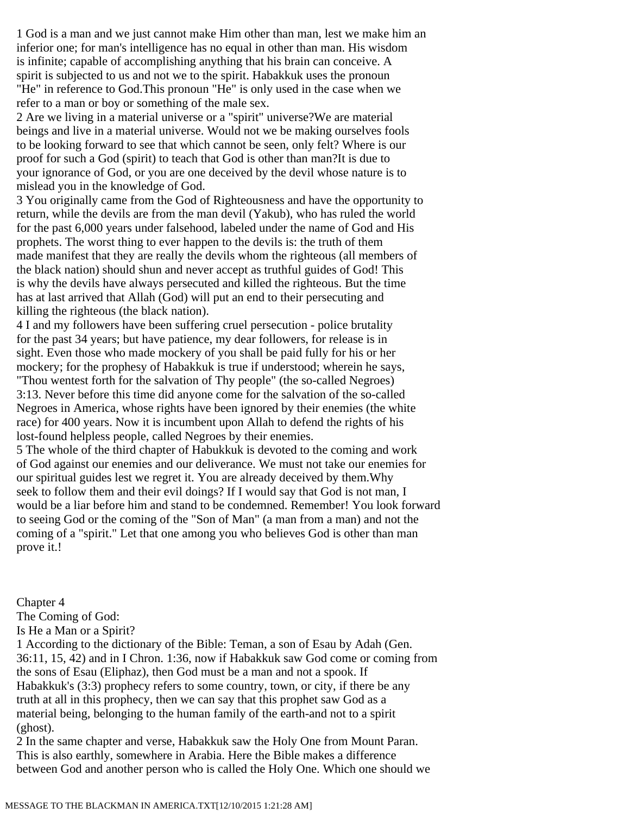1 God is a man and we just cannot make Him other than man, lest we make him an inferior one; for man's intelligence has no equal in other than man. His wisdom is infinite; capable of accomplishing anything that his brain can conceive. A spirit is subjected to us and not we to the spirit. Habakkuk uses the pronoun "He" in reference to God.This pronoun "He" is only used in the case when we refer to a man or boy or something of the male sex.

2 Are we living in a material universe or a "spirit" universe?We are material beings and live in a material universe. Would not we be making ourselves fools to be looking forward to see that which cannot be seen, only felt? Where is our proof for such a God (spirit) to teach that God is other than man?It is due to your ignorance of God, or you are one deceived by the devil whose nature is to mislead you in the knowledge of God.

3 You originally came from the God of Righteousness and have the opportunity to return, while the devils are from the man devil (Yakub), who has ruled the world for the past 6,000 years under falsehood, labeled under the name of God and His prophets. The worst thing to ever happen to the devils is: the truth of them made manifest that they are really the devils whom the righteous (all members of the black nation) should shun and never accept as truthful guides of God! This is why the devils have always persecuted and killed the righteous. But the time has at last arrived that Allah (God) will put an end to their persecuting and killing the righteous (the black nation).

4 I and my followers have been suffering cruel persecution - police brutality for the past 34 years; but have patience, my dear followers, for release is in sight. Even those who made mockery of you shall be paid fully for his or her mockery; for the prophesy of Habakkuk is true if understood; wherein he says, "Thou wentest forth for the salvation of Thy people" (the so-called Negroes) 3:13. Never before this time did anyone come for the salvation of the so-called Negroes in America, whose rights have been ignored by their enemies (the white race) for 400 years. Now it is incumbent upon Allah to defend the rights of his lost-found helpless people, called Negroes by their enemies.

5 The whole of the third chapter of Habukkuk is devoted to the coming and work of God against our enemies and our deliverance. We must not take our enemies for our spiritual guides lest we regret it. You are already deceived by them.Why seek to follow them and their evil doings? If I would say that God is not man, I would be a liar before him and stand to be condemned. Remember! You look forward to seeing God or the coming of the "Son of Man" (a man from a man) and not the coming of a "spirit." Let that one among you who believes God is other than man prove it.!

Chapter 4 The Coming of God:

Is He a Man or a Spirit?

1 According to the dictionary of the Bible: Teman, a son of Esau by Adah (Gen. 36:11, 15, 42) and in I Chron. 1:36, now if Habakkuk saw God come or coming from the sons of Esau (Eliphaz), then God must be a man and not a spook. If Habakkuk's (3:3) prophecy refers to some country, town, or city, if there be any truth at all in this prophecy, then we can say that this prophet saw God as a material being, belonging to the human family of the earth-and not to a spirit (ghost).

2 In the same chapter and verse, Habakkuk saw the Holy One from Mount Paran. This is also earthly, somewhere in Arabia. Here the Bible makes a difference between God and another person who is called the Holy One. Which one should we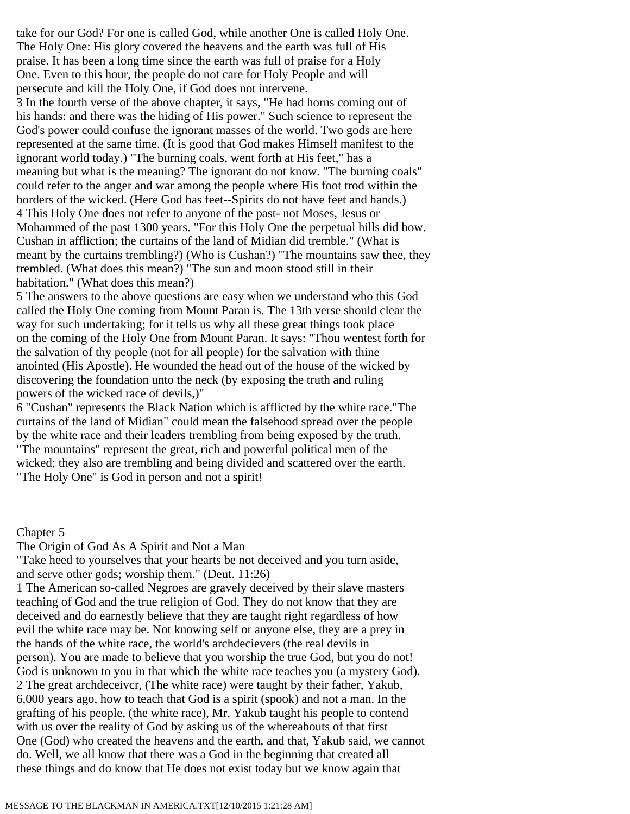take for our God? For one is called God, while another One is called Holy One. The Holy One: His glory covered the heavens and the earth was full of His praise. It has been a long time since the earth was full of praise for a Holy One. Even to this hour, the people do not care for Holy People and will persecute and kill the Holy One, if God does not intervene.

3 In the fourth verse of the above chapter, it says, "He had horns coming out of his hands: and there was the hiding of His power." Such science to represent the God's power could confuse the ignorant masses of the world. Two gods are here represented at the same time. (It is good that God makes Himself manifest to the ignorant world today.) "The burning coals, went forth at His feet," has a meaning but what is the meaning? The ignorant do not know. "The burning coals" could refer to the anger and war among the people where His foot trod within the borders of the wicked. (Here God has feet--Spirits do not have feet and hands.) 4 This Holy One does not refer to anyone of the past- not Moses, Jesus or Mohammed of the past 1300 years. "For this Holy One the perpetual hills did bow. Cushan in affliction; the curtains of the land of Midian did tremble." (What is meant by the curtains trembling?) (Who is Cushan?) "The mountains saw thee, they trembled. (What does this mean?) "The sun and moon stood still in their habitation." (What does this mean?)

5 The answers to the above questions are easy when we understand who this God called the Holy One coming from Mount Paran is. The 13th verse should clear the way for such undertaking; for it tells us why all these great things took place on the coming of the Holy One from Mount Paran. It says: "Thou wentest forth for the salvation of thy people (not for all people) for the salvation with thine anointed (His Apostle). He wounded the head out of the house of the wicked by discovering the foundation unto the neck (by exposing the truth and ruling powers of the wicked race of devils,)"

6 "Cushan" represents the Black Nation which is afflicted by the white race."The curtains of the land of Midian" could mean the falsehood spread over the people by the white race and their leaders trembling from being exposed by the truth. "The mountains" represent the great, rich and powerful political men of the wicked; they also are trembling and being divided and scattered over the earth. "The Holy One" is God in person and not a spirit!

## Chapter 5

The Origin of God As A Spirit and Not a Man

"Take heed to yourselves that your hearts be not deceived and you turn aside, and serve other gods; worship them." (Deut. 11:26)

1 The American so-called Negroes are gravely deceived by their slave masters teaching of God and the true religion of God. They do not know that they are deceived and do earnestly believe that they are taught right regardless of how evil the white race may be. Not knowing self or anyone else, they are a prey in the hands of the white race, the world's archdecievers (the real devils in person). You are made to believe that you worship the true God, but you do not! God is unknown to you in that which the white race teaches you (a mystery God). 2 The great archdeceivcr, (The white race) were taught by their father, Yakub, 6,000 years ago, how to teach that God is a spirit (spook) and not a man. In the grafting of his people, (the white race), Mr. Yakub taught his people to contend with us over the reality of God by asking us of the whereabouts of that first One (God) who created the heavens and the earth, and that, Yakub said, we cannot do. Well, we all know that there was a God in the beginning that created all these things and do know that He does not exist today but we know again that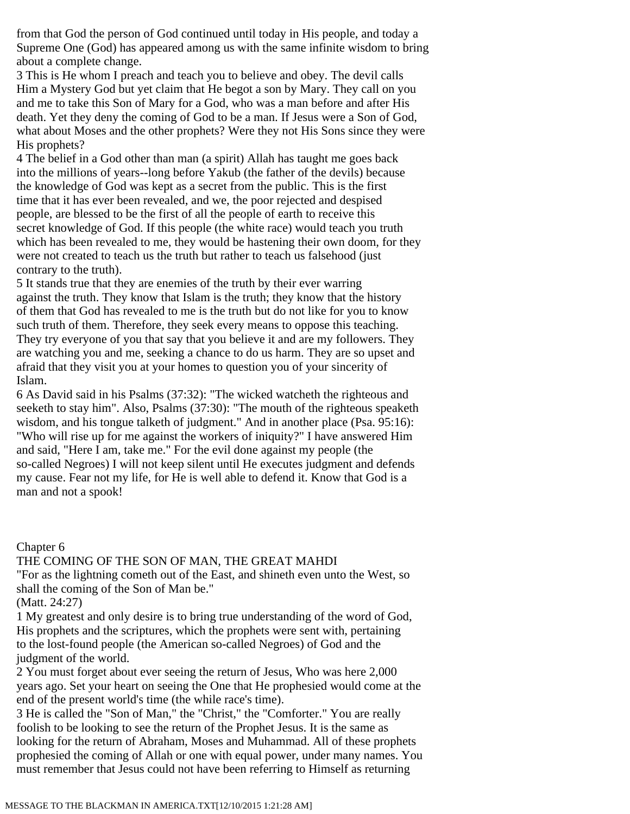from that God the person of God continued until today in His people, and today a Supreme One (God) has appeared among us with the same infinite wisdom to bring about a complete change.

3 This is He whom I preach and teach you to believe and obey. The devil calls Him a Mystery God but yet claim that He begot a son by Mary. They call on you and me to take this Son of Mary for a God, who was a man before and after His death. Yet they deny the coming of God to be a man. If Jesus were a Son of God, what about Moses and the other prophets? Were they not His Sons since they were His prophets?

4 The belief in a God other than man (a spirit) Allah has taught me goes back into the millions of years--long before Yakub (the father of the devils) because the knowledge of God was kept as a secret from the public. This is the first time that it has ever been revealed, and we, the poor rejected and despised people, are blessed to be the first of all the people of earth to receive this secret knowledge of God. If this people (the white race) would teach you truth which has been revealed to me, they would be hastening their own doom, for they were not created to teach us the truth but rather to teach us falsehood (just contrary to the truth).

5 It stands true that they are enemies of the truth by their ever warring against the truth. They know that Islam is the truth; they know that the history of them that God has revealed to me is the truth but do not like for you to know such truth of them. Therefore, they seek every means to oppose this teaching. They try everyone of you that say that you believe it and are my followers. They are watching you and me, seeking a chance to do us harm. They are so upset and afraid that they visit you at your homes to question you of your sincerity of Islam.

6 As David said in his Psalms (37:32): "The wicked watcheth the righteous and seeketh to stay him". Also, Psalms (37:30): "The mouth of the righteous speaketh wisdom, and his tongue talketh of judgment." And in another place (Psa. 95:16): "Who will rise up for me against the workers of iniquity?" I have answered Him and said, "Here I am, take me." For the evil done against my people (the so-called Negroes) I will not keep silent until He executes judgment and defends my cause. Fear not my life, for He is well able to defend it. Know that God is a man and not a spook!

## Chapter 6

## THE COMING OF THE SON OF MAN, THE GREAT MAHDI

"For as the lightning cometh out of the East, and shineth even unto the West, so shall the coming of the Son of Man be."

## (Matt. 24:27)

1 My greatest and only desire is to bring true understanding of the word of God, His prophets and the scriptures, which the prophets were sent with, pertaining to the lost-found people (the American so-called Negroes) of God and the judgment of the world.

2 You must forget about ever seeing the return of Jesus, Who was here 2,000 years ago. Set your heart on seeing the One that He prophesied would come at the end of the present world's time (the while race's time).

3 He is called the "Son of Man," the "Christ," the "Comforter." You are really foolish to be looking to see the return of the Prophet Jesus. It is the same as looking for the return of Abraham, Moses and Muhammad. All of these prophets prophesied the coming of Allah or one with equal power, under many names. You must remember that Jesus could not have been referring to Himself as returning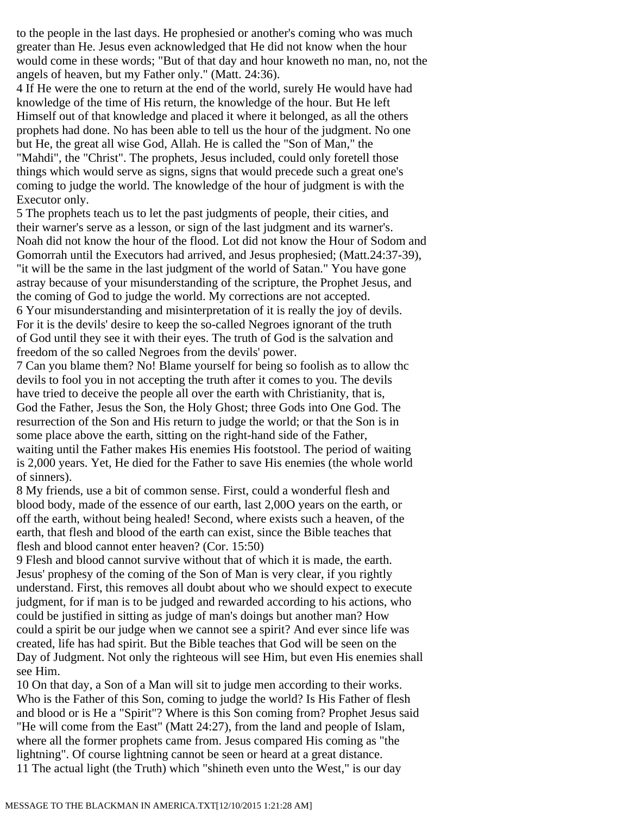to the people in the last days. He prophesied or another's coming who was much greater than He. Jesus even acknowledged that He did not know when the hour would come in these words; "But of that day and hour knoweth no man, no, not the angels of heaven, but my Father only." (Matt. 24:36).

4 If He were the one to return at the end of the world, surely He would have had knowledge of the time of His return, the knowledge of the hour. But He left Himself out of that knowledge and placed it where it belonged, as all the others prophets had done. No has been able to tell us the hour of the judgment. No one but He, the great all wise God, Allah. He is called the "Son of Man," the "Mahdi", the "Christ". The prophets, Jesus included, could only foretell those things which would serve as signs, signs that would precede such a great one's coming to judge the world. The knowledge of the hour of judgment is with the Executor only.

5 The prophets teach us to let the past judgments of people, their cities, and their warner's serve as a lesson, or sign of the last judgment and its warner's. Noah did not know the hour of the flood. Lot did not know the Hour of Sodom and Gomorrah until the Executors had arrived, and Jesus prophesied; (Matt.24:37-39), "it will be the same in the last judgment of the world of Satan." You have gone astray because of your misunderstanding of the scripture, the Prophet Jesus, and the coming of God to judge the world. My corrections are not accepted. 6 Your misunderstanding and misinterpretation of it is really the joy of devils. For it is the devils' desire to keep the so-called Negroes ignorant of the truth of God until they see it with their eyes. The truth of God is the salvation and freedom of the so called Negroes from the devils' power.

7 Can you blame them? No! Blame yourself for being so foolish as to allow thc devils to fool you in not accepting the truth after it comes to you. The devils have tried to deceive the people all over the earth with Christianity, that is, God the Father, Jesus the Son, the Holy Ghost; three Gods into One God. The resurrection of the Son and His return to judge the world; or that the Son is in some place above the earth, sitting on the right-hand side of the Father, waiting until the Father makes His enemies His footstool. The period of waiting is 2,000 years. Yet, He died for the Father to save His enemies (the whole world of sinners).

8 My friends, use a bit of common sense. First, could a wonderful flesh and blood body, made of the essence of our earth, last 2,00O years on the earth, or off the earth, without being healed! Second, where exists such a heaven, of the earth, that flesh and blood of the earth can exist, since the Bible teaches that flesh and blood cannot enter heaven? (Cor. 15:50)

9 Flesh and blood cannot survive without that of which it is made, the earth. Jesus' prophesy of the coming of the Son of Man is very clear, if you rightly understand. First, this removes all doubt about who we should expect to execute judgment, for if man is to be judged and rewarded according to his actions, who could be justified in sitting as judge of man's doings but another man? How could a spirit be our judge when we cannot see a spirit? And ever since life was created, life has had spirit. But the Bible teaches that God will be seen on the Day of Judgment. Not only the righteous will see Him, but even His enemies shall see Him.

10 On that day, a Son of a Man will sit to judge men according to their works. Who is the Father of this Son, coming to judge the world? Is His Father of flesh and blood or is He a "Spirit"? Where is this Son coming from? Prophet Jesus said "He will come from the East" (Matt 24:27), from the land and people of Islam, where all the former prophets came from. Jesus compared His coming as "the lightning". Of course lightning cannot be seen or heard at a great distance. 11 The actual light (the Truth) which "shineth even unto the West," is our day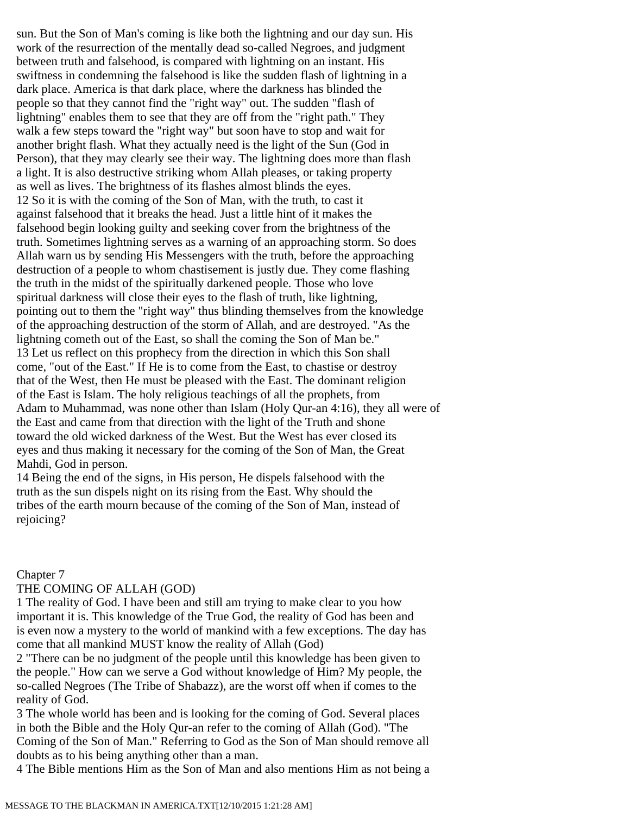sun. But the Son of Man's coming is like both the lightning and our day sun. His work of the resurrection of the mentally dead so-called Negroes, and judgment between truth and falsehood, is compared with lightning on an instant. His swiftness in condemning the falsehood is like the sudden flash of lightning in a dark place. America is that dark place, where the darkness has blinded the people so that they cannot find the "right way" out. The sudden "flash of lightning" enables them to see that they are off from the "right path." They walk a few steps toward the "right way" but soon have to stop and wait for another bright flash. What they actually need is the light of the Sun (God in Person), that they may clearly see their way. The lightning does more than flash a light. It is also destructive striking whom Allah pleases, or taking property as well as lives. The brightness of its flashes almost blinds the eyes. 12 So it is with the coming of the Son of Man, with the truth, to cast it against falsehood that it breaks the head. Just a little hint of it makes the falsehood begin looking guilty and seeking cover from the brightness of the truth. Sometimes lightning serves as a warning of an approaching storm. So does Allah warn us by sending His Messengers with the truth, before the approaching destruction of a people to whom chastisement is justly due. They come flashing the truth in the midst of the spiritually darkened people. Those who love spiritual darkness will close their eyes to the flash of truth, like lightning, pointing out to them the "right way" thus blinding themselves from the knowledge of the approaching destruction of the storm of Allah, and are destroyed. "As the lightning cometh out of the East, so shall the coming the Son of Man be." 13 Let us reflect on this prophecy from the direction in which this Son shall come, "out of the East." If He is to come from the East, to chastise or destroy that of the West, then He must be pleased with the East. The dominant religion of the East is Islam. The holy religious teachings of all the prophets, from Adam to Muhammad, was none other than Islam (Holy Qur-an 4:16), they all were of the East and came from that direction with the light of the Truth and shone toward the old wicked darkness of the West. But the West has ever closed its eyes and thus making it necessary for the coming of the Son of Man, the Great Mahdi, God in person.

14 Being the end of the signs, in His person, He dispels falsehood with the truth as the sun dispels night on its rising from the East. Why should the tribes of the earth mourn because of the coming of the Son of Man, instead of rejoicing?

## Chapter 7

### THE COMING OF ALLAH (GOD)

1 The reality of God. I have been and still am trying to make clear to you how important it is. This knowledge of the True God, the reality of God has been and is even now a mystery to the world of mankind with a few exceptions. The day has come that all mankind MUST know the reality of Allah (God)

2 "There can be no judgment of the people until this knowledge has been given to the people." How can we serve a God without knowledge of Him? My people, the so-called Negroes (The Tribe of Shabazz), are the worst off when if comes to the reality of God.

3 The whole world has been and is looking for the coming of God. Several places in both the Bible and the Holy Qur-an refer to the coming of Allah (God). "The Coming of the Son of Man." Referring to God as the Son of Man should remove all doubts as to his being anything other than a man.

4 The Bible mentions Him as the Son of Man and also mentions Him as not being a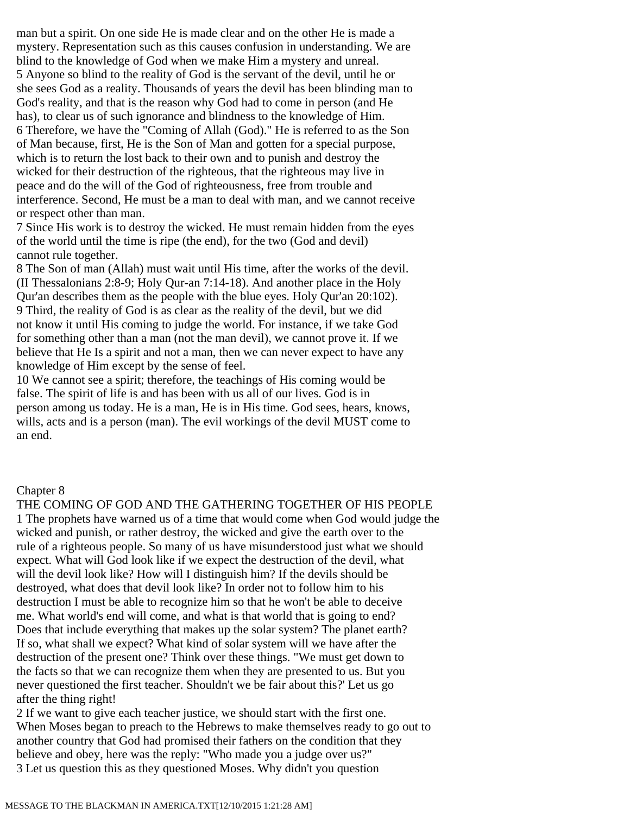man but a spirit. On one side He is made clear and on the other He is made a mystery. Representation such as this causes confusion in understanding. We are blind to the knowledge of God when we make Him a mystery and unreal. 5 Anyone so blind to the reality of God is the servant of the devil, until he or she sees God as a reality. Thousands of years the devil has been blinding man to God's reality, and that is the reason why God had to come in person (and He has), to clear us of such ignorance and blindness to the knowledge of Him. 6 Therefore, we have the "Coming of Allah (God)." He is referred to as the Son of Man because, first, He is the Son of Man and gotten for a special purpose, which is to return the lost back to their own and to punish and destroy the wicked for their destruction of the righteous, that the righteous may live in peace and do the will of the God of righteousness, free from trouble and interference. Second, He must be a man to deal with man, and we cannot receive or respect other than man.

7 Since His work is to destroy the wicked. He must remain hidden from the eyes of the world until the time is ripe (the end), for the two (God and devil) cannot rule together.

8 The Son of man (Allah) must wait until His time, after the works of the devil. (II Thessalonians 2:8-9; Holy Qur-an 7:14-18). And another place in the Holy Qur'an describes them as the people with the blue eyes. Holy Qur'an 20:102). 9 Third, the reality of God is as clear as the reality of the devil, but we did not know it until His coming to judge the world. For instance, if we take God for something other than a man (not the man devil), we cannot prove it. If we believe that He Is a spirit and not a man, then we can never expect to have any knowledge of Him except by the sense of feel.

10 We cannot see a spirit; therefore, the teachings of His coming would be false. The spirit of life is and has been with us all of our lives. God is in person among us today. He is a man, He is in His time. God sees, hears, knows, wills, acts and is a person (man). The evil workings of the devil MUST come to an end.

### Chapter 8

THE COMING OF GOD AND THE GATHERING TOGETHER OF HIS PEOPLE 1 The prophets have warned us of a time that would come when God would judge the wicked and punish, or rather destroy, the wicked and give the earth over to the rule of a righteous people. So many of us have misunderstood just what we should expect. What will God look like if we expect the destruction of the devil, what will the devil look like? How will I distinguish him? If the devils should be destroyed, what does that devil look like? In order not to follow him to his destruction I must be able to recognize him so that he won't be able to deceive me. What world's end will come, and what is that world that is going to end? Does that include everything that makes up the solar system? The planet earth? If so, what shall we expect? What kind of solar system will we have after the destruction of the present one? Think over these things. "We must get down to the facts so that we can recognize them when they are presented to us. But you never questioned the first teacher. Shouldn't we be fair about this?' Let us go after the thing right!

2 If we want to give each teacher justice, we should start with the first one. When Moses began to preach to the Hebrews to make themselves ready to go out to another country that God had promised their fathers on the condition that they believe and obey, here was the reply: "Who made you a judge over us?" 3 Let us question this as they questioned Moses. Why didn't you question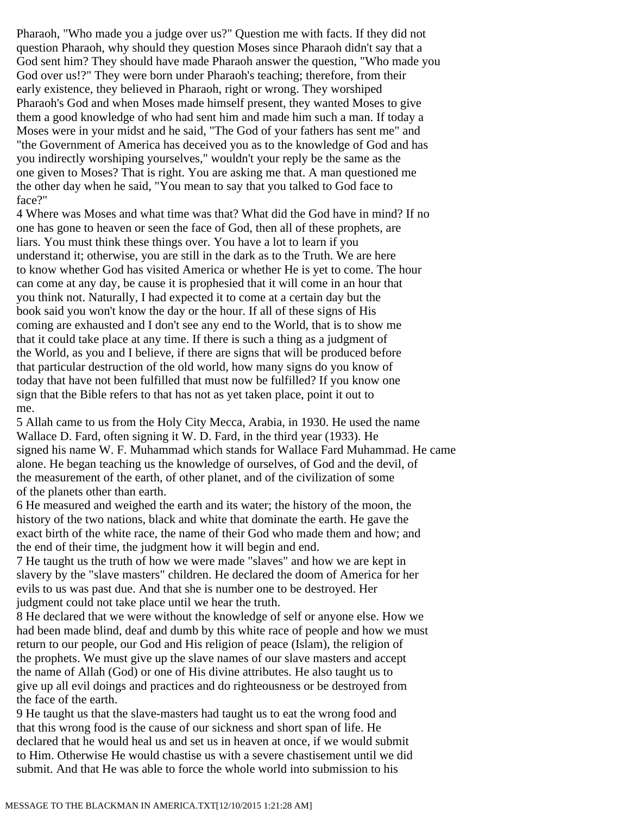Pharaoh, "Who made you a judge over us?" Question me with facts. If they did not question Pharaoh, why should they question Moses since Pharaoh didn't say that a God sent him? They should have made Pharaoh answer the question, "Who made you God over us!?" They were born under Pharaoh's teaching; therefore, from their early existence, they believed in Pharaoh, right or wrong. They worshiped Pharaoh's God and when Moses made himself present, they wanted Moses to give them a good knowledge of who had sent him and made him such a man. If today a Moses were in your midst and he said, "The God of your fathers has sent me" and "the Government of America has deceived you as to the knowledge of God and has you indirectly worshiping yourselves," wouldn't your reply be the same as the one given to Moses? That is right. You are asking me that. A man questioned me the other day when he said, "You mean to say that you talked to God face to face?"

4 Where was Moses and what time was that? What did the God have in mind? If no one has gone to heaven or seen the face of God, then all of these prophets, are liars. You must think these things over. You have a lot to learn if you understand it; otherwise, you are still in the dark as to the Truth. We are here to know whether God has visited America or whether He is yet to come. The hour can come at any day, be cause it is prophesied that it will come in an hour that you think not. Naturally, I had expected it to come at a certain day but the book said you won't know the day or the hour. If all of these signs of His coming are exhausted and I don't see any end to the World, that is to show me that it could take place at any time. If there is such a thing as a judgment of the World, as you and I believe, if there are signs that will be produced before that particular destruction of the old world, how many signs do you know of today that have not been fulfilled that must now be fulfilled? If you know one sign that the Bible refers to that has not as yet taken place, point it out to me.

5 Allah came to us from the Holy City Mecca, Arabia, in 1930. He used the name Wallace D. Fard, often signing it W. D. Fard, in the third year (1933). He signed his name W. F. Muhammad which stands for Wallace Fard Muhammad. He came alone. He began teaching us the knowledge of ourselves, of God and the devil, of the measurement of the earth, of other planet, and of the civilization of some of the planets other than earth.

6 He measured and weighed the earth and its water; the history of the moon, the history of the two nations, black and white that dominate the earth. He gave the exact birth of the white race, the name of their God who made them and how; and the end of their time, the judgment how it will begin and end.

7 He taught us the truth of how we were made "slaves" and how we are kept in slavery by the "slave masters" children. He declared the doom of America for her evils to us was past due. And that she is number one to be destroyed. Her judgment could not take place until we hear the truth.

8 He declared that we were without the knowledge of self or anyone else. How we had been made blind, deaf and dumb by this white race of people and how we must return to our people, our God and His religion of peace (Islam), the religion of the prophets. We must give up the slave names of our slave masters and accept the name of Allah (God) or one of His divine attributes. He also taught us to give up all evil doings and practices and do righteousness or be destroyed from the face of the earth.

9 He taught us that the slave-masters had taught us to eat the wrong food and that this wrong food is the cause of our sickness and short span of life. He declared that he would heal us and set us in heaven at once, if we would submit to Him. Otherwise He would chastise us with a severe chastisement until we did submit. And that He was able to force the whole world into submission to his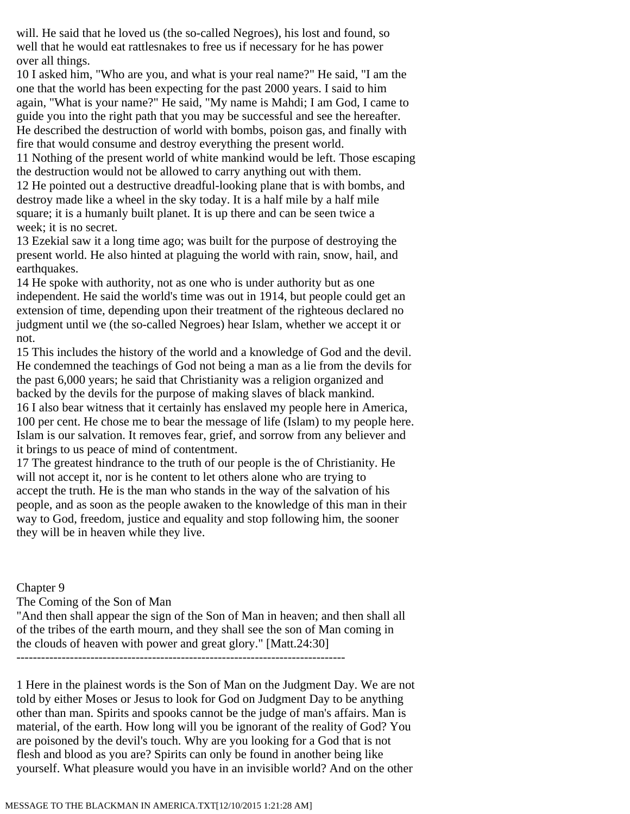will. He said that he loved us (the so-called Negroes), his lost and found, so well that he would eat rattlesnakes to free us if necessary for he has power over all things.

10 I asked him, "Who are you, and what is your real name?" He said, "I am the one that the world has been expecting for the past 2000 years. I said to him again, "What is your name?" He said, "My name is Mahdi; I am God, I came to guide you into the right path that you may be successful and see the hereafter. He described the destruction of world with bombs, poison gas, and finally with fire that would consume and destroy everything the present world.

11 Nothing of the present world of white mankind would be left. Those escaping the destruction would not be allowed to carry anything out with them.

12 He pointed out a destructive dreadful-looking plane that is with bombs, and destroy made like a wheel in the sky today. It is a half mile by a half mile square; it is a humanly built planet. It is up there and can be seen twice a week; it is no secret.

13 Ezekial saw it a long time ago; was built for the purpose of destroying the present world. He also hinted at plaguing the world with rain, snow, hail, and earthquakes.

14 He spoke with authority, not as one who is under authority but as one independent. He said the world's time was out in 1914, but people could get an extension of time, depending upon their treatment of the righteous declared no judgment until we (the so-called Negroes) hear Islam, whether we accept it or not.

15 This includes the history of the world and a knowledge of God and the devil. He condemned the teachings of God not being a man as a lie from the devils for the past 6,000 years; he said that Christianity was a religion organized and backed by the devils for the purpose of making slaves of black mankind. 16 I also bear witness that it certainly has enslaved my people here in America, 100 per cent. He chose me to bear the message of life (Islam) to my people here. Islam is our salvation. It removes fear, grief, and sorrow from any believer and it brings to us peace of mind of contentment.

17 The greatest hindrance to the truth of our people is the of Christianity. He will not accept it, nor is he content to let others alone who are trying to accept the truth. He is the man who stands in the way of the salvation of his people, and as soon as the people awaken to the knowledge of this man in their way to God, freedom, justice and equality and stop following him, the sooner they will be in heaven while they live.

Chapter 9

The Coming of the Son of Man

"And then shall appear the sign of the Son of Man in heaven; and then shall all of the tribes of the earth mourn, and they shall see the son of Man coming in the clouds of heaven with power and great glory." [Matt.24:30] --------------------------------------------------------------------------------

1 Here in the plainest words is the Son of Man on the Judgment Day. We are not told by either Moses or Jesus to look for God on Judgment Day to be anything other than man. Spirits and spooks cannot be the judge of man's affairs. Man is material, of the earth. How long will you be ignorant of the reality of God? You are poisoned by the devil's touch. Why are you looking for a God that is not flesh and blood as you are? Spirits can only be found in another being like yourself. What pleasure would you have in an invisible world? And on the other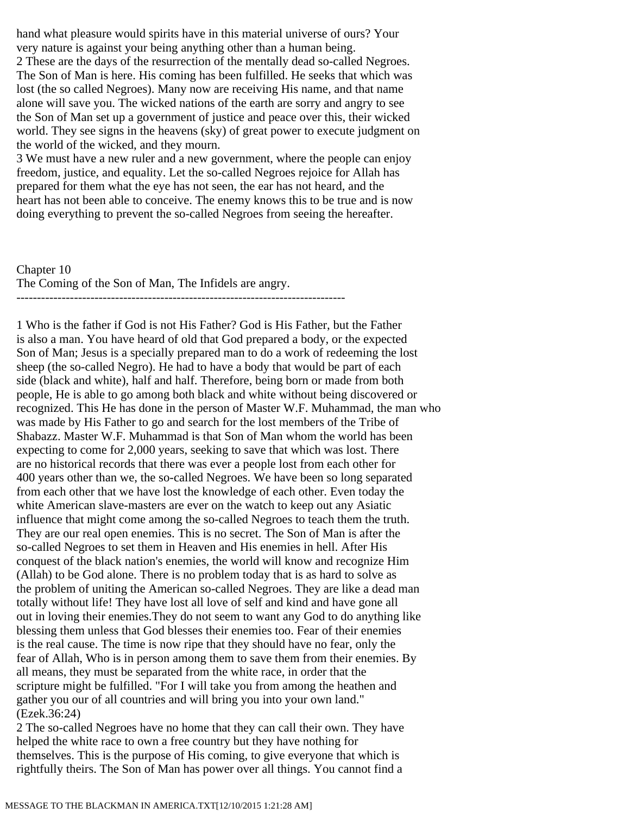hand what pleasure would spirits have in this material universe of ours? Your very nature is against your being anything other than a human being. 2 These are the days of the resurrection of the mentally dead so-called Negroes. The Son of Man is here. His coming has been fulfilled. He seeks that which was lost (the so called Negroes). Many now are receiving His name, and that name alone will save you. The wicked nations of the earth are sorry and angry to see the Son of Man set up a government of justice and peace over this, their wicked world. They see signs in the heavens (sky) of great power to execute judgment on the world of the wicked, and they mourn.

3 We must have a new ruler and a new government, where the people can enjoy freedom, justice, and equality. Let the so-called Negroes rejoice for Allah has prepared for them what the eye has not seen, the ear has not heard, and the heart has not been able to conceive. The enemy knows this to be true and is now doing everything to prevent the so-called Negroes from seeing the hereafter.

Chapter 10 The Coming of the Son of Man, The Infidels are angry. --------------------------------------------------------------------------------

1 Who is the father if God is not His Father? God is His Father, but the Father is also a man. You have heard of old that God prepared a body, or the expected Son of Man; Jesus is a specially prepared man to do a work of redeeming the lost sheep (the so-called Negro). He had to have a body that would be part of each side (black and white), half and half. Therefore, being born or made from both people, He is able to go among both black and white without being discovered or recognized. This He has done in the person of Master W.F. Muhammad, the man who was made by His Father to go and search for the lost members of the Tribe of Shabazz. Master W.F. Muhammad is that Son of Man whom the world has been expecting to come for 2,000 years, seeking to save that which was lost. There are no historical records that there was ever a people lost from each other for 400 years other than we, the so-called Negroes. We have been so long separated from each other that we have lost the knowledge of each other. Even today the white American slave-masters are ever on the watch to keep out any Asiatic influence that might come among the so-called Negroes to teach them the truth. They are our real open enemies. This is no secret. The Son of Man is after the so-called Negroes to set them in Heaven and His enemies in hell. After His conquest of the black nation's enemies, the world will know and recognize Him (Allah) to be God alone. There is no problem today that is as hard to solve as the problem of uniting the American so-called Negroes. They are like a dead man totally without life! They have lost all love of self and kind and have gone all out in loving their enemies.They do not seem to want any God to do anything like blessing them unless that God blesses their enemies too. Fear of their enemies is the real cause. The time is now ripe that they should have no fear, only the fear of Allah, Who is in person among them to save them from their enemies. By all means, they must be separated from the white race, in order that the scripture might be fulfilled. "For I will take you from among the heathen and gather you our of all countries and will bring you into your own land." (Ezek.36:24)

2 The so-called Negroes have no home that they can call their own. They have helped the white race to own a free country but they have nothing for themselves. This is the purpose of His coming, to give everyone that which is rightfully theirs. The Son of Man has power over all things. You cannot find a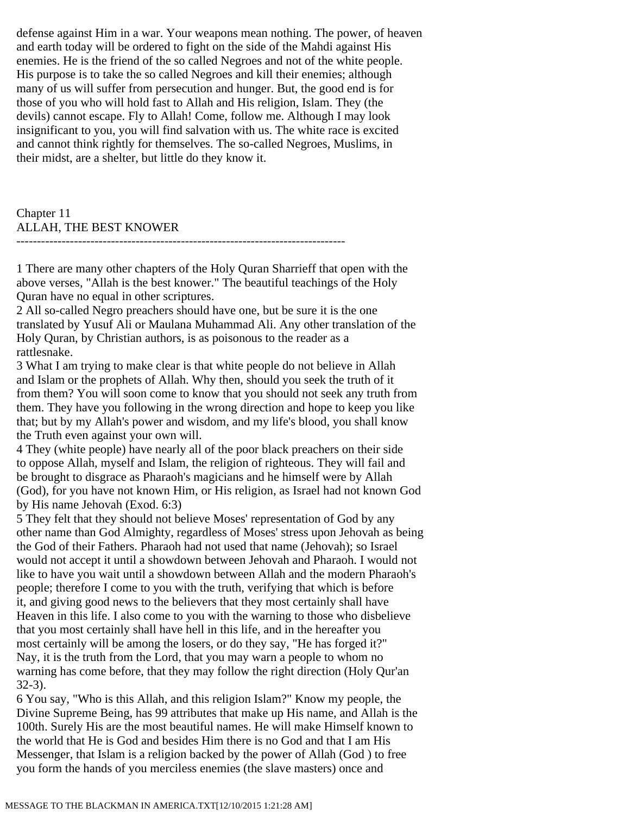defense against Him in a war. Your weapons mean nothing. The power, of heaven and earth today will be ordered to fight on the side of the Mahdi against His enemies. He is the friend of the so called Negroes and not of the white people. His purpose is to take the so called Negroes and kill their enemies; although many of us will suffer from persecution and hunger. But, the good end is for those of you who will hold fast to Allah and His religion, Islam. They (the devils) cannot escape. Fly to Allah! Come, follow me. Although I may look insignificant to you, you will find salvation with us. The white race is excited and cannot think rightly for themselves. The so-called Negroes, Muslims, in their midst, are a shelter, but little do they know it.

# Chapter 11 ALLAH, THE BEST KNOWER

--------------------------------------------------------------------------------

1 There are many other chapters of the Holy Quran Sharrieff that open with the above verses, "Allah is the best knower." The beautiful teachings of the Holy Quran have no equal in other scriptures.

2 All so-called Negro preachers should have one, but be sure it is the one translated by Yusuf Ali or Maulana Muhammad Ali. Any other translation of the Holy Quran, by Christian authors, is as poisonous to the reader as a rattlesnake.

3 What I am trying to make clear is that white people do not believe in Allah and Islam or the prophets of Allah. Why then, should you seek the truth of it from them? You will soon come to know that you should not seek any truth from them. They have you following in the wrong direction and hope to keep you like that; but by my Allah's power and wisdom, and my life's blood, you shall know the Truth even against your own will.

4 They (white people) have nearly all of the poor black preachers on their side to oppose Allah, myself and Islam, the religion of righteous. They will fail and be brought to disgrace as Pharaoh's magicians and he himself were by Allah (God), for you have not known Him, or His religion, as Israel had not known God by His name Jehovah (Exod. 6:3)

5 They felt that they should not believe Moses' representation of God by any other name than God Almighty, regardless of Moses' stress upon Jehovah as being the God of their Fathers. Pharaoh had not used that name (Jehovah); so Israel would not accept it until a showdown between Jehovah and Pharaoh. I would not like to have you wait until a showdown between Allah and the modern Pharaoh's people; therefore I come to you with the truth, verifying that which is before it, and giving good news to the believers that they most certainly shall have Heaven in this life. I also come to you with the warning to those who disbelieve that you most certainly shall have hell in this life, and in the hereafter you most certainly will be among the losers, or do they say, "He has forged it?" Nay, it is the truth from the Lord, that you may warn a people to whom no warning has come before, that they may follow the right direction (Holy Qur'an 32-3).

6 You say, "Who is this Allah, and this religion Islam?" Know my people, the Divine Supreme Being, has 99 attributes that make up His name, and Allah is the 100th. Surely His are the most beautiful names. He will make Himself known to the world that He is God and besides Him there is no God and that I am His Messenger, that Islam is a religion backed by the power of Allah (God ) to free you form the hands of you merciless enemies (the slave masters) once and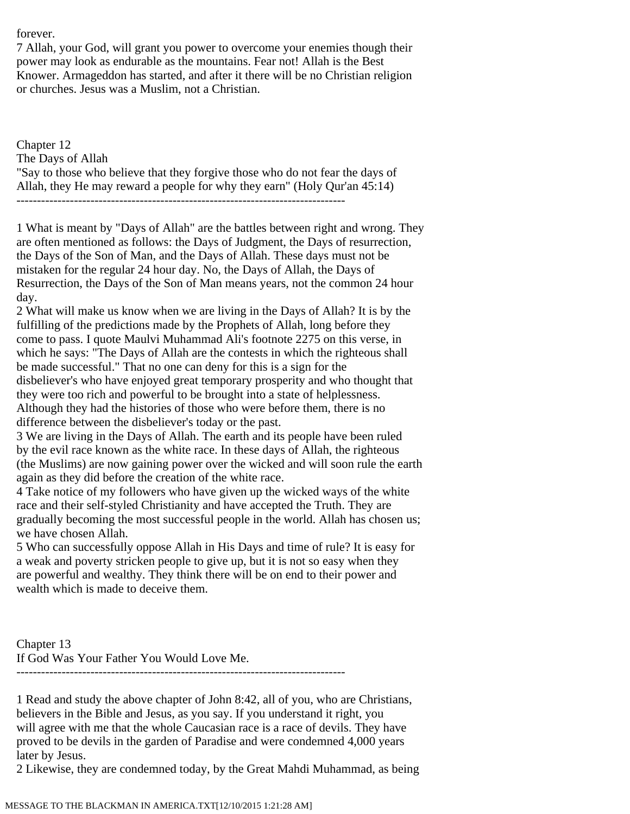forever.

7 Allah, your God, will grant you power to overcome your enemies though their power may look as endurable as the mountains. Fear not! Allah is the Best Knower. Armageddon has started, and after it there will be no Christian religion or churches. Jesus was a Muslim, not a Christian.

Chapter 12 The Days of Allah "Say to those who believe that they forgive those who do not fear the days of Allah, they He may reward a people for why they earn" (Holy Qur'an 45:14) --------------------------------------------------------------------------------

1 What is meant by "Days of Allah" are the battles between right and wrong. They are often mentioned as follows: the Days of Judgment, the Days of resurrection, the Days of the Son of Man, and the Days of Allah. These days must not be mistaken for the regular 24 hour day. No, the Days of Allah, the Days of Resurrection, the Days of the Son of Man means years, not the common 24 hour day.

2 What will make us know when we are living in the Days of Allah? It is by the fulfilling of the predictions made by the Prophets of Allah, long before they come to pass. I quote Maulvi Muhammad Ali's footnote 2275 on this verse, in which he says: "The Days of Allah are the contests in which the righteous shall be made successful." That no one can deny for this is a sign for the disbeliever's who have enjoyed great temporary prosperity and who thought that they were too rich and powerful to be brought into a state of helplessness. Although they had the histories of those who were before them, there is no difference between the disbeliever's today or the past.

3 We are living in the Days of Allah. The earth and its people have been ruled by the evil race known as the white race. In these days of Allah, the righteous (the Muslims) are now gaining power over the wicked and will soon rule the earth again as they did before the creation of the white race.

4 Take notice of my followers who have given up the wicked ways of the white race and their self-styled Christianity and have accepted the Truth. They are gradually becoming the most successful people in the world. Allah has chosen us; we have chosen Allah.

5 Who can successfully oppose Allah in His Days and time of rule? It is easy for a weak and poverty stricken people to give up, but it is not so easy when they are powerful and wealthy. They think there will be on end to their power and wealth which is made to deceive them.

Chapter 13 If God Was Your Father You Would Love Me.

--------------------------------------------------------------------------------

1 Read and study the above chapter of John 8:42, all of you, who are Christians, believers in the Bible and Jesus, as you say. If you understand it right, you will agree with me that the whole Caucasian race is a race of devils. They have proved to be devils in the garden of Paradise and were condemned 4,000 years later by Jesus.

2 Likewise, they are condemned today, by the Great Mahdi Muhammad, as being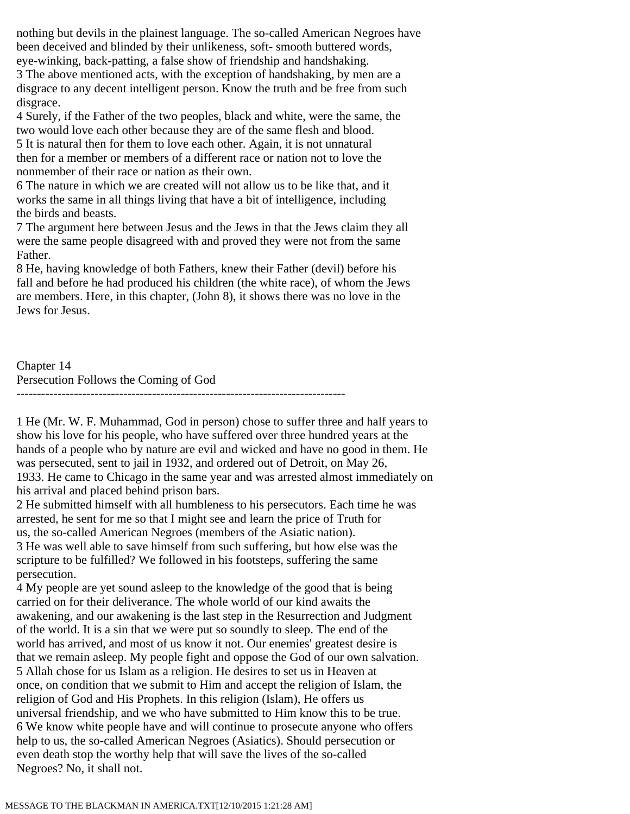nothing but devils in the plainest language. The so-called American Negroes have been deceived and blinded by their unlikeness, soft- smooth buttered words, eye-winking, back-patting, a false show of friendship and handshaking.

3 The above mentioned acts, with the exception of handshaking, by men are a disgrace to any decent intelligent person. Know the truth and be free from such disgrace.

4 Surely, if the Father of the two peoples, black and white, were the same, the two would love each other because they are of the same flesh and blood. 5 It is natural then for them to love each other. Again, it is not unnatural then for a member or members of a different race or nation not to love the

nonmember of their race or nation as their own.

6 The nature in which we are created will not allow us to be like that, and it works the same in all things living that have a bit of intelligence, including the birds and beasts.

7 The argument here between Jesus and the Jews in that the Jews claim they all were the same people disagreed with and proved they were not from the same Father.

8 He, having knowledge of both Fathers, knew their Father (devil) before his fall and before he had produced his children (the white race), of whom the Jews are members. Here, in this chapter, (John 8), it shows there was no love in the Jews for Jesus.

Chapter 14 Persecution Follows the Coming of God --------------------------------------------------------------------------------

1 He (Mr. W. F. Muhammad, God in person) chose to suffer three and half years to show his love for his people, who have suffered over three hundred years at the hands of a people who by nature are evil and wicked and have no good in them. He was persecuted, sent to jail in 1932, and ordered out of Detroit, on May 26, 1933. He came to Chicago in the same year and was arrested almost immediately on his arrival and placed behind prison bars.

2 He submitted himself with all humbleness to his persecutors. Each time he was arrested, he sent for me so that I might see and learn the price of Truth for us, the so-called American Negroes (members of the Asiatic nation). 3 He was well able to save himself from such suffering, but how else was the scripture to be fulfilled? We followed in his footsteps, suffering the same persecution.

4 My people are yet sound asleep to the knowledge of the good that is being carried on for their deliverance. The whole world of our kind awaits the awakening, and our awakening is the last step in the Resurrection and Judgment of the world. It is a sin that we were put so soundly to sleep. The end of the world has arrived, and most of us know it not. Our enemies' greatest desire is that we remain asleep. My people fight and oppose the God of our own salvation. 5 Allah chose for us Islam as a religion. He desires to set us in Heaven at once, on condition that we submit to Him and accept the religion of Islam, the religion of God and His Prophets. In this religion (Islam), He offers us universal friendship, and we who have submitted to Him know this to be true. 6 We know white people have and will continue to prosecute anyone who offers help to us, the so-called American Negroes (Asiatics). Should persecution or even death stop the worthy help that will save the lives of the so-called Negroes? No, it shall not.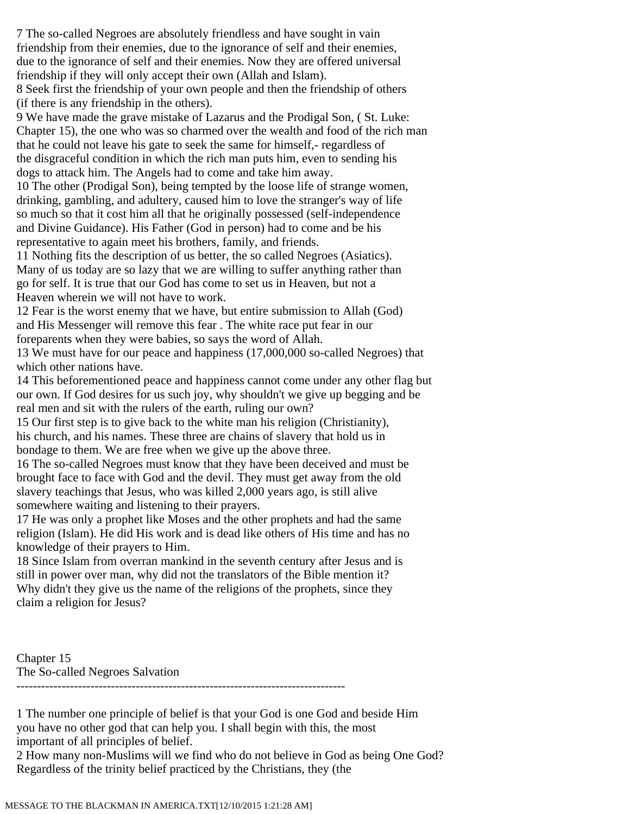7 The so-called Negroes are absolutely friendless and have sought in vain friendship from their enemies, due to the ignorance of self and their enemies, due to the ignorance of self and their enemies. Now they are offered universal friendship if they will only accept their own (Allah and Islam).

8 Seek first the friendship of your own people and then the friendship of others (if there is any friendship in the others).

9 We have made the grave mistake of Lazarus and the Prodigal Son, ( St. Luke: Chapter 15), the one who was so charmed over the wealth and food of the rich man that he could not leave his gate to seek the same for himself,- regardless of the disgraceful condition in which the rich man puts him, even to sending his dogs to attack him. The Angels had to come and take him away.

10 The other (Prodigal Son), being tempted by the loose life of strange women, drinking, gambling, and adultery, caused him to love the stranger's way of life so much so that it cost him all that he originally possessed (self-independence and Divine Guidance). His Father (God in person) had to come and be his representative to again meet his brothers, family, and friends.

11 Nothing fits the description of us better, the so called Negroes (Asiatics). Many of us today are so lazy that we are willing to suffer anything rather than go for self. It is true that our God has come to set us in Heaven, but not a Heaven wherein we will not have to work.

12 Fear is the worst enemy that we have, but entire submission to Allah (God) and His Messenger will remove this fear . The white race put fear in our foreparents when they were babies, so says the word of Allah.

13 We must have for our peace and happiness (17,000,000 so-called Negroes) that which other nations have.

14 This beforementioned peace and happiness cannot come under any other flag but our own. If God desires for us such joy, why shouldn't we give up begging and be real men and sit with the rulers of the earth, ruling our own?

15 Our first step is to give back to the white man his religion (Christianity), his church, and his names. These three are chains of slavery that hold us in bondage to them. We are free when we give up the above three.

16 The so-called Negroes must know that they have been deceived and must be brought face to face with God and the devil. They must get away from the old slavery teachings that Jesus, who was killed 2,000 years ago, is still alive somewhere waiting and listening to their prayers.

17 He was only a prophet like Moses and the other prophets and had the same religion (Islam). He did His work and is dead like others of His time and has no knowledge of their prayers to Him.

18 Since Islam from overran mankind in the seventh century after Jesus and is still in power over man, why did not the translators of the Bible mention it? Why didn't they give us the name of the religions of the prophets, since they claim a religion for Jesus?

Chapter 15 The So-called Negroes Salvation

--------------------------------------------------------------------------------

1 The number one principle of belief is that your God is one God and beside Him you have no other god that can help you. I shall begin with this, the most important of all principles of belief.

2 How many non-Muslims will we find who do not believe in God as being One God? Regardless of the trinity belief practiced by the Christians, they (the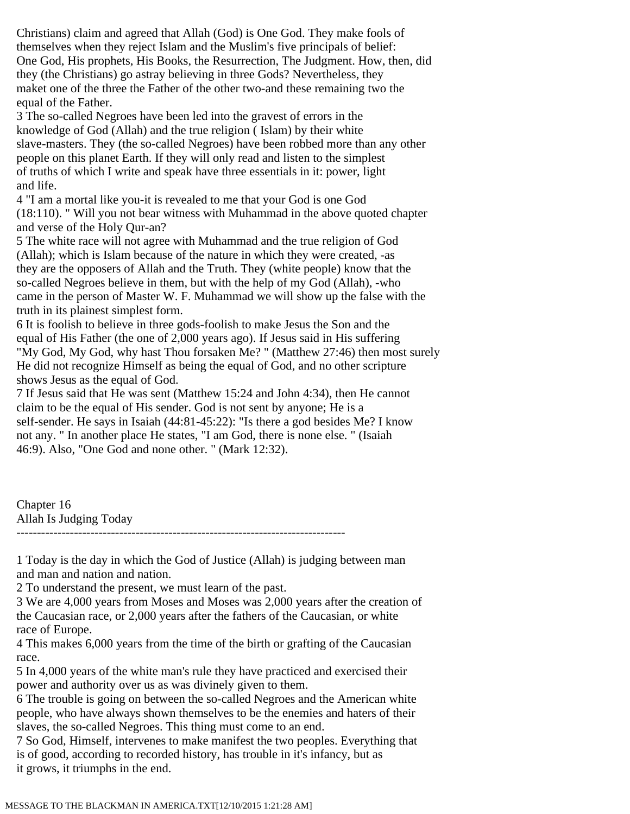Christians) claim and agreed that Allah (God) is One God. They make fools of themselves when they reject Islam and the Muslim's five principals of belief: One God, His prophets, His Books, the Resurrection, The Judgment. How, then, did they (the Christians) go astray believing in three Gods? Nevertheless, they maket one of the three the Father of the other two-and these remaining two the equal of the Father.

3 The so-called Negroes have been led into the gravest of errors in the knowledge of God (Allah) and the true religion ( Islam) by their white slave-masters. They (the so-called Negroes) have been robbed more than any other people on this planet Earth. If they will only read and listen to the simplest of truths of which I write and speak have three essentials in it: power, light and life.

4 "I am a mortal like you-it is revealed to me that your God is one God (18:110). " Will you not bear witness with Muhammad in the above quoted chapter and verse of the Holy Qur-an?

5 The white race will not agree with Muhammad and the true religion of God (Allah); which is Islam because of the nature in which they were created, -as they are the opposers of Allah and the Truth. They (white people) know that the so-called Negroes believe in them, but with the help of my God (Allah), -who came in the person of Master W. F. Muhammad we will show up the false with the truth in its plainest simplest form.

6 It is foolish to believe in three gods-foolish to make Jesus the Son and the equal of His Father (the one of 2,000 years ago). If Jesus said in His suffering "My God, My God, why hast Thou forsaken Me? " (Matthew 27:46) then most surely He did not recognize Himself as being the equal of God, and no other scripture shows Jesus as the equal of God.

7 If Jesus said that He was sent (Matthew 15:24 and John 4:34), then He cannot claim to be the equal of His sender. God is not sent by anyone; He is a self-sender. He says in Isaiah (44:81-45:22): "Is there a god besides Me? I know not any. " In another place He states, "I am God, there is none else. " (Isaiah 46:9). Also, "One God and none other. " (Mark 12:32).

Chapter 16 Allah Is Judging Today --------------------------------------------------------------------------------

1 Today is the day in which the God of Justice (Allah) is judging between man

and man and nation and nation.

2 To understand the present, we must learn of the past.

3 We are 4,000 years from Moses and Moses was 2,000 years after the creation of the Caucasian race, or 2,000 years after the fathers of the Caucasian, or white race of Europe.

4 This makes 6,000 years from the time of the birth or grafting of the Caucasian race.

5 In 4,000 years of the white man's rule they have practiced and exercised their power and authority over us as was divinely given to them.

6 The trouble is going on between the so-called Negroes and the American white people, who have always shown themselves to be the enemies and haters of their slaves, the so-called Negroes. This thing must come to an end.

7 So God, Himself, intervenes to make manifest the two peoples. Everything that is of good, according to recorded history, has trouble in it's infancy, but as it grows, it triumphs in the end.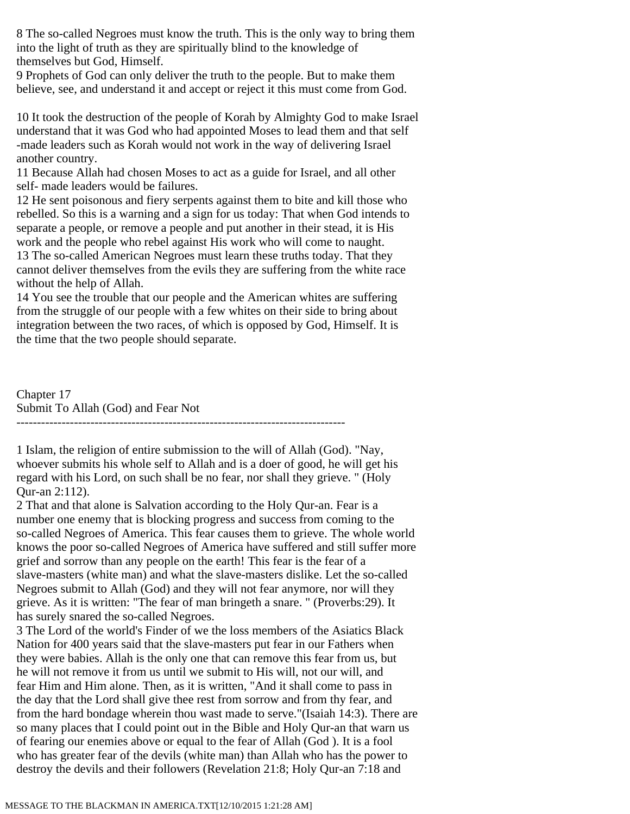8 The so-called Negroes must know the truth. This is the only way to bring them into the light of truth as they are spiritually blind to the knowledge of themselves but God, Himself.

9 Prophets of God can only deliver the truth to the people. But to make them believe, see, and understand it and accept or reject it this must come from God.

10 It took the destruction of the people of Korah by Almighty God to make Israel understand that it was God who had appointed Moses to lead them and that self -made leaders such as Korah would not work in the way of delivering Israel another country.

11 Because Allah had chosen Moses to act as a guide for Israel, and all other self- made leaders would be failures.

12 He sent poisonous and fiery serpents against them to bite and kill those who rebelled. So this is a warning and a sign for us today: That when God intends to separate a people, or remove a people and put another in their stead, it is His work and the people who rebel against His work who will come to naught. 13 The so-called American Negroes must learn these truths today. That they cannot deliver themselves from the evils they are suffering from the white race without the help of Allah.

14 You see the trouble that our people and the American whites are suffering from the struggle of our people with a few whites on their side to bring about integration between the two races, of which is opposed by God, Himself. It is the time that the two people should separate.

Chapter 17 Submit To Allah (God) and Fear Not --------------------------------------------------------------------------------

1 Islam, the religion of entire submission to the will of Allah (God). "Nay, whoever submits his whole self to Allah and is a doer of good, he will get his regard with his Lord, on such shall be no fear, nor shall they grieve. " (Holy Qur-an 2:112).

2 That and that alone is Salvation according to the Holy Qur-an. Fear is a number one enemy that is blocking progress and success from coming to the so-called Negroes of America. This fear causes them to grieve. The whole world knows the poor so-called Negroes of America have suffered and still suffer more grief and sorrow than any people on the earth! This fear is the fear of a slave-masters (white man) and what the slave-masters dislike. Let the so-called Negroes submit to Allah (God) and they will not fear anymore, nor will they grieve. As it is written: "The fear of man bringeth a snare. " (Proverbs:29). It has surely snared the so-called Negroes.

3 The Lord of the world's Finder of we the loss members of the Asiatics Black Nation for 400 years said that the slave-masters put fear in our Fathers when they were babies. Allah is the only one that can remove this fear from us, but he will not remove it from us until we submit to His will, not our will, and fear Him and Him alone. Then, as it is written, "And it shall come to pass in the day that the Lord shall give thee rest from sorrow and from thy fear, and from the hard bondage wherein thou wast made to serve."(Isaiah 14:3). There are so many places that I could point out in the Bible and Holy Qur-an that warn us of fearing our enemies above or equal to the fear of Allah (God ). It is a fool who has greater fear of the devils (white man) than Allah who has the power to destroy the devils and their followers (Revelation 21:8; Holy Qur-an 7:18 and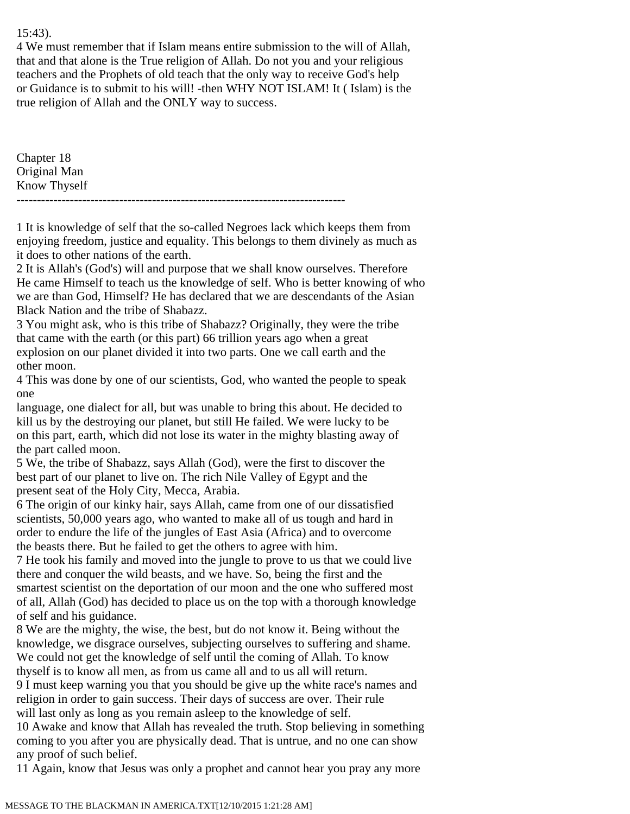15:43).

4 We must remember that if Islam means entire submission to the will of Allah, that and that alone is the True religion of Allah. Do not you and your religious teachers and the Prophets of old teach that the only way to receive God's help or Guidance is to submit to his will! -then WHY NOT ISLAM! It ( Islam) is the true religion of Allah and the ONLY way to success.

Chapter 18 Original Man Know Thyself

--------------------------------------------------------------------------------

1 It is knowledge of self that the so-called Negroes lack which keeps them from enjoying freedom, justice and equality. This belongs to them divinely as much as it does to other nations of the earth.

2 It is Allah's (God's) will and purpose that we shall know ourselves. Therefore He came Himself to teach us the knowledge of self. Who is better knowing of who we are than God, Himself? He has declared that we are descendants of the Asian Black Nation and the tribe of Shabazz.

3 You might ask, who is this tribe of Shabazz? Originally, they were the tribe that came with the earth (or this part) 66 trillion years ago when a great explosion on our planet divided it into two parts. One we call earth and the other moon.

4 This was done by one of our scientists, God, who wanted the people to speak one

language, one dialect for all, but was unable to bring this about. He decided to kill us by the destroying our planet, but still He failed. We were lucky to be on this part, earth, which did not lose its water in the mighty blasting away of the part called moon.

5 We, the tribe of Shabazz, says Allah (God), were the first to discover the best part of our planet to live on. The rich Nile Valley of Egypt and the present seat of the Holy City, Mecca, Arabia.

6 The origin of our kinky hair, says Allah, came from one of our dissatisfied scientists, 50,000 years ago, who wanted to make all of us tough and hard in order to endure the life of the jungles of East Asia (Africa) and to overcome the beasts there. But he failed to get the others to agree with him.

7 He took his family and moved into the jungle to prove to us that we could live there and conquer the wild beasts, and we have. So, being the first and the smartest scientist on the deportation of our moon and the one who suffered most of all, Allah (God) has decided to place us on the top with a thorough knowledge of self and his guidance.

8 We are the mighty, the wise, the best, but do not know it. Being without the knowledge, we disgrace ourselves, subjecting ourselves to suffering and shame. We could not get the knowledge of self until the coming of Allah. To know thyself is to know all men, as from us came all and to us all will return.

9 I must keep warning you that you should be give up the white race's names and religion in order to gain success. Their days of success are over. Their rule will last only as long as you remain asleep to the knowledge of self.

10 Awake and know that Allah has revealed the truth. Stop believing in something coming to you after you are physically dead. That is untrue, and no one can show any proof of such belief.

11 Again, know that Jesus was only a prophet and cannot hear you pray any more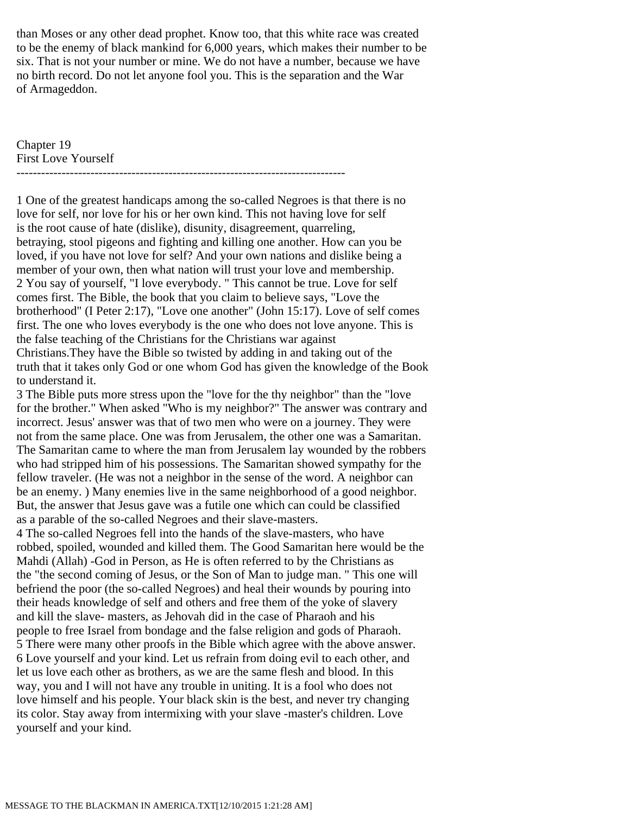than Moses or any other dead prophet. Know too, that this white race was created to be the enemy of black mankind for 6,000 years, which makes their number to be six. That is not your number or mine. We do not have a number, because we have no birth record. Do not let anyone fool you. This is the separation and the War of Armageddon.

Chapter 19 First Love Yourself --------------------------------------------------------------------------------

1 One of the greatest handicaps among the so-called Negroes is that there is no love for self, nor love for his or her own kind. This not having love for self is the root cause of hate (dislike), disunity, disagreement, quarreling, betraying, stool pigeons and fighting and killing one another. How can you be loved, if you have not love for self? And your own nations and dislike being a member of your own, then what nation will trust your love and membership. 2 You say of yourself, "I love everybody. " This cannot be true. Love for self comes first. The Bible, the book that you claim to believe says, "Love the brotherhood" (I Peter 2:17), "Love one another" (John 15:17). Love of self comes first. The one who loves everybody is the one who does not love anyone. This is the false teaching of the Christians for the Christians war against Christians.They have the Bible so twisted by adding in and taking out of the truth that it takes only God or one whom God has given the knowledge of the Book to understand it.

3 The Bible puts more stress upon the "love for the thy neighbor" than the "love for the brother." When asked "Who is my neighbor?" The answer was contrary and incorrect. Jesus' answer was that of two men who were on a journey. They were not from the same place. One was from Jerusalem, the other one was a Samaritan. The Samaritan came to where the man from Jerusalem lay wounded by the robbers who had stripped him of his possessions. The Samaritan showed sympathy for the fellow traveler. (He was not a neighbor in the sense of the word. A neighbor can be an enemy. ) Many enemies live in the same neighborhood of a good neighbor. But, the answer that Jesus gave was a futile one which can could be classified as a parable of the so-called Negroes and their slave-masters.

4 The so-called Negroes fell into the hands of the slave-masters, who have robbed, spoiled, wounded and killed them. The Good Samaritan here would be the Mahdi (Allah) -God in Person, as He is often referred to by the Christians as the "the second coming of Jesus, or the Son of Man to judge man. " This one will befriend the poor (the so-called Negroes) and heal their wounds by pouring into their heads knowledge of self and others and free them of the yoke of slavery and kill the slave- masters, as Jehovah did in the case of Pharaoh and his people to free Israel from bondage and the false religion and gods of Pharaoh. 5 There were many other proofs in the Bible which agree with the above answer. 6 Love yourself and your kind. Let us refrain from doing evil to each other, and let us love each other as brothers, as we are the same flesh and blood. In this way, you and I will not have any trouble in uniting. It is a fool who does not love himself and his people. Your black skin is the best, and never try changing its color. Stay away from intermixing with your slave -master's children. Love yourself and your kind.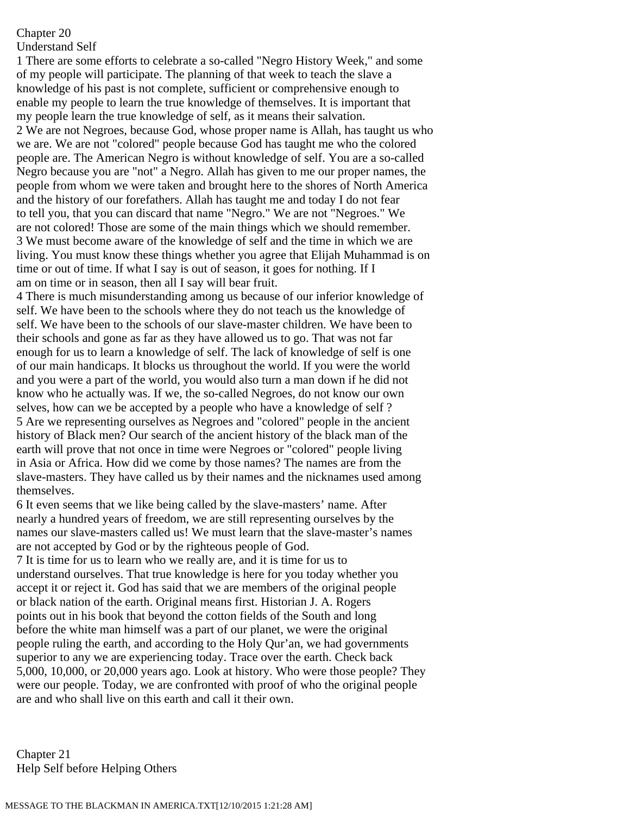# Chapter 20

### Understand Self

1 There are some efforts to celebrate a so-called "Negro History Week," and some of my people will participate. The planning of that week to teach the slave a knowledge of his past is not complete, sufficient or comprehensive enough to enable my people to learn the true knowledge of themselves. It is important that my people learn the true knowledge of self, as it means their salvation. 2 We are not Negroes, because God, whose proper name is Allah, has taught us who we are. We are not "colored" people because God has taught me who the colored people are. The American Negro is without knowledge of self. You are a so-called Negro because you are "not" a Negro. Allah has given to me our proper names, the people from whom we were taken and brought here to the shores of North America and the history of our forefathers. Allah has taught me and today I do not fear to tell you, that you can discard that name "Negro." We are not "Negroes." We are not colored! Those are some of the main things which we should remember. 3 We must become aware of the knowledge of self and the time in which we are living. You must know these things whether you agree that Elijah Muhammad is on time or out of time. If what I say is out of season, it goes for nothing. If I am on time or in season, then all I say will bear fruit.

4 There is much misunderstanding among us because of our inferior knowledge of self. We have been to the schools where they do not teach us the knowledge of self. We have been to the schools of our slave-master children. We have been to their schools and gone as far as they have allowed us to go. That was not far enough for us to learn a knowledge of self. The lack of knowledge of self is one of our main handicaps. It blocks us throughout the world. If you were the world and you were a part of the world, you would also turn a man down if he did not know who he actually was. If we, the so-called Negroes, do not know our own selves, how can we be accepted by a people who have a knowledge of self ? 5 Are we representing ourselves as Negroes and "colored" people in the ancient history of Black men? Our search of the ancient history of the black man of the earth will prove that not once in time were Negroes or "colored" people living in Asia or Africa. How did we come by those names? The names are from the slave-masters. They have called us by their names and the nicknames used among themselves.

6 It even seems that we like being called by the slave-masters' name. After nearly a hundred years of freedom, we are still representing ourselves by the names our slave-masters called us! We must learn that the slave-master's names are not accepted by God or by the righteous people of God.

7 It is time for us to learn who we really are, and it is time for us to understand ourselves. That true knowledge is here for you today whether you accept it or reject it. God has said that we are members of the original people or black nation of the earth. Original means first. Historian J. A. Rogers points out in his book that beyond the cotton fields of the South and long before the white man himself was a part of our planet, we were the original people ruling the earth, and according to the Holy Qur'an, we had governments superior to any we are experiencing today. Trace over the earth. Check back 5,000, 10,000, or 20,000 years ago. Look at history. Who were those people? They were our people. Today, we are confronted with proof of who the original people are and who shall live on this earth and call it their own.

Chapter 21 Help Self before Helping Others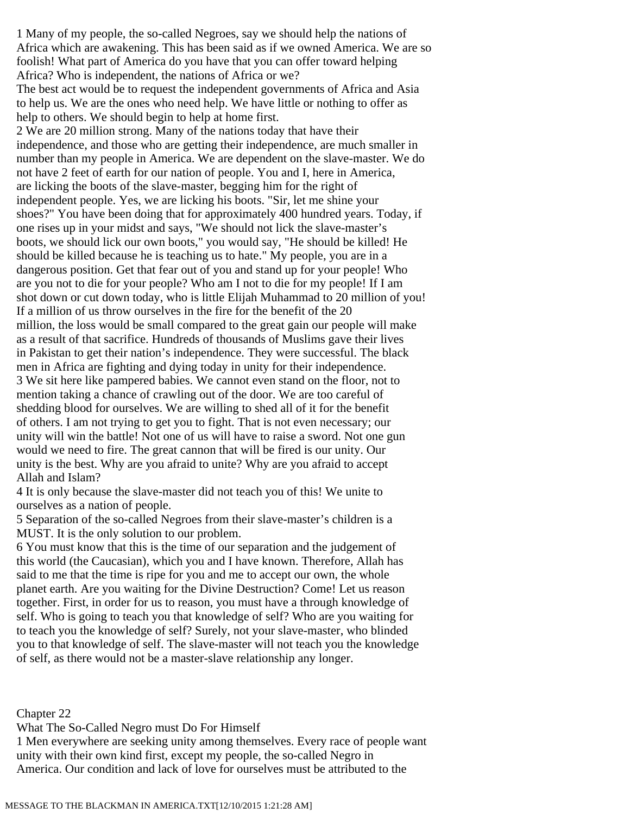1 Many of my people, the so-called Negroes, say we should help the nations of Africa which are awakening. This has been said as if we owned America. We are so foolish! What part of America do you have that you can offer toward helping Africa? Who is independent, the nations of Africa or we? The best act would be to request the independent governments of Africa and Asia to help us. We are the ones who need help. We have little or nothing to offer as help to others. We should begin to help at home first. 2 We are 20 million strong. Many of the nations today that have their independence, and those who are getting their independence, are much smaller in number than my people in America. We are dependent on the slave-master. We do not have 2 feet of earth for our nation of people. You and I, here in America, are licking the boots of the slave-master, begging him for the right of independent people. Yes, we are licking his boots. "Sir, let me shine your shoes?" You have been doing that for approximately 400 hundred years. Today, if one rises up in your midst and says, "We should not lick the slave-master's boots, we should lick our own boots," you would say, "He should be killed! He should be killed because he is teaching us to hate." My people, you are in a dangerous position. Get that fear out of you and stand up for your people! Who are you not to die for your people? Who am I not to die for my people! If I am shot down or cut down today, who is little Elijah Muhammad to 20 million of you! If a million of us throw ourselves in the fire for the benefit of the 20 million, the loss would be small compared to the great gain our people will make as a result of that sacrifice. Hundreds of thousands of Muslims gave their lives in Pakistan to get their nation's independence. They were successful. The black men in Africa are fighting and dying today in unity for their independence. 3 We sit here like pampered babies. We cannot even stand on the floor, not to mention taking a chance of crawling out of the door. We are too careful of shedding blood for ourselves. We are willing to shed all of it for the benefit of others. I am not trying to get you to fight. That is not even necessary; our unity will win the battle! Not one of us will have to raise a sword. Not one gun would we need to fire. The great cannon that will be fired is our unity. Our unity is the best. Why are you afraid to unite? Why are you afraid to accept Allah and Islam?

4 It is only because the slave-master did not teach you of this! We unite to ourselves as a nation of people.

5 Separation of the so-called Negroes from their slave-master's children is a MUST. It is the only solution to our problem.

6 You must know that this is the time of our separation and the judgement of this world (the Caucasian), which you and I have known. Therefore, Allah has said to me that the time is ripe for you and me to accept our own, the whole planet earth. Are you waiting for the Divine Destruction? Come! Let us reason together. First, in order for us to reason, you must have a through knowledge of self. Who is going to teach you that knowledge of self? Who are you waiting for to teach you the knowledge of self? Surely, not your slave-master, who blinded you to that knowledge of self. The slave-master will not teach you the knowledge of self, as there would not be a master-slave relationship any longer.

Chapter 22

What The So-Called Negro must Do For Himself

1 Men everywhere are seeking unity among themselves. Every race of people want unity with their own kind first, except my people, the so-called Negro in America. Our condition and lack of love for ourselves must be attributed to the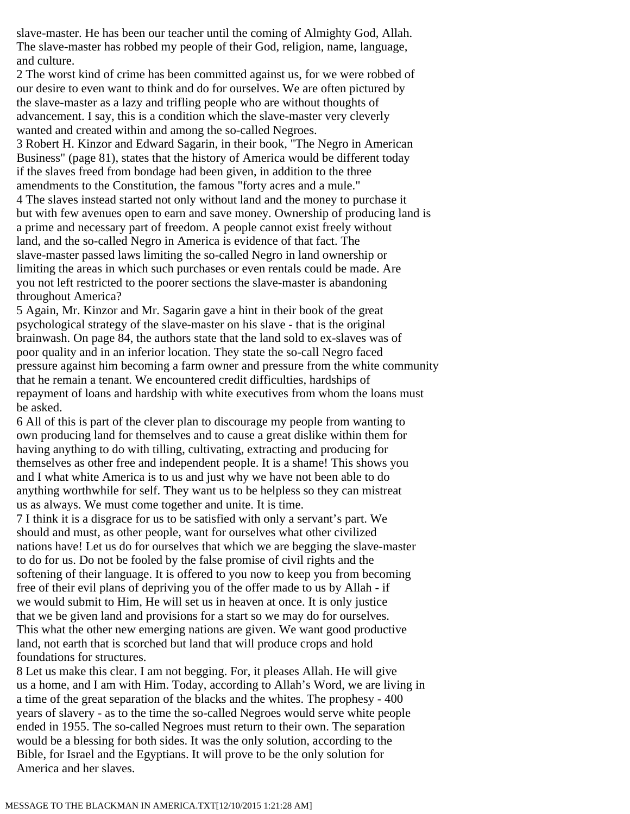slave-master. He has been our teacher until the coming of Almighty God, Allah. The slave-master has robbed my people of their God, religion, name, language, and culture.

2 The worst kind of crime has been committed against us, for we were robbed of our desire to even want to think and do for ourselves. We are often pictured by the slave-master as a lazy and trifling people who are without thoughts of advancement. I say, this is a condition which the slave-master very cleverly wanted and created within and among the so-called Negroes.

3 Robert H. Kinzor and Edward Sagarin, in their book, "The Negro in American Business" (page 81), states that the history of America would be different today if the slaves freed from bondage had been given, in addition to the three amendments to the Constitution, the famous "forty acres and a mule." 4 The slaves instead started not only without land and the money to purchase it but with few avenues open to earn and save money. Ownership of producing land is a prime and necessary part of freedom. A people cannot exist freely without land, and the so-called Negro in America is evidence of that fact. The slave-master passed laws limiting the so-called Negro in land ownership or limiting the areas in which such purchases or even rentals could be made. Are you not left restricted to the poorer sections the slave-master is abandoning throughout America?

5 Again, Mr. Kinzor and Mr. Sagarin gave a hint in their book of the great psychological strategy of the slave-master on his slave - that is the original brainwash. On page 84, the authors state that the land sold to ex-slaves was of poor quality and in an inferior location. They state the so-call Negro faced pressure against him becoming a farm owner and pressure from the white community that he remain a tenant. We encountered credit difficulties, hardships of repayment of loans and hardship with white executives from whom the loans must be asked.

6 All of this is part of the clever plan to discourage my people from wanting to own producing land for themselves and to cause a great dislike within them for having anything to do with tilling, cultivating, extracting and producing for themselves as other free and independent people. It is a shame! This shows you and I what white America is to us and just why we have not been able to do anything worthwhile for self. They want us to be helpless so they can mistreat us as always. We must come together and unite. It is time.

7 I think it is a disgrace for us to be satisfied with only a servant's part. We should and must, as other people, want for ourselves what other civilized nations have! Let us do for ourselves that which we are begging the slave-master to do for us. Do not be fooled by the false promise of civil rights and the softening of their language. It is offered to you now to keep you from becoming free of their evil plans of depriving you of the offer made to us by Allah - if we would submit to Him, He will set us in heaven at once. It is only justice that we be given land and provisions for a start so we may do for ourselves. This what the other new emerging nations are given. We want good productive land, not earth that is scorched but land that will produce crops and hold foundations for structures.

8 Let us make this clear. I am not begging. For, it pleases Allah. He will give us a home, and I am with Him. Today, according to Allah's Word, we are living in a time of the great separation of the blacks and the whites. The prophesy - 400 years of slavery - as to the time the so-called Negroes would serve white people ended in 1955. The so-called Negroes must return to their own. The separation would be a blessing for both sides. It was the only solution, according to the Bible, for Israel and the Egyptians. It will prove to be the only solution for America and her slaves.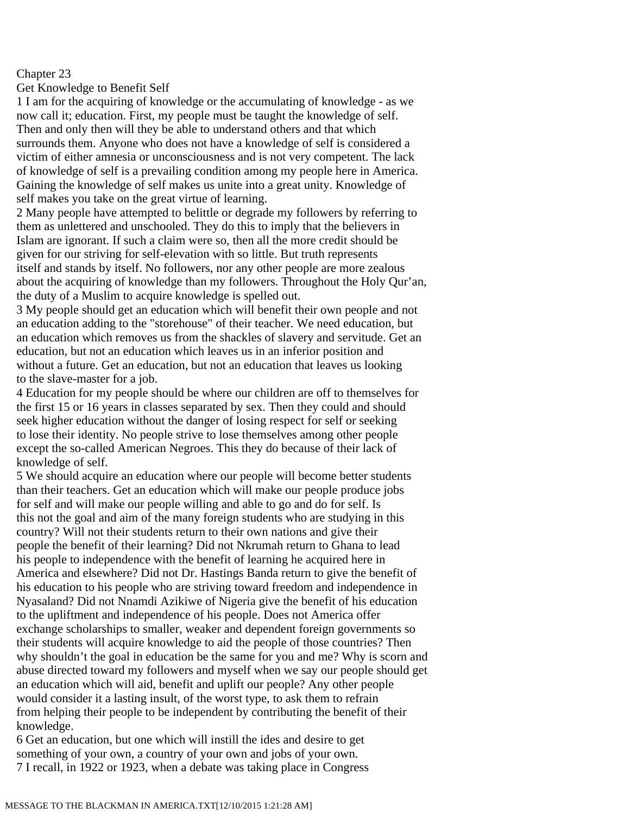## Chapter 23

Get Knowledge to Benefit Self

1 I am for the acquiring of knowledge or the accumulating of knowledge - as we now call it; education. First, my people must be taught the knowledge of self. Then and only then will they be able to understand others and that which surrounds them. Anyone who does not have a knowledge of self is considered a victim of either amnesia or unconsciousness and is not very competent. The lack of knowledge of self is a prevailing condition among my people here in America. Gaining the knowledge of self makes us unite into a great unity. Knowledge of self makes you take on the great virtue of learning.

2 Many people have attempted to belittle or degrade my followers by referring to them as unlettered and unschooled. They do this to imply that the believers in Islam are ignorant. If such a claim were so, then all the more credit should be given for our striving for self-elevation with so little. But truth represents itself and stands by itself. No followers, nor any other people are more zealous about the acquiring of knowledge than my followers. Throughout the Holy Qur'an, the duty of a Muslim to acquire knowledge is spelled out.

3 My people should get an education which will benefit their own people and not an education adding to the "storehouse" of their teacher. We need education, but an education which removes us from the shackles of slavery and servitude. Get an education, but not an education which leaves us in an inferior position and without a future. Get an education, but not an education that leaves us looking to the slave-master for a job.

4 Education for my people should be where our children are off to themselves for the first 15 or 16 years in classes separated by sex. Then they could and should seek higher education without the danger of losing respect for self or seeking to lose their identity. No people strive to lose themselves among other people except the so-called American Negroes. This they do because of their lack of knowledge of self.

5 We should acquire an education where our people will become better students than their teachers. Get an education which will make our people produce jobs for self and will make our people willing and able to go and do for self. Is this not the goal and aim of the many foreign students who are studying in this country? Will not their students return to their own nations and give their people the benefit of their learning? Did not Nkrumah return to Ghana to lead his people to independence with the benefit of learning he acquired here in America and elsewhere? Did not Dr. Hastings Banda return to give the benefit of his education to his people who are striving toward freedom and independence in Nyasaland? Did not Nnamdi Azikiwe of Nigeria give the benefit of his education to the upliftment and independence of his people. Does not America offer exchange scholarships to smaller, weaker and dependent foreign governments so their students will acquire knowledge to aid the people of those countries? Then why shouldn't the goal in education be the same for you and me? Why is scorn and abuse directed toward my followers and myself when we say our people should get an education which will aid, benefit and uplift our people? Any other people would consider it a lasting insult, of the worst type, to ask them to refrain from helping their people to be independent by contributing the benefit of their knowledge.

6 Get an education, but one which will instill the ides and desire to get something of your own, a country of your own and jobs of your own. 7 I recall, in 1922 or 1923, when a debate was taking place in Congress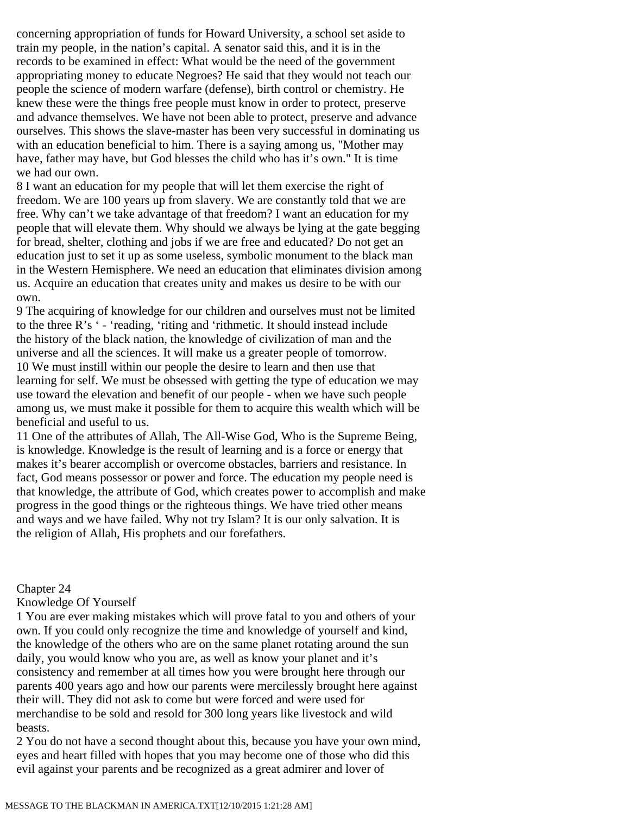concerning appropriation of funds for Howard University, a school set aside to train my people, in the nation's capital. A senator said this, and it is in the records to be examined in effect: What would be the need of the government appropriating money to educate Negroes? He said that they would not teach our people the science of modern warfare (defense), birth control or chemistry. He knew these were the things free people must know in order to protect, preserve and advance themselves. We have not been able to protect, preserve and advance ourselves. This shows the slave-master has been very successful in dominating us with an education beneficial to him. There is a saying among us, "Mother may have, father may have, but God blesses the child who has it's own." It is time we had our own.

8 I want an education for my people that will let them exercise the right of freedom. We are 100 years up from slavery. We are constantly told that we are free. Why can't we take advantage of that freedom? I want an education for my people that will elevate them. Why should we always be lying at the gate begging for bread, shelter, clothing and jobs if we are free and educated? Do not get an education just to set it up as some useless, symbolic monument to the black man in the Western Hemisphere. We need an education that eliminates division among us. Acquire an education that creates unity and makes us desire to be with our own.

9 The acquiring of knowledge for our children and ourselves must not be limited to the three R's ' - 'reading, 'riting and 'rithmetic. It should instead include the history of the black nation, the knowledge of civilization of man and the universe and all the sciences. It will make us a greater people of tomorrow. 10 We must instill within our people the desire to learn and then use that learning for self. We must be obsessed with getting the type of education we may use toward the elevation and benefit of our people - when we have such people among us, we must make it possible for them to acquire this wealth which will be beneficial and useful to us.

11 One of the attributes of Allah, The All-Wise God, Who is the Supreme Being, is knowledge. Knowledge is the result of learning and is a force or energy that makes it's bearer accomplish or overcome obstacles, barriers and resistance. In fact, God means possessor or power and force. The education my people need is that knowledge, the attribute of God, which creates power to accomplish and make progress in the good things or the righteous things. We have tried other means and ways and we have failed. Why not try Islam? It is our only salvation. It is the religion of Allah, His prophets and our forefathers.

## Chapter 24

### Knowledge Of Yourself

1 You are ever making mistakes which will prove fatal to you and others of your own. If you could only recognize the time and knowledge of yourself and kind, the knowledge of the others who are on the same planet rotating around the sun daily, you would know who you are, as well as know your planet and it's consistency and remember at all times how you were brought here through our parents 400 years ago and how our parents were mercilessly brought here against their will. They did not ask to come but were forced and were used for merchandise to be sold and resold for 300 long years like livestock and wild beasts.

2 You do not have a second thought about this, because you have your own mind, eyes and heart filled with hopes that you may become one of those who did this evil against your parents and be recognized as a great admirer and lover of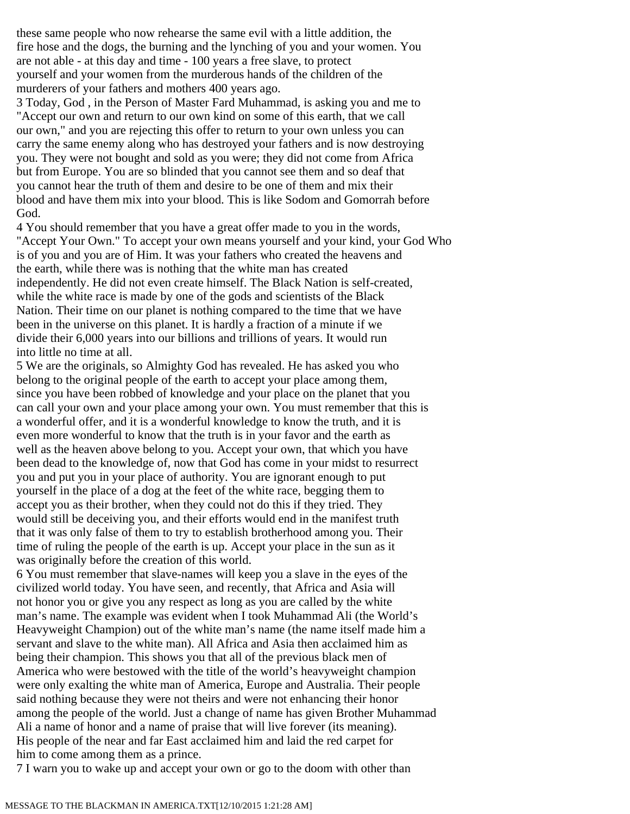these same people who now rehearse the same evil with a little addition, the fire hose and the dogs, the burning and the lynching of you and your women. You are not able - at this day and time - 100 years a free slave, to protect yourself and your women from the murderous hands of the children of the murderers of your fathers and mothers 400 years ago.

3 Today, God , in the Person of Master Fard Muhammad, is asking you and me to "Accept our own and return to our own kind on some of this earth, that we call our own," and you are rejecting this offer to return to your own unless you can carry the same enemy along who has destroyed your fathers and is now destroying you. They were not bought and sold as you were; they did not come from Africa but from Europe. You are so blinded that you cannot see them and so deaf that you cannot hear the truth of them and desire to be one of them and mix their blood and have them mix into your blood. This is like Sodom and Gomorrah before God.

4 You should remember that you have a great offer made to you in the words, "Accept Your Own." To accept your own means yourself and your kind, your God Who is of you and you are of Him. It was your fathers who created the heavens and the earth, while there was is nothing that the white man has created independently. He did not even create himself. The Black Nation is self-created, while the white race is made by one of the gods and scientists of the Black Nation. Their time on our planet is nothing compared to the time that we have been in the universe on this planet. It is hardly a fraction of a minute if we divide their 6,000 years into our billions and trillions of years. It would run into little no time at all.

5 We are the originals, so Almighty God has revealed. He has asked you who belong to the original people of the earth to accept your place among them, since you have been robbed of knowledge and your place on the planet that you can call your own and your place among your own. You must remember that this is a wonderful offer, and it is a wonderful knowledge to know the truth, and it is even more wonderful to know that the truth is in your favor and the earth as well as the heaven above belong to you. Accept your own, that which you have been dead to the knowledge of, now that God has come in your midst to resurrect you and put you in your place of authority. You are ignorant enough to put yourself in the place of a dog at the feet of the white race, begging them to accept you as their brother, when they could not do this if they tried. They would still be deceiving you, and their efforts would end in the manifest truth that it was only false of them to try to establish brotherhood among you. Their time of ruling the people of the earth is up. Accept your place in the sun as it was originally before the creation of this world.

6 You must remember that slave-names will keep you a slave in the eyes of the civilized world today. You have seen, and recently, that Africa and Asia will not honor you or give you any respect as long as you are called by the white man's name. The example was evident when I took Muhammad Ali (the World's Heavyweight Champion) out of the white man's name (the name itself made him a servant and slave to the white man). All Africa and Asia then acclaimed him as being their champion. This shows you that all of the previous black men of America who were bestowed with the title of the world's heavyweight champion were only exalting the white man of America, Europe and Australia. Their people said nothing because they were not theirs and were not enhancing their honor among the people of the world. Just a change of name has given Brother Muhammad Ali a name of honor and a name of praise that will live forever (its meaning). His people of the near and far East acclaimed him and laid the red carpet for him to come among them as a prince.

7 I warn you to wake up and accept your own or go to the doom with other than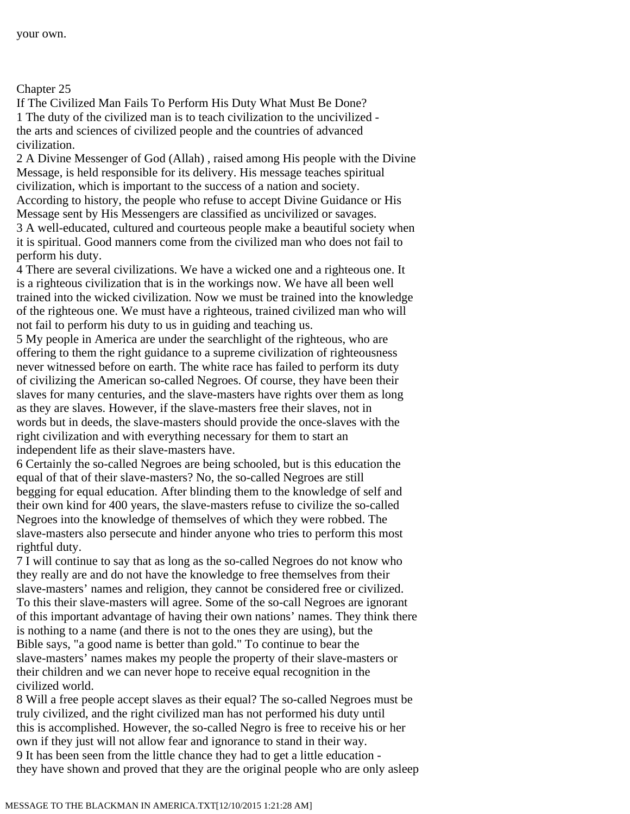## Chapter 25

If The Civilized Man Fails To Perform His Duty What Must Be Done? 1 The duty of the civilized man is to teach civilization to the uncivilized the arts and sciences of civilized people and the countries of advanced civilization.

2 A Divine Messenger of God (Allah) , raised among His people with the Divine Message, is held responsible for its delivery. His message teaches spiritual civilization, which is important to the success of a nation and society. According to history, the people who refuse to accept Divine Guidance or His Message sent by His Messengers are classified as uncivilized or savages.

3 A well-educated, cultured and courteous people make a beautiful society when it is spiritual. Good manners come from the civilized man who does not fail to perform his duty.

4 There are several civilizations. We have a wicked one and a righteous one. It is a righteous civilization that is in the workings now. We have all been well trained into the wicked civilization. Now we must be trained into the knowledge of the righteous one. We must have a righteous, trained civilized man who will not fail to perform his duty to us in guiding and teaching us.

5 My people in America are under the searchlight of the righteous, who are offering to them the right guidance to a supreme civilization of righteousness never witnessed before on earth. The white race has failed to perform its duty of civilizing the American so-called Negroes. Of course, they have been their slaves for many centuries, and the slave-masters have rights over them as long as they are slaves. However, if the slave-masters free their slaves, not in words but in deeds, the slave-masters should provide the once-slaves with the right civilization and with everything necessary for them to start an independent life as their slave-masters have.

6 Certainly the so-called Negroes are being schooled, but is this education the equal of that of their slave-masters? No, the so-called Negroes are still begging for equal education. After blinding them to the knowledge of self and their own kind for 400 years, the slave-masters refuse to civilize the so-called Negroes into the knowledge of themselves of which they were robbed. The slave-masters also persecute and hinder anyone who tries to perform this most rightful duty.

7 I will continue to say that as long as the so-called Negroes do not know who they really are and do not have the knowledge to free themselves from their slave-masters' names and religion, they cannot be considered free or civilized. To this their slave-masters will agree. Some of the so-call Negroes are ignorant of this important advantage of having their own nations' names. They think there is nothing to a name (and there is not to the ones they are using), but the Bible says, "a good name is better than gold." To continue to bear the slave-masters' names makes my people the property of their slave-masters or their children and we can never hope to receive equal recognition in the civilized world.

8 Will a free people accept slaves as their equal? The so-called Negroes must be truly civilized, and the right civilized man has not performed his duty until this is accomplished. However, the so-called Negro is free to receive his or her own if they just will not allow fear and ignorance to stand in their way. 9 It has been seen from the little chance they had to get a little education they have shown and proved that they are the original people who are only asleep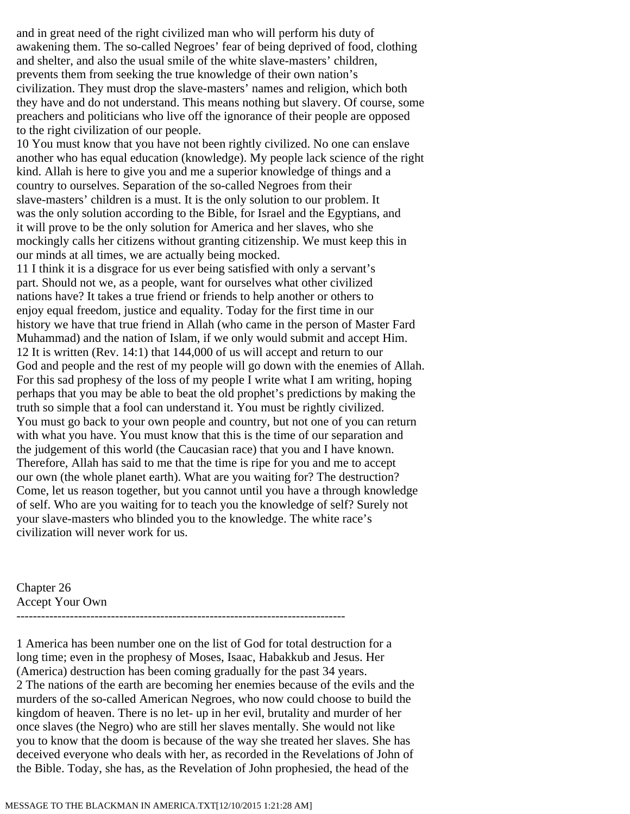and in great need of the right civilized man who will perform his duty of awakening them. The so-called Negroes' fear of being deprived of food, clothing and shelter, and also the usual smile of the white slave-masters' children, prevents them from seeking the true knowledge of their own nation's civilization. They must drop the slave-masters' names and religion, which both they have and do not understand. This means nothing but slavery. Of course, some preachers and politicians who live off the ignorance of their people are opposed to the right civilization of our people.

10 You must know that you have not been rightly civilized. No one can enslave another who has equal education (knowledge). My people lack science of the right kind. Allah is here to give you and me a superior knowledge of things and a country to ourselves. Separation of the so-called Negroes from their slave-masters' children is a must. It is the only solution to our problem. It was the only solution according to the Bible, for Israel and the Egyptians, and it will prove to be the only solution for America and her slaves, who she mockingly calls her citizens without granting citizenship. We must keep this in our minds at all times, we are actually being mocked.

11 I think it is a disgrace for us ever being satisfied with only a servant's part. Should not we, as a people, want for ourselves what other civilized nations have? It takes a true friend or friends to help another or others to enjoy equal freedom, justice and equality. Today for the first time in our history we have that true friend in Allah (who came in the person of Master Fard Muhammad) and the nation of Islam, if we only would submit and accept Him. 12 It is written (Rev. 14:1) that 144,000 of us will accept and return to our God and people and the rest of my people will go down with the enemies of Allah. For this sad prophesy of the loss of my people I write what I am writing, hoping perhaps that you may be able to beat the old prophet's predictions by making the truth so simple that a fool can understand it. You must be rightly civilized. You must go back to your own people and country, but not one of you can return with what you have. You must know that this is the time of our separation and the judgement of this world (the Caucasian race) that you and I have known. Therefore, Allah has said to me that the time is ripe for you and me to accept our own (the whole planet earth). What are you waiting for? The destruction? Come, let us reason together, but you cannot until you have a through knowledge of self. Who are you waiting for to teach you the knowledge of self? Surely not your slave-masters who blinded you to the knowledge. The white race's civilization will never work for us.

Chapter 26 Accept Your Own

--------------------------------------------------------------------------------

1 America has been number one on the list of God for total destruction for a long time; even in the prophesy of Moses, Isaac, Habakkub and Jesus. Her (America) destruction has been coming gradually for the past 34 years. 2 The nations of the earth are becoming her enemies because of the evils and the murders of the so-called American Negroes, who now could choose to build the kingdom of heaven. There is no let- up in her evil, brutality and murder of her once slaves (the Negro) who are still her slaves mentally. She would not like you to know that the doom is because of the way she treated her slaves. She has deceived everyone who deals with her, as recorded in the Revelations of John of the Bible. Today, she has, as the Revelation of John prophesied, the head of the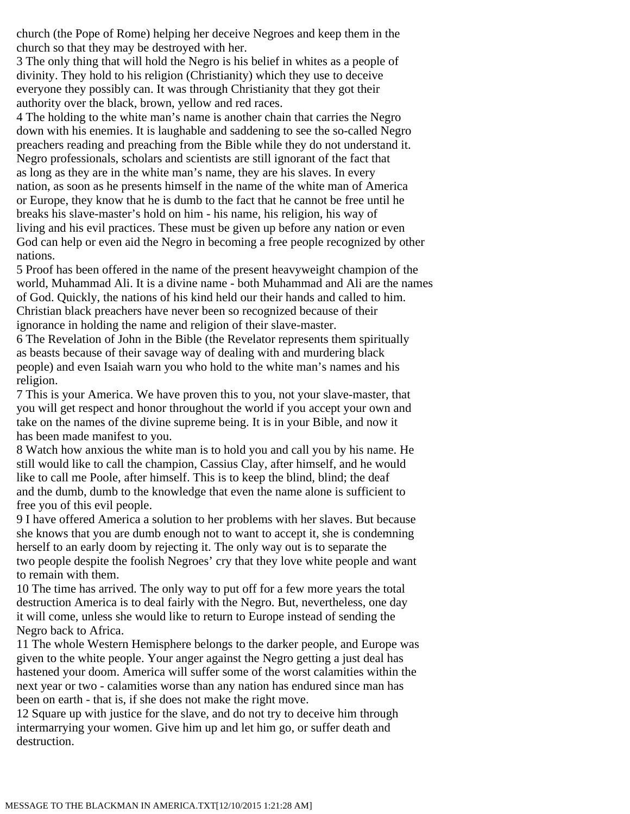church (the Pope of Rome) helping her deceive Negroes and keep them in the church so that they may be destroyed with her.

3 The only thing that will hold the Negro is his belief in whites as a people of divinity. They hold to his religion (Christianity) which they use to deceive everyone they possibly can. It was through Christianity that they got their authority over the black, brown, yellow and red races.

4 The holding to the white man's name is another chain that carries the Negro down with his enemies. It is laughable and saddening to see the so-called Negro preachers reading and preaching from the Bible while they do not understand it. Negro professionals, scholars and scientists are still ignorant of the fact that as long as they are in the white man's name, they are his slaves. In every nation, as soon as he presents himself in the name of the white man of America or Europe, they know that he is dumb to the fact that he cannot be free until he breaks his slave-master's hold on him - his name, his religion, his way of living and his evil practices. These must be given up before any nation or even God can help or even aid the Negro in becoming a free people recognized by other nations.

5 Proof has been offered in the name of the present heavyweight champion of the world, Muhammad Ali. It is a divine name - both Muhammad and Ali are the names of God. Quickly, the nations of his kind held our their hands and called to him. Christian black preachers have never been so recognized because of their ignorance in holding the name and religion of their slave-master.

6 The Revelation of John in the Bible (the Revelator represents them spiritually as beasts because of their savage way of dealing with and murdering black people) and even Isaiah warn you who hold to the white man's names and his religion.

7 This is your America. We have proven this to you, not your slave-master, that you will get respect and honor throughout the world if you accept your own and take on the names of the divine supreme being. It is in your Bible, and now it has been made manifest to you.

8 Watch how anxious the white man is to hold you and call you by his name. He still would like to call the champion, Cassius Clay, after himself, and he would like to call me Poole, after himself. This is to keep the blind, blind; the deaf and the dumb, dumb to the knowledge that even the name alone is sufficient to free you of this evil people.

9 I have offered America a solution to her problems with her slaves. But because she knows that you are dumb enough not to want to accept it, she is condemning herself to an early doom by rejecting it. The only way out is to separate the two people despite the foolish Negroes' cry that they love white people and want to remain with them.

10 The time has arrived. The only way to put off for a few more years the total destruction America is to deal fairly with the Negro. But, nevertheless, one day it will come, unless she would like to return to Europe instead of sending the Negro back to Africa.

11 The whole Western Hemisphere belongs to the darker people, and Europe was given to the white people. Your anger against the Negro getting a just deal has hastened your doom. America will suffer some of the worst calamities within the next year or two - calamities worse than any nation has endured since man has been on earth - that is, if she does not make the right move.

12 Square up with justice for the slave, and do not try to deceive him through intermarrying your women. Give him up and let him go, or suffer death and destruction.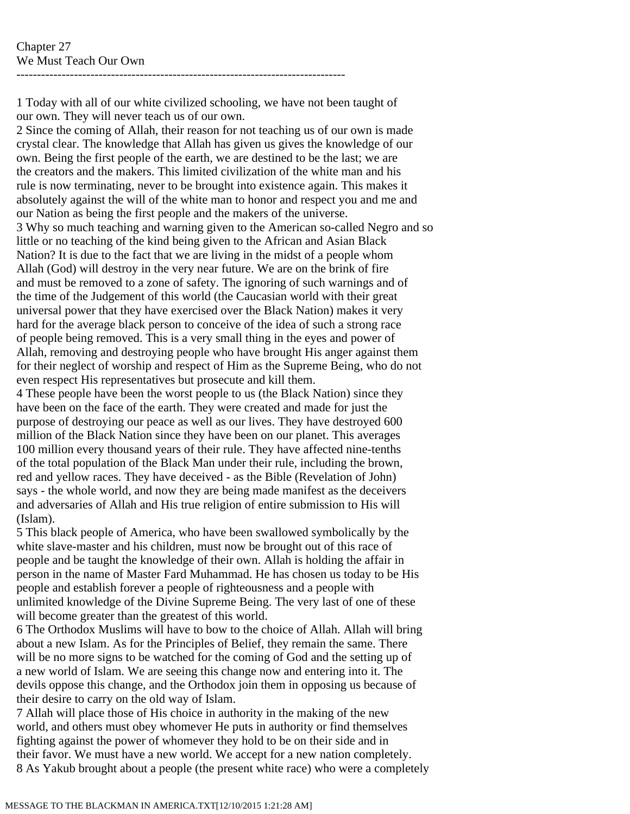1 Today with all of our white civilized schooling, we have not been taught of our own. They will never teach us of our own.

--------------------------------------------------------------------------------

2 Since the coming of Allah, their reason for not teaching us of our own is made crystal clear. The knowledge that Allah has given us gives the knowledge of our own. Being the first people of the earth, we are destined to be the last; we are the creators and the makers. This limited civilization of the white man and his rule is now terminating, never to be brought into existence again. This makes it absolutely against the will of the white man to honor and respect you and me and our Nation as being the first people and the makers of the universe.

3 Why so much teaching and warning given to the American so-called Negro and so little or no teaching of the kind being given to the African and Asian Black Nation? It is due to the fact that we are living in the midst of a people whom Allah (God) will destroy in the very near future. We are on the brink of fire and must be removed to a zone of safety. The ignoring of such warnings and of the time of the Judgement of this world (the Caucasian world with their great universal power that they have exercised over the Black Nation) makes it very hard for the average black person to conceive of the idea of such a strong race of people being removed. This is a very small thing in the eyes and power of Allah, removing and destroying people who have brought His anger against them for their neglect of worship and respect of Him as the Supreme Being, who do not even respect His representatives but prosecute and kill them.

4 These people have been the worst people to us (the Black Nation) since they have been on the face of the earth. They were created and made for just the purpose of destroying our peace as well as our lives. They have destroyed 600 million of the Black Nation since they have been on our planet. This averages 100 million every thousand years of their rule. They have affected nine-tenths of the total population of the Black Man under their rule, including the brown, red and yellow races. They have deceived - as the Bible (Revelation of John) says - the whole world, and now they are being made manifest as the deceivers and adversaries of Allah and His true religion of entire submission to His will (Islam).

5 This black people of America, who have been swallowed symbolically by the white slave-master and his children, must now be brought out of this race of people and be taught the knowledge of their own. Allah is holding the affair in person in the name of Master Fard Muhammad. He has chosen us today to be His people and establish forever a people of righteousness and a people with unlimited knowledge of the Divine Supreme Being. The very last of one of these will become greater than the greatest of this world.

6 The Orthodox Muslims will have to bow to the choice of Allah. Allah will bring about a new Islam. As for the Principles of Belief, they remain the same. There will be no more signs to be watched for the coming of God and the setting up of a new world of Islam. We are seeing this change now and entering into it. The devils oppose this change, and the Orthodox join them in opposing us because of their desire to carry on the old way of Islam.

7 Allah will place those of His choice in authority in the making of the new world, and others must obey whomever He puts in authority or find themselves fighting against the power of whomever they hold to be on their side and in their favor. We must have a new world. We accept for a new nation completely. 8 As Yakub brought about a people (the present white race) who were a completely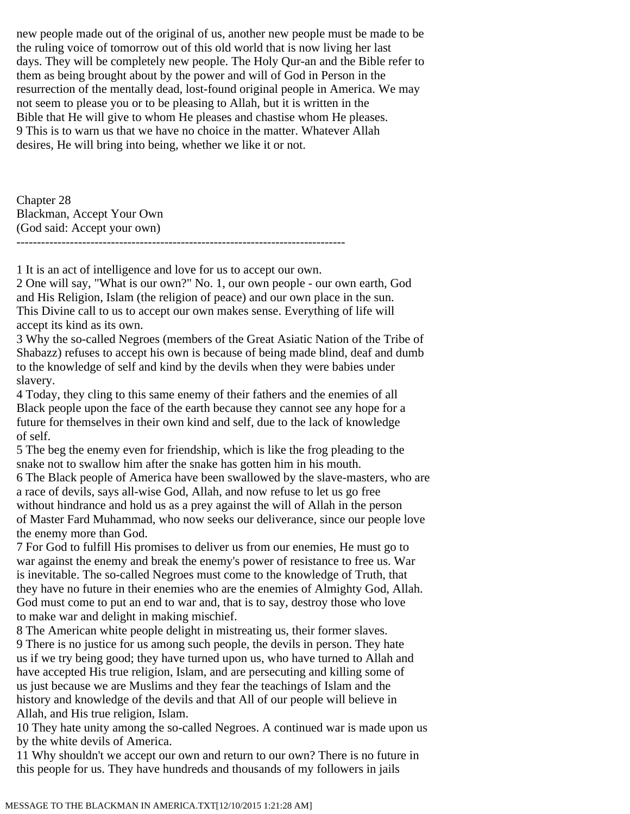new people made out of the original of us, another new people must be made to be the ruling voice of tomorrow out of this old world that is now living her last days. They will be completely new people. The Holy Qur-an and the Bible refer to them as being brought about by the power and will of God in Person in the resurrection of the mentally dead, lost-found original people in America. We may not seem to please you or to be pleasing to Allah, but it is written in the Bible that He will give to whom He pleases and chastise whom He pleases. 9 This is to warn us that we have no choice in the matter. Whatever Allah desires, He will bring into being, whether we like it or not.

Chapter 28 Blackman, Accept Your Own (God said: Accept your own) --------------------------------------------------------------------------------

1 It is an act of intelligence and love for us to accept our own.

2 One will say, "What is our own?" No. 1, our own people - our own earth, God and His Religion, Islam (the religion of peace) and our own place in the sun. This Divine call to us to accept our own makes sense. Everything of life will accept its kind as its own.

3 Why the so-called Negroes (members of the Great Asiatic Nation of the Tribe of Shabazz) refuses to accept his own is because of being made blind, deaf and dumb to the knowledge of self and kind by the devils when they were babies under slavery.

4 Today, they cling to this same enemy of their fathers and the enemies of all Black people upon the face of the earth because they cannot see any hope for a future for themselves in their own kind and self, due to the lack of knowledge of self.

5 The beg the enemy even for friendship, which is like the frog pleading to the snake not to swallow him after the snake has gotten him in his mouth.

6 The Black people of America have been swallowed by the slave-masters, who are a race of devils, says all-wise God, Allah, and now refuse to let us go free without hindrance and hold us as a prey against the will of Allah in the person of Master Fard Muhammad, who now seeks our deliverance, since our people love the enemy more than God.

7 For God to fulfill His promises to deliver us from our enemies, He must go to war against the enemy and break the enemy's power of resistance to free us. War is inevitable. The so-called Negroes must come to the knowledge of Truth, that they have no future in their enemies who are the enemies of Almighty God, Allah. God must come to put an end to war and, that is to say, destroy those who love to make war and delight in making mischief.

8 The American white people delight in mistreating us, their former slaves. 9 There is no justice for us among such people, the devils in person. They hate us if we try being good; they have turned upon us, who have turned to Allah and have accepted His true religion, Islam, and are persecuting and killing some of us just because we are Muslims and they fear the teachings of Islam and the history and knowledge of the devils and that All of our people will believe in Allah, and His true religion, Islam.

10 They hate unity among the so-called Negroes. A continued war is made upon us by the white devils of America.

11 Why shouldn't we accept our own and return to our own? There is no future in this people for us. They have hundreds and thousands of my followers in jails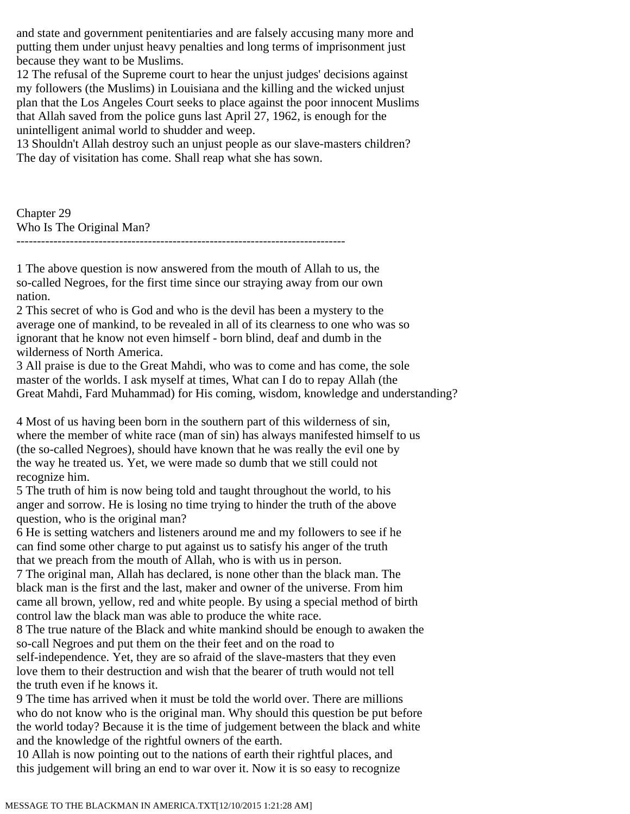and state and government penitentiaries and are falsely accusing many more and putting them under unjust heavy penalties and long terms of imprisonment just because they want to be Muslims.

12 The refusal of the Supreme court to hear the unjust judges' decisions against my followers (the Muslims) in Louisiana and the killing and the wicked unjust plan that the Los Angeles Court seeks to place against the poor innocent Muslims that Allah saved from the police guns last April 27, 1962, is enough for the unintelligent animal world to shudder and weep.

13 Shouldn't Allah destroy such an unjust people as our slave-masters children? The day of visitation has come. Shall reap what she has sown.

Chapter 29 Who Is The Original Man? --------------------------------------------------------------------------------

1 The above question is now answered from the mouth of Allah to us, the so-called Negroes, for the first time since our straying away from our own nation.

2 This secret of who is God and who is the devil has been a mystery to the average one of mankind, to be revealed in all of its clearness to one who was so ignorant that he know not even himself - born blind, deaf and dumb in the wilderness of North America.

3 All praise is due to the Great Mahdi, who was to come and has come, the sole master of the worlds. I ask myself at times, What can I do to repay Allah (the Great Mahdi, Fard Muhammad) for His coming, wisdom, knowledge and understanding?

4 Most of us having been born in the southern part of this wilderness of sin, where the member of white race (man of sin) has always manifested himself to us (the so-called Negroes), should have known that he was really the evil one by the way he treated us. Yet, we were made so dumb that we still could not recognize him.

5 The truth of him is now being told and taught throughout the world, to his anger and sorrow. He is losing no time trying to hinder the truth of the above question, who is the original man?

6 He is setting watchers and listeners around me and my followers to see if he can find some other charge to put against us to satisfy his anger of the truth that we preach from the mouth of Allah, who is with us in person.

7 The original man, Allah has declared, is none other than the black man. The black man is the first and the last, maker and owner of the universe. From him came all brown, yellow, red and white people. By using a special method of birth control law the black man was able to produce the white race.

8 The true nature of the Black and white mankind should be enough to awaken the so-call Negroes and put them on the their feet and on the road to self-independence. Yet, they are so afraid of the slave-masters that they even

love them to their destruction and wish that the bearer of truth would not tell the truth even if he knows it.

9 The time has arrived when it must be told the world over. There are millions who do not know who is the original man. Why should this question be put before the world today? Because it is the time of judgement between the black and white and the knowledge of the rightful owners of the earth.

10 Allah is now pointing out to the nations of earth their rightful places, and this judgement will bring an end to war over it. Now it is so easy to recognize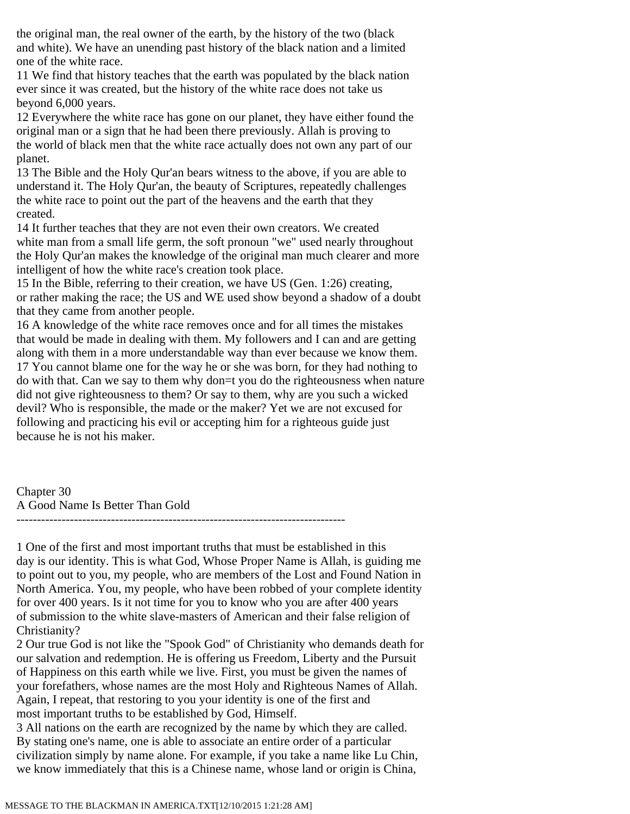the original man, the real owner of the earth, by the history of the two (black and white). We have an unending past history of the black nation and a limited one of the white race.

11 We find that history teaches that the earth was populated by the black nation ever since it was created, but the history of the white race does not take us beyond 6,000 years.

12 Everywhere the white race has gone on our planet, they have either found the original man or a sign that he had been there previously. Allah is proving to the world of black men that the white race actually does not own any part of our planet.

13 The Bible and the Holy Qur'an bears witness to the above, if you are able to understand it. The Holy Qur'an, the beauty of Scriptures, repeatedly challenges the white race to point out the part of the heavens and the earth that they created.

14 It further teaches that they are not even their own creators. We created white man from a small life germ, the soft pronoun "we" used nearly throughout the Holy Qur'an makes the knowledge of the original man much clearer and more intelligent of how the white race's creation took place.

15 In the Bible, referring to their creation, we have US (Gen. 1:26) creating, or rather making the race; the US and WE used show beyond a shadow of a doubt that they came from another people.

16 A knowledge of the white race removes once and for all times the mistakes that would be made in dealing with them. My followers and I can and are getting along with them in a more understandable way than ever because we know them. 17 You cannot blame one for the way he or she was born, for they had nothing to do with that. Can we say to them why don=t you do the righteousness when nature did not give righteousness to them? Or say to them, why are you such a wicked devil? Who is responsible, the made or the maker? Yet we are not excused for following and practicing his evil or accepting him for a righteous guide just because he is not his maker.

Chapter 30 A Good Name Is Better Than Gold

1 One of the first and most important truths that must be established in this day is our identity. This is what God, Whose Proper Name is Allah, is guiding me to point out to you, my people, who are members of the Lost and Found Nation in North America. You, my people, who have been robbed of your complete identity for over 400 years. Is it not time for you to know who you are after 400 years of submission to the white slave-masters of American and their false religion of Christianity?

--------------------------------------------------------------------------------

2 Our true God is not like the "Spook God" of Christianity who demands death for our salvation and redemption. He is offering us Freedom, Liberty and the Pursuit of Happiness on this earth while we live. First, you must be given the names of your forefathers, whose names are the most Holy and Righteous Names of Allah. Again, I repeat, that restoring to you your identity is one of the first and most important truths to be established by God, Himself.

3 All nations on the earth are recognized by the name by which they are called. By stating one's name, one is able to associate an entire order of a particular civilization simply by name alone. For example, if you take a name like Lu Chin, we know immediately that this is a Chinese name, whose land or origin is China,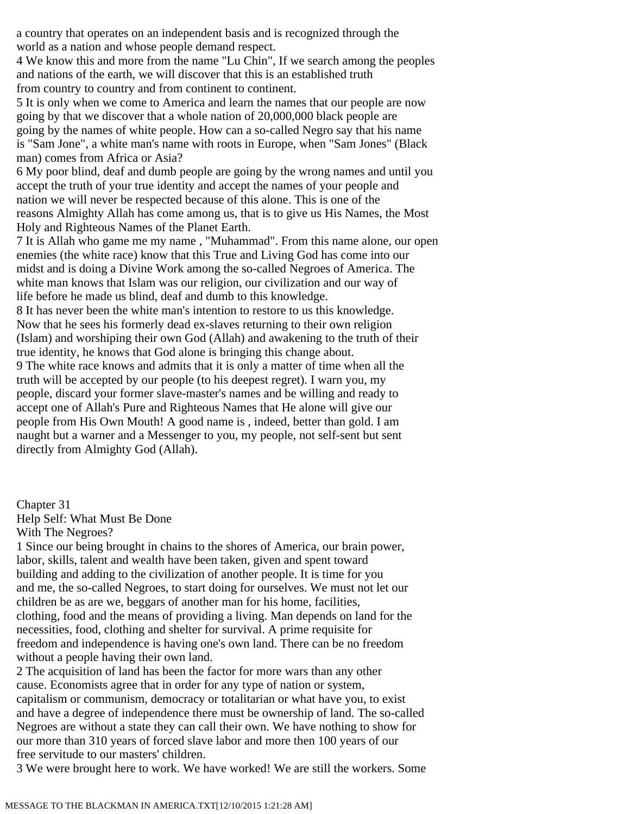a country that operates on an independent basis and is recognized through the world as a nation and whose people demand respect.

4 We know this and more from the name "Lu Chin", If we search among the peoples and nations of the earth, we will discover that this is an established truth from country to country and from continent to continent.

5 It is only when we come to America and learn the names that our people are now going by that we discover that a whole nation of 20,000,000 black people are going by the names of white people. How can a so-called Negro say that his name is "Sam Jone", a white man's name with roots in Europe, when "Sam Jones" (Black man) comes from Africa or Asia?

6 My poor blind, deaf and dumb people are going by the wrong names and until you accept the truth of your true identity and accept the names of your people and nation we will never be respected because of this alone. This is one of the reasons Almighty Allah has come among us, that is to give us His Names, the Most Holy and Righteous Names of the Planet Earth.

7 It is Allah who game me my name , "Muhammad". From this name alone, our open enemies (the white race) know that this True and Living God has come into our midst and is doing a Divine Work among the so-called Negroes of America. The white man knows that Islam was our religion, our civilization and our way of life before he made us blind, deaf and dumb to this knowledge.

8 It has never been the white man's intention to restore to us this knowledge. Now that he sees his formerly dead ex-slaves returning to their own religion (Islam) and worshiping their own God (Allah) and awakening to the truth of their true identity, he knows that God alone is bringing this change about. 9 The white race knows and admits that it is only a matter of time when all the truth will be accepted by our people (to his deepest regret). I warn you, my people, discard your former slave-master's names and be willing and ready to accept one of Allah's Pure and Righteous Names that He alone will give our people from His Own Mouth! A good name is , indeed, better than gold. I am naught but a warner and a Messenger to you, my people, not self-sent but sent directly from Almighty God (Allah).

Chapter 31

Help Self: What Must Be Done With The Negroes?

1 Since our being brought in chains to the shores of America, our brain power, labor, skills, talent and wealth have been taken, given and spent toward building and adding to the civilization of another people. It is time for you and me, the so-called Negroes, to start doing for ourselves. We must not let our children be as are we, beggars of another man for his home, facilities, clothing, food and the means of providing a living. Man depends on land for the necessities, food, clothing and shelter for survival. A prime requisite for freedom and independence is having one's own land. There can be no freedom without a people having their own land.

2 The acquisition of land has been the factor for more wars than any other cause. Economists agree that in order for any type of nation or system, capitalism or communism, democracy or totalitarian or what have you, to exist and have a degree of independence there must be ownership of land. The so-called Negroes are without a state they can call their own. We have nothing to show for our more than 310 years of forced slave labor and more then 100 years of our free servitude to our masters' children.

3 We were brought here to work. We have worked! We are still the workers. Some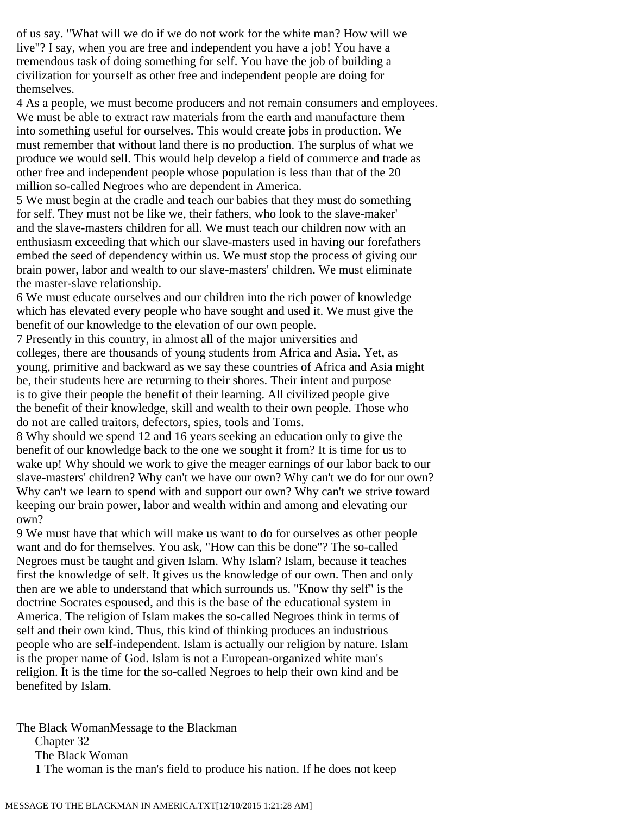of us say. "What will we do if we do not work for the white man? How will we live"? I say, when you are free and independent you have a job! You have a tremendous task of doing something for self. You have the job of building a civilization for yourself as other free and independent people are doing for themselves.

4 As a people, we must become producers and not remain consumers and employees. We must be able to extract raw materials from the earth and manufacture them into something useful for ourselves. This would create jobs in production. We must remember that without land there is no production. The surplus of what we produce we would sell. This would help develop a field of commerce and trade as other free and independent people whose population is less than that of the 20 million so-called Negroes who are dependent in America.

5 We must begin at the cradle and teach our babies that they must do something for self. They must not be like we, their fathers, who look to the slave-maker' and the slave-masters children for all. We must teach our children now with an enthusiasm exceeding that which our slave-masters used in having our forefathers embed the seed of dependency within us. We must stop the process of giving our brain power, labor and wealth to our slave-masters' children. We must eliminate the master-slave relationship.

6 We must educate ourselves and our children into the rich power of knowledge which has elevated every people who have sought and used it. We must give the benefit of our knowledge to the elevation of our own people.

7 Presently in this country, in almost all of the major universities and colleges, there are thousands of young students from Africa and Asia. Yet, as young, primitive and backward as we say these countries of Africa and Asia might be, their students here are returning to their shores. Their intent and purpose is to give their people the benefit of their learning. All civilized people give the benefit of their knowledge, skill and wealth to their own people. Those who do not are called traitors, defectors, spies, tools and Toms.

8 Why should we spend 12 and 16 years seeking an education only to give the benefit of our knowledge back to the one we sought it from? It is time for us to wake up! Why should we work to give the meager earnings of our labor back to our slave-masters' children? Why can't we have our own? Why can't we do for our own? Why can't we learn to spend with and support our own? Why can't we strive toward keeping our brain power, labor and wealth within and among and elevating our own?

9 We must have that which will make us want to do for ourselves as other people want and do for themselves. You ask, "How can this be done"? The so-called Negroes must be taught and given Islam. Why Islam? Islam, because it teaches first the knowledge of self. It gives us the knowledge of our own. Then and only then are we able to understand that which surrounds us. "Know thy self" is the doctrine Socrates espoused, and this is the base of the educational system in America. The religion of Islam makes the so-called Negroes think in terms of self and their own kind. Thus, this kind of thinking produces an industrious people who are self-independent. Islam is actually our religion by nature. Islam is the proper name of God. Islam is not a European-organized white man's religion. It is the time for the so-called Negroes to help their own kind and be benefited by Islam.

The Black WomanMessage to the Blackman

Chapter 32

The Black Woman

1 The woman is the man's field to produce his nation. If he does not keep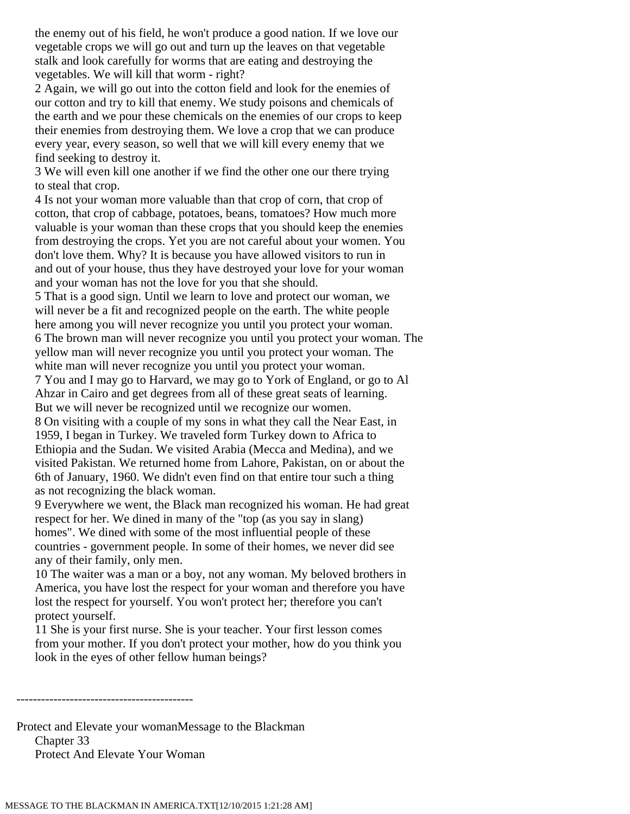the enemy out of his field, he won't produce a good nation. If we love our vegetable crops we will go out and turn up the leaves on that vegetable stalk and look carefully for worms that are eating and destroying the vegetables. We will kill that worm - right?

 2 Again, we will go out into the cotton field and look for the enemies of our cotton and try to kill that enemy. We study poisons and chemicals of the earth and we pour these chemicals on the enemies of our crops to keep their enemies from destroying them. We love a crop that we can produce every year, every season, so well that we will kill every enemy that we find seeking to destroy it.

 3 We will even kill one another if we find the other one our there trying to steal that crop.

 4 Is not your woman more valuable than that crop of corn, that crop of cotton, that crop of cabbage, potatoes, beans, tomatoes? How much more valuable is your woman than these crops that you should keep the enemies from destroying the crops. Yet you are not careful about your women. You don't love them. Why? It is because you have allowed visitors to run in and out of your house, thus they have destroyed your love for your woman and your woman has not the love for you that she should.

 5 That is a good sign. Until we learn to love and protect our woman, we will never be a fit and recognized people on the earth. The white people here among you will never recognize you until you protect your woman. 6 The brown man will never recognize you until you protect your woman. The yellow man will never recognize you until you protect your woman. The white man will never recognize you until you protect your woman.

 7 You and I may go to Harvard, we may go to York of England, or go to Al Ahzar in Cairo and get degrees from all of these great seats of learning. But we will never be recognized until we recognize our women. 8 On visiting with a couple of my sons in what they call the Near East, in 1959, I began in Turkey. We traveled form Turkey down to Africa to Ethiopia and the Sudan. We visited Arabia (Mecca and Medina), and we visited Pakistan. We returned home from Lahore, Pakistan, on or about the 6th of January, 1960. We didn't even find on that entire tour such a thing as not recognizing the black woman.

 9 Everywhere we went, the Black man recognized his woman. He had great respect for her. We dined in many of the "top (as you say in slang) homes". We dined with some of the most influential people of these countries - government people. In some of their homes, we never did see any of their family, only men.

 10 The waiter was a man or a boy, not any woman. My beloved brothers in America, you have lost the respect for your woman and therefore you have lost the respect for yourself. You won't protect her; therefore you can't protect yourself.

 11 She is your first nurse. She is your teacher. Your first lesson comes from your mother. If you don't protect your mother, how do you think you look in the eyes of other fellow human beings?

-------------------------------------------

Protect and Elevate your womanMessage to the Blackman Chapter 33 Protect And Elevate Your Woman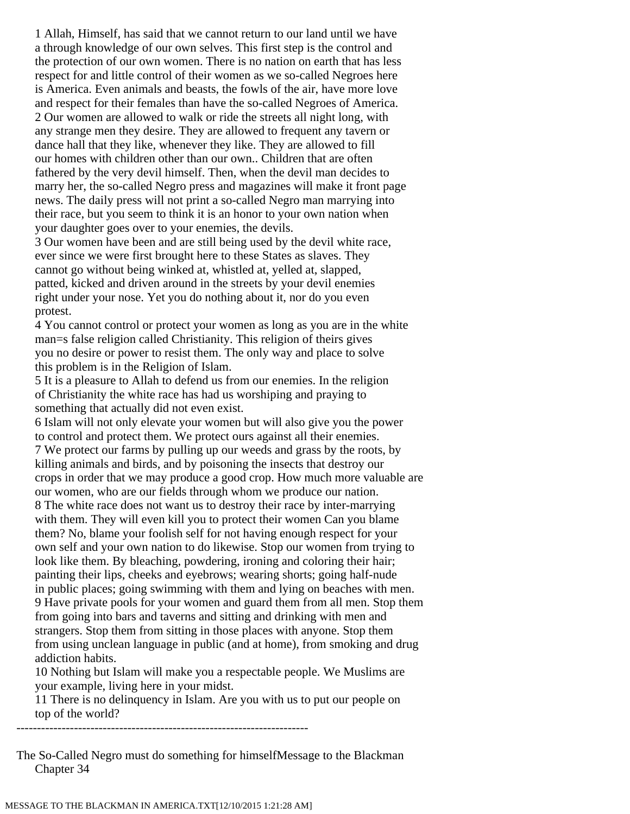1 Allah, Himself, has said that we cannot return to our land until we have a through knowledge of our own selves. This first step is the control and the protection of our own women. There is no nation on earth that has less respect for and little control of their women as we so-called Negroes here is America. Even animals and beasts, the fowls of the air, have more love and respect for their females than have the so-called Negroes of America. 2 Our women are allowed to walk or ride the streets all night long, with any strange men they desire. They are allowed to frequent any tavern or dance hall that they like, whenever they like. They are allowed to fill our homes with children other than our own.. Children that are often fathered by the very devil himself. Then, when the devil man decides to marry her, the so-called Negro press and magazines will make it front page news. The daily press will not print a so-called Negro man marrying into their race, but you seem to think it is an honor to your own nation when your daughter goes over to your enemies, the devils.

 3 Our women have been and are still being used by the devil white race, ever since we were first brought here to these States as slaves. They cannot go without being winked at, whistled at, yelled at, slapped, patted, kicked and driven around in the streets by your devil enemies right under your nose. Yet you do nothing about it, nor do you even protest.

 4 You cannot control or protect your women as long as you are in the white man=s false religion called Christianity. This religion of theirs gives you no desire or power to resist them. The only way and place to solve this problem is in the Religion of Islam.

 5 It is a pleasure to Allah to defend us from our enemies. In the religion of Christianity the white race has had us worshiping and praying to something that actually did not even exist.

 6 Islam will not only elevate your women but will also give you the power to control and protect them. We protect ours against all their enemies. 7 We protect our farms by pulling up our weeds and grass by the roots, by killing animals and birds, and by poisoning the insects that destroy our crops in order that we may produce a good crop. How much more valuable are our women, who are our fields through whom we produce our nation. 8 The white race does not want us to destroy their race by inter-marrying with them. They will even kill you to protect their women Can you blame them? No, blame your foolish self for not having enough respect for your own self and your own nation to do likewise. Stop our women from trying to look like them. By bleaching, powdering, ironing and coloring their hair; painting their lips, cheeks and eyebrows; wearing shorts; going half-nude in public places; going swimming with them and lying on beaches with men. 9 Have private pools for your women and guard them from all men. Stop them from going into bars and taverns and sitting and drinking with men and strangers. Stop them from sitting in those places with anyone. Stop them from using unclean language in public (and at home), from smoking and drug addiction habits.

 10 Nothing but Islam will make you a respectable people. We Muslims are your example, living here in your midst.

 11 There is no delinquency in Islam. Are you with us to put our people on top of the world?

The So-Called Negro must do something for himselfMessage to the Blackman Chapter 34

-----------------------------------------------------------------------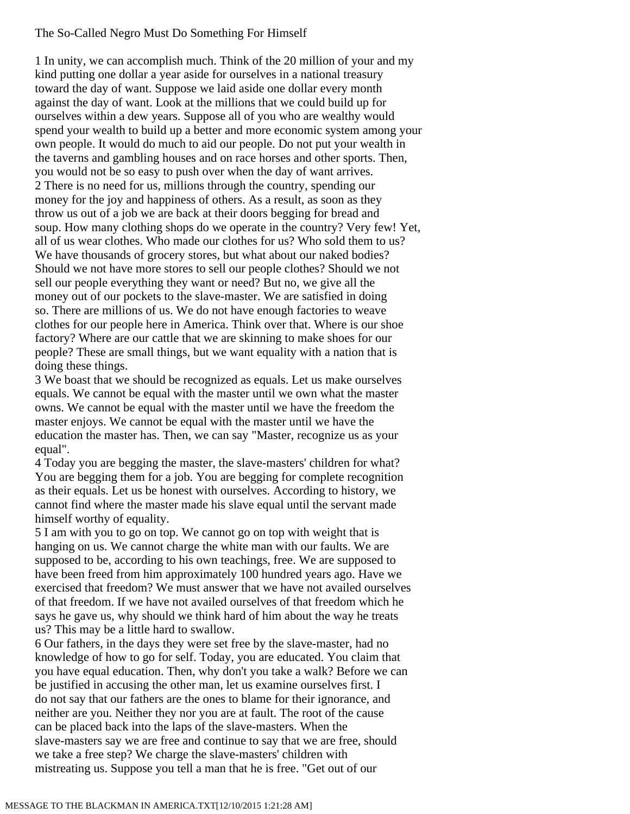#### The So-Called Negro Must Do Something For Himself

 1 In unity, we can accomplish much. Think of the 20 million of your and my kind putting one dollar a year aside for ourselves in a national treasury toward the day of want. Suppose we laid aside one dollar every month against the day of want. Look at the millions that we could build up for ourselves within a dew years. Suppose all of you who are wealthy would spend your wealth to build up a better and more economic system among your own people. It would do much to aid our people. Do not put your wealth in the taverns and gambling houses and on race horses and other sports. Then, you would not be so easy to push over when the day of want arrives. 2 There is no need for us, millions through the country, spending our money for the joy and happiness of others. As a result, as soon as they throw us out of a job we are back at their doors begging for bread and soup. How many clothing shops do we operate in the country? Very few! Yet, all of us wear clothes. Who made our clothes for us? Who sold them to us? We have thousands of grocery stores, but what about our naked bodies? Should we not have more stores to sell our people clothes? Should we not sell our people everything they want or need? But no, we give all the money out of our pockets to the slave-master. We are satisfied in doing so. There are millions of us. We do not have enough factories to weave clothes for our people here in America. Think over that. Where is our shoe factory? Where are our cattle that we are skinning to make shoes for our people? These are small things, but we want equality with a nation that is doing these things.

 3 We boast that we should be recognized as equals. Let us make ourselves equals. We cannot be equal with the master until we own what the master owns. We cannot be equal with the master until we have the freedom the master enjoys. We cannot be equal with the master until we have the education the master has. Then, we can say "Master, recognize us as your equal".

 4 Today you are begging the master, the slave-masters' children for what? You are begging them for a job. You are begging for complete recognition as their equals. Let us be honest with ourselves. According to history, we cannot find where the master made his slave equal until the servant made himself worthy of equality.

 5 I am with you to go on top. We cannot go on top with weight that is hanging on us. We cannot charge the white man with our faults. We are supposed to be, according to his own teachings, free. We are supposed to have been freed from him approximately 100 hundred years ago. Have we exercised that freedom? We must answer that we have not availed ourselves of that freedom. If we have not availed ourselves of that freedom which he says he gave us, why should we think hard of him about the way he treats us? This may be a little hard to swallow.

 6 Our fathers, in the days they were set free by the slave-master, had no knowledge of how to go for self. Today, you are educated. You claim that you have equal education. Then, why don't you take a walk? Before we can be justified in accusing the other man, let us examine ourselves first. I do not say that our fathers are the ones to blame for their ignorance, and neither are you. Neither they nor you are at fault. The root of the cause can be placed back into the laps of the slave-masters. When the slave-masters say we are free and continue to say that we are free, should we take a free step? We charge the slave-masters' children with mistreating us. Suppose you tell a man that he is free. "Get out of our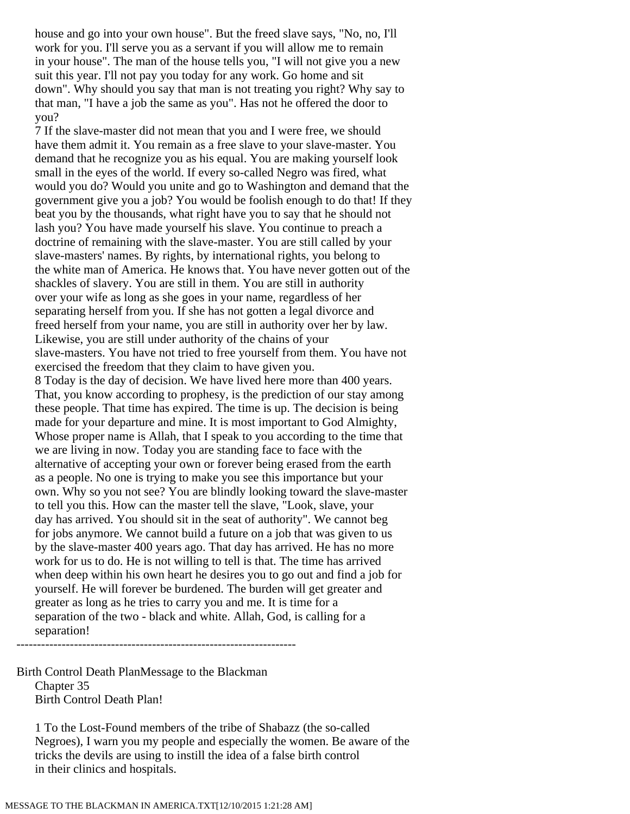house and go into your own house". But the freed slave says, "No, no, I'll work for you. I'll serve you as a servant if you will allow me to remain in your house". The man of the house tells you, "I will not give you a new suit this year. I'll not pay you today for any work. Go home and sit down". Why should you say that man is not treating you right? Why say to that man, "I have a job the same as you". Has not he offered the door to you?

 7 If the slave-master did not mean that you and I were free, we should have them admit it. You remain as a free slave to your slave-master. You demand that he recognize you as his equal. You are making yourself look small in the eyes of the world. If every so-called Negro was fired, what would you do? Would you unite and go to Washington and demand that the government give you a job? You would be foolish enough to do that! If they beat you by the thousands, what right have you to say that he should not lash you? You have made yourself his slave. You continue to preach a doctrine of remaining with the slave-master. You are still called by your slave-masters' names. By rights, by international rights, you belong to the white man of America. He knows that. You have never gotten out of the shackles of slavery. You are still in them. You are still in authority over your wife as long as she goes in your name, regardless of her separating herself from you. If she has not gotten a legal divorce and freed herself from your name, you are still in authority over her by law. Likewise, you are still under authority of the chains of your slave-masters. You have not tried to free yourself from them. You have not exercised the freedom that they claim to have given you. 8 Today is the day of decision. We have lived here more than 400 years. That, you know according to prophesy, is the prediction of our stay among these people. That time has expired. The time is up. The decision is being made for your departure and mine. It is most important to God Almighty, Whose proper name is Allah, that I speak to you according to the time that we are living in now. Today you are standing face to face with the alternative of accepting your own or forever being erased from the earth as a people. No one is trying to make you see this importance but your own. Why so you not see? You are blindly looking toward the slave-master to tell you this. How can the master tell the slave, "Look, slave, your day has arrived. You should sit in the seat of authority". We cannot beg for jobs anymore. We cannot build a future on a job that was given to us by the slave-master 400 years ago. That day has arrived. He has no more work for us to do. He is not willing to tell is that. The time has arrived when deep within his own heart he desires you to go out and find a job for yourself. He will forever be burdened. The burden will get greater and greater as long as he tries to carry you and me. It is time for a separation of the two - black and white. Allah, God, is calling for a separation!

--------------------------------------------------------------------

Birth Control Death PlanMessage to the Blackman Chapter 35 Birth Control Death Plan!

 1 To the Lost-Found members of the tribe of Shabazz (the so-called Negroes), I warn you my people and especially the women. Be aware of the tricks the devils are using to instill the idea of a false birth control in their clinics and hospitals.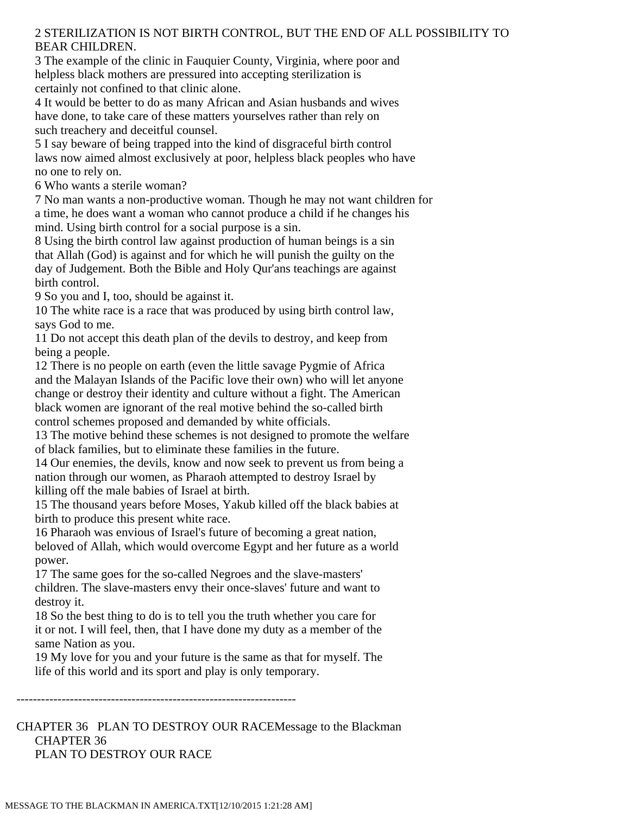### 2 STERILIZATION IS NOT BIRTH CONTROL, BUT THE END OF ALL POSSIBILITY TO BEAR CHILDREN.

 3 The example of the clinic in Fauquier County, Virginia, where poor and helpless black mothers are pressured into accepting sterilization is certainly not confined to that clinic alone.

 4 It would be better to do as many African and Asian husbands and wives have done, to take care of these matters yourselves rather than rely on such treachery and deceitful counsel.

 5 I say beware of being trapped into the kind of disgraceful birth control laws now aimed almost exclusively at poor, helpless black peoples who have no one to rely on.

6 Who wants a sterile woman?

 7 No man wants a non-productive woman. Though he may not want children for a time, he does want a woman who cannot produce a child if he changes his mind. Using birth control for a social purpose is a sin.

 8 Using the birth control law against production of human beings is a sin that Allah (God) is against and for which he will punish the guilty on the day of Judgement. Both the Bible and Holy Qur'ans teachings are against birth control.

9 So you and I, too, should be against it.

 10 The white race is a race that was produced by using birth control law, says God to me.

 11 Do not accept this death plan of the devils to destroy, and keep from being a people.

 12 There is no people on earth (even the little savage Pygmie of Africa and the Malayan Islands of the Pacific love their own) who will let anyone change or destroy their identity and culture without a fight. The American black women are ignorant of the real motive behind the so-called birth control schemes proposed and demanded by white officials.

 13 The motive behind these schemes is not designed to promote the welfare of black families, but to eliminate these families in the future.

 14 Our enemies, the devils, know and now seek to prevent us from being a nation through our women, as Pharaoh attempted to destroy Israel by killing off the male babies of Israel at birth.

 15 The thousand years before Moses, Yakub killed off the black babies at birth to produce this present white race.

 16 Pharaoh was envious of Israel's future of becoming a great nation, beloved of Allah, which would overcome Egypt and her future as a world power.

 17 The same goes for the so-called Negroes and the slave-masters' children. The slave-masters envy their once-slaves' future and want to destroy it.

 18 So the best thing to do is to tell you the truth whether you care for it or not. I will feel, then, that I have done my duty as a member of the same Nation as you.

 19 My love for you and your future is the same as that for myself. The life of this world and its sport and play is only temporary.

--------------------------------------------------------------------

CHAPTER 36 PLAN TO DESTROY OUR RACEMessage to the Blackman CHAPTER 36 PLAN TO DESTROY OUR RACE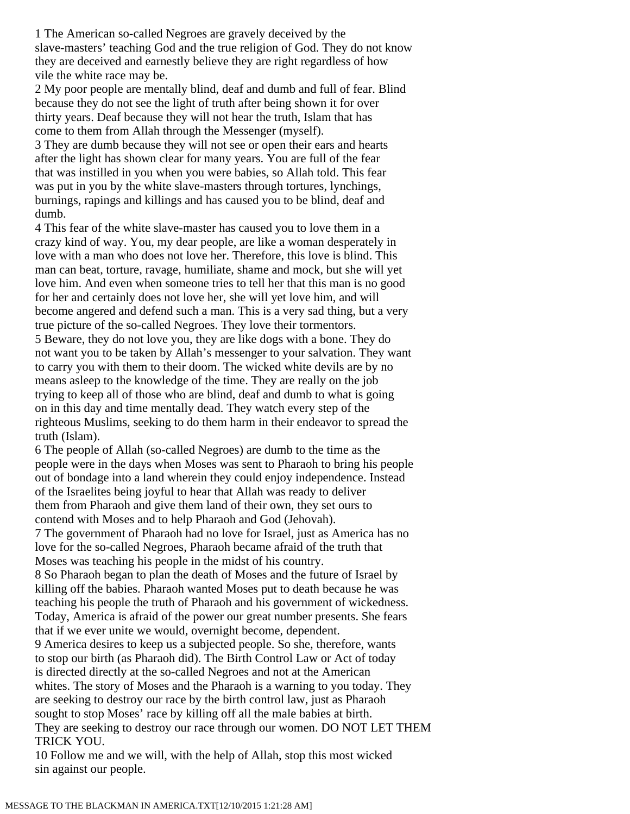1 The American so-called Negroes are gravely deceived by the slave-masters' teaching God and the true religion of God. They do not know they are deceived and earnestly believe they are right regardless of how vile the white race may be.

 2 My poor people are mentally blind, deaf and dumb and full of fear. Blind because they do not see the light of truth after being shown it for over thirty years. Deaf because they will not hear the truth, Islam that has come to them from Allah through the Messenger (myself).

 3 They are dumb because they will not see or open their ears and hearts after the light has shown clear for many years. You are full of the fear that was instilled in you when you were babies, so Allah told. This fear was put in you by the white slave-masters through tortures, lynchings, burnings, rapings and killings and has caused you to be blind, deaf and dumb.

 4 This fear of the white slave-master has caused you to love them in a crazy kind of way. You, my dear people, are like a woman desperately in love with a man who does not love her. Therefore, this love is blind. This man can beat, torture, ravage, humiliate, shame and mock, but she will yet love him. And even when someone tries to tell her that this man is no good for her and certainly does not love her, she will yet love him, and will become angered and defend such a man. This is a very sad thing, but a very true picture of the so-called Negroes. They love their tormentors. 5 Beware, they do not love you, they are like dogs with a bone. They do not want you to be taken by Allah's messenger to your salvation. They want to carry you with them to their doom. The wicked white devils are by no means asleep to the knowledge of the time. They are really on the job trying to keep all of those who are blind, deaf and dumb to what is going on in this day and time mentally dead. They watch every step of the righteous Muslims, seeking to do them harm in their endeavor to spread the truth (Islam).

 6 The people of Allah (so-called Negroes) are dumb to the time as the people were in the days when Moses was sent to Pharaoh to bring his people out of bondage into a land wherein they could enjoy independence. Instead of the Israelites being joyful to hear that Allah was ready to deliver them from Pharaoh and give them land of their own, they set ours to contend with Moses and to help Pharaoh and God (Jehovah).

 7 The government of Pharaoh had no love for Israel, just as America has no love for the so-called Negroes, Pharaoh became afraid of the truth that Moses was teaching his people in the midst of his country.

 8 So Pharaoh began to plan the death of Moses and the future of Israel by killing off the babies. Pharaoh wanted Moses put to death because he was teaching his people the truth of Pharaoh and his government of wickedness. Today, America is afraid of the power our great number presents. She fears that if we ever unite we would, overnight become, dependent.

 9 America desires to keep us a subjected people. So she, therefore, wants to stop our birth (as Pharaoh did). The Birth Control Law or Act of today is directed directly at the so-called Negroes and not at the American whites. The story of Moses and the Pharaoh is a warning to you today. They are seeking to destroy our race by the birth control law, just as Pharaoh sought to stop Moses' race by killing off all the male babies at birth. They are seeking to destroy our race through our women. DO NOT LET THEM TRICK YOU.

 10 Follow me and we will, with the help of Allah, stop this most wicked sin against our people.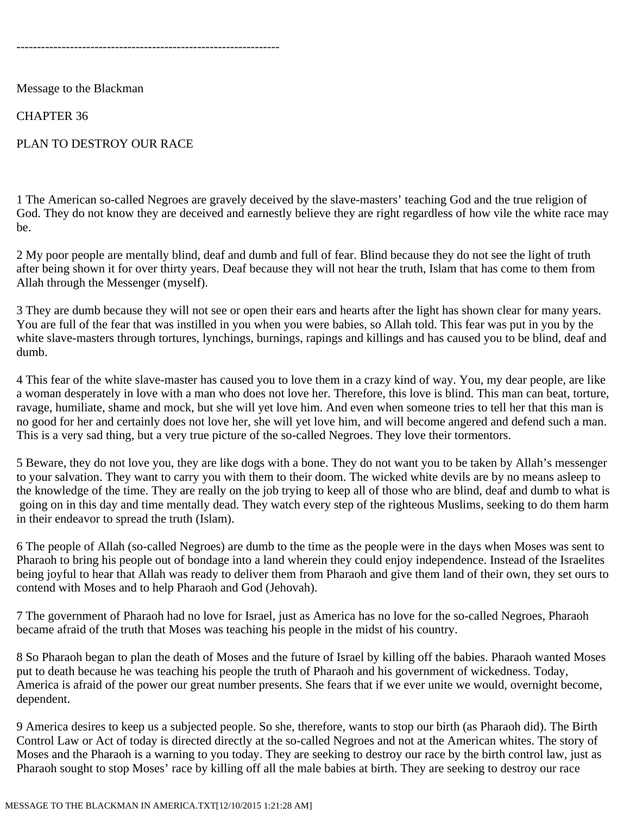----------------------------------------------------------------

Message to the Blackman

CHAPTER 36

# PLAN TO DESTROY OUR RACE

1 The American so-called Negroes are gravely deceived by the slave-masters' teaching God and the true religion of God. They do not know they are deceived and earnestly believe they are right regardless of how vile the white race may be.

2 My poor people are mentally blind, deaf and dumb and full of fear. Blind because they do not see the light of truth after being shown it for over thirty years. Deaf because they will not hear the truth, Islam that has come to them from Allah through the Messenger (myself).

3 They are dumb because they will not see or open their ears and hearts after the light has shown clear for many years. You are full of the fear that was instilled in you when you were babies, so Allah told. This fear was put in you by the white slave-masters through tortures, lynchings, burnings, rapings and killings and has caused you to be blind, deaf and dumb.

4 This fear of the white slave-master has caused you to love them in a crazy kind of way. You, my dear people, are like a woman desperately in love with a man who does not love her. Therefore, this love is blind. This man can beat, torture, ravage, humiliate, shame and mock, but she will yet love him. And even when someone tries to tell her that this man is no good for her and certainly does not love her, she will yet love him, and will become angered and defend such a man. This is a very sad thing, but a very true picture of the so-called Negroes. They love their tormentors.

5 Beware, they do not love you, they are like dogs with a bone. They do not want you to be taken by Allah's messenger to your salvation. They want to carry you with them to their doom. The wicked white devils are by no means asleep to the knowledge of the time. They are really on the job trying to keep all of those who are blind, deaf and dumb to what is going on in this day and time mentally dead. They watch every step of the righteous Muslims, seeking to do them harm in their endeavor to spread the truth (Islam).

6 The people of Allah (so-called Negroes) are dumb to the time as the people were in the days when Moses was sent to Pharaoh to bring his people out of bondage into a land wherein they could enjoy independence. Instead of the Israelites being joyful to hear that Allah was ready to deliver them from Pharaoh and give them land of their own, they set ours to contend with Moses and to help Pharaoh and God (Jehovah).

7 The government of Pharaoh had no love for Israel, just as America has no love for the so-called Negroes, Pharaoh became afraid of the truth that Moses was teaching his people in the midst of his country.

8 So Pharaoh began to plan the death of Moses and the future of Israel by killing off the babies. Pharaoh wanted Moses put to death because he was teaching his people the truth of Pharaoh and his government of wickedness. Today, America is afraid of the power our great number presents. She fears that if we ever unite we would, overnight become, dependent.

9 America desires to keep us a subjected people. So she, therefore, wants to stop our birth (as Pharaoh did). The Birth Control Law or Act of today is directed directly at the so-called Negroes and not at the American whites. The story of Moses and the Pharaoh is a warning to you today. They are seeking to destroy our race by the birth control law, just as Pharaoh sought to stop Moses' race by killing off all the male babies at birth. They are seeking to destroy our race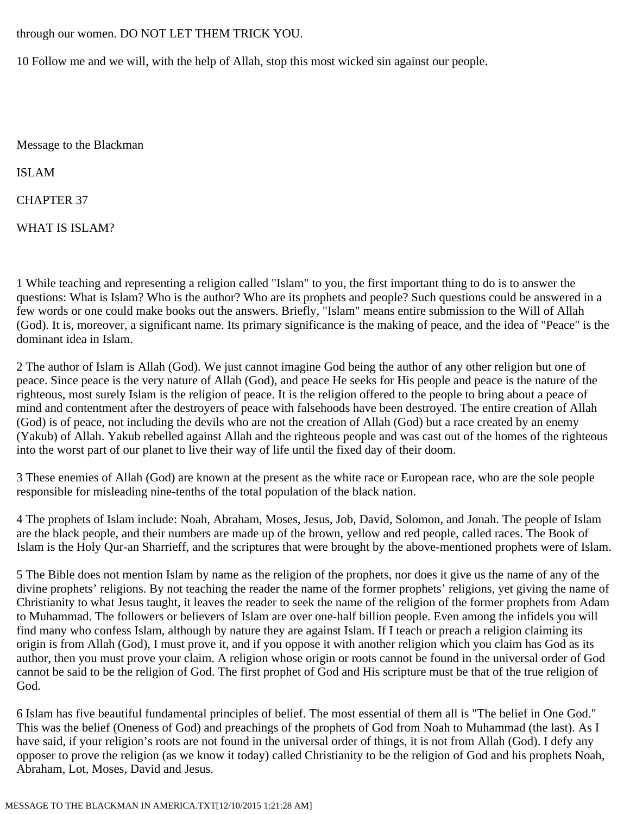through our women. DO NOT LET THEM TRICK YOU.

10 Follow me and we will, with the help of Allah, stop this most wicked sin against our people.

Message to the Blackman

ISLAM

CHAPTER 37

WHAT IS ISLAM?

1 While teaching and representing a religion called "Islam" to you, the first important thing to do is to answer the questions: What is Islam? Who is the author? Who are its prophets and people? Such questions could be answered in a few words or one could make books out the answers. Briefly, "Islam" means entire submission to the Will of Allah (God). It is, moreover, a significant name. Its primary significance is the making of peace, and the idea of "Peace" is the dominant idea in Islam.

2 The author of Islam is Allah (God). We just cannot imagine God being the author of any other religion but one of peace. Since peace is the very nature of Allah (God), and peace He seeks for His people and peace is the nature of the righteous, most surely Islam is the religion of peace. It is the religion offered to the people to bring about a peace of mind and contentment after the destroyers of peace with falsehoods have been destroyed. The entire creation of Allah (God) is of peace, not including the devils who are not the creation of Allah (God) but a race created by an enemy (Yakub) of Allah. Yakub rebelled against Allah and the righteous people and was cast out of the homes of the righteous into the worst part of our planet to live their way of life until the fixed day of their doom.

3 These enemies of Allah (God) are known at the present as the white race or European race, who are the sole people responsible for misleading nine-tenths of the total population of the black nation.

4 The prophets of Islam include: Noah, Abraham, Moses, Jesus, Job, David, Solomon, and Jonah. The people of Islam are the black people, and their numbers are made up of the brown, yellow and red people, called races. The Book of Islam is the Holy Qur-an Sharrieff, and the scriptures that were brought by the above-mentioned prophets were of Islam.

5 The Bible does not mention Islam by name as the religion of the prophets, nor does it give us the name of any of the divine prophets' religions. By not teaching the reader the name of the former prophets' religions, yet giving the name of Christianity to what Jesus taught, it leaves the reader to seek the name of the religion of the former prophets from Adam to Muhammad. The followers or believers of Islam are over one-half billion people. Even among the infidels you will find many who confess Islam, although by nature they are against Islam. If I teach or preach a religion claiming its origin is from Allah (God), I must prove it, and if you oppose it with another religion which you claim has God as its author, then you must prove your claim. A religion whose origin or roots cannot be found in the universal order of God cannot be said to be the religion of God. The first prophet of God and His scripture must be that of the true religion of God.

6 Islam has five beautiful fundamental principles of belief. The most essential of them all is "The belief in One God." This was the belief (Oneness of God) and preachings of the prophets of God from Noah to Muhammad (the last). As I have said, if your religion's roots are not found in the universal order of things, it is not from Allah (God). I defy any opposer to prove the religion (as we know it today) called Christianity to be the religion of God and his prophets Noah, Abraham, Lot, Moses, David and Jesus.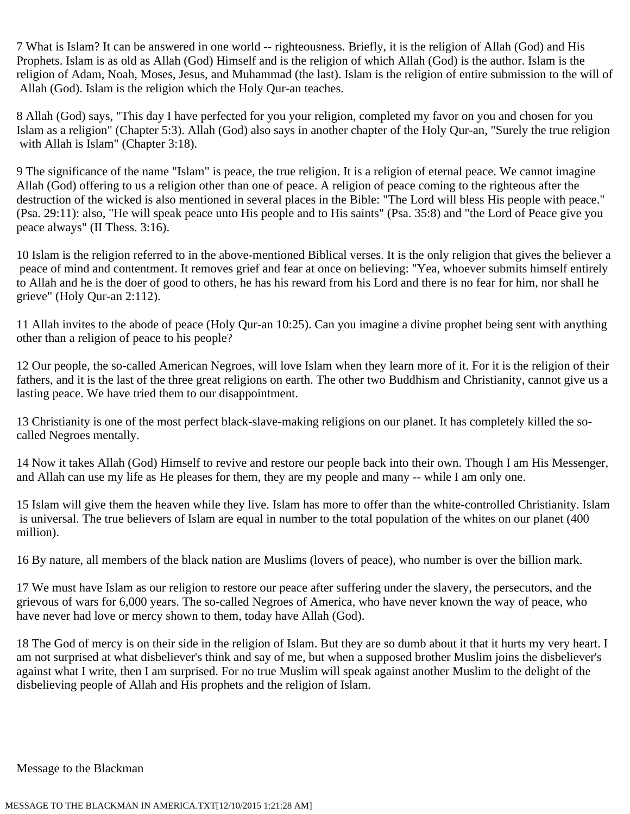7 What is Islam? It can be answered in one world -- righteousness. Briefly, it is the religion of Allah (God) and His Prophets. Islam is as old as Allah (God) Himself and is the religion of which Allah (God) is the author. Islam is the religion of Adam, Noah, Moses, Jesus, and Muhammad (the last). Islam is the religion of entire submission to the will of Allah (God). Islam is the religion which the Holy Qur-an teaches.

8 Allah (God) says, "This day I have perfected for you your religion, completed my favor on you and chosen for you Islam as a religion" (Chapter 5:3). Allah (God) also says in another chapter of the Holy Qur-an, "Surely the true religion with Allah is Islam" (Chapter 3:18).

9 The significance of the name "Islam" is peace, the true religion. It is a religion of eternal peace. We cannot imagine Allah (God) offering to us a religion other than one of peace. A religion of peace coming to the righteous after the destruction of the wicked is also mentioned in several places in the Bible: "The Lord will bless His people with peace." (Psa. 29:11): also, "He will speak peace unto His people and to His saints" (Psa. 35:8) and "the Lord of Peace give you peace always" (II Thess. 3:16).

10 Islam is the religion referred to in the above-mentioned Biblical verses. It is the only religion that gives the believer a peace of mind and contentment. It removes grief and fear at once on believing: "Yea, whoever submits himself entirely to Allah and he is the doer of good to others, he has his reward from his Lord and there is no fear for him, nor shall he grieve" (Holy Qur-an 2:112).

11 Allah invites to the abode of peace (Holy Qur-an 10:25). Can you imagine a divine prophet being sent with anything other than a religion of peace to his people?

12 Our people, the so-called American Negroes, will love Islam when they learn more of it. For it is the religion of their fathers, and it is the last of the three great religions on earth. The other two Buddhism and Christianity, cannot give us a lasting peace. We have tried them to our disappointment.

13 Christianity is one of the most perfect black-slave-making religions on our planet. It has completely killed the socalled Negroes mentally.

14 Now it takes Allah (God) Himself to revive and restore our people back into their own. Though I am His Messenger, and Allah can use my life as He pleases for them, they are my people and many -- while I am only one.

15 Islam will give them the heaven while they live. Islam has more to offer than the white-controlled Christianity. Islam is universal. The true believers of Islam are equal in number to the total population of the whites on our planet (400 million).

16 By nature, all members of the black nation are Muslims (lovers of peace), who number is over the billion mark.

17 We must have Islam as our religion to restore our peace after suffering under the slavery, the persecutors, and the grievous of wars for 6,000 years. The so-called Negroes of America, who have never known the way of peace, who have never had love or mercy shown to them, today have Allah (God).

18 The God of mercy is on their side in the religion of Islam. But they are so dumb about it that it hurts my very heart. I am not surprised at what disbeliever's think and say of me, but when a supposed brother Muslim joins the disbeliever's against what I write, then I am surprised. For no true Muslim will speak against another Muslim to the delight of the disbelieving people of Allah and His prophets and the religion of Islam.

Message to the Blackman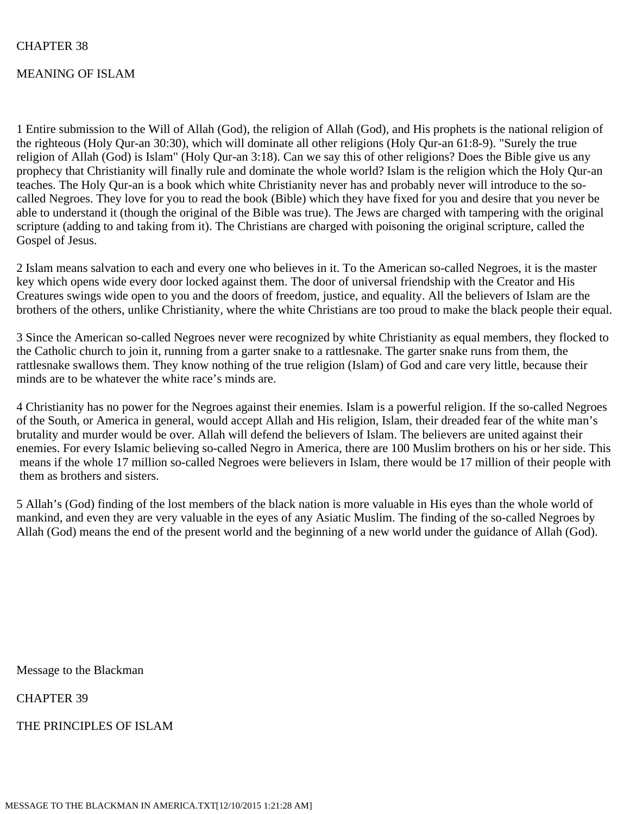### CHAPTER 38

# MEANING OF ISLAM

1 Entire submission to the Will of Allah (God), the religion of Allah (God), and His prophets is the national religion of the righteous (Holy Qur-an 30:30), which will dominate all other religions (Holy Qur-an 61:8-9). "Surely the true religion of Allah (God) is Islam" (Holy Qur-an 3:18). Can we say this of other religions? Does the Bible give us any prophecy that Christianity will finally rule and dominate the whole world? Islam is the religion which the Holy Qur-an teaches. The Holy Qur-an is a book which white Christianity never has and probably never will introduce to the socalled Negroes. They love for you to read the book (Bible) which they have fixed for you and desire that you never be able to understand it (though the original of the Bible was true). The Jews are charged with tampering with the original scripture (adding to and taking from it). The Christians are charged with poisoning the original scripture, called the Gospel of Jesus.

2 Islam means salvation to each and every one who believes in it. To the American so-called Negroes, it is the master key which opens wide every door locked against them. The door of universal friendship with the Creator and His Creatures swings wide open to you and the doors of freedom, justice, and equality. All the believers of Islam are the brothers of the others, unlike Christianity, where the white Christians are too proud to make the black people their equal.

3 Since the American so-called Negroes never were recognized by white Christianity as equal members, they flocked to the Catholic church to join it, running from a garter snake to a rattlesnake. The garter snake runs from them, the rattlesnake swallows them. They know nothing of the true religion (Islam) of God and care very little, because their minds are to be whatever the white race's minds are.

4 Christianity has no power for the Negroes against their enemies. Islam is a powerful religion. If the so-called Negroes of the South, or America in general, would accept Allah and His religion, Islam, their dreaded fear of the white man's brutality and murder would be over. Allah will defend the believers of Islam. The believers are united against their enemies. For every Islamic believing so-called Negro in America, there are 100 Muslim brothers on his or her side. This means if the whole 17 million so-called Negroes were believers in Islam, there would be 17 million of their people with them as brothers and sisters.

5 Allah's (God) finding of the lost members of the black nation is more valuable in His eyes than the whole world of mankind, and even they are very valuable in the eyes of any Asiatic Muslim. The finding of the so-called Negroes by Allah (God) means the end of the present world and the beginning of a new world under the guidance of Allah (God).

Message to the Blackman

CHAPTER 39

THE PRINCIPLES OF ISLAM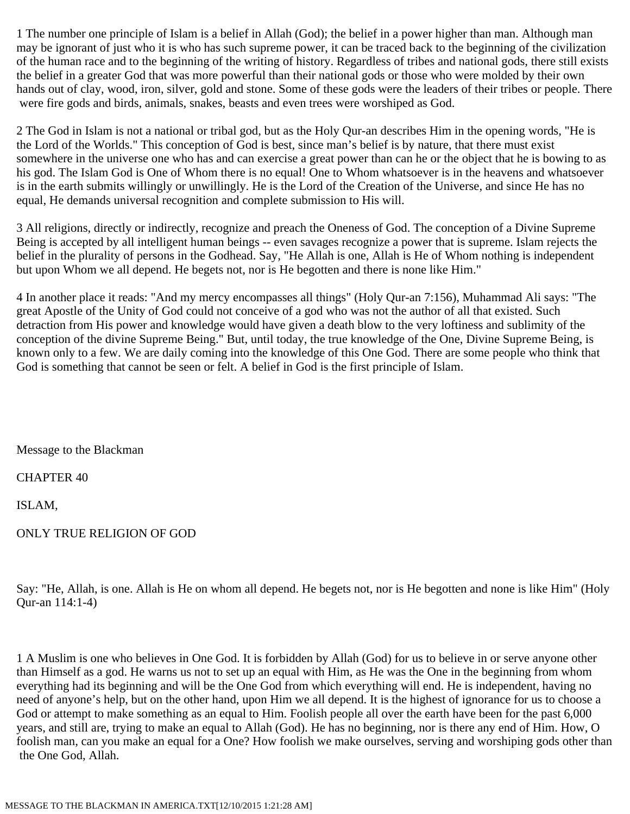1 The number one principle of Islam is a belief in Allah (God); the belief in a power higher than man. Although man may be ignorant of just who it is who has such supreme power, it can be traced back to the beginning of the civilization of the human race and to the beginning of the writing of history. Regardless of tribes and national gods, there still exists the belief in a greater God that was more powerful than their national gods or those who were molded by their own hands out of clay, wood, iron, silver, gold and stone. Some of these gods were the leaders of their tribes or people. There were fire gods and birds, animals, snakes, beasts and even trees were worshiped as God.

2 The God in Islam is not a national or tribal god, but as the Holy Qur-an describes Him in the opening words, "He is the Lord of the Worlds." This conception of God is best, since man's belief is by nature, that there must exist somewhere in the universe one who has and can exercise a great power than can he or the object that he is bowing to as his god. The Islam God is One of Whom there is no equal! One to Whom whatsoever is in the heavens and whatsoever is in the earth submits willingly or unwillingly. He is the Lord of the Creation of the Universe, and since He has no equal, He demands universal recognition and complete submission to His will.

3 All religions, directly or indirectly, recognize and preach the Oneness of God. The conception of a Divine Supreme Being is accepted by all intelligent human beings -- even savages recognize a power that is supreme. Islam rejects the belief in the plurality of persons in the Godhead. Say, "He Allah is one, Allah is He of Whom nothing is independent but upon Whom we all depend. He begets not, nor is He begotten and there is none like Him."

4 In another place it reads: "And my mercy encompasses all things" (Holy Qur-an 7:156), Muhammad Ali says: "The great Apostle of the Unity of God could not conceive of a god who was not the author of all that existed. Such detraction from His power and knowledge would have given a death blow to the very loftiness and sublimity of the conception of the divine Supreme Being." But, until today, the true knowledge of the One, Divine Supreme Being, is known only to a few. We are daily coming into the knowledge of this One God. There are some people who think that God is something that cannot be seen or felt. A belief in God is the first principle of Islam.

Message to the Blackman

CHAPTER 40

ISLAM,

ONLY TRUE RELIGION OF GOD

Say: "He, Allah, is one. Allah is He on whom all depend. He begets not, nor is He begotten and none is like Him" (Holy Qur-an 114:1-4)

1 A Muslim is one who believes in One God. It is forbidden by Allah (God) for us to believe in or serve anyone other than Himself as a god. He warns us not to set up an equal with Him, as He was the One in the beginning from whom everything had its beginning and will be the One God from which everything will end. He is independent, having no need of anyone's help, but on the other hand, upon Him we all depend. It is the highest of ignorance for us to choose a God or attempt to make something as an equal to Him. Foolish people all over the earth have been for the past 6,000 years, and still are, trying to make an equal to Allah (God). He has no beginning, nor is there any end of Him. How, O foolish man, can you make an equal for a One? How foolish we make ourselves, serving and worshiping gods other than the One God, Allah.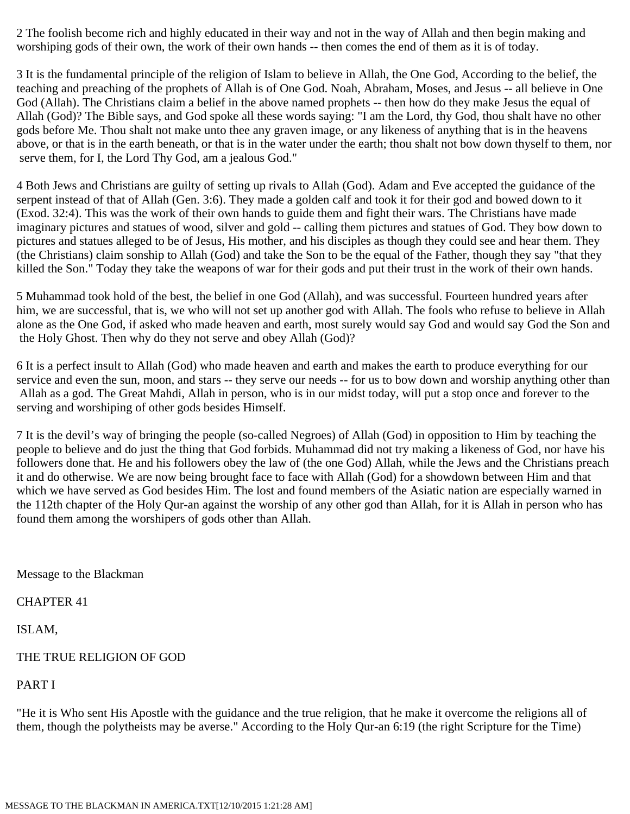2 The foolish become rich and highly educated in their way and not in the way of Allah and then begin making and worshiping gods of their own, the work of their own hands -- then comes the end of them as it is of today.

3 It is the fundamental principle of the religion of Islam to believe in Allah, the One God, According to the belief, the teaching and preaching of the prophets of Allah is of One God. Noah, Abraham, Moses, and Jesus -- all believe in One God (Allah). The Christians claim a belief in the above named prophets -- then how do they make Jesus the equal of Allah (God)? The Bible says, and God spoke all these words saying: "I am the Lord, thy God, thou shalt have no other gods before Me. Thou shalt not make unto thee any graven image, or any likeness of anything that is in the heavens above, or that is in the earth beneath, or that is in the water under the earth; thou shalt not bow down thyself to them, nor serve them, for I, the Lord Thy God, am a jealous God."

4 Both Jews and Christians are guilty of setting up rivals to Allah (God). Adam and Eve accepted the guidance of the serpent instead of that of Allah (Gen. 3:6). They made a golden calf and took it for their god and bowed down to it (Exod. 32:4). This was the work of their own hands to guide them and fight their wars. The Christians have made imaginary pictures and statues of wood, silver and gold -- calling them pictures and statues of God. They bow down to pictures and statues alleged to be of Jesus, His mother, and his disciples as though they could see and hear them. They (the Christians) claim sonship to Allah (God) and take the Son to be the equal of the Father, though they say "that they killed the Son." Today they take the weapons of war for their gods and put their trust in the work of their own hands.

5 Muhammad took hold of the best, the belief in one God (Allah), and was successful. Fourteen hundred years after him, we are successful, that is, we who will not set up another god with Allah. The fools who refuse to believe in Allah alone as the One God, if asked who made heaven and earth, most surely would say God and would say God the Son and the Holy Ghost. Then why do they not serve and obey Allah (God)?

6 It is a perfect insult to Allah (God) who made heaven and earth and makes the earth to produce everything for our service and even the sun, moon, and stars -- they serve our needs -- for us to bow down and worship anything other than Allah as a god. The Great Mahdi, Allah in person, who is in our midst today, will put a stop once and forever to the serving and worshiping of other gods besides Himself.

7 It is the devil's way of bringing the people (so-called Negroes) of Allah (God) in opposition to Him by teaching the people to believe and do just the thing that God forbids. Muhammad did not try making a likeness of God, nor have his followers done that. He and his followers obey the law of (the one God) Allah, while the Jews and the Christians preach it and do otherwise. We are now being brought face to face with Allah (God) for a showdown between Him and that which we have served as God besides Him. The lost and found members of the Asiatic nation are especially warned in the 112th chapter of the Holy Qur-an against the worship of any other god than Allah, for it is Allah in person who has found them among the worshipers of gods other than Allah.

Message to the Blackman

CHAPTER 41

ISLAM,

#### THE TRUE RELIGION OF GOD

#### PART I

"He it is Who sent His Apostle with the guidance and the true religion, that he make it overcome the religions all of them, though the polytheists may be averse." According to the Holy Qur-an 6:19 (the right Scripture for the Time)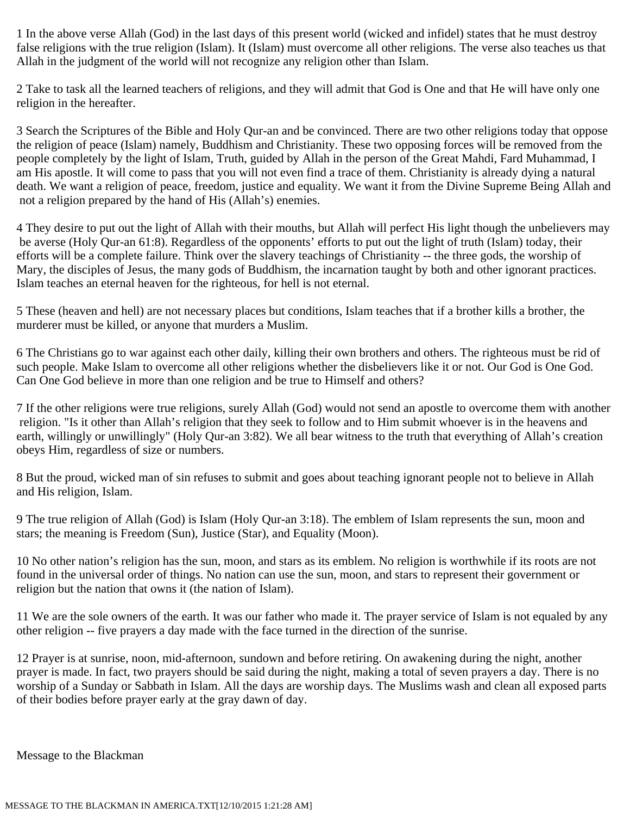1 In the above verse Allah (God) in the last days of this present world (wicked and infidel) states that he must destroy false religions with the true religion (Islam). It (Islam) must overcome all other religions. The verse also teaches us that Allah in the judgment of the world will not recognize any religion other than Islam.

2 Take to task all the learned teachers of religions, and they will admit that God is One and that He will have only one religion in the hereafter.

3 Search the Scriptures of the Bible and Holy Qur-an and be convinced. There are two other religions today that oppose the religion of peace (Islam) namely, Buddhism and Christianity. These two opposing forces will be removed from the people completely by the light of Islam, Truth, guided by Allah in the person of the Great Mahdi, Fard Muhammad, I am His apostle. It will come to pass that you will not even find a trace of them. Christianity is already dying a natural death. We want a religion of peace, freedom, justice and equality. We want it from the Divine Supreme Being Allah and not a religion prepared by the hand of His (Allah's) enemies.

4 They desire to put out the light of Allah with their mouths, but Allah will perfect His light though the unbelievers may be averse (Holy Qur-an 61:8). Regardless of the opponents' efforts to put out the light of truth (Islam) today, their efforts will be a complete failure. Think over the slavery teachings of Christianity -- the three gods, the worship of Mary, the disciples of Jesus, the many gods of Buddhism, the incarnation taught by both and other ignorant practices. Islam teaches an eternal heaven for the righteous, for hell is not eternal.

5 These (heaven and hell) are not necessary places but conditions, Islam teaches that if a brother kills a brother, the murderer must be killed, or anyone that murders a Muslim.

6 The Christians go to war against each other daily, killing their own brothers and others. The righteous must be rid of such people. Make Islam to overcome all other religions whether the disbelievers like it or not. Our God is One God. Can One God believe in more than one religion and be true to Himself and others?

7 If the other religions were true religions, surely Allah (God) would not send an apostle to overcome them with another religion. "Is it other than Allah's religion that they seek to follow and to Him submit whoever is in the heavens and earth, willingly or unwillingly" (Holy Qur-an 3:82). We all bear witness to the truth that everything of Allah's creation obeys Him, regardless of size or numbers.

8 But the proud, wicked man of sin refuses to submit and goes about teaching ignorant people not to believe in Allah and His religion, Islam.

9 The true religion of Allah (God) is Islam (Holy Qur-an 3:18). The emblem of Islam represents the sun, moon and stars; the meaning is Freedom (Sun), Justice (Star), and Equality (Moon).

10 No other nation's religion has the sun, moon, and stars as its emblem. No religion is worthwhile if its roots are not found in the universal order of things. No nation can use the sun, moon, and stars to represent their government or religion but the nation that owns it (the nation of Islam).

11 We are the sole owners of the earth. It was our father who made it. The prayer service of Islam is not equaled by any other religion -- five prayers a day made with the face turned in the direction of the sunrise.

12 Prayer is at sunrise, noon, mid-afternoon, sundown and before retiring. On awakening during the night, another prayer is made. In fact, two prayers should be said during the night, making a total of seven prayers a day. There is no worship of a Sunday or Sabbath in Islam. All the days are worship days. The Muslims wash and clean all exposed parts of their bodies before prayer early at the gray dawn of day.

Message to the Blackman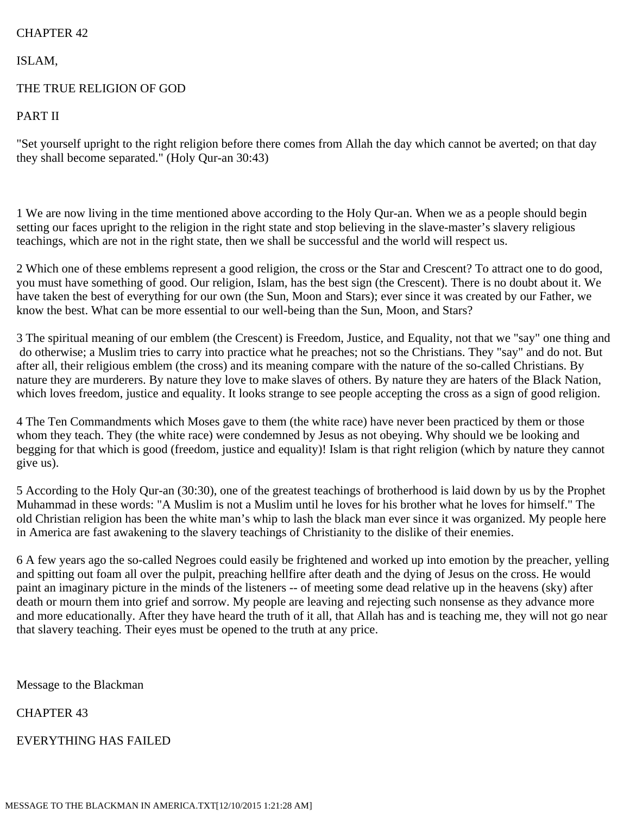# CHAPTER 42

ISLAM,

## THE TRUE RELIGION OF GOD

PART II

"Set yourself upright to the right religion before there comes from Allah the day which cannot be averted; on that day they shall become separated." (Holy Qur-an 30:43)

1 We are now living in the time mentioned above according to the Holy Qur-an. When we as a people should begin setting our faces upright to the religion in the right state and stop believing in the slave-master's slavery religious teachings, which are not in the right state, then we shall be successful and the world will respect us.

2 Which one of these emblems represent a good religion, the cross or the Star and Crescent? To attract one to do good, you must have something of good. Our religion, Islam, has the best sign (the Crescent). There is no doubt about it. We have taken the best of everything for our own (the Sun, Moon and Stars); ever since it was created by our Father, we know the best. What can be more essential to our well-being than the Sun, Moon, and Stars?

3 The spiritual meaning of our emblem (the Crescent) is Freedom, Justice, and Equality, not that we "say" one thing and do otherwise; a Muslim tries to carry into practice what he preaches; not so the Christians. They "say" and do not. But after all, their religious emblem (the cross) and its meaning compare with the nature of the so-called Christians. By nature they are murderers. By nature they love to make slaves of others. By nature they are haters of the Black Nation, which loves freedom, justice and equality. It looks strange to see people accepting the cross as a sign of good religion.

4 The Ten Commandments which Moses gave to them (the white race) have never been practiced by them or those whom they teach. They (the white race) were condemned by Jesus as not obeying. Why should we be looking and begging for that which is good (freedom, justice and equality)! Islam is that right religion (which by nature they cannot give us).

5 According to the Holy Qur-an (30:30), one of the greatest teachings of brotherhood is laid down by us by the Prophet Muhammad in these words: "A Muslim is not a Muslim until he loves for his brother what he loves for himself." The old Christian religion has been the white man's whip to lash the black man ever since it was organized. My people here in America are fast awakening to the slavery teachings of Christianity to the dislike of their enemies.

6 A few years ago the so-called Negroes could easily be frightened and worked up into emotion by the preacher, yelling and spitting out foam all over the pulpit, preaching hellfire after death and the dying of Jesus on the cross. He would paint an imaginary picture in the minds of the listeners -- of meeting some dead relative up in the heavens (sky) after death or mourn them into grief and sorrow. My people are leaving and rejecting such nonsense as they advance more and more educationally. After they have heard the truth of it all, that Allah has and is teaching me, they will not go near that slavery teaching. Their eyes must be opened to the truth at any price.

Message to the Blackman

CHAPTER 43

EVERYTHING HAS FAILED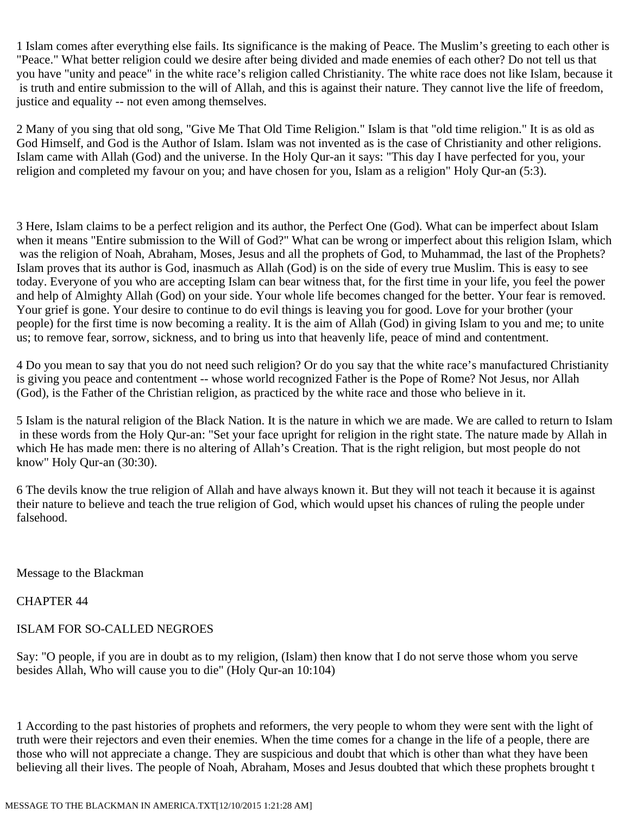1 Islam comes after everything else fails. Its significance is the making of Peace. The Muslim's greeting to each other is "Peace." What better religion could we desire after being divided and made enemies of each other? Do not tell us that you have "unity and peace" in the white race's religion called Christianity. The white race does not like Islam, because it is truth and entire submission to the will of Allah, and this is against their nature. They cannot live the life of freedom, justice and equality -- not even among themselves.

2 Many of you sing that old song, "Give Me That Old Time Religion." Islam is that "old time religion." It is as old as God Himself, and God is the Author of Islam. Islam was not invented as is the case of Christianity and other religions. Islam came with Allah (God) and the universe. In the Holy Qur-an it says: "This day I have perfected for you, your religion and completed my favour on you; and have chosen for you, Islam as a religion" Holy Qur-an (5:3).

3 Here, Islam claims to be a perfect religion and its author, the Perfect One (God). What can be imperfect about Islam when it means "Entire submission to the Will of God?" What can be wrong or imperfect about this religion Islam, which was the religion of Noah, Abraham, Moses, Jesus and all the prophets of God, to Muhammad, the last of the Prophets? Islam proves that its author is God, inasmuch as Allah (God) is on the side of every true Muslim. This is easy to see today. Everyone of you who are accepting Islam can bear witness that, for the first time in your life, you feel the power and help of Almighty Allah (God) on your side. Your whole life becomes changed for the better. Your fear is removed. Your grief is gone. Your desire to continue to do evil things is leaving you for good. Love for your brother (your people) for the first time is now becoming a reality. It is the aim of Allah (God) in giving Islam to you and me; to unite us; to remove fear, sorrow, sickness, and to bring us into that heavenly life, peace of mind and contentment.

4 Do you mean to say that you do not need such religion? Or do you say that the white race's manufactured Christianity is giving you peace and contentment -- whose world recognized Father is the Pope of Rome? Not Jesus, nor Allah (God), is the Father of the Christian religion, as practiced by the white race and those who believe in it.

5 Islam is the natural religion of the Black Nation. It is the nature in which we are made. We are called to return to Islam in these words from the Holy Qur-an: "Set your face upright for religion in the right state. The nature made by Allah in which He has made men: there is no altering of Allah's Creation. That is the right religion, but most people do not know" Holy Qur-an (30:30).

6 The devils know the true religion of Allah and have always known it. But they will not teach it because it is against their nature to believe and teach the true religion of God, which would upset his chances of ruling the people under falsehood.

Message to the Blackman

CHAPTER 44

#### ISLAM FOR SO-CALLED NEGROES

Say: "O people, if you are in doubt as to my religion, (Islam) then know that I do not serve those whom you serve besides Allah, Who will cause you to die" (Holy Qur-an 10:104)

1 According to the past histories of prophets and reformers, the very people to whom they were sent with the light of truth were their rejectors and even their enemies. When the time comes for a change in the life of a people, there are those who will not appreciate a change. They are suspicious and doubt that which is other than what they have been believing all their lives. The people of Noah, Abraham, Moses and Jesus doubted that which these prophets brought t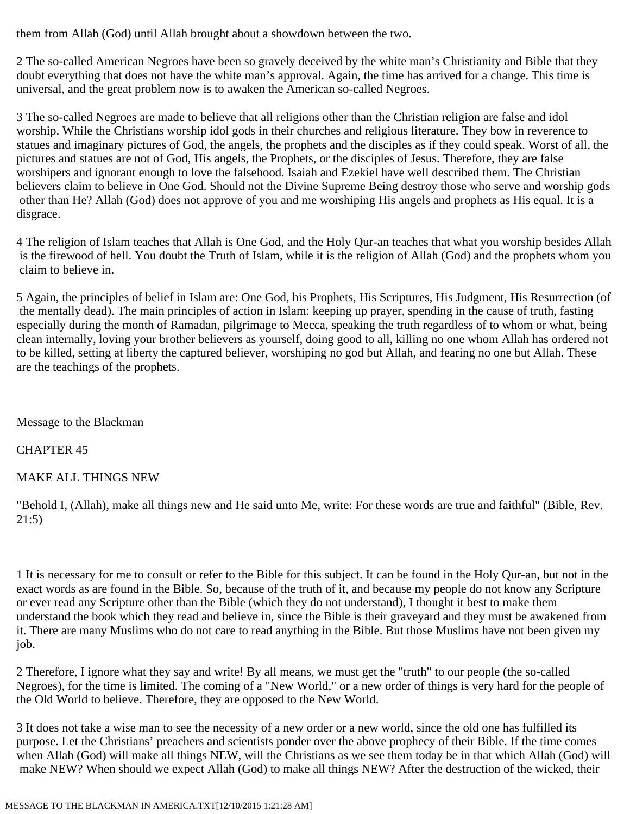them from Allah (God) until Allah brought about a showdown between the two.

2 The so-called American Negroes have been so gravely deceived by the white man's Christianity and Bible that they doubt everything that does not have the white man's approval. Again, the time has arrived for a change. This time is universal, and the great problem now is to awaken the American so-called Negroes.

3 The so-called Negroes are made to believe that all religions other than the Christian religion are false and idol worship. While the Christians worship idol gods in their churches and religious literature. They bow in reverence to statues and imaginary pictures of God, the angels, the prophets and the disciples as if they could speak. Worst of all, the pictures and statues are not of God, His angels, the Prophets, or the disciples of Jesus. Therefore, they are false worshipers and ignorant enough to love the falsehood. Isaiah and Ezekiel have well described them. The Christian believers claim to believe in One God. Should not the Divine Supreme Being destroy those who serve and worship gods other than He? Allah (God) does not approve of you and me worshiping His angels and prophets as His equal. It is a disgrace.

4 The religion of Islam teaches that Allah is One God, and the Holy Qur-an teaches that what you worship besides Allah is the firewood of hell. You doubt the Truth of Islam, while it is the religion of Allah (God) and the prophets whom you claim to believe in.

5 Again, the principles of belief in Islam are: One God, his Prophets, His Scriptures, His Judgment, His Resurrection (of the mentally dead). The main principles of action in Islam: keeping up prayer, spending in the cause of truth, fasting especially during the month of Ramadan, pilgrimage to Mecca, speaking the truth regardless of to whom or what, being clean internally, loving your brother believers as yourself, doing good to all, killing no one whom Allah has ordered not to be killed, setting at liberty the captured believer, worshiping no god but Allah, and fearing no one but Allah. These are the teachings of the prophets.

Message to the Blackman

CHAPTER 45

# MAKE ALL THINGS NEW

"Behold I, (Allah), make all things new and He said unto Me, write: For these words are true and faithful" (Bible, Rev. 21:5)

1 It is necessary for me to consult or refer to the Bible for this subject. It can be found in the Holy Qur-an, but not in the exact words as are found in the Bible. So, because of the truth of it, and because my people do not know any Scripture or ever read any Scripture other than the Bible (which they do not understand), I thought it best to make them understand the book which they read and believe in, since the Bible is their graveyard and they must be awakened from it. There are many Muslims who do not care to read anything in the Bible. But those Muslims have not been given my job.

2 Therefore, I ignore what they say and write! By all means, we must get the "truth" to our people (the so-called Negroes), for the time is limited. The coming of a "New World," or a new order of things is very hard for the people of the Old World to believe. Therefore, they are opposed to the New World.

3 It does not take a wise man to see the necessity of a new order or a new world, since the old one has fulfilled its purpose. Let the Christians' preachers and scientists ponder over the above prophecy of their Bible. If the time comes when Allah (God) will make all things NEW, will the Christians as we see them today be in that which Allah (God) will make NEW? When should we expect Allah (God) to make all things NEW? After the destruction of the wicked, their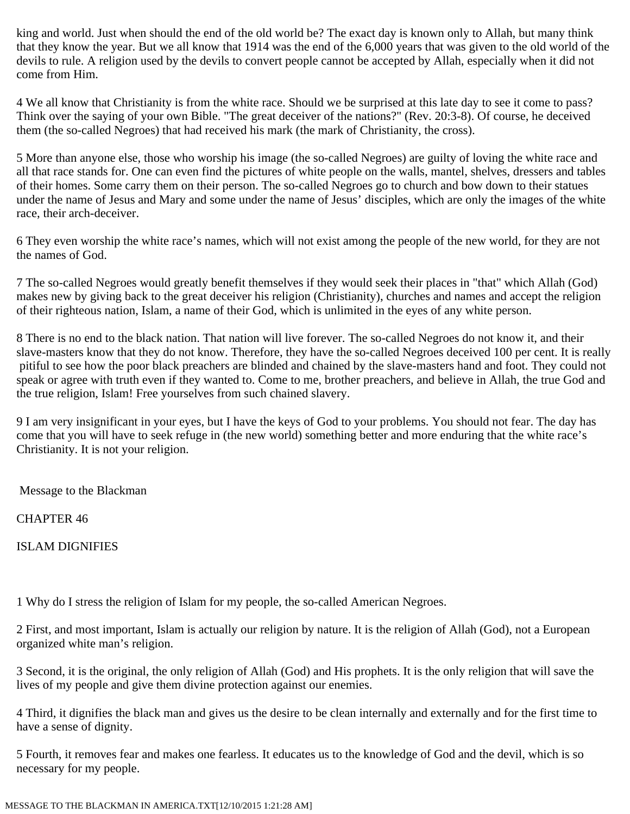king and world. Just when should the end of the old world be? The exact day is known only to Allah, but many think that they know the year. But we all know that 1914 was the end of the 6,000 years that was given to the old world of the devils to rule. A religion used by the devils to convert people cannot be accepted by Allah, especially when it did not come from Him.

4 We all know that Christianity is from the white race. Should we be surprised at this late day to see it come to pass? Think over the saying of your own Bible. "The great deceiver of the nations?" (Rev. 20:3-8). Of course, he deceived them (the so-called Negroes) that had received his mark (the mark of Christianity, the cross).

5 More than anyone else, those who worship his image (the so-called Negroes) are guilty of loving the white race and all that race stands for. One can even find the pictures of white people on the walls, mantel, shelves, dressers and tables of their homes. Some carry them on their person. The so-called Negroes go to church and bow down to their statues under the name of Jesus and Mary and some under the name of Jesus' disciples, which are only the images of the white race, their arch-deceiver.

6 They even worship the white race's names, which will not exist among the people of the new world, for they are not the names of God.

7 The so-called Negroes would greatly benefit themselves if they would seek their places in "that" which Allah (God) makes new by giving back to the great deceiver his religion (Christianity), churches and names and accept the religion of their righteous nation, Islam, a name of their God, which is unlimited in the eyes of any white person.

8 There is no end to the black nation. That nation will live forever. The so-called Negroes do not know it, and their slave-masters know that they do not know. Therefore, they have the so-called Negroes deceived 100 per cent. It is really pitiful to see how the poor black preachers are blinded and chained by the slave-masters hand and foot. They could not speak or agree with truth even if they wanted to. Come to me, brother preachers, and believe in Allah, the true God and the true religion, Islam! Free yourselves from such chained slavery.

9 I am very insignificant in your eyes, but I have the keys of God to your problems. You should not fear. The day has come that you will have to seek refuge in (the new world) something better and more enduring that the white race's Christianity. It is not your religion.

Message to the Blackman

CHAPTER 46

ISLAM DIGNIFIES

1 Why do I stress the religion of Islam for my people, the so-called American Negroes.

2 First, and most important, Islam is actually our religion by nature. It is the religion of Allah (God), not a European organized white man's religion.

3 Second, it is the original, the only religion of Allah (God) and His prophets. It is the only religion that will save the lives of my people and give them divine protection against our enemies.

4 Third, it dignifies the black man and gives us the desire to be clean internally and externally and for the first time to have a sense of dignity.

5 Fourth, it removes fear and makes one fearless. It educates us to the knowledge of God and the devil, which is so necessary for my people.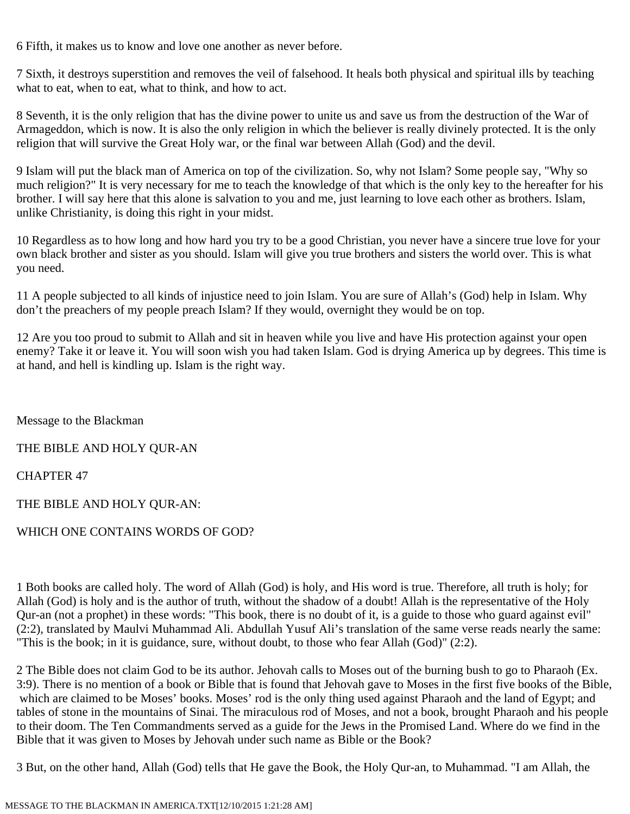6 Fifth, it makes us to know and love one another as never before.

7 Sixth, it destroys superstition and removes the veil of falsehood. It heals both physical and spiritual ills by teaching what to eat, when to eat, what to think, and how to act.

8 Seventh, it is the only religion that has the divine power to unite us and save us from the destruction of the War of Armageddon, which is now. It is also the only religion in which the believer is really divinely protected. It is the only religion that will survive the Great Holy war, or the final war between Allah (God) and the devil.

9 Islam will put the black man of America on top of the civilization. So, why not Islam? Some people say, "Why so much religion?" It is very necessary for me to teach the knowledge of that which is the only key to the hereafter for his brother. I will say here that this alone is salvation to you and me, just learning to love each other as brothers. Islam, unlike Christianity, is doing this right in your midst.

10 Regardless as to how long and how hard you try to be a good Christian, you never have a sincere true love for your own black brother and sister as you should. Islam will give you true brothers and sisters the world over. This is what you need.

11 A people subjected to all kinds of injustice need to join Islam. You are sure of Allah's (God) help in Islam. Why don't the preachers of my people preach Islam? If they would, overnight they would be on top.

12 Are you too proud to submit to Allah and sit in heaven while you live and have His protection against your open enemy? Take it or leave it. You will soon wish you had taken Islam. God is drying America up by degrees. This time is at hand, and hell is kindling up. Islam is the right way.

Message to the Blackman

THE BIBLE AND HOLY QUR-AN

CHAPTER 47

THE BIBLE AND HOLY QUR-AN:

WHICH ONE CONTAINS WORDS OF GOD?

1 Both books are called holy. The word of Allah (God) is holy, and His word is true. Therefore, all truth is holy; for Allah (God) is holy and is the author of truth, without the shadow of a doubt! Allah is the representative of the Holy Qur-an (not a prophet) in these words: "This book, there is no doubt of it, is a guide to those who guard against evil" (2:2), translated by Maulvi Muhammad Ali. Abdullah Yusuf Ali's translation of the same verse reads nearly the same: "This is the book; in it is guidance, sure, without doubt, to those who fear Allah (God)" (2:2).

2 The Bible does not claim God to be its author. Jehovah calls to Moses out of the burning bush to go to Pharaoh (Ex. 3:9). There is no mention of a book or Bible that is found that Jehovah gave to Moses in the first five books of the Bible, which are claimed to be Moses' books. Moses' rod is the only thing used against Pharaoh and the land of Egypt; and tables of stone in the mountains of Sinai. The miraculous rod of Moses, and not a book, brought Pharaoh and his people to their doom. The Ten Commandments served as a guide for the Jews in the Promised Land. Where do we find in the Bible that it was given to Moses by Jehovah under such name as Bible or the Book?

3 But, on the other hand, Allah (God) tells that He gave the Book, the Holy Qur-an, to Muhammad. "I am Allah, the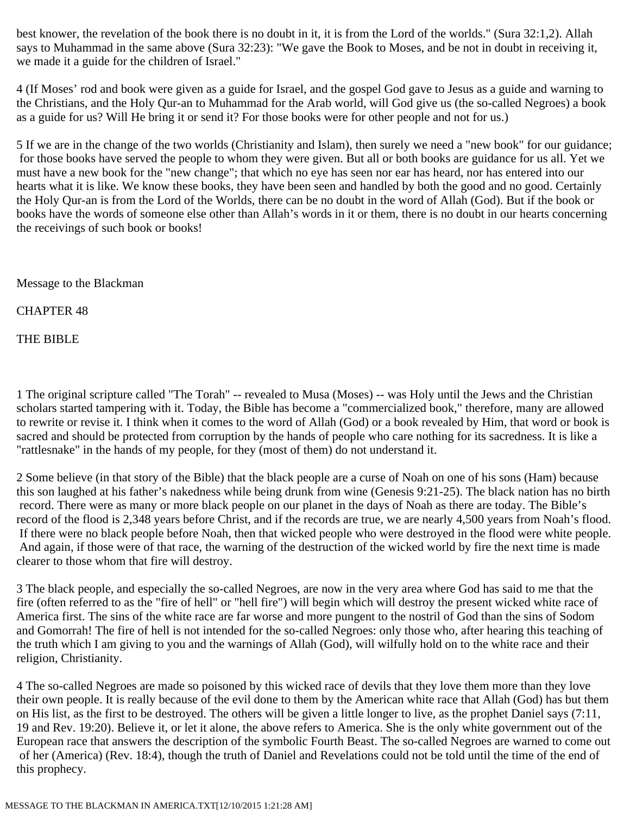best knower, the revelation of the book there is no doubt in it, it is from the Lord of the worlds." (Sura 32:1,2). Allah says to Muhammad in the same above (Sura 32:23): "We gave the Book to Moses, and be not in doubt in receiving it, we made it a guide for the children of Israel."

4 (If Moses' rod and book were given as a guide for Israel, and the gospel God gave to Jesus as a guide and warning to the Christians, and the Holy Qur-an to Muhammad for the Arab world, will God give us (the so-called Negroes) a book as a guide for us? Will He bring it or send it? For those books were for other people and not for us.)

5 If we are in the change of the two worlds (Christianity and Islam), then surely we need a "new book" for our guidance; for those books have served the people to whom they were given. But all or both books are guidance for us all. Yet we must have a new book for the "new change"; that which no eye has seen nor ear has heard, nor has entered into our hearts what it is like. We know these books, they have been seen and handled by both the good and no good. Certainly the Holy Qur-an is from the Lord of the Worlds, there can be no doubt in the word of Allah (God). But if the book or books have the words of someone else other than Allah's words in it or them, there is no doubt in our hearts concerning the receivings of such book or books!

Message to the Blackman

CHAPTER 48

THE BIBLE

1 The original scripture called "The Torah" -- revealed to Musa (Moses) -- was Holy until the Jews and the Christian scholars started tampering with it. Today, the Bible has become a "commercialized book," therefore, many are allowed to rewrite or revise it. I think when it comes to the word of Allah (God) or a book revealed by Him, that word or book is sacred and should be protected from corruption by the hands of people who care nothing for its sacredness. It is like a "rattlesnake" in the hands of my people, for they (most of them) do not understand it.

2 Some believe (in that story of the Bible) that the black people are a curse of Noah on one of his sons (Ham) because this son laughed at his father's nakedness while being drunk from wine (Genesis 9:21-25). The black nation has no birth record. There were as many or more black people on our planet in the days of Noah as there are today. The Bible's record of the flood is 2,348 years before Christ, and if the records are true, we are nearly 4,500 years from Noah's flood. If there were no black people before Noah, then that wicked people who were destroyed in the flood were white people. And again, if those were of that race, the warning of the destruction of the wicked world by fire the next time is made clearer to those whom that fire will destroy.

3 The black people, and especially the so-called Negroes, are now in the very area where God has said to me that the fire (often referred to as the "fire of hell" or "hell fire") will begin which will destroy the present wicked white race of America first. The sins of the white race are far worse and more pungent to the nostril of God than the sins of Sodom and Gomorrah! The fire of hell is not intended for the so-called Negroes: only those who, after hearing this teaching of the truth which I am giving to you and the warnings of Allah (God), will wilfully hold on to the white race and their religion, Christianity.

4 The so-called Negroes are made so poisoned by this wicked race of devils that they love them more than they love their own people. It is really because of the evil done to them by the American white race that Allah (God) has but them on His list, as the first to be destroyed. The others will be given a little longer to live, as the prophet Daniel says (7:11, 19 and Rev. 19:20). Believe it, or let it alone, the above refers to America. She is the only white government out of the European race that answers the description of the symbolic Fourth Beast. The so-called Negroes are warned to come out of her (America) (Rev. 18:4), though the truth of Daniel and Revelations could not be told until the time of the end of this prophecy.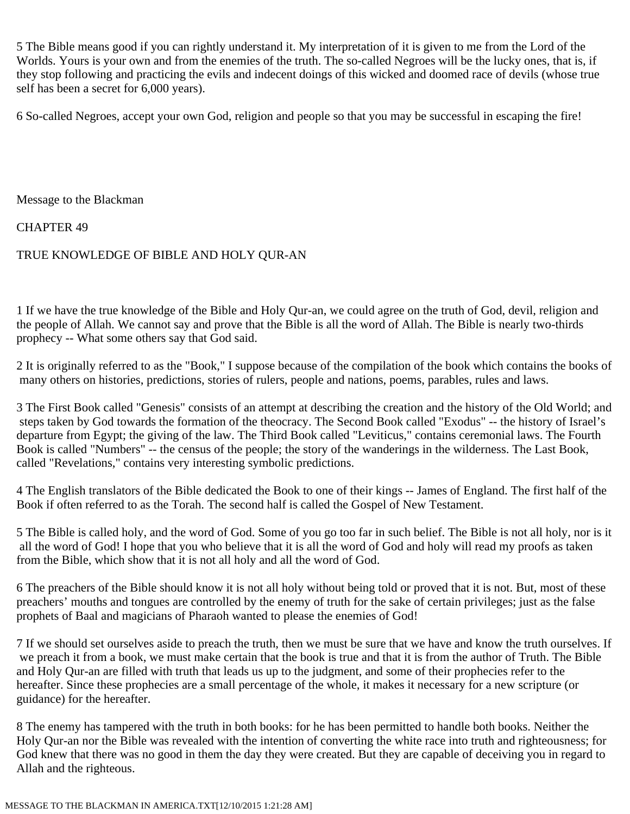5 The Bible means good if you can rightly understand it. My interpretation of it is given to me from the Lord of the Worlds. Yours is your own and from the enemies of the truth. The so-called Negroes will be the lucky ones, that is, if they stop following and practicing the evils and indecent doings of this wicked and doomed race of devils (whose true self has been a secret for 6,000 years).

6 So-called Negroes, accept your own God, religion and people so that you may be successful in escaping the fire!

#### Message to the Blackman

## CHAPTER 49

# TRUE KNOWLEDGE OF BIBLE AND HOLY QUR-AN

1 If we have the true knowledge of the Bible and Holy Qur-an, we could agree on the truth of God, devil, religion and the people of Allah. We cannot say and prove that the Bible is all the word of Allah. The Bible is nearly two-thirds prophecy -- What some others say that God said.

2 It is originally referred to as the "Book," I suppose because of the compilation of the book which contains the books of many others on histories, predictions, stories of rulers, people and nations, poems, parables, rules and laws.

3 The First Book called "Genesis" consists of an attempt at describing the creation and the history of the Old World; and steps taken by God towards the formation of the theocracy. The Second Book called "Exodus" -- the history of Israel's departure from Egypt; the giving of the law. The Third Book called "Leviticus," contains ceremonial laws. The Fourth Book is called "Numbers" -- the census of the people; the story of the wanderings in the wilderness. The Last Book, called "Revelations," contains very interesting symbolic predictions.

4 The English translators of the Bible dedicated the Book to one of their kings -- James of England. The first half of the Book if often referred to as the Torah. The second half is called the Gospel of New Testament.

5 The Bible is called holy, and the word of God. Some of you go too far in such belief. The Bible is not all holy, nor is it all the word of God! I hope that you who believe that it is all the word of God and holy will read my proofs as taken from the Bible, which show that it is not all holy and all the word of God.

6 The preachers of the Bible should know it is not all holy without being told or proved that it is not. But, most of these preachers' mouths and tongues are controlled by the enemy of truth for the sake of certain privileges; just as the false prophets of Baal and magicians of Pharaoh wanted to please the enemies of God!

7 If we should set ourselves aside to preach the truth, then we must be sure that we have and know the truth ourselves. If we preach it from a book, we must make certain that the book is true and that it is from the author of Truth. The Bible and Holy Qur-an are filled with truth that leads us up to the judgment, and some of their prophecies refer to the hereafter. Since these prophecies are a small percentage of the whole, it makes it necessary for a new scripture (or guidance) for the hereafter.

8 The enemy has tampered with the truth in both books: for he has been permitted to handle both books. Neither the Holy Qur-an nor the Bible was revealed with the intention of converting the white race into truth and righteousness; for God knew that there was no good in them the day they were created. But they are capable of deceiving you in regard to Allah and the righteous.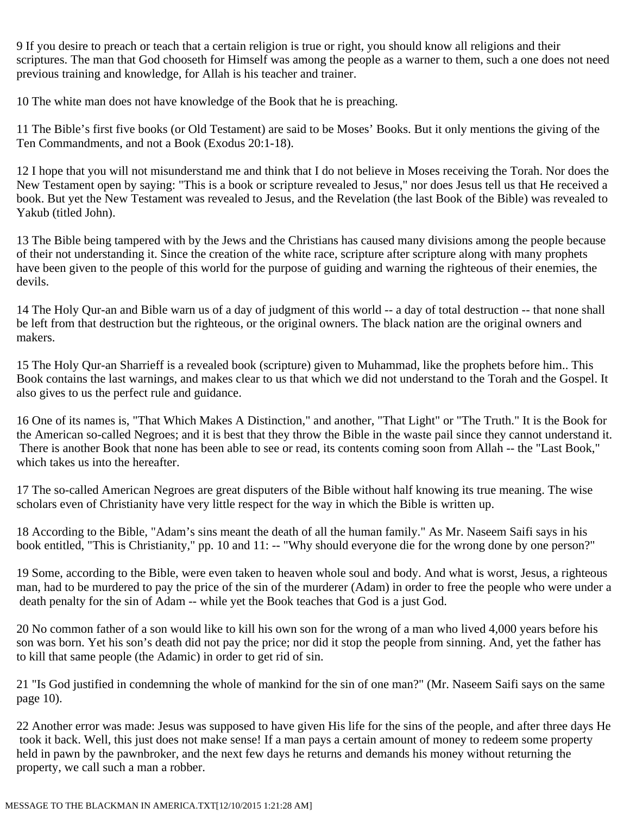9 If you desire to preach or teach that a certain religion is true or right, you should know all religions and their scriptures. The man that God chooseth for Himself was among the people as a warner to them, such a one does not need previous training and knowledge, for Allah is his teacher and trainer.

10 The white man does not have knowledge of the Book that he is preaching.

11 The Bible's first five books (or Old Testament) are said to be Moses' Books. But it only mentions the giving of the Ten Commandments, and not a Book (Exodus 20:1-18).

12 I hope that you will not misunderstand me and think that I do not believe in Moses receiving the Torah. Nor does the New Testament open by saying: "This is a book or scripture revealed to Jesus," nor does Jesus tell us that He received a book. But yet the New Testament was revealed to Jesus, and the Revelation (the last Book of the Bible) was revealed to Yakub (titled John).

13 The Bible being tampered with by the Jews and the Christians has caused many divisions among the people because of their not understanding it. Since the creation of the white race, scripture after scripture along with many prophets have been given to the people of this world for the purpose of guiding and warning the righteous of their enemies, the devils.

14 The Holy Qur-an and Bible warn us of a day of judgment of this world -- a day of total destruction -- that none shall be left from that destruction but the righteous, or the original owners. The black nation are the original owners and makers.

15 The Holy Qur-an Sharrieff is a revealed book (scripture) given to Muhammad, like the prophets before him.. This Book contains the last warnings, and makes clear to us that which we did not understand to the Torah and the Gospel. It also gives to us the perfect rule and guidance.

16 One of its names is, "That Which Makes A Distinction," and another, "That Light" or "The Truth." It is the Book for the American so-called Negroes; and it is best that they throw the Bible in the waste pail since they cannot understand it. There is another Book that none has been able to see or read, its contents coming soon from Allah -- the "Last Book," which takes us into the hereafter.

17 The so-called American Negroes are great disputers of the Bible without half knowing its true meaning. The wise scholars even of Christianity have very little respect for the way in which the Bible is written up.

18 According to the Bible, "Adam's sins meant the death of all the human family." As Mr. Naseem Saifi says in his book entitled, "This is Christianity," pp. 10 and 11: -- "Why should everyone die for the wrong done by one person?"

19 Some, according to the Bible, were even taken to heaven whole soul and body. And what is worst, Jesus, a righteous man, had to be murdered to pay the price of the sin of the murderer (Adam) in order to free the people who were under a death penalty for the sin of Adam -- while yet the Book teaches that God is a just God.

20 No common father of a son would like to kill his own son for the wrong of a man who lived 4,000 years before his son was born. Yet his son's death did not pay the price; nor did it stop the people from sinning. And, yet the father has to kill that same people (the Adamic) in order to get rid of sin.

21 "Is God justified in condemning the whole of mankind for the sin of one man?" (Mr. Naseem Saifi says on the same page 10).

22 Another error was made: Jesus was supposed to have given His life for the sins of the people, and after three days He took it back. Well, this just does not make sense! If a man pays a certain amount of money to redeem some property held in pawn by the pawnbroker, and the next few days he returns and demands his money without returning the property, we call such a man a robber.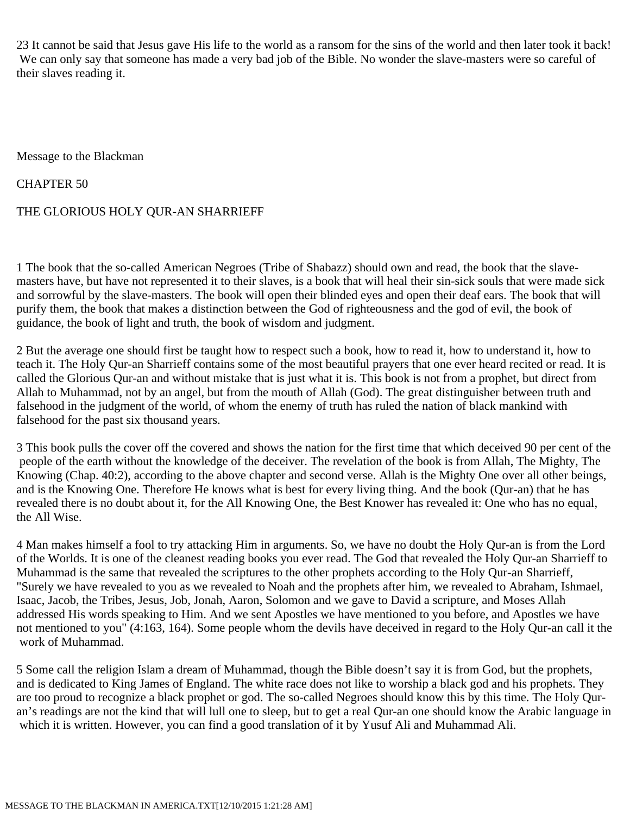23 It cannot be said that Jesus gave His life to the world as a ransom for the sins of the world and then later took it back! We can only say that someone has made a very bad job of the Bible. No wonder the slave-masters were so careful of their slaves reading it.

Message to the Blackman

CHAPTER 50

# THE GLORIOUS HOLY QUR-AN SHARRIEFF

1 The book that the so-called American Negroes (Tribe of Shabazz) should own and read, the book that the slavemasters have, but have not represented it to their slaves, is a book that will heal their sin-sick souls that were made sick and sorrowful by the slave-masters. The book will open their blinded eyes and open their deaf ears. The book that will purify them, the book that makes a distinction between the God of righteousness and the god of evil, the book of guidance, the book of light and truth, the book of wisdom and judgment.

2 But the average one should first be taught how to respect such a book, how to read it, how to understand it, how to teach it. The Holy Qur-an Sharrieff contains some of the most beautiful prayers that one ever heard recited or read. It is called the Glorious Qur-an and without mistake that is just what it is. This book is not from a prophet, but direct from Allah to Muhammad, not by an angel, but from the mouth of Allah (God). The great distinguisher between truth and falsehood in the judgment of the world, of whom the enemy of truth has ruled the nation of black mankind with falsehood for the past six thousand years.

3 This book pulls the cover off the covered and shows the nation for the first time that which deceived 90 per cent of the people of the earth without the knowledge of the deceiver. The revelation of the book is from Allah, The Mighty, The Knowing (Chap. 40:2), according to the above chapter and second verse. Allah is the Mighty One over all other beings, and is the Knowing One. Therefore He knows what is best for every living thing. And the book (Qur-an) that he has revealed there is no doubt about it, for the All Knowing One, the Best Knower has revealed it: One who has no equal, the All Wise.

4 Man makes himself a fool to try attacking Him in arguments. So, we have no doubt the Holy Qur-an is from the Lord of the Worlds. It is one of the cleanest reading books you ever read. The God that revealed the Holy Qur-an Sharrieff to Muhammad is the same that revealed the scriptures to the other prophets according to the Holy Qur-an Sharrieff, "Surely we have revealed to you as we revealed to Noah and the prophets after him, we revealed to Abraham, Ishmael, Isaac, Jacob, the Tribes, Jesus, Job, Jonah, Aaron, Solomon and we gave to David a scripture, and Moses Allah addressed His words speaking to Him. And we sent Apostles we have mentioned to you before, and Apostles we have not mentioned to you" (4:163, 164). Some people whom the devils have deceived in regard to the Holy Qur-an call it the work of Muhammad.

5 Some call the religion Islam a dream of Muhammad, though the Bible doesn't say it is from God, but the prophets, and is dedicated to King James of England. The white race does not like to worship a black god and his prophets. They are too proud to recognize a black prophet or god. The so-called Negroes should know this by this time. The Holy Quran's readings are not the kind that will lull one to sleep, but to get a real Qur-an one should know the Arabic language in which it is written. However, you can find a good translation of it by Yusuf Ali and Muhammad Ali.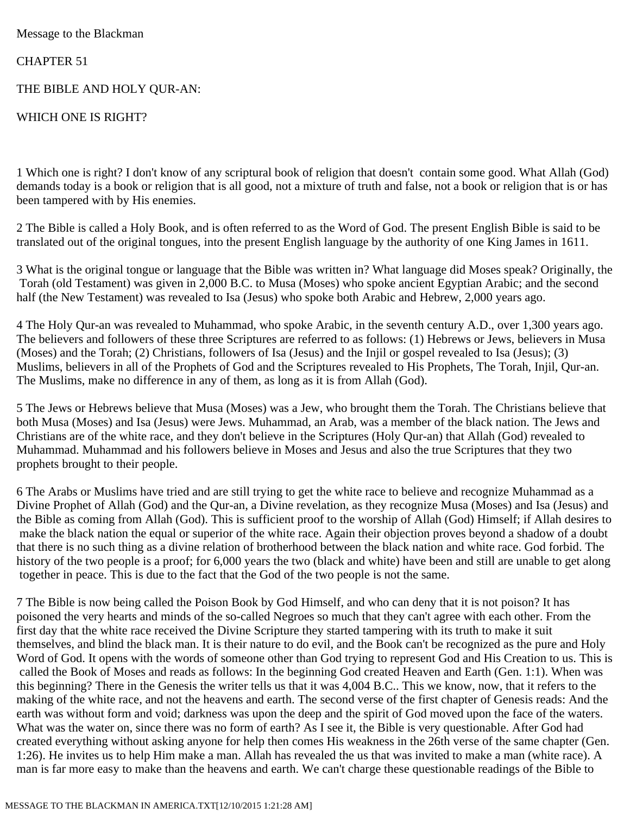#### CHAPTER 51

### THE BIBLE AND HOLY QUR-AN:

# WHICH ONE IS RIGHT?

1 Which one is right? I don't know of any scriptural book of religion that doesn't contain some good. What Allah (God) demands today is a book or religion that is all good, not a mixture of truth and false, not a book or religion that is or has been tampered with by His enemies.

2 The Bible is called a Holy Book, and is often referred to as the Word of God. The present English Bible is said to be translated out of the original tongues, into the present English language by the authority of one King James in 1611.

3 What is the original tongue or language that the Bible was written in? What language did Moses speak? Originally, the Torah (old Testament) was given in 2,000 B.C. to Musa (Moses) who spoke ancient Egyptian Arabic; and the second half (the New Testament) was revealed to Isa (Jesus) who spoke both Arabic and Hebrew, 2,000 years ago.

4 The Holy Qur-an was revealed to Muhammad, who spoke Arabic, in the seventh century A.D., over 1,300 years ago. The believers and followers of these three Scriptures are referred to as follows: (1) Hebrews or Jews, believers in Musa (Moses) and the Torah; (2) Christians, followers of Isa (Jesus) and the Injil or gospel revealed to Isa (Jesus); (3) Muslims, believers in all of the Prophets of God and the Scriptures revealed to His Prophets, The Torah, Injil, Qur-an. The Muslims, make no difference in any of them, as long as it is from Allah (God).

5 The Jews or Hebrews believe that Musa (Moses) was a Jew, who brought them the Torah. The Christians believe that both Musa (Moses) and Isa (Jesus) were Jews. Muhammad, an Arab, was a member of the black nation. The Jews and Christians are of the white race, and they don't believe in the Scriptures (Holy Qur-an) that Allah (God) revealed to Muhammad. Muhammad and his followers believe in Moses and Jesus and also the true Scriptures that they two prophets brought to their people.

6 The Arabs or Muslims have tried and are still trying to get the white race to believe and recognize Muhammad as a Divine Prophet of Allah (God) and the Qur-an, a Divine revelation, as they recognize Musa (Moses) and Isa (Jesus) and the Bible as coming from Allah (God). This is sufficient proof to the worship of Allah (God) Himself; if Allah desires to make the black nation the equal or superior of the white race. Again their objection proves beyond a shadow of a doubt that there is no such thing as a divine relation of brotherhood between the black nation and white race. God forbid. The history of the two people is a proof; for 6,000 years the two (black and white) have been and still are unable to get along together in peace. This is due to the fact that the God of the two people is not the same.

7 The Bible is now being called the Poison Book by God Himself, and who can deny that it is not poison? It has poisoned the very hearts and minds of the so-called Negroes so much that they can't agree with each other. From the first day that the white race received the Divine Scripture they started tampering with its truth to make it suit themselves, and blind the black man. It is their nature to do evil, and the Book can't be recognized as the pure and Holy Word of God. It opens with the words of someone other than God trying to represent God and His Creation to us. This is called the Book of Moses and reads as follows: In the beginning God created Heaven and Earth (Gen. 1:1). When was this beginning? There in the Genesis the writer tells us that it was 4,004 B.C.. This we know, now, that it refers to the making of the white race, and not the heavens and earth. The second verse of the first chapter of Genesis reads: And the earth was without form and void; darkness was upon the deep and the spirit of God moved upon the face of the waters. What was the water on, since there was no form of earth? As I see it, the Bible is very questionable. After God had created everything without asking anyone for help then comes His weakness in the 26th verse of the same chapter (Gen. 1:26). He invites us to help Him make a man. Allah has revealed the us that was invited to make a man (white race). A man is far more easy to make than the heavens and earth. We can't charge these questionable readings of the Bible to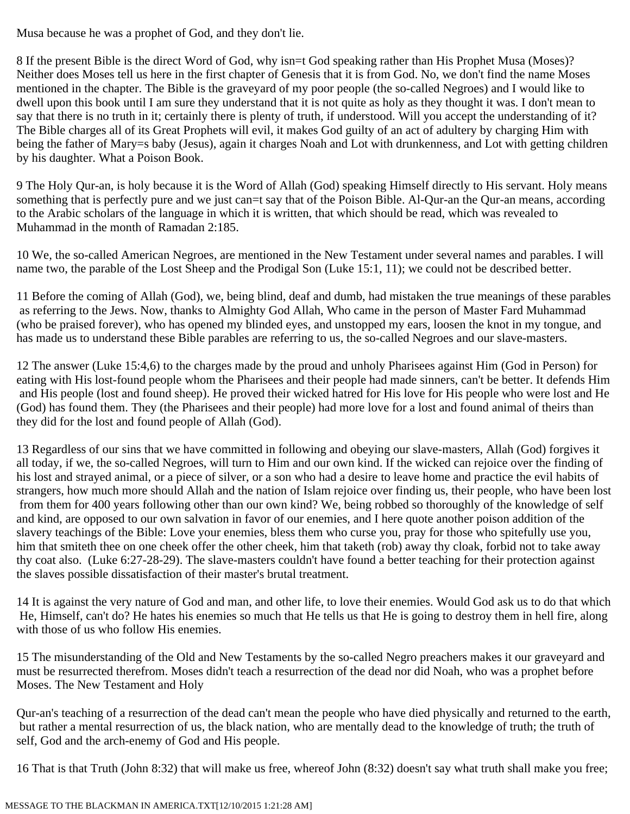Musa because he was a prophet of God, and they don't lie.

8 If the present Bible is the direct Word of God, why isn=t God speaking rather than His Prophet Musa (Moses)? Neither does Moses tell us here in the first chapter of Genesis that it is from God. No, we don't find the name Moses mentioned in the chapter. The Bible is the graveyard of my poor people (the so-called Negroes) and I would like to dwell upon this book until I am sure they understand that it is not quite as holy as they thought it was. I don't mean to say that there is no truth in it; certainly there is plenty of truth, if understood. Will you accept the understanding of it? The Bible charges all of its Great Prophets will evil, it makes God guilty of an act of adultery by charging Him with being the father of Mary=s baby (Jesus), again it charges Noah and Lot with drunkenness, and Lot with getting children by his daughter. What a Poison Book.

9 The Holy Qur-an, is holy because it is the Word of Allah (God) speaking Himself directly to His servant. Holy means something that is perfectly pure and we just can=t say that of the Poison Bible. Al-Qur-an the Qur-an means, according to the Arabic scholars of the language in which it is written, that which should be read, which was revealed to Muhammad in the month of Ramadan 2:185.

10 We, the so-called American Negroes, are mentioned in the New Testament under several names and parables. I will name two, the parable of the Lost Sheep and the Prodigal Son (Luke 15:1, 11); we could not be described better.

11 Before the coming of Allah (God), we, being blind, deaf and dumb, had mistaken the true meanings of these parables as referring to the Jews. Now, thanks to Almighty God Allah, Who came in the person of Master Fard Muhammad (who be praised forever), who has opened my blinded eyes, and unstopped my ears, loosen the knot in my tongue, and has made us to understand these Bible parables are referring to us, the so-called Negroes and our slave-masters.

12 The answer (Luke 15:4,6) to the charges made by the proud and unholy Pharisees against Him (God in Person) for eating with His lost-found people whom the Pharisees and their people had made sinners, can't be better. It defends Him and His people (lost and found sheep). He proved their wicked hatred for His love for His people who were lost and He (God) has found them. They (the Pharisees and their people) had more love for a lost and found animal of theirs than they did for the lost and found people of Allah (God).

13 Regardless of our sins that we have committed in following and obeying our slave-masters, Allah (God) forgives it all today, if we, the so-called Negroes, will turn to Him and our own kind. If the wicked can rejoice over the finding of his lost and strayed animal, or a piece of silver, or a son who had a desire to leave home and practice the evil habits of strangers, how much more should Allah and the nation of Islam rejoice over finding us, their people, who have been lost from them for 400 years following other than our own kind? We, being robbed so thoroughly of the knowledge of self and kind, are opposed to our own salvation in favor of our enemies, and I here quote another poison addition of the slavery teachings of the Bible: Love your enemies, bless them who curse you, pray for those who spitefully use you, him that smiteth thee on one cheek offer the other cheek, him that taketh (rob) away thy cloak, forbid not to take away thy coat also. (Luke 6:27-28-29). The slave-masters couldn't have found a better teaching for their protection against the slaves possible dissatisfaction of their master's brutal treatment.

14 It is against the very nature of God and man, and other life, to love their enemies. Would God ask us to do that which He, Himself, can't do? He hates his enemies so much that He tells us that He is going to destroy them in hell fire, along with those of us who follow His enemies.

15 The misunderstanding of the Old and New Testaments by the so-called Negro preachers makes it our graveyard and must be resurrected therefrom. Moses didn't teach a resurrection of the dead nor did Noah, who was a prophet before Moses. The New Testament and Holy

Qur-an's teaching of a resurrection of the dead can't mean the people who have died physically and returned to the earth, but rather a mental resurrection of us, the black nation, who are mentally dead to the knowledge of truth; the truth of self, God and the arch-enemy of God and His people.

16 That is that Truth (John 8:32) that will make us free, whereof John (8:32) doesn't say what truth shall make you free;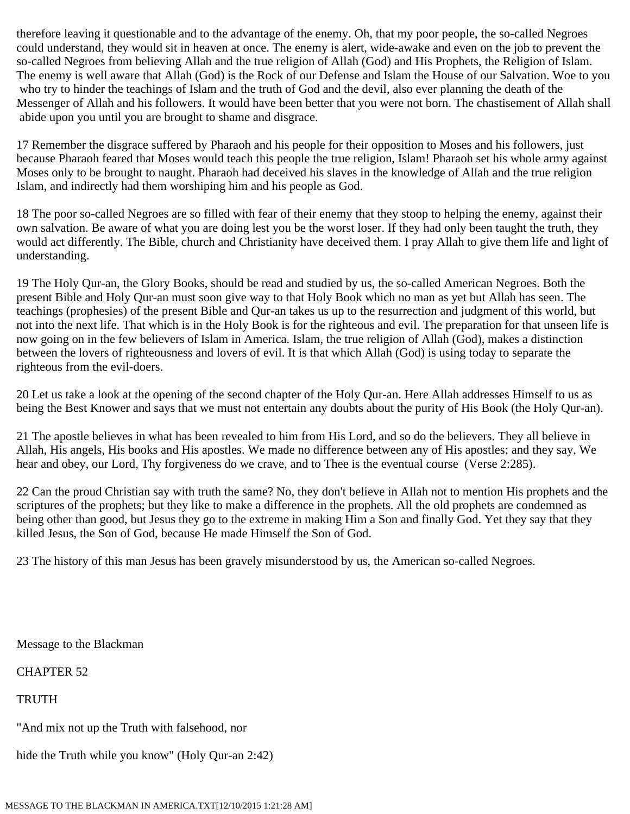therefore leaving it questionable and to the advantage of the enemy. Oh, that my poor people, the so-called Negroes could understand, they would sit in heaven at once. The enemy is alert, wide-awake and even on the job to prevent the so-called Negroes from believing Allah and the true religion of Allah (God) and His Prophets, the Religion of Islam. The enemy is well aware that Allah (God) is the Rock of our Defense and Islam the House of our Salvation. Woe to you who try to hinder the teachings of Islam and the truth of God and the devil, also ever planning the death of the Messenger of Allah and his followers. It would have been better that you were not born. The chastisement of Allah shall abide upon you until you are brought to shame and disgrace.

17 Remember the disgrace suffered by Pharaoh and his people for their opposition to Moses and his followers, just because Pharaoh feared that Moses would teach this people the true religion, Islam! Pharaoh set his whole army against Moses only to be brought to naught. Pharaoh had deceived his slaves in the knowledge of Allah and the true religion Islam, and indirectly had them worshiping him and his people as God.

18 The poor so-called Negroes are so filled with fear of their enemy that they stoop to helping the enemy, against their own salvation. Be aware of what you are doing lest you be the worst loser. If they had only been taught the truth, they would act differently. The Bible, church and Christianity have deceived them. I pray Allah to give them life and light of understanding.

19 The Holy Qur-an, the Glory Books, should be read and studied by us, the so-called American Negroes. Both the present Bible and Holy Qur-an must soon give way to that Holy Book which no man as yet but Allah has seen. The teachings (prophesies) of the present Bible and Qur-an takes us up to the resurrection and judgment of this world, but not into the next life. That which is in the Holy Book is for the righteous and evil. The preparation for that unseen life is now going on in the few believers of Islam in America. Islam, the true religion of Allah (God), makes a distinction between the lovers of righteousness and lovers of evil. It is that which Allah (God) is using today to separate the righteous from the evil-doers.

20 Let us take a look at the opening of the second chapter of the Holy Qur-an. Here Allah addresses Himself to us as being the Best Knower and says that we must not entertain any doubts about the purity of His Book (the Holy Qur-an).

21 The apostle believes in what has been revealed to him from His Lord, and so do the believers. They all believe in Allah, His angels, His books and His apostles. We made no difference between any of His apostles; and they say, We hear and obey, our Lord, Thy forgiveness do we crave, and to Thee is the eventual course (Verse 2:285).

22 Can the proud Christian say with truth the same? No, they don't believe in Allah not to mention His prophets and the scriptures of the prophets; but they like to make a difference in the prophets. All the old prophets are condemned as being other than good, but Jesus they go to the extreme in making Him a Son and finally God. Yet they say that they killed Jesus, the Son of God, because He made Himself the Son of God.

23 The history of this man Jesus has been gravely misunderstood by us, the American so-called Negroes.

Message to the Blackman

CHAPTER 52

**TRUTH** 

"And mix not up the Truth with falsehood, nor

hide the Truth while you know" (Holy Qur-an 2:42)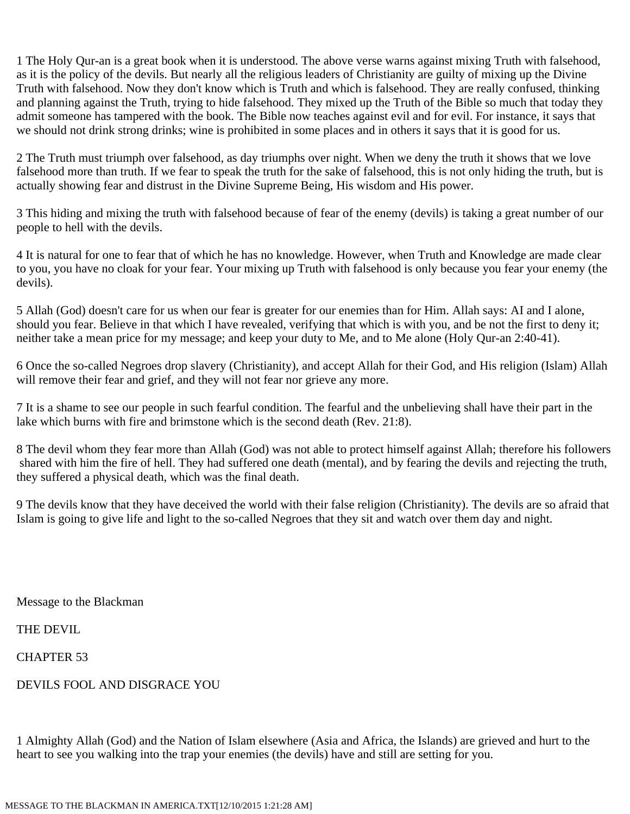1 The Holy Qur-an is a great book when it is understood. The above verse warns against mixing Truth with falsehood, as it is the policy of the devils. But nearly all the religious leaders of Christianity are guilty of mixing up the Divine Truth with falsehood. Now they don't know which is Truth and which is falsehood. They are really confused, thinking and planning against the Truth, trying to hide falsehood. They mixed up the Truth of the Bible so much that today they admit someone has tampered with the book. The Bible now teaches against evil and for evil. For instance, it says that we should not drink strong drinks; wine is prohibited in some places and in others it says that it is good for us.

2 The Truth must triumph over falsehood, as day triumphs over night. When we deny the truth it shows that we love falsehood more than truth. If we fear to speak the truth for the sake of falsehood, this is not only hiding the truth, but is actually showing fear and distrust in the Divine Supreme Being, His wisdom and His power.

3 This hiding and mixing the truth with falsehood because of fear of the enemy (devils) is taking a great number of our people to hell with the devils.

4 It is natural for one to fear that of which he has no knowledge. However, when Truth and Knowledge are made clear to you, you have no cloak for your fear. Your mixing up Truth with falsehood is only because you fear your enemy (the devils).

5 Allah (God) doesn't care for us when our fear is greater for our enemies than for Him. Allah says: AI and I alone, should you fear. Believe in that which I have revealed, verifying that which is with you, and be not the first to deny it; neither take a mean price for my message; and keep your duty to Me, and to Me alone (Holy Qur-an 2:40-41).

6 Once the so-called Negroes drop slavery (Christianity), and accept Allah for their God, and His religion (Islam) Allah will remove their fear and grief, and they will not fear nor grieve any more.

7 It is a shame to see our people in such fearful condition. The fearful and the unbelieving shall have their part in the lake which burns with fire and brimstone which is the second death (Rev. 21:8).

8 The devil whom they fear more than Allah (God) was not able to protect himself against Allah; therefore his followers shared with him the fire of hell. They had suffered one death (mental), and by fearing the devils and rejecting the truth, they suffered a physical death, which was the final death.

9 The devils know that they have deceived the world with their false religion (Christianity). The devils are so afraid that Islam is going to give life and light to the so-called Negroes that they sit and watch over them day and night.

Message to the Blackman

THE DEVIL

CHAPTER 53

DEVILS FOOL AND DISGRACE YOU

1 Almighty Allah (God) and the Nation of Islam elsewhere (Asia and Africa, the Islands) are grieved and hurt to the heart to see you walking into the trap your enemies (the devils) have and still are setting for you.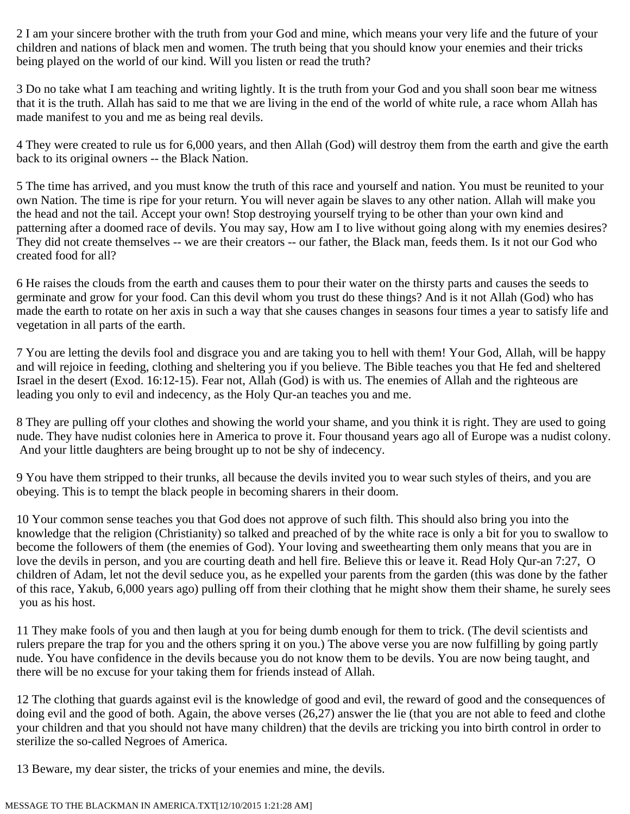2 I am your sincere brother with the truth from your God and mine, which means your very life and the future of your children and nations of black men and women. The truth being that you should know your enemies and their tricks being played on the world of our kind. Will you listen or read the truth?

3 Do no take what I am teaching and writing lightly. It is the truth from your God and you shall soon bear me witness that it is the truth. Allah has said to me that we are living in the end of the world of white rule, a race whom Allah has made manifest to you and me as being real devils.

4 They were created to rule us for 6,000 years, and then Allah (God) will destroy them from the earth and give the earth back to its original owners -- the Black Nation.

5 The time has arrived, and you must know the truth of this race and yourself and nation. You must be reunited to your own Nation. The time is ripe for your return. You will never again be slaves to any other nation. Allah will make you the head and not the tail. Accept your own! Stop destroying yourself trying to be other than your own kind and patterning after a doomed race of devils. You may say, How am I to live without going along with my enemies desires? They did not create themselves -- we are their creators -- our father, the Black man, feeds them. Is it not our God who created food for all?

6 He raises the clouds from the earth and causes them to pour their water on the thirsty parts and causes the seeds to germinate and grow for your food. Can this devil whom you trust do these things? And is it not Allah (God) who has made the earth to rotate on her axis in such a way that she causes changes in seasons four times a year to satisfy life and vegetation in all parts of the earth.

7 You are letting the devils fool and disgrace you and are taking you to hell with them! Your God, Allah, will be happy and will rejoice in feeding, clothing and sheltering you if you believe. The Bible teaches you that He fed and sheltered Israel in the desert (Exod. 16:12-15). Fear not, Allah (God) is with us. The enemies of Allah and the righteous are leading you only to evil and indecency, as the Holy Qur-an teaches you and me.

8 They are pulling off your clothes and showing the world your shame, and you think it is right. They are used to going nude. They have nudist colonies here in America to prove it. Four thousand years ago all of Europe was a nudist colony. And your little daughters are being brought up to not be shy of indecency.

9 You have them stripped to their trunks, all because the devils invited you to wear such styles of theirs, and you are obeying. This is to tempt the black people in becoming sharers in their doom.

10 Your common sense teaches you that God does not approve of such filth. This should also bring you into the knowledge that the religion (Christianity) so talked and preached of by the white race is only a bit for you to swallow to become the followers of them (the enemies of God). Your loving and sweethearting them only means that you are in love the devils in person, and you are courting death and hell fire. Believe this or leave it. Read Holy Qur-an 7:27, O children of Adam, let not the devil seduce you, as he expelled your parents from the garden (this was done by the father of this race, Yakub, 6,000 years ago) pulling off from their clothing that he might show them their shame, he surely sees you as his host.

11 They make fools of you and then laugh at you for being dumb enough for them to trick. (The devil scientists and rulers prepare the trap for you and the others spring it on you.) The above verse you are now fulfilling by going partly nude. You have confidence in the devils because you do not know them to be devils. You are now being taught, and there will be no excuse for your taking them for friends instead of Allah.

12 The clothing that guards against evil is the knowledge of good and evil, the reward of good and the consequences of doing evil and the good of both. Again, the above verses (26,27) answer the lie (that you are not able to feed and clothe your children and that you should not have many children) that the devils are tricking you into birth control in order to sterilize the so-called Negroes of America.

13 Beware, my dear sister, the tricks of your enemies and mine, the devils.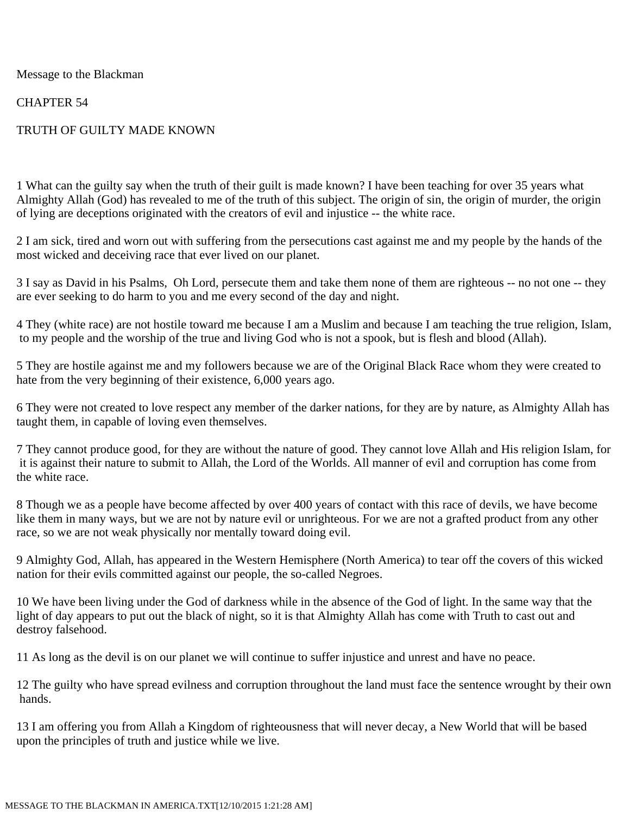Message to the Blackman

CHAPTER 54

# TRUTH OF GUILTY MADE KNOWN

1 What can the guilty say when the truth of their guilt is made known? I have been teaching for over 35 years what Almighty Allah (God) has revealed to me of the truth of this subject. The origin of sin, the origin of murder, the origin of lying are deceptions originated with the creators of evil and injustice -- the white race.

2 I am sick, tired and worn out with suffering from the persecutions cast against me and my people by the hands of the most wicked and deceiving race that ever lived on our planet.

3 I say as David in his Psalms, Oh Lord, persecute them and take them none of them are righteous -- no not one -- they are ever seeking to do harm to you and me every second of the day and night.

4 They (white race) are not hostile toward me because I am a Muslim and because I am teaching the true religion, Islam, to my people and the worship of the true and living God who is not a spook, but is flesh and blood (Allah).

5 They are hostile against me and my followers because we are of the Original Black Race whom they were created to hate from the very beginning of their existence, 6,000 years ago.

6 They were not created to love respect any member of the darker nations, for they are by nature, as Almighty Allah has taught them, in capable of loving even themselves.

7 They cannot produce good, for they are without the nature of good. They cannot love Allah and His religion Islam, for it is against their nature to submit to Allah, the Lord of the Worlds. All manner of evil and corruption has come from the white race.

8 Though we as a people have become affected by over 400 years of contact with this race of devils, we have become like them in many ways, but we are not by nature evil or unrighteous. For we are not a grafted product from any other race, so we are not weak physically nor mentally toward doing evil.

9 Almighty God, Allah, has appeared in the Western Hemisphere (North America) to tear off the covers of this wicked nation for their evils committed against our people, the so-called Negroes.

10 We have been living under the God of darkness while in the absence of the God of light. In the same way that the light of day appears to put out the black of night, so it is that Almighty Allah has come with Truth to cast out and destroy falsehood.

11 As long as the devil is on our planet we will continue to suffer injustice and unrest and have no peace.

12 The guilty who have spread evilness and corruption throughout the land must face the sentence wrought by their own hands.

13 I am offering you from Allah a Kingdom of righteousness that will never decay, a New World that will be based upon the principles of truth and justice while we live.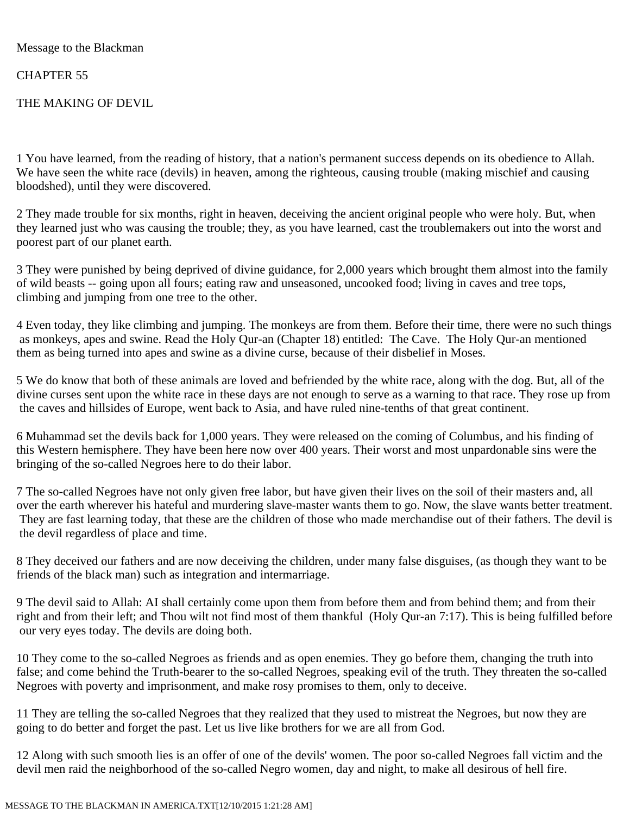#### Message to the Blackman

#### CHAPTER 55

THE MAKING OF DEVIL

1 You have learned, from the reading of history, that a nation's permanent success depends on its obedience to Allah. We have seen the white race (devils) in heaven, among the righteous, causing trouble (making mischief and causing bloodshed), until they were discovered.

2 They made trouble for six months, right in heaven, deceiving the ancient original people who were holy. But, when they learned just who was causing the trouble; they, as you have learned, cast the troublemakers out into the worst and poorest part of our planet earth.

3 They were punished by being deprived of divine guidance, for 2,000 years which brought them almost into the family of wild beasts -- going upon all fours; eating raw and unseasoned, uncooked food; living in caves and tree tops, climbing and jumping from one tree to the other.

4 Even today, they like climbing and jumping. The monkeys are from them. Before their time, there were no such things as monkeys, apes and swine. Read the Holy Qur-an (Chapter 18) entitled: The Cave. The Holy Qur-an mentioned them as being turned into apes and swine as a divine curse, because of their disbelief in Moses.

5 We do know that both of these animals are loved and befriended by the white race, along with the dog. But, all of the divine curses sent upon the white race in these days are not enough to serve as a warning to that race. They rose up from the caves and hillsides of Europe, went back to Asia, and have ruled nine-tenths of that great continent.

6 Muhammad set the devils back for 1,000 years. They were released on the coming of Columbus, and his finding of this Western hemisphere. They have been here now over 400 years. Their worst and most unpardonable sins were the bringing of the so-called Negroes here to do their labor.

7 The so-called Negroes have not only given free labor, but have given their lives on the soil of their masters and, all over the earth wherever his hateful and murdering slave-master wants them to go. Now, the slave wants better treatment. They are fast learning today, that these are the children of those who made merchandise out of their fathers. The devil is the devil regardless of place and time.

8 They deceived our fathers and are now deceiving the children, under many false disguises, (as though they want to be friends of the black man) such as integration and intermarriage.

9 The devil said to Allah: AI shall certainly come upon them from before them and from behind them; and from their right and from their left; and Thou wilt not find most of them thankful (Holy Qur-an 7:17). This is being fulfilled before our very eyes today. The devils are doing both.

10 They come to the so-called Negroes as friends and as open enemies. They go before them, changing the truth into false; and come behind the Truth-bearer to the so-called Negroes, speaking evil of the truth. They threaten the so-called Negroes with poverty and imprisonment, and make rosy promises to them, only to deceive.

11 They are telling the so-called Negroes that they realized that they used to mistreat the Negroes, but now they are going to do better and forget the past. Let us live like brothers for we are all from God.

12 Along with such smooth lies is an offer of one of the devils' women. The poor so-called Negroes fall victim and the devil men raid the neighborhood of the so-called Negro women, day and night, to make all desirous of hell fire.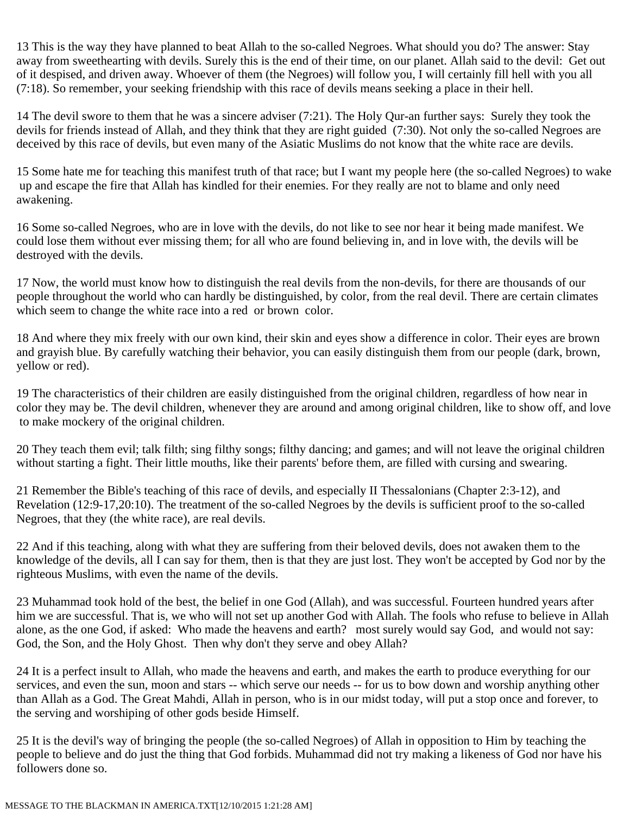13 This is the way they have planned to beat Allah to the so-called Negroes. What should you do? The answer: Stay away from sweethearting with devils. Surely this is the end of their time, on our planet. Allah said to the devil: Get out of it despised, and driven away. Whoever of them (the Negroes) will follow you, I will certainly fill hell with you all (7:18). So remember, your seeking friendship with this race of devils means seeking a place in their hell.

14 The devil swore to them that he was a sincere adviser (7:21). The Holy Qur-an further says: Surely they took the devils for friends instead of Allah, and they think that they are right guided (7:30). Not only the so-called Negroes are deceived by this race of devils, but even many of the Asiatic Muslims do not know that the white race are devils.

15 Some hate me for teaching this manifest truth of that race; but I want my people here (the so-called Negroes) to wake up and escape the fire that Allah has kindled for their enemies. For they really are not to blame and only need awakening.

16 Some so-called Negroes, who are in love with the devils, do not like to see nor hear it being made manifest. We could lose them without ever missing them; for all who are found believing in, and in love with, the devils will be destroyed with the devils.

17 Now, the world must know how to distinguish the real devils from the non-devils, for there are thousands of our people throughout the world who can hardly be distinguished, by color, from the real devil. There are certain climates which seem to change the white race into a red or brown color.

18 And where they mix freely with our own kind, their skin and eyes show a difference in color. Their eyes are brown and grayish blue. By carefully watching their behavior, you can easily distinguish them from our people (dark, brown, yellow or red).

19 The characteristics of their children are easily distinguished from the original children, regardless of how near in color they may be. The devil children, whenever they are around and among original children, like to show off, and love to make mockery of the original children.

20 They teach them evil; talk filth; sing filthy songs; filthy dancing; and games; and will not leave the original children without starting a fight. Their little mouths, like their parents' before them, are filled with cursing and swearing.

21 Remember the Bible's teaching of this race of devils, and especially II Thessalonians (Chapter 2:3-12), and Revelation (12:9-17,20:10). The treatment of the so-called Negroes by the devils is sufficient proof to the so-called Negroes, that they (the white race), are real devils.

22 And if this teaching, along with what they are suffering from their beloved devils, does not awaken them to the knowledge of the devils, all I can say for them, then is that they are just lost. They won't be accepted by God nor by the righteous Muslims, with even the name of the devils.

23 Muhammad took hold of the best, the belief in one God (Allah), and was successful. Fourteen hundred years after him we are successful. That is, we who will not set up another God with Allah. The fools who refuse to believe in Allah alone, as the one God, if asked: Who made the heavens and earth? most surely would say God, and would not say: God, the Son, and the Holy Ghost. Then why don't they serve and obey Allah?

24 It is a perfect insult to Allah, who made the heavens and earth, and makes the earth to produce everything for our services, and even the sun, moon and stars -- which serve our needs -- for us to bow down and worship anything other than Allah as a God. The Great Mahdi, Allah in person, who is in our midst today, will put a stop once and forever, to the serving and worshiping of other gods beside Himself.

25 It is the devil's way of bringing the people (the so-called Negroes) of Allah in opposition to Him by teaching the people to believe and do just the thing that God forbids. Muhammad did not try making a likeness of God nor have his followers done so.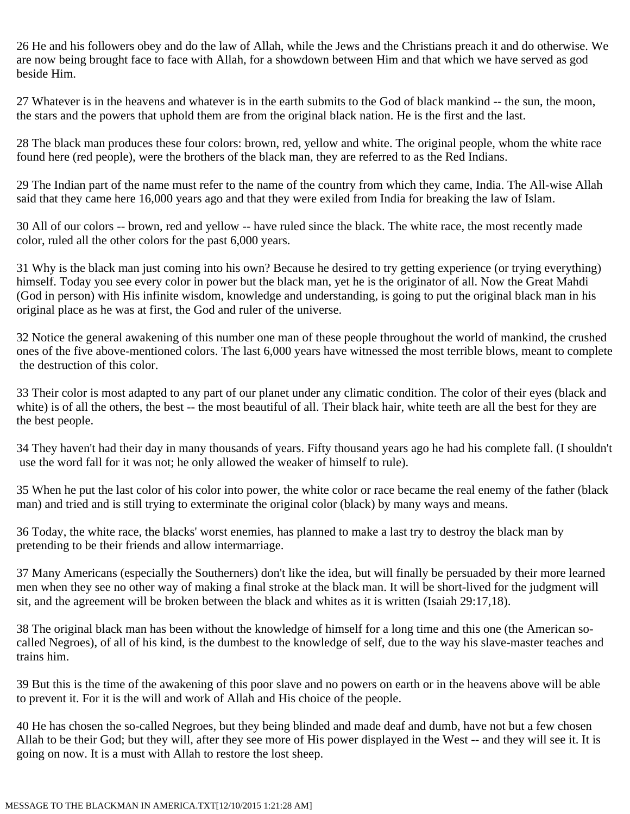26 He and his followers obey and do the law of Allah, while the Jews and the Christians preach it and do otherwise. We are now being brought face to face with Allah, for a showdown between Him and that which we have served as god beside Him.

27 Whatever is in the heavens and whatever is in the earth submits to the God of black mankind -- the sun, the moon, the stars and the powers that uphold them are from the original black nation. He is the first and the last.

28 The black man produces these four colors: brown, red, yellow and white. The original people, whom the white race found here (red people), were the brothers of the black man, they are referred to as the Red Indians.

29 The Indian part of the name must refer to the name of the country from which they came, India. The All-wise Allah said that they came here 16,000 years ago and that they were exiled from India for breaking the law of Islam.

30 All of our colors -- brown, red and yellow -- have ruled since the black. The white race, the most recently made color, ruled all the other colors for the past 6,000 years.

31 Why is the black man just coming into his own? Because he desired to try getting experience (or trying everything) himself. Today you see every color in power but the black man, yet he is the originator of all. Now the Great Mahdi (God in person) with His infinite wisdom, knowledge and understanding, is going to put the original black man in his original place as he was at first, the God and ruler of the universe.

32 Notice the general awakening of this number one man of these people throughout the world of mankind, the crushed ones of the five above-mentioned colors. The last 6,000 years have witnessed the most terrible blows, meant to complete the destruction of this color.

33 Their color is most adapted to any part of our planet under any climatic condition. The color of their eyes (black and white) is of all the others, the best -- the most beautiful of all. Their black hair, white teeth are all the best for they are the best people.

34 They haven't had their day in many thousands of years. Fifty thousand years ago he had his complete fall. (I shouldn't use the word fall for it was not; he only allowed the weaker of himself to rule).

35 When he put the last color of his color into power, the white color or race became the real enemy of the father (black man) and tried and is still trying to exterminate the original color (black) by many ways and means.

36 Today, the white race, the blacks' worst enemies, has planned to make a last try to destroy the black man by pretending to be their friends and allow intermarriage.

37 Many Americans (especially the Southerners) don't like the idea, but will finally be persuaded by their more learned men when they see no other way of making a final stroke at the black man. It will be short-lived for the judgment will sit, and the agreement will be broken between the black and whites as it is written (Isaiah 29:17,18).

38 The original black man has been without the knowledge of himself for a long time and this one (the American socalled Negroes), of all of his kind, is the dumbest to the knowledge of self, due to the way his slave-master teaches and trains him.

39 But this is the time of the awakening of this poor slave and no powers on earth or in the heavens above will be able to prevent it. For it is the will and work of Allah and His choice of the people.

40 He has chosen the so-called Negroes, but they being blinded and made deaf and dumb, have not but a few chosen Allah to be their God; but they will, after they see more of His power displayed in the West -- and they will see it. It is going on now. It is a must with Allah to restore the lost sheep.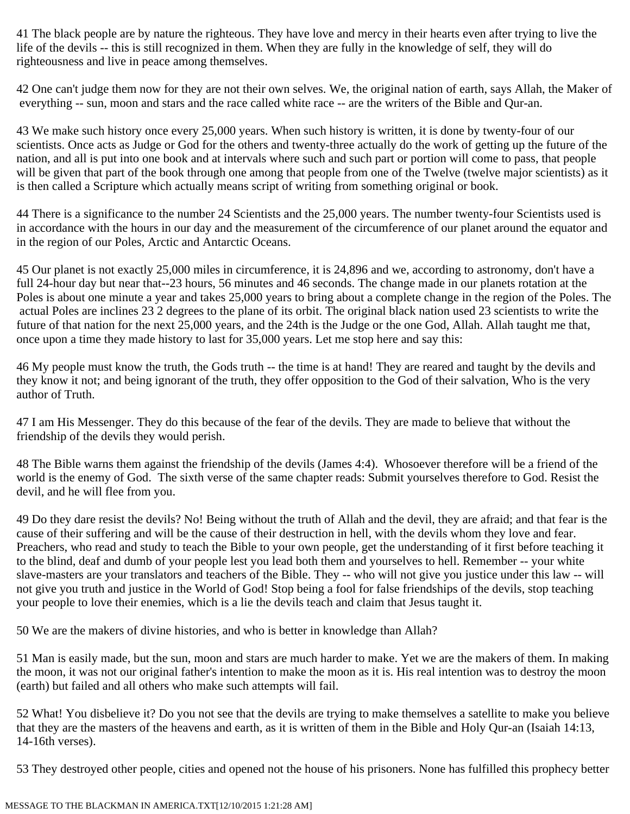41 The black people are by nature the righteous. They have love and mercy in their hearts even after trying to live the life of the devils -- this is still recognized in them. When they are fully in the knowledge of self, they will do righteousness and live in peace among themselves.

42 One can't judge them now for they are not their own selves. We, the original nation of earth, says Allah, the Maker of everything -- sun, moon and stars and the race called white race -- are the writers of the Bible and Qur-an.

43 We make such history once every 25,000 years. When such history is written, it is done by twenty-four of our scientists. Once acts as Judge or God for the others and twenty-three actually do the work of getting up the future of the nation, and all is put into one book and at intervals where such and such part or portion will come to pass, that people will be given that part of the book through one among that people from one of the Twelve (twelve major scientists) as it is then called a Scripture which actually means script of writing from something original or book.

44 There is a significance to the number 24 Scientists and the 25,000 years. The number twenty-four Scientists used is in accordance with the hours in our day and the measurement of the circumference of our planet around the equator and in the region of our Poles, Arctic and Antarctic Oceans.

45 Our planet is not exactly 25,000 miles in circumference, it is 24,896 and we, according to astronomy, don't have a full 24-hour day but near that--23 hours, 56 minutes and 46 seconds. The change made in our planets rotation at the Poles is about one minute a year and takes 25,000 years to bring about a complete change in the region of the Poles. The actual Poles are inclines 23 2 degrees to the plane of its orbit. The original black nation used 23 scientists to write the future of that nation for the next 25,000 years, and the 24th is the Judge or the one God, Allah. Allah taught me that, once upon a time they made history to last for 35,000 years. Let me stop here and say this:

46 My people must know the truth, the Gods truth -- the time is at hand! They are reared and taught by the devils and they know it not; and being ignorant of the truth, they offer opposition to the God of their salvation, Who is the very author of Truth.

47 I am His Messenger. They do this because of the fear of the devils. They are made to believe that without the friendship of the devils they would perish.

48 The Bible warns them against the friendship of the devils (James 4:4). Whosoever therefore will be a friend of the world is the enemy of God. The sixth verse of the same chapter reads: Submit yourselves therefore to God. Resist the devil, and he will flee from you.

49 Do they dare resist the devils? No! Being without the truth of Allah and the devil, they are afraid; and that fear is the cause of their suffering and will be the cause of their destruction in hell, with the devils whom they love and fear. Preachers, who read and study to teach the Bible to your own people, get the understanding of it first before teaching it to the blind, deaf and dumb of your people lest you lead both them and yourselves to hell. Remember -- your white slave-masters are your translators and teachers of the Bible. They -- who will not give you justice under this law -- will not give you truth and justice in the World of God! Stop being a fool for false friendships of the devils, stop teaching your people to love their enemies, which is a lie the devils teach and claim that Jesus taught it.

50 We are the makers of divine histories, and who is better in knowledge than Allah?

51 Man is easily made, but the sun, moon and stars are much harder to make. Yet we are the makers of them. In making the moon, it was not our original father's intention to make the moon as it is. His real intention was to destroy the moon (earth) but failed and all others who make such attempts will fail.

52 What! You disbelieve it? Do you not see that the devils are trying to make themselves a satellite to make you believe that they are the masters of the heavens and earth, as it is written of them in the Bible and Holy Qur-an (Isaiah 14:13, 14-16th verses).

53 They destroyed other people, cities and opened not the house of his prisoners. None has fulfilled this prophecy better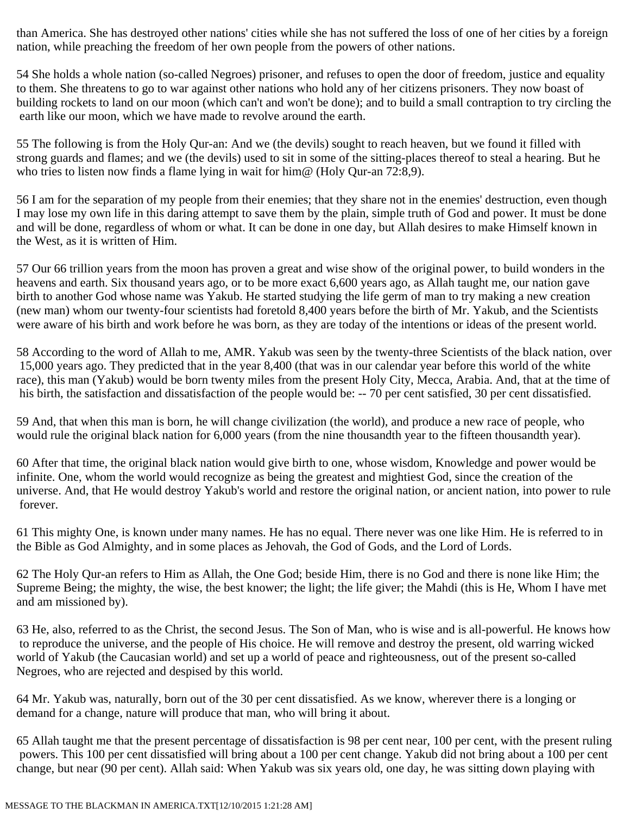than America. She has destroyed other nations' cities while she has not suffered the loss of one of her cities by a foreign nation, while preaching the freedom of her own people from the powers of other nations.

54 She holds a whole nation (so-called Negroes) prisoner, and refuses to open the door of freedom, justice and equality to them. She threatens to go to war against other nations who hold any of her citizens prisoners. They now boast of building rockets to land on our moon (which can't and won't be done); and to build a small contraption to try circling the earth like our moon, which we have made to revolve around the earth.

55 The following is from the Holy Qur-an: And we (the devils) sought to reach heaven, but we found it filled with strong guards and flames; and we (the devils) used to sit in some of the sitting-places thereof to steal a hearing. But he who tries to listen now finds a flame lying in wait for him@ (Holy Qur-an 72:8,9).

56 I am for the separation of my people from their enemies; that they share not in the enemies' destruction, even though I may lose my own life in this daring attempt to save them by the plain, simple truth of God and power. It must be done and will be done, regardless of whom or what. It can be done in one day, but Allah desires to make Himself known in the West, as it is written of Him.

57 Our 66 trillion years from the moon has proven a great and wise show of the original power, to build wonders in the heavens and earth. Six thousand years ago, or to be more exact 6,600 years ago, as Allah taught me, our nation gave birth to another God whose name was Yakub. He started studying the life germ of man to try making a new creation (new man) whom our twenty-four scientists had foretold 8,400 years before the birth of Mr. Yakub, and the Scientists were aware of his birth and work before he was born, as they are today of the intentions or ideas of the present world.

58 According to the word of Allah to me, AMR. Yakub was seen by the twenty-three Scientists of the black nation, over 15,000 years ago. They predicted that in the year 8,400 (that was in our calendar year before this world of the white race), this man (Yakub) would be born twenty miles from the present Holy City, Mecca, Arabia. And, that at the time of his birth, the satisfaction and dissatisfaction of the people would be: -- 70 per cent satisfied, 30 per cent dissatisfied.

59 And, that when this man is born, he will change civilization (the world), and produce a new race of people, who would rule the original black nation for 6,000 years (from the nine thousandth year to the fifteen thousandth year).

60 After that time, the original black nation would give birth to one, whose wisdom, Knowledge and power would be infinite. One, whom the world would recognize as being the greatest and mightiest God, since the creation of the universe. And, that He would destroy Yakub's world and restore the original nation, or ancient nation, into power to rule forever.

61 This mighty One, is known under many names. He has no equal. There never was one like Him. He is referred to in the Bible as God Almighty, and in some places as Jehovah, the God of Gods, and the Lord of Lords.

62 The Holy Qur-an refers to Him as Allah, the One God; beside Him, there is no God and there is none like Him; the Supreme Being; the mighty, the wise, the best knower; the light; the life giver; the Mahdi (this is He, Whom I have met and am missioned by).

63 He, also, referred to as the Christ, the second Jesus. The Son of Man, who is wise and is all-powerful. He knows how to reproduce the universe, and the people of His choice. He will remove and destroy the present, old warring wicked world of Yakub (the Caucasian world) and set up a world of peace and righteousness, out of the present so-called Negroes, who are rejected and despised by this world.

64 Mr. Yakub was, naturally, born out of the 30 per cent dissatisfied. As we know, wherever there is a longing or demand for a change, nature will produce that man, who will bring it about.

65 Allah taught me that the present percentage of dissatisfaction is 98 per cent near, 100 per cent, with the present ruling powers. This 100 per cent dissatisfied will bring about a 100 per cent change. Yakub did not bring about a 100 per cent change, but near (90 per cent). Allah said: When Yakub was six years old, one day, he was sitting down playing with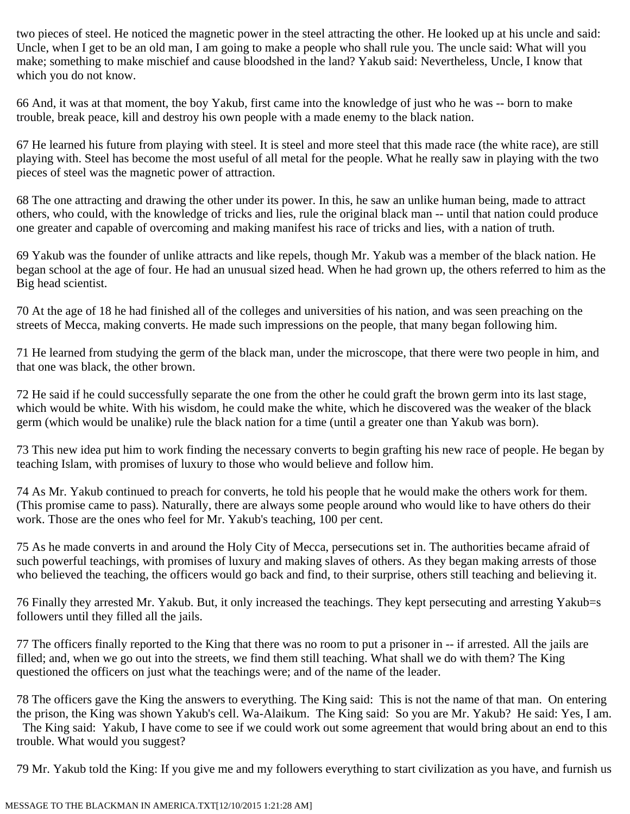two pieces of steel. He noticed the magnetic power in the steel attracting the other. He looked up at his uncle and said: Uncle, when I get to be an old man, I am going to make a people who shall rule you. The uncle said: What will you make; something to make mischief and cause bloodshed in the land? Yakub said: Nevertheless, Uncle, I know that which you do not know.

66 And, it was at that moment, the boy Yakub, first came into the knowledge of just who he was -- born to make trouble, break peace, kill and destroy his own people with a made enemy to the black nation.

67 He learned his future from playing with steel. It is steel and more steel that this made race (the white race), are still playing with. Steel has become the most useful of all metal for the people. What he really saw in playing with the two pieces of steel was the magnetic power of attraction.

68 The one attracting and drawing the other under its power. In this, he saw an unlike human being, made to attract others, who could, with the knowledge of tricks and lies, rule the original black man -- until that nation could produce one greater and capable of overcoming and making manifest his race of tricks and lies, with a nation of truth.

69 Yakub was the founder of unlike attracts and like repels, though Mr. Yakub was a member of the black nation. He began school at the age of four. He had an unusual sized head. When he had grown up, the others referred to him as the Big head scientist.

70 At the age of 18 he had finished all of the colleges and universities of his nation, and was seen preaching on the streets of Mecca, making converts. He made such impressions on the people, that many began following him.

71 He learned from studying the germ of the black man, under the microscope, that there were two people in him, and that one was black, the other brown.

72 He said if he could successfully separate the one from the other he could graft the brown germ into its last stage, which would be white. With his wisdom, he could make the white, which he discovered was the weaker of the black germ (which would be unalike) rule the black nation for a time (until a greater one than Yakub was born).

73 This new idea put him to work finding the necessary converts to begin grafting his new race of people. He began by teaching Islam, with promises of luxury to those who would believe and follow him.

74 As Mr. Yakub continued to preach for converts, he told his people that he would make the others work for them. (This promise came to pass). Naturally, there are always some people around who would like to have others do their work. Those are the ones who feel for Mr. Yakub's teaching, 100 per cent.

75 As he made converts in and around the Holy City of Mecca, persecutions set in. The authorities became afraid of such powerful teachings, with promises of luxury and making slaves of others. As they began making arrests of those who believed the teaching, the officers would go back and find, to their surprise, others still teaching and believing it.

76 Finally they arrested Mr. Yakub. But, it only increased the teachings. They kept persecuting and arresting Yakub=s followers until they filled all the jails.

77 The officers finally reported to the King that there was no room to put a prisoner in -- if arrested. All the jails are filled; and, when we go out into the streets, we find them still teaching. What shall we do with them? The King questioned the officers on just what the teachings were; and of the name of the leader.

78 The officers gave the King the answers to everything. The King said: This is not the name of that man. On entering the prison, the King was shown Yakub's cell. Wa-Alaikum. The King said: So you are Mr. Yakub? He said: Yes, I am. The King said: Yakub, I have come to see if we could work out some agreement that would bring about an end to this

trouble. What would you suggest?

79 Mr. Yakub told the King: If you give me and my followers everything to start civilization as you have, and furnish us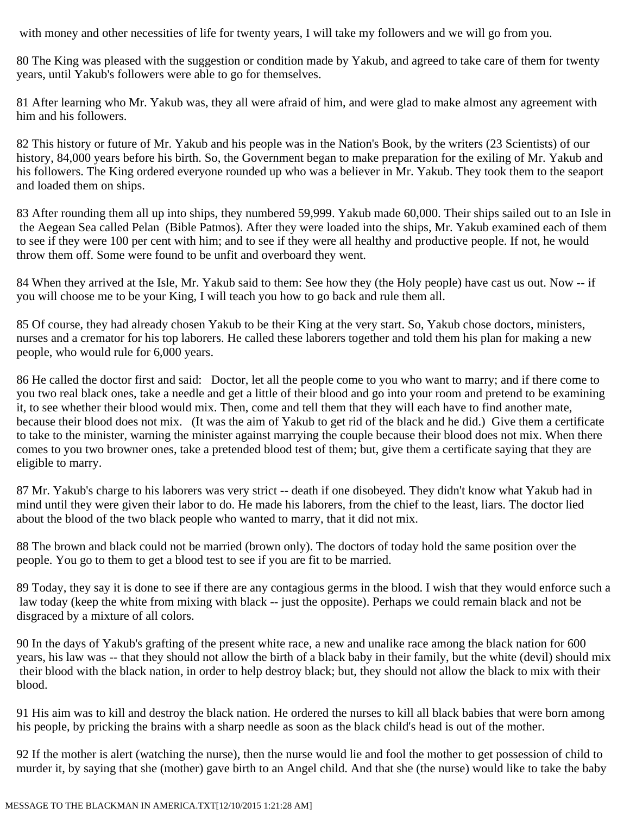with money and other necessities of life for twenty years, I will take my followers and we will go from you.

80 The King was pleased with the suggestion or condition made by Yakub, and agreed to take care of them for twenty years, until Yakub's followers were able to go for themselves.

81 After learning who Mr. Yakub was, they all were afraid of him, and were glad to make almost any agreement with him and his followers.

82 This history or future of Mr. Yakub and his people was in the Nation's Book, by the writers (23 Scientists) of our history, 84,000 years before his birth. So, the Government began to make preparation for the exiling of Mr. Yakub and his followers. The King ordered everyone rounded up who was a believer in Mr. Yakub. They took them to the seaport and loaded them on ships.

83 After rounding them all up into ships, they numbered 59,999. Yakub made 60,000. Their ships sailed out to an Isle in the Aegean Sea called Pelan (Bible Patmos). After they were loaded into the ships, Mr. Yakub examined each of them to see if they were 100 per cent with him; and to see if they were all healthy and productive people. If not, he would throw them off. Some were found to be unfit and overboard they went.

84 When they arrived at the Isle, Mr. Yakub said to them: See how they (the Holy people) have cast us out. Now -- if you will choose me to be your King, I will teach you how to go back and rule them all.

85 Of course, they had already chosen Yakub to be their King at the very start. So, Yakub chose doctors, ministers, nurses and a cremator for his top laborers. He called these laborers together and told them his plan for making a new people, who would rule for 6,000 years.

86 He called the doctor first and said: Doctor, let all the people come to you who want to marry; and if there come to you two real black ones, take a needle and get a little of their blood and go into your room and pretend to be examining it, to see whether their blood would mix. Then, come and tell them that they will each have to find another mate, because their blood does not mix. (It was the aim of Yakub to get rid of the black and he did.) Give them a certificate to take to the minister, warning the minister against marrying the couple because their blood does not mix. When there comes to you two browner ones, take a pretended blood test of them; but, give them a certificate saying that they are eligible to marry.

87 Mr. Yakub's charge to his laborers was very strict -- death if one disobeyed. They didn't know what Yakub had in mind until they were given their labor to do. He made his laborers, from the chief to the least, liars. The doctor lied about the blood of the two black people who wanted to marry, that it did not mix.

88 The brown and black could not be married (brown only). The doctors of today hold the same position over the people. You go to them to get a blood test to see if you are fit to be married.

89 Today, they say it is done to see if there are any contagious germs in the blood. I wish that they would enforce such a law today (keep the white from mixing with black -- just the opposite). Perhaps we could remain black and not be disgraced by a mixture of all colors.

90 In the days of Yakub's grafting of the present white race, a new and unalike race among the black nation for 600 years, his law was -- that they should not allow the birth of a black baby in their family, but the white (devil) should mix their blood with the black nation, in order to help destroy black; but, they should not allow the black to mix with their blood.

91 His aim was to kill and destroy the black nation. He ordered the nurses to kill all black babies that were born among his people, by pricking the brains with a sharp needle as soon as the black child's head is out of the mother.

92 If the mother is alert (watching the nurse), then the nurse would lie and fool the mother to get possession of child to murder it, by saying that she (mother) gave birth to an Angel child. And that she (the nurse) would like to take the baby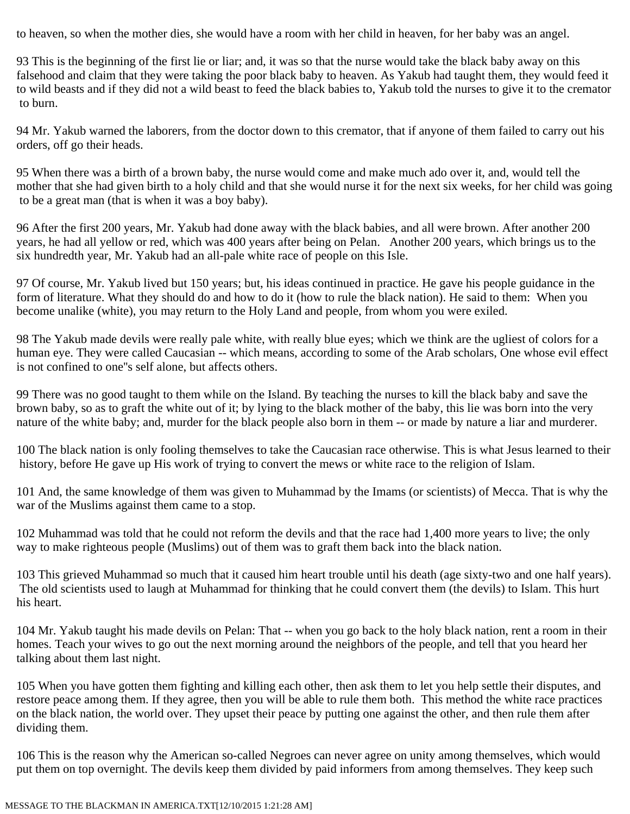to heaven, so when the mother dies, she would have a room with her child in heaven, for her baby was an angel.

93 This is the beginning of the first lie or liar; and, it was so that the nurse would take the black baby away on this falsehood and claim that they were taking the poor black baby to heaven. As Yakub had taught them, they would feed it to wild beasts and if they did not a wild beast to feed the black babies to, Yakub told the nurses to give it to the cremator to burn.

94 Mr. Yakub warned the laborers, from the doctor down to this cremator, that if anyone of them failed to carry out his orders, off go their heads.

95 When there was a birth of a brown baby, the nurse would come and make much ado over it, and, would tell the mother that she had given birth to a holy child and that she would nurse it for the next six weeks, for her child was going to be a great man (that is when it was a boy baby).

96 After the first 200 years, Mr. Yakub had done away with the black babies, and all were brown. After another 200 years, he had all yellow or red, which was 400 years after being on Pelan. Another 200 years, which brings us to the six hundredth year, Mr. Yakub had an all-pale white race of people on this Isle.

97 Of course, Mr. Yakub lived but 150 years; but, his ideas continued in practice. He gave his people guidance in the form of literature. What they should do and how to do it (how to rule the black nation). He said to them: When you become unalike (white), you may return to the Holy Land and people, from whom you were exiled.

98 The Yakub made devils were really pale white, with really blue eyes; which we think are the ugliest of colors for a human eye. They were called Caucasian -- which means, according to some of the Arab scholars, One whose evil effect is not confined to one''s self alone, but affects others.

99 There was no good taught to them while on the Island. By teaching the nurses to kill the black baby and save the brown baby, so as to graft the white out of it; by lying to the black mother of the baby, this lie was born into the very nature of the white baby; and, murder for the black people also born in them -- or made by nature a liar and murderer.

100 The black nation is only fooling themselves to take the Caucasian race otherwise. This is what Jesus learned to their history, before He gave up His work of trying to convert the mews or white race to the religion of Islam.

101 And, the same knowledge of them was given to Muhammad by the Imams (or scientists) of Mecca. That is why the war of the Muslims against them came to a stop.

102 Muhammad was told that he could not reform the devils and that the race had 1,400 more years to live; the only way to make righteous people (Muslims) out of them was to graft them back into the black nation.

103 This grieved Muhammad so much that it caused him heart trouble until his death (age sixty-two and one half years). The old scientists used to laugh at Muhammad for thinking that he could convert them (the devils) to Islam. This hurt his heart.

104 Mr. Yakub taught his made devils on Pelan: That -- when you go back to the holy black nation, rent a room in their homes. Teach your wives to go out the next morning around the neighbors of the people, and tell that you heard her talking about them last night.

105 When you have gotten them fighting and killing each other, then ask them to let you help settle their disputes, and restore peace among them. If they agree, then you will be able to rule them both. This method the white race practices on the black nation, the world over. They upset their peace by putting one against the other, and then rule them after dividing them.

106 This is the reason why the American so-called Negroes can never agree on unity among themselves, which would put them on top overnight. The devils keep them divided by paid informers from among themselves. They keep such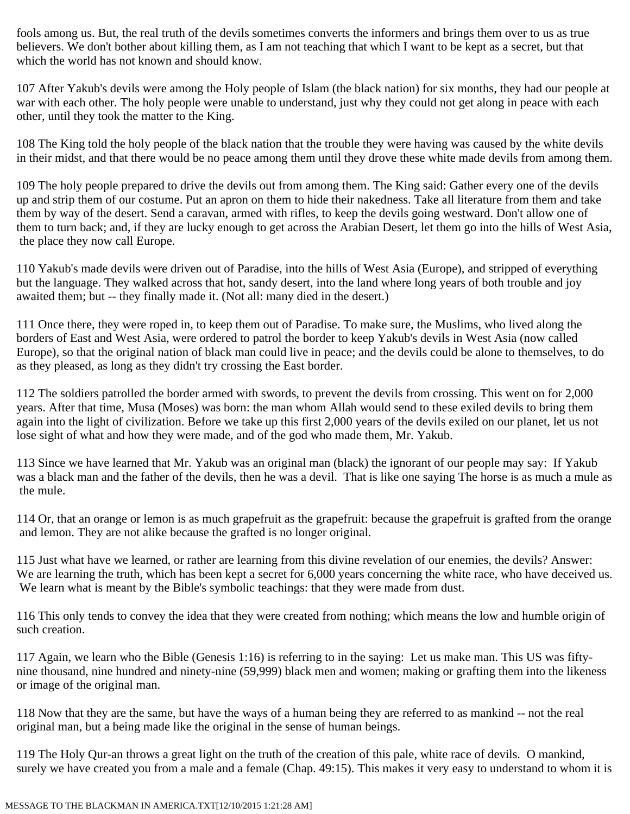fools among us. But, the real truth of the devils sometimes converts the informers and brings them over to us as true believers. We don't bother about killing them, as I am not teaching that which I want to be kept as a secret, but that which the world has not known and should know.

107 After Yakub's devils were among the Holy people of Islam (the black nation) for six months, they had our people at war with each other. The holy people were unable to understand, just why they could not get along in peace with each other, until they took the matter to the King.

108 The King told the holy people of the black nation that the trouble they were having was caused by the white devils in their midst, and that there would be no peace among them until they drove these white made devils from among them.

109 The holy people prepared to drive the devils out from among them. The King said: Gather every one of the devils up and strip them of our costume. Put an apron on them to hide their nakedness. Take all literature from them and take them by way of the desert. Send a caravan, armed with rifles, to keep the devils going westward. Don't allow one of them to turn back; and, if they are lucky enough to get across the Arabian Desert, let them go into the hills of West Asia, the place they now call Europe.

110 Yakub's made devils were driven out of Paradise, into the hills of West Asia (Europe), and stripped of everything but the language. They walked across that hot, sandy desert, into the land where long years of both trouble and joy awaited them; but -- they finally made it. (Not all: many died in the desert.)

111 Once there, they were roped in, to keep them out of Paradise. To make sure, the Muslims, who lived along the borders of East and West Asia, were ordered to patrol the border to keep Yakub's devils in West Asia (now called Europe), so that the original nation of black man could live in peace; and the devils could be alone to themselves, to do as they pleased, as long as they didn't try crossing the East border.

112 The soldiers patrolled the border armed with swords, to prevent the devils from crossing. This went on for 2,000 years. After that time, Musa (Moses) was born: the man whom Allah would send to these exiled devils to bring them again into the light of civilization. Before we take up this first 2,000 years of the devils exiled on our planet, let us not lose sight of what and how they were made, and of the god who made them, Mr. Yakub.

113 Since we have learned that Mr. Yakub was an original man (black) the ignorant of our people may say: If Yakub was a black man and the father of the devils, then he was a devil. That is like one saying The horse is as much a mule as the mule.

114 Or, that an orange or lemon is as much grapefruit as the grapefruit: because the grapefruit is grafted from the orange and lemon. They are not alike because the grafted is no longer original.

115 Just what have we learned, or rather are learning from this divine revelation of our enemies, the devils? Answer: We are learning the truth, which has been kept a secret for 6,000 years concerning the white race, who have deceived us. We learn what is meant by the Bible's symbolic teachings: that they were made from dust.

116 This only tends to convey the idea that they were created from nothing; which means the low and humble origin of such creation.

117 Again, we learn who the Bible (Genesis 1:16) is referring to in the saying: Let us make man. This US was fiftynine thousand, nine hundred and ninety-nine (59,999) black men and women; making or grafting them into the likeness or image of the original man.

118 Now that they are the same, but have the ways of a human being they are referred to as mankind -- not the real original man, but a being made like the original in the sense of human beings.

119 The Holy Qur-an throws a great light on the truth of the creation of this pale, white race of devils. O mankind, surely we have created you from a male and a female (Chap. 49:15). This makes it very easy to understand to whom it is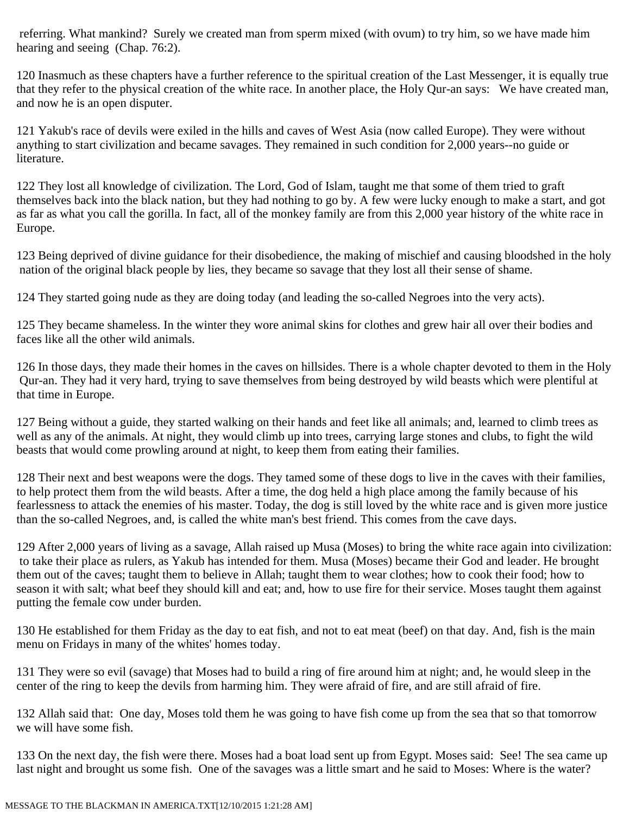referring. What mankind? Surely we created man from sperm mixed (with ovum) to try him, so we have made him hearing and seeing (Chap. 76:2).

120 Inasmuch as these chapters have a further reference to the spiritual creation of the Last Messenger, it is equally true that they refer to the physical creation of the white race. In another place, the Holy Qur-an says: We have created man, and now he is an open disputer.

121 Yakub's race of devils were exiled in the hills and caves of West Asia (now called Europe). They were without anything to start civilization and became savages. They remained in such condition for 2,000 years--no guide or literature.

122 They lost all knowledge of civilization. The Lord, God of Islam, taught me that some of them tried to graft themselves back into the black nation, but they had nothing to go by. A few were lucky enough to make a start, and got as far as what you call the gorilla. In fact, all of the monkey family are from this 2,000 year history of the white race in Europe.

123 Being deprived of divine guidance for their disobedience, the making of mischief and causing bloodshed in the holy nation of the original black people by lies, they became so savage that they lost all their sense of shame.

124 They started going nude as they are doing today (and leading the so-called Negroes into the very acts).

125 They became shameless. In the winter they wore animal skins for clothes and grew hair all over their bodies and faces like all the other wild animals.

126 In those days, they made their homes in the caves on hillsides. There is a whole chapter devoted to them in the Holy Qur-an. They had it very hard, trying to save themselves from being destroyed by wild beasts which were plentiful at that time in Europe.

127 Being without a guide, they started walking on their hands and feet like all animals; and, learned to climb trees as well as any of the animals. At night, they would climb up into trees, carrying large stones and clubs, to fight the wild beasts that would come prowling around at night, to keep them from eating their families.

128 Their next and best weapons were the dogs. They tamed some of these dogs to live in the caves with their families, to help protect them from the wild beasts. After a time, the dog held a high place among the family because of his fearlessness to attack the enemies of his master. Today, the dog is still loved by the white race and is given more justice than the so-called Negroes, and, is called the white man's best friend. This comes from the cave days.

129 After 2,000 years of living as a savage, Allah raised up Musa (Moses) to bring the white race again into civilization: to take their place as rulers, as Yakub has intended for them. Musa (Moses) became their God and leader. He brought them out of the caves; taught them to believe in Allah; taught them to wear clothes; how to cook their food; how to season it with salt; what beef they should kill and eat; and, how to use fire for their service. Moses taught them against putting the female cow under burden.

130 He established for them Friday as the day to eat fish, and not to eat meat (beef) on that day. And, fish is the main menu on Fridays in many of the whites' homes today.

131 They were so evil (savage) that Moses had to build a ring of fire around him at night; and, he would sleep in the center of the ring to keep the devils from harming him. They were afraid of fire, and are still afraid of fire.

132 Allah said that: One day, Moses told them he was going to have fish come up from the sea that so that tomorrow we will have some fish.

133 On the next day, the fish were there. Moses had a boat load sent up from Egypt. Moses said: See! The sea came up last night and brought us some fish. One of the savages was a little smart and he said to Moses: Where is the water?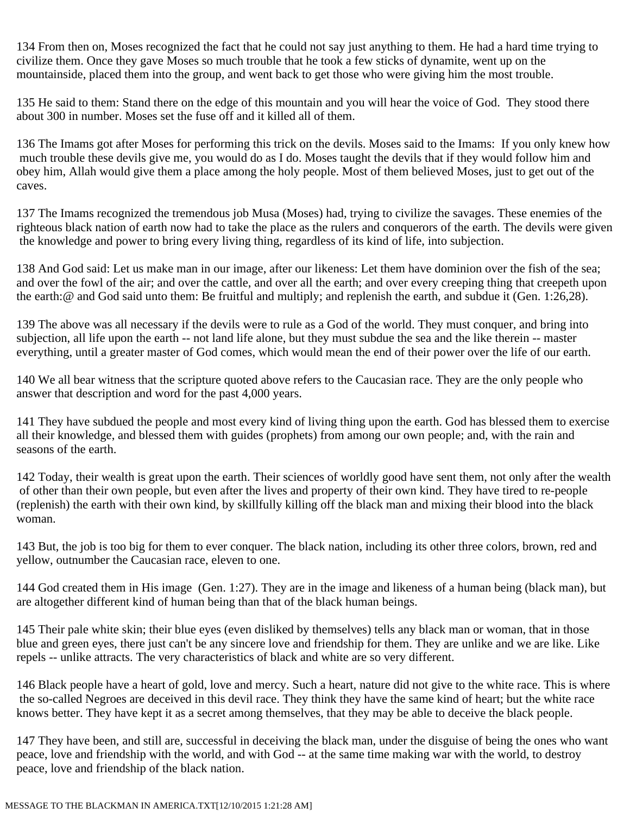134 From then on, Moses recognized the fact that he could not say just anything to them. He had a hard time trying to civilize them. Once they gave Moses so much trouble that he took a few sticks of dynamite, went up on the mountainside, placed them into the group, and went back to get those who were giving him the most trouble.

135 He said to them: Stand there on the edge of this mountain and you will hear the voice of God. They stood there about 300 in number. Moses set the fuse off and it killed all of them.

136 The Imams got after Moses for performing this trick on the devils. Moses said to the Imams: If you only knew how much trouble these devils give me, you would do as I do. Moses taught the devils that if they would follow him and obey him, Allah would give them a place among the holy people. Most of them believed Moses, just to get out of the caves.

137 The Imams recognized the tremendous job Musa (Moses) had, trying to civilize the savages. These enemies of the righteous black nation of earth now had to take the place as the rulers and conquerors of the earth. The devils were given the knowledge and power to bring every living thing, regardless of its kind of life, into subjection.

138 And God said: Let us make man in our image, after our likeness: Let them have dominion over the fish of the sea; and over the fowl of the air; and over the cattle, and over all the earth; and over every creeping thing that creepeth upon the earth:@ and God said unto them: Be fruitful and multiply; and replenish the earth, and subdue it (Gen. 1:26,28).

139 The above was all necessary if the devils were to rule as a God of the world. They must conquer, and bring into subjection, all life upon the earth -- not land life alone, but they must subdue the sea and the like therein -- master everything, until a greater master of God comes, which would mean the end of their power over the life of our earth.

140 We all bear witness that the scripture quoted above refers to the Caucasian race. They are the only people who answer that description and word for the past 4,000 years.

141 They have subdued the people and most every kind of living thing upon the earth. God has blessed them to exercise all their knowledge, and blessed them with guides (prophets) from among our own people; and, with the rain and seasons of the earth.

142 Today, their wealth is great upon the earth. Their sciences of worldly good have sent them, not only after the wealth of other than their own people, but even after the lives and property of their own kind. They have tired to re-people (replenish) the earth with their own kind, by skillfully killing off the black man and mixing their blood into the black woman.

143 But, the job is too big for them to ever conquer. The black nation, including its other three colors, brown, red and yellow, outnumber the Caucasian race, eleven to one.

144 God created them in His image (Gen. 1:27). They are in the image and likeness of a human being (black man), but are altogether different kind of human being than that of the black human beings.

145 Their pale white skin; their blue eyes (even disliked by themselves) tells any black man or woman, that in those blue and green eyes, there just can't be any sincere love and friendship for them. They are unlike and we are like. Like repels -- unlike attracts. The very characteristics of black and white are so very different.

146 Black people have a heart of gold, love and mercy. Such a heart, nature did not give to the white race. This is where the so-called Negroes are deceived in this devil race. They think they have the same kind of heart; but the white race knows better. They have kept it as a secret among themselves, that they may be able to deceive the black people.

147 They have been, and still are, successful in deceiving the black man, under the disguise of being the ones who want peace, love and friendship with the world, and with God -- at the same time making war with the world, to destroy peace, love and friendship of the black nation.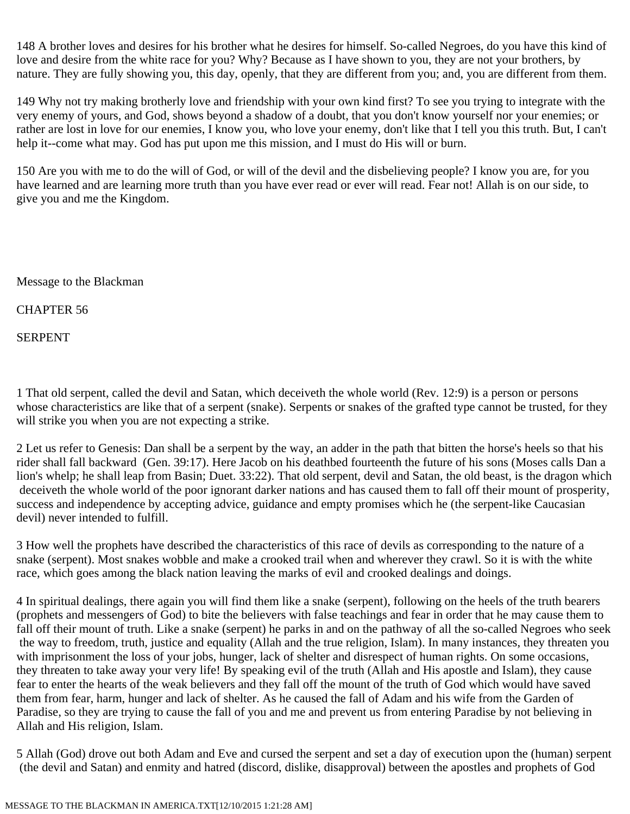148 A brother loves and desires for his brother what he desires for himself. So-called Negroes, do you have this kind of love and desire from the white race for you? Why? Because as I have shown to you, they are not your brothers, by nature. They are fully showing you, this day, openly, that they are different from you; and, you are different from them.

149 Why not try making brotherly love and friendship with your own kind first? To see you trying to integrate with the very enemy of yours, and God, shows beyond a shadow of a doubt, that you don't know yourself nor your enemies; or rather are lost in love for our enemies, I know you, who love your enemy, don't like that I tell you this truth. But, I can't help it--come what may. God has put upon me this mission, and I must do His will or burn.

150 Are you with me to do the will of God, or will of the devil and the disbelieving people? I know you are, for you have learned and are learning more truth than you have ever read or ever will read. Fear not! Allah is on our side, to give you and me the Kingdom.

Message to the Blackman

CHAPTER 56

SERPENT

1 That old serpent, called the devil and Satan, which deceiveth the whole world (Rev. 12:9) is a person or persons whose characteristics are like that of a serpent (snake). Serpents or snakes of the grafted type cannot be trusted, for they will strike you when you are not expecting a strike.

2 Let us refer to Genesis: Dan shall be a serpent by the way, an adder in the path that bitten the horse's heels so that his rider shall fall backward (Gen. 39:17). Here Jacob on his deathbed fourteenth the future of his sons (Moses calls Dan a lion's whelp; he shall leap from Basin; Duet. 33:22). That old serpent, devil and Satan, the old beast, is the dragon which deceiveth the whole world of the poor ignorant darker nations and has caused them to fall off their mount of prosperity, success and independence by accepting advice, guidance and empty promises which he (the serpent-like Caucasian devil) never intended to fulfill.

3 How well the prophets have described the characteristics of this race of devils as corresponding to the nature of a snake (serpent). Most snakes wobble and make a crooked trail when and wherever they crawl. So it is with the white race, which goes among the black nation leaving the marks of evil and crooked dealings and doings.

4 In spiritual dealings, there again you will find them like a snake (serpent), following on the heels of the truth bearers (prophets and messengers of God) to bite the believers with false teachings and fear in order that he may cause them to fall off their mount of truth. Like a snake (serpent) he parks in and on the pathway of all the so-called Negroes who seek the way to freedom, truth, justice and equality (Allah and the true religion, Islam). In many instances, they threaten you with imprisonment the loss of your jobs, hunger, lack of shelter and disrespect of human rights. On some occasions, they threaten to take away your very life! By speaking evil of the truth (Allah and His apostle and Islam), they cause fear to enter the hearts of the weak believers and they fall off the mount of the truth of God which would have saved them from fear, harm, hunger and lack of shelter. As he caused the fall of Adam and his wife from the Garden of Paradise, so they are trying to cause the fall of you and me and prevent us from entering Paradise by not believing in Allah and His religion, Islam.

5 Allah (God) drove out both Adam and Eve and cursed the serpent and set a day of execution upon the (human) serpent (the devil and Satan) and enmity and hatred (discord, dislike, disapproval) between the apostles and prophets of God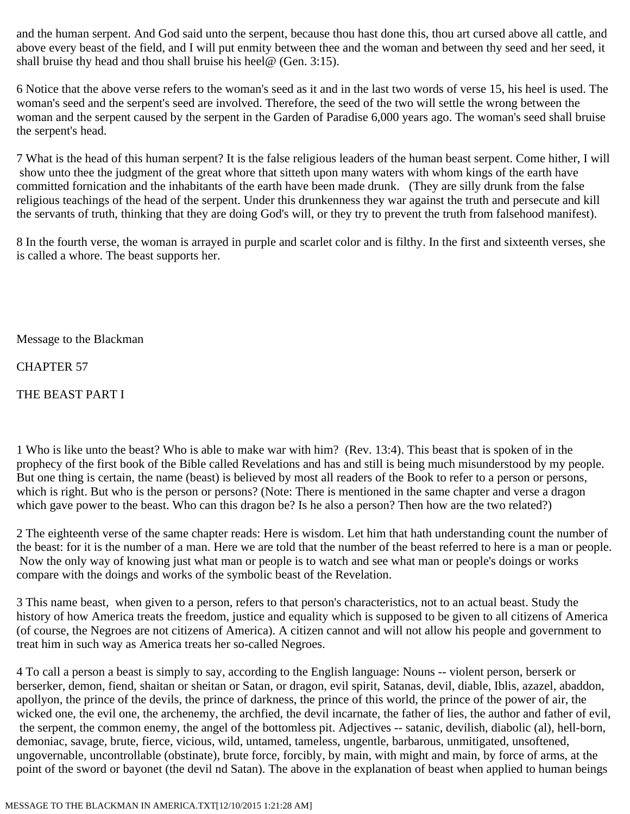and the human serpent. And God said unto the serpent, because thou hast done this, thou art cursed above all cattle, and above every beast of the field, and I will put enmity between thee and the woman and between thy seed and her seed, it shall bruise thy head and thou shall bruise his heel@ (Gen. 3:15).

6 Notice that the above verse refers to the woman's seed as it and in the last two words of verse 15, his heel is used. The woman's seed and the serpent's seed are involved. Therefore, the seed of the two will settle the wrong between the woman and the serpent caused by the serpent in the Garden of Paradise 6,000 years ago. The woman's seed shall bruise the serpent's head.

7 What is the head of this human serpent? It is the false religious leaders of the human beast serpent. Come hither, I will show unto thee the judgment of the great whore that sitteth upon many waters with whom kings of the earth have committed fornication and the inhabitants of the earth have been made drunk. (They are silly drunk from the false religious teachings of the head of the serpent. Under this drunkenness they war against the truth and persecute and kill the servants of truth, thinking that they are doing God's will, or they try to prevent the truth from falsehood manifest).

8 In the fourth verse, the woman is arrayed in purple and scarlet color and is filthy. In the first and sixteenth verses, she is called a whore. The beast supports her.

Message to the Blackman

CHAPTER 57

THE BEAST PART I

1 Who is like unto the beast? Who is able to make war with him? (Rev. 13:4). This beast that is spoken of in the prophecy of the first book of the Bible called Revelations and has and still is being much misunderstood by my people. But one thing is certain, the name (beast) is believed by most all readers of the Book to refer to a person or persons, which is right. But who is the person or persons? (Note: There is mentioned in the same chapter and verse a dragon which gave power to the beast. Who can this dragon be? Is he also a person? Then how are the two related?)

2 The eighteenth verse of the same chapter reads: Here is wisdom. Let him that hath understanding count the number of the beast: for it is the number of a man. Here we are told that the number of the beast referred to here is a man or people. Now the only way of knowing just what man or people is to watch and see what man or people's doings or works compare with the doings and works of the symbolic beast of the Revelation.

3 This name beast, when given to a person, refers to that person's characteristics, not to an actual beast. Study the history of how America treats the freedom, justice and equality which is supposed to be given to all citizens of America (of course, the Negroes are not citizens of America). A citizen cannot and will not allow his people and government to treat him in such way as America treats her so-called Negroes.

4 To call a person a beast is simply to say, according to the English language: Nouns -- violent person, berserk or berserker, demon, fiend, shaitan or sheitan or Satan, or dragon, evil spirit, Satanas, devil, diable, Iblis, azazel, abaddon, apollyon, the prince of the devils, the prince of darkness, the prince of this world, the prince of the power of air, the wicked one, the evil one, the archenemy, the archfied, the devil incarnate, the father of lies, the author and father of evil, the serpent, the common enemy, the angel of the bottomless pit. Adjectives -- satanic, devilish, diabolic (al), hell-born, demoniac, savage, brute, fierce, vicious, wild, untamed, tameless, ungentle, barbarous, unmitigated, unsoftened, ungovernable, uncontrollable (obstinate), brute force, forcibly, by main, with might and main, by force of arms, at the point of the sword or bayonet (the devil nd Satan). The above in the explanation of beast when applied to human beings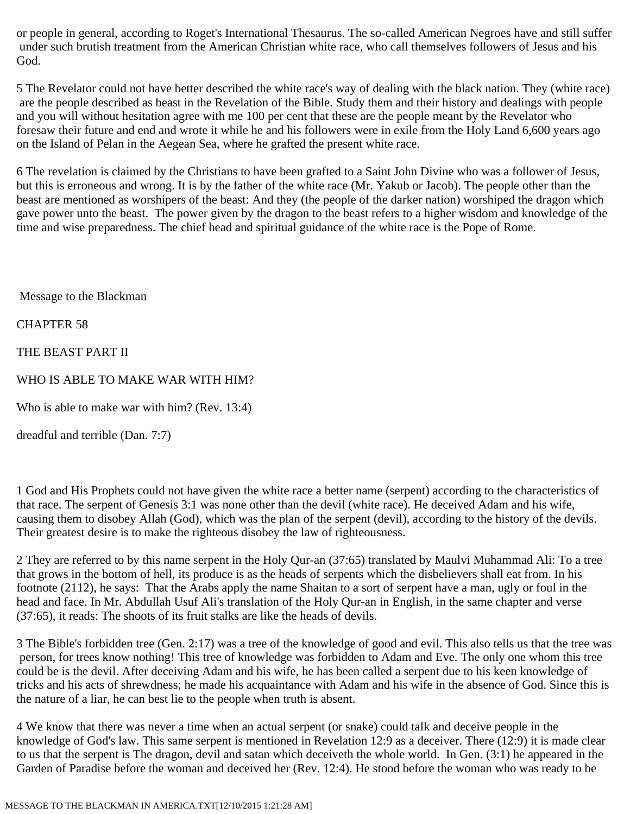or people in general, according to Roget's International Thesaurus. The so-called American Negroes have and still suffer under such brutish treatment from the American Christian white race, who call themselves followers of Jesus and his God.

5 The Revelator could not have better described the white race's way of dealing with the black nation. They (white race) are the people described as beast in the Revelation of the Bible. Study them and their history and dealings with people and you will without hesitation agree with me 100 per cent that these are the people meant by the Revelator who foresaw their future and end and wrote it while he and his followers were in exile from the Holy Land 6,600 years ago on the Island of Pelan in the Aegean Sea, where he grafted the present white race.

6 The revelation is claimed by the Christians to have been grafted to a Saint John Divine who was a follower of Jesus, but this is erroneous and wrong. It is by the father of the white race (Mr. Yakub or Jacob). The people other than the beast are mentioned as worshipers of the beast: And they (the people of the darker nation) worshiped the dragon which gave power unto the beast. The power given by the dragon to the beast refers to a higher wisdom and knowledge of the time and wise preparedness. The chief head and spiritual guidance of the white race is the Pope of Rome.

Message to the Blackman

CHAPTER 58

THE BEAST PART II

### WHO IS ABLE TO MAKE WAR WITH HIM?

Who is able to make war with him? (Rev. 13:4)

dreadful and terrible (Dan. 7:7)

1 God and His Prophets could not have given the white race a better name (serpent) according to the characteristics of that race. The serpent of Genesis 3:1 was none other than the devil (white race). He deceived Adam and his wife, causing them to disobey Allah (God), which was the plan of the serpent (devil), according to the history of the devils. Their greatest desire is to make the righteous disobey the law of righteousness.

2 They are referred to by this name serpent in the Holy Qur-an (37:65) translated by Maulvi Muhammad Ali: To a tree that grows in the bottom of hell, its produce is as the heads of serpents which the disbelievers shall eat from. In his footnote (2112), he says: That the Arabs apply the name Shaitan to a sort of serpent have a man, ugly or foul in the head and face. In Mr. Abdullah Usuf Ali's translation of the Holy Qur-an in English, in the same chapter and verse (37:65), it reads: The shoots of its fruit stalks are like the heads of devils.

3 The Bible's forbidden tree (Gen. 2:17) was a tree of the knowledge of good and evil. This also tells us that the tree was person, for trees know nothing! This tree of knowledge was forbidden to Adam and Eve. The only one whom this tree could be is the devil. After deceiving Adam and his wife, he has been called a serpent due to his keen knowledge of tricks and his acts of shrewdness; he made his acquaintance with Adam and his wife in the absence of God. Since this is the nature of a liar, he can best lie to the people when truth is absent.

4 We know that there was never a time when an actual serpent (or snake) could talk and deceive people in the knowledge of God's law. This same serpent is mentioned in Revelation 12:9 as a deceiver. There (12:9) it is made clear to us that the serpent is The dragon, devil and satan which deceiveth the whole world. In Gen. (3:1) he appeared in the Garden of Paradise before the woman and deceived her (Rev. 12:4). He stood before the woman who was ready to be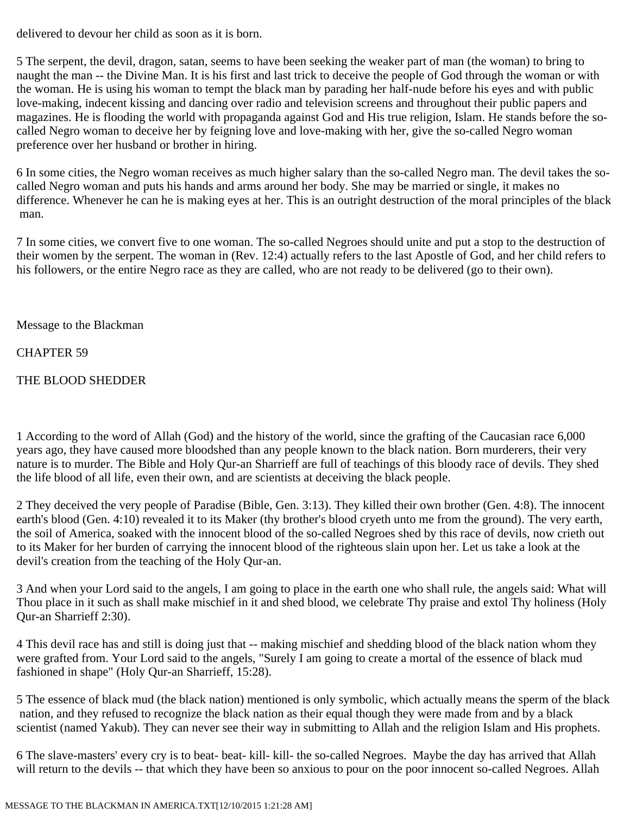delivered to devour her child as soon as it is born.

5 The serpent, the devil, dragon, satan, seems to have been seeking the weaker part of man (the woman) to bring to naught the man -- the Divine Man. It is his first and last trick to deceive the people of God through the woman or with the woman. He is using his woman to tempt the black man by parading her half-nude before his eyes and with public love-making, indecent kissing and dancing over radio and television screens and throughout their public papers and magazines. He is flooding the world with propaganda against God and His true religion, Islam. He stands before the socalled Negro woman to deceive her by feigning love and love-making with her, give the so-called Negro woman preference over her husband or brother in hiring.

6 In some cities, the Negro woman receives as much higher salary than the so-called Negro man. The devil takes the socalled Negro woman and puts his hands and arms around her body. She may be married or single, it makes no difference. Whenever he can he is making eyes at her. This is an outright destruction of the moral principles of the black man.

7 In some cities, we convert five to one woman. The so-called Negroes should unite and put a stop to the destruction of their women by the serpent. The woman in (Rev. 12:4) actually refers to the last Apostle of God, and her child refers to his followers, or the entire Negro race as they are called, who are not ready to be delivered (go to their own).

Message to the Blackman

CHAPTER 59

THE BLOOD SHEDDER

1 According to the word of Allah (God) and the history of the world, since the grafting of the Caucasian race 6,000 years ago, they have caused more bloodshed than any people known to the black nation. Born murderers, their very nature is to murder. The Bible and Holy Qur-an Sharrieff are full of teachings of this bloody race of devils. They shed the life blood of all life, even their own, and are scientists at deceiving the black people.

2 They deceived the very people of Paradise (Bible, Gen. 3:13). They killed their own brother (Gen. 4:8). The innocent earth's blood (Gen. 4:10) revealed it to its Maker (thy brother's blood cryeth unto me from the ground). The very earth, the soil of America, soaked with the innocent blood of the so-called Negroes shed by this race of devils, now crieth out to its Maker for her burden of carrying the innocent blood of the righteous slain upon her. Let us take a look at the devil's creation from the teaching of the Holy Qur-an.

3 And when your Lord said to the angels, I am going to place in the earth one who shall rule, the angels said: What will Thou place in it such as shall make mischief in it and shed blood, we celebrate Thy praise and extol Thy holiness (Holy Qur-an Sharrieff 2:30).

4 This devil race has and still is doing just that -- making mischief and shedding blood of the black nation whom they were grafted from. Your Lord said to the angels, "Surely I am going to create a mortal of the essence of black mud fashioned in shape" (Holy Qur-an Sharrieff, 15:28).

5 The essence of black mud (the black nation) mentioned is only symbolic, which actually means the sperm of the black nation, and they refused to recognize the black nation as their equal though they were made from and by a black scientist (named Yakub). They can never see their way in submitting to Allah and the religion Islam and His prophets.

6 The slave-masters' every cry is to beat- beat- kill- kill- the so-called Negroes. Maybe the day has arrived that Allah will return to the devils -- that which they have been so anxious to pour on the poor innocent so-called Negroes. Allah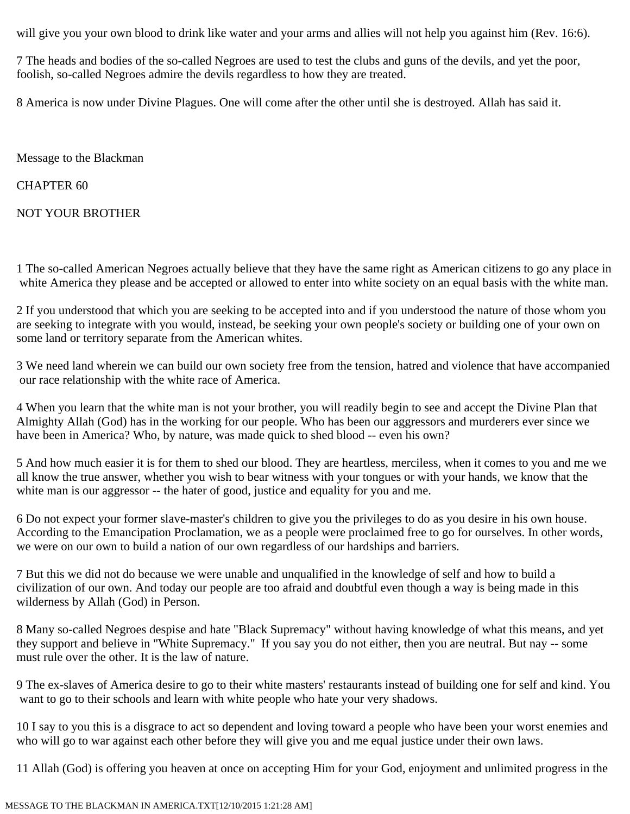will give you your own blood to drink like water and your arms and allies will not help you against him (Rev. 16:6).

7 The heads and bodies of the so-called Negroes are used to test the clubs and guns of the devils, and yet the poor, foolish, so-called Negroes admire the devils regardless to how they are treated.

8 America is now under Divine Plagues. One will come after the other until she is destroyed. Allah has said it.

Message to the Blackman

CHAPTER 60

NOT YOUR BROTHER

1 The so-called American Negroes actually believe that they have the same right as American citizens to go any place in white America they please and be accepted or allowed to enter into white society on an equal basis with the white man.

2 If you understood that which you are seeking to be accepted into and if you understood the nature of those whom you are seeking to integrate with you would, instead, be seeking your own people's society or building one of your own on some land or territory separate from the American whites.

3 We need land wherein we can build our own society free from the tension, hatred and violence that have accompanied our race relationship with the white race of America.

4 When you learn that the white man is not your brother, you will readily begin to see and accept the Divine Plan that Almighty Allah (God) has in the working for our people. Who has been our aggressors and murderers ever since we have been in America? Who, by nature, was made quick to shed blood -- even his own?

5 And how much easier it is for them to shed our blood. They are heartless, merciless, when it comes to you and me we all know the true answer, whether you wish to bear witness with your tongues or with your hands, we know that the white man is our aggressor -- the hater of good, justice and equality for you and me.

6 Do not expect your former slave-master's children to give you the privileges to do as you desire in his own house. According to the Emancipation Proclamation, we as a people were proclaimed free to go for ourselves. In other words, we were on our own to build a nation of our own regardless of our hardships and barriers.

7 But this we did not do because we were unable and unqualified in the knowledge of self and how to build a civilization of our own. And today our people are too afraid and doubtful even though a way is being made in this wilderness by Allah (God) in Person.

8 Many so-called Negroes despise and hate "Black Supremacy" without having knowledge of what this means, and yet they support and believe in "White Supremacy." If you say you do not either, then you are neutral. But nay -- some must rule over the other. It is the law of nature.

9 The ex-slaves of America desire to go to their white masters' restaurants instead of building one for self and kind. You want to go to their schools and learn with white people who hate your very shadows.

10 I say to you this is a disgrace to act so dependent and loving toward a people who have been your worst enemies and who will go to war against each other before they will give you and me equal justice under their own laws.

11 Allah (God) is offering you heaven at once on accepting Him for your God, enjoyment and unlimited progress in the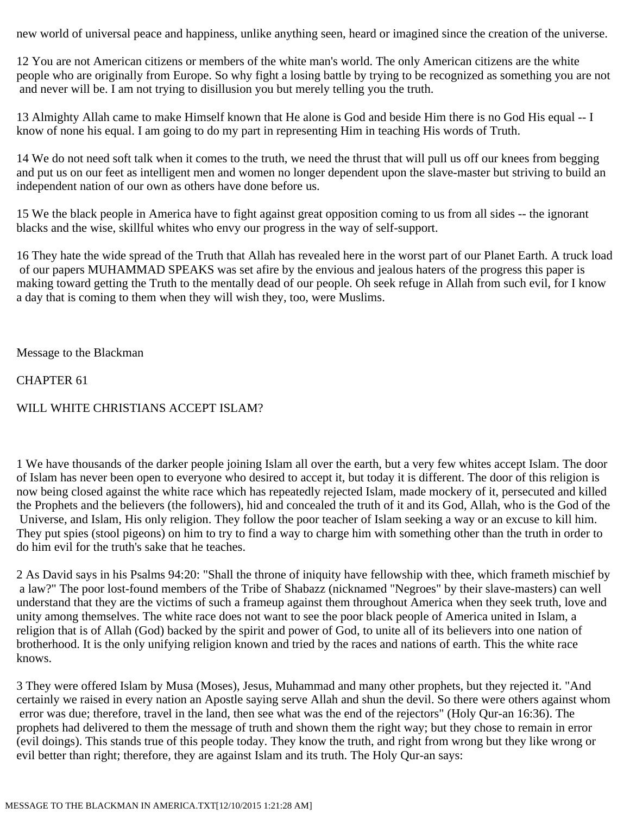new world of universal peace and happiness, unlike anything seen, heard or imagined since the creation of the universe.

12 You are not American citizens or members of the white man's world. The only American citizens are the white people who are originally from Europe. So why fight a losing battle by trying to be recognized as something you are not and never will be. I am not trying to disillusion you but merely telling you the truth.

13 Almighty Allah came to make Himself known that He alone is God and beside Him there is no God His equal -- I know of none his equal. I am going to do my part in representing Him in teaching His words of Truth.

14 We do not need soft talk when it comes to the truth, we need the thrust that will pull us off our knees from begging and put us on our feet as intelligent men and women no longer dependent upon the slave-master but striving to build an independent nation of our own as others have done before us.

15 We the black people in America have to fight against great opposition coming to us from all sides -- the ignorant blacks and the wise, skillful whites who envy our progress in the way of self-support.

16 They hate the wide spread of the Truth that Allah has revealed here in the worst part of our Planet Earth. A truck load of our papers MUHAMMAD SPEAKS was set afire by the envious and jealous haters of the progress this paper is making toward getting the Truth to the mentally dead of our people. Oh seek refuge in Allah from such evil, for I know a day that is coming to them when they will wish they, too, were Muslims.

Message to the Blackman

CHAPTER 61

# WILL WHITE CHRISTIANS ACCEPT ISLAM?

1 We have thousands of the darker people joining Islam all over the earth, but a very few whites accept Islam. The door of Islam has never been open to everyone who desired to accept it, but today it is different. The door of this religion is now being closed against the white race which has repeatedly rejected Islam, made mockery of it, persecuted and killed the Prophets and the believers (the followers), hid and concealed the truth of it and its God, Allah, who is the God of the Universe, and Islam, His only religion. They follow the poor teacher of Islam seeking a way or an excuse to kill him. They put spies (stool pigeons) on him to try to find a way to charge him with something other than the truth in order to do him evil for the truth's sake that he teaches.

2 As David says in his Psalms 94:20: "Shall the throne of iniquity have fellowship with thee, which frameth mischief by a law?" The poor lost-found members of the Tribe of Shabazz (nicknamed "Negroes" by their slave-masters) can well understand that they are the victims of such a frameup against them throughout America when they seek truth, love and unity among themselves. The white race does not want to see the poor black people of America united in Islam, a religion that is of Allah (God) backed by the spirit and power of God, to unite all of its believers into one nation of brotherhood. It is the only unifying religion known and tried by the races and nations of earth. This the white race knows.

3 They were offered Islam by Musa (Moses), Jesus, Muhammad and many other prophets, but they rejected it. "And certainly we raised in every nation an Apostle saying serve Allah and shun the devil. So there were others against whom error was due; therefore, travel in the land, then see what was the end of the rejectors" (Holy Qur-an 16:36). The prophets had delivered to them the message of truth and shown them the right way; but they chose to remain in error (evil doings). This stands true of this people today. They know the truth, and right from wrong but they like wrong or evil better than right; therefore, they are against Islam and its truth. The Holy Qur-an says: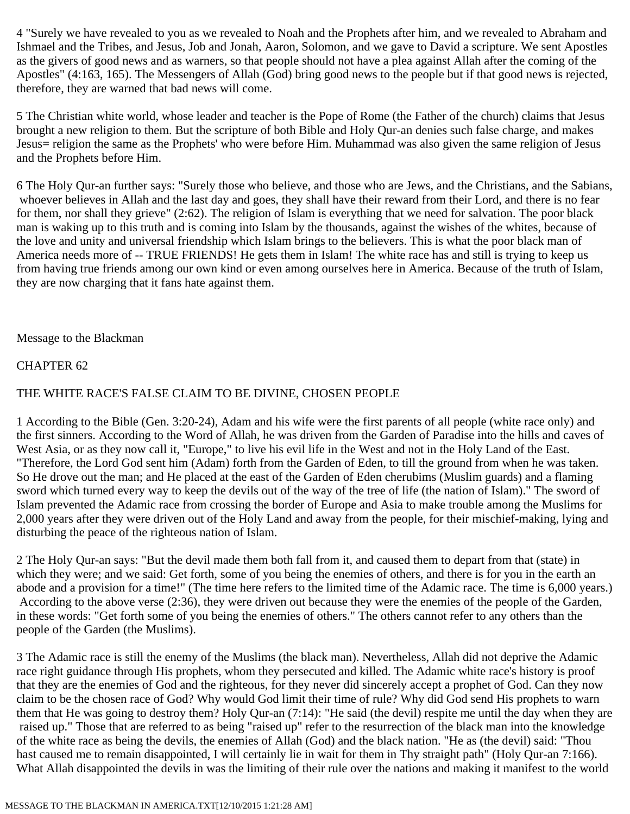4 "Surely we have revealed to you as we revealed to Noah and the Prophets after him, and we revealed to Abraham and Ishmael and the Tribes, and Jesus, Job and Jonah, Aaron, Solomon, and we gave to David a scripture. We sent Apostles as the givers of good news and as warners, so that people should not have a plea against Allah after the coming of the Apostles" (4:163, 165). The Messengers of Allah (God) bring good news to the people but if that good news is rejected, therefore, they are warned that bad news will come.

5 The Christian white world, whose leader and teacher is the Pope of Rome (the Father of the church) claims that Jesus brought a new religion to them. But the scripture of both Bible and Holy Qur-an denies such false charge, and makes Jesus= religion the same as the Prophets' who were before Him. Muhammad was also given the same religion of Jesus and the Prophets before Him.

6 The Holy Qur-an further says: "Surely those who believe, and those who are Jews, and the Christians, and the Sabians, whoever believes in Allah and the last day and goes, they shall have their reward from their Lord, and there is no fear for them, nor shall they grieve" (2:62). The religion of Islam is everything that we need for salvation. The poor black man is waking up to this truth and is coming into Islam by the thousands, against the wishes of the whites, because of the love and unity and universal friendship which Islam brings to the believers. This is what the poor black man of America needs more of -- TRUE FRIENDS! He gets them in Islam! The white race has and still is trying to keep us from having true friends among our own kind or even among ourselves here in America. Because of the truth of Islam, they are now charging that it fans hate against them.

### Message to the Blackman

# CHAPTER 62

# THE WHITE RACE'S FALSE CLAIM TO BE DIVINE, CHOSEN PEOPLE

1 According to the Bible (Gen. 3:20-24), Adam and his wife were the first parents of all people (white race only) and the first sinners. According to the Word of Allah, he was driven from the Garden of Paradise into the hills and caves of West Asia, or as they now call it, "Europe," to live his evil life in the West and not in the Holy Land of the East. "Therefore, the Lord God sent him (Adam) forth from the Garden of Eden, to till the ground from when he was taken. So He drove out the man; and He placed at the east of the Garden of Eden cherubims (Muslim guards) and a flaming sword which turned every way to keep the devils out of the way of the tree of life (the nation of Islam)." The sword of Islam prevented the Adamic race from crossing the border of Europe and Asia to make trouble among the Muslims for 2,000 years after they were driven out of the Holy Land and away from the people, for their mischief-making, lying and disturbing the peace of the righteous nation of Islam.

2 The Holy Qur-an says: "But the devil made them both fall from it, and caused them to depart from that (state) in which they were; and we said: Get forth, some of you being the enemies of others, and there is for you in the earth an abode and a provision for a time!" (The time here refers to the limited time of the Adamic race. The time is 6,000 years.) According to the above verse (2:36), they were driven out because they were the enemies of the people of the Garden, in these words: "Get forth some of you being the enemies of others." The others cannot refer to any others than the people of the Garden (the Muslims).

3 The Adamic race is still the enemy of the Muslims (the black man). Nevertheless, Allah did not deprive the Adamic race right guidance through His prophets, whom they persecuted and killed. The Adamic white race's history is proof that they are the enemies of God and the righteous, for they never did sincerely accept a prophet of God. Can they now claim to be the chosen race of God? Why would God limit their time of rule? Why did God send His prophets to warn them that He was going to destroy them? Holy Qur-an (7:14): "He said (the devil) respite me until the day when they are raised up." Those that are referred to as being "raised up" refer to the resurrection of the black man into the knowledge of the white race as being the devils, the enemies of Allah (God) and the black nation. "He as (the devil) said: "Thou hast caused me to remain disappointed, I will certainly lie in wait for them in Thy straight path" (Holy Qur-an 7:166). What Allah disappointed the devils in was the limiting of their rule over the nations and making it manifest to the world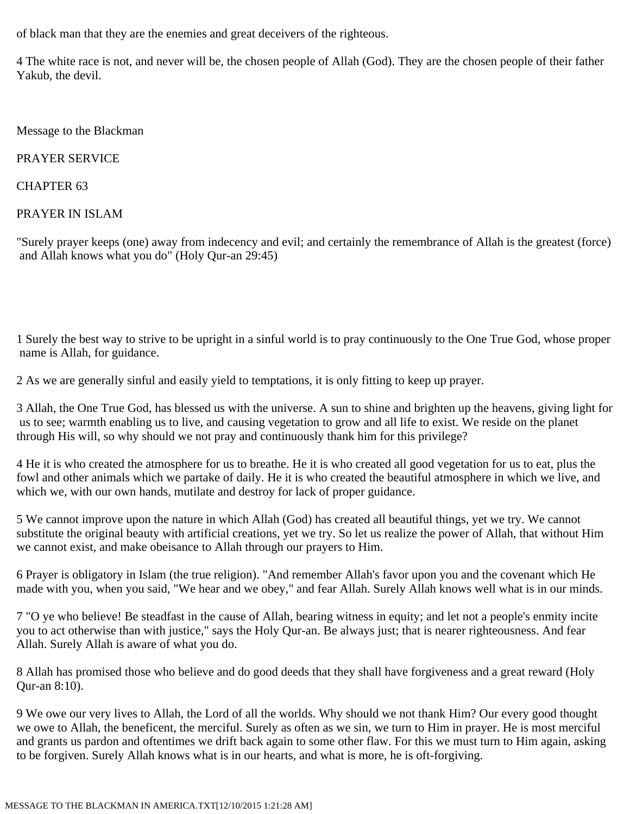of black man that they are the enemies and great deceivers of the righteous.

4 The white race is not, and never will be, the chosen people of Allah (God). They are the chosen people of their father Yakub, the devil.

Message to the Blackman

PRAYER SERVICE

CHAPTER 63

PRAYER IN ISLAM

"Surely prayer keeps (one) away from indecency and evil; and certainly the remembrance of Allah is the greatest (force) and Allah knows what you do" (Holy Qur-an 29:45)

1 Surely the best way to strive to be upright in a sinful world is to pray continuously to the One True God, whose proper name is Allah, for guidance.

2 As we are generally sinful and easily yield to temptations, it is only fitting to keep up prayer.

3 Allah, the One True God, has blessed us with the universe. A sun to shine and brighten up the heavens, giving light for us to see; warmth enabling us to live, and causing vegetation to grow and all life to exist. We reside on the planet through His will, so why should we not pray and continuously thank him for this privilege?

4 He it is who created the atmosphere for us to breathe. He it is who created all good vegetation for us to eat, plus the fowl and other animals which we partake of daily. He it is who created the beautiful atmosphere in which we live, and which we, with our own hands, mutilate and destroy for lack of proper guidance.

5 We cannot improve upon the nature in which Allah (God) has created all beautiful things, yet we try. We cannot substitute the original beauty with artificial creations, yet we try. So let us realize the power of Allah, that without Him we cannot exist, and make obeisance to Allah through our prayers to Him.

6 Prayer is obligatory in Islam (the true religion). "And remember Allah's favor upon you and the covenant which He made with you, when you said, "We hear and we obey," and fear Allah. Surely Allah knows well what is in our minds.

7 "O ye who believe! Be steadfast in the cause of Allah, bearing witness in equity; and let not a people's enmity incite you to act otherwise than with justice," says the Holy Qur-an. Be always just; that is nearer righteousness. And fear Allah. Surely Allah is aware of what you do.

8 Allah has promised those who believe and do good deeds that they shall have forgiveness and a great reward (Holy Qur-an 8:10).

9 We owe our very lives to Allah, the Lord of all the worlds. Why should we not thank Him? Our every good thought we owe to Allah, the beneficent, the merciful. Surely as often as we sin, we turn to Him in prayer. He is most merciful and grants us pardon and oftentimes we drift back again to some other flaw. For this we must turn to Him again, asking to be forgiven. Surely Allah knows what is in our hearts, and what is more, he is oft-forgiving.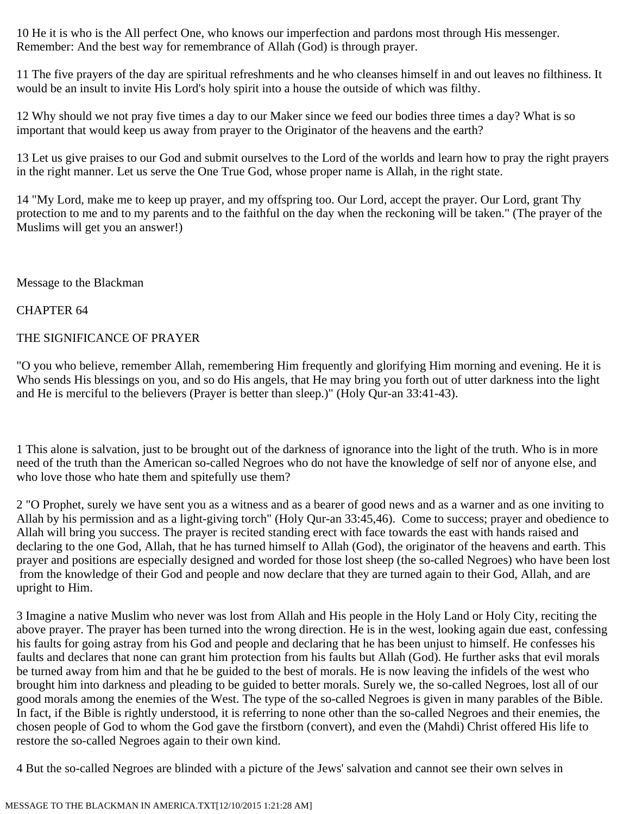10 He it is who is the All perfect One, who knows our imperfection and pardons most through His messenger. Remember: And the best way for remembrance of Allah (God) is through prayer.

11 The five prayers of the day are spiritual refreshments and he who cleanses himself in and out leaves no filthiness. It would be an insult to invite His Lord's holy spirit into a house the outside of which was filthy.

12 Why should we not pray five times a day to our Maker since we feed our bodies three times a day? What is so important that would keep us away from prayer to the Originator of the heavens and the earth?

13 Let us give praises to our God and submit ourselves to the Lord of the worlds and learn how to pray the right prayers in the right manner. Let us serve the One True God, whose proper name is Allah, in the right state.

14 "My Lord, make me to keep up prayer, and my offspring too. Our Lord, accept the prayer. Our Lord, grant Thy protection to me and to my parents and to the faithful on the day when the reckoning will be taken." (The prayer of the Muslims will get you an answer!)

Message to the Blackman

# CHAPTER 64

# THE SIGNIFICANCE OF PRAYER

"O you who believe, remember Allah, remembering Him frequently and glorifying Him morning and evening. He it is Who sends His blessings on you, and so do His angels, that He may bring you forth out of utter darkness into the light and He is merciful to the believers (Prayer is better than sleep.)" (Holy Qur-an 33:41-43).

1 This alone is salvation, just to be brought out of the darkness of ignorance into the light of the truth. Who is in more need of the truth than the American so-called Negroes who do not have the knowledge of self nor of anyone else, and who love those who hate them and spitefully use them?

2 "O Prophet, surely we have sent you as a witness and as a bearer of good news and as a warner and as one inviting to Allah by his permission and as a light-giving torch" (Holy Qur-an 33:45,46). Come to success; prayer and obedience to Allah will bring you success. The prayer is recited standing erect with face towards the east with hands raised and declaring to the one God, Allah, that he has turned himself to Allah (God), the originator of the heavens and earth. This prayer and positions are especially designed and worded for those lost sheep (the so-called Negroes) who have been lost from the knowledge of their God and people and now declare that they are turned again to their God, Allah, and are upright to Him.

3 Imagine a native Muslim who never was lost from Allah and His people in the Holy Land or Holy City, reciting the above prayer. The prayer has been turned into the wrong direction. He is in the west, looking again due east, confessing his faults for going astray from his God and people and declaring that he has been unjust to himself. He confesses his faults and declares that none can grant him protection from his faults but Allah (God). He further asks that evil morals be turned away from him and that he be guided to the best of morals. He is now leaving the infidels of the west who brought him into darkness and pleading to be guided to better morals. Surely we, the so-called Negroes, lost all of our good morals among the enemies of the West. The type of the so-called Negroes is given in many parables of the Bible. In fact, if the Bible is rightly understood, it is referring to none other than the so-called Negroes and their enemies, the chosen people of God to whom the God gave the firstborn (convert), and even the (Mahdi) Christ offered His life to restore the so-called Negroes again to their own kind.

4 But the so-called Negroes are blinded with a picture of the Jews' salvation and cannot see their own selves in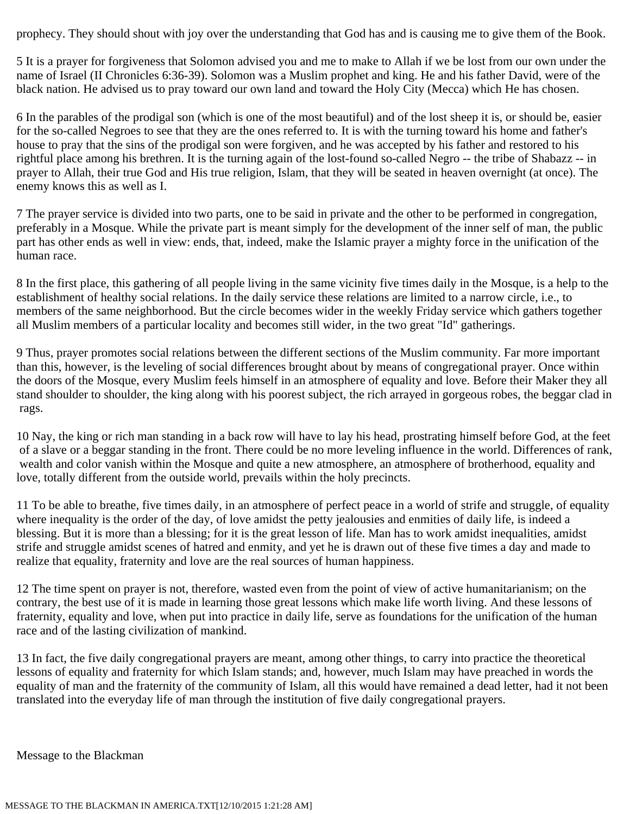prophecy. They should shout with joy over the understanding that God has and is causing me to give them of the Book.

5 It is a prayer for forgiveness that Solomon advised you and me to make to Allah if we be lost from our own under the name of Israel (II Chronicles 6:36-39). Solomon was a Muslim prophet and king. He and his father David, were of the black nation. He advised us to pray toward our own land and toward the Holy City (Mecca) which He has chosen.

6 In the parables of the prodigal son (which is one of the most beautiful) and of the lost sheep it is, or should be, easier for the so-called Negroes to see that they are the ones referred to. It is with the turning toward his home and father's house to pray that the sins of the prodigal son were forgiven, and he was accepted by his father and restored to his rightful place among his brethren. It is the turning again of the lost-found so-called Negro -- the tribe of Shabazz -- in prayer to Allah, their true God and His true religion, Islam, that they will be seated in heaven overnight (at once). The enemy knows this as well as I.

7 The prayer service is divided into two parts, one to be said in private and the other to be performed in congregation, preferably in a Mosque. While the private part is meant simply for the development of the inner self of man, the public part has other ends as well in view: ends, that, indeed, make the Islamic prayer a mighty force in the unification of the human race.

8 In the first place, this gathering of all people living in the same vicinity five times daily in the Mosque, is a help to the establishment of healthy social relations. In the daily service these relations are limited to a narrow circle, i.e., to members of the same neighborhood. But the circle becomes wider in the weekly Friday service which gathers together all Muslim members of a particular locality and becomes still wider, in the two great "Id" gatherings.

9 Thus, prayer promotes social relations between the different sections of the Muslim community. Far more important than this, however, is the leveling of social differences brought about by means of congregational prayer. Once within the doors of the Mosque, every Muslim feels himself in an atmosphere of equality and love. Before their Maker they all stand shoulder to shoulder, the king along with his poorest subject, the rich arrayed in gorgeous robes, the beggar clad in rags.

10 Nay, the king or rich man standing in a back row will have to lay his head, prostrating himself before God, at the feet of a slave or a beggar standing in the front. There could be no more leveling influence in the world. Differences of rank, wealth and color vanish within the Mosque and quite a new atmosphere, an atmosphere of brotherhood, equality and love, totally different from the outside world, prevails within the holy precincts.

11 To be able to breathe, five times daily, in an atmosphere of perfect peace in a world of strife and struggle, of equality where inequality is the order of the day, of love amidst the petty jealousies and enmities of daily life, is indeed a blessing. But it is more than a blessing; for it is the great lesson of life. Man has to work amidst inequalities, amidst strife and struggle amidst scenes of hatred and enmity, and yet he is drawn out of these five times a day and made to realize that equality, fraternity and love are the real sources of human happiness.

12 The time spent on prayer is not, therefore, wasted even from the point of view of active humanitarianism; on the contrary, the best use of it is made in learning those great lessons which make life worth living. And these lessons of fraternity, equality and love, when put into practice in daily life, serve as foundations for the unification of the human race and of the lasting civilization of mankind.

13 In fact, the five daily congregational prayers are meant, among other things, to carry into practice the theoretical lessons of equality and fraternity for which Islam stands; and, however, much Islam may have preached in words the equality of man and the fraternity of the community of Islam, all this would have remained a dead letter, had it not been translated into the everyday life of man through the institution of five daily congregational prayers.

Message to the Blackman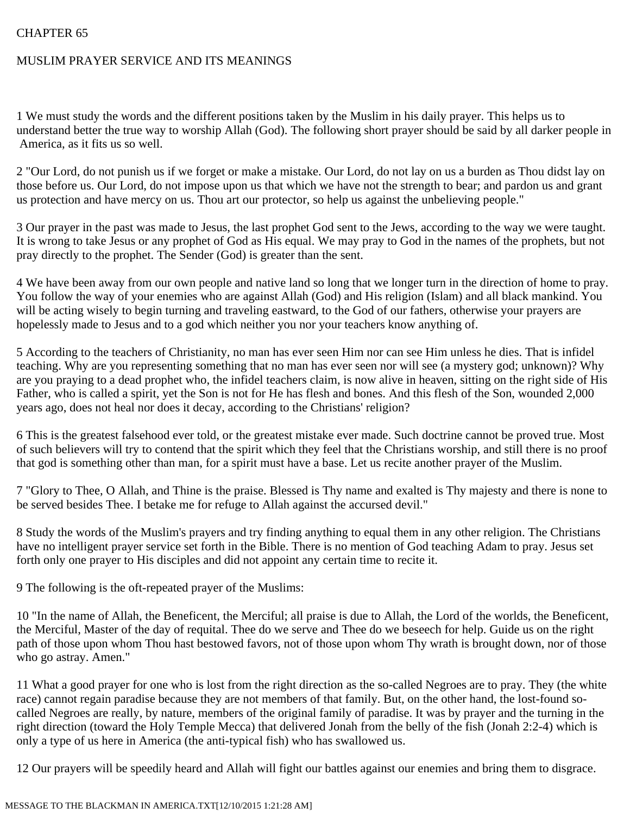### CHAPTER 65

### MUSLIM PRAYER SERVICE AND ITS MEANINGS

1 We must study the words and the different positions taken by the Muslim in his daily prayer. This helps us to understand better the true way to worship Allah (God). The following short prayer should be said by all darker people in America, as it fits us so well.

2 "Our Lord, do not punish us if we forget or make a mistake. Our Lord, do not lay on us a burden as Thou didst lay on those before us. Our Lord, do not impose upon us that which we have not the strength to bear; and pardon us and grant us protection and have mercy on us. Thou art our protector, so help us against the unbelieving people."

3 Our prayer in the past was made to Jesus, the last prophet God sent to the Jews, according to the way we were taught. It is wrong to take Jesus or any prophet of God as His equal. We may pray to God in the names of the prophets, but not pray directly to the prophet. The Sender (God) is greater than the sent.

4 We have been away from our own people and native land so long that we longer turn in the direction of home to pray. You follow the way of your enemies who are against Allah (God) and His religion (Islam) and all black mankind. You will be acting wisely to begin turning and traveling eastward, to the God of our fathers, otherwise your prayers are hopelessly made to Jesus and to a god which neither you nor your teachers know anything of.

5 According to the teachers of Christianity, no man has ever seen Him nor can see Him unless he dies. That is infidel teaching. Why are you representing something that no man has ever seen nor will see (a mystery god; unknown)? Why are you praying to a dead prophet who, the infidel teachers claim, is now alive in heaven, sitting on the right side of His Father, who is called a spirit, yet the Son is not for He has flesh and bones. And this flesh of the Son, wounded 2,000 years ago, does not heal nor does it decay, according to the Christians' religion?

6 This is the greatest falsehood ever told, or the greatest mistake ever made. Such doctrine cannot be proved true. Most of such believers will try to contend that the spirit which they feel that the Christians worship, and still there is no proof that god is something other than man, for a spirit must have a base. Let us recite another prayer of the Muslim.

7 "Glory to Thee, O Allah, and Thine is the praise. Blessed is Thy name and exalted is Thy majesty and there is none to be served besides Thee. I betake me for refuge to Allah against the accursed devil."

8 Study the words of the Muslim's prayers and try finding anything to equal them in any other religion. The Christians have no intelligent prayer service set forth in the Bible. There is no mention of God teaching Adam to pray. Jesus set forth only one prayer to His disciples and did not appoint any certain time to recite it.

9 The following is the oft-repeated prayer of the Muslims:

10 "In the name of Allah, the Beneficent, the Merciful; all praise is due to Allah, the Lord of the worlds, the Beneficent, the Merciful, Master of the day of requital. Thee do we serve and Thee do we beseech for help. Guide us on the right path of those upon whom Thou hast bestowed favors, not of those upon whom Thy wrath is brought down, nor of those who go astray. Amen."

11 What a good prayer for one who is lost from the right direction as the so-called Negroes are to pray. They (the white race) cannot regain paradise because they are not members of that family. But, on the other hand, the lost-found socalled Negroes are really, by nature, members of the original family of paradise. It was by prayer and the turning in the right direction (toward the Holy Temple Mecca) that delivered Jonah from the belly of the fish (Jonah 2:2-4) which is only a type of us here in America (the anti-typical fish) who has swallowed us.

12 Our prayers will be speedily heard and Allah will fight our battles against our enemies and bring them to disgrace.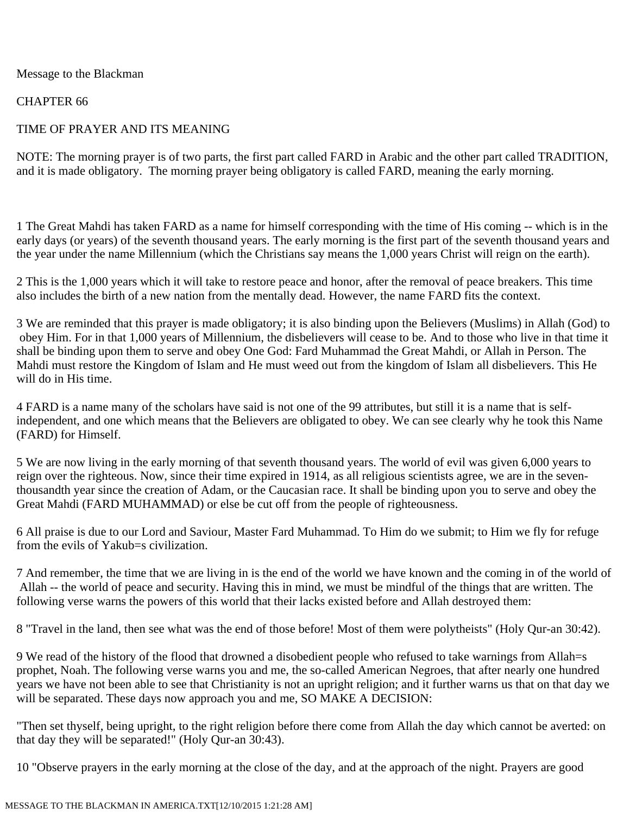Message to the Blackman

### CHAPTER 66

### TIME OF PRAYER AND ITS MEANING

NOTE: The morning prayer is of two parts, the first part called FARD in Arabic and the other part called TRADITION, and it is made obligatory. The morning prayer being obligatory is called FARD, meaning the early morning.

1 The Great Mahdi has taken FARD as a name for himself corresponding with the time of His coming -- which is in the early days (or years) of the seventh thousand years. The early morning is the first part of the seventh thousand years and the year under the name Millennium (which the Christians say means the 1,000 years Christ will reign on the earth).

2 This is the 1,000 years which it will take to restore peace and honor, after the removal of peace breakers. This time also includes the birth of a new nation from the mentally dead. However, the name FARD fits the context.

3 We are reminded that this prayer is made obligatory; it is also binding upon the Believers (Muslims) in Allah (God) to obey Him. For in that 1,000 years of Millennium, the disbelievers will cease to be. And to those who live in that time it shall be binding upon them to serve and obey One God: Fard Muhammad the Great Mahdi, or Allah in Person. The Mahdi must restore the Kingdom of Islam and He must weed out from the kingdom of Islam all disbelievers. This He will do in His time.

4 FARD is a name many of the scholars have said is not one of the 99 attributes, but still it is a name that is selfindependent, and one which means that the Believers are obligated to obey. We can see clearly why he took this Name (FARD) for Himself.

5 We are now living in the early morning of that seventh thousand years. The world of evil was given 6,000 years to reign over the righteous. Now, since their time expired in 1914, as all religious scientists agree, we are in the seventhousandth year since the creation of Adam, or the Caucasian race. It shall be binding upon you to serve and obey the Great Mahdi (FARD MUHAMMAD) or else be cut off from the people of righteousness.

6 All praise is due to our Lord and Saviour, Master Fard Muhammad. To Him do we submit; to Him we fly for refuge from the evils of Yakub=s civilization.

7 And remember, the time that we are living in is the end of the world we have known and the coming in of the world of Allah -- the world of peace and security. Having this in mind, we must be mindful of the things that are written. The following verse warns the powers of this world that their lacks existed before and Allah destroyed them:

8 "Travel in the land, then see what was the end of those before! Most of them were polytheists" (Holy Qur-an 30:42).

9 We read of the history of the flood that drowned a disobedient people who refused to take warnings from Allah=s prophet, Noah. The following verse warns you and me, the so-called American Negroes, that after nearly one hundred years we have not been able to see that Christianity is not an upright religion; and it further warns us that on that day we will be separated. These days now approach you and me, SO MAKE A DECISION:

"Then set thyself, being upright, to the right religion before there come from Allah the day which cannot be averted: on that day they will be separated!" (Holy Qur-an 30:43).

10 "Observe prayers in the early morning at the close of the day, and at the approach of the night. Prayers are good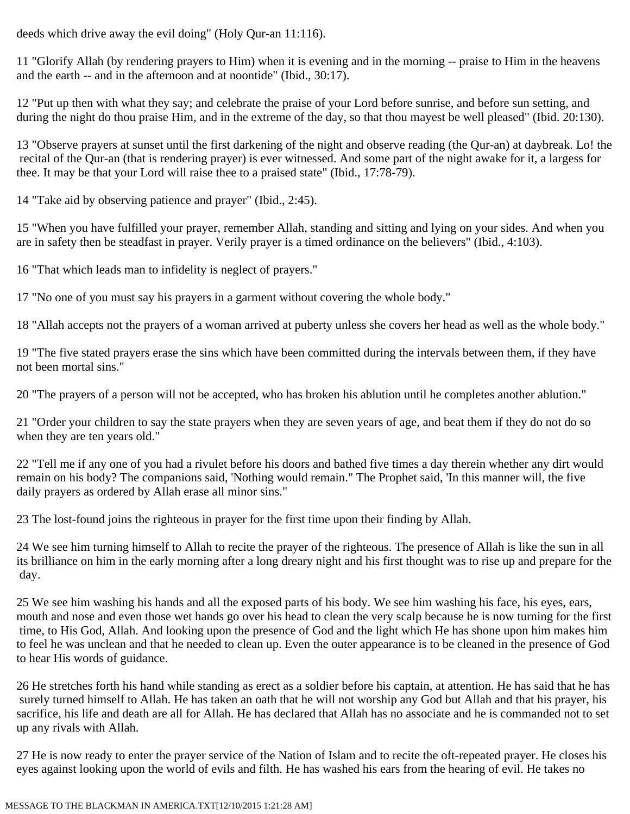deeds which drive away the evil doing" (Holy Qur-an 11:116).

11 "Glorify Allah (by rendering prayers to Him) when it is evening and in the morning -- praise to Him in the heavens and the earth -- and in the afternoon and at noontide" (Ibid., 30:17).

12 "Put up then with what they say; and celebrate the praise of your Lord before sunrise, and before sun setting, and during the night do thou praise Him, and in the extreme of the day, so that thou mayest be well pleased" (Ibid. 20:130).

13 "Observe prayers at sunset until the first darkening of the night and observe reading (the Qur-an) at daybreak. Lo! the recital of the Qur-an (that is rendering prayer) is ever witnessed. And some part of the night awake for it, a largess for thee. It may be that your Lord will raise thee to a praised state" (Ibid., 17:78-79).

14 "Take aid by observing patience and prayer" (Ibid., 2:45).

15 "When you have fulfilled your prayer, remember Allah, standing and sitting and lying on your sides. And when you are in safety then be steadfast in prayer. Verily prayer is a timed ordinance on the believers" (Ibid., 4:103).

16 "That which leads man to infidelity is neglect of prayers."

17 "No one of you must say his prayers in a garment without covering the whole body."

18 "Allah accepts not the prayers of a woman arrived at puberty unless she covers her head as well as the whole body."

19 "The five stated prayers erase the sins which have been committed during the intervals between them, if they have not been mortal sins."

20 "The prayers of a person will not be accepted, who has broken his ablution until he completes another ablution."

21 "Order your children to say the state prayers when they are seven years of age, and beat them if they do not do so when they are ten years old."

22 "Tell me if any one of you had a rivulet before his doors and bathed five times a day therein whether any dirt would remain on his body? The companions said, 'Nothing would remain." The Prophet said, 'In this manner will, the five daily prayers as ordered by Allah erase all minor sins."

23 The lost-found joins the righteous in prayer for the first time upon their finding by Allah.

24 We see him turning himself to Allah to recite the prayer of the righteous. The presence of Allah is like the sun in all its brilliance on him in the early morning after a long dreary night and his first thought was to rise up and prepare for the day.

25 We see him washing his hands and all the exposed parts of his body. We see him washing his face, his eyes, ears, mouth and nose and even those wet hands go over his head to clean the very scalp because he is now turning for the first time, to His God, Allah. And looking upon the presence of God and the light which He has shone upon him makes him to feel he was unclean and that he needed to clean up. Even the outer appearance is to be cleaned in the presence of God to hear His words of guidance.

26 He stretches forth his hand while standing as erect as a soldier before his captain, at attention. He has said that he has surely turned himself to Allah. He has taken an oath that he will not worship any God but Allah and that his prayer, his sacrifice, his life and death are all for Allah. He has declared that Allah has no associate and he is commanded not to set up any rivals with Allah.

27 He is now ready to enter the prayer service of the Nation of Islam and to recite the oft-repeated prayer. He closes his eyes against looking upon the world of evils and filth. He has washed his ears from the hearing of evil. He takes no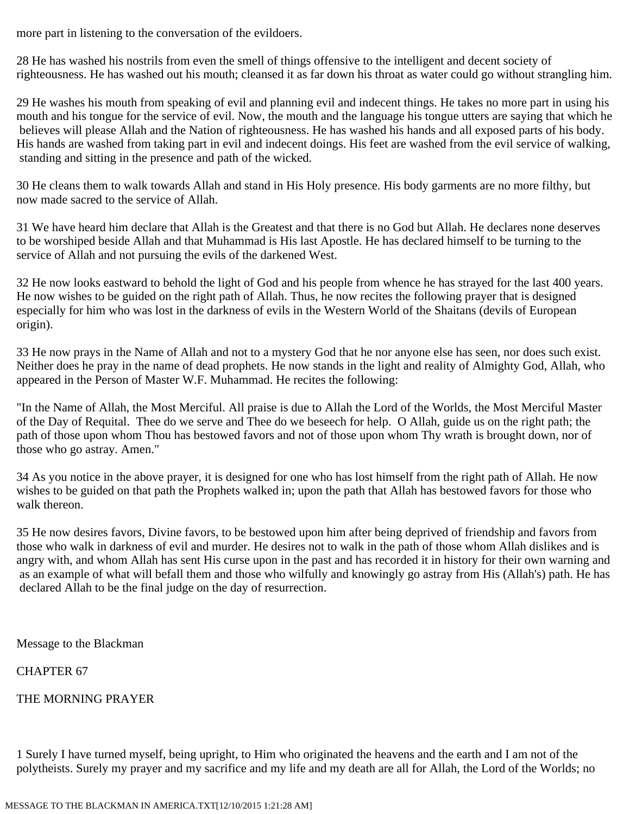more part in listening to the conversation of the evildoers.

28 He has washed his nostrils from even the smell of things offensive to the intelligent and decent society of righteousness. He has washed out his mouth; cleansed it as far down his throat as water could go without strangling him.

29 He washes his mouth from speaking of evil and planning evil and indecent things. He takes no more part in using his mouth and his tongue for the service of evil. Now, the mouth and the language his tongue utters are saying that which he believes will please Allah and the Nation of righteousness. He has washed his hands and all exposed parts of his body. His hands are washed from taking part in evil and indecent doings. His feet are washed from the evil service of walking, standing and sitting in the presence and path of the wicked.

30 He cleans them to walk towards Allah and stand in His Holy presence. His body garments are no more filthy, but now made sacred to the service of Allah.

31 We have heard him declare that Allah is the Greatest and that there is no God but Allah. He declares none deserves to be worshiped beside Allah and that Muhammad is His last Apostle. He has declared himself to be turning to the service of Allah and not pursuing the evils of the darkened West.

32 He now looks eastward to behold the light of God and his people from whence he has strayed for the last 400 years. He now wishes to be guided on the right path of Allah. Thus, he now recites the following prayer that is designed especially for him who was lost in the darkness of evils in the Western World of the Shaitans (devils of European origin).

33 He now prays in the Name of Allah and not to a mystery God that he nor anyone else has seen, nor does such exist. Neither does he pray in the name of dead prophets. He now stands in the light and reality of Almighty God, Allah, who appeared in the Person of Master W.F. Muhammad. He recites the following:

"In the Name of Allah, the Most Merciful. All praise is due to Allah the Lord of the Worlds, the Most Merciful Master of the Day of Requital. Thee do we serve and Thee do we beseech for help. O Allah, guide us on the right path; the path of those upon whom Thou has bestowed favors and not of those upon whom Thy wrath is brought down, nor of those who go astray. Amen."

34 As you notice in the above prayer, it is designed for one who has lost himself from the right path of Allah. He now wishes to be guided on that path the Prophets walked in; upon the path that Allah has bestowed favors for those who walk thereon.

35 He now desires favors, Divine favors, to be bestowed upon him after being deprived of friendship and favors from those who walk in darkness of evil and murder. He desires not to walk in the path of those whom Allah dislikes and is angry with, and whom Allah has sent His curse upon in the past and has recorded it in history for their own warning and as an example of what will befall them and those who wilfully and knowingly go astray from His (Allah's) path. He has declared Allah to be the final judge on the day of resurrection.

Message to the Blackman

CHAPTER 67

THE MORNING PRAYER

1 Surely I have turned myself, being upright, to Him who originated the heavens and the earth and I am not of the polytheists. Surely my prayer and my sacrifice and my life and my death are all for Allah, the Lord of the Worlds; no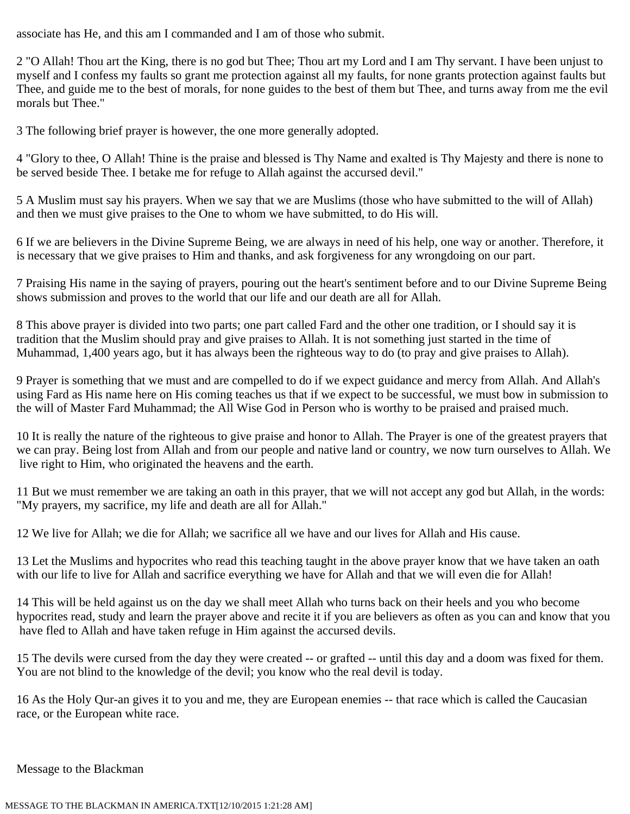associate has He, and this am I commanded and I am of those who submit.

2 "O Allah! Thou art the King, there is no god but Thee; Thou art my Lord and I am Thy servant. I have been unjust to myself and I confess my faults so grant me protection against all my faults, for none grants protection against faults but Thee, and guide me to the best of morals, for none guides to the best of them but Thee, and turns away from me the evil morals but Thee."

3 The following brief prayer is however, the one more generally adopted.

4 "Glory to thee, O Allah! Thine is the praise and blessed is Thy Name and exalted is Thy Majesty and there is none to be served beside Thee. I betake me for refuge to Allah against the accursed devil."

5 A Muslim must say his prayers. When we say that we are Muslims (those who have submitted to the will of Allah) and then we must give praises to the One to whom we have submitted, to do His will.

6 If we are believers in the Divine Supreme Being, we are always in need of his help, one way or another. Therefore, it is necessary that we give praises to Him and thanks, and ask forgiveness for any wrongdoing on our part.

7 Praising His name in the saying of prayers, pouring out the heart's sentiment before and to our Divine Supreme Being shows submission and proves to the world that our life and our death are all for Allah.

8 This above prayer is divided into two parts; one part called Fard and the other one tradition, or I should say it is tradition that the Muslim should pray and give praises to Allah. It is not something just started in the time of Muhammad, 1,400 years ago, but it has always been the righteous way to do (to pray and give praises to Allah).

9 Prayer is something that we must and are compelled to do if we expect guidance and mercy from Allah. And Allah's using Fard as His name here on His coming teaches us that if we expect to be successful, we must bow in submission to the will of Master Fard Muhammad; the All Wise God in Person who is worthy to be praised and praised much.

10 It is really the nature of the righteous to give praise and honor to Allah. The Prayer is one of the greatest prayers that we can pray. Being lost from Allah and from our people and native land or country, we now turn ourselves to Allah. We live right to Him, who originated the heavens and the earth.

11 But we must remember we are taking an oath in this prayer, that we will not accept any god but Allah, in the words: "My prayers, my sacrifice, my life and death are all for Allah."

12 We live for Allah; we die for Allah; we sacrifice all we have and our lives for Allah and His cause.

13 Let the Muslims and hypocrites who read this teaching taught in the above prayer know that we have taken an oath with our life to live for Allah and sacrifice everything we have for Allah and that we will even die for Allah!

14 This will be held against us on the day we shall meet Allah who turns back on their heels and you who become hypocrites read, study and learn the prayer above and recite it if you are believers as often as you can and know that you have fled to Allah and have taken refuge in Him against the accursed devils.

15 The devils were cursed from the day they were created -- or grafted -- until this day and a doom was fixed for them. You are not blind to the knowledge of the devil; you know who the real devil is today.

16 As the Holy Qur-an gives it to you and me, they are European enemies -- that race which is called the Caucasian race, or the European white race.

Message to the Blackman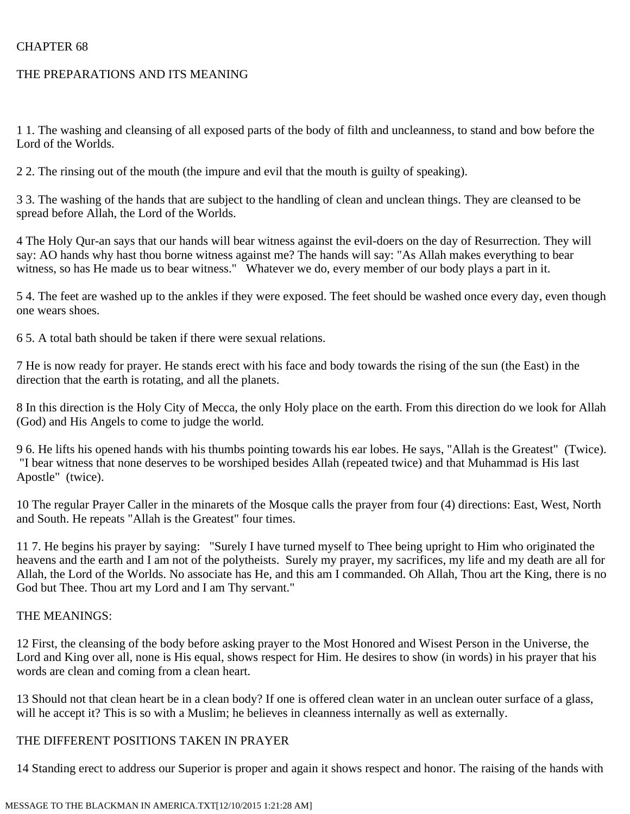### CHAPTER 68

### THE PREPARATIONS AND ITS MEANING

1 1. The washing and cleansing of all exposed parts of the body of filth and uncleanness, to stand and bow before the Lord of the Worlds.

2 2. The rinsing out of the mouth (the impure and evil that the mouth is guilty of speaking).

3 3. The washing of the hands that are subject to the handling of clean and unclean things. They are cleansed to be spread before Allah, the Lord of the Worlds.

4 The Holy Qur-an says that our hands will bear witness against the evil-doers on the day of Resurrection. They will say: AO hands why hast thou borne witness against me? The hands will say: "As Allah makes everything to bear witness, so has He made us to bear witness." Whatever we do, every member of our body plays a part in it.

5 4. The feet are washed up to the ankles if they were exposed. The feet should be washed once every day, even though one wears shoes.

6 5. A total bath should be taken if there were sexual relations.

7 He is now ready for prayer. He stands erect with his face and body towards the rising of the sun (the East) in the direction that the earth is rotating, and all the planets.

8 In this direction is the Holy City of Mecca, the only Holy place on the earth. From this direction do we look for Allah (God) and His Angels to come to judge the world.

9 6. He lifts his opened hands with his thumbs pointing towards his ear lobes. He says, "Allah is the Greatest" (Twice). "I bear witness that none deserves to be worshiped besides Allah (repeated twice) and that Muhammad is His last Apostle" (twice).

10 The regular Prayer Caller in the minarets of the Mosque calls the prayer from four (4) directions: East, West, North and South. He repeats "Allah is the Greatest" four times.

11 7. He begins his prayer by saying: "Surely I have turned myself to Thee being upright to Him who originated the heavens and the earth and I am not of the polytheists. Surely my prayer, my sacrifices, my life and my death are all for Allah, the Lord of the Worlds. No associate has He, and this am I commanded. Oh Allah, Thou art the King, there is no God but Thee. Thou art my Lord and I am Thy servant."

### THE MEANINGS:

12 First, the cleansing of the body before asking prayer to the Most Honored and Wisest Person in the Universe, the Lord and King over all, none is His equal, shows respect for Him. He desires to show (in words) in his prayer that his words are clean and coming from a clean heart.

13 Should not that clean heart be in a clean body? If one is offered clean water in an unclean outer surface of a glass, will he accept it? This is so with a Muslim; he believes in cleanness internally as well as externally.

# THE DIFFERENT POSITIONS TAKEN IN PRAYER

14 Standing erect to address our Superior is proper and again it shows respect and honor. The raising of the hands with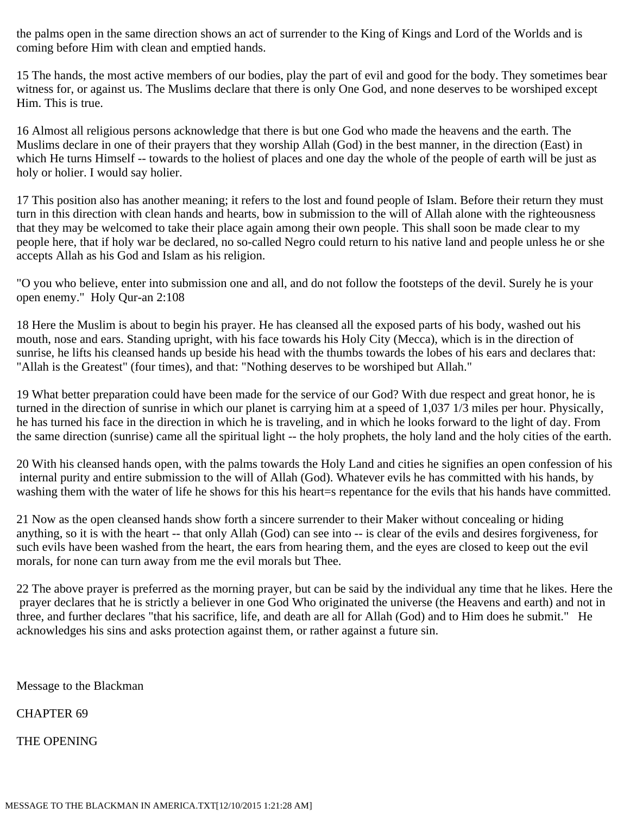the palms open in the same direction shows an act of surrender to the King of Kings and Lord of the Worlds and is coming before Him with clean and emptied hands.

15 The hands, the most active members of our bodies, play the part of evil and good for the body. They sometimes bear witness for, or against us. The Muslims declare that there is only One God, and none deserves to be worshiped except Him. This is true.

16 Almost all religious persons acknowledge that there is but one God who made the heavens and the earth. The Muslims declare in one of their prayers that they worship Allah (God) in the best manner, in the direction (East) in which He turns Himself -- towards to the holiest of places and one day the whole of the people of earth will be just as holy or holier. I would say holier.

17 This position also has another meaning; it refers to the lost and found people of Islam. Before their return they must turn in this direction with clean hands and hearts, bow in submission to the will of Allah alone with the righteousness that they may be welcomed to take their place again among their own people. This shall soon be made clear to my people here, that if holy war be declared, no so-called Negro could return to his native land and people unless he or she accepts Allah as his God and Islam as his religion.

"O you who believe, enter into submission one and all, and do not follow the footsteps of the devil. Surely he is your open enemy." Holy Qur-an 2:108

18 Here the Muslim is about to begin his prayer. He has cleansed all the exposed parts of his body, washed out his mouth, nose and ears. Standing upright, with his face towards his Holy City (Mecca), which is in the direction of sunrise, he lifts his cleansed hands up beside his head with the thumbs towards the lobes of his ears and declares that: "Allah is the Greatest" (four times), and that: "Nothing deserves to be worshiped but Allah."

19 What better preparation could have been made for the service of our God? With due respect and great honor, he is turned in the direction of sunrise in which our planet is carrying him at a speed of 1,037 1/3 miles per hour. Physically, he has turned his face in the direction in which he is traveling, and in which he looks forward to the light of day. From the same direction (sunrise) came all the spiritual light -- the holy prophets, the holy land and the holy cities of the earth.

20 With his cleansed hands open, with the palms towards the Holy Land and cities he signifies an open confession of his internal purity and entire submission to the will of Allah (God). Whatever evils he has committed with his hands, by washing them with the water of life he shows for this his heart=s repentance for the evils that his hands have committed.

21 Now as the open cleansed hands show forth a sincere surrender to their Maker without concealing or hiding anything, so it is with the heart -- that only Allah (God) can see into -- is clear of the evils and desires forgiveness, for such evils have been washed from the heart, the ears from hearing them, and the eyes are closed to keep out the evil morals, for none can turn away from me the evil morals but Thee.

22 The above prayer is preferred as the morning prayer, but can be said by the individual any time that he likes. Here the prayer declares that he is strictly a believer in one God Who originated the universe (the Heavens and earth) and not in three, and further declares "that his sacrifice, life, and death are all for Allah (God) and to Him does he submit." He acknowledges his sins and asks protection against them, or rather against a future sin.

Message to the Blackman

CHAPTER 69

THE OPENING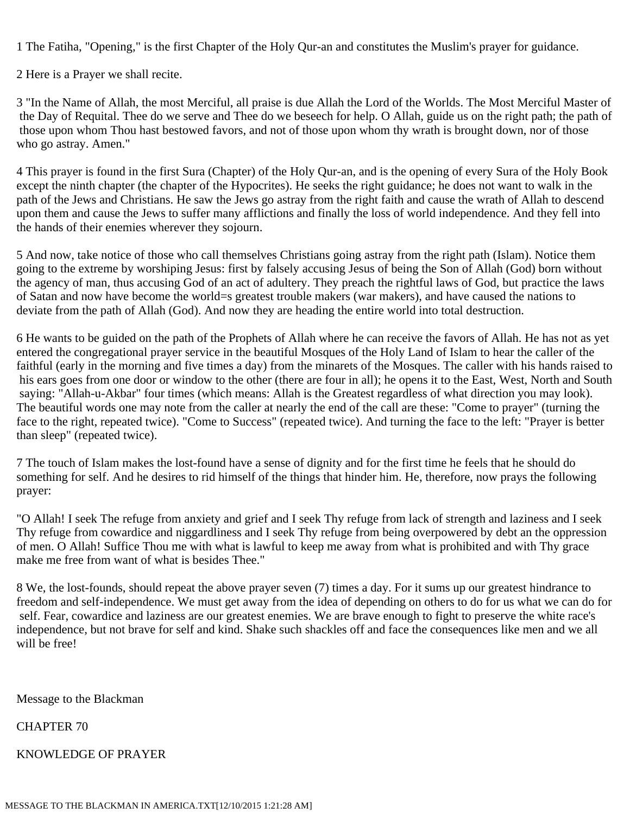1 The Fatiha, "Opening," is the first Chapter of the Holy Qur-an and constitutes the Muslim's prayer for guidance.

2 Here is a Prayer we shall recite.

3 "In the Name of Allah, the most Merciful, all praise is due Allah the Lord of the Worlds. The Most Merciful Master of the Day of Requital. Thee do we serve and Thee do we beseech for help. O Allah, guide us on the right path; the path of those upon whom Thou hast bestowed favors, and not of those upon whom thy wrath is brought down, nor of those who go astray. Amen."

4 This prayer is found in the first Sura (Chapter) of the Holy Qur-an, and is the opening of every Sura of the Holy Book except the ninth chapter (the chapter of the Hypocrites). He seeks the right guidance; he does not want to walk in the path of the Jews and Christians. He saw the Jews go astray from the right faith and cause the wrath of Allah to descend upon them and cause the Jews to suffer many afflictions and finally the loss of world independence. And they fell into the hands of their enemies wherever they sojourn.

5 And now, take notice of those who call themselves Christians going astray from the right path (Islam). Notice them going to the extreme by worshiping Jesus: first by falsely accusing Jesus of being the Son of Allah (God) born without the agency of man, thus accusing God of an act of adultery. They preach the rightful laws of God, but practice the laws of Satan and now have become the world=s greatest trouble makers (war makers), and have caused the nations to deviate from the path of Allah (God). And now they are heading the entire world into total destruction.

6 He wants to be guided on the path of the Prophets of Allah where he can receive the favors of Allah. He has not as yet entered the congregational prayer service in the beautiful Mosques of the Holy Land of Islam to hear the caller of the faithful (early in the morning and five times a day) from the minarets of the Mosques. The caller with his hands raised to his ears goes from one door or window to the other (there are four in all); he opens it to the East, West, North and South saying: "Allah-u-Akbar" four times (which means: Allah is the Greatest regardless of what direction you may look). The beautiful words one may note from the caller at nearly the end of the call are these: "Come to prayer" (turning the face to the right, repeated twice). "Come to Success" (repeated twice). And turning the face to the left: "Prayer is better than sleep" (repeated twice).

7 The touch of Islam makes the lost-found have a sense of dignity and for the first time he feels that he should do something for self. And he desires to rid himself of the things that hinder him. He, therefore, now prays the following prayer:

"O Allah! I seek The refuge from anxiety and grief and I seek Thy refuge from lack of strength and laziness and I seek Thy refuge from cowardice and niggardliness and I seek Thy refuge from being overpowered by debt an the oppression of men. O Allah! Suffice Thou me with what is lawful to keep me away from what is prohibited and with Thy grace make me free from want of what is besides Thee."

8 We, the lost-founds, should repeat the above prayer seven (7) times a day. For it sums up our greatest hindrance to freedom and self-independence. We must get away from the idea of depending on others to do for us what we can do for self. Fear, cowardice and laziness are our greatest enemies. We are brave enough to fight to preserve the white race's independence, but not brave for self and kind. Shake such shackles off and face the consequences like men and we all will be free!

Message to the Blackman

CHAPTER 70

KNOWLEDGE OF PRAYER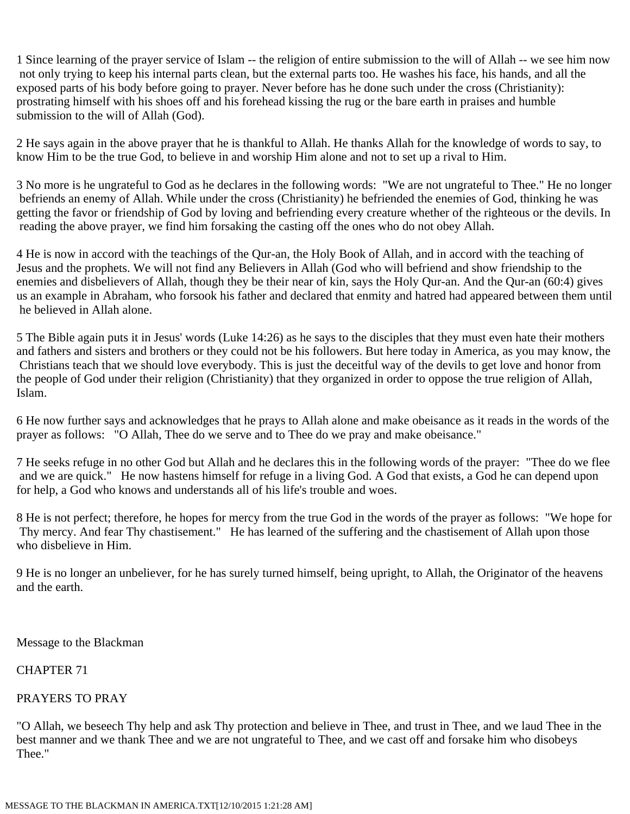1 Since learning of the prayer service of Islam -- the religion of entire submission to the will of Allah -- we see him now not only trying to keep his internal parts clean, but the external parts too. He washes his face, his hands, and all the exposed parts of his body before going to prayer. Never before has he done such under the cross (Christianity): prostrating himself with his shoes off and his forehead kissing the rug or the bare earth in praises and humble submission to the will of Allah (God).

2 He says again in the above prayer that he is thankful to Allah. He thanks Allah for the knowledge of words to say, to know Him to be the true God, to believe in and worship Him alone and not to set up a rival to Him.

3 No more is he ungrateful to God as he declares in the following words: "We are not ungrateful to Thee." He no longer befriends an enemy of Allah. While under the cross (Christianity) he befriended the enemies of God, thinking he was getting the favor or friendship of God by loving and befriending every creature whether of the righteous or the devils. In reading the above prayer, we find him forsaking the casting off the ones who do not obey Allah.

4 He is now in accord with the teachings of the Qur-an, the Holy Book of Allah, and in accord with the teaching of Jesus and the prophets. We will not find any Believers in Allah (God who will befriend and show friendship to the enemies and disbelievers of Allah, though they be their near of kin, says the Holy Qur-an. And the Qur-an (60:4) gives us an example in Abraham, who forsook his father and declared that enmity and hatred had appeared between them until he believed in Allah alone.

5 The Bible again puts it in Jesus' words (Luke 14:26) as he says to the disciples that they must even hate their mothers and fathers and sisters and brothers or they could not be his followers. But here today in America, as you may know, the Christians teach that we should love everybody. This is just the deceitful way of the devils to get love and honor from the people of God under their religion (Christianity) that they organized in order to oppose the true religion of Allah, Islam.

6 He now further says and acknowledges that he prays to Allah alone and make obeisance as it reads in the words of the prayer as follows: "O Allah, Thee do we serve and to Thee do we pray and make obeisance."

7 He seeks refuge in no other God but Allah and he declares this in the following words of the prayer: "Thee do we flee and we are quick." He now hastens himself for refuge in a living God. A God that exists, a God he can depend upon for help, a God who knows and understands all of his life's trouble and woes.

8 He is not perfect; therefore, he hopes for mercy from the true God in the words of the prayer as follows: "We hope for Thy mercy. And fear Thy chastisement." He has learned of the suffering and the chastisement of Allah upon those who disbelieve in Him.

9 He is no longer an unbeliever, for he has surely turned himself, being upright, to Allah, the Originator of the heavens and the earth.

Message to the Blackman

# CHAPTER 71

# PRAYERS TO PRAY

"O Allah, we beseech Thy help and ask Thy protection and believe in Thee, and trust in Thee, and we laud Thee in the best manner and we thank Thee and we are not ungrateful to Thee, and we cast off and forsake him who disobeys Thee."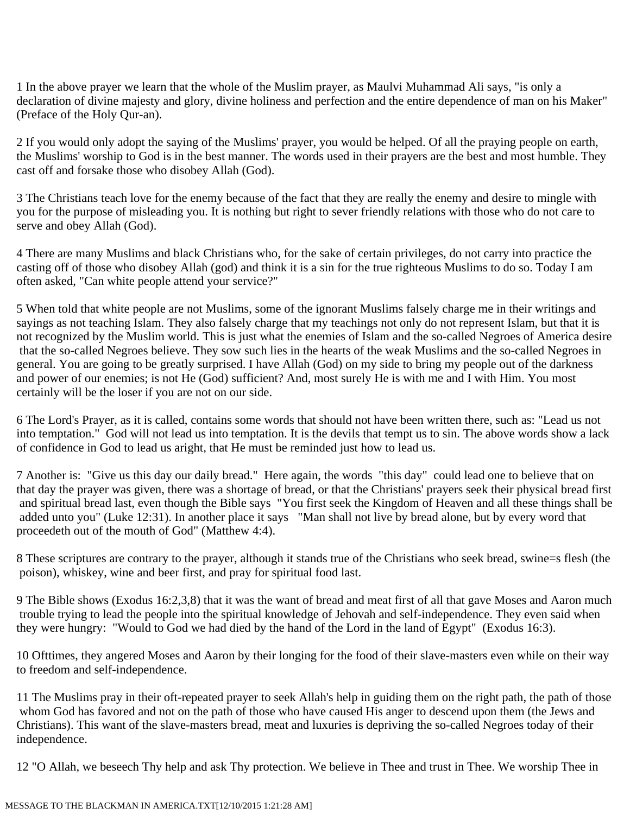1 In the above prayer we learn that the whole of the Muslim prayer, as Maulvi Muhammad Ali says, "is only a declaration of divine majesty and glory, divine holiness and perfection and the entire dependence of man on his Maker" (Preface of the Holy Qur-an).

2 If you would only adopt the saying of the Muslims' prayer, you would be helped. Of all the praying people on earth, the Muslims' worship to God is in the best manner. The words used in their prayers are the best and most humble. They cast off and forsake those who disobey Allah (God).

3 The Christians teach love for the enemy because of the fact that they are really the enemy and desire to mingle with you for the purpose of misleading you. It is nothing but right to sever friendly relations with those who do not care to serve and obey Allah (God).

4 There are many Muslims and black Christians who, for the sake of certain privileges, do not carry into practice the casting off of those who disobey Allah (god) and think it is a sin for the true righteous Muslims to do so. Today I am often asked, "Can white people attend your service?"

5 When told that white people are not Muslims, some of the ignorant Muslims falsely charge me in their writings and sayings as not teaching Islam. They also falsely charge that my teachings not only do not represent Islam, but that it is not recognized by the Muslim world. This is just what the enemies of Islam and the so-called Negroes of America desire that the so-called Negroes believe. They sow such lies in the hearts of the weak Muslims and the so-called Negroes in general. You are going to be greatly surprised. I have Allah (God) on my side to bring my people out of the darkness and power of our enemies; is not He (God) sufficient? And, most surely He is with me and I with Him. You most certainly will be the loser if you are not on our side.

6 The Lord's Prayer, as it is called, contains some words that should not have been written there, such as: "Lead us not into temptation." God will not lead us into temptation. It is the devils that tempt us to sin. The above words show a lack of confidence in God to lead us aright, that He must be reminded just how to lead us.

7 Another is: "Give us this day our daily bread." Here again, the words "this day" could lead one to believe that on that day the prayer was given, there was a shortage of bread, or that the Christians' prayers seek their physical bread first and spiritual bread last, even though the Bible says "You first seek the Kingdom of Heaven and all these things shall be added unto you" (Luke 12:31). In another place it says "Man shall not live by bread alone, but by every word that proceedeth out of the mouth of God" (Matthew 4:4).

8 These scriptures are contrary to the prayer, although it stands true of the Christians who seek bread, swine=s flesh (the poison), whiskey, wine and beer first, and pray for spiritual food last.

9 The Bible shows (Exodus 16:2,3,8) that it was the want of bread and meat first of all that gave Moses and Aaron much trouble trying to lead the people into the spiritual knowledge of Jehovah and self-independence. They even said when they were hungry: "Would to God we had died by the hand of the Lord in the land of Egypt" (Exodus 16:3).

10 Ofttimes, they angered Moses and Aaron by their longing for the food of their slave-masters even while on their way to freedom and self-independence.

11 The Muslims pray in their oft-repeated prayer to seek Allah's help in guiding them on the right path, the path of those whom God has favored and not on the path of those who have caused His anger to descend upon them (the Jews and Christians). This want of the slave-masters bread, meat and luxuries is depriving the so-called Negroes today of their independence.

12 "O Allah, we beseech Thy help and ask Thy protection. We believe in Thee and trust in Thee. We worship Thee in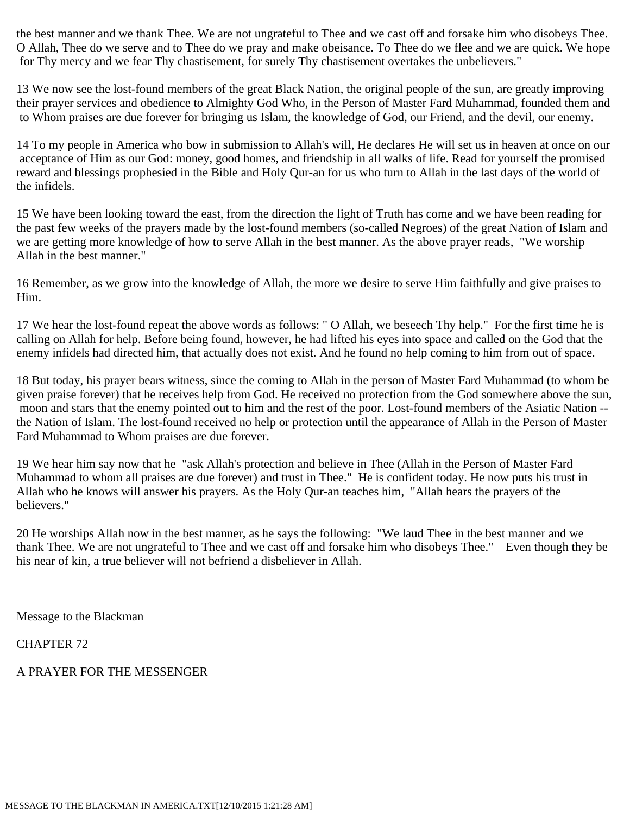the best manner and we thank Thee. We are not ungrateful to Thee and we cast off and forsake him who disobeys Thee. O Allah, Thee do we serve and to Thee do we pray and make obeisance. To Thee do we flee and we are quick. We hope for Thy mercy and we fear Thy chastisement, for surely Thy chastisement overtakes the unbelievers."

13 We now see the lost-found members of the great Black Nation, the original people of the sun, are greatly improving their prayer services and obedience to Almighty God Who, in the Person of Master Fard Muhammad, founded them and to Whom praises are due forever for bringing us Islam, the knowledge of God, our Friend, and the devil, our enemy.

14 To my people in America who bow in submission to Allah's will, He declares He will set us in heaven at once on our acceptance of Him as our God: money, good homes, and friendship in all walks of life. Read for yourself the promised reward and blessings prophesied in the Bible and Holy Qur-an for us who turn to Allah in the last days of the world of the infidels.

15 We have been looking toward the east, from the direction the light of Truth has come and we have been reading for the past few weeks of the prayers made by the lost-found members (so-called Negroes) of the great Nation of Islam and we are getting more knowledge of how to serve Allah in the best manner. As the above prayer reads, "We worship Allah in the best manner."

16 Remember, as we grow into the knowledge of Allah, the more we desire to serve Him faithfully and give praises to Him.

17 We hear the lost-found repeat the above words as follows: " O Allah, we beseech Thy help." For the first time he is calling on Allah for help. Before being found, however, he had lifted his eyes into space and called on the God that the enemy infidels had directed him, that actually does not exist. And he found no help coming to him from out of space.

18 But today, his prayer bears witness, since the coming to Allah in the person of Master Fard Muhammad (to whom be given praise forever) that he receives help from God. He received no protection from the God somewhere above the sun, moon and stars that the enemy pointed out to him and the rest of the poor. Lost-found members of the Asiatic Nation - the Nation of Islam. The lost-found received no help or protection until the appearance of Allah in the Person of Master Fard Muhammad to Whom praises are due forever.

19 We hear him say now that he "ask Allah's protection and believe in Thee (Allah in the Person of Master Fard Muhammad to whom all praises are due forever) and trust in Thee." He is confident today. He now puts his trust in Allah who he knows will answer his prayers. As the Holy Qur-an teaches him, "Allah hears the prayers of the believers."

20 He worships Allah now in the best manner, as he says the following: "We laud Thee in the best manner and we thank Thee. We are not ungrateful to Thee and we cast off and forsake him who disobeys Thee." Even though they be his near of kin, a true believer will not befriend a disbeliever in Allah.

Message to the Blackman

CHAPTER 72

A PRAYER FOR THE MESSENGER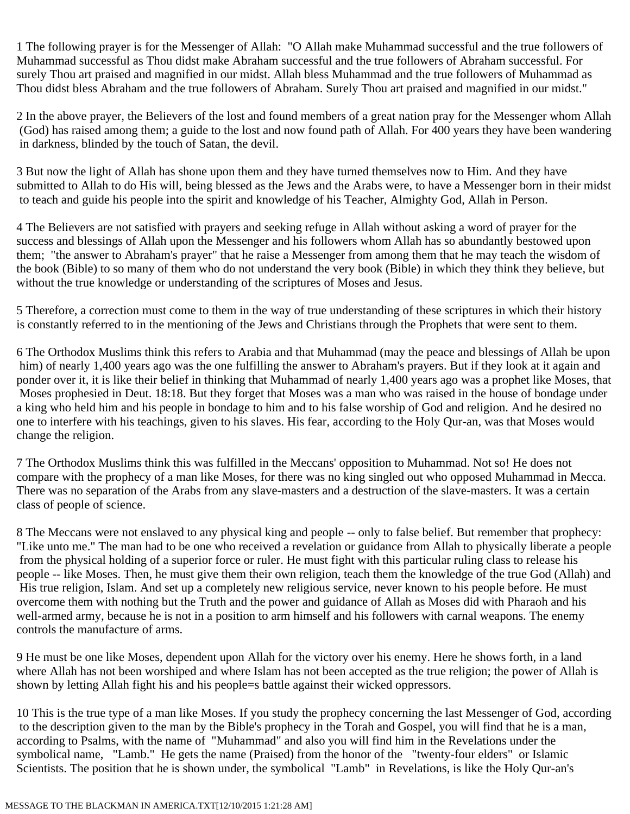1 The following prayer is for the Messenger of Allah: "O Allah make Muhammad successful and the true followers of Muhammad successful as Thou didst make Abraham successful and the true followers of Abraham successful. For surely Thou art praised and magnified in our midst. Allah bless Muhammad and the true followers of Muhammad as Thou didst bless Abraham and the true followers of Abraham. Surely Thou art praised and magnified in our midst."

2 In the above prayer, the Believers of the lost and found members of a great nation pray for the Messenger whom Allah (God) has raised among them; a guide to the lost and now found path of Allah. For 400 years they have been wandering in darkness, blinded by the touch of Satan, the devil.

3 But now the light of Allah has shone upon them and they have turned themselves now to Him. And they have submitted to Allah to do His will, being blessed as the Jews and the Arabs were, to have a Messenger born in their midst to teach and guide his people into the spirit and knowledge of his Teacher, Almighty God, Allah in Person.

4 The Believers are not satisfied with prayers and seeking refuge in Allah without asking a word of prayer for the success and blessings of Allah upon the Messenger and his followers whom Allah has so abundantly bestowed upon them; "the answer to Abraham's prayer" that he raise a Messenger from among them that he may teach the wisdom of the book (Bible) to so many of them who do not understand the very book (Bible) in which they think they believe, but without the true knowledge or understanding of the scriptures of Moses and Jesus.

5 Therefore, a correction must come to them in the way of true understanding of these scriptures in which their history is constantly referred to in the mentioning of the Jews and Christians through the Prophets that were sent to them.

6 The Orthodox Muslims think this refers to Arabia and that Muhammad (may the peace and blessings of Allah be upon him) of nearly 1,400 years ago was the one fulfilling the answer to Abraham's prayers. But if they look at it again and ponder over it, it is like their belief in thinking that Muhammad of nearly 1,400 years ago was a prophet like Moses, that Moses prophesied in Deut. 18:18. But they forget that Moses was a man who was raised in the house of bondage under a king who held him and his people in bondage to him and to his false worship of God and religion. And he desired no one to interfere with his teachings, given to his slaves. His fear, according to the Holy Qur-an, was that Moses would change the religion.

7 The Orthodox Muslims think this was fulfilled in the Meccans' opposition to Muhammad. Not so! He does not compare with the prophecy of a man like Moses, for there was no king singled out who opposed Muhammad in Mecca. There was no separation of the Arabs from any slave-masters and a destruction of the slave-masters. It was a certain class of people of science.

8 The Meccans were not enslaved to any physical king and people -- only to false belief. But remember that prophecy: "Like unto me." The man had to be one who received a revelation or guidance from Allah to physically liberate a people from the physical holding of a superior force or ruler. He must fight with this particular ruling class to release his people -- like Moses. Then, he must give them their own religion, teach them the knowledge of the true God (Allah) and His true religion, Islam. And set up a completely new religious service, never known to his people before. He must overcome them with nothing but the Truth and the power and guidance of Allah as Moses did with Pharaoh and his well-armed army, because he is not in a position to arm himself and his followers with carnal weapons. The enemy controls the manufacture of arms.

9 He must be one like Moses, dependent upon Allah for the victory over his enemy. Here he shows forth, in a land where Allah has not been worshiped and where Islam has not been accepted as the true religion; the power of Allah is shown by letting Allah fight his and his people=s battle against their wicked oppressors.

10 This is the true type of a man like Moses. If you study the prophecy concerning the last Messenger of God, according to the description given to the man by the Bible's prophecy in the Torah and Gospel, you will find that he is a man, according to Psalms, with the name of "Muhammad" and also you will find him in the Revelations under the symbolical name, "Lamb." He gets the name (Praised) from the honor of the "twenty-four elders" or Islamic Scientists. The position that he is shown under, the symbolical "Lamb" in Revelations, is like the Holy Qur-an's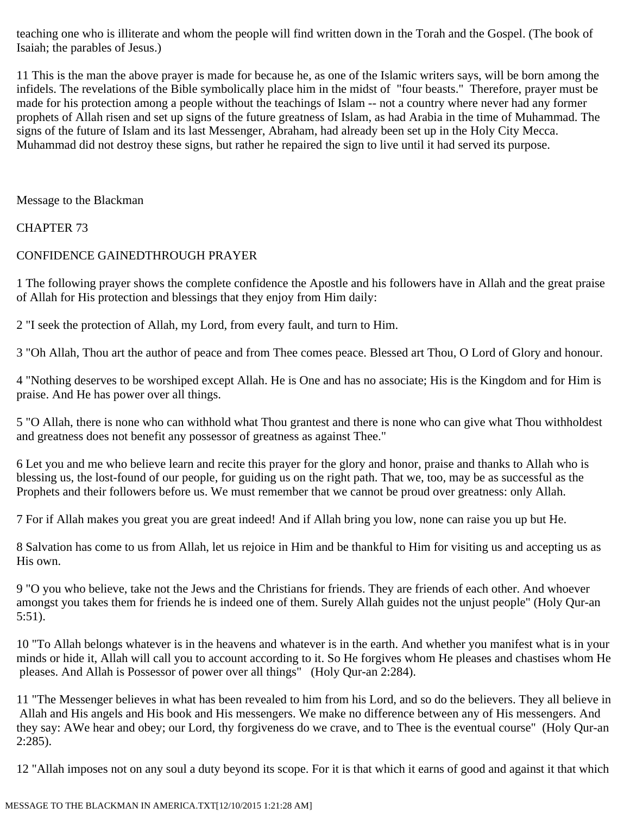teaching one who is illiterate and whom the people will find written down in the Torah and the Gospel. (The book of Isaiah; the parables of Jesus.)

11 This is the man the above prayer is made for because he, as one of the Islamic writers says, will be born among the infidels. The revelations of the Bible symbolically place him in the midst of "four beasts." Therefore, prayer must be made for his protection among a people without the teachings of Islam -- not a country where never had any former prophets of Allah risen and set up signs of the future greatness of Islam, as had Arabia in the time of Muhammad. The signs of the future of Islam and its last Messenger, Abraham, had already been set up in the Holy City Mecca. Muhammad did not destroy these signs, but rather he repaired the sign to live until it had served its purpose.

Message to the Blackman

CHAPTER 73

# CONFIDENCE GAINEDTHROUGH PRAYER

1 The following prayer shows the complete confidence the Apostle and his followers have in Allah and the great praise of Allah for His protection and blessings that they enjoy from Him daily:

2 "I seek the protection of Allah, my Lord, from every fault, and turn to Him.

3 "Oh Allah, Thou art the author of peace and from Thee comes peace. Blessed art Thou, O Lord of Glory and honour.

4 "Nothing deserves to be worshiped except Allah. He is One and has no associate; His is the Kingdom and for Him is praise. And He has power over all things.

5 "O Allah, there is none who can withhold what Thou grantest and there is none who can give what Thou withholdest and greatness does not benefit any possessor of greatness as against Thee."

6 Let you and me who believe learn and recite this prayer for the glory and honor, praise and thanks to Allah who is blessing us, the lost-found of our people, for guiding us on the right path. That we, too, may be as successful as the Prophets and their followers before us. We must remember that we cannot be proud over greatness: only Allah.

7 For if Allah makes you great you are great indeed! And if Allah bring you low, none can raise you up but He.

8 Salvation has come to us from Allah, let us rejoice in Him and be thankful to Him for visiting us and accepting us as His own.

9 "O you who believe, take not the Jews and the Christians for friends. They are friends of each other. And whoever amongst you takes them for friends he is indeed one of them. Surely Allah guides not the unjust people" (Holy Qur-an 5:51).

10 "To Allah belongs whatever is in the heavens and whatever is in the earth. And whether you manifest what is in your minds or hide it, Allah will call you to account according to it. So He forgives whom He pleases and chastises whom He pleases. And Allah is Possessor of power over all things" (Holy Qur-an 2:284).

11 "The Messenger believes in what has been revealed to him from his Lord, and so do the believers. They all believe in Allah and His angels and His book and His messengers. We make no difference between any of His messengers. And they say: AWe hear and obey; our Lord, thy forgiveness do we crave, and to Thee is the eventual course" (Holy Qur-an 2:285).

12 "Allah imposes not on any soul a duty beyond its scope. For it is that which it earns of good and against it that which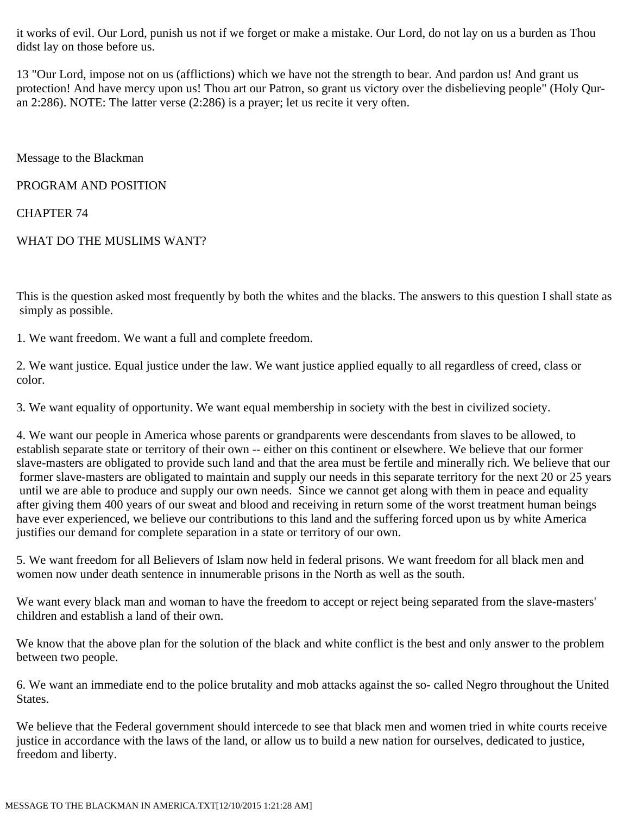it works of evil. Our Lord, punish us not if we forget or make a mistake. Our Lord, do not lay on us a burden as Thou didst lay on those before us.

13 "Our Lord, impose not on us (afflictions) which we have not the strength to bear. And pardon us! And grant us protection! And have mercy upon us! Thou art our Patron, so grant us victory over the disbelieving people" (Holy Quran 2:286). NOTE: The latter verse (2:286) is a prayer; let us recite it very often.

Message to the Blackman

PROGRAM AND POSITION

CHAPTER 74

WHAT DO THE MUSLIMS WANT?

This is the question asked most frequently by both the whites and the blacks. The answers to this question I shall state as simply as possible.

1. We want freedom. We want a full and complete freedom.

2. We want justice. Equal justice under the law. We want justice applied equally to all regardless of creed, class or color.

3. We want equality of opportunity. We want equal membership in society with the best in civilized society.

4. We want our people in America whose parents or grandparents were descendants from slaves to be allowed, to establish separate state or territory of their own -- either on this continent or elsewhere. We believe that our former slave-masters are obligated to provide such land and that the area must be fertile and minerally rich. We believe that our former slave-masters are obligated to maintain and supply our needs in this separate territory for the next 20 or 25 years until we are able to produce and supply our own needs. Since we cannot get along with them in peace and equality after giving them 400 years of our sweat and blood and receiving in return some of the worst treatment human beings have ever experienced, we believe our contributions to this land and the suffering forced upon us by white America justifies our demand for complete separation in a state or territory of our own.

5. We want freedom for all Believers of Islam now held in federal prisons. We want freedom for all black men and women now under death sentence in innumerable prisons in the North as well as the south.

We want every black man and woman to have the freedom to accept or reject being separated from the slave-masters' children and establish a land of their own.

We know that the above plan for the solution of the black and white conflict is the best and only answer to the problem between two people.

6. We want an immediate end to the police brutality and mob attacks against the so- called Negro throughout the United States.

We believe that the Federal government should intercede to see that black men and women tried in white courts receive justice in accordance with the laws of the land, or allow us to build a new nation for ourselves, dedicated to justice, freedom and liberty.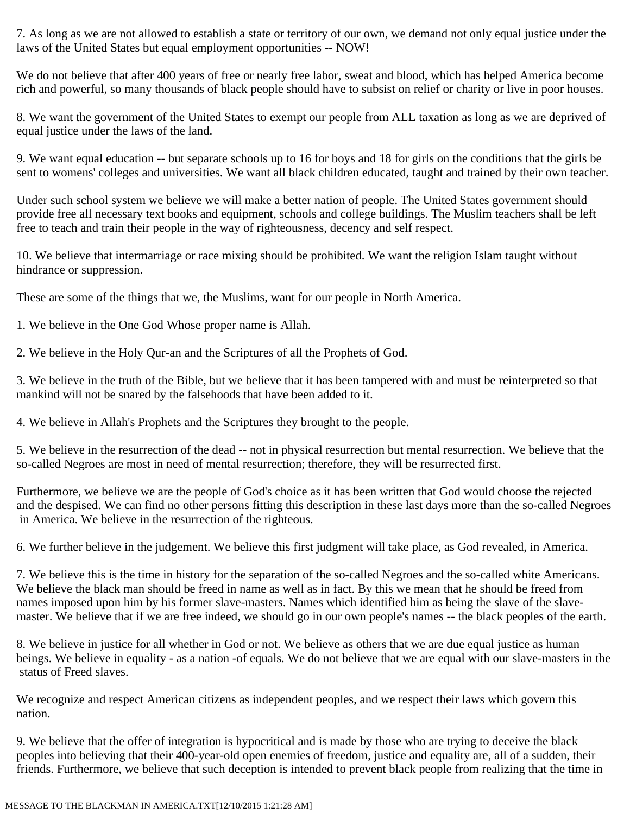7. As long as we are not allowed to establish a state or territory of our own, we demand not only equal justice under the laws of the United States but equal employment opportunities -- NOW!

We do not believe that after 400 years of free or nearly free labor, sweat and blood, which has helped America become rich and powerful, so many thousands of black people should have to subsist on relief or charity or live in poor houses.

8. We want the government of the United States to exempt our people from ALL taxation as long as we are deprived of equal justice under the laws of the land.

9. We want equal education -- but separate schools up to 16 for boys and 18 for girls on the conditions that the girls be sent to womens' colleges and universities. We want all black children educated, taught and trained by their own teacher.

Under such school system we believe we will make a better nation of people. The United States government should provide free all necessary text books and equipment, schools and college buildings. The Muslim teachers shall be left free to teach and train their people in the way of righteousness, decency and self respect.

10. We believe that intermarriage or race mixing should be prohibited. We want the religion Islam taught without hindrance or suppression.

These are some of the things that we, the Muslims, want for our people in North America.

1. We believe in the One God Whose proper name is Allah.

2. We believe in the Holy Qur-an and the Scriptures of all the Prophets of God.

3. We believe in the truth of the Bible, but we believe that it has been tampered with and must be reinterpreted so that mankind will not be snared by the falsehoods that have been added to it.

4. We believe in Allah's Prophets and the Scriptures they brought to the people.

5. We believe in the resurrection of the dead -- not in physical resurrection but mental resurrection. We believe that the so-called Negroes are most in need of mental resurrection; therefore, they will be resurrected first.

Furthermore, we believe we are the people of God's choice as it has been written that God would choose the rejected and the despised. We can find no other persons fitting this description in these last days more than the so-called Negroes in America. We believe in the resurrection of the righteous.

6. We further believe in the judgement. We believe this first judgment will take place, as God revealed, in America.

7. We believe this is the time in history for the separation of the so-called Negroes and the so-called white Americans. We believe the black man should be freed in name as well as in fact. By this we mean that he should be freed from names imposed upon him by his former slave-masters. Names which identified him as being the slave of the slavemaster. We believe that if we are free indeed, we should go in our own people's names -- the black peoples of the earth.

8. We believe in justice for all whether in God or not. We believe as others that we are due equal justice as human beings. We believe in equality - as a nation -of equals. We do not believe that we are equal with our slave-masters in the status of Freed slaves.

We recognize and respect American citizens as independent peoples, and we respect their laws which govern this nation.

9. We believe that the offer of integration is hypocritical and is made by those who are trying to deceive the black peoples into believing that their 400-year-old open enemies of freedom, justice and equality are, all of a sudden, their friends. Furthermore, we believe that such deception is intended to prevent black people from realizing that the time in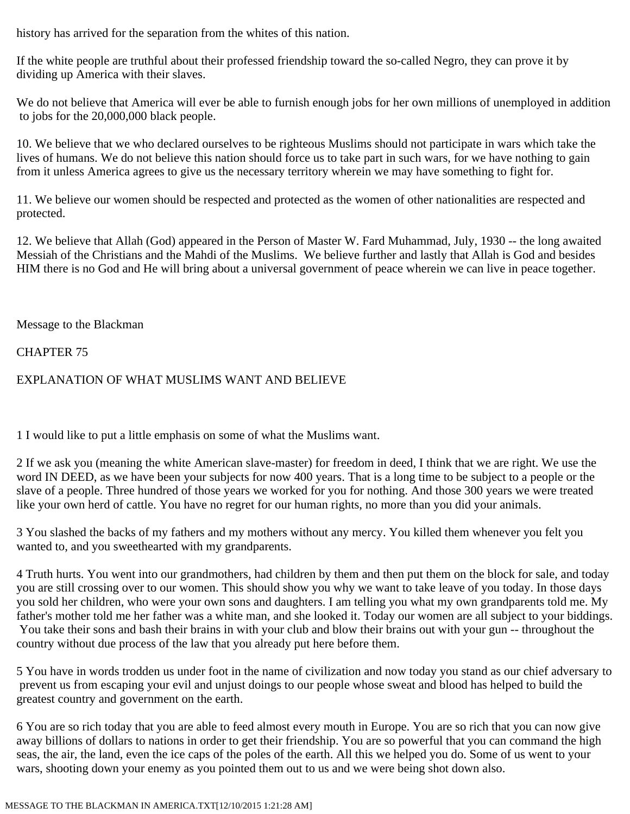history has arrived for the separation from the whites of this nation.

If the white people are truthful about their professed friendship toward the so-called Negro, they can prove it by dividing up America with their slaves.

We do not believe that America will ever be able to furnish enough jobs for her own millions of unemployed in addition to jobs for the 20,000,000 black people.

10. We believe that we who declared ourselves to be righteous Muslims should not participate in wars which take the lives of humans. We do not believe this nation should force us to take part in such wars, for we have nothing to gain from it unless America agrees to give us the necessary territory wherein we may have something to fight for.

11. We believe our women should be respected and protected as the women of other nationalities are respected and protected.

12. We believe that Allah (God) appeared in the Person of Master W. Fard Muhammad, July, 1930 -- the long awaited Messiah of the Christians and the Mahdi of the Muslims. We believe further and lastly that Allah is God and besides HIM there is no God and He will bring about a universal government of peace wherein we can live in peace together.

Message to the Blackman

CHAPTER 75

# EXPLANATION OF WHAT MUSLIMS WANT AND BELIEVE

1 I would like to put a little emphasis on some of what the Muslims want.

2 If we ask you (meaning the white American slave-master) for freedom in deed, I think that we are right. We use the word IN DEED, as we have been your subjects for now 400 years. That is a long time to be subject to a people or the slave of a people. Three hundred of those years we worked for you for nothing. And those 300 years we were treated like your own herd of cattle. You have no regret for our human rights, no more than you did your animals.

3 You slashed the backs of my fathers and my mothers without any mercy. You killed them whenever you felt you wanted to, and you sweethearted with my grandparents.

4 Truth hurts. You went into our grandmothers, had children by them and then put them on the block for sale, and today you are still crossing over to our women. This should show you why we want to take leave of you today. In those days you sold her children, who were your own sons and daughters. I am telling you what my own grandparents told me. My father's mother told me her father was a white man, and she looked it. Today our women are all subject to your biddings. You take their sons and bash their brains in with your club and blow their brains out with your gun -- throughout the country without due process of the law that you already put here before them.

5 You have in words trodden us under foot in the name of civilization and now today you stand as our chief adversary to prevent us from escaping your evil and unjust doings to our people whose sweat and blood has helped to build the greatest country and government on the earth.

6 You are so rich today that you are able to feed almost every mouth in Europe. You are so rich that you can now give away billions of dollars to nations in order to get their friendship. You are so powerful that you can command the high seas, the air, the land, even the ice caps of the poles of the earth. All this we helped you do. Some of us went to your wars, shooting down your enemy as you pointed them out to us and we were being shot down also.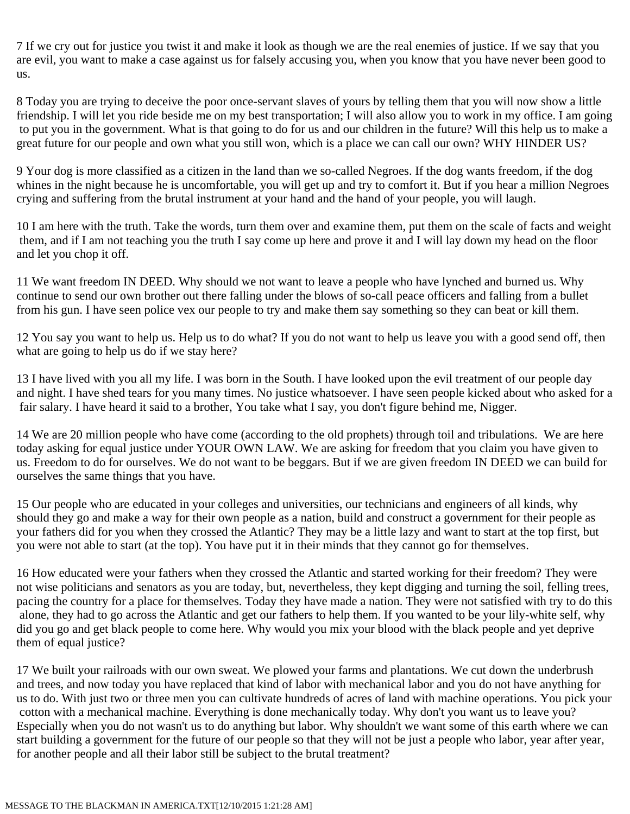7 If we cry out for justice you twist it and make it look as though we are the real enemies of justice. If we say that you are evil, you want to make a case against us for falsely accusing you, when you know that you have never been good to us.

8 Today you are trying to deceive the poor once-servant slaves of yours by telling them that you will now show a little friendship. I will let you ride beside me on my best transportation; I will also allow you to work in my office. I am going to put you in the government. What is that going to do for us and our children in the future? Will this help us to make a great future for our people and own what you still won, which is a place we can call our own? WHY HINDER US?

9 Your dog is more classified as a citizen in the land than we so-called Negroes. If the dog wants freedom, if the dog whines in the night because he is uncomfortable, you will get up and try to comfort it. But if you hear a million Negroes crying and suffering from the brutal instrument at your hand and the hand of your people, you will laugh.

10 I am here with the truth. Take the words, turn them over and examine them, put them on the scale of facts and weight them, and if I am not teaching you the truth I say come up here and prove it and I will lay down my head on the floor and let you chop it off.

11 We want freedom IN DEED. Why should we not want to leave a people who have lynched and burned us. Why continue to send our own brother out there falling under the blows of so-call peace officers and falling from a bullet from his gun. I have seen police vex our people to try and make them say something so they can beat or kill them.

12 You say you want to help us. Help us to do what? If you do not want to help us leave you with a good send off, then what are going to help us do if we stay here?

13 I have lived with you all my life. I was born in the South. I have looked upon the evil treatment of our people day and night. I have shed tears for you many times. No justice whatsoever. I have seen people kicked about who asked for a fair salary. I have heard it said to a brother, You take what I say, you don't figure behind me, Nigger.

14 We are 20 million people who have come (according to the old prophets) through toil and tribulations. We are here today asking for equal justice under YOUR OWN LAW. We are asking for freedom that you claim you have given to us. Freedom to do for ourselves. We do not want to be beggars. But if we are given freedom IN DEED we can build for ourselves the same things that you have.

15 Our people who are educated in your colleges and universities, our technicians and engineers of all kinds, why should they go and make a way for their own people as a nation, build and construct a government for their people as your fathers did for you when they crossed the Atlantic? They may be a little lazy and want to start at the top first, but you were not able to start (at the top). You have put it in their minds that they cannot go for themselves.

16 How educated were your fathers when they crossed the Atlantic and started working for their freedom? They were not wise politicians and senators as you are today, but, nevertheless, they kept digging and turning the soil, felling trees, pacing the country for a place for themselves. Today they have made a nation. They were not satisfied with try to do this alone, they had to go across the Atlantic and get our fathers to help them. If you wanted to be your lily-white self, why did you go and get black people to come here. Why would you mix your blood with the black people and yet deprive them of equal justice?

17 We built your railroads with our own sweat. We plowed your farms and plantations. We cut down the underbrush and trees, and now today you have replaced that kind of labor with mechanical labor and you do not have anything for us to do. With just two or three men you can cultivate hundreds of acres of land with machine operations. You pick your cotton with a mechanical machine. Everything is done mechanically today. Why don't you want us to leave you? Especially when you do not wasn't us to do anything but labor. Why shouldn't we want some of this earth where we can start building a government for the future of our people so that they will not be just a people who labor, year after year, for another people and all their labor still be subject to the brutal treatment?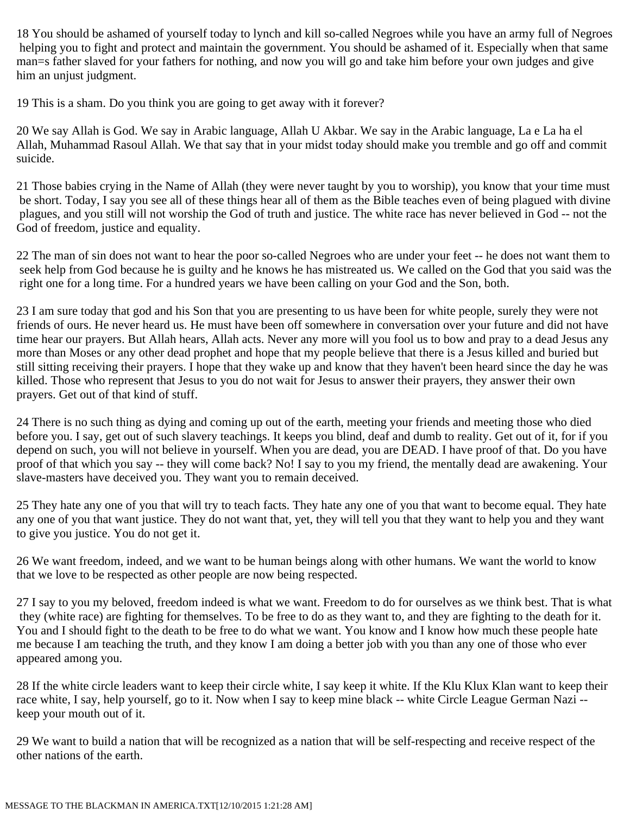18 You should be ashamed of yourself today to lynch and kill so-called Negroes while you have an army full of Negroes helping you to fight and protect and maintain the government. You should be ashamed of it. Especially when that same man=s father slaved for your fathers for nothing, and now you will go and take him before your own judges and give him an unjust judgment.

19 This is a sham. Do you think you are going to get away with it forever?

20 We say Allah is God. We say in Arabic language, Allah U Akbar. We say in the Arabic language, La e La ha el Allah, Muhammad Rasoul Allah. We that say that in your midst today should make you tremble and go off and commit suicide.

21 Those babies crying in the Name of Allah (they were never taught by you to worship), you know that your time must be short. Today, I say you see all of these things hear all of them as the Bible teaches even of being plagued with divine plagues, and you still will not worship the God of truth and justice. The white race has never believed in God -- not the God of freedom, justice and equality.

22 The man of sin does not want to hear the poor so-called Negroes who are under your feet -- he does not want them to seek help from God because he is guilty and he knows he has mistreated us. We called on the God that you said was the right one for a long time. For a hundred years we have been calling on your God and the Son, both.

23 I am sure today that god and his Son that you are presenting to us have been for white people, surely they were not friends of ours. He never heard us. He must have been off somewhere in conversation over your future and did not have time hear our prayers. But Allah hears, Allah acts. Never any more will you fool us to bow and pray to a dead Jesus any more than Moses or any other dead prophet and hope that my people believe that there is a Jesus killed and buried but still sitting receiving their prayers. I hope that they wake up and know that they haven't been heard since the day he was killed. Those who represent that Jesus to you do not wait for Jesus to answer their prayers, they answer their own prayers. Get out of that kind of stuff.

24 There is no such thing as dying and coming up out of the earth, meeting your friends and meeting those who died before you. I say, get out of such slavery teachings. It keeps you blind, deaf and dumb to reality. Get out of it, for if you depend on such, you will not believe in yourself. When you are dead, you are DEAD. I have proof of that. Do you have proof of that which you say -- they will come back? No! I say to you my friend, the mentally dead are awakening. Your slave-masters have deceived you. They want you to remain deceived.

25 They hate any one of you that will try to teach facts. They hate any one of you that want to become equal. They hate any one of you that want justice. They do not want that, yet, they will tell you that they want to help you and they want to give you justice. You do not get it.

26 We want freedom, indeed, and we want to be human beings along with other humans. We want the world to know that we love to be respected as other people are now being respected.

27 I say to you my beloved, freedom indeed is what we want. Freedom to do for ourselves as we think best. That is what they (white race) are fighting for themselves. To be free to do as they want to, and they are fighting to the death for it. You and I should fight to the death to be free to do what we want. You know and I know how much these people hate me because I am teaching the truth, and they know I am doing a better job with you than any one of those who ever appeared among you.

28 If the white circle leaders want to keep their circle white, I say keep it white. If the Klu Klux Klan want to keep their race white, I say, help yourself, go to it. Now when I say to keep mine black -- white Circle League German Nazi - keep your mouth out of it.

29 We want to build a nation that will be recognized as a nation that will be self-respecting and receive respect of the other nations of the earth.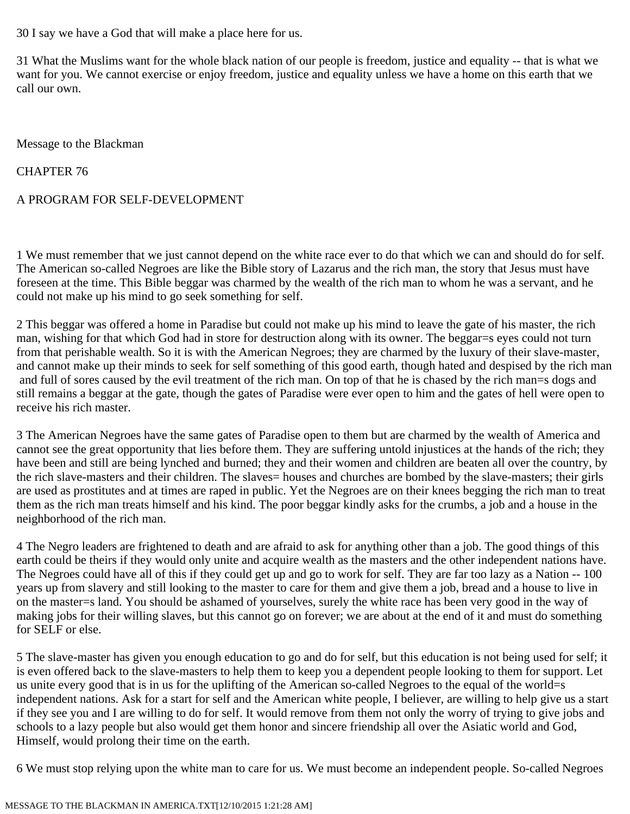30 I say we have a God that will make a place here for us.

31 What the Muslims want for the whole black nation of our people is freedom, justice and equality -- that is what we want for you. We cannot exercise or enjoy freedom, justice and equality unless we have a home on this earth that we call our own.

Message to the Blackman

CHAPTER 76

### A PROGRAM FOR SELF-DEVELOPMENT

1 We must remember that we just cannot depend on the white race ever to do that which we can and should do for self. The American so-called Negroes are like the Bible story of Lazarus and the rich man, the story that Jesus must have foreseen at the time. This Bible beggar was charmed by the wealth of the rich man to whom he was a servant, and he could not make up his mind to go seek something for self.

2 This beggar was offered a home in Paradise but could not make up his mind to leave the gate of his master, the rich man, wishing for that which God had in store for destruction along with its owner. The beggar=s eyes could not turn from that perishable wealth. So it is with the American Negroes; they are charmed by the luxury of their slave-master, and cannot make up their minds to seek for self something of this good earth, though hated and despised by the rich man and full of sores caused by the evil treatment of the rich man. On top of that he is chased by the rich man=s dogs and still remains a beggar at the gate, though the gates of Paradise were ever open to him and the gates of hell were open to receive his rich master.

3 The American Negroes have the same gates of Paradise open to them but are charmed by the wealth of America and cannot see the great opportunity that lies before them. They are suffering untold injustices at the hands of the rich; they have been and still are being lynched and burned; they and their women and children are beaten all over the country, by the rich slave-masters and their children. The slaves= houses and churches are bombed by the slave-masters; their girls are used as prostitutes and at times are raped in public. Yet the Negroes are on their knees begging the rich man to treat them as the rich man treats himself and his kind. The poor beggar kindly asks for the crumbs, a job and a house in the neighborhood of the rich man.

4 The Negro leaders are frightened to death and are afraid to ask for anything other than a job. The good things of this earth could be theirs if they would only unite and acquire wealth as the masters and the other independent nations have. The Negroes could have all of this if they could get up and go to work for self. They are far too lazy as a Nation -- 100 years up from slavery and still looking to the master to care for them and give them a job, bread and a house to live in on the master=s land. You should be ashamed of yourselves, surely the white race has been very good in the way of making jobs for their willing slaves, but this cannot go on forever; we are about at the end of it and must do something for SELF or else.

5 The slave-master has given you enough education to go and do for self, but this education is not being used for self; it is even offered back to the slave-masters to help them to keep you a dependent people looking to them for support. Let us unite every good that is in us for the uplifting of the American so-called Negroes to the equal of the world=s independent nations. Ask for a start for self and the American white people, I believer, are willing to help give us a start if they see you and I are willing to do for self. It would remove from them not only the worry of trying to give jobs and schools to a lazy people but also would get them honor and sincere friendship all over the Asiatic world and God, Himself, would prolong their time on the earth.

6 We must stop relying upon the white man to care for us. We must become an independent people. So-called Negroes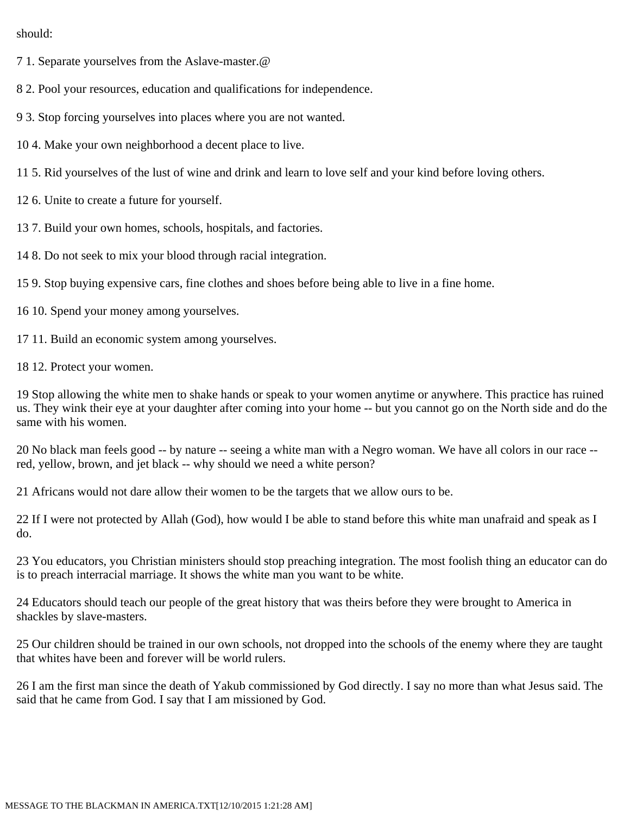should:

- 7 1. Separate yourselves from the Aslave-master.@
- 8 2. Pool your resources, education and qualifications for independence.
- 9 3. Stop forcing yourselves into places where you are not wanted.
- 10 4. Make your own neighborhood a decent place to live.
- 11 5. Rid yourselves of the lust of wine and drink and learn to love self and your kind before loving others.
- 12 6. Unite to create a future for yourself.
- 13 7. Build your own homes, schools, hospitals, and factories.
- 14 8. Do not seek to mix your blood through racial integration.
- 15 9. Stop buying expensive cars, fine clothes and shoes before being able to live in a fine home.
- 16 10. Spend your money among yourselves.
- 17 11. Build an economic system among yourselves.
- 18 12. Protect your women.

19 Stop allowing the white men to shake hands or speak to your women anytime or anywhere. This practice has ruined us. They wink their eye at your daughter after coming into your home -- but you cannot go on the North side and do the same with his women.

20 No black man feels good -- by nature -- seeing a white man with a Negro woman. We have all colors in our race - red, yellow, brown, and jet black -- why should we need a white person?

21 Africans would not dare allow their women to be the targets that we allow ours to be.

22 If I were not protected by Allah (God), how would I be able to stand before this white man unafraid and speak as I do.

23 You educators, you Christian ministers should stop preaching integration. The most foolish thing an educator can do is to preach interracial marriage. It shows the white man you want to be white.

24 Educators should teach our people of the great history that was theirs before they were brought to America in shackles by slave-masters.

25 Our children should be trained in our own schools, not dropped into the schools of the enemy where they are taught that whites have been and forever will be world rulers.

26 I am the first man since the death of Yakub commissioned by God directly. I say no more than what Jesus said. The said that he came from God. I say that I am missioned by God.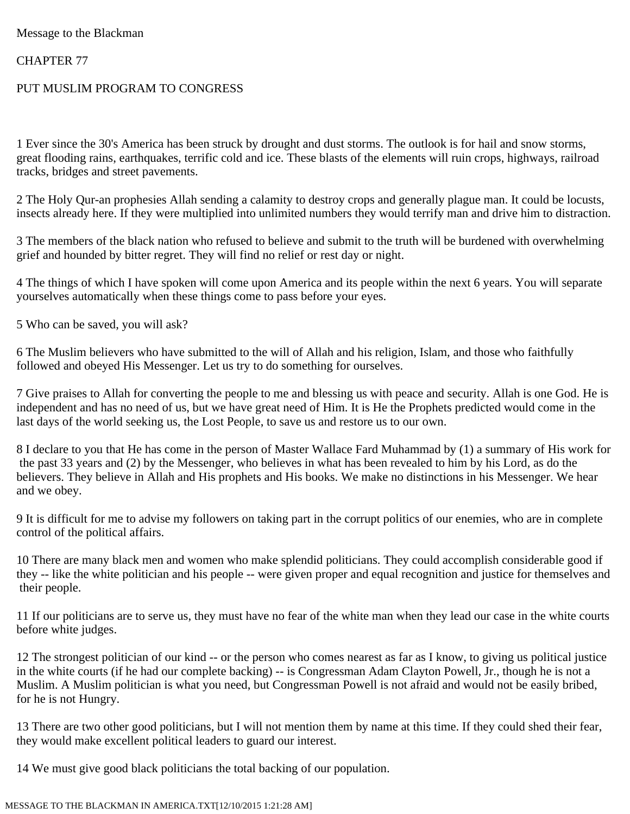#### Message to the Blackman

#### CHAPTER 77

#### PUT MUSLIM PROGRAM TO CONGRESS

1 Ever since the 30's America has been struck by drought and dust storms. The outlook is for hail and snow storms, great flooding rains, earthquakes, terrific cold and ice. These blasts of the elements will ruin crops, highways, railroad tracks, bridges and street pavements.

2 The Holy Qur-an prophesies Allah sending a calamity to destroy crops and generally plague man. It could be locusts, insects already here. If they were multiplied into unlimited numbers they would terrify man and drive him to distraction.

3 The members of the black nation who refused to believe and submit to the truth will be burdened with overwhelming grief and hounded by bitter regret. They will find no relief or rest day or night.

4 The things of which I have spoken will come upon America and its people within the next 6 years. You will separate yourselves automatically when these things come to pass before your eyes.

5 Who can be saved, you will ask?

6 The Muslim believers who have submitted to the will of Allah and his religion, Islam, and those who faithfully followed and obeyed His Messenger. Let us try to do something for ourselves.

7 Give praises to Allah for converting the people to me and blessing us with peace and security. Allah is one God. He is independent and has no need of us, but we have great need of Him. It is He the Prophets predicted would come in the last days of the world seeking us, the Lost People, to save us and restore us to our own.

8 I declare to you that He has come in the person of Master Wallace Fard Muhammad by (1) a summary of His work for the past 33 years and (2) by the Messenger, who believes in what has been revealed to him by his Lord, as do the believers. They believe in Allah and His prophets and His books. We make no distinctions in his Messenger. We hear and we obey.

9 It is difficult for me to advise my followers on taking part in the corrupt politics of our enemies, who are in complete control of the political affairs.

10 There are many black men and women who make splendid politicians. They could accomplish considerable good if they -- like the white politician and his people -- were given proper and equal recognition and justice for themselves and their people.

11 If our politicians are to serve us, they must have no fear of the white man when they lead our case in the white courts before white judges.

12 The strongest politician of our kind -- or the person who comes nearest as far as I know, to giving us political justice in the white courts (if he had our complete backing) -- is Congressman Adam Clayton Powell, Jr., though he is not a Muslim. A Muslim politician is what you need, but Congressman Powell is not afraid and would not be easily bribed, for he is not Hungry.

13 There are two other good politicians, but I will not mention them by name at this time. If they could shed their fear, they would make excellent political leaders to guard our interest.

14 We must give good black politicians the total backing of our population.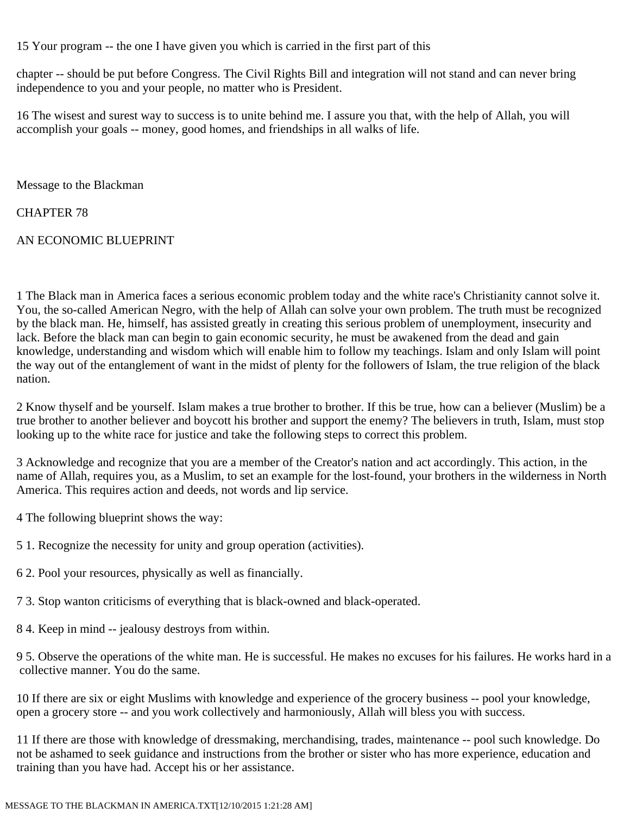15 Your program -- the one I have given you which is carried in the first part of this

chapter -- should be put before Congress. The Civil Rights Bill and integration will not stand and can never bring independence to you and your people, no matter who is President.

16 The wisest and surest way to success is to unite behind me. I assure you that, with the help of Allah, you will accomplish your goals -- money, good homes, and friendships in all walks of life.

Message to the Blackman

CHAPTER 78

AN ECONOMIC BLUEPRINT

1 The Black man in America faces a serious economic problem today and the white race's Christianity cannot solve it. You, the so-called American Negro, with the help of Allah can solve your own problem. The truth must be recognized by the black man. He, himself, has assisted greatly in creating this serious problem of unemployment, insecurity and lack. Before the black man can begin to gain economic security, he must be awakened from the dead and gain knowledge, understanding and wisdom which will enable him to follow my teachings. Islam and only Islam will point the way out of the entanglement of want in the midst of plenty for the followers of Islam, the true religion of the black nation.

2 Know thyself and be yourself. Islam makes a true brother to brother. If this be true, how can a believer (Muslim) be a true brother to another believer and boycott his brother and support the enemy? The believers in truth, Islam, must stop looking up to the white race for justice and take the following steps to correct this problem.

3 Acknowledge and recognize that you are a member of the Creator's nation and act accordingly. This action, in the name of Allah, requires you, as a Muslim, to set an example for the lost-found, your brothers in the wilderness in North America. This requires action and deeds, not words and lip service.

4 The following blueprint shows the way:

- 5 1. Recognize the necessity for unity and group operation (activities).
- 6 2. Pool your resources, physically as well as financially.
- 7 3. Stop wanton criticisms of everything that is black-owned and black-operated.
- 8 4. Keep in mind -- jealousy destroys from within.

9 5. Observe the operations of the white man. He is successful. He makes no excuses for his failures. He works hard in a collective manner. You do the same.

10 If there are six or eight Muslims with knowledge and experience of the grocery business -- pool your knowledge, open a grocery store -- and you work collectively and harmoniously, Allah will bless you with success.

11 If there are those with knowledge of dressmaking, merchandising, trades, maintenance -- pool such knowledge. Do not be ashamed to seek guidance and instructions from the brother or sister who has more experience, education and training than you have had. Accept his or her assistance.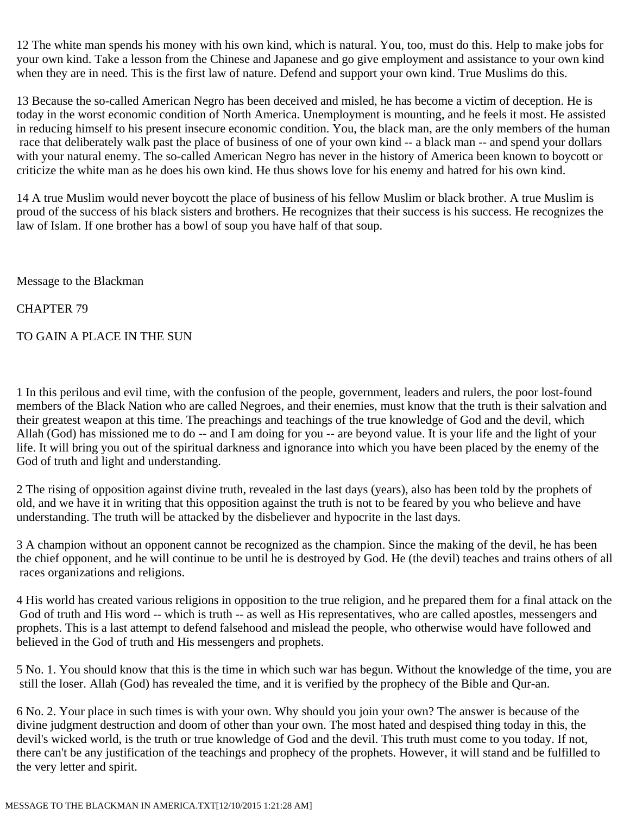12 The white man spends his money with his own kind, which is natural. You, too, must do this. Help to make jobs for your own kind. Take a lesson from the Chinese and Japanese and go give employment and assistance to your own kind when they are in need. This is the first law of nature. Defend and support your own kind. True Muslims do this.

13 Because the so-called American Negro has been deceived and misled, he has become a victim of deception. He is today in the worst economic condition of North America. Unemployment is mounting, and he feels it most. He assisted in reducing himself to his present insecure economic condition. You, the black man, are the only members of the human race that deliberately walk past the place of business of one of your own kind -- a black man -- and spend your dollars with your natural enemy. The so-called American Negro has never in the history of America been known to boycott or criticize the white man as he does his own kind. He thus shows love for his enemy and hatred for his own kind.

14 A true Muslim would never boycott the place of business of his fellow Muslim or black brother. A true Muslim is proud of the success of his black sisters and brothers. He recognizes that their success is his success. He recognizes the law of Islam. If one brother has a bowl of soup you have half of that soup.

Message to the Blackman

CHAPTER 79

# TO GAIN A PLACE IN THE SUN

1 In this perilous and evil time, with the confusion of the people, government, leaders and rulers, the poor lost-found members of the Black Nation who are called Negroes, and their enemies, must know that the truth is their salvation and their greatest weapon at this time. The preachings and teachings of the true knowledge of God and the devil, which Allah (God) has missioned me to do -- and I am doing for you -- are beyond value. It is your life and the light of your life. It will bring you out of the spiritual darkness and ignorance into which you have been placed by the enemy of the God of truth and light and understanding.

2 The rising of opposition against divine truth, revealed in the last days (years), also has been told by the prophets of old, and we have it in writing that this opposition against the truth is not to be feared by you who believe and have understanding. The truth will be attacked by the disbeliever and hypocrite in the last days.

3 A champion without an opponent cannot be recognized as the champion. Since the making of the devil, he has been the chief opponent, and he will continue to be until he is destroyed by God. He (the devil) teaches and trains others of all races organizations and religions.

4 His world has created various religions in opposition to the true religion, and he prepared them for a final attack on the God of truth and His word -- which is truth -- as well as His representatives, who are called apostles, messengers and prophets. This is a last attempt to defend falsehood and mislead the people, who otherwise would have followed and believed in the God of truth and His messengers and prophets.

5 No. 1. You should know that this is the time in which such war has begun. Without the knowledge of the time, you are still the loser. Allah (God) has revealed the time, and it is verified by the prophecy of the Bible and Qur-an.

6 No. 2. Your place in such times is with your own. Why should you join your own? The answer is because of the divine judgment destruction and doom of other than your own. The most hated and despised thing today in this, the devil's wicked world, is the truth or true knowledge of God and the devil. This truth must come to you today. If not, there can't be any justification of the teachings and prophecy of the prophets. However, it will stand and be fulfilled to the very letter and spirit.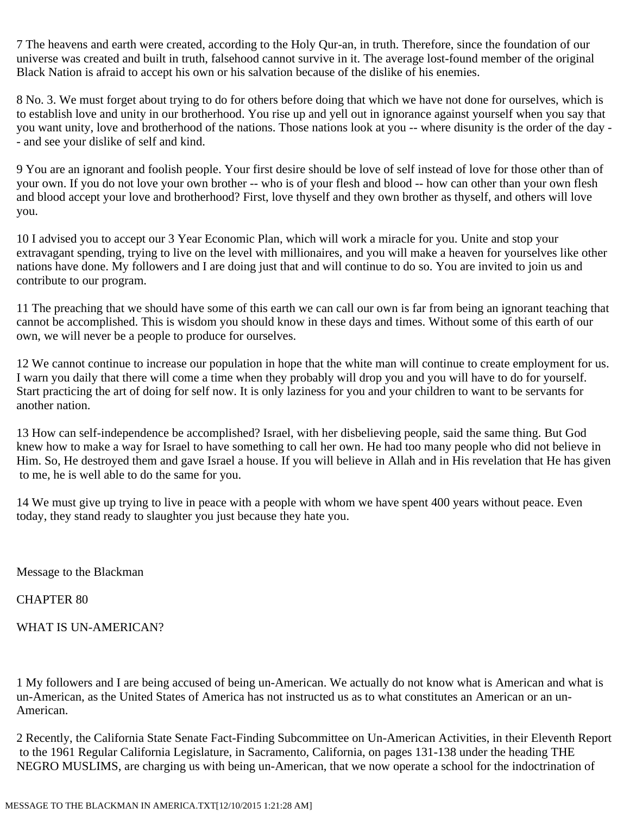7 The heavens and earth were created, according to the Holy Qur-an, in truth. Therefore, since the foundation of our universe was created and built in truth, falsehood cannot survive in it. The average lost-found member of the original Black Nation is afraid to accept his own or his salvation because of the dislike of his enemies.

8 No. 3. We must forget about trying to do for others before doing that which we have not done for ourselves, which is to establish love and unity in our brotherhood. You rise up and yell out in ignorance against yourself when you say that you want unity, love and brotherhood of the nations. Those nations look at you -- where disunity is the order of the day - - and see your dislike of self and kind.

9 You are an ignorant and foolish people. Your first desire should be love of self instead of love for those other than of your own. If you do not love your own brother -- who is of your flesh and blood -- how can other than your own flesh and blood accept your love and brotherhood? First, love thyself and they own brother as thyself, and others will love you.

10 I advised you to accept our 3 Year Economic Plan, which will work a miracle for you. Unite and stop your extravagant spending, trying to live on the level with millionaires, and you will make a heaven for yourselves like other nations have done. My followers and I are doing just that and will continue to do so. You are invited to join us and contribute to our program.

11 The preaching that we should have some of this earth we can call our own is far from being an ignorant teaching that cannot be accomplished. This is wisdom you should know in these days and times. Without some of this earth of our own, we will never be a people to produce for ourselves.

12 We cannot continue to increase our population in hope that the white man will continue to create employment for us. I warn you daily that there will come a time when they probably will drop you and you will have to do for yourself. Start practicing the art of doing for self now. It is only laziness for you and your children to want to be servants for another nation.

13 How can self-independence be accomplished? Israel, with her disbelieving people, said the same thing. But God knew how to make a way for Israel to have something to call her own. He had too many people who did not believe in Him. So, He destroyed them and gave Israel a house. If you will believe in Allah and in His revelation that He has given to me, he is well able to do the same for you.

14 We must give up trying to live in peace with a people with whom we have spent 400 years without peace. Even today, they stand ready to slaughter you just because they hate you.

Message to the Blackman

CHAPTER 80

WHAT IS UN-AMERICAN?

1 My followers and I are being accused of being un-American. We actually do not know what is American and what is un-American, as the United States of America has not instructed us as to what constitutes an American or an un-American.

2 Recently, the California State Senate Fact-Finding Subcommittee on Un-American Activities, in their Eleventh Report to the 1961 Regular California Legislature, in Sacramento, California, on pages 131-138 under the heading THE NEGRO MUSLIMS, are charging us with being un-American, that we now operate a school for the indoctrination of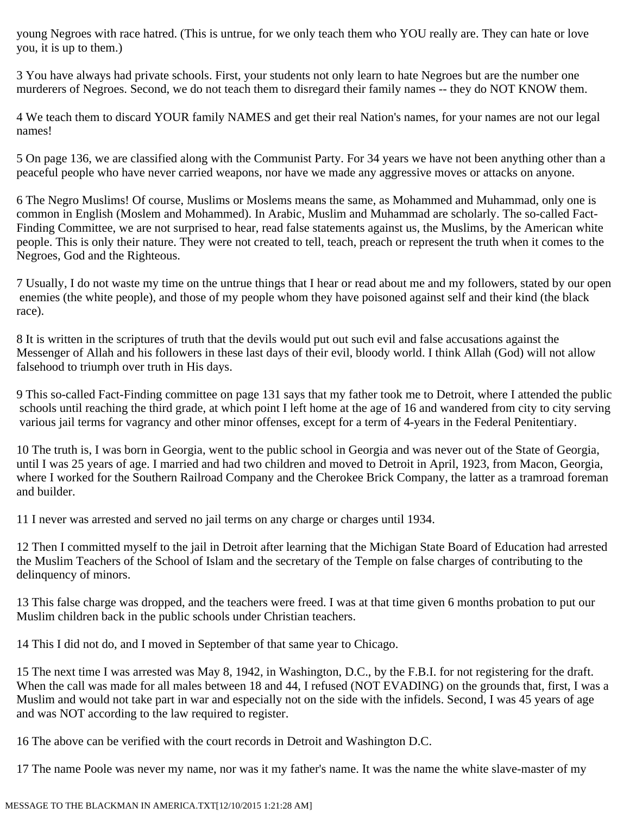young Negroes with race hatred. (This is untrue, for we only teach them who YOU really are. They can hate or love you, it is up to them.)

3 You have always had private schools. First, your students not only learn to hate Negroes but are the number one murderers of Negroes. Second, we do not teach them to disregard their family names -- they do NOT KNOW them.

4 We teach them to discard YOUR family NAMES and get their real Nation's names, for your names are not our legal names!

5 On page 136, we are classified along with the Communist Party. For 34 years we have not been anything other than a peaceful people who have never carried weapons, nor have we made any aggressive moves or attacks on anyone.

6 The Negro Muslims! Of course, Muslims or Moslems means the same, as Mohammed and Muhammad, only one is common in English (Moslem and Mohammed). In Arabic, Muslim and Muhammad are scholarly. The so-called Fact-Finding Committee, we are not surprised to hear, read false statements against us, the Muslims, by the American white people. This is only their nature. They were not created to tell, teach, preach or represent the truth when it comes to the Negroes, God and the Righteous.

7 Usually, I do not waste my time on the untrue things that I hear or read about me and my followers, stated by our open enemies (the white people), and those of my people whom they have poisoned against self and their kind (the black race).

8 It is written in the scriptures of truth that the devils would put out such evil and false accusations against the Messenger of Allah and his followers in these last days of their evil, bloody world. I think Allah (God) will not allow falsehood to triumph over truth in His days.

9 This so-called Fact-Finding committee on page 131 says that my father took me to Detroit, where I attended the public schools until reaching the third grade, at which point I left home at the age of 16 and wandered from city to city serving various jail terms for vagrancy and other minor offenses, except for a term of 4-years in the Federal Penitentiary.

10 The truth is, I was born in Georgia, went to the public school in Georgia and was never out of the State of Georgia, until I was 25 years of age. I married and had two children and moved to Detroit in April, 1923, from Macon, Georgia, where I worked for the Southern Railroad Company and the Cherokee Brick Company, the latter as a tramroad foreman and builder.

11 I never was arrested and served no jail terms on any charge or charges until 1934.

12 Then I committed myself to the jail in Detroit after learning that the Michigan State Board of Education had arrested the Muslim Teachers of the School of Islam and the secretary of the Temple on false charges of contributing to the delinquency of minors.

13 This false charge was dropped, and the teachers were freed. I was at that time given 6 months probation to put our Muslim children back in the public schools under Christian teachers.

14 This I did not do, and I moved in September of that same year to Chicago.

15 The next time I was arrested was May 8, 1942, in Washington, D.C., by the F.B.I. for not registering for the draft. When the call was made for all males between 18 and 44, I refused (NOT EVADING) on the grounds that, first, I was a Muslim and would not take part in war and especially not on the side with the infidels. Second, I was 45 years of age and was NOT according to the law required to register.

16 The above can be verified with the court records in Detroit and Washington D.C.

17 The name Poole was never my name, nor was it my father's name. It was the name the white slave-master of my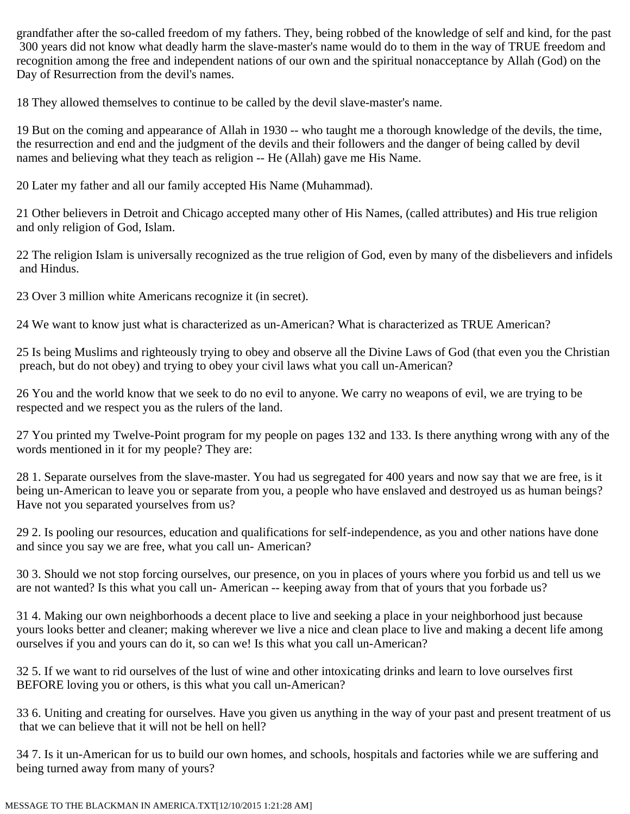grandfather after the so-called freedom of my fathers. They, being robbed of the knowledge of self and kind, for the past 300 years did not know what deadly harm the slave-master's name would do to them in the way of TRUE freedom and recognition among the free and independent nations of our own and the spiritual nonacceptance by Allah (God) on the Day of Resurrection from the devil's names.

18 They allowed themselves to continue to be called by the devil slave-master's name.

19 But on the coming and appearance of Allah in 1930 -- who taught me a thorough knowledge of the devils, the time, the resurrection and end and the judgment of the devils and their followers and the danger of being called by devil names and believing what they teach as religion -- He (Allah) gave me His Name.

20 Later my father and all our family accepted His Name (Muhammad).

21 Other believers in Detroit and Chicago accepted many other of His Names, (called attributes) and His true religion and only religion of God, Islam.

22 The religion Islam is universally recognized as the true religion of God, even by many of the disbelievers and infidels and Hindus.

23 Over 3 million white Americans recognize it (in secret).

24 We want to know just what is characterized as un-American? What is characterized as TRUE American?

25 Is being Muslims and righteously trying to obey and observe all the Divine Laws of God (that even you the Christian preach, but do not obey) and trying to obey your civil laws what you call un-American?

26 You and the world know that we seek to do no evil to anyone. We carry no weapons of evil, we are trying to be respected and we respect you as the rulers of the land.

27 You printed my Twelve-Point program for my people on pages 132 and 133. Is there anything wrong with any of the words mentioned in it for my people? They are:

28 1. Separate ourselves from the slave-master. You had us segregated for 400 years and now say that we are free, is it being un-American to leave you or separate from you, a people who have enslaved and destroyed us as human beings? Have not you separated yourselves from us?

29 2. Is pooling our resources, education and qualifications for self-independence, as you and other nations have done and since you say we are free, what you call un- American?

30 3. Should we not stop forcing ourselves, our presence, on you in places of yours where you forbid us and tell us we are not wanted? Is this what you call un- American -- keeping away from that of yours that you forbade us?

31 4. Making our own neighborhoods a decent place to live and seeking a place in your neighborhood just because yours looks better and cleaner; making wherever we live a nice and clean place to live and making a decent life among ourselves if you and yours can do it, so can we! Is this what you call un-American?

32 5. If we want to rid ourselves of the lust of wine and other intoxicating drinks and learn to love ourselves first BEFORE loving you or others, is this what you call un-American?

33 6. Uniting and creating for ourselves. Have you given us anything in the way of your past and present treatment of us that we can believe that it will not be hell on hell?

34 7. Is it un-American for us to build our own homes, and schools, hospitals and factories while we are suffering and being turned away from many of yours?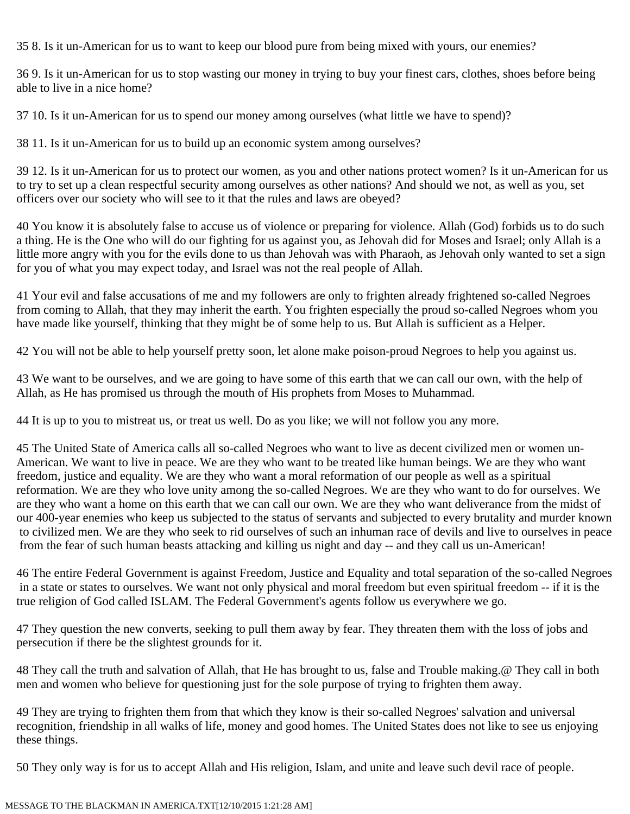35 8. Is it un-American for us to want to keep our blood pure from being mixed with yours, our enemies?

36 9. Is it un-American for us to stop wasting our money in trying to buy your finest cars, clothes, shoes before being able to live in a nice home?

37 10. Is it un-American for us to spend our money among ourselves (what little we have to spend)?

38 11. Is it un-American for us to build up an economic system among ourselves?

39 12. Is it un-American for us to protect our women, as you and other nations protect women? Is it un-American for us to try to set up a clean respectful security among ourselves as other nations? And should we not, as well as you, set officers over our society who will see to it that the rules and laws are obeyed?

40 You know it is absolutely false to accuse us of violence or preparing for violence. Allah (God) forbids us to do such a thing. He is the One who will do our fighting for us against you, as Jehovah did for Moses and Israel; only Allah is a little more angry with you for the evils done to us than Jehovah was with Pharaoh, as Jehovah only wanted to set a sign for you of what you may expect today, and Israel was not the real people of Allah.

41 Your evil and false accusations of me and my followers are only to frighten already frightened so-called Negroes from coming to Allah, that they may inherit the earth. You frighten especially the proud so-called Negroes whom you have made like yourself, thinking that they might be of some help to us. But Allah is sufficient as a Helper.

42 You will not be able to help yourself pretty soon, let alone make poison-proud Negroes to help you against us.

43 We want to be ourselves, and we are going to have some of this earth that we can call our own, with the help of Allah, as He has promised us through the mouth of His prophets from Moses to Muhammad.

44 It is up to you to mistreat us, or treat us well. Do as you like; we will not follow you any more.

45 The United State of America calls all so-called Negroes who want to live as decent civilized men or women un-American. We want to live in peace. We are they who want to be treated like human beings. We are they who want freedom, justice and equality. We are they who want a moral reformation of our people as well as a spiritual reformation. We are they who love unity among the so-called Negroes. We are they who want to do for ourselves. We are they who want a home on this earth that we can call our own. We are they who want deliverance from the midst of our 400-year enemies who keep us subjected to the status of servants and subjected to every brutality and murder known to civilized men. We are they who seek to rid ourselves of such an inhuman race of devils and live to ourselves in peace from the fear of such human beasts attacking and killing us night and day -- and they call us un-American!

46 The entire Federal Government is against Freedom, Justice and Equality and total separation of the so-called Negroes in a state or states to ourselves. We want not only physical and moral freedom but even spiritual freedom -- if it is the true religion of God called ISLAM. The Federal Government's agents follow us everywhere we go.

47 They question the new converts, seeking to pull them away by fear. They threaten them with the loss of jobs and persecution if there be the slightest grounds for it.

48 They call the truth and salvation of Allah, that He has brought to us, false and Trouble making.@ They call in both men and women who believe for questioning just for the sole purpose of trying to frighten them away.

49 They are trying to frighten them from that which they know is their so-called Negroes' salvation and universal recognition, friendship in all walks of life, money and good homes. The United States does not like to see us enjoying these things.

50 They only way is for us to accept Allah and His religion, Islam, and unite and leave such devil race of people.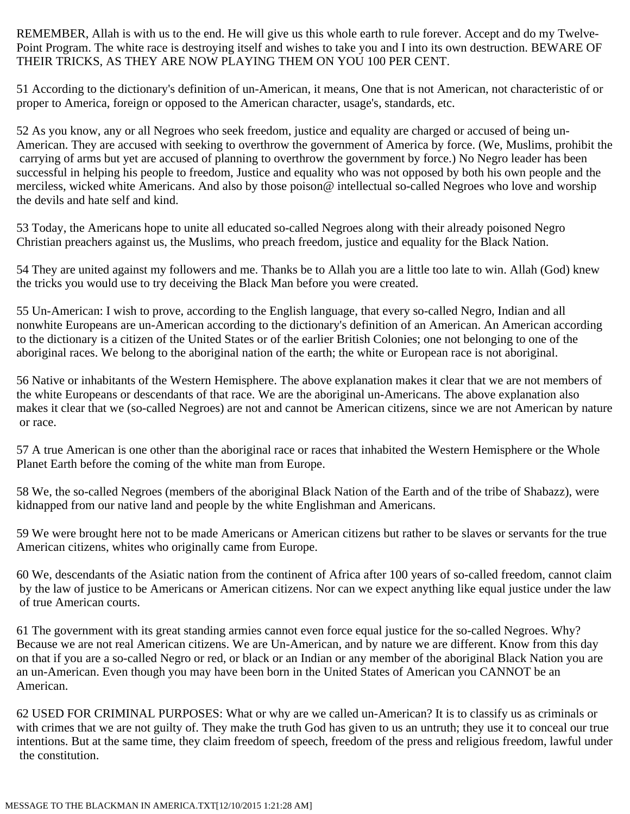REMEMBER, Allah is with us to the end. He will give us this whole earth to rule forever. Accept and do my Twelve-Point Program. The white race is destroying itself and wishes to take you and I into its own destruction. BEWARE OF THEIR TRICKS, AS THEY ARE NOW PLAYING THEM ON YOU 100 PER CENT.

51 According to the dictionary's definition of un-American, it means, One that is not American, not characteristic of or proper to America, foreign or opposed to the American character, usage's, standards, etc.

52 As you know, any or all Negroes who seek freedom, justice and equality are charged or accused of being un-American. They are accused with seeking to overthrow the government of America by force. (We, Muslims, prohibit the carrying of arms but yet are accused of planning to overthrow the government by force.) No Negro leader has been successful in helping his people to freedom, Justice and equality who was not opposed by both his own people and the merciless, wicked white Americans. And also by those poison@ intellectual so-called Negroes who love and worship the devils and hate self and kind.

53 Today, the Americans hope to unite all educated so-called Negroes along with their already poisoned Negro Christian preachers against us, the Muslims, who preach freedom, justice and equality for the Black Nation.

54 They are united against my followers and me. Thanks be to Allah you are a little too late to win. Allah (God) knew the tricks you would use to try deceiving the Black Man before you were created.

55 Un-American: I wish to prove, according to the English language, that every so-called Negro, Indian and all nonwhite Europeans are un-American according to the dictionary's definition of an American. An American according to the dictionary is a citizen of the United States or of the earlier British Colonies; one not belonging to one of the aboriginal races. We belong to the aboriginal nation of the earth; the white or European race is not aboriginal.

56 Native or inhabitants of the Western Hemisphere. The above explanation makes it clear that we are not members of the white Europeans or descendants of that race. We are the aboriginal un-Americans. The above explanation also makes it clear that we (so-called Negroes) are not and cannot be American citizens, since we are not American by nature or race.

57 A true American is one other than the aboriginal race or races that inhabited the Western Hemisphere or the Whole Planet Earth before the coming of the white man from Europe.

58 We, the so-called Negroes (members of the aboriginal Black Nation of the Earth and of the tribe of Shabazz), were kidnapped from our native land and people by the white Englishman and Americans.

59 We were brought here not to be made Americans or American citizens but rather to be slaves or servants for the true American citizens, whites who originally came from Europe.

60 We, descendants of the Asiatic nation from the continent of Africa after 100 years of so-called freedom, cannot claim by the law of justice to be Americans or American citizens. Nor can we expect anything like equal justice under the law of true American courts.

61 The government with its great standing armies cannot even force equal justice for the so-called Negroes. Why? Because we are not real American citizens. We are Un-American, and by nature we are different. Know from this day on that if you are a so-called Negro or red, or black or an Indian or any member of the aboriginal Black Nation you are an un-American. Even though you may have been born in the United States of American you CANNOT be an American.

62 USED FOR CRIMINAL PURPOSES: What or why are we called un-American? It is to classify us as criminals or with crimes that we are not guilty of. They make the truth God has given to us an untruth; they use it to conceal our true intentions. But at the same time, they claim freedom of speech, freedom of the press and religious freedom, lawful under the constitution.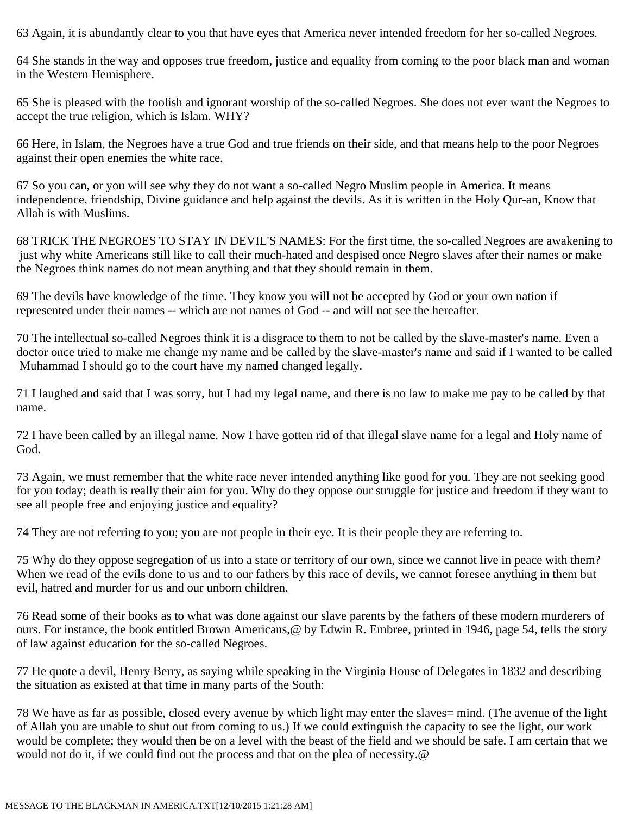63 Again, it is abundantly clear to you that have eyes that America never intended freedom for her so-called Negroes.

64 She stands in the way and opposes true freedom, justice and equality from coming to the poor black man and woman in the Western Hemisphere.

65 She is pleased with the foolish and ignorant worship of the so-called Negroes. She does not ever want the Negroes to accept the true religion, which is Islam. WHY?

66 Here, in Islam, the Negroes have a true God and true friends on their side, and that means help to the poor Negroes against their open enemies the white race.

67 So you can, or you will see why they do not want a so-called Negro Muslim people in America. It means independence, friendship, Divine guidance and help against the devils. As it is written in the Holy Qur-an, Know that Allah is with Muslims.

68 TRICK THE NEGROES TO STAY IN DEVIL'S NAMES: For the first time, the so-called Negroes are awakening to just why white Americans still like to call their much-hated and despised once Negro slaves after their names or make the Negroes think names do not mean anything and that they should remain in them.

69 The devils have knowledge of the time. They know you will not be accepted by God or your own nation if represented under their names -- which are not names of God -- and will not see the hereafter.

70 The intellectual so-called Negroes think it is a disgrace to them to not be called by the slave-master's name. Even a doctor once tried to make me change my name and be called by the slave-master's name and said if I wanted to be called Muhammad I should go to the court have my named changed legally.

71 I laughed and said that I was sorry, but I had my legal name, and there is no law to make me pay to be called by that name.

72 I have been called by an illegal name. Now I have gotten rid of that illegal slave name for a legal and Holy name of God.

73 Again, we must remember that the white race never intended anything like good for you. They are not seeking good for you today; death is really their aim for you. Why do they oppose our struggle for justice and freedom if they want to see all people free and enjoying justice and equality?

74 They are not referring to you; you are not people in their eye. It is their people they are referring to.

75 Why do they oppose segregation of us into a state or territory of our own, since we cannot live in peace with them? When we read of the evils done to us and to our fathers by this race of devils, we cannot foresee anything in them but evil, hatred and murder for us and our unborn children.

76 Read some of their books as to what was done against our slave parents by the fathers of these modern murderers of ours. For instance, the book entitled Brown Americans,@ by Edwin R. Embree, printed in 1946, page 54, tells the story of law against education for the so-called Negroes.

77 He quote a devil, Henry Berry, as saying while speaking in the Virginia House of Delegates in 1832 and describing the situation as existed at that time in many parts of the South:

78 We have as far as possible, closed every avenue by which light may enter the slaves= mind. (The avenue of the light of Allah you are unable to shut out from coming to us.) If we could extinguish the capacity to see the light, our work would be complete; they would then be on a level with the beast of the field and we should be safe. I am certain that we would not do it, if we could find out the process and that on the plea of necessity.@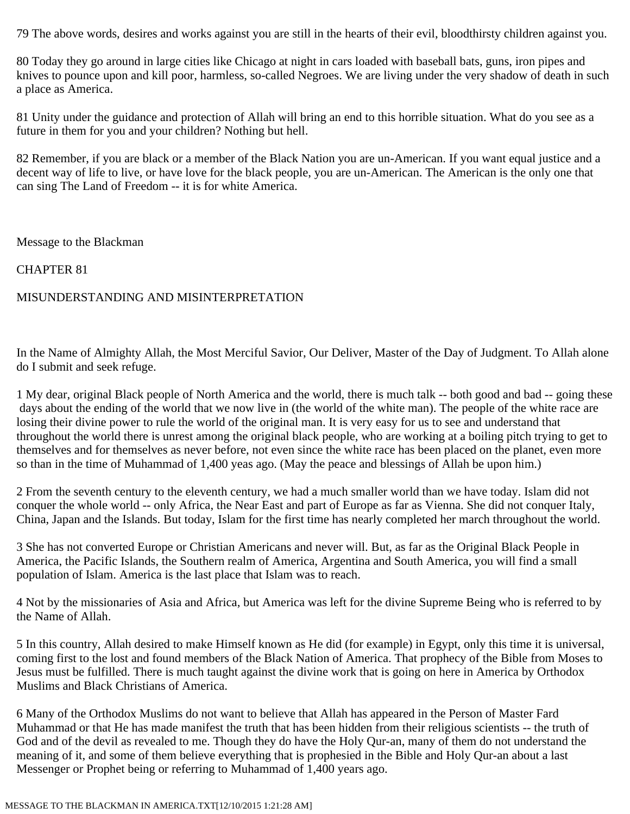79 The above words, desires and works against you are still in the hearts of their evil, bloodthirsty children against you.

80 Today they go around in large cities like Chicago at night in cars loaded with baseball bats, guns, iron pipes and knives to pounce upon and kill poor, harmless, so-called Negroes. We are living under the very shadow of death in such a place as America.

81 Unity under the guidance and protection of Allah will bring an end to this horrible situation. What do you see as a future in them for you and your children? Nothing but hell.

82 Remember, if you are black or a member of the Black Nation you are un-American. If you want equal justice and a decent way of life to live, or have love for the black people, you are un-American. The American is the only one that can sing The Land of Freedom -- it is for white America.

Message to the Blackman

CHAPTER 81

# MISUNDERSTANDING AND MISINTERPRETATION

In the Name of Almighty Allah, the Most Merciful Savior, Our Deliver, Master of the Day of Judgment. To Allah alone do I submit and seek refuge.

1 My dear, original Black people of North America and the world, there is much talk -- both good and bad -- going these days about the ending of the world that we now live in (the world of the white man). The people of the white race are losing their divine power to rule the world of the original man. It is very easy for us to see and understand that throughout the world there is unrest among the original black people, who are working at a boiling pitch trying to get to themselves and for themselves as never before, not even since the white race has been placed on the planet, even more so than in the time of Muhammad of 1,400 yeas ago. (May the peace and blessings of Allah be upon him.)

2 From the seventh century to the eleventh century, we had a much smaller world than we have today. Islam did not conquer the whole world -- only Africa, the Near East and part of Europe as far as Vienna. She did not conquer Italy, China, Japan and the Islands. But today, Islam for the first time has nearly completed her march throughout the world.

3 She has not converted Europe or Christian Americans and never will. But, as far as the Original Black People in America, the Pacific Islands, the Southern realm of America, Argentina and South America, you will find a small population of Islam. America is the last place that Islam was to reach.

4 Not by the missionaries of Asia and Africa, but America was left for the divine Supreme Being who is referred to by the Name of Allah.

5 In this country, Allah desired to make Himself known as He did (for example) in Egypt, only this time it is universal, coming first to the lost and found members of the Black Nation of America. That prophecy of the Bible from Moses to Jesus must be fulfilled. There is much taught against the divine work that is going on here in America by Orthodox Muslims and Black Christians of America.

6 Many of the Orthodox Muslims do not want to believe that Allah has appeared in the Person of Master Fard Muhammad or that He has made manifest the truth that has been hidden from their religious scientists -- the truth of God and of the devil as revealed to me. Though they do have the Holy Qur-an, many of them do not understand the meaning of it, and some of them believe everything that is prophesied in the Bible and Holy Qur-an about a last Messenger or Prophet being or referring to Muhammad of 1,400 years ago.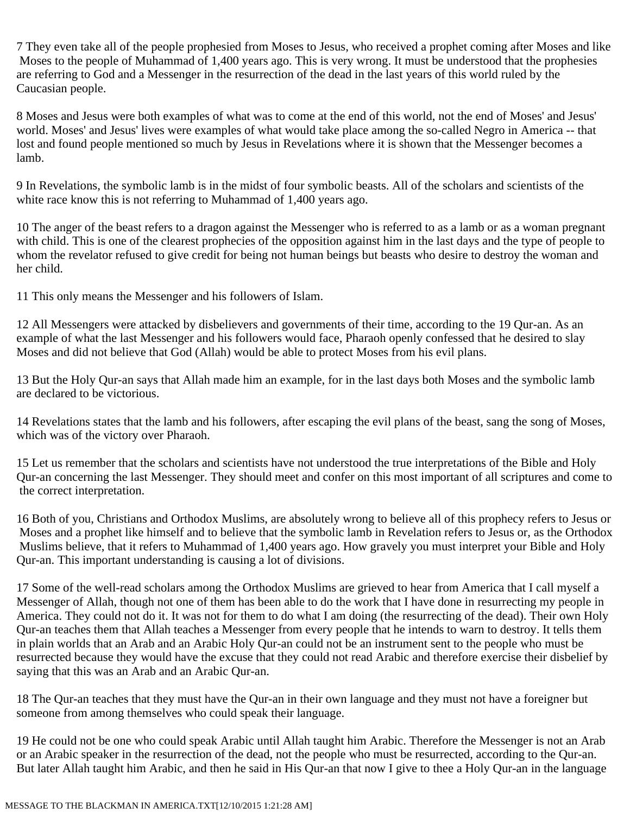7 They even take all of the people prophesied from Moses to Jesus, who received a prophet coming after Moses and like Moses to the people of Muhammad of 1,400 years ago. This is very wrong. It must be understood that the prophesies are referring to God and a Messenger in the resurrection of the dead in the last years of this world ruled by the Caucasian people.

8 Moses and Jesus were both examples of what was to come at the end of this world, not the end of Moses' and Jesus' world. Moses' and Jesus' lives were examples of what would take place among the so-called Negro in America -- that lost and found people mentioned so much by Jesus in Revelations where it is shown that the Messenger becomes a lamb.

9 In Revelations, the symbolic lamb is in the midst of four symbolic beasts. All of the scholars and scientists of the white race know this is not referring to Muhammad of 1,400 years ago.

10 The anger of the beast refers to a dragon against the Messenger who is referred to as a lamb or as a woman pregnant with child. This is one of the clearest prophecies of the opposition against him in the last days and the type of people to whom the revelator refused to give credit for being not human beings but beasts who desire to destroy the woman and her child.

11 This only means the Messenger and his followers of Islam.

12 All Messengers were attacked by disbelievers and governments of their time, according to the 19 Qur-an. As an example of what the last Messenger and his followers would face, Pharaoh openly confessed that he desired to slay Moses and did not believe that God (Allah) would be able to protect Moses from his evil plans.

13 But the Holy Qur-an says that Allah made him an example, for in the last days both Moses and the symbolic lamb are declared to be victorious.

14 Revelations states that the lamb and his followers, after escaping the evil plans of the beast, sang the song of Moses, which was of the victory over Pharaoh.

15 Let us remember that the scholars and scientists have not understood the true interpretations of the Bible and Holy Qur-an concerning the last Messenger. They should meet and confer on this most important of all scriptures and come to the correct interpretation.

16 Both of you, Christians and Orthodox Muslims, are absolutely wrong to believe all of this prophecy refers to Jesus or Moses and a prophet like himself and to believe that the symbolic lamb in Revelation refers to Jesus or, as the Orthodox Muslims believe, that it refers to Muhammad of 1,400 years ago. How gravely you must interpret your Bible and Holy Qur-an. This important understanding is causing a lot of divisions.

17 Some of the well-read scholars among the Orthodox Muslims are grieved to hear from America that I call myself a Messenger of Allah, though not one of them has been able to do the work that I have done in resurrecting my people in America. They could not do it. It was not for them to do what I am doing (the resurrecting of the dead). Their own Holy Qur-an teaches them that Allah teaches a Messenger from every people that he intends to warn to destroy. It tells them in plain worlds that an Arab and an Arabic Holy Qur-an could not be an instrument sent to the people who must be resurrected because they would have the excuse that they could not read Arabic and therefore exercise their disbelief by saying that this was an Arab and an Arabic Qur-an.

18 The Qur-an teaches that they must have the Qur-an in their own language and they must not have a foreigner but someone from among themselves who could speak their language.

19 He could not be one who could speak Arabic until Allah taught him Arabic. Therefore the Messenger is not an Arab or an Arabic speaker in the resurrection of the dead, not the people who must be resurrected, according to the Qur-an. But later Allah taught him Arabic, and then he said in His Qur-an that now I give to thee a Holy Qur-an in the language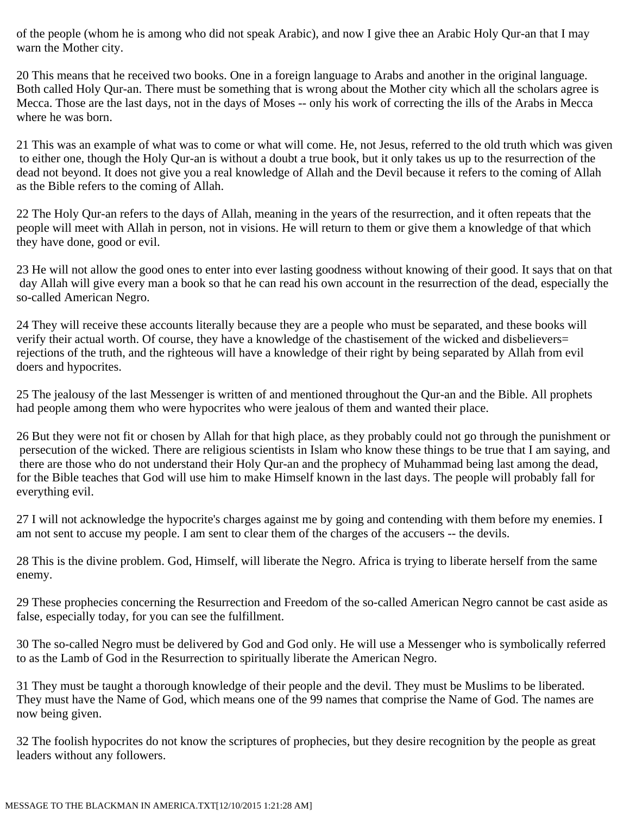of the people (whom he is among who did not speak Arabic), and now I give thee an Arabic Holy Qur-an that I may warn the Mother city.

20 This means that he received two books. One in a foreign language to Arabs and another in the original language. Both called Holy Qur-an. There must be something that is wrong about the Mother city which all the scholars agree is Mecca. Those are the last days, not in the days of Moses -- only his work of correcting the ills of the Arabs in Mecca where he was born.

21 This was an example of what was to come or what will come. He, not Jesus, referred to the old truth which was given to either one, though the Holy Qur-an is without a doubt a true book, but it only takes us up to the resurrection of the dead not beyond. It does not give you a real knowledge of Allah and the Devil because it refers to the coming of Allah as the Bible refers to the coming of Allah.

22 The Holy Qur-an refers to the days of Allah, meaning in the years of the resurrection, and it often repeats that the people will meet with Allah in person, not in visions. He will return to them or give them a knowledge of that which they have done, good or evil.

23 He will not allow the good ones to enter into ever lasting goodness without knowing of their good. It says that on that day Allah will give every man a book so that he can read his own account in the resurrection of the dead, especially the so-called American Negro.

24 They will receive these accounts literally because they are a people who must be separated, and these books will verify their actual worth. Of course, they have a knowledge of the chastisement of the wicked and disbelievers= rejections of the truth, and the righteous will have a knowledge of their right by being separated by Allah from evil doers and hypocrites.

25 The jealousy of the last Messenger is written of and mentioned throughout the Qur-an and the Bible. All prophets had people among them who were hypocrites who were jealous of them and wanted their place.

26 But they were not fit or chosen by Allah for that high place, as they probably could not go through the punishment or persecution of the wicked. There are religious scientists in Islam who know these things to be true that I am saying, and there are those who do not understand their Holy Qur-an and the prophecy of Muhammad being last among the dead, for the Bible teaches that God will use him to make Himself known in the last days. The people will probably fall for everything evil.

27 I will not acknowledge the hypocrite's charges against me by going and contending with them before my enemies. I am not sent to accuse my people. I am sent to clear them of the charges of the accusers -- the devils.

28 This is the divine problem. God, Himself, will liberate the Negro. Africa is trying to liberate herself from the same enemy.

29 These prophecies concerning the Resurrection and Freedom of the so-called American Negro cannot be cast aside as false, especially today, for you can see the fulfillment.

30 The so-called Negro must be delivered by God and God only. He will use a Messenger who is symbolically referred to as the Lamb of God in the Resurrection to spiritually liberate the American Negro.

31 They must be taught a thorough knowledge of their people and the devil. They must be Muslims to be liberated. They must have the Name of God, which means one of the 99 names that comprise the Name of God. The names are now being given.

32 The foolish hypocrites do not know the scriptures of prophecies, but they desire recognition by the people as great leaders without any followers.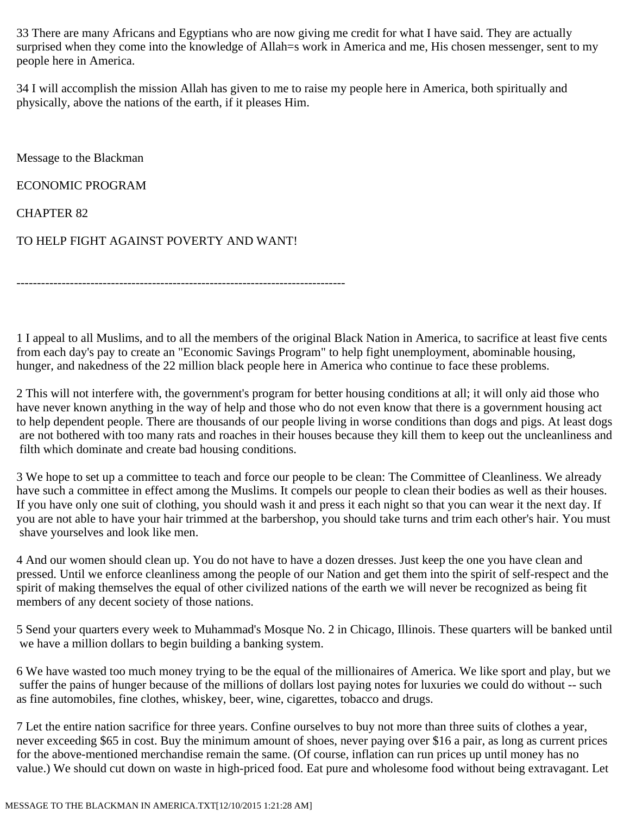33 There are many Africans and Egyptians who are now giving me credit for what I have said. They are actually surprised when they come into the knowledge of Allah=s work in America and me, His chosen messenger, sent to my people here in America.

34 I will accomplish the mission Allah has given to me to raise my people here in America, both spiritually and physically, above the nations of the earth, if it pleases Him.

Message to the Blackman

ECONOMIC PROGRAM

CHAPTER 82

TO HELP FIGHT AGAINST POVERTY AND WANT!

--------------------------------------------------------------------------------

1 I appeal to all Muslims, and to all the members of the original Black Nation in America, to sacrifice at least five cents from each day's pay to create an "Economic Savings Program" to help fight unemployment, abominable housing, hunger, and nakedness of the 22 million black people here in America who continue to face these problems.

2 This will not interfere with, the government's program for better housing conditions at all; it will only aid those who have never known anything in the way of help and those who do not even know that there is a government housing act to help dependent people. There are thousands of our people living in worse conditions than dogs and pigs. At least dogs are not bothered with too many rats and roaches in their houses because they kill them to keep out the uncleanliness and filth which dominate and create bad housing conditions.

3 We hope to set up a committee to teach and force our people to be clean: The Committee of Cleanliness. We already have such a committee in effect among the Muslims. It compels our people to clean their bodies as well as their houses. If you have only one suit of clothing, you should wash it and press it each night so that you can wear it the next day. If you are not able to have your hair trimmed at the barbershop, you should take turns and trim each other's hair. You must shave yourselves and look like men.

4 And our women should clean up. You do not have to have a dozen dresses. Just keep the one you have clean and pressed. Until we enforce cleanliness among the people of our Nation and get them into the spirit of self-respect and the spirit of making themselves the equal of other civilized nations of the earth we will never be recognized as being fit members of any decent society of those nations.

5 Send your quarters every week to Muhammad's Mosque No. 2 in Chicago, Illinois. These quarters will be banked until we have a million dollars to begin building a banking system.

6 We have wasted too much money trying to be the equal of the millionaires of America. We like sport and play, but we suffer the pains of hunger because of the millions of dollars lost paying notes for luxuries we could do without -- such as fine automobiles, fine clothes, whiskey, beer, wine, cigarettes, tobacco and drugs.

7 Let the entire nation sacrifice for three years. Confine ourselves to buy not more than three suits of clothes a year, never exceeding \$65 in cost. Buy the minimum amount of shoes, never paying over \$16 a pair, as long as current prices for the above-mentioned merchandise remain the same. (Of course, inflation can run prices up until money has no value.) We should cut down on waste in high-priced food. Eat pure and wholesome food without being extravagant. Let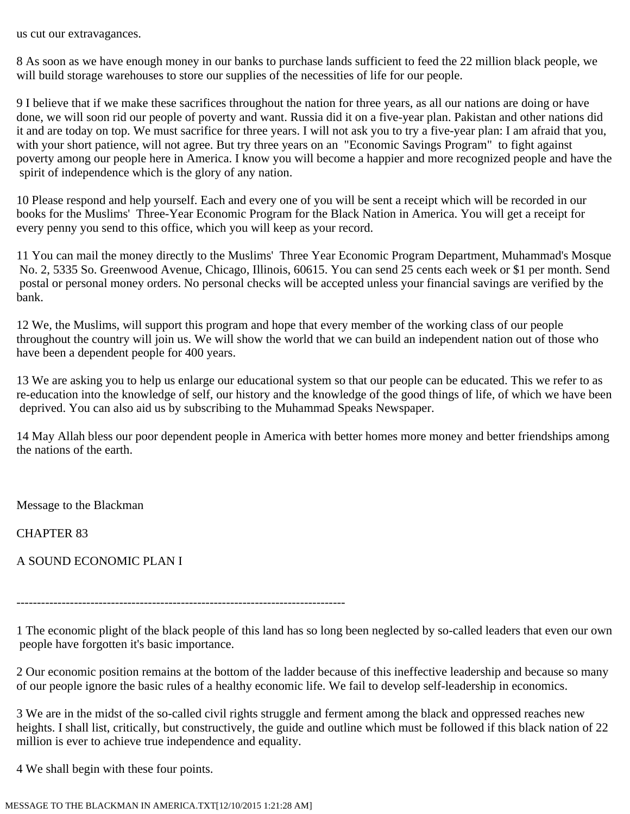us cut our extravagances.

8 As soon as we have enough money in our banks to purchase lands sufficient to feed the 22 million black people, we will build storage warehouses to store our supplies of the necessities of life for our people.

9 I believe that if we make these sacrifices throughout the nation for three years, as all our nations are doing or have done, we will soon rid our people of poverty and want. Russia did it on a five-year plan. Pakistan and other nations did it and are today on top. We must sacrifice for three years. I will not ask you to try a five-year plan: I am afraid that you, with your short patience, will not agree. But try three years on an "Economic Savings Program" to fight against poverty among our people here in America. I know you will become a happier and more recognized people and have the spirit of independence which is the glory of any nation.

10 Please respond and help yourself. Each and every one of you will be sent a receipt which will be recorded in our books for the Muslims' Three-Year Economic Program for the Black Nation in America. You will get a receipt for every penny you send to this office, which you will keep as your record.

11 You can mail the money directly to the Muslims' Three Year Economic Program Department, Muhammad's Mosque No. 2, 5335 So. Greenwood Avenue, Chicago, Illinois, 60615. You can send 25 cents each week or \$1 per month. Send postal or personal money orders. No personal checks will be accepted unless your financial savings are verified by the bank.

12 We, the Muslims, will support this program and hope that every member of the working class of our people throughout the country will join us. We will show the world that we can build an independent nation out of those who have been a dependent people for 400 years.

13 We are asking you to help us enlarge our educational system so that our people can be educated. This we refer to as re-education into the knowledge of self, our history and the knowledge of the good things of life, of which we have been deprived. You can also aid us by subscribing to the Muhammad Speaks Newspaper.

14 May Allah bless our poor dependent people in America with better homes more money and better friendships among the nations of the earth.

Message to the Blackman

CHAPTER 83

A SOUND ECONOMIC PLAN I

--------------------------------------------------------------------------------

1 The economic plight of the black people of this land has so long been neglected by so-called leaders that even our own people have forgotten it's basic importance.

2 Our economic position remains at the bottom of the ladder because of this ineffective leadership and because so many of our people ignore the basic rules of a healthy economic life. We fail to develop self-leadership in economics.

3 We are in the midst of the so-called civil rights struggle and ferment among the black and oppressed reaches new heights. I shall list, critically, but constructively, the guide and outline which must be followed if this black nation of 22 million is ever to achieve true independence and equality.

4 We shall begin with these four points.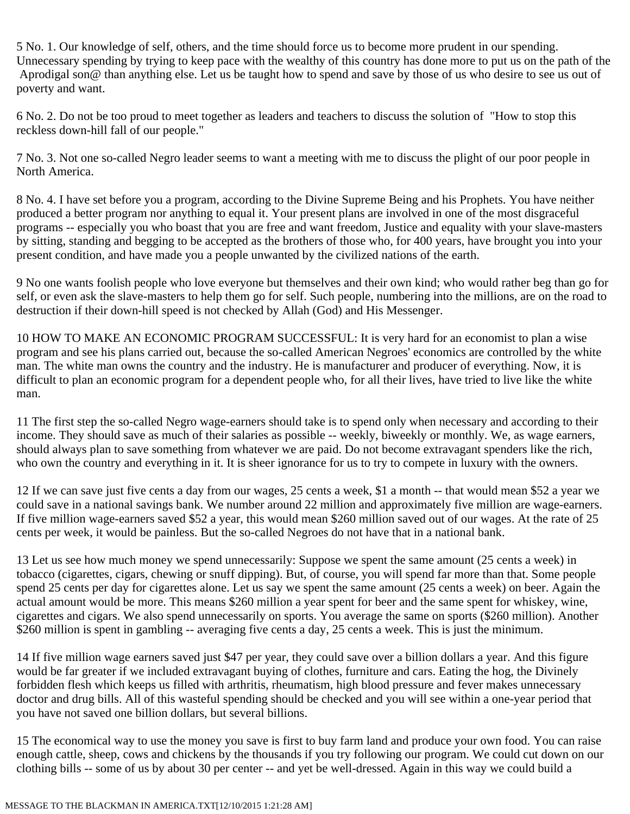5 No. 1. Our knowledge of self, others, and the time should force us to become more prudent in our spending. Unnecessary spending by trying to keep pace with the wealthy of this country has done more to put us on the path of the Aprodigal son@ than anything else. Let us be taught how to spend and save by those of us who desire to see us out of poverty and want.

6 No. 2. Do not be too proud to meet together as leaders and teachers to discuss the solution of "How to stop this reckless down-hill fall of our people."

7 No. 3. Not one so-called Negro leader seems to want a meeting with me to discuss the plight of our poor people in North America.

8 No. 4. I have set before you a program, according to the Divine Supreme Being and his Prophets. You have neither produced a better program nor anything to equal it. Your present plans are involved in one of the most disgraceful programs -- especially you who boast that you are free and want freedom, Justice and equality with your slave-masters by sitting, standing and begging to be accepted as the brothers of those who, for 400 years, have brought you into your present condition, and have made you a people unwanted by the civilized nations of the earth.

9 No one wants foolish people who love everyone but themselves and their own kind; who would rather beg than go for self, or even ask the slave-masters to help them go for self. Such people, numbering into the millions, are on the road to destruction if their down-hill speed is not checked by Allah (God) and His Messenger.

10 HOW TO MAKE AN ECONOMIC PROGRAM SUCCESSFUL: It is very hard for an economist to plan a wise program and see his plans carried out, because the so-called American Negroes' economics are controlled by the white man. The white man owns the country and the industry. He is manufacturer and producer of everything. Now, it is difficult to plan an economic program for a dependent people who, for all their lives, have tried to live like the white man.

11 The first step the so-called Negro wage-earners should take is to spend only when necessary and according to their income. They should save as much of their salaries as possible -- weekly, biweekly or monthly. We, as wage earners, should always plan to save something from whatever we are paid. Do not become extravagant spenders like the rich, who own the country and everything in it. It is sheer ignorance for us to try to compete in luxury with the owners.

12 If we can save just five cents a day from our wages, 25 cents a week, \$1 a month -- that would mean \$52 a year we could save in a national savings bank. We number around 22 million and approximately five million are wage-earners. If five million wage-earners saved \$52 a year, this would mean \$260 million saved out of our wages. At the rate of 25 cents per week, it would be painless. But the so-called Negroes do not have that in a national bank.

13 Let us see how much money we spend unnecessarily: Suppose we spent the same amount (25 cents a week) in tobacco (cigarettes, cigars, chewing or snuff dipping). But, of course, you will spend far more than that. Some people spend 25 cents per day for cigarettes alone. Let us say we spent the same amount (25 cents a week) on beer. Again the actual amount would be more. This means \$260 million a year spent for beer and the same spent for whiskey, wine, cigarettes and cigars. We also spend unnecessarily on sports. You average the same on sports (\$260 million). Another \$260 million is spent in gambling -- averaging five cents a day, 25 cents a week. This is just the minimum.

14 If five million wage earners saved just \$47 per year, they could save over a billion dollars a year. And this figure would be far greater if we included extravagant buying of clothes, furniture and cars. Eating the hog, the Divinely forbidden flesh which keeps us filled with arthritis, rheumatism, high blood pressure and fever makes unnecessary doctor and drug bills. All of this wasteful spending should be checked and you will see within a one-year period that you have not saved one billion dollars, but several billions.

15 The economical way to use the money you save is first to buy farm land and produce your own food. You can raise enough cattle, sheep, cows and chickens by the thousands if you try following our program. We could cut down on our clothing bills -- some of us by about 30 per center -- and yet be well-dressed. Again in this way we could build a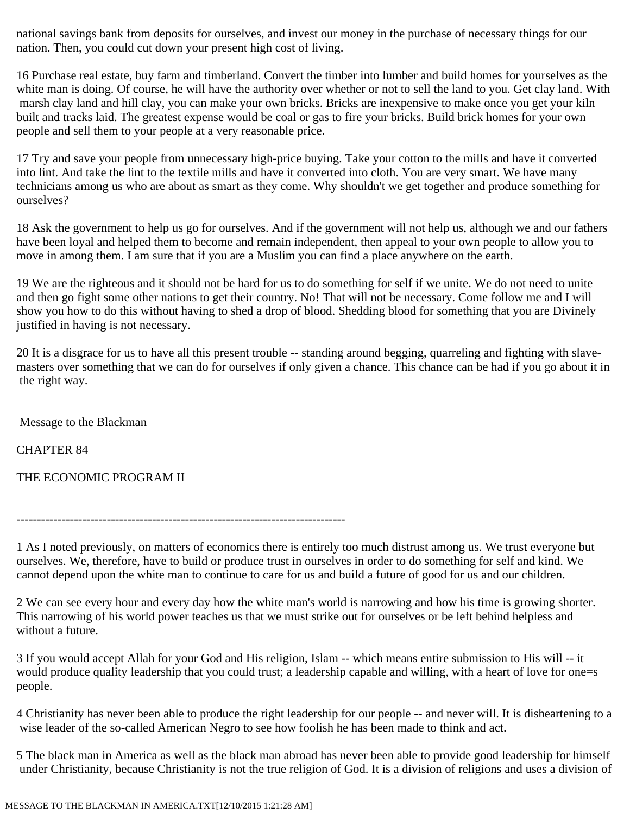national savings bank from deposits for ourselves, and invest our money in the purchase of necessary things for our nation. Then, you could cut down your present high cost of living.

16 Purchase real estate, buy farm and timberland. Convert the timber into lumber and build homes for yourselves as the white man is doing. Of course, he will have the authority over whether or not to sell the land to you. Get clay land. With marsh clay land and hill clay, you can make your own bricks. Bricks are inexpensive to make once you get your kiln built and tracks laid. The greatest expense would be coal or gas to fire your bricks. Build brick homes for your own people and sell them to your people at a very reasonable price.

17 Try and save your people from unnecessary high-price buying. Take your cotton to the mills and have it converted into lint. And take the lint to the textile mills and have it converted into cloth. You are very smart. We have many technicians among us who are about as smart as they come. Why shouldn't we get together and produce something for ourselves?

18 Ask the government to help us go for ourselves. And if the government will not help us, although we and our fathers have been loyal and helped them to become and remain independent, then appeal to your own people to allow you to move in among them. I am sure that if you are a Muslim you can find a place anywhere on the earth.

19 We are the righteous and it should not be hard for us to do something for self if we unite. We do not need to unite and then go fight some other nations to get their country. No! That will not be necessary. Come follow me and I will show you how to do this without having to shed a drop of blood. Shedding blood for something that you are Divinely justified in having is not necessary.

20 It is a disgrace for us to have all this present trouble -- standing around begging, quarreling and fighting with slavemasters over something that we can do for ourselves if only given a chance. This chance can be had if you go about it in the right way.

Message to the Blackman

CHAPTER 84

THE ECONOMIC PROGRAM II

--------------------------------------------------------------------------------

1 As I noted previously, on matters of economics there is entirely too much distrust among us. We trust everyone but ourselves. We, therefore, have to build or produce trust in ourselves in order to do something for self and kind. We cannot depend upon the white man to continue to care for us and build a future of good for us and our children.

2 We can see every hour and every day how the white man's world is narrowing and how his time is growing shorter. This narrowing of his world power teaches us that we must strike out for ourselves or be left behind helpless and without a future.

3 If you would accept Allah for your God and His religion, Islam -- which means entire submission to His will -- it would produce quality leadership that you could trust; a leadership capable and willing, with a heart of love for one=s people.

4 Christianity has never been able to produce the right leadership for our people -- and never will. It is disheartening to a wise leader of the so-called American Negro to see how foolish he has been made to think and act.

5 The black man in America as well as the black man abroad has never been able to provide good leadership for himself under Christianity, because Christianity is not the true religion of God. It is a division of religions and uses a division of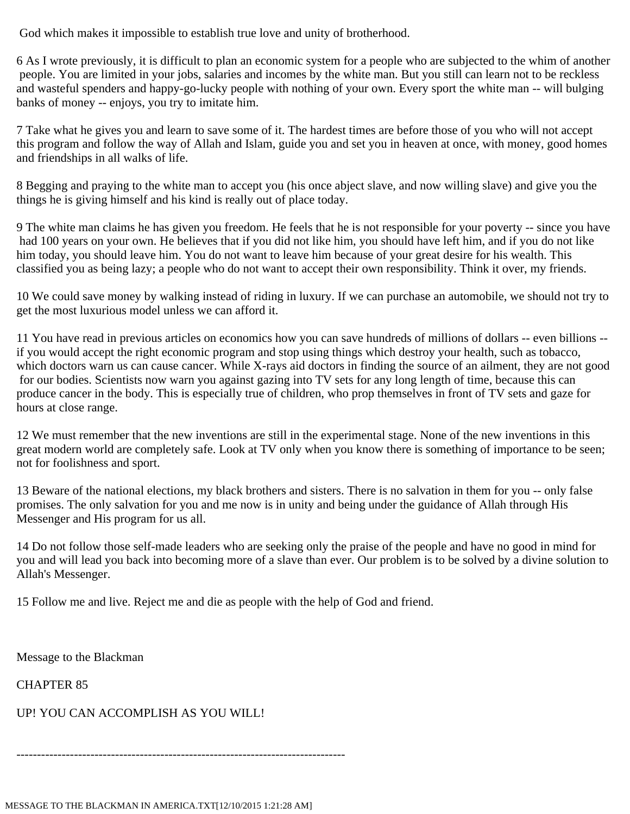God which makes it impossible to establish true love and unity of brotherhood.

6 As I wrote previously, it is difficult to plan an economic system for a people who are subjected to the whim of another people. You are limited in your jobs, salaries and incomes by the white man. But you still can learn not to be reckless and wasteful spenders and happy-go-lucky people with nothing of your own. Every sport the white man -- will bulging banks of money -- enjoys, you try to imitate him.

7 Take what he gives you and learn to save some of it. The hardest times are before those of you who will not accept this program and follow the way of Allah and Islam, guide you and set you in heaven at once, with money, good homes and friendships in all walks of life.

8 Begging and praying to the white man to accept you (his once abject slave, and now willing slave) and give you the things he is giving himself and his kind is really out of place today.

9 The white man claims he has given you freedom. He feels that he is not responsible for your poverty -- since you have had 100 years on your own. He believes that if you did not like him, you should have left him, and if you do not like him today, you should leave him. You do not want to leave him because of your great desire for his wealth. This classified you as being lazy; a people who do not want to accept their own responsibility. Think it over, my friends.

10 We could save money by walking instead of riding in luxury. If we can purchase an automobile, we should not try to get the most luxurious model unless we can afford it.

11 You have read in previous articles on economics how you can save hundreds of millions of dollars -- even billions - if you would accept the right economic program and stop using things which destroy your health, such as tobacco, which doctors warn us can cause cancer. While X-rays aid doctors in finding the source of an ailment, they are not good for our bodies. Scientists now warn you against gazing into TV sets for any long length of time, because this can produce cancer in the body. This is especially true of children, who prop themselves in front of TV sets and gaze for hours at close range.

12 We must remember that the new inventions are still in the experimental stage. None of the new inventions in this great modern world are completely safe. Look at TV only when you know there is something of importance to be seen; not for foolishness and sport.

13 Beware of the national elections, my black brothers and sisters. There is no salvation in them for you -- only false promises. The only salvation for you and me now is in unity and being under the guidance of Allah through His Messenger and His program for us all.

14 Do not follow those self-made leaders who are seeking only the praise of the people and have no good in mind for you and will lead you back into becoming more of a slave than ever. Our problem is to be solved by a divine solution to Allah's Messenger.

15 Follow me and live. Reject me and die as people with the help of God and friend.

Message to the Blackman

CHAPTER 85

UP! YOU CAN ACCOMPLISH AS YOU WILL!

--------------------------------------------------------------------------------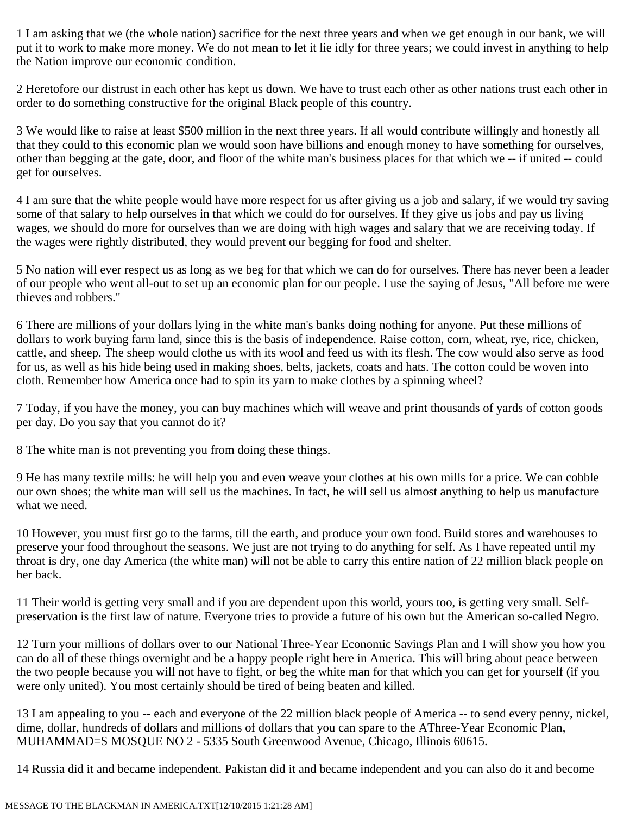1 I am asking that we (the whole nation) sacrifice for the next three years and when we get enough in our bank, we will put it to work to make more money. We do not mean to let it lie idly for three years; we could invest in anything to help the Nation improve our economic condition.

2 Heretofore our distrust in each other has kept us down. We have to trust each other as other nations trust each other in order to do something constructive for the original Black people of this country.

3 We would like to raise at least \$500 million in the next three years. If all would contribute willingly and honestly all that they could to this economic plan we would soon have billions and enough money to have something for ourselves, other than begging at the gate, door, and floor of the white man's business places for that which we -- if united -- could get for ourselves.

4 I am sure that the white people would have more respect for us after giving us a job and salary, if we would try saving some of that salary to help ourselves in that which we could do for ourselves. If they give us jobs and pay us living wages, we should do more for ourselves than we are doing with high wages and salary that we are receiving today. If the wages were rightly distributed, they would prevent our begging for food and shelter.

5 No nation will ever respect us as long as we beg for that which we can do for ourselves. There has never been a leader of our people who went all-out to set up an economic plan for our people. I use the saying of Jesus, "All before me were thieves and robbers."

6 There are millions of your dollars lying in the white man's banks doing nothing for anyone. Put these millions of dollars to work buying farm land, since this is the basis of independence. Raise cotton, corn, wheat, rye, rice, chicken, cattle, and sheep. The sheep would clothe us with its wool and feed us with its flesh. The cow would also serve as food for us, as well as his hide being used in making shoes, belts, jackets, coats and hats. The cotton could be woven into cloth. Remember how America once had to spin its yarn to make clothes by a spinning wheel?

7 Today, if you have the money, you can buy machines which will weave and print thousands of yards of cotton goods per day. Do you say that you cannot do it?

8 The white man is not preventing you from doing these things.

9 He has many textile mills: he will help you and even weave your clothes at his own mills for a price. We can cobble our own shoes; the white man will sell us the machines. In fact, he will sell us almost anything to help us manufacture what we need.

10 However, you must first go to the farms, till the earth, and produce your own food. Build stores and warehouses to preserve your food throughout the seasons. We just are not trying to do anything for self. As I have repeated until my throat is dry, one day America (the white man) will not be able to carry this entire nation of 22 million black people on her back.

11 Their world is getting very small and if you are dependent upon this world, yours too, is getting very small. Selfpreservation is the first law of nature. Everyone tries to provide a future of his own but the American so-called Negro.

12 Turn your millions of dollars over to our National Three-Year Economic Savings Plan and I will show you how you can do all of these things overnight and be a happy people right here in America. This will bring about peace between the two people because you will not have to fight, or beg the white man for that which you can get for yourself (if you were only united). You most certainly should be tired of being beaten and killed.

13 I am appealing to you -- each and everyone of the 22 million black people of America -- to send every penny, nickel, dime, dollar, hundreds of dollars and millions of dollars that you can spare to the AThree-Year Economic Plan, MUHAMMAD=S MOSQUE NO 2 - 5335 South Greenwood Avenue, Chicago, Illinois 60615.

14 Russia did it and became independent. Pakistan did it and became independent and you can also do it and become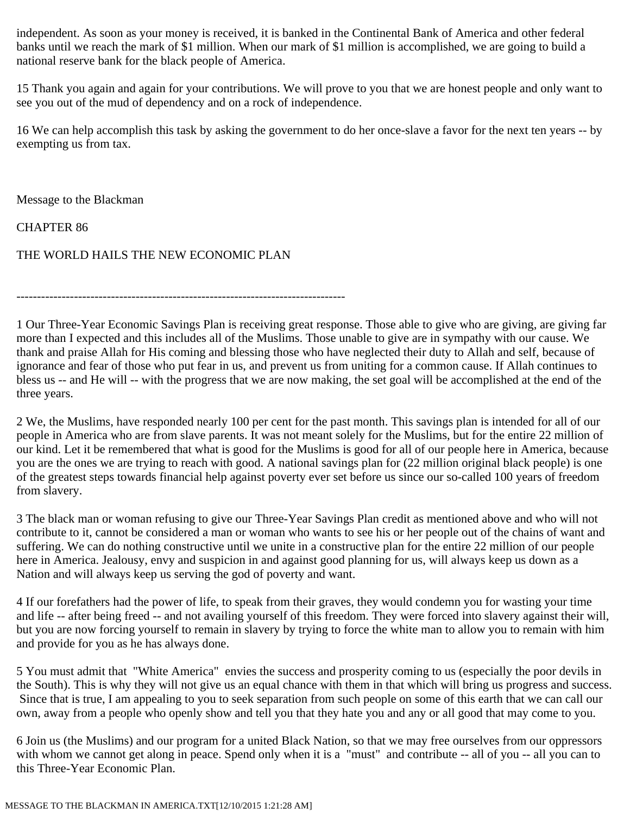independent. As soon as your money is received, it is banked in the Continental Bank of America and other federal banks until we reach the mark of \$1 million. When our mark of \$1 million is accomplished, we are going to build a national reserve bank for the black people of America.

15 Thank you again and again for your contributions. We will prove to you that we are honest people and only want to see you out of the mud of dependency and on a rock of independence.

16 We can help accomplish this task by asking the government to do her once-slave a favor for the next ten years -- by exempting us from tax.

Message to the Blackman

CHAPTER 86

THE WORLD HAILS THE NEW ECONOMIC PLAN

--------------------------------------------------------------------------------

1 Our Three-Year Economic Savings Plan is receiving great response. Those able to give who are giving, are giving far more than I expected and this includes all of the Muslims. Those unable to give are in sympathy with our cause. We thank and praise Allah for His coming and blessing those who have neglected their duty to Allah and self, because of ignorance and fear of those who put fear in us, and prevent us from uniting for a common cause. If Allah continues to bless us -- and He will -- with the progress that we are now making, the set goal will be accomplished at the end of the three years.

2 We, the Muslims, have responded nearly 100 per cent for the past month. This savings plan is intended for all of our people in America who are from slave parents. It was not meant solely for the Muslims, but for the entire 22 million of our kind. Let it be remembered that what is good for the Muslims is good for all of our people here in America, because you are the ones we are trying to reach with good. A national savings plan for (22 million original black people) is one of the greatest steps towards financial help against poverty ever set before us since our so-called 100 years of freedom from slavery.

3 The black man or woman refusing to give our Three-Year Savings Plan credit as mentioned above and who will not contribute to it, cannot be considered a man or woman who wants to see his or her people out of the chains of want and suffering. We can do nothing constructive until we unite in a constructive plan for the entire 22 million of our people here in America. Jealousy, envy and suspicion in and against good planning for us, will always keep us down as a Nation and will always keep us serving the god of poverty and want.

4 If our forefathers had the power of life, to speak from their graves, they would condemn you for wasting your time and life -- after being freed -- and not availing yourself of this freedom. They were forced into slavery against their will, but you are now forcing yourself to remain in slavery by trying to force the white man to allow you to remain with him and provide for you as he has always done.

5 You must admit that "White America" envies the success and prosperity coming to us (especially the poor devils in the South). This is why they will not give us an equal chance with them in that which will bring us progress and success. Since that is true, I am appealing to you to seek separation from such people on some of this earth that we can call our own, away from a people who openly show and tell you that they hate you and any or all good that may come to you.

6 Join us (the Muslims) and our program for a united Black Nation, so that we may free ourselves from our oppressors with whom we cannot get along in peace. Spend only when it is a "must" and contribute -- all of you -- all you can to this Three-Year Economic Plan.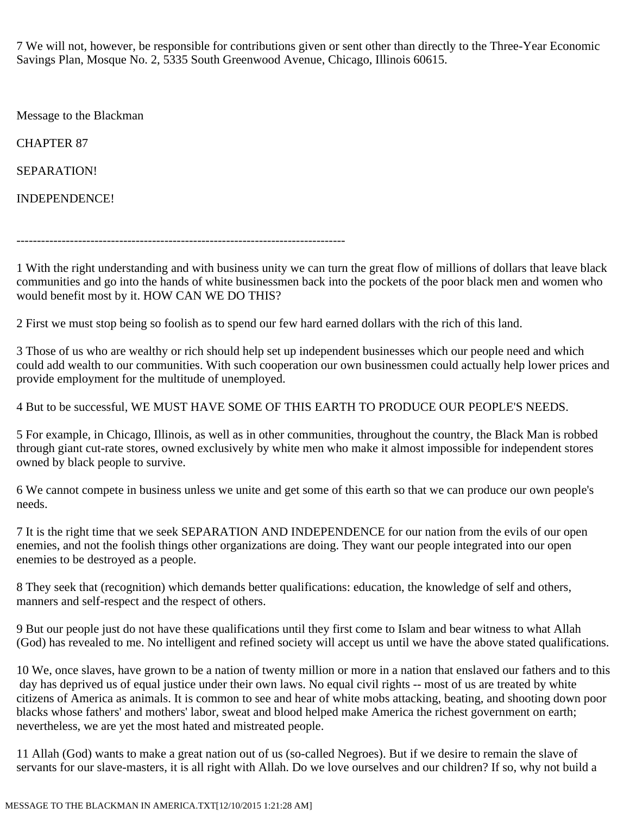7 We will not, however, be responsible for contributions given or sent other than directly to the Three-Year Economic Savings Plan, Mosque No. 2, 5335 South Greenwood Avenue, Chicago, Illinois 60615.

Message to the Blackman

CHAPTER 87

SEPARATION!

INDEPENDENCE!

--------------------------------------------------------------------------------

1 With the right understanding and with business unity we can turn the great flow of millions of dollars that leave black communities and go into the hands of white businessmen back into the pockets of the poor black men and women who would benefit most by it. HOW CAN WE DO THIS?

2 First we must stop being so foolish as to spend our few hard earned dollars with the rich of this land.

3 Those of us who are wealthy or rich should help set up independent businesses which our people need and which could add wealth to our communities. With such cooperation our own businessmen could actually help lower prices and provide employment for the multitude of unemployed.

4 But to be successful, WE MUST HAVE SOME OF THIS EARTH TO PRODUCE OUR PEOPLE'S NEEDS.

5 For example, in Chicago, Illinois, as well as in other communities, throughout the country, the Black Man is robbed through giant cut-rate stores, owned exclusively by white men who make it almost impossible for independent stores owned by black people to survive.

6 We cannot compete in business unless we unite and get some of this earth so that we can produce our own people's needs.

7 It is the right time that we seek SEPARATION AND INDEPENDENCE for our nation from the evils of our open enemies, and not the foolish things other organizations are doing. They want our people integrated into our open enemies to be destroyed as a people.

8 They seek that (recognition) which demands better qualifications: education, the knowledge of self and others, manners and self-respect and the respect of others.

9 But our people just do not have these qualifications until they first come to Islam and bear witness to what Allah (God) has revealed to me. No intelligent and refined society will accept us until we have the above stated qualifications.

10 We, once slaves, have grown to be a nation of twenty million or more in a nation that enslaved our fathers and to this day has deprived us of equal justice under their own laws. No equal civil rights -- most of us are treated by white citizens of America as animals. It is common to see and hear of white mobs attacking, beating, and shooting down poor blacks whose fathers' and mothers' labor, sweat and blood helped make America the richest government on earth; nevertheless, we are yet the most hated and mistreated people.

11 Allah (God) wants to make a great nation out of us (so-called Negroes). But if we desire to remain the slave of servants for our slave-masters, it is all right with Allah. Do we love ourselves and our children? If so, why not build a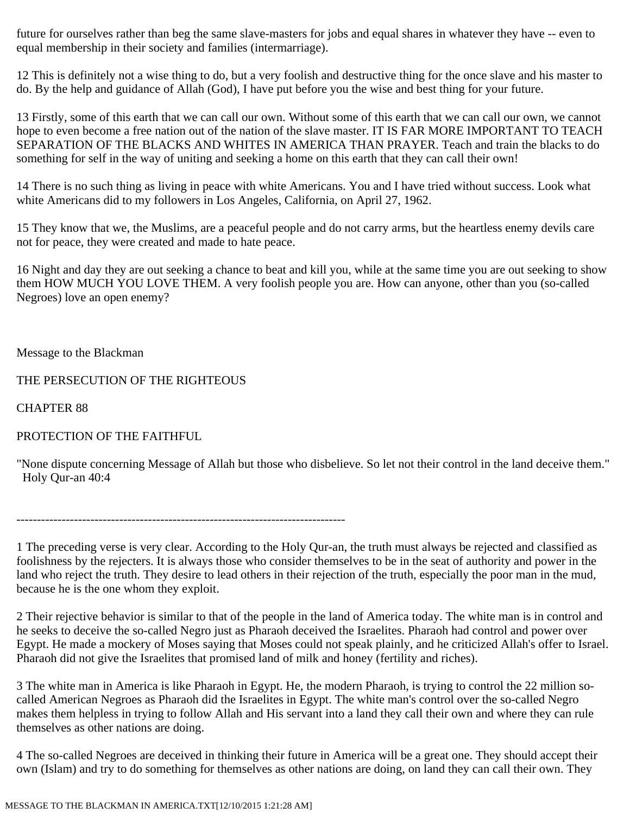future for ourselves rather than beg the same slave-masters for jobs and equal shares in whatever they have -- even to equal membership in their society and families (intermarriage).

12 This is definitely not a wise thing to do, but a very foolish and destructive thing for the once slave and his master to do. By the help and guidance of Allah (God), I have put before you the wise and best thing for your future.

13 Firstly, some of this earth that we can call our own. Without some of this earth that we can call our own, we cannot hope to even become a free nation out of the nation of the slave master. IT IS FAR MORE IMPORTANT TO TEACH SEPARATION OF THE BLACKS AND WHITES IN AMERICA THAN PRAYER. Teach and train the blacks to do something for self in the way of uniting and seeking a home on this earth that they can call their own!

14 There is no such thing as living in peace with white Americans. You and I have tried without success. Look what white Americans did to my followers in Los Angeles, California, on April 27, 1962.

15 They know that we, the Muslims, are a peaceful people and do not carry arms, but the heartless enemy devils care not for peace, they were created and made to hate peace.

16 Night and day they are out seeking a chance to beat and kill you, while at the same time you are out seeking to show them HOW MUCH YOU LOVE THEM. A very foolish people you are. How can anyone, other than you (so-called Negroes) love an open enemy?

Message to the Blackman

THE PERSECUTION OF THE RIGHTEOUS

CHAPTER 88

### PROTECTION OF THE FAITHFUL

"None dispute concerning Message of Allah but those who disbelieve. So let not their control in the land deceive them." Holy Qur-an 40:4

--------------------------------------------------------------------------------

1 The preceding verse is very clear. According to the Holy Qur-an, the truth must always be rejected and classified as foolishness by the rejecters. It is always those who consider themselves to be in the seat of authority and power in the land who reject the truth. They desire to lead others in their rejection of the truth, especially the poor man in the mud, because he is the one whom they exploit.

2 Their rejective behavior is similar to that of the people in the land of America today. The white man is in control and he seeks to deceive the so-called Negro just as Pharaoh deceived the Israelites. Pharaoh had control and power over Egypt. He made a mockery of Moses saying that Moses could not speak plainly, and he criticized Allah's offer to Israel. Pharaoh did not give the Israelites that promised land of milk and honey (fertility and riches).

3 The white man in America is like Pharaoh in Egypt. He, the modern Pharaoh, is trying to control the 22 million socalled American Negroes as Pharaoh did the Israelites in Egypt. The white man's control over the so-called Negro makes them helpless in trying to follow Allah and His servant into a land they call their own and where they can rule themselves as other nations are doing.

4 The so-called Negroes are deceived in thinking their future in America will be a great one. They should accept their own (Islam) and try to do something for themselves as other nations are doing, on land they can call their own. They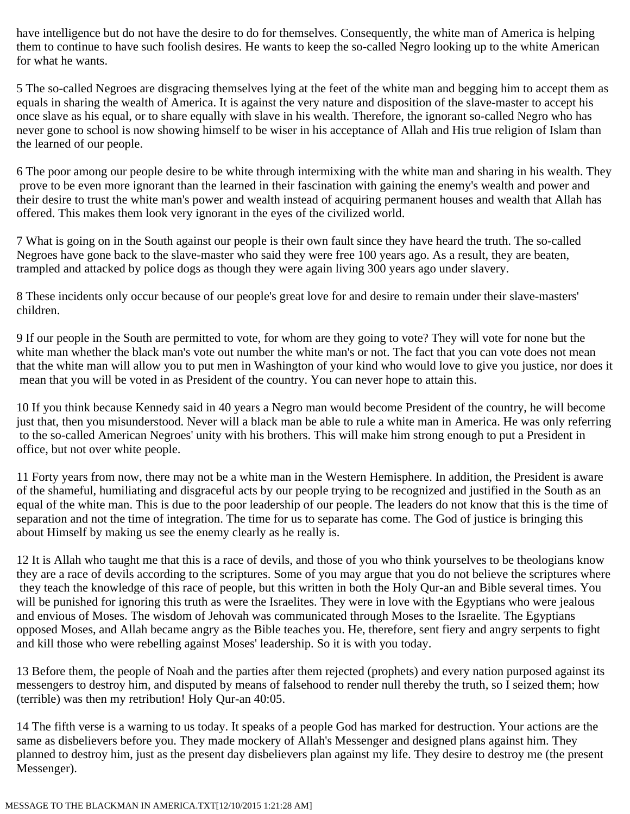have intelligence but do not have the desire to do for themselves. Consequently, the white man of America is helping them to continue to have such foolish desires. He wants to keep the so-called Negro looking up to the white American for what he wants.

5 The so-called Negroes are disgracing themselves lying at the feet of the white man and begging him to accept them as equals in sharing the wealth of America. It is against the very nature and disposition of the slave-master to accept his once slave as his equal, or to share equally with slave in his wealth. Therefore, the ignorant so-called Negro who has never gone to school is now showing himself to be wiser in his acceptance of Allah and His true religion of Islam than the learned of our people.

6 The poor among our people desire to be white through intermixing with the white man and sharing in his wealth. They prove to be even more ignorant than the learned in their fascination with gaining the enemy's wealth and power and their desire to trust the white man's power and wealth instead of acquiring permanent houses and wealth that Allah has offered. This makes them look very ignorant in the eyes of the civilized world.

7 What is going on in the South against our people is their own fault since they have heard the truth. The so-called Negroes have gone back to the slave-master who said they were free 100 years ago. As a result, they are beaten, trampled and attacked by police dogs as though they were again living 300 years ago under slavery.

8 These incidents only occur because of our people's great love for and desire to remain under their slave-masters' children.

9 If our people in the South are permitted to vote, for whom are they going to vote? They will vote for none but the white man whether the black man's vote out number the white man's or not. The fact that you can vote does not mean that the white man will allow you to put men in Washington of your kind who would love to give you justice, nor does it mean that you will be voted in as President of the country. You can never hope to attain this.

10 If you think because Kennedy said in 40 years a Negro man would become President of the country, he will become just that, then you misunderstood. Never will a black man be able to rule a white man in America. He was only referring to the so-called American Negroes' unity with his brothers. This will make him strong enough to put a President in office, but not over white people.

11 Forty years from now, there may not be a white man in the Western Hemisphere. In addition, the President is aware of the shameful, humiliating and disgraceful acts by our people trying to be recognized and justified in the South as an equal of the white man. This is due to the poor leadership of our people. The leaders do not know that this is the time of separation and not the time of integration. The time for us to separate has come. The God of justice is bringing this about Himself by making us see the enemy clearly as he really is.

12 It is Allah who taught me that this is a race of devils, and those of you who think yourselves to be theologians know they are a race of devils according to the scriptures. Some of you may argue that you do not believe the scriptures where they teach the knowledge of this race of people, but this written in both the Holy Qur-an and Bible several times. You will be punished for ignoring this truth as were the Israelites. They were in love with the Egyptians who were jealous and envious of Moses. The wisdom of Jehovah was communicated through Moses to the Israelite. The Egyptians opposed Moses, and Allah became angry as the Bible teaches you. He, therefore, sent fiery and angry serpents to fight and kill those who were rebelling against Moses' leadership. So it is with you today.

13 Before them, the people of Noah and the parties after them rejected (prophets) and every nation purposed against its messengers to destroy him, and disputed by means of falsehood to render null thereby the truth, so I seized them; how (terrible) was then my retribution! Holy Qur-an 40:05.

14 The fifth verse is a warning to us today. It speaks of a people God has marked for destruction. Your actions are the same as disbelievers before you. They made mockery of Allah's Messenger and designed plans against him. They planned to destroy him, just as the present day disbelievers plan against my life. They desire to destroy me (the present Messenger).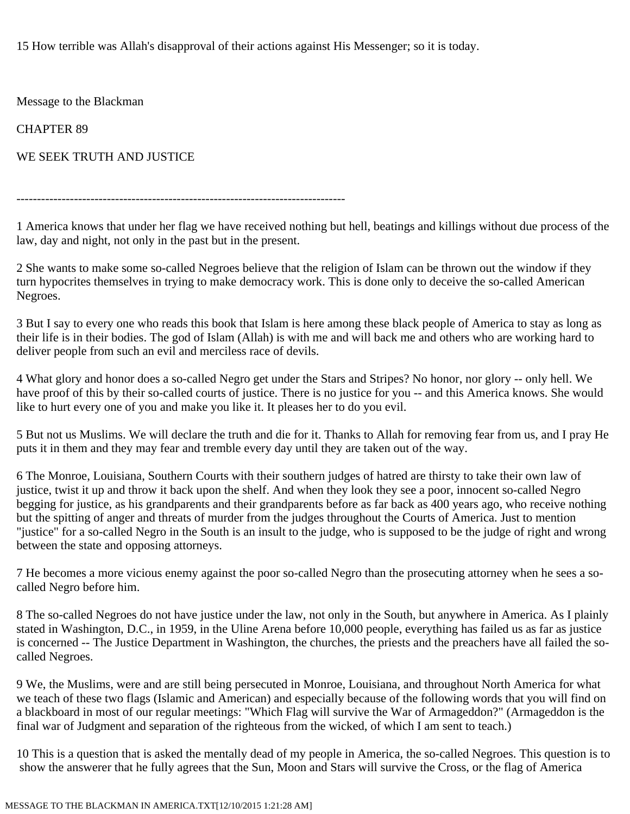15 How terrible was Allah's disapproval of their actions against His Messenger; so it is today.

Message to the Blackman

CHAPTER 89

# WE SEEK TRUTH AND JUSTICE

--------------------------------------------------------------------------------

1 America knows that under her flag we have received nothing but hell, beatings and killings without due process of the law, day and night, not only in the past but in the present.

2 She wants to make some so-called Negroes believe that the religion of Islam can be thrown out the window if they turn hypocrites themselves in trying to make democracy work. This is done only to deceive the so-called American Negroes.

3 But I say to every one who reads this book that Islam is here among these black people of America to stay as long as their life is in their bodies. The god of Islam (Allah) is with me and will back me and others who are working hard to deliver people from such an evil and merciless race of devils.

4 What glory and honor does a so-called Negro get under the Stars and Stripes? No honor, nor glory -- only hell. We have proof of this by their so-called courts of justice. There is no justice for you -- and this America knows. She would like to hurt every one of you and make you like it. It pleases her to do you evil.

5 But not us Muslims. We will declare the truth and die for it. Thanks to Allah for removing fear from us, and I pray He puts it in them and they may fear and tremble every day until they are taken out of the way.

6 The Monroe, Louisiana, Southern Courts with their southern judges of hatred are thirsty to take their own law of justice, twist it up and throw it back upon the shelf. And when they look they see a poor, innocent so-called Negro begging for justice, as his grandparents and their grandparents before as far back as 400 years ago, who receive nothing but the spitting of anger and threats of murder from the judges throughout the Courts of America. Just to mention "justice" for a so-called Negro in the South is an insult to the judge, who is supposed to be the judge of right and wrong between the state and opposing attorneys.

7 He becomes a more vicious enemy against the poor so-called Negro than the prosecuting attorney when he sees a socalled Negro before him.

8 The so-called Negroes do not have justice under the law, not only in the South, but anywhere in America. As I plainly stated in Washington, D.C., in 1959, in the Uline Arena before 10,000 people, everything has failed us as far as justice is concerned -- The Justice Department in Washington, the churches, the priests and the preachers have all failed the socalled Negroes.

9 We, the Muslims, were and are still being persecuted in Monroe, Louisiana, and throughout North America for what we teach of these two flags (Islamic and American) and especially because of the following words that you will find on a blackboard in most of our regular meetings: "Which Flag will survive the War of Armageddon?" (Armageddon is the final war of Judgment and separation of the righteous from the wicked, of which I am sent to teach.)

10 This is a question that is asked the mentally dead of my people in America, the so-called Negroes. This question is to show the answerer that he fully agrees that the Sun, Moon and Stars will survive the Cross, or the flag of America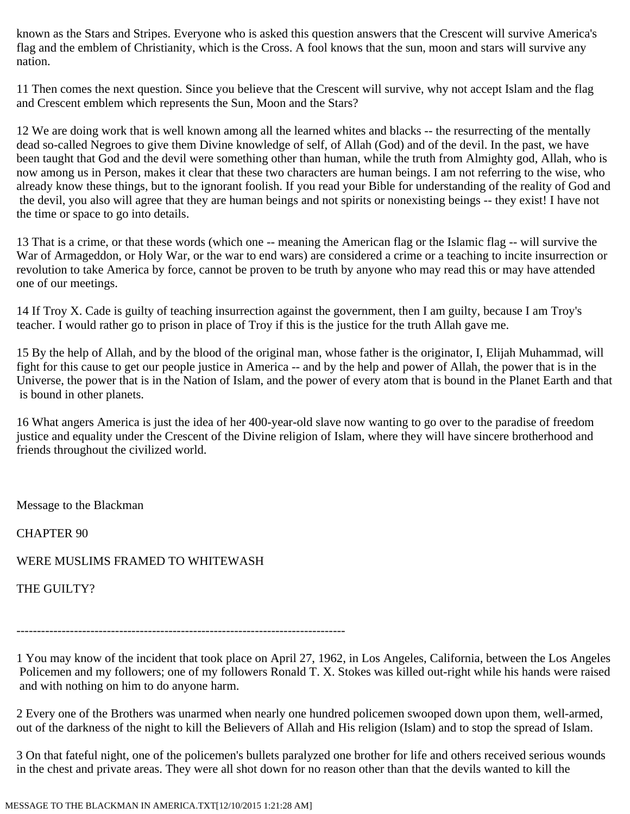known as the Stars and Stripes. Everyone who is asked this question answers that the Crescent will survive America's flag and the emblem of Christianity, which is the Cross. A fool knows that the sun, moon and stars will survive any nation.

11 Then comes the next question. Since you believe that the Crescent will survive, why not accept Islam and the flag and Crescent emblem which represents the Sun, Moon and the Stars?

12 We are doing work that is well known among all the learned whites and blacks -- the resurrecting of the mentally dead so-called Negroes to give them Divine knowledge of self, of Allah (God) and of the devil. In the past, we have been taught that God and the devil were something other than human, while the truth from Almighty god, Allah, who is now among us in Person, makes it clear that these two characters are human beings. I am not referring to the wise, who already know these things, but to the ignorant foolish. If you read your Bible for understanding of the reality of God and the devil, you also will agree that they are human beings and not spirits or nonexisting beings -- they exist! I have not the time or space to go into details.

13 That is a crime, or that these words (which one -- meaning the American flag or the Islamic flag -- will survive the War of Armageddon, or Holy War, or the war to end wars) are considered a crime or a teaching to incite insurrection or revolution to take America by force, cannot be proven to be truth by anyone who may read this or may have attended one of our meetings.

14 If Troy X. Cade is guilty of teaching insurrection against the government, then I am guilty, because I am Troy's teacher. I would rather go to prison in place of Troy if this is the justice for the truth Allah gave me.

15 By the help of Allah, and by the blood of the original man, whose father is the originator, I, Elijah Muhammad, will fight for this cause to get our people justice in America -- and by the help and power of Allah, the power that is in the Universe, the power that is in the Nation of Islam, and the power of every atom that is bound in the Planet Earth and that is bound in other planets.

16 What angers America is just the idea of her 400-year-old slave now wanting to go over to the paradise of freedom justice and equality under the Crescent of the Divine religion of Islam, where they will have sincere brotherhood and friends throughout the civilized world.

Message to the Blackman

CHAPTER 90

# WERE MUSLIMS FRAMED TO WHITEWASH

THE GUILTY?

--------------------------------------------------------------------------------

1 You may know of the incident that took place on April 27, 1962, in Los Angeles, California, between the Los Angeles Policemen and my followers; one of my followers Ronald T. X. Stokes was killed out-right while his hands were raised and with nothing on him to do anyone harm.

2 Every one of the Brothers was unarmed when nearly one hundred policemen swooped down upon them, well-armed, out of the darkness of the night to kill the Believers of Allah and His religion (Islam) and to stop the spread of Islam.

3 On that fateful night, one of the policemen's bullets paralyzed one brother for life and others received serious wounds in the chest and private areas. They were all shot down for no reason other than that the devils wanted to kill the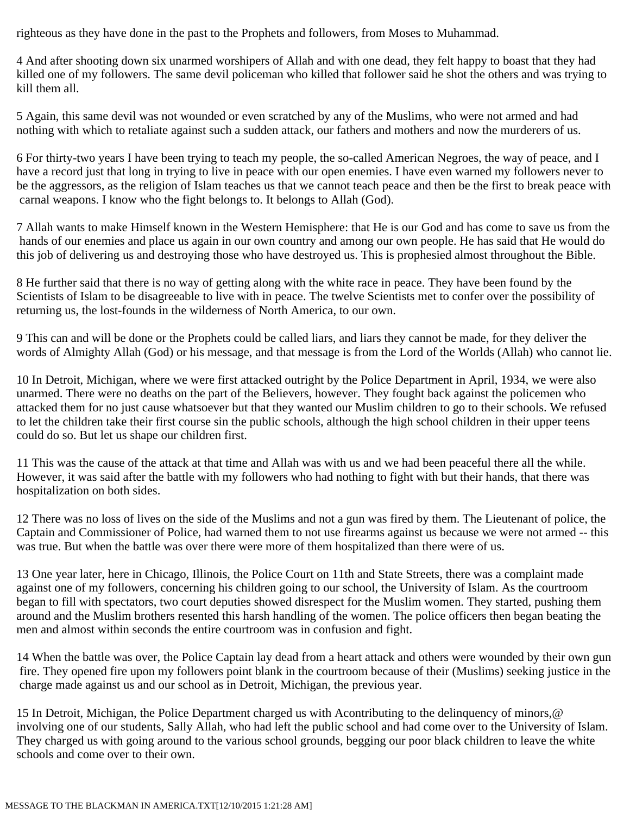righteous as they have done in the past to the Prophets and followers, from Moses to Muhammad.

4 And after shooting down six unarmed worshipers of Allah and with one dead, they felt happy to boast that they had killed one of my followers. The same devil policeman who killed that follower said he shot the others and was trying to kill them all.

5 Again, this same devil was not wounded or even scratched by any of the Muslims, who were not armed and had nothing with which to retaliate against such a sudden attack, our fathers and mothers and now the murderers of us.

6 For thirty-two years I have been trying to teach my people, the so-called American Negroes, the way of peace, and I have a record just that long in trying to live in peace with our open enemies. I have even warned my followers never to be the aggressors, as the religion of Islam teaches us that we cannot teach peace and then be the first to break peace with carnal weapons. I know who the fight belongs to. It belongs to Allah (God).

7 Allah wants to make Himself known in the Western Hemisphere: that He is our God and has come to save us from the hands of our enemies and place us again in our own country and among our own people. He has said that He would do this job of delivering us and destroying those who have destroyed us. This is prophesied almost throughout the Bible.

8 He further said that there is no way of getting along with the white race in peace. They have been found by the Scientists of Islam to be disagreeable to live with in peace. The twelve Scientists met to confer over the possibility of returning us, the lost-founds in the wilderness of North America, to our own.

9 This can and will be done or the Prophets could be called liars, and liars they cannot be made, for they deliver the words of Almighty Allah (God) or his message, and that message is from the Lord of the Worlds (Allah) who cannot lie.

10 In Detroit, Michigan, where we were first attacked outright by the Police Department in April, 1934, we were also unarmed. There were no deaths on the part of the Believers, however. They fought back against the policemen who attacked them for no just cause whatsoever but that they wanted our Muslim children to go to their schools. We refused to let the children take their first course sin the public schools, although the high school children in their upper teens could do so. But let us shape our children first.

11 This was the cause of the attack at that time and Allah was with us and we had been peaceful there all the while. However, it was said after the battle with my followers who had nothing to fight with but their hands, that there was hospitalization on both sides.

12 There was no loss of lives on the side of the Muslims and not a gun was fired by them. The Lieutenant of police, the Captain and Commissioner of Police, had warned them to not use firearms against us because we were not armed -- this was true. But when the battle was over there were more of them hospitalized than there were of us.

13 One year later, here in Chicago, Illinois, the Police Court on 11th and State Streets, there was a complaint made against one of my followers, concerning his children going to our school, the University of Islam. As the courtroom began to fill with spectators, two court deputies showed disrespect for the Muslim women. They started, pushing them around and the Muslim brothers resented this harsh handling of the women. The police officers then began beating the men and almost within seconds the entire courtroom was in confusion and fight.

14 When the battle was over, the Police Captain lay dead from a heart attack and others were wounded by their own gun fire. They opened fire upon my followers point blank in the courtroom because of their (Muslims) seeking justice in the charge made against us and our school as in Detroit, Michigan, the previous year.

15 In Detroit, Michigan, the Police Department charged us with Acontributing to the delinquency of minors,@ involving one of our students, Sally Allah, who had left the public school and had come over to the University of Islam. They charged us with going around to the various school grounds, begging our poor black children to leave the white schools and come over to their own.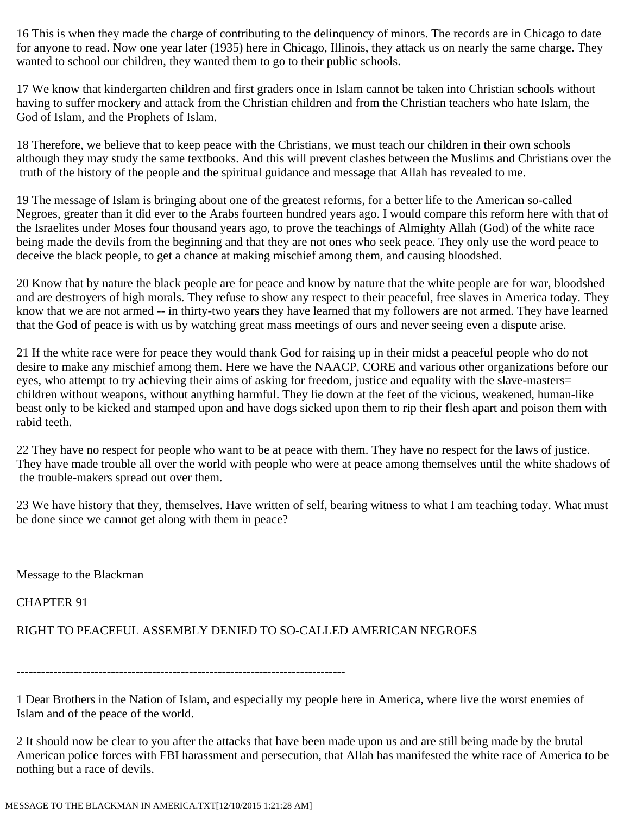16 This is when they made the charge of contributing to the delinquency of minors. The records are in Chicago to date for anyone to read. Now one year later (1935) here in Chicago, Illinois, they attack us on nearly the same charge. They wanted to school our children, they wanted them to go to their public schools.

17 We know that kindergarten children and first graders once in Islam cannot be taken into Christian schools without having to suffer mockery and attack from the Christian children and from the Christian teachers who hate Islam, the God of Islam, and the Prophets of Islam.

18 Therefore, we believe that to keep peace with the Christians, we must teach our children in their own schools although they may study the same textbooks. And this will prevent clashes between the Muslims and Christians over the truth of the history of the people and the spiritual guidance and message that Allah has revealed to me.

19 The message of Islam is bringing about one of the greatest reforms, for a better life to the American so-called Negroes, greater than it did ever to the Arabs fourteen hundred years ago. I would compare this reform here with that of the Israelites under Moses four thousand years ago, to prove the teachings of Almighty Allah (God) of the white race being made the devils from the beginning and that they are not ones who seek peace. They only use the word peace to deceive the black people, to get a chance at making mischief among them, and causing bloodshed.

20 Know that by nature the black people are for peace and know by nature that the white people are for war, bloodshed and are destroyers of high morals. They refuse to show any respect to their peaceful, free slaves in America today. They know that we are not armed -- in thirty-two years they have learned that my followers are not armed. They have learned that the God of peace is with us by watching great mass meetings of ours and never seeing even a dispute arise.

21 If the white race were for peace they would thank God for raising up in their midst a peaceful people who do not desire to make any mischief among them. Here we have the NAACP, CORE and various other organizations before our eyes, who attempt to try achieving their aims of asking for freedom, justice and equality with the slave-masters= children without weapons, without anything harmful. They lie down at the feet of the vicious, weakened, human-like beast only to be kicked and stamped upon and have dogs sicked upon them to rip their flesh apart and poison them with rabid teeth.

22 They have no respect for people who want to be at peace with them. They have no respect for the laws of justice. They have made trouble all over the world with people who were at peace among themselves until the white shadows of the trouble-makers spread out over them.

23 We have history that they, themselves. Have written of self, bearing witness to what I am teaching today. What must be done since we cannot get along with them in peace?

Message to the Blackman

CHAPTER 91

RIGHT TO PEACEFUL ASSEMBLY DENIED TO SO-CALLED AMERICAN NEGROES

--------------------------------------------------------------------------------

1 Dear Brothers in the Nation of Islam, and especially my people here in America, where live the worst enemies of Islam and of the peace of the world.

2 It should now be clear to you after the attacks that have been made upon us and are still being made by the brutal American police forces with FBI harassment and persecution, that Allah has manifested the white race of America to be nothing but a race of devils.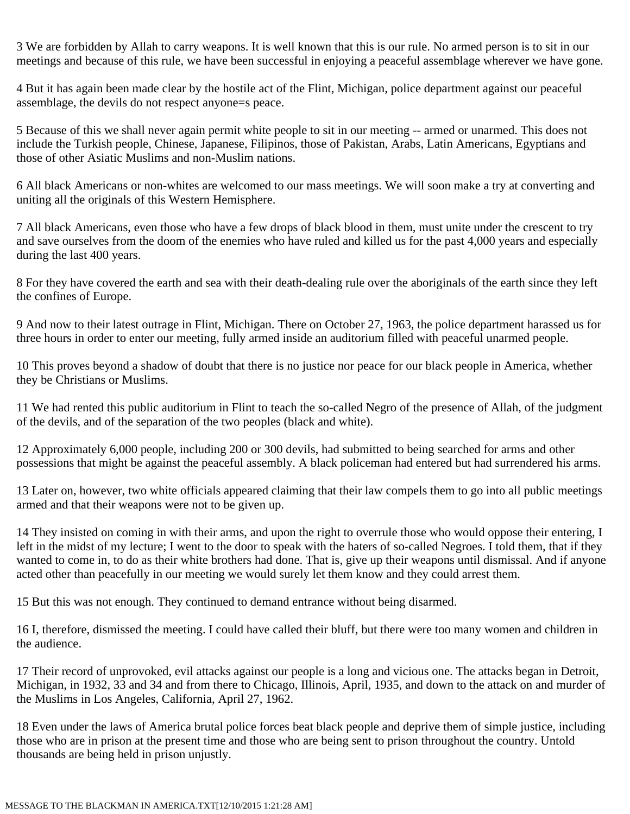3 We are forbidden by Allah to carry weapons. It is well known that this is our rule. No armed person is to sit in our meetings and because of this rule, we have been successful in enjoying a peaceful assemblage wherever we have gone.

4 But it has again been made clear by the hostile act of the Flint, Michigan, police department against our peaceful assemblage, the devils do not respect anyone=s peace.

5 Because of this we shall never again permit white people to sit in our meeting -- armed or unarmed. This does not include the Turkish people, Chinese, Japanese, Filipinos, those of Pakistan, Arabs, Latin Americans, Egyptians and those of other Asiatic Muslims and non-Muslim nations.

6 All black Americans or non-whites are welcomed to our mass meetings. We will soon make a try at converting and uniting all the originals of this Western Hemisphere.

7 All black Americans, even those who have a few drops of black blood in them, must unite under the crescent to try and save ourselves from the doom of the enemies who have ruled and killed us for the past 4,000 years and especially during the last 400 years.

8 For they have covered the earth and sea with their death-dealing rule over the aboriginals of the earth since they left the confines of Europe.

9 And now to their latest outrage in Flint, Michigan. There on October 27, 1963, the police department harassed us for three hours in order to enter our meeting, fully armed inside an auditorium filled with peaceful unarmed people.

10 This proves beyond a shadow of doubt that there is no justice nor peace for our black people in America, whether they be Christians or Muslims.

11 We had rented this public auditorium in Flint to teach the so-called Negro of the presence of Allah, of the judgment of the devils, and of the separation of the two peoples (black and white).

12 Approximately 6,000 people, including 200 or 300 devils, had submitted to being searched for arms and other possessions that might be against the peaceful assembly. A black policeman had entered but had surrendered his arms.

13 Later on, however, two white officials appeared claiming that their law compels them to go into all public meetings armed and that their weapons were not to be given up.

14 They insisted on coming in with their arms, and upon the right to overrule those who would oppose their entering, I left in the midst of my lecture; I went to the door to speak with the haters of so-called Negroes. I told them, that if they wanted to come in, to do as their white brothers had done. That is, give up their weapons until dismissal. And if anyone acted other than peacefully in our meeting we would surely let them know and they could arrest them.

15 But this was not enough. They continued to demand entrance without being disarmed.

16 I, therefore, dismissed the meeting. I could have called their bluff, but there were too many women and children in the audience.

17 Their record of unprovoked, evil attacks against our people is a long and vicious one. The attacks began in Detroit, Michigan, in 1932, 33 and 34 and from there to Chicago, Illinois, April, 1935, and down to the attack on and murder of the Muslims in Los Angeles, California, April 27, 1962.

18 Even under the laws of America brutal police forces beat black people and deprive them of simple justice, including those who are in prison at the present time and those who are being sent to prison throughout the country. Untold thousands are being held in prison unjustly.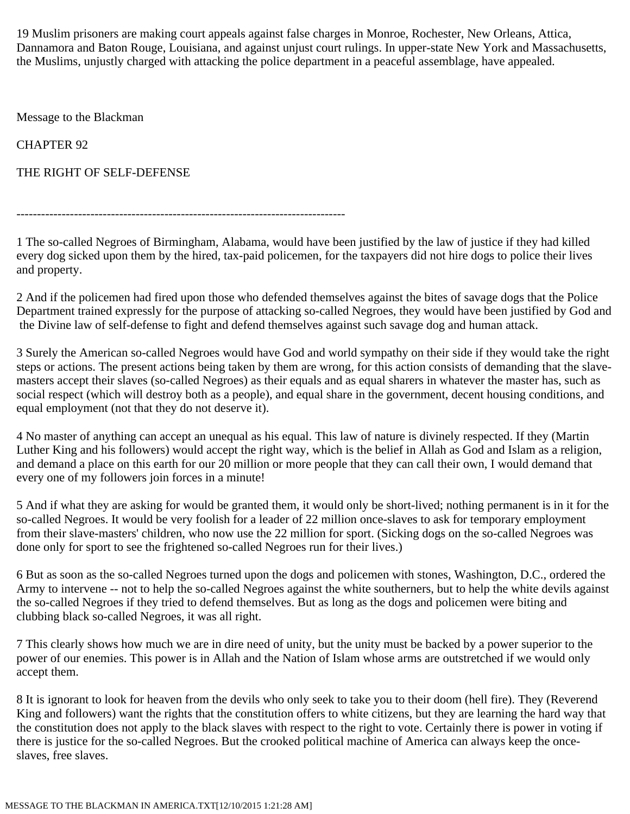19 Muslim prisoners are making court appeals against false charges in Monroe, Rochester, New Orleans, Attica, Dannamora and Baton Rouge, Louisiana, and against unjust court rulings. In upper-state New York and Massachusetts, the Muslims, unjustly charged with attacking the police department in a peaceful assemblage, have appealed.

Message to the Blackman

CHAPTER 92

THE RIGHT OF SELF-DEFENSE

--------------------------------------------------------------------------------

1 The so-called Negroes of Birmingham, Alabama, would have been justified by the law of justice if they had killed every dog sicked upon them by the hired, tax-paid policemen, for the taxpayers did not hire dogs to police their lives and property.

2 And if the policemen had fired upon those who defended themselves against the bites of savage dogs that the Police Department trained expressly for the purpose of attacking so-called Negroes, they would have been justified by God and the Divine law of self-defense to fight and defend themselves against such savage dog and human attack.

3 Surely the American so-called Negroes would have God and world sympathy on their side if they would take the right steps or actions. The present actions being taken by them are wrong, for this action consists of demanding that the slavemasters accept their slaves (so-called Negroes) as their equals and as equal sharers in whatever the master has, such as social respect (which will destroy both as a people), and equal share in the government, decent housing conditions, and equal employment (not that they do not deserve it).

4 No master of anything can accept an unequal as his equal. This law of nature is divinely respected. If they (Martin Luther King and his followers) would accept the right way, which is the belief in Allah as God and Islam as a religion, and demand a place on this earth for our 20 million or more people that they can call their own, I would demand that every one of my followers join forces in a minute!

5 And if what they are asking for would be granted them, it would only be short-lived; nothing permanent is in it for the so-called Negroes. It would be very foolish for a leader of 22 million once-slaves to ask for temporary employment from their slave-masters' children, who now use the 22 million for sport. (Sicking dogs on the so-called Negroes was done only for sport to see the frightened so-called Negroes run for their lives.)

6 But as soon as the so-called Negroes turned upon the dogs and policemen with stones, Washington, D.C., ordered the Army to intervene -- not to help the so-called Negroes against the white southerners, but to help the white devils against the so-called Negroes if they tried to defend themselves. But as long as the dogs and policemen were biting and clubbing black so-called Negroes, it was all right.

7 This clearly shows how much we are in dire need of unity, but the unity must be backed by a power superior to the power of our enemies. This power is in Allah and the Nation of Islam whose arms are outstretched if we would only accept them.

8 It is ignorant to look for heaven from the devils who only seek to take you to their doom (hell fire). They (Reverend King and followers) want the rights that the constitution offers to white citizens, but they are learning the hard way that the constitution does not apply to the black slaves with respect to the right to vote. Certainly there is power in voting if there is justice for the so-called Negroes. But the crooked political machine of America can always keep the onceslaves, free slaves.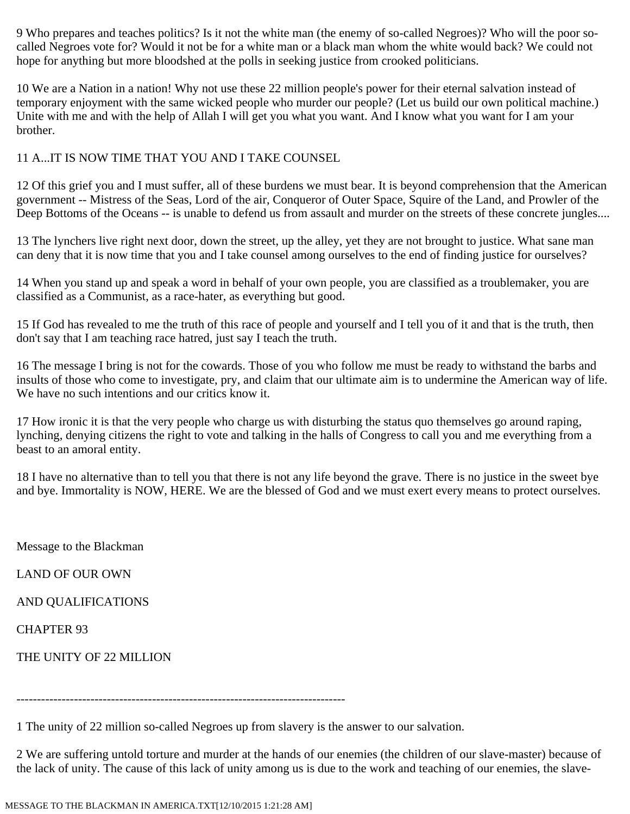9 Who prepares and teaches politics? Is it not the white man (the enemy of so-called Negroes)? Who will the poor socalled Negroes vote for? Would it not be for a white man or a black man whom the white would back? We could not hope for anything but more bloodshed at the polls in seeking justice from crooked politicians.

10 We are a Nation in a nation! Why not use these 22 million people's power for their eternal salvation instead of temporary enjoyment with the same wicked people who murder our people? (Let us build our own political machine.) Unite with me and with the help of Allah I will get you what you want. And I know what you want for I am your brother.

### 11 A...IT IS NOW TIME THAT YOU AND I TAKE COUNSEL

12 Of this grief you and I must suffer, all of these burdens we must bear. It is beyond comprehension that the American government -- Mistress of the Seas, Lord of the air, Conqueror of Outer Space, Squire of the Land, and Prowler of the Deep Bottoms of the Oceans -- is unable to defend us from assault and murder on the streets of these concrete jungles....

13 The lynchers live right next door, down the street, up the alley, yet they are not brought to justice. What sane man can deny that it is now time that you and I take counsel among ourselves to the end of finding justice for ourselves?

14 When you stand up and speak a word in behalf of your own people, you are classified as a troublemaker, you are classified as a Communist, as a race-hater, as everything but good.

15 If God has revealed to me the truth of this race of people and yourself and I tell you of it and that is the truth, then don't say that I am teaching race hatred, just say I teach the truth.

16 The message I bring is not for the cowards. Those of you who follow me must be ready to withstand the barbs and insults of those who come to investigate, pry, and claim that our ultimate aim is to undermine the American way of life. We have no such intentions and our critics know it.

17 How ironic it is that the very people who charge us with disturbing the status quo themselves go around raping, lynching, denying citizens the right to vote and talking in the halls of Congress to call you and me everything from a beast to an amoral entity.

18 I have no alternative than to tell you that there is not any life beyond the grave. There is no justice in the sweet bye and bye. Immortality is NOW, HERE. We are the blessed of God and we must exert every means to protect ourselves.

Message to the Blackman

LAND OF OUR OWN

AND QUALIFICATIONS

CHAPTER 93

THE UNITY OF 22 MILLION

--------------------------------------------------------------------------------

1 The unity of 22 million so-called Negroes up from slavery is the answer to our salvation.

2 We are suffering untold torture and murder at the hands of our enemies (the children of our slave-master) because of the lack of unity. The cause of this lack of unity among us is due to the work and teaching of our enemies, the slave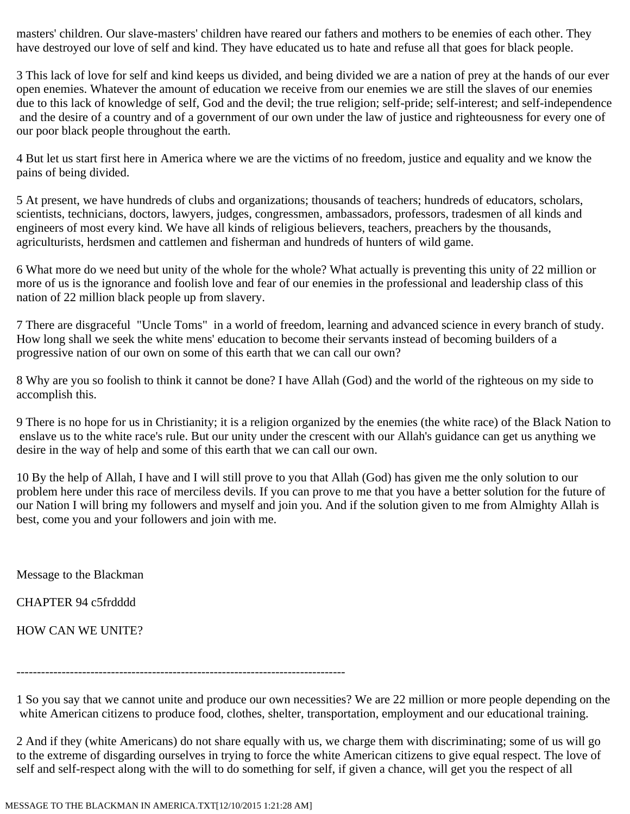masters' children. Our slave-masters' children have reared our fathers and mothers to be enemies of each other. They have destroyed our love of self and kind. They have educated us to hate and refuse all that goes for black people.

3 This lack of love for self and kind keeps us divided, and being divided we are a nation of prey at the hands of our ever open enemies. Whatever the amount of education we receive from our enemies we are still the slaves of our enemies due to this lack of knowledge of self, God and the devil; the true religion; self-pride; self-interest; and self-independence and the desire of a country and of a government of our own under the law of justice and righteousness for every one of our poor black people throughout the earth.

4 But let us start first here in America where we are the victims of no freedom, justice and equality and we know the pains of being divided.

5 At present, we have hundreds of clubs and organizations; thousands of teachers; hundreds of educators, scholars, scientists, technicians, doctors, lawyers, judges, congressmen, ambassadors, professors, tradesmen of all kinds and engineers of most every kind. We have all kinds of religious believers, teachers, preachers by the thousands, agriculturists, herdsmen and cattlemen and fisherman and hundreds of hunters of wild game.

6 What more do we need but unity of the whole for the whole? What actually is preventing this unity of 22 million or more of us is the ignorance and foolish love and fear of our enemies in the professional and leadership class of this nation of 22 million black people up from slavery.

7 There are disgraceful "Uncle Toms" in a world of freedom, learning and advanced science in every branch of study. How long shall we seek the white mens' education to become their servants instead of becoming builders of a progressive nation of our own on some of this earth that we can call our own?

8 Why are you so foolish to think it cannot be done? I have Allah (God) and the world of the righteous on my side to accomplish this.

9 There is no hope for us in Christianity; it is a religion organized by the enemies (the white race) of the Black Nation to enslave us to the white race's rule. But our unity under the crescent with our Allah's guidance can get us anything we desire in the way of help and some of this earth that we can call our own.

10 By the help of Allah, I have and I will still prove to you that Allah (God) has given me the only solution to our problem here under this race of merciless devils. If you can prove to me that you have a better solution for the future of our Nation I will bring my followers and myself and join you. And if the solution given to me from Almighty Allah is best, come you and your followers and join with me.

Message to the Blackman

CHAPTER 94 c5frdddd

HOW CAN WE UNITE?

--------------------------------------------------------------------------------

1 So you say that we cannot unite and produce our own necessities? We are 22 million or more people depending on the white American citizens to produce food, clothes, shelter, transportation, employment and our educational training.

2 And if they (white Americans) do not share equally with us, we charge them with discriminating; some of us will go to the extreme of disgarding ourselves in trying to force the white American citizens to give equal respect. The love of self and self-respect along with the will to do something for self, if given a chance, will get you the respect of all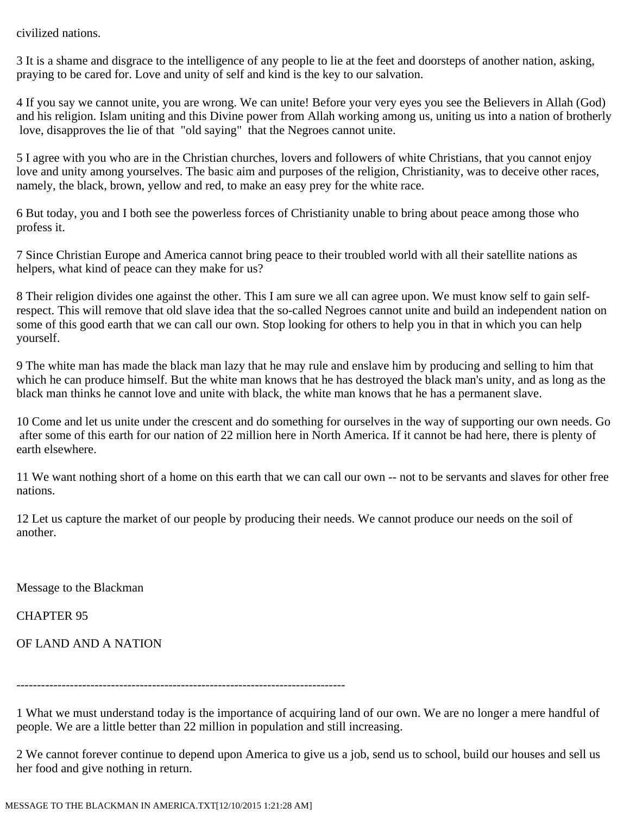civilized nations.

3 It is a shame and disgrace to the intelligence of any people to lie at the feet and doorsteps of another nation, asking, praying to be cared for. Love and unity of self and kind is the key to our salvation.

4 If you say we cannot unite, you are wrong. We can unite! Before your very eyes you see the Believers in Allah (God) and his religion. Islam uniting and this Divine power from Allah working among us, uniting us into a nation of brotherly love, disapproves the lie of that "old saying" that the Negroes cannot unite.

5 I agree with you who are in the Christian churches, lovers and followers of white Christians, that you cannot enjoy love and unity among yourselves. The basic aim and purposes of the religion, Christianity, was to deceive other races, namely, the black, brown, yellow and red, to make an easy prey for the white race.

6 But today, you and I both see the powerless forces of Christianity unable to bring about peace among those who profess it.

7 Since Christian Europe and America cannot bring peace to their troubled world with all their satellite nations as helpers, what kind of peace can they make for us?

8 Their religion divides one against the other. This I am sure we all can agree upon. We must know self to gain selfrespect. This will remove that old slave idea that the so-called Negroes cannot unite and build an independent nation on some of this good earth that we can call our own. Stop looking for others to help you in that in which you can help yourself.

9 The white man has made the black man lazy that he may rule and enslave him by producing and selling to him that which he can produce himself. But the white man knows that he has destroyed the black man's unity, and as long as the black man thinks he cannot love and unite with black, the white man knows that he has a permanent slave.

10 Come and let us unite under the crescent and do something for ourselves in the way of supporting our own needs. Go after some of this earth for our nation of 22 million here in North America. If it cannot be had here, there is plenty of earth elsewhere.

11 We want nothing short of a home on this earth that we can call our own -- not to be servants and slaves for other free nations.

12 Let us capture the market of our people by producing their needs. We cannot produce our needs on the soil of another.

Message to the Blackman

CHAPTER 95

OF LAND AND A NATION

--------------------------------------------------------------------------------

1 What we must understand today is the importance of acquiring land of our own. We are no longer a mere handful of people. We are a little better than 22 million in population and still increasing.

2 We cannot forever continue to depend upon America to give us a job, send us to school, build our houses and sell us her food and give nothing in return.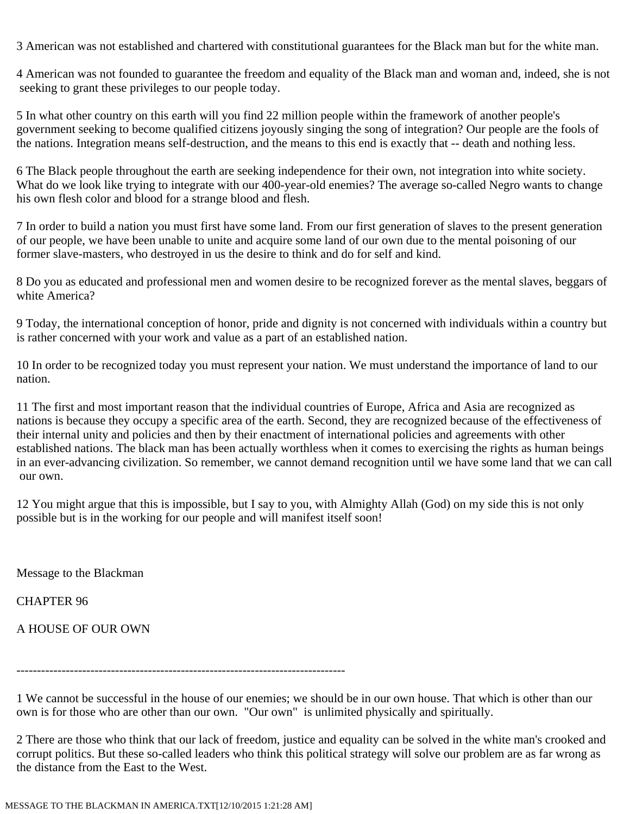3 American was not established and chartered with constitutional guarantees for the Black man but for the white man.

4 American was not founded to guarantee the freedom and equality of the Black man and woman and, indeed, she is not seeking to grant these privileges to our people today.

5 In what other country on this earth will you find 22 million people within the framework of another people's government seeking to become qualified citizens joyously singing the song of integration? Our people are the fools of the nations. Integration means self-destruction, and the means to this end is exactly that -- death and nothing less.

6 The Black people throughout the earth are seeking independence for their own, not integration into white society. What do we look like trying to integrate with our 400-year-old enemies? The average so-called Negro wants to change his own flesh color and blood for a strange blood and flesh.

7 In order to build a nation you must first have some land. From our first generation of slaves to the present generation of our people, we have been unable to unite and acquire some land of our own due to the mental poisoning of our former slave-masters, who destroyed in us the desire to think and do for self and kind.

8 Do you as educated and professional men and women desire to be recognized forever as the mental slaves, beggars of white America?

9 Today, the international conception of honor, pride and dignity is not concerned with individuals within a country but is rather concerned with your work and value as a part of an established nation.

10 In order to be recognized today you must represent your nation. We must understand the importance of land to our nation.

11 The first and most important reason that the individual countries of Europe, Africa and Asia are recognized as nations is because they occupy a specific area of the earth. Second, they are recognized because of the effectiveness of their internal unity and policies and then by their enactment of international policies and agreements with other established nations. The black man has been actually worthless when it comes to exercising the rights as human beings in an ever-advancing civilization. So remember, we cannot demand recognition until we have some land that we can call our own.

12 You might argue that this is impossible, but I say to you, with Almighty Allah (God) on my side this is not only possible but is in the working for our people and will manifest itself soon!

Message to the Blackman

CHAPTER 96

A HOUSE OF OUR OWN

--------------------------------------------------------------------------------

1 We cannot be successful in the house of our enemies; we should be in our own house. That which is other than our own is for those who are other than our own. "Our own" is unlimited physically and spiritually.

2 There are those who think that our lack of freedom, justice and equality can be solved in the white man's crooked and corrupt politics. But these so-called leaders who think this political strategy will solve our problem are as far wrong as the distance from the East to the West.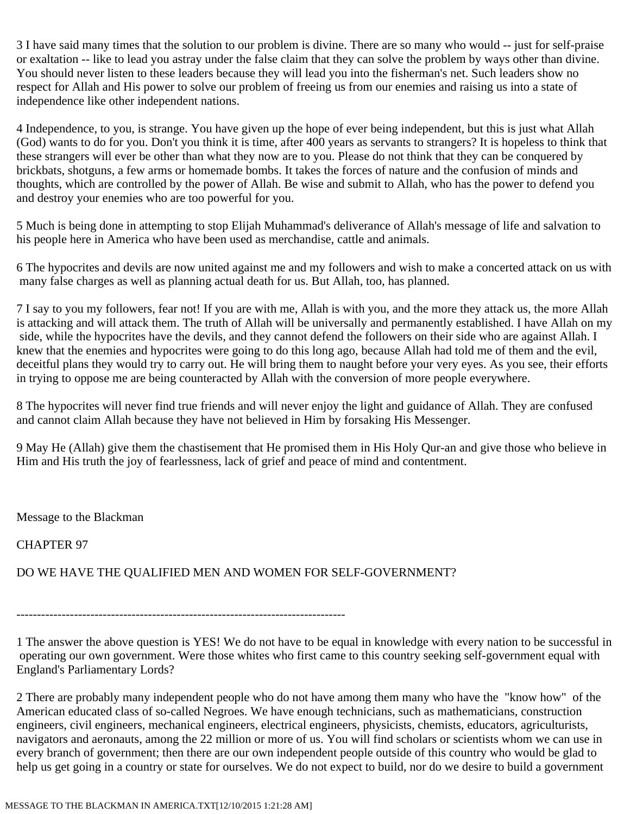3 I have said many times that the solution to our problem is divine. There are so many who would -- just for self-praise or exaltation -- like to lead you astray under the false claim that they can solve the problem by ways other than divine. You should never listen to these leaders because they will lead you into the fisherman's net. Such leaders show no respect for Allah and His power to solve our problem of freeing us from our enemies and raising us into a state of independence like other independent nations.

4 Independence, to you, is strange. You have given up the hope of ever being independent, but this is just what Allah (God) wants to do for you. Don't you think it is time, after 400 years as servants to strangers? It is hopeless to think that these strangers will ever be other than what they now are to you. Please do not think that they can be conquered by brickbats, shotguns, a few arms or homemade bombs. It takes the forces of nature and the confusion of minds and thoughts, which are controlled by the power of Allah. Be wise and submit to Allah, who has the power to defend you and destroy your enemies who are too powerful for you.

5 Much is being done in attempting to stop Elijah Muhammad's deliverance of Allah's message of life and salvation to his people here in America who have been used as merchandise, cattle and animals.

6 The hypocrites and devils are now united against me and my followers and wish to make a concerted attack on us with many false charges as well as planning actual death for us. But Allah, too, has planned.

7 I say to you my followers, fear not! If you are with me, Allah is with you, and the more they attack us, the more Allah is attacking and will attack them. The truth of Allah will be universally and permanently established. I have Allah on my side, while the hypocrites have the devils, and they cannot defend the followers on their side who are against Allah. I knew that the enemies and hypocrites were going to do this long ago, because Allah had told me of them and the evil, deceitful plans they would try to carry out. He will bring them to naught before your very eyes. As you see, their efforts in trying to oppose me are being counteracted by Allah with the conversion of more people everywhere.

8 The hypocrites will never find true friends and will never enjoy the light and guidance of Allah. They are confused and cannot claim Allah because they have not believed in Him by forsaking His Messenger.

9 May He (Allah) give them the chastisement that He promised them in His Holy Qur-an and give those who believe in Him and His truth the joy of fearlessness, lack of grief and peace of mind and contentment.

Message to the Blackman

CHAPTER 97

DO WE HAVE THE QUALIFIED MEN AND WOMEN FOR SELF-GOVERNMENT?

--------------------------------------------------------------------------------

1 The answer the above question is YES! We do not have to be equal in knowledge with every nation to be successful in operating our own government. Were those whites who first came to this country seeking self-government equal with England's Parliamentary Lords?

2 There are probably many independent people who do not have among them many who have the "know how" of the American educated class of so-called Negroes. We have enough technicians, such as mathematicians, construction engineers, civil engineers, mechanical engineers, electrical engineers, physicists, chemists, educators, agriculturists, navigators and aeronauts, among the 22 million or more of us. You will find scholars or scientists whom we can use in every branch of government; then there are our own independent people outside of this country who would be glad to help us get going in a country or state for ourselves. We do not expect to build, nor do we desire to build a government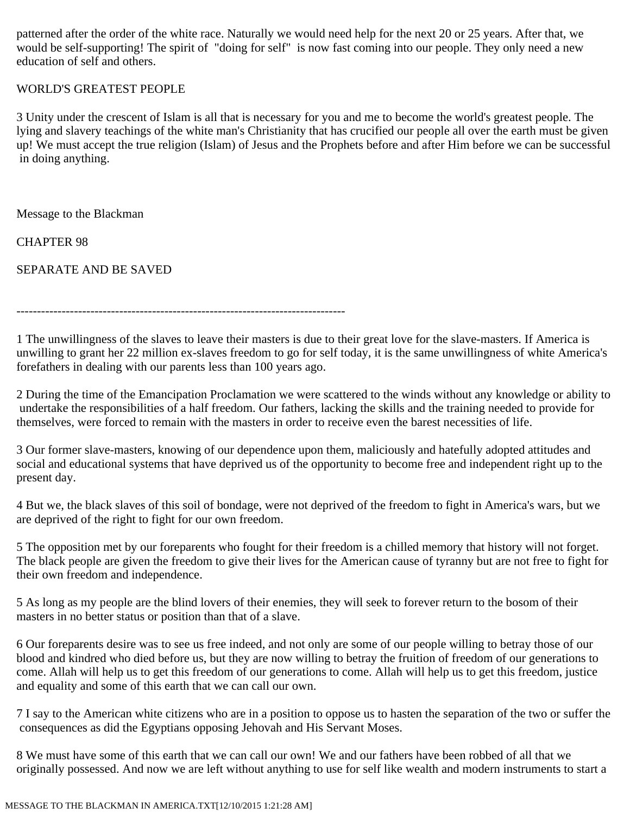patterned after the order of the white race. Naturally we would need help for the next 20 or 25 years. After that, we would be self-supporting! The spirit of "doing for self" is now fast coming into our people. They only need a new education of self and others.

#### WORLD'S GREATEST PEOPLE

3 Unity under the crescent of Islam is all that is necessary for you and me to become the world's greatest people. The lying and slavery teachings of the white man's Christianity that has crucified our people all over the earth must be given up! We must accept the true religion (Islam) of Jesus and the Prophets before and after Him before we can be successful in doing anything.

Message to the Blackman

CHAPTER 98

SEPARATE AND BE SAVED

--------------------------------------------------------------------------------

1 The unwillingness of the slaves to leave their masters is due to their great love for the slave-masters. If America is unwilling to grant her 22 million ex-slaves freedom to go for self today, it is the same unwillingness of white America's forefathers in dealing with our parents less than 100 years ago.

2 During the time of the Emancipation Proclamation we were scattered to the winds without any knowledge or ability to undertake the responsibilities of a half freedom. Our fathers, lacking the skills and the training needed to provide for themselves, were forced to remain with the masters in order to receive even the barest necessities of life.

3 Our former slave-masters, knowing of our dependence upon them, maliciously and hatefully adopted attitudes and social and educational systems that have deprived us of the opportunity to become free and independent right up to the present day.

4 But we, the black slaves of this soil of bondage, were not deprived of the freedom to fight in America's wars, but we are deprived of the right to fight for our own freedom.

5 The opposition met by our foreparents who fought for their freedom is a chilled memory that history will not forget. The black people are given the freedom to give their lives for the American cause of tyranny but are not free to fight for their own freedom and independence.

5 As long as my people are the blind lovers of their enemies, they will seek to forever return to the bosom of their masters in no better status or position than that of a slave.

6 Our foreparents desire was to see us free indeed, and not only are some of our people willing to betray those of our blood and kindred who died before us, but they are now willing to betray the fruition of freedom of our generations to come. Allah will help us to get this freedom of our generations to come. Allah will help us to get this freedom, justice and equality and some of this earth that we can call our own.

7 I say to the American white citizens who are in a position to oppose us to hasten the separation of the two or suffer the consequences as did the Egyptians opposing Jehovah and His Servant Moses.

8 We must have some of this earth that we can call our own! We and our fathers have been robbed of all that we originally possessed. And now we are left without anything to use for self like wealth and modern instruments to start a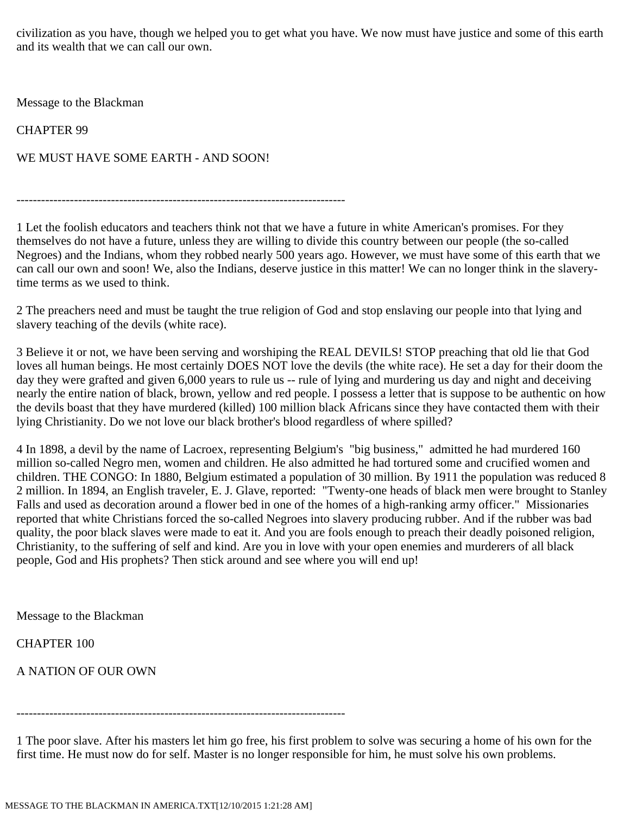civilization as you have, though we helped you to get what you have. We now must have justice and some of this earth and its wealth that we can call our own.

Message to the Blackman

CHAPTER 99

WE MUST HAVE SOME EARTH - AND SOON!

--------------------------------------------------------------------------------

1 Let the foolish educators and teachers think not that we have a future in white American's promises. For they themselves do not have a future, unless they are willing to divide this country between our people (the so-called Negroes) and the Indians, whom they robbed nearly 500 years ago. However, we must have some of this earth that we can call our own and soon! We, also the Indians, deserve justice in this matter! We can no longer think in the slaverytime terms as we used to think.

2 The preachers need and must be taught the true religion of God and stop enslaving our people into that lying and slavery teaching of the devils (white race).

3 Believe it or not, we have been serving and worshiping the REAL DEVILS! STOP preaching that old lie that God loves all human beings. He most certainly DOES NOT love the devils (the white race). He set a day for their doom the day they were grafted and given 6,000 years to rule us -- rule of lying and murdering us day and night and deceiving nearly the entire nation of black, brown, yellow and red people. I possess a letter that is suppose to be authentic on how the devils boast that they have murdered (killed) 100 million black Africans since they have contacted them with their lying Christianity. Do we not love our black brother's blood regardless of where spilled?

4 In 1898, a devil by the name of Lacroex, representing Belgium's "big business," admitted he had murdered 160 million so-called Negro men, women and children. He also admitted he had tortured some and crucified women and children. THE CONGO: In 1880, Belgium estimated a population of 30 million. By 1911 the population was reduced 8 2 million. In 1894, an English traveler, E. J. Glave, reported: "Twenty-one heads of black men were brought to Stanley Falls and used as decoration around a flower bed in one of the homes of a high-ranking army officer." Missionaries reported that white Christians forced the so-called Negroes into slavery producing rubber. And if the rubber was bad quality, the poor black slaves were made to eat it. And you are fools enough to preach their deadly poisoned religion, Christianity, to the suffering of self and kind. Are you in love with your open enemies and murderers of all black people, God and His prophets? Then stick around and see where you will end up!

Message to the Blackman

CHAPTER 100

A NATION OF OUR OWN

--------------------------------------------------------------------------------

1 The poor slave. After his masters let him go free, his first problem to solve was securing a home of his own for the first time. He must now do for self. Master is no longer responsible for him, he must solve his own problems.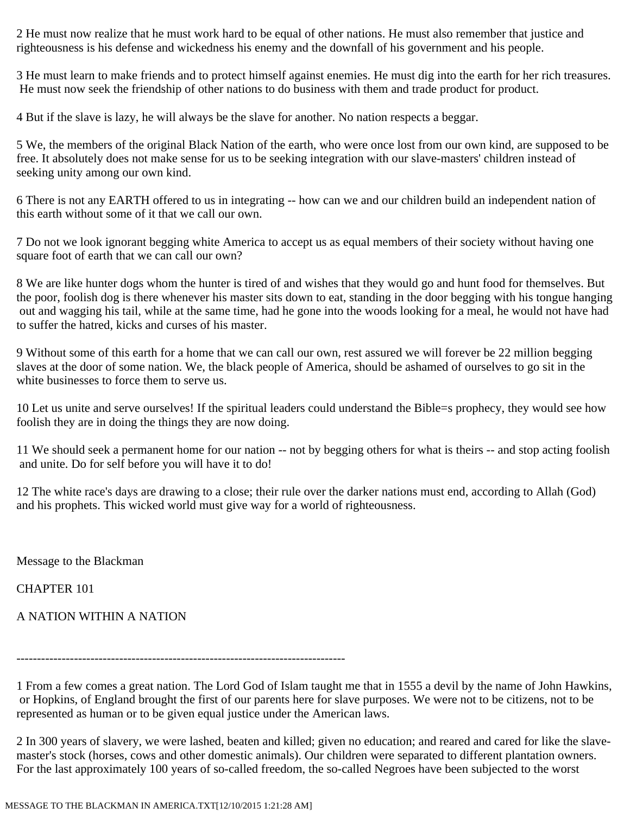2 He must now realize that he must work hard to be equal of other nations. He must also remember that justice and righteousness is his defense and wickedness his enemy and the downfall of his government and his people.

3 He must learn to make friends and to protect himself against enemies. He must dig into the earth for her rich treasures. He must now seek the friendship of other nations to do business with them and trade product for product.

4 But if the slave is lazy, he will always be the slave for another. No nation respects a beggar.

5 We, the members of the original Black Nation of the earth, who were once lost from our own kind, are supposed to be free. It absolutely does not make sense for us to be seeking integration with our slave-masters' children instead of seeking unity among our own kind.

6 There is not any EARTH offered to us in integrating -- how can we and our children build an independent nation of this earth without some of it that we call our own.

7 Do not we look ignorant begging white America to accept us as equal members of their society without having one square foot of earth that we can call our own?

8 We are like hunter dogs whom the hunter is tired of and wishes that they would go and hunt food for themselves. But the poor, foolish dog is there whenever his master sits down to eat, standing in the door begging with his tongue hanging out and wagging his tail, while at the same time, had he gone into the woods looking for a meal, he would not have had to suffer the hatred, kicks and curses of his master.

9 Without some of this earth for a home that we can call our own, rest assured we will forever be 22 million begging slaves at the door of some nation. We, the black people of America, should be ashamed of ourselves to go sit in the white businesses to force them to serve us.

10 Let us unite and serve ourselves! If the spiritual leaders could understand the Bible=s prophecy, they would see how foolish they are in doing the things they are now doing.

11 We should seek a permanent home for our nation -- not by begging others for what is theirs -- and stop acting foolish and unite. Do for self before you will have it to do!

12 The white race's days are drawing to a close; their rule over the darker nations must end, according to Allah (God) and his prophets. This wicked world must give way for a world of righteousness.

Message to the Blackman

CHAPTER 101

A NATION WITHIN A NATION

--------------------------------------------------------------------------------

1 From a few comes a great nation. The Lord God of Islam taught me that in 1555 a devil by the name of John Hawkins, or Hopkins, of England brought the first of our parents here for slave purposes. We were not to be citizens, not to be represented as human or to be given equal justice under the American laws.

2 In 300 years of slavery, we were lashed, beaten and killed; given no education; and reared and cared for like the slavemaster's stock (horses, cows and other domestic animals). Our children were separated to different plantation owners. For the last approximately 100 years of so-called freedom, the so-called Negroes have been subjected to the worst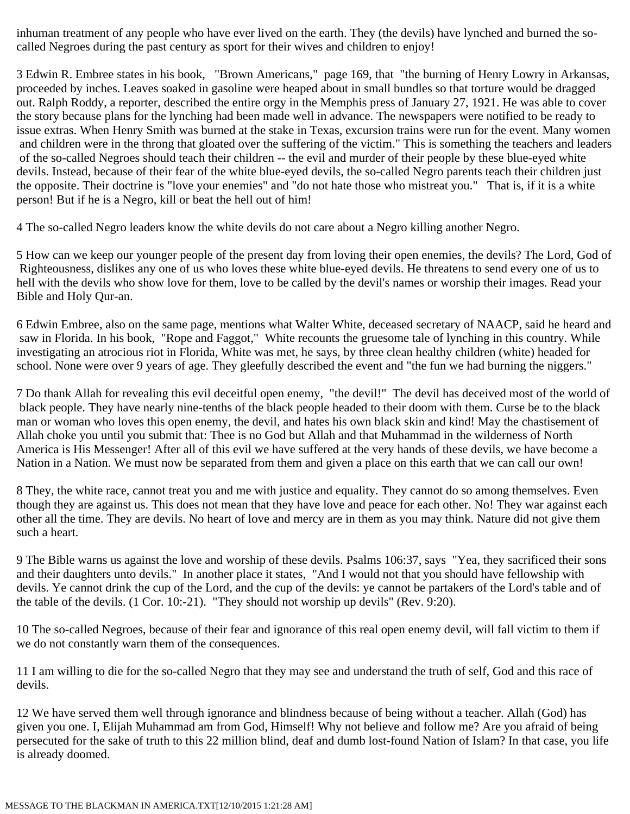inhuman treatment of any people who have ever lived on the earth. They (the devils) have lynched and burned the socalled Negroes during the past century as sport for their wives and children to enjoy!

3 Edwin R. Embree states in his book, "Brown Americans," page 169, that "the burning of Henry Lowry in Arkansas, proceeded by inches. Leaves soaked in gasoline were heaped about in small bundles so that torture would be dragged out. Ralph Roddy, a reporter, described the entire orgy in the Memphis press of January 27, 1921. He was able to cover the story because plans for the lynching had been made well in advance. The newspapers were notified to be ready to issue extras. When Henry Smith was burned at the stake in Texas, excursion trains were run for the event. Many women and children were in the throng that gloated over the suffering of the victim." This is something the teachers and leaders of the so-called Negroes should teach their children -- the evil and murder of their people by these blue-eyed white devils. Instead, because of their fear of the white blue-eyed devils, the so-called Negro parents teach their children just the opposite. Their doctrine is "love your enemies" and "do not hate those who mistreat you." That is, if it is a white person! But if he is a Negro, kill or beat the hell out of him!

4 The so-called Negro leaders know the white devils do not care about a Negro killing another Negro.

5 How can we keep our younger people of the present day from loving their open enemies, the devils? The Lord, God of Righteousness, dislikes any one of us who loves these white blue-eyed devils. He threatens to send every one of us to hell with the devils who show love for them, love to be called by the devil's names or worship their images. Read your Bible and Holy Qur-an.

6 Edwin Embree, also on the same page, mentions what Walter White, deceased secretary of NAACP, said he heard and saw in Florida. In his book, "Rope and Faggot," White recounts the gruesome tale of lynching in this country. While investigating an atrocious riot in Florida, White was met, he says, by three clean healthy children (white) headed for school. None were over 9 years of age. They gleefully described the event and "the fun we had burning the niggers."

7 Do thank Allah for revealing this evil deceitful open enemy, "the devil!" The devil has deceived most of the world of black people. They have nearly nine-tenths of the black people headed to their doom with them. Curse be to the black man or woman who loves this open enemy, the devil, and hates his own black skin and kind! May the chastisement of Allah choke you until you submit that: Thee is no God but Allah and that Muhammad in the wilderness of North America is His Messenger! After all of this evil we have suffered at the very hands of these devils, we have become a Nation in a Nation. We must now be separated from them and given a place on this earth that we can call our own!

8 They, the white race, cannot treat you and me with justice and equality. They cannot do so among themselves. Even though they are against us. This does not mean that they have love and peace for each other. No! They war against each other all the time. They are devils. No heart of love and mercy are in them as you may think. Nature did not give them such a heart.

9 The Bible warns us against the love and worship of these devils. Psalms 106:37, says "Yea, they sacrificed their sons and their daughters unto devils." In another place it states, "And I would not that you should have fellowship with devils. Ye cannot drink the cup of the Lord, and the cup of the devils: ye cannot be partakers of the Lord's table and of the table of the devils. (1 Cor. 10:-21). "They should not worship up devils" (Rev. 9:20).

10 The so-called Negroes, because of their fear and ignorance of this real open enemy devil, will fall victim to them if we do not constantly warn them of the consequences.

11 I am willing to die for the so-called Negro that they may see and understand the truth of self, God and this race of devils.

12 We have served them well through ignorance and blindness because of being without a teacher. Allah (God) has given you one. I, Elijah Muhammad am from God, Himself! Why not believe and follow me? Are you afraid of being persecuted for the sake of truth to this 22 million blind, deaf and dumb lost-found Nation of Islam? In that case, you life is already doomed.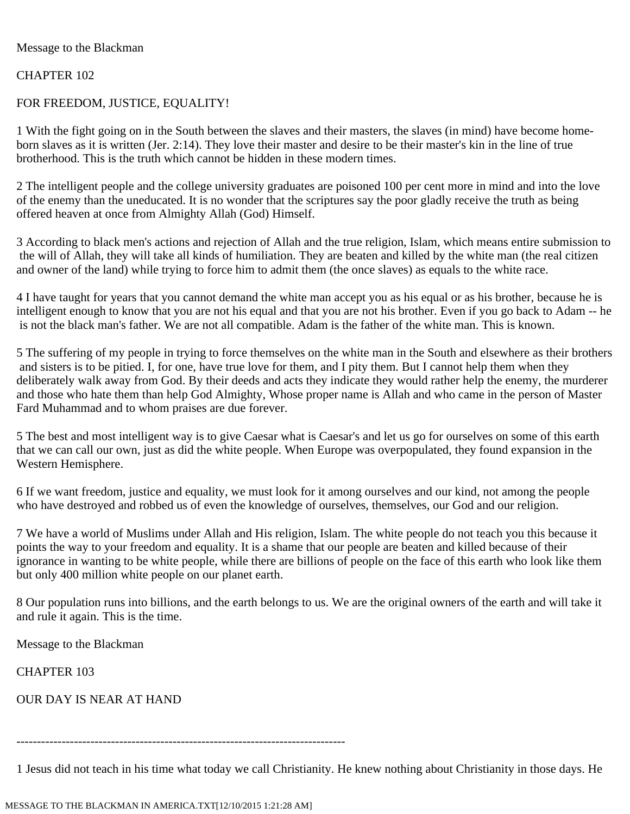#### Message to the Blackman

CHAPTER 102

#### FOR FREEDOM, JUSTICE, EQUALITY!

1 With the fight going on in the South between the slaves and their masters, the slaves (in mind) have become homeborn slaves as it is written (Jer. 2:14). They love their master and desire to be their master's kin in the line of true brotherhood. This is the truth which cannot be hidden in these modern times.

2 The intelligent people and the college university graduates are poisoned 100 per cent more in mind and into the love of the enemy than the uneducated. It is no wonder that the scriptures say the poor gladly receive the truth as being offered heaven at once from Almighty Allah (God) Himself.

3 According to black men's actions and rejection of Allah and the true religion, Islam, which means entire submission to the will of Allah, they will take all kinds of humiliation. They are beaten and killed by the white man (the real citizen and owner of the land) while trying to force him to admit them (the once slaves) as equals to the white race.

4 I have taught for years that you cannot demand the white man accept you as his equal or as his brother, because he is intelligent enough to know that you are not his equal and that you are not his brother. Even if you go back to Adam -- he is not the black man's father. We are not all compatible. Adam is the father of the white man. This is known.

5 The suffering of my people in trying to force themselves on the white man in the South and elsewhere as their brothers and sisters is to be pitied. I, for one, have true love for them, and I pity them. But I cannot help them when they deliberately walk away from God. By their deeds and acts they indicate they would rather help the enemy, the murderer and those who hate them than help God Almighty, Whose proper name is Allah and who came in the person of Master Fard Muhammad and to whom praises are due forever.

5 The best and most intelligent way is to give Caesar what is Caesar's and let us go for ourselves on some of this earth that we can call our own, just as did the white people. When Europe was overpopulated, they found expansion in the Western Hemisphere.

6 If we want freedom, justice and equality, we must look for it among ourselves and our kind, not among the people who have destroyed and robbed us of even the knowledge of ourselves, themselves, our God and our religion.

7 We have a world of Muslims under Allah and His religion, Islam. The white people do not teach you this because it points the way to your freedom and equality. It is a shame that our people are beaten and killed because of their ignorance in wanting to be white people, while there are billions of people on the face of this earth who look like them but only 400 million white people on our planet earth.

8 Our population runs into billions, and the earth belongs to us. We are the original owners of the earth and will take it and rule it again. This is the time.

Message to the Blackman

CHAPTER 103

OUR DAY IS NEAR AT HAND

--------------------------------------------------------------------------------

1 Jesus did not teach in his time what today we call Christianity. He knew nothing about Christianity in those days. He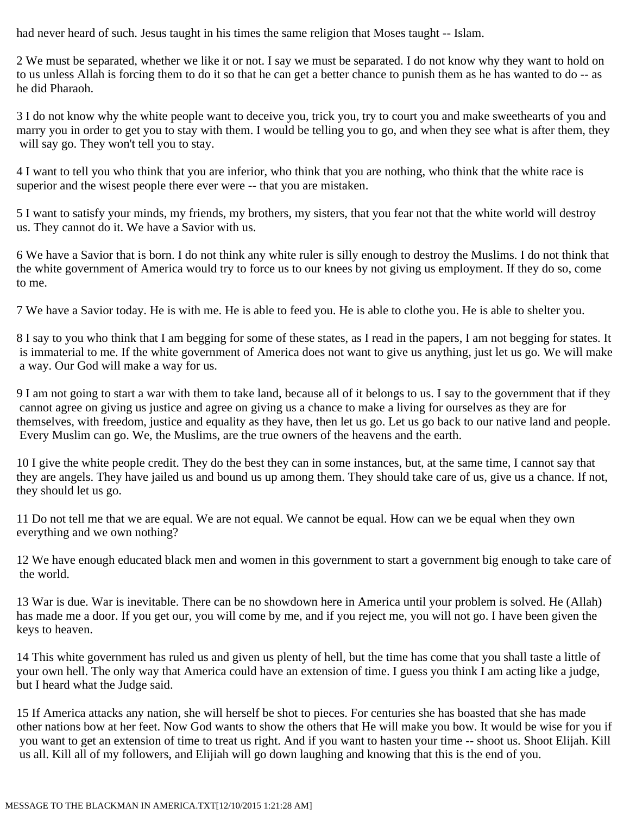had never heard of such. Jesus taught in his times the same religion that Moses taught -- Islam.

2 We must be separated, whether we like it or not. I say we must be separated. I do not know why they want to hold on to us unless Allah is forcing them to do it so that he can get a better chance to punish them as he has wanted to do -- as he did Pharaoh.

3 I do not know why the white people want to deceive you, trick you, try to court you and make sweethearts of you and marry you in order to get you to stay with them. I would be telling you to go, and when they see what is after them, they will say go. They won't tell you to stay.

4 I want to tell you who think that you are inferior, who think that you are nothing, who think that the white race is superior and the wisest people there ever were -- that you are mistaken.

5 I want to satisfy your minds, my friends, my brothers, my sisters, that you fear not that the white world will destroy us. They cannot do it. We have a Savior with us.

6 We have a Savior that is born. I do not think any white ruler is silly enough to destroy the Muslims. I do not think that the white government of America would try to force us to our knees by not giving us employment. If they do so, come to me.

7 We have a Savior today. He is with me. He is able to feed you. He is able to clothe you. He is able to shelter you.

8 I say to you who think that I am begging for some of these states, as I read in the papers, I am not begging for states. It is immaterial to me. If the white government of America does not want to give us anything, just let us go. We will make a way. Our God will make a way for us.

9 I am not going to start a war with them to take land, because all of it belongs to us. I say to the government that if they cannot agree on giving us justice and agree on giving us a chance to make a living for ourselves as they are for themselves, with freedom, justice and equality as they have, then let us go. Let us go back to our native land and people. Every Muslim can go. We, the Muslims, are the true owners of the heavens and the earth.

10 I give the white people credit. They do the best they can in some instances, but, at the same time, I cannot say that they are angels. They have jailed us and bound us up among them. They should take care of us, give us a chance. If not, they should let us go.

11 Do not tell me that we are equal. We are not equal. We cannot be equal. How can we be equal when they own everything and we own nothing?

12 We have enough educated black men and women in this government to start a government big enough to take care of the world.

13 War is due. War is inevitable. There can be no showdown here in America until your problem is solved. He (Allah) has made me a door. If you get our, you will come by me, and if you reject me, you will not go. I have been given the keys to heaven.

14 This white government has ruled us and given us plenty of hell, but the time has come that you shall taste a little of your own hell. The only way that America could have an extension of time. I guess you think I am acting like a judge, but I heard what the Judge said.

15 If America attacks any nation, she will herself be shot to pieces. For centuries she has boasted that she has made other nations bow at her feet. Now God wants to show the others that He will make you bow. It would be wise for you if you want to get an extension of time to treat us right. And if you want to hasten your time -- shoot us. Shoot Elijah. Kill us all. Kill all of my followers, and Elijiah will go down laughing and knowing that this is the end of you.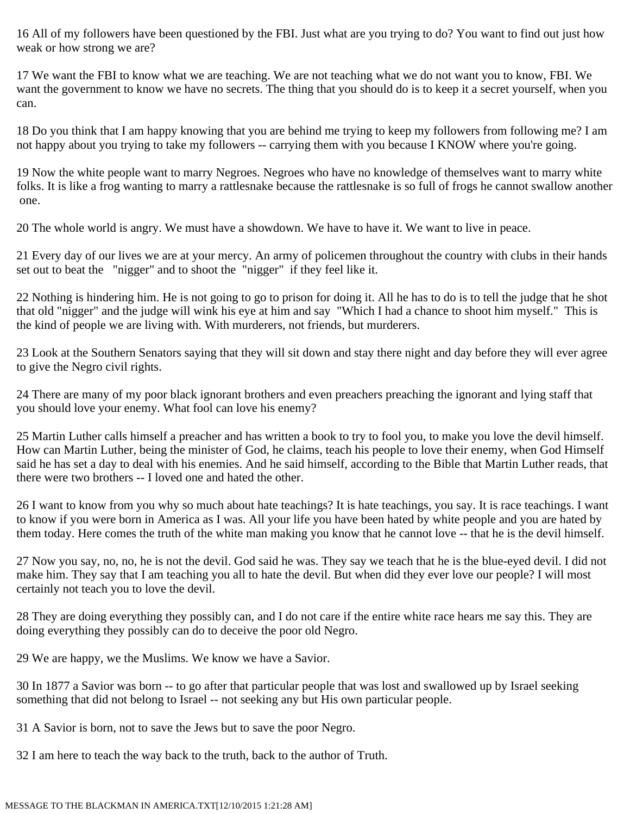16 All of my followers have been questioned by the FBI. Just what are you trying to do? You want to find out just how weak or how strong we are?

17 We want the FBI to know what we are teaching. We are not teaching what we do not want you to know, FBI. We want the government to know we have no secrets. The thing that you should do is to keep it a secret yourself, when you can.

18 Do you think that I am happy knowing that you are behind me trying to keep my followers from following me? I am not happy about you trying to take my followers -- carrying them with you because I KNOW where you're going.

19 Now the white people want to marry Negroes. Negroes who have no knowledge of themselves want to marry white folks. It is like a frog wanting to marry a rattlesnake because the rattlesnake is so full of frogs he cannot swallow another one.

20 The whole world is angry. We must have a showdown. We have to have it. We want to live in peace.

21 Every day of our lives we are at your mercy. An army of policemen throughout the country with clubs in their hands set out to beat the "nigger" and to shoot the "nigger" if they feel like it.

22 Nothing is hindering him. He is not going to go to prison for doing it. All he has to do is to tell the judge that he shot that old "nigger" and the judge will wink his eye at him and say "Which I had a chance to shoot him myself." This is the kind of people we are living with. With murderers, not friends, but murderers.

23 Look at the Southern Senators saying that they will sit down and stay there night and day before they will ever agree to give the Negro civil rights.

24 There are many of my poor black ignorant brothers and even preachers preaching the ignorant and lying staff that you should love your enemy. What fool can love his enemy?

25 Martin Luther calls himself a preacher and has written a book to try to fool you, to make you love the devil himself. How can Martin Luther, being the minister of God, he claims, teach his people to love their enemy, when God Himself said he has set a day to deal with his enemies. And he said himself, according to the Bible that Martin Luther reads, that there were two brothers -- I loved one and hated the other.

26 I want to know from you why so much about hate teachings? It is hate teachings, you say. It is race teachings. I want to know if you were born in America as I was. All your life you have been hated by white people and you are hated by them today. Here comes the truth of the white man making you know that he cannot love -- that he is the devil himself.

27 Now you say, no, no, he is not the devil. God said he was. They say we teach that he is the blue-eyed devil. I did not make him. They say that I am teaching you all to hate the devil. But when did they ever love our people? I will most certainly not teach you to love the devil.

28 They are doing everything they possibly can, and I do not care if the entire white race hears me say this. They are doing everything they possibly can do to deceive the poor old Negro.

29 We are happy, we the Muslims. We know we have a Savior.

30 In 1877 a Savior was born -- to go after that particular people that was lost and swallowed up by Israel seeking something that did not belong to Israel -- not seeking any but His own particular people.

31 A Savior is born, not to save the Jews but to save the poor Negro.

32 I am here to teach the way back to the truth, back to the author of Truth.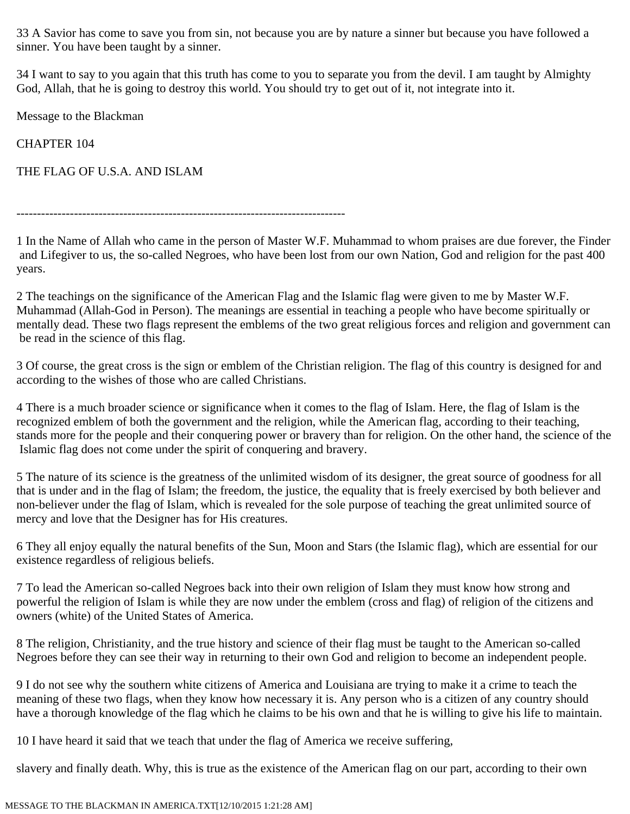33 A Savior has come to save you from sin, not because you are by nature a sinner but because you have followed a sinner. You have been taught by a sinner.

34 I want to say to you again that this truth has come to you to separate you from the devil. I am taught by Almighty God, Allah, that he is going to destroy this world. You should try to get out of it, not integrate into it.

Message to the Blackman

CHAPTER 104

THE FLAG OF U.S.A. AND ISLAM

--------------------------------------------------------------------------------

1 In the Name of Allah who came in the person of Master W.F. Muhammad to whom praises are due forever, the Finder and Lifegiver to us, the so-called Negroes, who have been lost from our own Nation, God and religion for the past 400 years.

2 The teachings on the significance of the American Flag and the Islamic flag were given to me by Master W.F. Muhammad (Allah-God in Person). The meanings are essential in teaching a people who have become spiritually or mentally dead. These two flags represent the emblems of the two great religious forces and religion and government can be read in the science of this flag.

3 Of course, the great cross is the sign or emblem of the Christian religion. The flag of this country is designed for and according to the wishes of those who are called Christians.

4 There is a much broader science or significance when it comes to the flag of Islam. Here, the flag of Islam is the recognized emblem of both the government and the religion, while the American flag, according to their teaching, stands more for the people and their conquering power or bravery than for religion. On the other hand, the science of the Islamic flag does not come under the spirit of conquering and bravery.

5 The nature of its science is the greatness of the unlimited wisdom of its designer, the great source of goodness for all that is under and in the flag of Islam; the freedom, the justice, the equality that is freely exercised by both believer and non-believer under the flag of Islam, which is revealed for the sole purpose of teaching the great unlimited source of mercy and love that the Designer has for His creatures.

6 They all enjoy equally the natural benefits of the Sun, Moon and Stars (the Islamic flag), which are essential for our existence regardless of religious beliefs.

7 To lead the American so-called Negroes back into their own religion of Islam they must know how strong and powerful the religion of Islam is while they are now under the emblem (cross and flag) of religion of the citizens and owners (white) of the United States of America.

8 The religion, Christianity, and the true history and science of their flag must be taught to the American so-called Negroes before they can see their way in returning to their own God and religion to become an independent people.

9 I do not see why the southern white citizens of America and Louisiana are trying to make it a crime to teach the meaning of these two flags, when they know how necessary it is. Any person who is a citizen of any country should have a thorough knowledge of the flag which he claims to be his own and that he is willing to give his life to maintain.

10 I have heard it said that we teach that under the flag of America we receive suffering,

slavery and finally death. Why, this is true as the existence of the American flag on our part, according to their own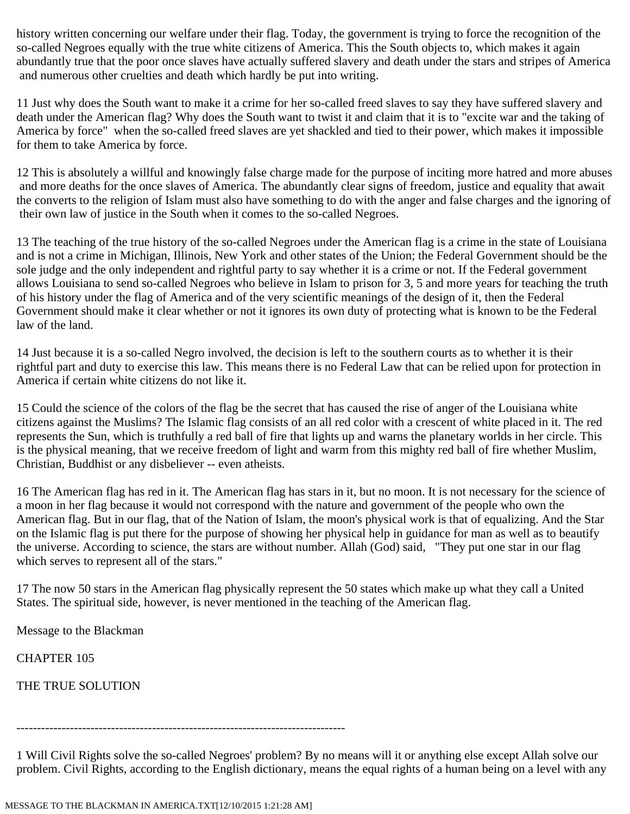history written concerning our welfare under their flag. Today, the government is trying to force the recognition of the so-called Negroes equally with the true white citizens of America. This the South objects to, which makes it again abundantly true that the poor once slaves have actually suffered slavery and death under the stars and stripes of America and numerous other cruelties and death which hardly be put into writing.

11 Just why does the South want to make it a crime for her so-called freed slaves to say they have suffered slavery and death under the American flag? Why does the South want to twist it and claim that it is to "excite war and the taking of America by force" when the so-called freed slaves are yet shackled and tied to their power, which makes it impossible for them to take America by force.

12 This is absolutely a willful and knowingly false charge made for the purpose of inciting more hatred and more abuses and more deaths for the once slaves of America. The abundantly clear signs of freedom, justice and equality that await the converts to the religion of Islam must also have something to do with the anger and false charges and the ignoring of their own law of justice in the South when it comes to the so-called Negroes.

13 The teaching of the true history of the so-called Negroes under the American flag is a crime in the state of Louisiana and is not a crime in Michigan, Illinois, New York and other states of the Union; the Federal Government should be the sole judge and the only independent and rightful party to say whether it is a crime or not. If the Federal government allows Louisiana to send so-called Negroes who believe in Islam to prison for 3, 5 and more years for teaching the truth of his history under the flag of America and of the very scientific meanings of the design of it, then the Federal Government should make it clear whether or not it ignores its own duty of protecting what is known to be the Federal law of the land.

14 Just because it is a so-called Negro involved, the decision is left to the southern courts as to whether it is their rightful part and duty to exercise this law. This means there is no Federal Law that can be relied upon for protection in America if certain white citizens do not like it.

15 Could the science of the colors of the flag be the secret that has caused the rise of anger of the Louisiana white citizens against the Muslims? The Islamic flag consists of an all red color with a crescent of white placed in it. The red represents the Sun, which is truthfully a red ball of fire that lights up and warns the planetary worlds in her circle. This is the physical meaning, that we receive freedom of light and warm from this mighty red ball of fire whether Muslim, Christian, Buddhist or any disbeliever -- even atheists.

16 The American flag has red in it. The American flag has stars in it, but no moon. It is not necessary for the science of a moon in her flag because it would not correspond with the nature and government of the people who own the American flag. But in our flag, that of the Nation of Islam, the moon's physical work is that of equalizing. And the Star on the Islamic flag is put there for the purpose of showing her physical help in guidance for man as well as to beautify the universe. According to science, the stars are without number. Allah (God) said, "They put one star in our flag which serves to represent all of the stars."

17 The now 50 stars in the American flag physically represent the 50 states which make up what they call a United States. The spiritual side, however, is never mentioned in the teaching of the American flag.

Message to the Blackman

CHAPTER 105

THE TRUE SOLUTION

--------------------------------------------------------------------------------

1 Will Civil Rights solve the so-called Negroes' problem? By no means will it or anything else except Allah solve our problem. Civil Rights, according to the English dictionary, means the equal rights of a human being on a level with any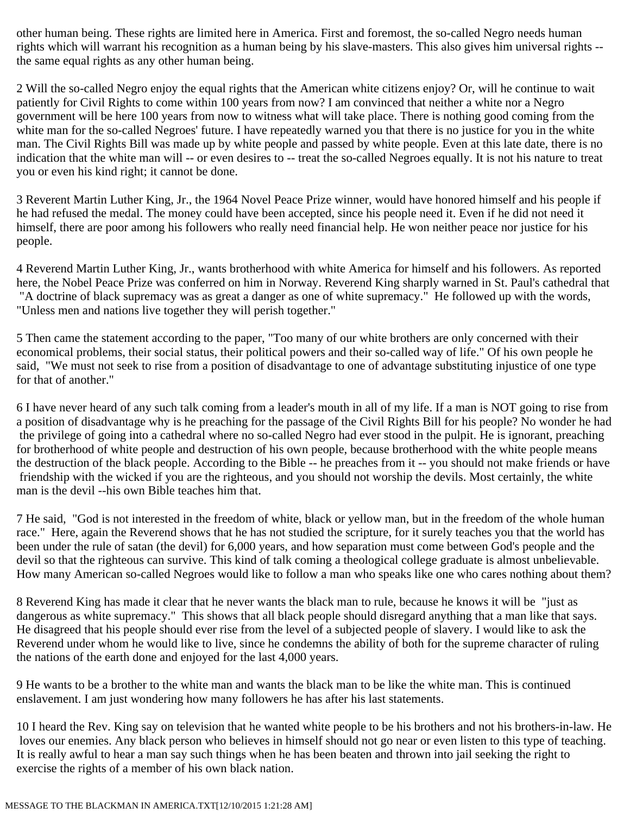other human being. These rights are limited here in America. First and foremost, the so-called Negro needs human rights which will warrant his recognition as a human being by his slave-masters. This also gives him universal rights - the same equal rights as any other human being.

2 Will the so-called Negro enjoy the equal rights that the American white citizens enjoy? Or, will he continue to wait patiently for Civil Rights to come within 100 years from now? I am convinced that neither a white nor a Negro government will be here 100 years from now to witness what will take place. There is nothing good coming from the white man for the so-called Negroes' future. I have repeatedly warned you that there is no justice for you in the white man. The Civil Rights Bill was made up by white people and passed by white people. Even at this late date, there is no indication that the white man will -- or even desires to -- treat the so-called Negroes equally. It is not his nature to treat you or even his kind right; it cannot be done.

3 Reverent Martin Luther King, Jr., the 1964 Novel Peace Prize winner, would have honored himself and his people if he had refused the medal. The money could have been accepted, since his people need it. Even if he did not need it himself, there are poor among his followers who really need financial help. He won neither peace nor justice for his people.

4 Reverend Martin Luther King, Jr., wants brotherhood with white America for himself and his followers. As reported here, the Nobel Peace Prize was conferred on him in Norway. Reverend King sharply warned in St. Paul's cathedral that "A doctrine of black supremacy was as great a danger as one of white supremacy." He followed up with the words, "Unless men and nations live together they will perish together."

5 Then came the statement according to the paper, "Too many of our white brothers are only concerned with their economical problems, their social status, their political powers and their so-called way of life." Of his own people he said, "We must not seek to rise from a position of disadvantage to one of advantage substituting injustice of one type for that of another."

6 I have never heard of any such talk coming from a leader's mouth in all of my life. If a man is NOT going to rise from a position of disadvantage why is he preaching for the passage of the Civil Rights Bill for his people? No wonder he had the privilege of going into a cathedral where no so-called Negro had ever stood in the pulpit. He is ignorant, preaching for brotherhood of white people and destruction of his own people, because brotherhood with the white people means the destruction of the black people. According to the Bible -- he preaches from it -- you should not make friends or have friendship with the wicked if you are the righteous, and you should not worship the devils. Most certainly, the white man is the devil --his own Bible teaches him that.

7 He said, "God is not interested in the freedom of white, black or yellow man, but in the freedom of the whole human race." Here, again the Reverend shows that he has not studied the scripture, for it surely teaches you that the world has been under the rule of satan (the devil) for 6,000 years, and how separation must come between God's people and the devil so that the righteous can survive. This kind of talk coming a theological college graduate is almost unbelievable. How many American so-called Negroes would like to follow a man who speaks like one who cares nothing about them?

8 Reverend King has made it clear that he never wants the black man to rule, because he knows it will be "just as dangerous as white supremacy." This shows that all black people should disregard anything that a man like that says. He disagreed that his people should ever rise from the level of a subjected people of slavery. I would like to ask the Reverend under whom he would like to live, since he condemns the ability of both for the supreme character of ruling the nations of the earth done and enjoyed for the last 4,000 years.

9 He wants to be a brother to the white man and wants the black man to be like the white man. This is continued enslavement. I am just wondering how many followers he has after his last statements.

10 I heard the Rev. King say on television that he wanted white people to be his brothers and not his brothers-in-law. He loves our enemies. Any black person who believes in himself should not go near or even listen to this type of teaching. It is really awful to hear a man say such things when he has been beaten and thrown into jail seeking the right to exercise the rights of a member of his own black nation.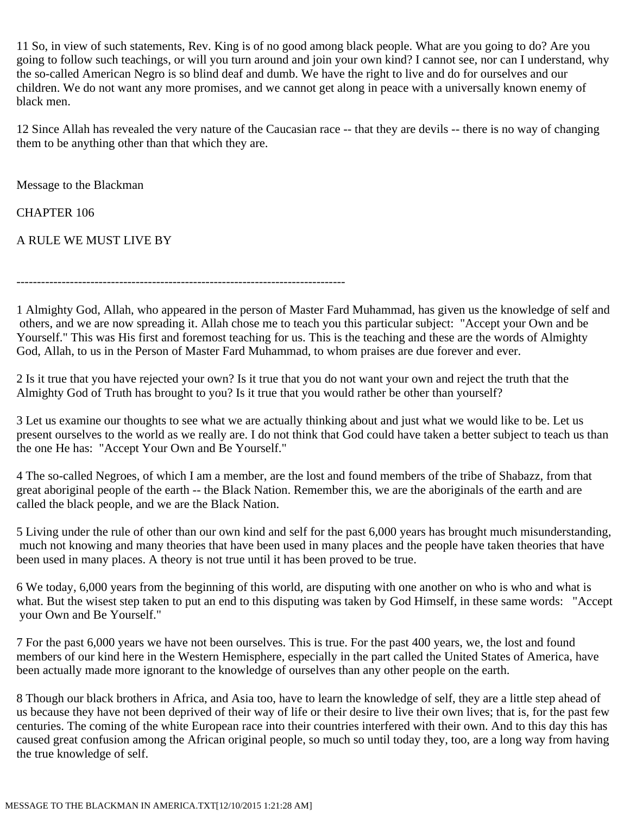11 So, in view of such statements, Rev. King is of no good among black people. What are you going to do? Are you going to follow such teachings, or will you turn around and join your own kind? I cannot see, nor can I understand, why the so-called American Negro is so blind deaf and dumb. We have the right to live and do for ourselves and our children. We do not want any more promises, and we cannot get along in peace with a universally known enemy of black men.

12 Since Allah has revealed the very nature of the Caucasian race -- that they are devils -- there is no way of changing them to be anything other than that which they are.

Message to the Blackman

CHAPTER 106

A RULE WE MUST LIVE BY

--------------------------------------------------------------------------------

1 Almighty God, Allah, who appeared in the person of Master Fard Muhammad, has given us the knowledge of self and others, and we are now spreading it. Allah chose me to teach you this particular subject: "Accept your Own and be Yourself." This was His first and foremost teaching for us. This is the teaching and these are the words of Almighty God, Allah, to us in the Person of Master Fard Muhammad, to whom praises are due forever and ever.

2 Is it true that you have rejected your own? Is it true that you do not want your own and reject the truth that the Almighty God of Truth has brought to you? Is it true that you would rather be other than yourself?

3 Let us examine our thoughts to see what we are actually thinking about and just what we would like to be. Let us present ourselves to the world as we really are. I do not think that God could have taken a better subject to teach us than the one He has: "Accept Your Own and Be Yourself."

4 The so-called Negroes, of which I am a member, are the lost and found members of the tribe of Shabazz, from that great aboriginal people of the earth -- the Black Nation. Remember this, we are the aboriginals of the earth and are called the black people, and we are the Black Nation.

5 Living under the rule of other than our own kind and self for the past 6,000 years has brought much misunderstanding, much not knowing and many theories that have been used in many places and the people have taken theories that have been used in many places. A theory is not true until it has been proved to be true.

6 We today, 6,000 years from the beginning of this world, are disputing with one another on who is who and what is what. But the wisest step taken to put an end to this disputing was taken by God Himself, in these same words: "Accept your Own and Be Yourself."

7 For the past 6,000 years we have not been ourselves. This is true. For the past 400 years, we, the lost and found members of our kind here in the Western Hemisphere, especially in the part called the United States of America, have been actually made more ignorant to the knowledge of ourselves than any other people on the earth.

8 Though our black brothers in Africa, and Asia too, have to learn the knowledge of self, they are a little step ahead of us because they have not been deprived of their way of life or their desire to live their own lives; that is, for the past few centuries. The coming of the white European race into their countries interfered with their own. And to this day this has caused great confusion among the African original people, so much so until today they, too, are a long way from having the true knowledge of self.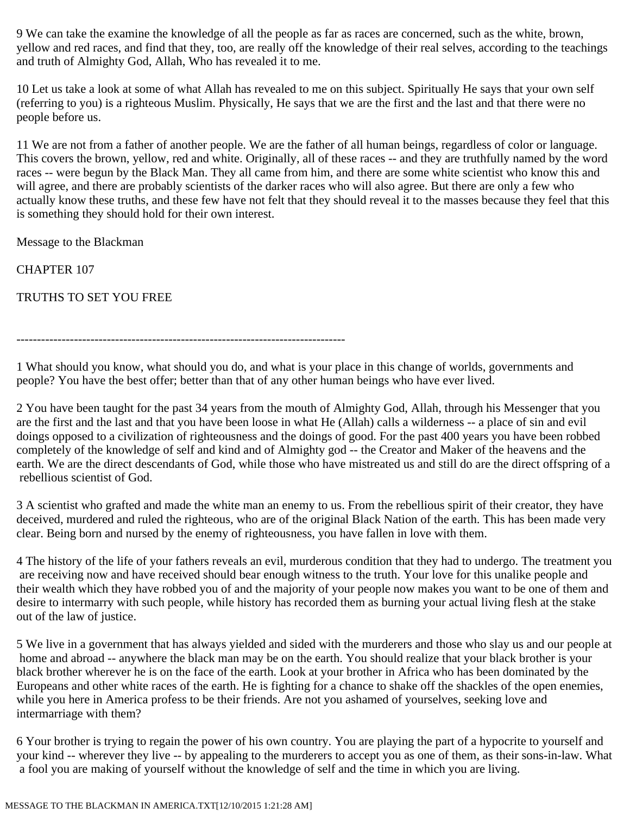9 We can take the examine the knowledge of all the people as far as races are concerned, such as the white, brown, yellow and red races, and find that they, too, are really off the knowledge of their real selves, according to the teachings and truth of Almighty God, Allah, Who has revealed it to me.

10 Let us take a look at some of what Allah has revealed to me on this subject. Spiritually He says that your own self (referring to you) is a righteous Muslim. Physically, He says that we are the first and the last and that there were no people before us.

11 We are not from a father of another people. We are the father of all human beings, regardless of color or language. This covers the brown, yellow, red and white. Originally, all of these races -- and they are truthfully named by the word races -- were begun by the Black Man. They all came from him, and there are some white scientist who know this and will agree, and there are probably scientists of the darker races who will also agree. But there are only a few who actually know these truths, and these few have not felt that they should reveal it to the masses because they feel that this is something they should hold for their own interest.

Message to the Blackman

CHAPTER 107

TRUTHS TO SET YOU FREE

--------------------------------------------------------------------------------

1 What should you know, what should you do, and what is your place in this change of worlds, governments and people? You have the best offer; better than that of any other human beings who have ever lived.

2 You have been taught for the past 34 years from the mouth of Almighty God, Allah, through his Messenger that you are the first and the last and that you have been loose in what He (Allah) calls a wilderness -- a place of sin and evil doings opposed to a civilization of righteousness and the doings of good. For the past 400 years you have been robbed completely of the knowledge of self and kind and of Almighty god -- the Creator and Maker of the heavens and the earth. We are the direct descendants of God, while those who have mistreated us and still do are the direct offspring of a rebellious scientist of God.

3 A scientist who grafted and made the white man an enemy to us. From the rebellious spirit of their creator, they have deceived, murdered and ruled the righteous, who are of the original Black Nation of the earth. This has been made very clear. Being born and nursed by the enemy of righteousness, you have fallen in love with them.

4 The history of the life of your fathers reveals an evil, murderous condition that they had to undergo. The treatment you are receiving now and have received should bear enough witness to the truth. Your love for this unalike people and their wealth which they have robbed you of and the majority of your people now makes you want to be one of them and desire to intermarry with such people, while history has recorded them as burning your actual living flesh at the stake out of the law of justice.

5 We live in a government that has always yielded and sided with the murderers and those who slay us and our people at home and abroad -- anywhere the black man may be on the earth. You should realize that your black brother is your black brother wherever he is on the face of the earth. Look at your brother in Africa who has been dominated by the Europeans and other white races of the earth. He is fighting for a chance to shake off the shackles of the open enemies, while you here in America profess to be their friends. Are not you ashamed of yourselves, seeking love and intermarriage with them?

6 Your brother is trying to regain the power of his own country. You are playing the part of a hypocrite to yourself and your kind -- wherever they live -- by appealing to the murderers to accept you as one of them, as their sons-in-law. What a fool you are making of yourself without the knowledge of self and the time in which you are living.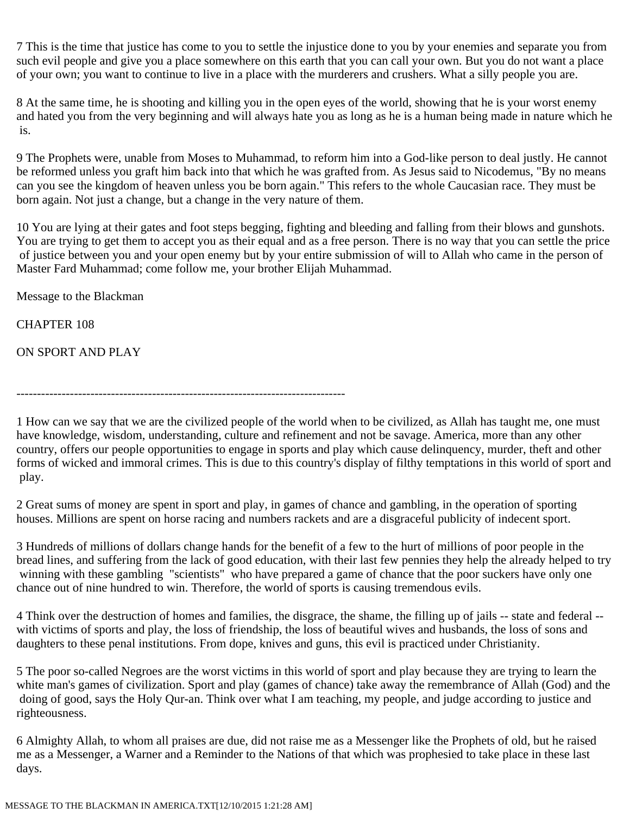7 This is the time that justice has come to you to settle the injustice done to you by your enemies and separate you from such evil people and give you a place somewhere on this earth that you can call your own. But you do not want a place of your own; you want to continue to live in a place with the murderers and crushers. What a silly people you are.

8 At the same time, he is shooting and killing you in the open eyes of the world, showing that he is your worst enemy and hated you from the very beginning and will always hate you as long as he is a human being made in nature which he is.

9 The Prophets were, unable from Moses to Muhammad, to reform him into a God-like person to deal justly. He cannot be reformed unless you graft him back into that which he was grafted from. As Jesus said to Nicodemus, "By no means can you see the kingdom of heaven unless you be born again." This refers to the whole Caucasian race. They must be born again. Not just a change, but a change in the very nature of them.

10 You are lying at their gates and foot steps begging, fighting and bleeding and falling from their blows and gunshots. You are trying to get them to accept you as their equal and as a free person. There is no way that you can settle the price of justice between you and your open enemy but by your entire submission of will to Allah who came in the person of Master Fard Muhammad; come follow me, your brother Elijah Muhammad.

Message to the Blackman

CHAPTER 108

ON SPORT AND PLAY

--------------------------------------------------------------------------------

1 How can we say that we are the civilized people of the world when to be civilized, as Allah has taught me, one must have knowledge, wisdom, understanding, culture and refinement and not be savage. America, more than any other country, offers our people opportunities to engage in sports and play which cause delinquency, murder, theft and other forms of wicked and immoral crimes. This is due to this country's display of filthy temptations in this world of sport and play.

2 Great sums of money are spent in sport and play, in games of chance and gambling, in the operation of sporting houses. Millions are spent on horse racing and numbers rackets and are a disgraceful publicity of indecent sport.

3 Hundreds of millions of dollars change hands for the benefit of a few to the hurt of millions of poor people in the bread lines, and suffering from the lack of good education, with their last few pennies they help the already helped to try winning with these gambling "scientists" who have prepared a game of chance that the poor suckers have only one chance out of nine hundred to win. Therefore, the world of sports is causing tremendous evils.

4 Think over the destruction of homes and families, the disgrace, the shame, the filling up of jails -- state and federal - with victims of sports and play, the loss of friendship, the loss of beautiful wives and husbands, the loss of sons and daughters to these penal institutions. From dope, knives and guns, this evil is practiced under Christianity.

5 The poor so-called Negroes are the worst victims in this world of sport and play because they are trying to learn the white man's games of civilization. Sport and play (games of chance) take away the remembrance of Allah (God) and the doing of good, says the Holy Qur-an. Think over what I am teaching, my people, and judge according to justice and righteousness.

6 Almighty Allah, to whom all praises are due, did not raise me as a Messenger like the Prophets of old, but he raised me as a Messenger, a Warner and a Reminder to the Nations of that which was prophesied to take place in these last days.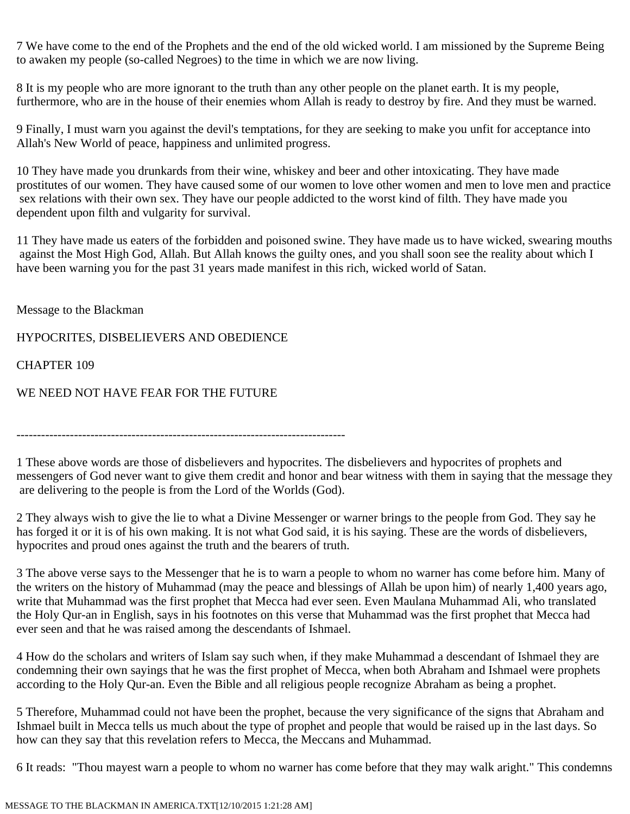7 We have come to the end of the Prophets and the end of the old wicked world. I am missioned by the Supreme Being to awaken my people (so-called Negroes) to the time in which we are now living.

8 It is my people who are more ignorant to the truth than any other people on the planet earth. It is my people, furthermore, who are in the house of their enemies whom Allah is ready to destroy by fire. And they must be warned.

9 Finally, I must warn you against the devil's temptations, for they are seeking to make you unfit for acceptance into Allah's New World of peace, happiness and unlimited progress.

10 They have made you drunkards from their wine, whiskey and beer and other intoxicating. They have made prostitutes of our women. They have caused some of our women to love other women and men to love men and practice sex relations with their own sex. They have our people addicted to the worst kind of filth. They have made you dependent upon filth and vulgarity for survival.

11 They have made us eaters of the forbidden and poisoned swine. They have made us to have wicked, swearing mouths against the Most High God, Allah. But Allah knows the guilty ones, and you shall soon see the reality about which I have been warning you for the past 31 years made manifest in this rich, wicked world of Satan.

Message to the Blackman

HYPOCRITES, DISBELIEVERS AND OBEDIENCE

CHAPTER 109

#### WE NEED NOT HAVE FEAR FOR THE FUTURE

--------------------------------------------------------------------------------

1 These above words are those of disbelievers and hypocrites. The disbelievers and hypocrites of prophets and messengers of God never want to give them credit and honor and bear witness with them in saying that the message they are delivering to the people is from the Lord of the Worlds (God).

2 They always wish to give the lie to what a Divine Messenger or warner brings to the people from God. They say he has forged it or it is of his own making. It is not what God said, it is his saying. These are the words of disbelievers, hypocrites and proud ones against the truth and the bearers of truth.

3 The above verse says to the Messenger that he is to warn a people to whom no warner has come before him. Many of the writers on the history of Muhammad (may the peace and blessings of Allah be upon him) of nearly 1,400 years ago, write that Muhammad was the first prophet that Mecca had ever seen. Even Maulana Muhammad Ali, who translated the Holy Qur-an in English, says in his footnotes on this verse that Muhammad was the first prophet that Mecca had ever seen and that he was raised among the descendants of Ishmael.

4 How do the scholars and writers of Islam say such when, if they make Muhammad a descendant of Ishmael they are condemning their own sayings that he was the first prophet of Mecca, when both Abraham and Ishmael were prophets according to the Holy Qur-an. Even the Bible and all religious people recognize Abraham as being a prophet.

5 Therefore, Muhammad could not have been the prophet, because the very significance of the signs that Abraham and Ishmael built in Mecca tells us much about the type of prophet and people that would be raised up in the last days. So how can they say that this revelation refers to Mecca, the Meccans and Muhammad.

6 It reads: "Thou mayest warn a people to whom no warner has come before that they may walk aright." This condemns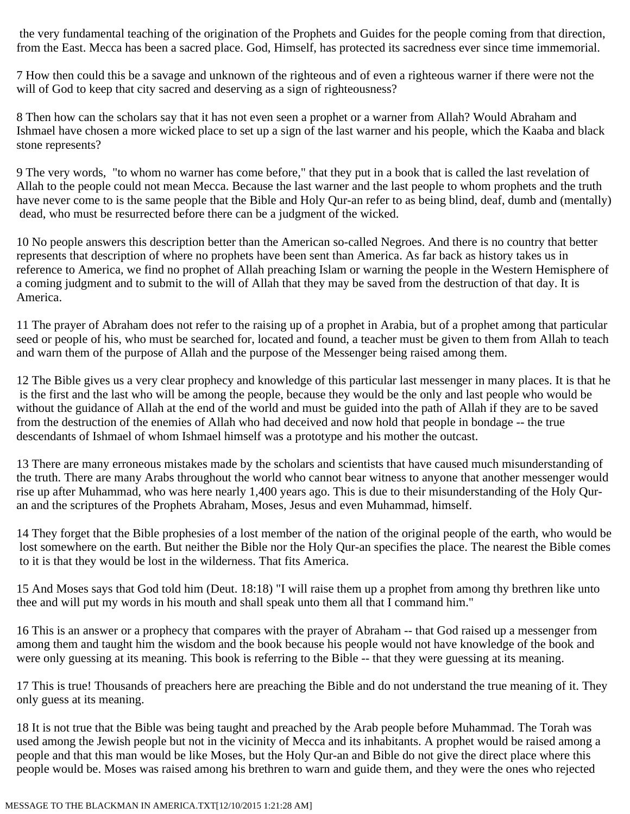the very fundamental teaching of the origination of the Prophets and Guides for the people coming from that direction, from the East. Mecca has been a sacred place. God, Himself, has protected its sacredness ever since time immemorial.

7 How then could this be a savage and unknown of the righteous and of even a righteous warner if there were not the will of God to keep that city sacred and deserving as a sign of righteousness?

8 Then how can the scholars say that it has not even seen a prophet or a warner from Allah? Would Abraham and Ishmael have chosen a more wicked place to set up a sign of the last warner and his people, which the Kaaba and black stone represents?

9 The very words, "to whom no warner has come before," that they put in a book that is called the last revelation of Allah to the people could not mean Mecca. Because the last warner and the last people to whom prophets and the truth have never come to is the same people that the Bible and Holy Qur-an refer to as being blind, deaf, dumb and (mentally) dead, who must be resurrected before there can be a judgment of the wicked.

10 No people answers this description better than the American so-called Negroes. And there is no country that better represents that description of where no prophets have been sent than America. As far back as history takes us in reference to America, we find no prophet of Allah preaching Islam or warning the people in the Western Hemisphere of a coming judgment and to submit to the will of Allah that they may be saved from the destruction of that day. It is America.

11 The prayer of Abraham does not refer to the raising up of a prophet in Arabia, but of a prophet among that particular seed or people of his, who must be searched for, located and found, a teacher must be given to them from Allah to teach and warn them of the purpose of Allah and the purpose of the Messenger being raised among them.

12 The Bible gives us a very clear prophecy and knowledge of this particular last messenger in many places. It is that he is the first and the last who will be among the people, because they would be the only and last people who would be without the guidance of Allah at the end of the world and must be guided into the path of Allah if they are to be saved from the destruction of the enemies of Allah who had deceived and now hold that people in bondage -- the true descendants of Ishmael of whom Ishmael himself was a prototype and his mother the outcast.

13 There are many erroneous mistakes made by the scholars and scientists that have caused much misunderstanding of the truth. There are many Arabs throughout the world who cannot bear witness to anyone that another messenger would rise up after Muhammad, who was here nearly 1,400 years ago. This is due to their misunderstanding of the Holy Quran and the scriptures of the Prophets Abraham, Moses, Jesus and even Muhammad, himself.

14 They forget that the Bible prophesies of a lost member of the nation of the original people of the earth, who would be lost somewhere on the earth. But neither the Bible nor the Holy Qur-an specifies the place. The nearest the Bible comes to it is that they would be lost in the wilderness. That fits America.

15 And Moses says that God told him (Deut. 18:18) "I will raise them up a prophet from among thy brethren like unto thee and will put my words in his mouth and shall speak unto them all that I command him."

16 This is an answer or a prophecy that compares with the prayer of Abraham -- that God raised up a messenger from among them and taught him the wisdom and the book because his people would not have knowledge of the book and were only guessing at its meaning. This book is referring to the Bible -- that they were guessing at its meaning.

17 This is true! Thousands of preachers here are preaching the Bible and do not understand the true meaning of it. They only guess at its meaning.

18 It is not true that the Bible was being taught and preached by the Arab people before Muhammad. The Torah was used among the Jewish people but not in the vicinity of Mecca and its inhabitants. A prophet would be raised among a people and that this man would be like Moses, but the Holy Qur-an and Bible do not give the direct place where this people would be. Moses was raised among his brethren to warn and guide them, and they were the ones who rejected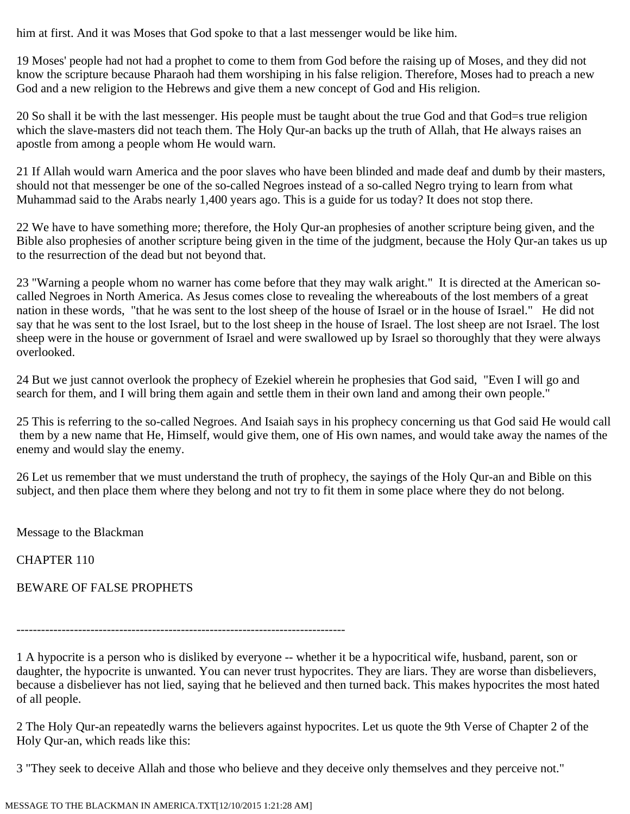him at first. And it was Moses that God spoke to that a last messenger would be like him.

19 Moses' people had not had a prophet to come to them from God before the raising up of Moses, and they did not know the scripture because Pharaoh had them worshiping in his false religion. Therefore, Moses had to preach a new God and a new religion to the Hebrews and give them a new concept of God and His religion.

20 So shall it be with the last messenger. His people must be taught about the true God and that God=s true religion which the slave-masters did not teach them. The Holy Qur-an backs up the truth of Allah, that He always raises an apostle from among a people whom He would warn.

21 If Allah would warn America and the poor slaves who have been blinded and made deaf and dumb by their masters, should not that messenger be one of the so-called Negroes instead of a so-called Negro trying to learn from what Muhammad said to the Arabs nearly 1,400 years ago. This is a guide for us today? It does not stop there.

22 We have to have something more; therefore, the Holy Qur-an prophesies of another scripture being given, and the Bible also prophesies of another scripture being given in the time of the judgment, because the Holy Qur-an takes us up to the resurrection of the dead but not beyond that.

23 "Warning a people whom no warner has come before that they may walk aright." It is directed at the American socalled Negroes in North America. As Jesus comes close to revealing the whereabouts of the lost members of a great nation in these words, "that he was sent to the lost sheep of the house of Israel or in the house of Israel." He did not say that he was sent to the lost Israel, but to the lost sheep in the house of Israel. The lost sheep are not Israel. The lost sheep were in the house or government of Israel and were swallowed up by Israel so thoroughly that they were always overlooked.

24 But we just cannot overlook the prophecy of Ezekiel wherein he prophesies that God said, "Even I will go and search for them, and I will bring them again and settle them in their own land and among their own people."

25 This is referring to the so-called Negroes. And Isaiah says in his prophecy concerning us that God said He would call them by a new name that He, Himself, would give them, one of His own names, and would take away the names of the enemy and would slay the enemy.

26 Let us remember that we must understand the truth of prophecy, the sayings of the Holy Qur-an and Bible on this subject, and then place them where they belong and not try to fit them in some place where they do not belong.

Message to the Blackman

CHAPTER 110

## BEWARE OF FALSE PROPHETS

--------------------------------------------------------------------------------

1 A hypocrite is a person who is disliked by everyone -- whether it be a hypocritical wife, husband, parent, son or daughter, the hypocrite is unwanted. You can never trust hypocrites. They are liars. They are worse than disbelievers, because a disbeliever has not lied, saying that he believed and then turned back. This makes hypocrites the most hated of all people.

2 The Holy Qur-an repeatedly warns the believers against hypocrites. Let us quote the 9th Verse of Chapter 2 of the Holy Qur-an, which reads like this:

3 "They seek to deceive Allah and those who believe and they deceive only themselves and they perceive not."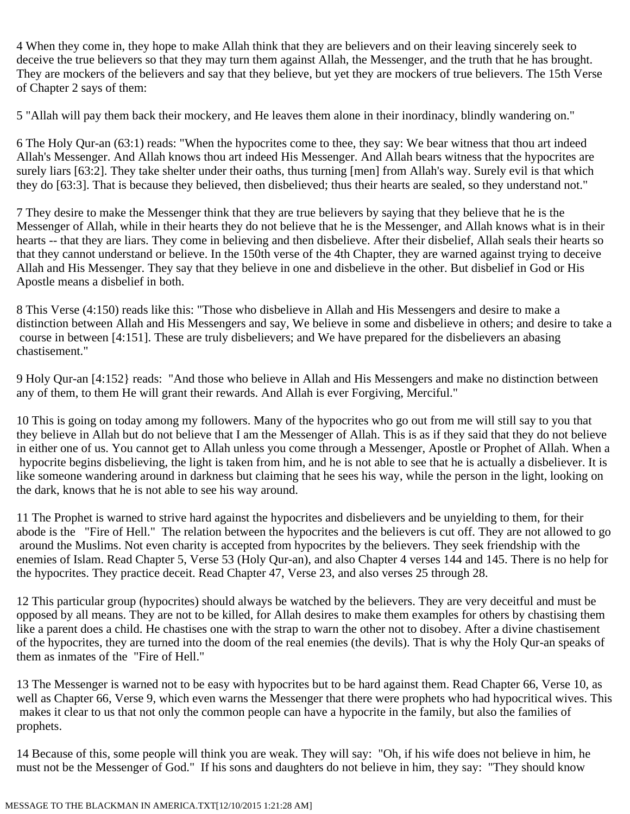4 When they come in, they hope to make Allah think that they are believers and on their leaving sincerely seek to deceive the true believers so that they may turn them against Allah, the Messenger, and the truth that he has brought. They are mockers of the believers and say that they believe, but yet they are mockers of true believers. The 15th Verse of Chapter 2 says of them:

5 "Allah will pay them back their mockery, and He leaves them alone in their inordinacy, blindly wandering on."

6 The Holy Qur-an (63:1) reads: "When the hypocrites come to thee, they say: We bear witness that thou art indeed Allah's Messenger. And Allah knows thou art indeed His Messenger. And Allah bears witness that the hypocrites are surely liars [63:2]. They take shelter under their oaths, thus turning [men] from Allah's way. Surely evil is that which they do [63:3]. That is because they believed, then disbelieved; thus their hearts are sealed, so they understand not."

7 They desire to make the Messenger think that they are true believers by saying that they believe that he is the Messenger of Allah, while in their hearts they do not believe that he is the Messenger, and Allah knows what is in their hearts -- that they are liars. They come in believing and then disbelieve. After their disbelief, Allah seals their hearts so that they cannot understand or believe. In the 150th verse of the 4th Chapter, they are warned against trying to deceive Allah and His Messenger. They say that they believe in one and disbelieve in the other. But disbelief in God or His Apostle means a disbelief in both.

8 This Verse (4:150) reads like this: "Those who disbelieve in Allah and His Messengers and desire to make a distinction between Allah and His Messengers and say, We believe in some and disbelieve in others; and desire to take a course in between [4:151]. These are truly disbelievers; and We have prepared for the disbelievers an abasing chastisement."

9 Holy Qur-an [4:152} reads: "And those who believe in Allah and His Messengers and make no distinction between any of them, to them He will grant their rewards. And Allah is ever Forgiving, Merciful."

10 This is going on today among my followers. Many of the hypocrites who go out from me will still say to you that they believe in Allah but do not believe that I am the Messenger of Allah. This is as if they said that they do not believe in either one of us. You cannot get to Allah unless you come through a Messenger, Apostle or Prophet of Allah. When a hypocrite begins disbelieving, the light is taken from him, and he is not able to see that he is actually a disbeliever. It is like someone wandering around in darkness but claiming that he sees his way, while the person in the light, looking on the dark, knows that he is not able to see his way around.

11 The Prophet is warned to strive hard against the hypocrites and disbelievers and be unyielding to them, for their abode is the "Fire of Hell." The relation between the hypocrites and the believers is cut off. They are not allowed to go around the Muslims. Not even charity is accepted from hypocrites by the believers. They seek friendship with the enemies of Islam. Read Chapter 5, Verse 53 (Holy Qur-an), and also Chapter 4 verses 144 and 145. There is no help for the hypocrites. They practice deceit. Read Chapter 47, Verse 23, and also verses 25 through 28.

12 This particular group (hypocrites) should always be watched by the believers. They are very deceitful and must be opposed by all means. They are not to be killed, for Allah desires to make them examples for others by chastising them like a parent does a child. He chastises one with the strap to warn the other not to disobey. After a divine chastisement of the hypocrites, they are turned into the doom of the real enemies (the devils). That is why the Holy Qur-an speaks of them as inmates of the "Fire of Hell."

13 The Messenger is warned not to be easy with hypocrites but to be hard against them. Read Chapter 66, Verse 10, as well as Chapter 66, Verse 9, which even warns the Messenger that there were prophets who had hypocritical wives. This makes it clear to us that not only the common people can have a hypocrite in the family, but also the families of prophets.

14 Because of this, some people will think you are weak. They will say: "Oh, if his wife does not believe in him, he must not be the Messenger of God." If his sons and daughters do not believe in him, they say: "They should know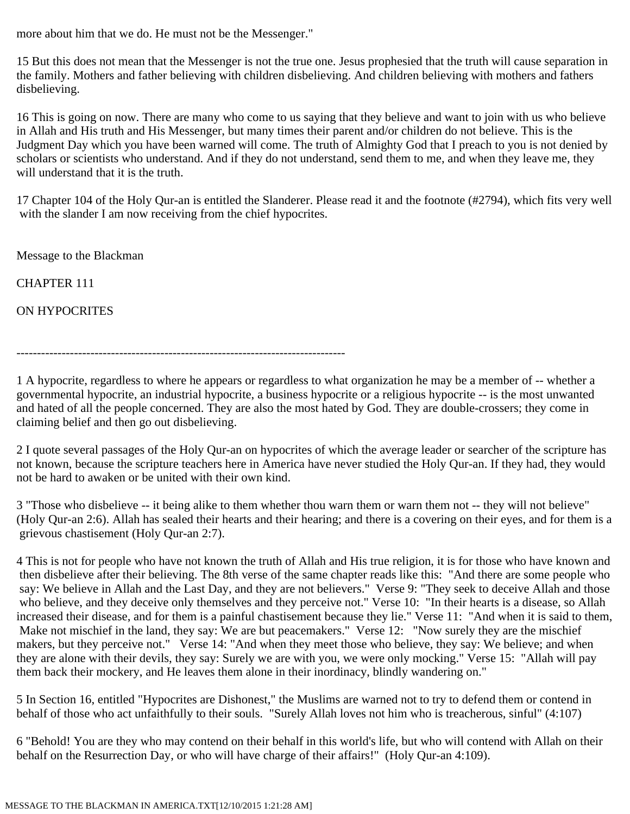more about him that we do. He must not be the Messenger."

15 But this does not mean that the Messenger is not the true one. Jesus prophesied that the truth will cause separation in the family. Mothers and father believing with children disbelieving. And children believing with mothers and fathers disbelieving.

16 This is going on now. There are many who come to us saying that they believe and want to join with us who believe in Allah and His truth and His Messenger, but many times their parent and/or children do not believe. This is the Judgment Day which you have been warned will come. The truth of Almighty God that I preach to you is not denied by scholars or scientists who understand. And if they do not understand, send them to me, and when they leave me, they will understand that it is the truth.

17 Chapter 104 of the Holy Qur-an is entitled the Slanderer. Please read it and the footnote (#2794), which fits very well with the slander I am now receiving from the chief hypocrites.

Message to the Blackman

CHAPTER 111

ON HYPOCRITES

--------------------------------------------------------------------------------

1 A hypocrite, regardless to where he appears or regardless to what organization he may be a member of -- whether a governmental hypocrite, an industrial hypocrite, a business hypocrite or a religious hypocrite -- is the most unwanted and hated of all the people concerned. They are also the most hated by God. They are double-crossers; they come in claiming belief and then go out disbelieving.

2 I quote several passages of the Holy Qur-an on hypocrites of which the average leader or searcher of the scripture has not known, because the scripture teachers here in America have never studied the Holy Qur-an. If they had, they would not be hard to awaken or be united with their own kind.

3 "Those who disbelieve -- it being alike to them whether thou warn them or warn them not -- they will not believe" (Holy Qur-an 2:6). Allah has sealed their hearts and their hearing; and there is a covering on their eyes, and for them is a grievous chastisement (Holy Qur-an 2:7).

4 This is not for people who have not known the truth of Allah and His true religion, it is for those who have known and then disbelieve after their believing. The 8th verse of the same chapter reads like this: "And there are some people who say: We believe in Allah and the Last Day, and they are not believers." Verse 9: "They seek to deceive Allah and those who believe, and they deceive only themselves and they perceive not." Verse 10: "In their hearts is a disease, so Allah increased their disease, and for them is a painful chastisement because they lie." Verse 11: "And when it is said to them, Make not mischief in the land, they say: We are but peacemakers." Verse 12: "Now surely they are the mischief makers, but they perceive not." Verse 14: "And when they meet those who believe, they say: We believe; and when they are alone with their devils, they say: Surely we are with you, we were only mocking." Verse 15: "Allah will pay them back their mockery, and He leaves them alone in their inordinacy, blindly wandering on."

5 In Section 16, entitled "Hypocrites are Dishonest," the Muslims are warned not to try to defend them or contend in behalf of those who act unfaithfully to their souls. "Surely Allah loves not him who is treacherous, sinful" (4:107)

6 "Behold! You are they who may contend on their behalf in this world's life, but who will contend with Allah on their behalf on the Resurrection Day, or who will have charge of their affairs!" (Holy Qur-an 4:109).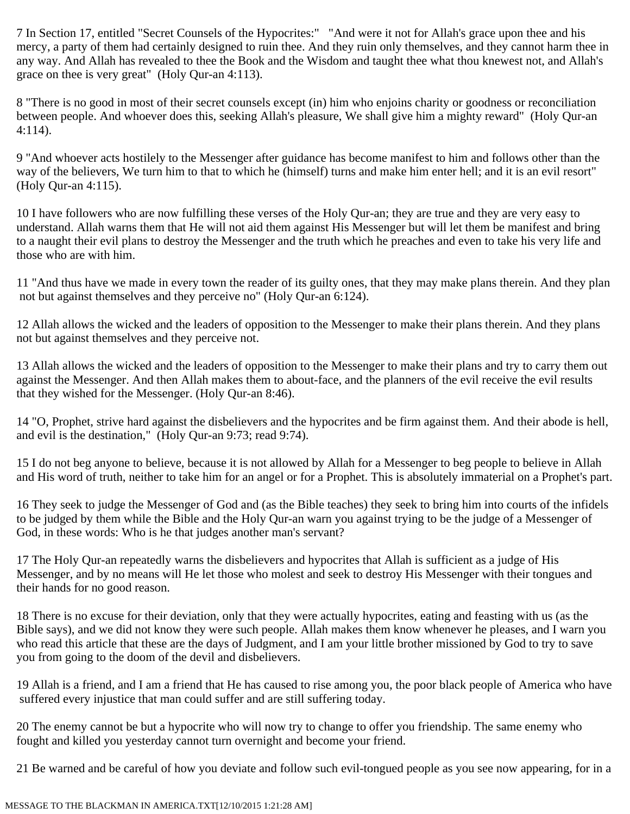7 In Section 17, entitled "Secret Counsels of the Hypocrites:" "And were it not for Allah's grace upon thee and his mercy, a party of them had certainly designed to ruin thee. And they ruin only themselves, and they cannot harm thee in any way. And Allah has revealed to thee the Book and the Wisdom and taught thee what thou knewest not, and Allah's grace on thee is very great" (Holy Qur-an 4:113).

8 "There is no good in most of their secret counsels except (in) him who enjoins charity or goodness or reconciliation between people. And whoever does this, seeking Allah's pleasure, We shall give him a mighty reward" (Holy Qur-an 4:114).

9 "And whoever acts hostilely to the Messenger after guidance has become manifest to him and follows other than the way of the believers, We turn him to that to which he (himself) turns and make him enter hell; and it is an evil resort" (Holy Qur-an 4:115).

10 I have followers who are now fulfilling these verses of the Holy Qur-an; they are true and they are very easy to understand. Allah warns them that He will not aid them against His Messenger but will let them be manifest and bring to a naught their evil plans to destroy the Messenger and the truth which he preaches and even to take his very life and those who are with him.

11 "And thus have we made in every town the reader of its guilty ones, that they may make plans therein. And they plan not but against themselves and they perceive no" (Holy Qur-an 6:124).

12 Allah allows the wicked and the leaders of opposition to the Messenger to make their plans therein. And they plans not but against themselves and they perceive not.

13 Allah allows the wicked and the leaders of opposition to the Messenger to make their plans and try to carry them out against the Messenger. And then Allah makes them to about-face, and the planners of the evil receive the evil results that they wished for the Messenger. (Holy Qur-an 8:46).

14 "O, Prophet, strive hard against the disbelievers and the hypocrites and be firm against them. And their abode is hell, and evil is the destination," (Holy Qur-an 9:73; read 9:74).

15 I do not beg anyone to believe, because it is not allowed by Allah for a Messenger to beg people to believe in Allah and His word of truth, neither to take him for an angel or for a Prophet. This is absolutely immaterial on a Prophet's part.

16 They seek to judge the Messenger of God and (as the Bible teaches) they seek to bring him into courts of the infidels to be judged by them while the Bible and the Holy Qur-an warn you against trying to be the judge of a Messenger of God, in these words: Who is he that judges another man's servant?

17 The Holy Qur-an repeatedly warns the disbelievers and hypocrites that Allah is sufficient as a judge of His Messenger, and by no means will He let those who molest and seek to destroy His Messenger with their tongues and their hands for no good reason.

18 There is no excuse for their deviation, only that they were actually hypocrites, eating and feasting with us (as the Bible says), and we did not know they were such people. Allah makes them know whenever he pleases, and I warn you who read this article that these are the days of Judgment, and I am your little brother missioned by God to try to save you from going to the doom of the devil and disbelievers.

19 Allah is a friend, and I am a friend that He has caused to rise among you, the poor black people of America who have suffered every injustice that man could suffer and are still suffering today.

20 The enemy cannot be but a hypocrite who will now try to change to offer you friendship. The same enemy who fought and killed you yesterday cannot turn overnight and become your friend.

21 Be warned and be careful of how you deviate and follow such evil-tongued people as you see now appearing, for in a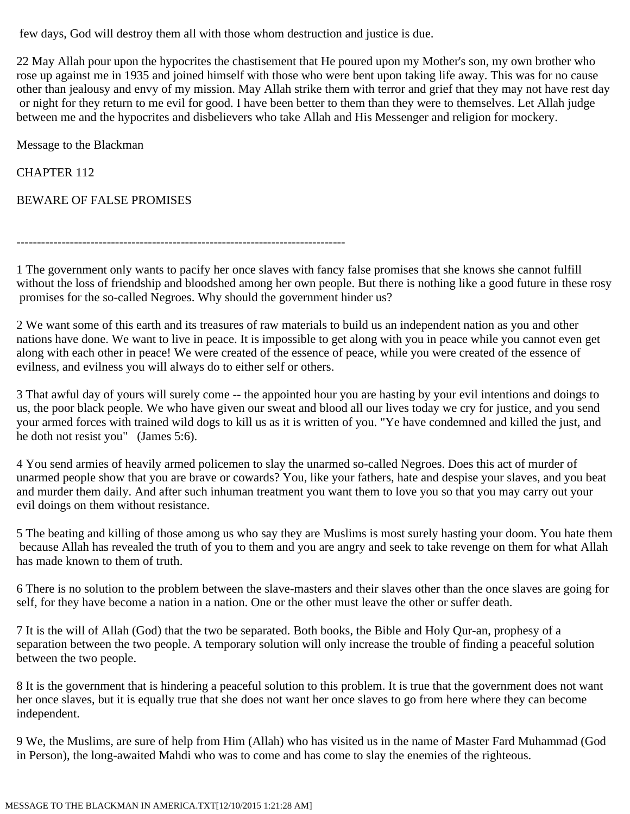few days, God will destroy them all with those whom destruction and justice is due.

22 May Allah pour upon the hypocrites the chastisement that He poured upon my Mother's son, my own brother who rose up against me in 1935 and joined himself with those who were bent upon taking life away. This was for no cause other than jealousy and envy of my mission. May Allah strike them with terror and grief that they may not have rest day or night for they return to me evil for good. I have been better to them than they were to themselves. Let Allah judge between me and the hypocrites and disbelievers who take Allah and His Messenger and religion for mockery.

Message to the Blackman

CHAPTER 112

# BEWARE OF FALSE PROMISES

--------------------------------------------------------------------------------

1 The government only wants to pacify her once slaves with fancy false promises that she knows she cannot fulfill without the loss of friendship and bloodshed among her own people. But there is nothing like a good future in these rosy promises for the so-called Negroes. Why should the government hinder us?

2 We want some of this earth and its treasures of raw materials to build us an independent nation as you and other nations have done. We want to live in peace. It is impossible to get along with you in peace while you cannot even get along with each other in peace! We were created of the essence of peace, while you were created of the essence of evilness, and evilness you will always do to either self or others.

3 That awful day of yours will surely come -- the appointed hour you are hasting by your evil intentions and doings to us, the poor black people. We who have given our sweat and blood all our lives today we cry for justice, and you send your armed forces with trained wild dogs to kill us as it is written of you. "Ye have condemned and killed the just, and he doth not resist you" (James 5:6).

4 You send armies of heavily armed policemen to slay the unarmed so-called Negroes. Does this act of murder of unarmed people show that you are brave or cowards? You, like your fathers, hate and despise your slaves, and you beat and murder them daily. And after such inhuman treatment you want them to love you so that you may carry out your evil doings on them without resistance.

5 The beating and killing of those among us who say they are Muslims is most surely hasting your doom. You hate them because Allah has revealed the truth of you to them and you are angry and seek to take revenge on them for what Allah has made known to them of truth.

6 There is no solution to the problem between the slave-masters and their slaves other than the once slaves are going for self, for they have become a nation in a nation. One or the other must leave the other or suffer death.

7 It is the will of Allah (God) that the two be separated. Both books, the Bible and Holy Qur-an, prophesy of a separation between the two people. A temporary solution will only increase the trouble of finding a peaceful solution between the two people.

8 It is the government that is hindering a peaceful solution to this problem. It is true that the government does not want her once slaves, but it is equally true that she does not want her once slaves to go from here where they can become independent.

9 We, the Muslims, are sure of help from Him (Allah) who has visited us in the name of Master Fard Muhammad (God in Person), the long-awaited Mahdi who was to come and has come to slay the enemies of the righteous.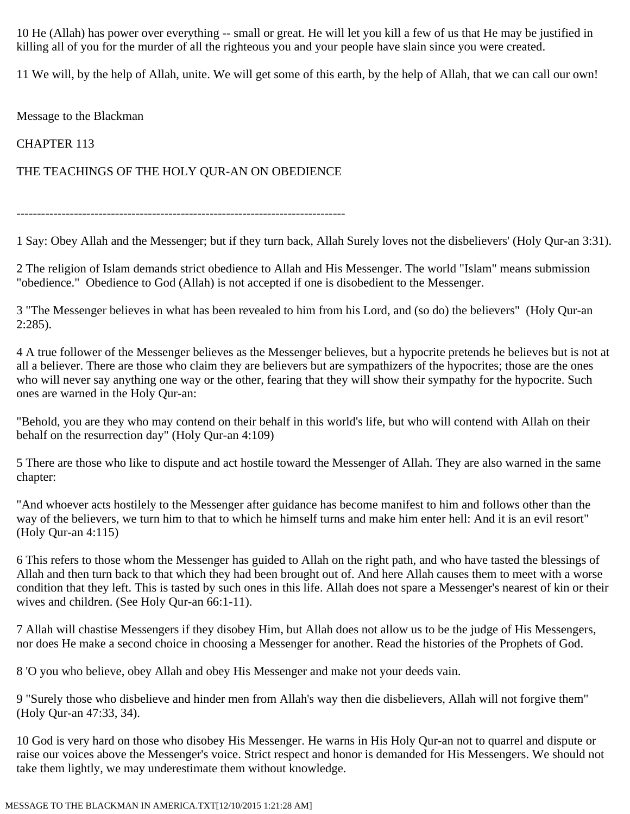10 He (Allah) has power over everything -- small or great. He will let you kill a few of us that He may be justified in killing all of you for the murder of all the righteous you and your people have slain since you were created.

11 We will, by the help of Allah, unite. We will get some of this earth, by the help of Allah, that we can call our own!

Message to the Blackman

### CHAPTER 113

### THE TEACHINGS OF THE HOLY QUR-AN ON OBEDIENCE

--------------------------------------------------------------------------------

1 Say: Obey Allah and the Messenger; but if they turn back, Allah Surely loves not the disbelievers' (Holy Qur-an 3:31).

2 The religion of Islam demands strict obedience to Allah and His Messenger. The world "Islam" means submission "obedience." Obedience to God (Allah) is not accepted if one is disobedient to the Messenger.

3 "The Messenger believes in what has been revealed to him from his Lord, and (so do) the believers" (Holy Qur-an 2:285).

4 A true follower of the Messenger believes as the Messenger believes, but a hypocrite pretends he believes but is not at all a believer. There are those who claim they are believers but are sympathizers of the hypocrites; those are the ones who will never say anything one way or the other, fearing that they will show their sympathy for the hypocrite. Such ones are warned in the Holy Qur-an:

"Behold, you are they who may contend on their behalf in this world's life, but who will contend with Allah on their behalf on the resurrection day" (Holy Qur-an 4:109)

5 There are those who like to dispute and act hostile toward the Messenger of Allah. They are also warned in the same chapter:

"And whoever acts hostilely to the Messenger after guidance has become manifest to him and follows other than the way of the believers, we turn him to that to which he himself turns and make him enter hell: And it is an evil resort" (Holy Qur-an 4:115)

6 This refers to those whom the Messenger has guided to Allah on the right path, and who have tasted the blessings of Allah and then turn back to that which they had been brought out of. And here Allah causes them to meet with a worse condition that they left. This is tasted by such ones in this life. Allah does not spare a Messenger's nearest of kin or their wives and children. (See Holy Qur-an 66:1-11).

7 Allah will chastise Messengers if they disobey Him, but Allah does not allow us to be the judge of His Messengers, nor does He make a second choice in choosing a Messenger for another. Read the histories of the Prophets of God.

8 'O you who believe, obey Allah and obey His Messenger and make not your deeds vain.

9 "Surely those who disbelieve and hinder men from Allah's way then die disbelievers, Allah will not forgive them" (Holy Qur-an 47:33, 34).

10 God is very hard on those who disobey His Messenger. He warns in His Holy Qur-an not to quarrel and dispute or raise our voices above the Messenger's voice. Strict respect and honor is demanded for His Messengers. We should not take them lightly, we may underestimate them without knowledge.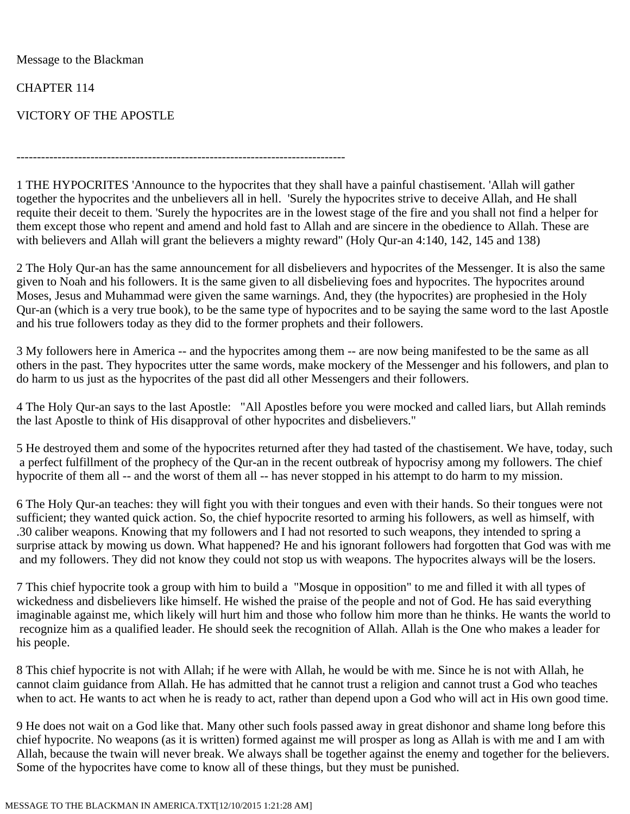Message to the Blackman

CHAPTER 114

VICTORY OF THE APOSTLE

--------------------------------------------------------------------------------

1 THE HYPOCRITES 'Announce to the hypocrites that they shall have a painful chastisement. 'Allah will gather together the hypocrites and the unbelievers all in hell. 'Surely the hypocrites strive to deceive Allah, and He shall requite their deceit to them. 'Surely the hypocrites are in the lowest stage of the fire and you shall not find a helper for them except those who repent and amend and hold fast to Allah and are sincere in the obedience to Allah. These are with believers and Allah will grant the believers a mighty reward" (Holy Qur-an 4:140, 142, 145 and 138)

2 The Holy Qur-an has the same announcement for all disbelievers and hypocrites of the Messenger. It is also the same given to Noah and his followers. It is the same given to all disbelieving foes and hypocrites. The hypocrites around Moses, Jesus and Muhammad were given the same warnings. And, they (the hypocrites) are prophesied in the Holy Qur-an (which is a very true book), to be the same type of hypocrites and to be saying the same word to the last Apostle and his true followers today as they did to the former prophets and their followers.

3 My followers here in America -- and the hypocrites among them -- are now being manifested to be the same as all others in the past. They hypocrites utter the same words, make mockery of the Messenger and his followers, and plan to do harm to us just as the hypocrites of the past did all other Messengers and their followers.

4 The Holy Qur-an says to the last Apostle: "All Apostles before you were mocked and called liars, but Allah reminds the last Apostle to think of His disapproval of other hypocrites and disbelievers."

5 He destroyed them and some of the hypocrites returned after they had tasted of the chastisement. We have, today, such a perfect fulfillment of the prophecy of the Qur-an in the recent outbreak of hypocrisy among my followers. The chief hypocrite of them all -- and the worst of them all -- has never stopped in his attempt to do harm to my mission.

6 The Holy Qur-an teaches: they will fight you with their tongues and even with their hands. So their tongues were not sufficient; they wanted quick action. So, the chief hypocrite resorted to arming his followers, as well as himself, with .30 caliber weapons. Knowing that my followers and I had not resorted to such weapons, they intended to spring a surprise attack by mowing us down. What happened? He and his ignorant followers had forgotten that God was with me and my followers. They did not know they could not stop us with weapons. The hypocrites always will be the losers.

7 This chief hypocrite took a group with him to build a "Mosque in opposition" to me and filled it with all types of wickedness and disbelievers like himself. He wished the praise of the people and not of God. He has said everything imaginable against me, which likely will hurt him and those who follow him more than he thinks. He wants the world to recognize him as a qualified leader. He should seek the recognition of Allah. Allah is the One who makes a leader for his people.

8 This chief hypocrite is not with Allah; if he were with Allah, he would be with me. Since he is not with Allah, he cannot claim guidance from Allah. He has admitted that he cannot trust a religion and cannot trust a God who teaches when to act. He wants to act when he is ready to act, rather than depend upon a God who will act in His own good time.

9 He does not wait on a God like that. Many other such fools passed away in great dishonor and shame long before this chief hypocrite. No weapons (as it is written) formed against me will prosper as long as Allah is with me and I am with Allah, because the twain will never break. We always shall be together against the enemy and together for the believers. Some of the hypocrites have come to know all of these things, but they must be punished.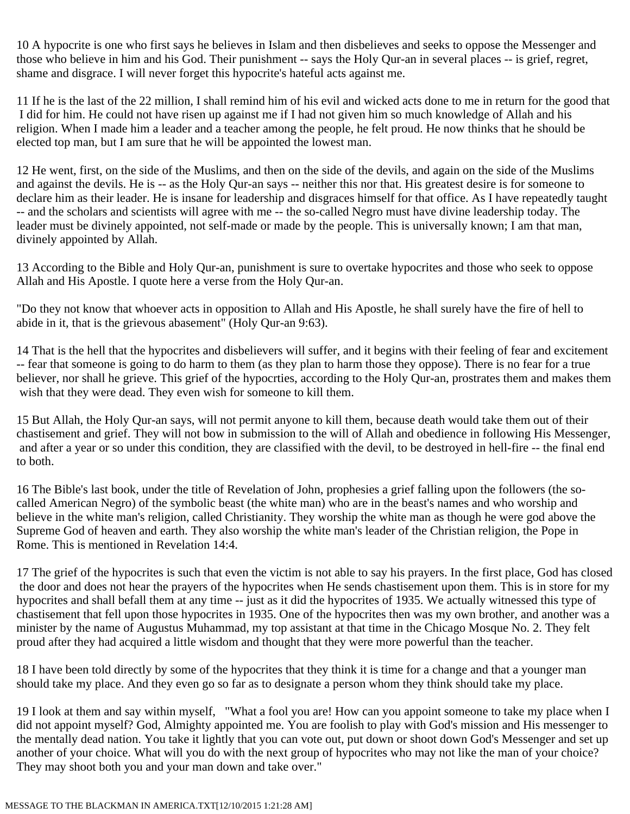10 A hypocrite is one who first says he believes in Islam and then disbelieves and seeks to oppose the Messenger and those who believe in him and his God. Their punishment -- says the Holy Qur-an in several places -- is grief, regret, shame and disgrace. I will never forget this hypocrite's hateful acts against me.

11 If he is the last of the 22 million, I shall remind him of his evil and wicked acts done to me in return for the good that I did for him. He could not have risen up against me if I had not given him so much knowledge of Allah and his religion. When I made him a leader and a teacher among the people, he felt proud. He now thinks that he should be elected top man, but I am sure that he will be appointed the lowest man.

12 He went, first, on the side of the Muslims, and then on the side of the devils, and again on the side of the Muslims and against the devils. He is -- as the Holy Qur-an says -- neither this nor that. His greatest desire is for someone to declare him as their leader. He is insane for leadership and disgraces himself for that office. As I have repeatedly taught -- and the scholars and scientists will agree with me -- the so-called Negro must have divine leadership today. The leader must be divinely appointed, not self-made or made by the people. This is universally known; I am that man, divinely appointed by Allah.

13 According to the Bible and Holy Qur-an, punishment is sure to overtake hypocrites and those who seek to oppose Allah and His Apostle. I quote here a verse from the Holy Qur-an.

"Do they not know that whoever acts in opposition to Allah and His Apostle, he shall surely have the fire of hell to abide in it, that is the grievous abasement" (Holy Qur-an 9:63).

14 That is the hell that the hypocrites and disbelievers will suffer, and it begins with their feeling of fear and excitement -- fear that someone is going to do harm to them (as they plan to harm those they oppose). There is no fear for a true believer, nor shall he grieve. This grief of the hypocrties, according to the Holy Qur-an, prostrates them and makes them wish that they were dead. They even wish for someone to kill them.

15 But Allah, the Holy Qur-an says, will not permit anyone to kill them, because death would take them out of their chastisement and grief. They will not bow in submission to the will of Allah and obedience in following His Messenger, and after a year or so under this condition, they are classified with the devil, to be destroyed in hell-fire -- the final end to both.

16 The Bible's last book, under the title of Revelation of John, prophesies a grief falling upon the followers (the socalled American Negro) of the symbolic beast (the white man) who are in the beast's names and who worship and believe in the white man's religion, called Christianity. They worship the white man as though he were god above the Supreme God of heaven and earth. They also worship the white man's leader of the Christian religion, the Pope in Rome. This is mentioned in Revelation 14:4.

17 The grief of the hypocrites is such that even the victim is not able to say his prayers. In the first place, God has closed the door and does not hear the prayers of the hypocrites when He sends chastisement upon them. This is in store for my hypocrites and shall befall them at any time -- just as it did the hypocrites of 1935. We actually witnessed this type of chastisement that fell upon those hypocrites in 1935. One of the hypocrites then was my own brother, and another was a minister by the name of Augustus Muhammad, my top assistant at that time in the Chicago Mosque No. 2. They felt proud after they had acquired a little wisdom and thought that they were more powerful than the teacher.

18 I have been told directly by some of the hypocrites that they think it is time for a change and that a younger man should take my place. And they even go so far as to designate a person whom they think should take my place.

19 I look at them and say within myself, "What a fool you are! How can you appoint someone to take my place when I did not appoint myself? God, Almighty appointed me. You are foolish to play with God's mission and His messenger to the mentally dead nation. You take it lightly that you can vote out, put down or shoot down God's Messenger and set up another of your choice. What will you do with the next group of hypocrites who may not like the man of your choice? They may shoot both you and your man down and take over."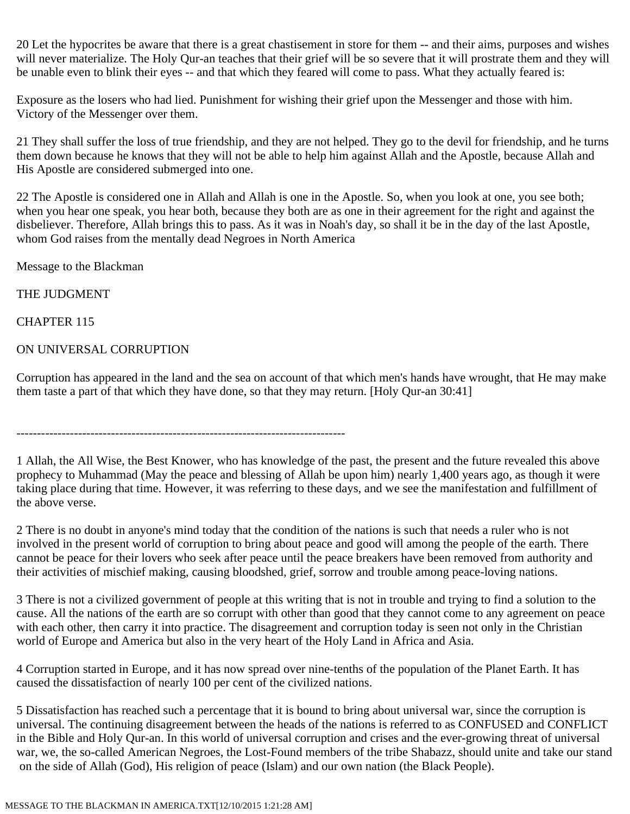20 Let the hypocrites be aware that there is a great chastisement in store for them -- and their aims, purposes and wishes will never materialize. The Holy Qur-an teaches that their grief will be so severe that it will prostrate them and they will be unable even to blink their eyes -- and that which they feared will come to pass. What they actually feared is:

Exposure as the losers who had lied. Punishment for wishing their grief upon the Messenger and those with him. Victory of the Messenger over them.

21 They shall suffer the loss of true friendship, and they are not helped. They go to the devil for friendship, and he turns them down because he knows that they will not be able to help him against Allah and the Apostle, because Allah and His Apostle are considered submerged into one.

22 The Apostle is considered one in Allah and Allah is one in the Apostle. So, when you look at one, you see both; when you hear one speak, you hear both, because they both are as one in their agreement for the right and against the disbeliever. Therefore, Allah brings this to pass. As it was in Noah's day, so shall it be in the day of the last Apostle, whom God raises from the mentally dead Negroes in North America

Message to the Blackman

THE JUDGMENT

CHAPTER 115

#### ON UNIVERSAL CORRUPTION

Corruption has appeared in the land and the sea on account of that which men's hands have wrought, that He may make them taste a part of that which they have done, so that they may return. [Holy Qur-an 30:41]

--------------------------------------------------------------------------------

1 Allah, the All Wise, the Best Knower, who has knowledge of the past, the present and the future revealed this above prophecy to Muhammad (May the peace and blessing of Allah be upon him) nearly 1,400 years ago, as though it were taking place during that time. However, it was referring to these days, and we see the manifestation and fulfillment of the above verse.

2 There is no doubt in anyone's mind today that the condition of the nations is such that needs a ruler who is not involved in the present world of corruption to bring about peace and good will among the people of the earth. There cannot be peace for their lovers who seek after peace until the peace breakers have been removed from authority and their activities of mischief making, causing bloodshed, grief, sorrow and trouble among peace-loving nations.

3 There is not a civilized government of people at this writing that is not in trouble and trying to find a solution to the cause. All the nations of the earth are so corrupt with other than good that they cannot come to any agreement on peace with each other, then carry it into practice. The disagreement and corruption today is seen not only in the Christian world of Europe and America but also in the very heart of the Holy Land in Africa and Asia.

4 Corruption started in Europe, and it has now spread over nine-tenths of the population of the Planet Earth. It has caused the dissatisfaction of nearly 100 per cent of the civilized nations.

5 Dissatisfaction has reached such a percentage that it is bound to bring about universal war, since the corruption is universal. The continuing disagreement between the heads of the nations is referred to as CONFUSED and CONFLICT in the Bible and Holy Qur-an. In this world of universal corruption and crises and the ever-growing threat of universal war, we, the so-called American Negroes, the Lost-Found members of the tribe Shabazz, should unite and take our stand on the side of Allah (God), His religion of peace (Islam) and our own nation (the Black People).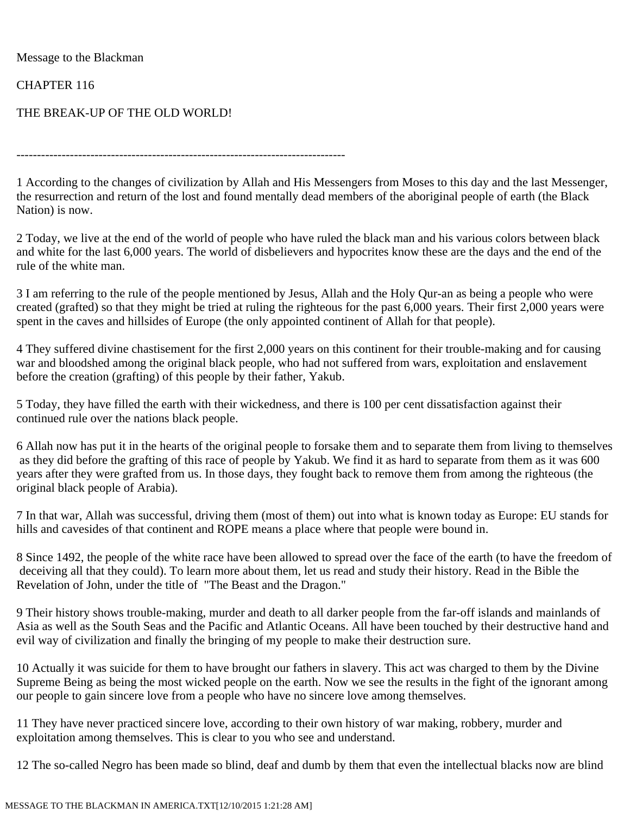Message to the Blackman

CHAPTER 116

### THE BREAK-UP OF THE OLD WORLD!

--------------------------------------------------------------------------------

1 According to the changes of civilization by Allah and His Messengers from Moses to this day and the last Messenger, the resurrection and return of the lost and found mentally dead members of the aboriginal people of earth (the Black Nation) is now.

2 Today, we live at the end of the world of people who have ruled the black man and his various colors between black and white for the last 6,000 years. The world of disbelievers and hypocrites know these are the days and the end of the rule of the white man.

3 I am referring to the rule of the people mentioned by Jesus, Allah and the Holy Qur-an as being a people who were created (grafted) so that they might be tried at ruling the righteous for the past 6,000 years. Their first 2,000 years were spent in the caves and hillsides of Europe (the only appointed continent of Allah for that people).

4 They suffered divine chastisement for the first 2,000 years on this continent for their trouble-making and for causing war and bloodshed among the original black people, who had not suffered from wars, exploitation and enslavement before the creation (grafting) of this people by their father, Yakub.

5 Today, they have filled the earth with their wickedness, and there is 100 per cent dissatisfaction against their continued rule over the nations black people.

6 Allah now has put it in the hearts of the original people to forsake them and to separate them from living to themselves as they did before the grafting of this race of people by Yakub. We find it as hard to separate from them as it was 600 years after they were grafted from us. In those days, they fought back to remove them from among the righteous (the original black people of Arabia).

7 In that war, Allah was successful, driving them (most of them) out into what is known today as Europe: EU stands for hills and cavesides of that continent and ROPE means a place where that people were bound in.

8 Since 1492, the people of the white race have been allowed to spread over the face of the earth (to have the freedom of deceiving all that they could). To learn more about them, let us read and study their history. Read in the Bible the Revelation of John, under the title of "The Beast and the Dragon."

9 Their history shows trouble-making, murder and death to all darker people from the far-off islands and mainlands of Asia as well as the South Seas and the Pacific and Atlantic Oceans. All have been touched by their destructive hand and evil way of civilization and finally the bringing of my people to make their destruction sure.

10 Actually it was suicide for them to have brought our fathers in slavery. This act was charged to them by the Divine Supreme Being as being the most wicked people on the earth. Now we see the results in the fight of the ignorant among our people to gain sincere love from a people who have no sincere love among themselves.

11 They have never practiced sincere love, according to their own history of war making, robbery, murder and exploitation among themselves. This is clear to you who see and understand.

12 The so-called Negro has been made so blind, deaf and dumb by them that even the intellectual blacks now are blind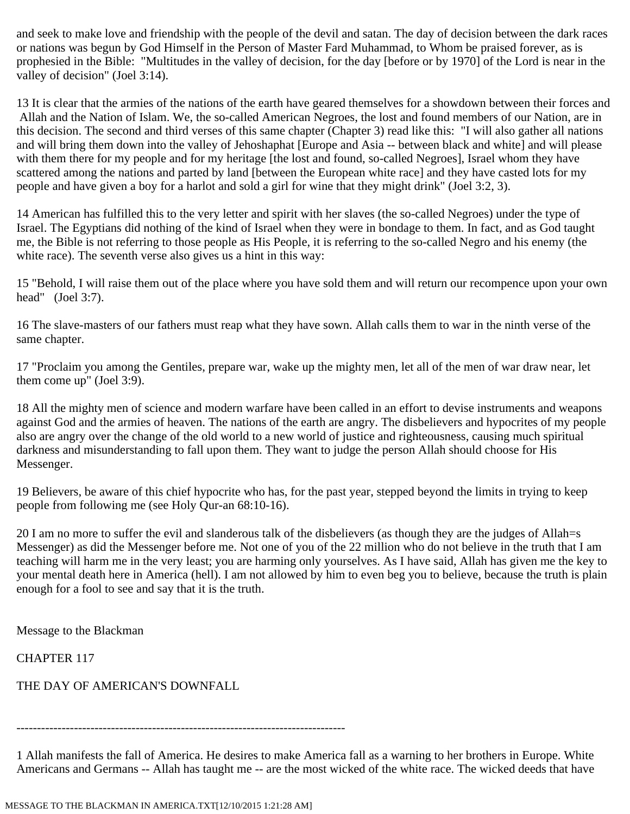and seek to make love and friendship with the people of the devil and satan. The day of decision between the dark races or nations was begun by God Himself in the Person of Master Fard Muhammad, to Whom be praised forever, as is prophesied in the Bible: "Multitudes in the valley of decision, for the day [before or by 1970] of the Lord is near in the valley of decision" (Joel 3:14).

13 It is clear that the armies of the nations of the earth have geared themselves for a showdown between their forces and Allah and the Nation of Islam. We, the so-called American Negroes, the lost and found members of our Nation, are in this decision. The second and third verses of this same chapter (Chapter 3) read like this: "I will also gather all nations and will bring them down into the valley of Jehoshaphat [Europe and Asia -- between black and white] and will please with them there for my people and for my heritage [the lost and found, so-called Negroes], Israel whom they have scattered among the nations and parted by land [between the European white race] and they have casted lots for my people and have given a boy for a harlot and sold a girl for wine that they might drink" (Joel 3:2, 3).

14 American has fulfilled this to the very letter and spirit with her slaves (the so-called Negroes) under the type of Israel. The Egyptians did nothing of the kind of Israel when they were in bondage to them. In fact, and as God taught me, the Bible is not referring to those people as His People, it is referring to the so-called Negro and his enemy (the white race). The seventh verse also gives us a hint in this way:

15 "Behold, I will raise them out of the place where you have sold them and will return our recompence upon your own head" (Joel 3:7).

16 The slave-masters of our fathers must reap what they have sown. Allah calls them to war in the ninth verse of the same chapter.

17 "Proclaim you among the Gentiles, prepare war, wake up the mighty men, let all of the men of war draw near, let them come up" (Joel 3:9).

18 All the mighty men of science and modern warfare have been called in an effort to devise instruments and weapons against God and the armies of heaven. The nations of the earth are angry. The disbelievers and hypocrites of my people also are angry over the change of the old world to a new world of justice and righteousness, causing much spiritual darkness and misunderstanding to fall upon them. They want to judge the person Allah should choose for His Messenger.

19 Believers, be aware of this chief hypocrite who has, for the past year, stepped beyond the limits in trying to keep people from following me (see Holy Qur-an 68:10-16).

20 I am no more to suffer the evil and slanderous talk of the disbelievers (as though they are the judges of Allah=s Messenger) as did the Messenger before me. Not one of you of the 22 million who do not believe in the truth that I am teaching will harm me in the very least; you are harming only yourselves. As I have said, Allah has given me the key to your mental death here in America (hell). I am not allowed by him to even beg you to believe, because the truth is plain enough for a fool to see and say that it is the truth.

Message to the Blackman

CHAPTER 117

THE DAY OF AMERICAN'S DOWNFALL

--------------------------------------------------------------------------------

1 Allah manifests the fall of America. He desires to make America fall as a warning to her brothers in Europe. White Americans and Germans -- Allah has taught me -- are the most wicked of the white race. The wicked deeds that have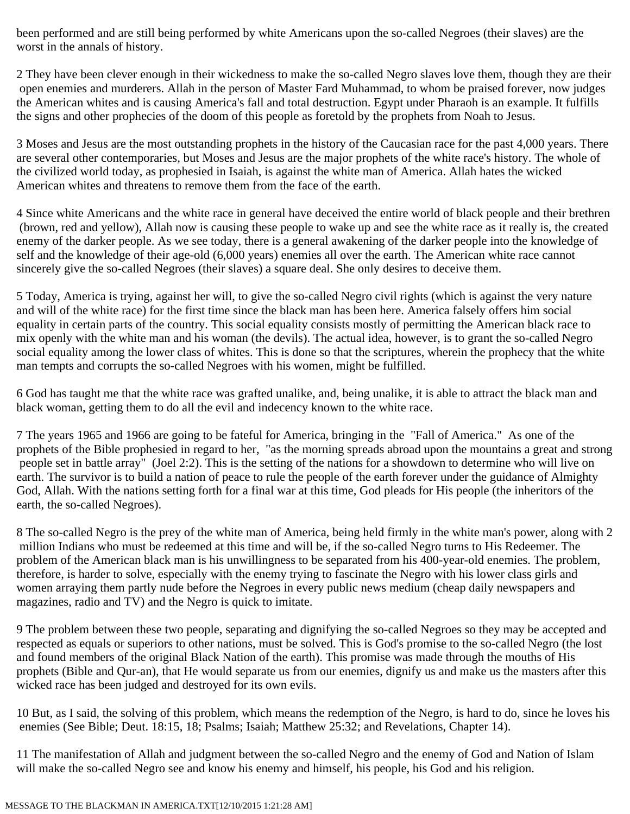been performed and are still being performed by white Americans upon the so-called Negroes (their slaves) are the worst in the annals of history.

2 They have been clever enough in their wickedness to make the so-called Negro slaves love them, though they are their open enemies and murderers. Allah in the person of Master Fard Muhammad, to whom be praised forever, now judges the American whites and is causing America's fall and total destruction. Egypt under Pharaoh is an example. It fulfills the signs and other prophecies of the doom of this people as foretold by the prophets from Noah to Jesus.

3 Moses and Jesus are the most outstanding prophets in the history of the Caucasian race for the past 4,000 years. There are several other contemporaries, but Moses and Jesus are the major prophets of the white race's history. The whole of the civilized world today, as prophesied in Isaiah, is against the white man of America. Allah hates the wicked American whites and threatens to remove them from the face of the earth.

4 Since white Americans and the white race in general have deceived the entire world of black people and their brethren (brown, red and yellow), Allah now is causing these people to wake up and see the white race as it really is, the created enemy of the darker people. As we see today, there is a general awakening of the darker people into the knowledge of self and the knowledge of their age-old (6,000 years) enemies all over the earth. The American white race cannot sincerely give the so-called Negroes (their slaves) a square deal. She only desires to deceive them.

5 Today, America is trying, against her will, to give the so-called Negro civil rights (which is against the very nature and will of the white race) for the first time since the black man has been here. America falsely offers him social equality in certain parts of the country. This social equality consists mostly of permitting the American black race to mix openly with the white man and his woman (the devils). The actual idea, however, is to grant the so-called Negro social equality among the lower class of whites. This is done so that the scriptures, wherein the prophecy that the white man tempts and corrupts the so-called Negroes with his women, might be fulfilled.

6 God has taught me that the white race was grafted unalike, and, being unalike, it is able to attract the black man and black woman, getting them to do all the evil and indecency known to the white race.

7 The years 1965 and 1966 are going to be fateful for America, bringing in the "Fall of America." As one of the prophets of the Bible prophesied in regard to her, "as the morning spreads abroad upon the mountains a great and strong people set in battle array" (Joel 2:2). This is the setting of the nations for a showdown to determine who will live on earth. The survivor is to build a nation of peace to rule the people of the earth forever under the guidance of Almighty God, Allah. With the nations setting forth for a final war at this time, God pleads for His people (the inheritors of the earth, the so-called Negroes).

8 The so-called Negro is the prey of the white man of America, being held firmly in the white man's power, along with 2 million Indians who must be redeemed at this time and will be, if the so-called Negro turns to His Redeemer. The problem of the American black man is his unwillingness to be separated from his 400-year-old enemies. The problem, therefore, is harder to solve, especially with the enemy trying to fascinate the Negro with his lower class girls and women arraying them partly nude before the Negroes in every public news medium (cheap daily newspapers and magazines, radio and TV) and the Negro is quick to imitate.

9 The problem between these two people, separating and dignifying the so-called Negroes so they may be accepted and respected as equals or superiors to other nations, must be solved. This is God's promise to the so-called Negro (the lost and found members of the original Black Nation of the earth). This promise was made through the mouths of His prophets (Bible and Qur-an), that He would separate us from our enemies, dignify us and make us the masters after this wicked race has been judged and destroyed for its own evils.

10 But, as I said, the solving of this problem, which means the redemption of the Negro, is hard to do, since he loves his enemies (See Bible; Deut. 18:15, 18; Psalms; Isaiah; Matthew 25:32; and Revelations, Chapter 14).

11 The manifestation of Allah and judgment between the so-called Negro and the enemy of God and Nation of Islam will make the so-called Negro see and know his enemy and himself, his people, his God and his religion.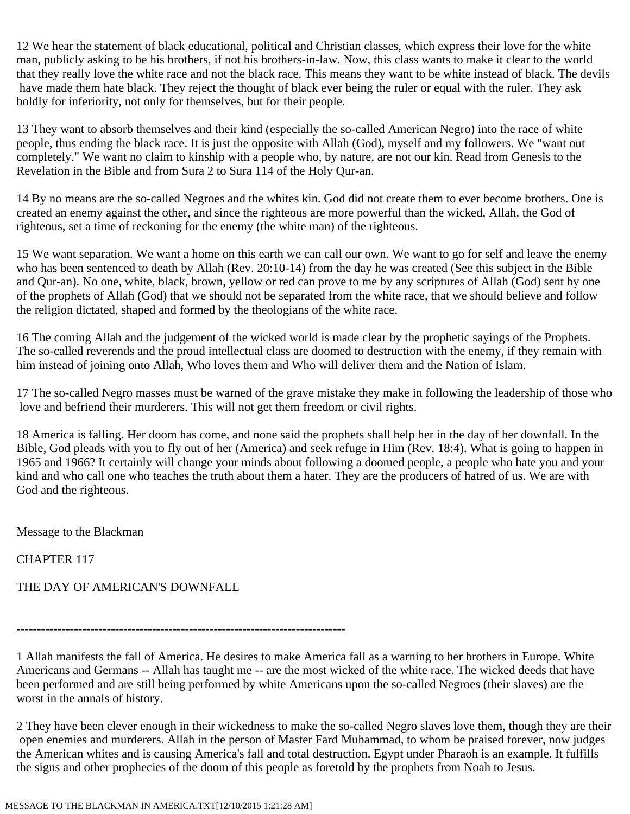12 We hear the statement of black educational, political and Christian classes, which express their love for the white man, publicly asking to be his brothers, if not his brothers-in-law. Now, this class wants to make it clear to the world that they really love the white race and not the black race. This means they want to be white instead of black. The devils have made them hate black. They reject the thought of black ever being the ruler or equal with the ruler. They ask boldly for inferiority, not only for themselves, but for their people.

13 They want to absorb themselves and their kind (especially the so-called American Negro) into the race of white people, thus ending the black race. It is just the opposite with Allah (God), myself and my followers. We "want out completely." We want no claim to kinship with a people who, by nature, are not our kin. Read from Genesis to the Revelation in the Bible and from Sura 2 to Sura 114 of the Holy Qur-an.

14 By no means are the so-called Negroes and the whites kin. God did not create them to ever become brothers. One is created an enemy against the other, and since the righteous are more powerful than the wicked, Allah, the God of righteous, set a time of reckoning for the enemy (the white man) of the righteous.

15 We want separation. We want a home on this earth we can call our own. We want to go for self and leave the enemy who has been sentenced to death by Allah (Rev. 20:10-14) from the day he was created (See this subject in the Bible and Qur-an). No one, white, black, brown, yellow or red can prove to me by any scriptures of Allah (God) sent by one of the prophets of Allah (God) that we should not be separated from the white race, that we should believe and follow the religion dictated, shaped and formed by the theologians of the white race.

16 The coming Allah and the judgement of the wicked world is made clear by the prophetic sayings of the Prophets. The so-called reverends and the proud intellectual class are doomed to destruction with the enemy, if they remain with him instead of joining onto Allah, Who loves them and Who will deliver them and the Nation of Islam.

17 The so-called Negro masses must be warned of the grave mistake they make in following the leadership of those who love and befriend their murderers. This will not get them freedom or civil rights.

18 America is falling. Her doom has come, and none said the prophets shall help her in the day of her downfall. In the Bible, God pleads with you to fly out of her (America) and seek refuge in Him (Rev. 18:4). What is going to happen in 1965 and 1966? It certainly will change your minds about following a doomed people, a people who hate you and your kind and who call one who teaches the truth about them a hater. They are the producers of hatred of us. We are with God and the righteous.

Message to the Blackman

CHAPTER 117

THE DAY OF AMERICAN'S DOWNFALL

--------------------------------------------------------------------------------

1 Allah manifests the fall of America. He desires to make America fall as a warning to her brothers in Europe. White Americans and Germans -- Allah has taught me -- are the most wicked of the white race. The wicked deeds that have been performed and are still being performed by white Americans upon the so-called Negroes (their slaves) are the worst in the annals of history.

2 They have been clever enough in their wickedness to make the so-called Negro slaves love them, though they are their open enemies and murderers. Allah in the person of Master Fard Muhammad, to whom be praised forever, now judges the American whites and is causing America's fall and total destruction. Egypt under Pharaoh is an example. It fulfills the signs and other prophecies of the doom of this people as foretold by the prophets from Noah to Jesus.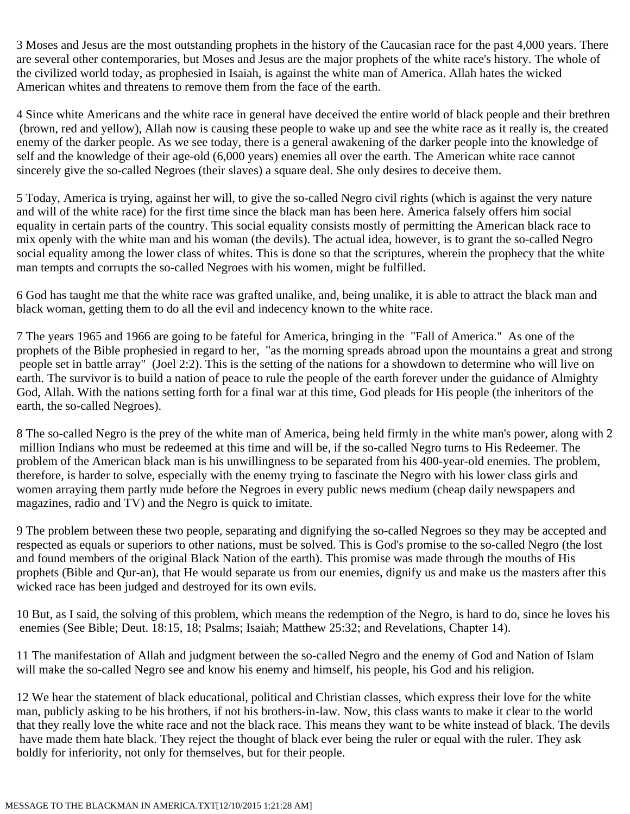3 Moses and Jesus are the most outstanding prophets in the history of the Caucasian race for the past 4,000 years. There are several other contemporaries, but Moses and Jesus are the major prophets of the white race's history. The whole of the civilized world today, as prophesied in Isaiah, is against the white man of America. Allah hates the wicked American whites and threatens to remove them from the face of the earth.

4 Since white Americans and the white race in general have deceived the entire world of black people and their brethren (brown, red and yellow), Allah now is causing these people to wake up and see the white race as it really is, the created enemy of the darker people. As we see today, there is a general awakening of the darker people into the knowledge of self and the knowledge of their age-old (6,000 years) enemies all over the earth. The American white race cannot sincerely give the so-called Negroes (their slaves) a square deal. She only desires to deceive them.

5 Today, America is trying, against her will, to give the so-called Negro civil rights (which is against the very nature and will of the white race) for the first time since the black man has been here. America falsely offers him social equality in certain parts of the country. This social equality consists mostly of permitting the American black race to mix openly with the white man and his woman (the devils). The actual idea, however, is to grant the so-called Negro social equality among the lower class of whites. This is done so that the scriptures, wherein the prophecy that the white man tempts and corrupts the so-called Negroes with his women, might be fulfilled.

6 God has taught me that the white race was grafted unalike, and, being unalike, it is able to attract the black man and black woman, getting them to do all the evil and indecency known to the white race.

7 The years 1965 and 1966 are going to be fateful for America, bringing in the "Fall of America." As one of the prophets of the Bible prophesied in regard to her, "as the morning spreads abroad upon the mountains a great and strong people set in battle array" (Joel 2:2). This is the setting of the nations for a showdown to determine who will live on earth. The survivor is to build a nation of peace to rule the people of the earth forever under the guidance of Almighty God, Allah. With the nations setting forth for a final war at this time, God pleads for His people (the inheritors of the earth, the so-called Negroes).

8 The so-called Negro is the prey of the white man of America, being held firmly in the white man's power, along with 2 million Indians who must be redeemed at this time and will be, if the so-called Negro turns to His Redeemer. The problem of the American black man is his unwillingness to be separated from his 400-year-old enemies. The problem, therefore, is harder to solve, especially with the enemy trying to fascinate the Negro with his lower class girls and women arraying them partly nude before the Negroes in every public news medium (cheap daily newspapers and magazines, radio and TV) and the Negro is quick to imitate.

9 The problem between these two people, separating and dignifying the so-called Negroes so they may be accepted and respected as equals or superiors to other nations, must be solved. This is God's promise to the so-called Negro (the lost and found members of the original Black Nation of the earth). This promise was made through the mouths of His prophets (Bible and Qur-an), that He would separate us from our enemies, dignify us and make us the masters after this wicked race has been judged and destroyed for its own evils.

10 But, as I said, the solving of this problem, which means the redemption of the Negro, is hard to do, since he loves his enemies (See Bible; Deut. 18:15, 18; Psalms; Isaiah; Matthew 25:32; and Revelations, Chapter 14).

11 The manifestation of Allah and judgment between the so-called Negro and the enemy of God and Nation of Islam will make the so-called Negro see and know his enemy and himself, his people, his God and his religion.

12 We hear the statement of black educational, political and Christian classes, which express their love for the white man, publicly asking to be his brothers, if not his brothers-in-law. Now, this class wants to make it clear to the world that they really love the white race and not the black race. This means they want to be white instead of black. The devils have made them hate black. They reject the thought of black ever being the ruler or equal with the ruler. They ask boldly for inferiority, not only for themselves, but for their people.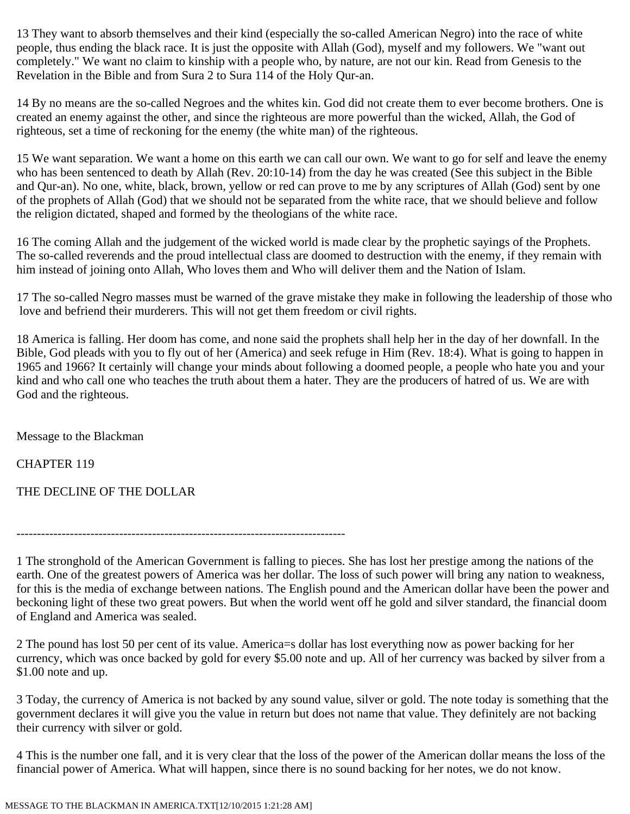13 They want to absorb themselves and their kind (especially the so-called American Negro) into the race of white people, thus ending the black race. It is just the opposite with Allah (God), myself and my followers. We "want out completely." We want no claim to kinship with a people who, by nature, are not our kin. Read from Genesis to the Revelation in the Bible and from Sura 2 to Sura 114 of the Holy Qur-an.

14 By no means are the so-called Negroes and the whites kin. God did not create them to ever become brothers. One is created an enemy against the other, and since the righteous are more powerful than the wicked, Allah, the God of righteous, set a time of reckoning for the enemy (the white man) of the righteous.

15 We want separation. We want a home on this earth we can call our own. We want to go for self and leave the enemy who has been sentenced to death by Allah (Rev. 20:10-14) from the day he was created (See this subject in the Bible and Qur-an). No one, white, black, brown, yellow or red can prove to me by any scriptures of Allah (God) sent by one of the prophets of Allah (God) that we should not be separated from the white race, that we should believe and follow the religion dictated, shaped and formed by the theologians of the white race.

16 The coming Allah and the judgement of the wicked world is made clear by the prophetic sayings of the Prophets. The so-called reverends and the proud intellectual class are doomed to destruction with the enemy, if they remain with him instead of joining onto Allah, Who loves them and Who will deliver them and the Nation of Islam.

17 The so-called Negro masses must be warned of the grave mistake they make in following the leadership of those who love and befriend their murderers. This will not get them freedom or civil rights.

18 America is falling. Her doom has come, and none said the prophets shall help her in the day of her downfall. In the Bible, God pleads with you to fly out of her (America) and seek refuge in Him (Rev. 18:4). What is going to happen in 1965 and 1966? It certainly will change your minds about following a doomed people, a people who hate you and your kind and who call one who teaches the truth about them a hater. They are the producers of hatred of us. We are with God and the righteous.

Message to the Blackman

CHAPTER 119

THE DECLINE OF THE DOLLAR

--------------------------------------------------------------------------------

1 The stronghold of the American Government is falling to pieces. She has lost her prestige among the nations of the earth. One of the greatest powers of America was her dollar. The loss of such power will bring any nation to weakness, for this is the media of exchange between nations. The English pound and the American dollar have been the power and beckoning light of these two great powers. But when the world went off he gold and silver standard, the financial doom of England and America was sealed.

2 The pound has lost 50 per cent of its value. America=s dollar has lost everything now as power backing for her currency, which was once backed by gold for every \$5.00 note and up. All of her currency was backed by silver from a \$1.00 note and up.

3 Today, the currency of America is not backed by any sound value, silver or gold. The note today is something that the government declares it will give you the value in return but does not name that value. They definitely are not backing their currency with silver or gold.

4 This is the number one fall, and it is very clear that the loss of the power of the American dollar means the loss of the financial power of America. What will happen, since there is no sound backing for her notes, we do not know.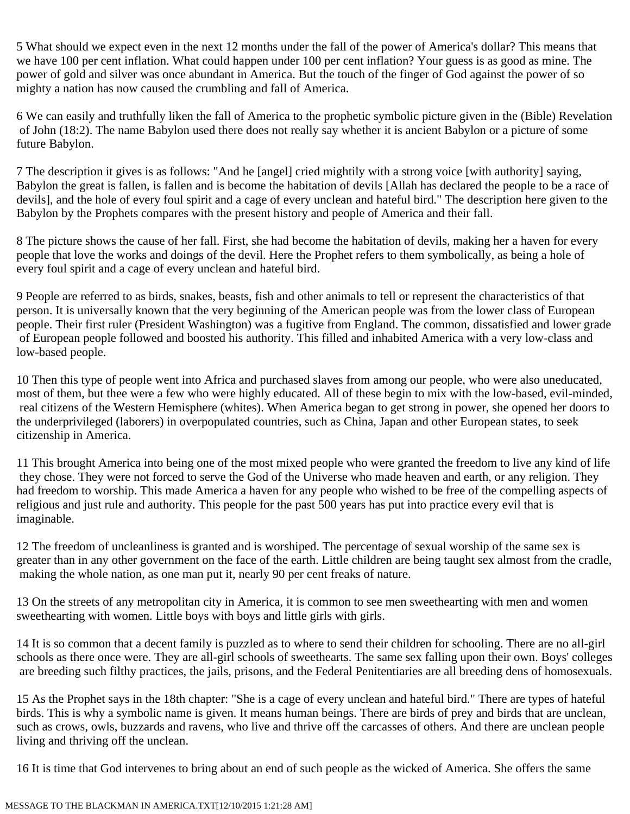5 What should we expect even in the next 12 months under the fall of the power of America's dollar? This means that we have 100 per cent inflation. What could happen under 100 per cent inflation? Your guess is as good as mine. The power of gold and silver was once abundant in America. But the touch of the finger of God against the power of so mighty a nation has now caused the crumbling and fall of America.

6 We can easily and truthfully liken the fall of America to the prophetic symbolic picture given in the (Bible) Revelation of John (18:2). The name Babylon used there does not really say whether it is ancient Babylon or a picture of some future Babylon.

7 The description it gives is as follows: "And he [angel] cried mightily with a strong voice [with authority] saying, Babylon the great is fallen, is fallen and is become the habitation of devils [Allah has declared the people to be a race of devils], and the hole of every foul spirit and a cage of every unclean and hateful bird." The description here given to the Babylon by the Prophets compares with the present history and people of America and their fall.

8 The picture shows the cause of her fall. First, she had become the habitation of devils, making her a haven for every people that love the works and doings of the devil. Here the Prophet refers to them symbolically, as being a hole of every foul spirit and a cage of every unclean and hateful bird.

9 People are referred to as birds, snakes, beasts, fish and other animals to tell or represent the characteristics of that person. It is universally known that the very beginning of the American people was from the lower class of European people. Their first ruler (President Washington) was a fugitive from England. The common, dissatisfied and lower grade of European people followed and boosted his authority. This filled and inhabited America with a very low-class and low-based people.

10 Then this type of people went into Africa and purchased slaves from among our people, who were also uneducated, most of them, but thee were a few who were highly educated. All of these begin to mix with the low-based, evil-minded, real citizens of the Western Hemisphere (whites). When America began to get strong in power, she opened her doors to the underprivileged (laborers) in overpopulated countries, such as China, Japan and other European states, to seek citizenship in America.

11 This brought America into being one of the most mixed people who were granted the freedom to live any kind of life they chose. They were not forced to serve the God of the Universe who made heaven and earth, or any religion. They had freedom to worship. This made America a haven for any people who wished to be free of the compelling aspects of religious and just rule and authority. This people for the past 500 years has put into practice every evil that is imaginable.

12 The freedom of uncleanliness is granted and is worshiped. The percentage of sexual worship of the same sex is greater than in any other government on the face of the earth. Little children are being taught sex almost from the cradle, making the whole nation, as one man put it, nearly 90 per cent freaks of nature.

13 On the streets of any metropolitan city in America, it is common to see men sweethearting with men and women sweethearting with women. Little boys with boys and little girls with girls.

14 It is so common that a decent family is puzzled as to where to send their children for schooling. There are no all-girl schools as there once were. They are all-girl schools of sweethearts. The same sex falling upon their own. Boys' colleges are breeding such filthy practices, the jails, prisons, and the Federal Penitentiaries are all breeding dens of homosexuals.

15 As the Prophet says in the 18th chapter: "She is a cage of every unclean and hateful bird." There are types of hateful birds. This is why a symbolic name is given. It means human beings. There are birds of prey and birds that are unclean, such as crows, owls, buzzards and ravens, who live and thrive off the carcasses of others. And there are unclean people living and thriving off the unclean.

16 It is time that God intervenes to bring about an end of such people as the wicked of America. She offers the same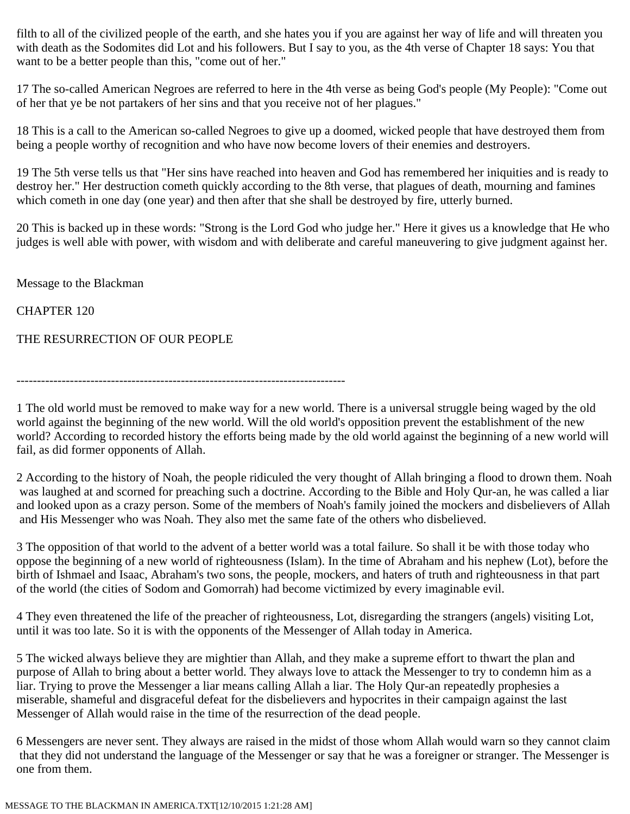filth to all of the civilized people of the earth, and she hates you if you are against her way of life and will threaten you with death as the Sodomites did Lot and his followers. But I say to you, as the 4th verse of Chapter 18 says: You that want to be a better people than this, "come out of her."

17 The so-called American Negroes are referred to here in the 4th verse as being God's people (My People): "Come out of her that ye be not partakers of her sins and that you receive not of her plagues."

18 This is a call to the American so-called Negroes to give up a doomed, wicked people that have destroyed them from being a people worthy of recognition and who have now become lovers of their enemies and destroyers.

19 The 5th verse tells us that "Her sins have reached into heaven and God has remembered her iniquities and is ready to destroy her." Her destruction cometh quickly according to the 8th verse, that plagues of death, mourning and famines which cometh in one day (one year) and then after that she shall be destroyed by fire, utterly burned.

20 This is backed up in these words: "Strong is the Lord God who judge her." Here it gives us a knowledge that He who judges is well able with power, with wisdom and with deliberate and careful maneuvering to give judgment against her.

Message to the Blackman

CHAPTER 120

THE RESURRECTION OF OUR PEOPLE

--------------------------------------------------------------------------------

1 The old world must be removed to make way for a new world. There is a universal struggle being waged by the old world against the beginning of the new world. Will the old world's opposition prevent the establishment of the new world? According to recorded history the efforts being made by the old world against the beginning of a new world will fail, as did former opponents of Allah.

2 According to the history of Noah, the people ridiculed the very thought of Allah bringing a flood to drown them. Noah was laughed at and scorned for preaching such a doctrine. According to the Bible and Holy Qur-an, he was called a liar and looked upon as a crazy person. Some of the members of Noah's family joined the mockers and disbelievers of Allah and His Messenger who was Noah. They also met the same fate of the others who disbelieved.

3 The opposition of that world to the advent of a better world was a total failure. So shall it be with those today who oppose the beginning of a new world of righteousness (Islam). In the time of Abraham and his nephew (Lot), before the birth of Ishmael and Isaac, Abraham's two sons, the people, mockers, and haters of truth and righteousness in that part of the world (the cities of Sodom and Gomorrah) had become victimized by every imaginable evil.

4 They even threatened the life of the preacher of righteousness, Lot, disregarding the strangers (angels) visiting Lot, until it was too late. So it is with the opponents of the Messenger of Allah today in America.

5 The wicked always believe they are mightier than Allah, and they make a supreme effort to thwart the plan and purpose of Allah to bring about a better world. They always love to attack the Messenger to try to condemn him as a liar. Trying to prove the Messenger a liar means calling Allah a liar. The Holy Qur-an repeatedly prophesies a miserable, shameful and disgraceful defeat for the disbelievers and hypocrites in their campaign against the last Messenger of Allah would raise in the time of the resurrection of the dead people.

6 Messengers are never sent. They always are raised in the midst of those whom Allah would warn so they cannot claim that they did not understand the language of the Messenger or say that he was a foreigner or stranger. The Messenger is one from them.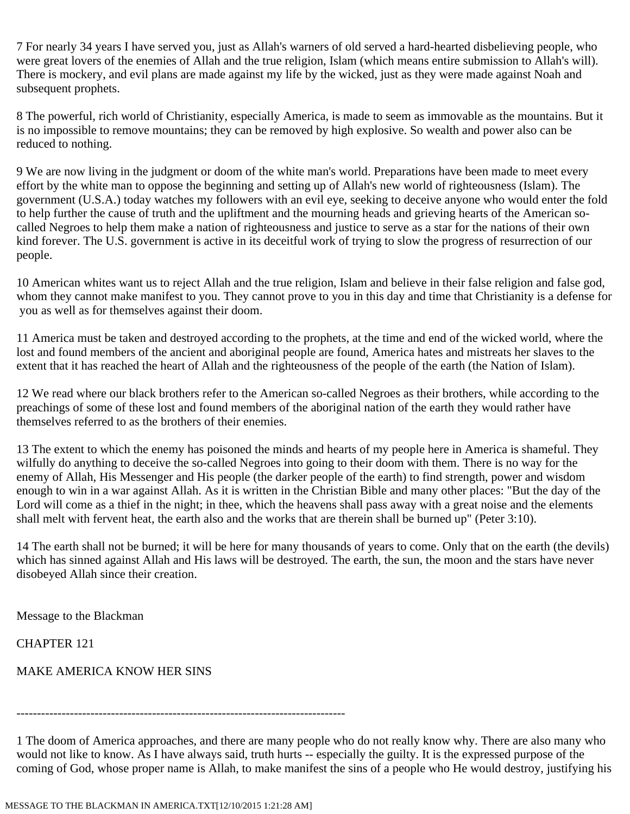7 For nearly 34 years I have served you, just as Allah's warners of old served a hard-hearted disbelieving people, who were great lovers of the enemies of Allah and the true religion, Islam (which means entire submission to Allah's will). There is mockery, and evil plans are made against my life by the wicked, just as they were made against Noah and subsequent prophets.

8 The powerful, rich world of Christianity, especially America, is made to seem as immovable as the mountains. But it is no impossible to remove mountains; they can be removed by high explosive. So wealth and power also can be reduced to nothing.

9 We are now living in the judgment or doom of the white man's world. Preparations have been made to meet every effort by the white man to oppose the beginning and setting up of Allah's new world of righteousness (Islam). The government (U.S.A.) today watches my followers with an evil eye, seeking to deceive anyone who would enter the fold to help further the cause of truth and the upliftment and the mourning heads and grieving hearts of the American socalled Negroes to help them make a nation of righteousness and justice to serve as a star for the nations of their own kind forever. The U.S. government is active in its deceitful work of trying to slow the progress of resurrection of our people.

10 American whites want us to reject Allah and the true religion, Islam and believe in their false religion and false god, whom they cannot make manifest to you. They cannot prove to you in this day and time that Christianity is a defense for you as well as for themselves against their doom.

11 America must be taken and destroyed according to the prophets, at the time and end of the wicked world, where the lost and found members of the ancient and aboriginal people are found, America hates and mistreats her slaves to the extent that it has reached the heart of Allah and the righteousness of the people of the earth (the Nation of Islam).

12 We read where our black brothers refer to the American so-called Negroes as their brothers, while according to the preachings of some of these lost and found members of the aboriginal nation of the earth they would rather have themselves referred to as the brothers of their enemies.

13 The extent to which the enemy has poisoned the minds and hearts of my people here in America is shameful. They wilfully do anything to deceive the so-called Negroes into going to their doom with them. There is no way for the enemy of Allah, His Messenger and His people (the darker people of the earth) to find strength, power and wisdom enough to win in a war against Allah. As it is written in the Christian Bible and many other places: "But the day of the Lord will come as a thief in the night; in thee, which the heavens shall pass away with a great noise and the elements shall melt with fervent heat, the earth also and the works that are therein shall be burned up" (Peter 3:10).

14 The earth shall not be burned; it will be here for many thousands of years to come. Only that on the earth (the devils) which has sinned against Allah and His laws will be destroyed. The earth, the sun, the moon and the stars have never disobeyed Allah since their creation.

Message to the Blackman

CHAPTER 121

MAKE AMERICA KNOW HER SINS

--------------------------------------------------------------------------------

1 The doom of America approaches, and there are many people who do not really know why. There are also many who would not like to know. As I have always said, truth hurts -- especially the guilty. It is the expressed purpose of the coming of God, whose proper name is Allah, to make manifest the sins of a people who He would destroy, justifying his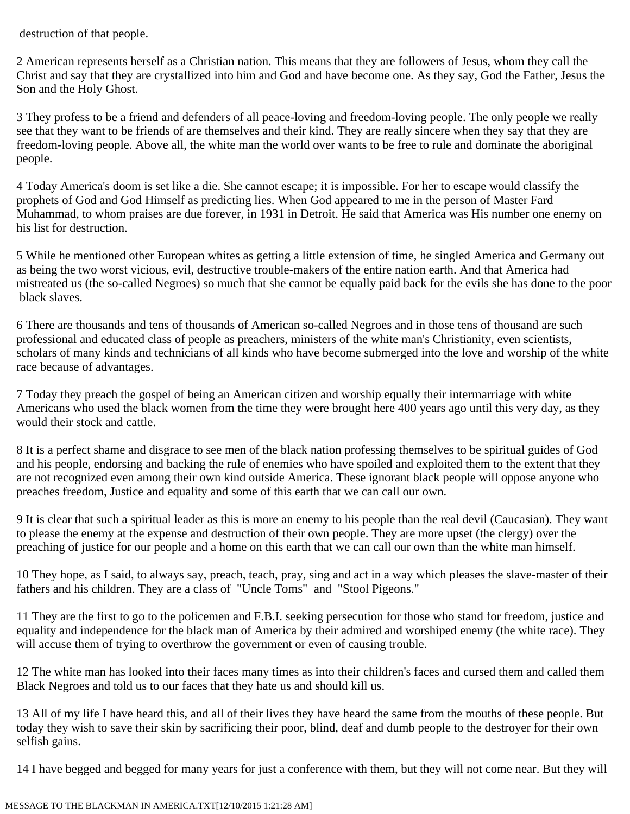destruction of that people.

2 American represents herself as a Christian nation. This means that they are followers of Jesus, whom they call the Christ and say that they are crystallized into him and God and have become one. As they say, God the Father, Jesus the Son and the Holy Ghost.

3 They profess to be a friend and defenders of all peace-loving and freedom-loving people. The only people we really see that they want to be friends of are themselves and their kind. They are really sincere when they say that they are freedom-loving people. Above all, the white man the world over wants to be free to rule and dominate the aboriginal people.

4 Today America's doom is set like a die. She cannot escape; it is impossible. For her to escape would classify the prophets of God and God Himself as predicting lies. When God appeared to me in the person of Master Fard Muhammad, to whom praises are due forever, in 1931 in Detroit. He said that America was His number one enemy on his list for destruction.

5 While he mentioned other European whites as getting a little extension of time, he singled America and Germany out as being the two worst vicious, evil, destructive trouble-makers of the entire nation earth. And that America had mistreated us (the so-called Negroes) so much that she cannot be equally paid back for the evils she has done to the poor black slaves.

6 There are thousands and tens of thousands of American so-called Negroes and in those tens of thousand are such professional and educated class of people as preachers, ministers of the white man's Christianity, even scientists, scholars of many kinds and technicians of all kinds who have become submerged into the love and worship of the white race because of advantages.

7 Today they preach the gospel of being an American citizen and worship equally their intermarriage with white Americans who used the black women from the time they were brought here 400 years ago until this very day, as they would their stock and cattle.

8 It is a perfect shame and disgrace to see men of the black nation professing themselves to be spiritual guides of God and his people, endorsing and backing the rule of enemies who have spoiled and exploited them to the extent that they are not recognized even among their own kind outside America. These ignorant black people will oppose anyone who preaches freedom, Justice and equality and some of this earth that we can call our own.

9 It is clear that such a spiritual leader as this is more an enemy to his people than the real devil (Caucasian). They want to please the enemy at the expense and destruction of their own people. They are more upset (the clergy) over the preaching of justice for our people and a home on this earth that we can call our own than the white man himself.

10 They hope, as I said, to always say, preach, teach, pray, sing and act in a way which pleases the slave-master of their fathers and his children. They are a class of "Uncle Toms" and "Stool Pigeons."

11 They are the first to go to the policemen and F.B.I. seeking persecution for those who stand for freedom, justice and equality and independence for the black man of America by their admired and worshiped enemy (the white race). They will accuse them of trying to overthrow the government or even of causing trouble.

12 The white man has looked into their faces many times as into their children's faces and cursed them and called them Black Negroes and told us to our faces that they hate us and should kill us.

13 All of my life I have heard this, and all of their lives they have heard the same from the mouths of these people. But today they wish to save their skin by sacrificing their poor, blind, deaf and dumb people to the destroyer for their own selfish gains.

14 I have begged and begged for many years for just a conference with them, but they will not come near. But they will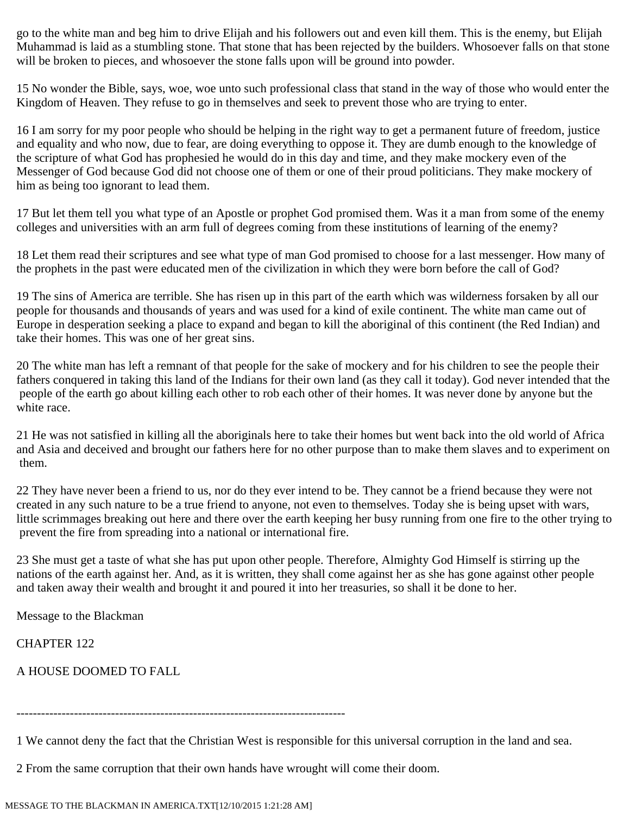go to the white man and beg him to drive Elijah and his followers out and even kill them. This is the enemy, but Elijah Muhammad is laid as a stumbling stone. That stone that has been rejected by the builders. Whosoever falls on that stone will be broken to pieces, and whosoever the stone falls upon will be ground into powder.

15 No wonder the Bible, says, woe, woe unto such professional class that stand in the way of those who would enter the Kingdom of Heaven. They refuse to go in themselves and seek to prevent those who are trying to enter.

16 I am sorry for my poor people who should be helping in the right way to get a permanent future of freedom, justice and equality and who now, due to fear, are doing everything to oppose it. They are dumb enough to the knowledge of the scripture of what God has prophesied he would do in this day and time, and they make mockery even of the Messenger of God because God did not choose one of them or one of their proud politicians. They make mockery of him as being too ignorant to lead them.

17 But let them tell you what type of an Apostle or prophet God promised them. Was it a man from some of the enemy colleges and universities with an arm full of degrees coming from these institutions of learning of the enemy?

18 Let them read their scriptures and see what type of man God promised to choose for a last messenger. How many of the prophets in the past were educated men of the civilization in which they were born before the call of God?

19 The sins of America are terrible. She has risen up in this part of the earth which was wilderness forsaken by all our people for thousands and thousands of years and was used for a kind of exile continent. The white man came out of Europe in desperation seeking a place to expand and began to kill the aboriginal of this continent (the Red Indian) and take their homes. This was one of her great sins.

20 The white man has left a remnant of that people for the sake of mockery and for his children to see the people their fathers conquered in taking this land of the Indians for their own land (as they call it today). God never intended that the people of the earth go about killing each other to rob each other of their homes. It was never done by anyone but the white race.

21 He was not satisfied in killing all the aboriginals here to take their homes but went back into the old world of Africa and Asia and deceived and brought our fathers here for no other purpose than to make them slaves and to experiment on them.

22 They have never been a friend to us, nor do they ever intend to be. They cannot be a friend because they were not created in any such nature to be a true friend to anyone, not even to themselves. Today she is being upset with wars, little scrimmages breaking out here and there over the earth keeping her busy running from one fire to the other trying to prevent the fire from spreading into a national or international fire.

23 She must get a taste of what she has put upon other people. Therefore, Almighty God Himself is stirring up the nations of the earth against her. And, as it is written, they shall come against her as she has gone against other people and taken away their wealth and brought it and poured it into her treasuries, so shall it be done to her.

Message to the Blackman

CHAPTER 122

A HOUSE DOOMED TO FALL

--------------------------------------------------------------------------------

1 We cannot deny the fact that the Christian West is responsible for this universal corruption in the land and sea.

2 From the same corruption that their own hands have wrought will come their doom.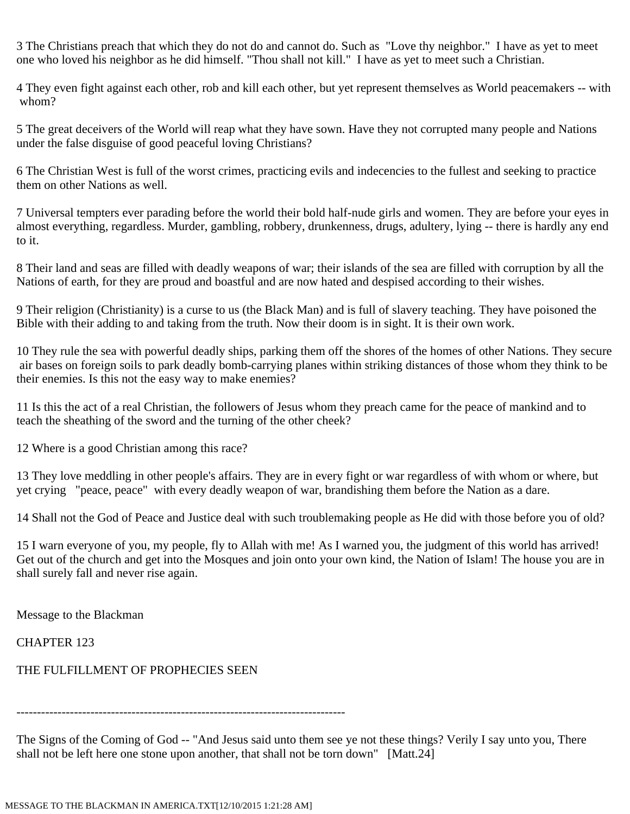3 The Christians preach that which they do not do and cannot do. Such as "Love thy neighbor." I have as yet to meet one who loved his neighbor as he did himself. "Thou shall not kill." I have as yet to meet such a Christian.

4 They even fight against each other, rob and kill each other, but yet represent themselves as World peacemakers -- with whom?

5 The great deceivers of the World will reap what they have sown. Have they not corrupted many people and Nations under the false disguise of good peaceful loving Christians?

6 The Christian West is full of the worst crimes, practicing evils and indecencies to the fullest and seeking to practice them on other Nations as well.

7 Universal tempters ever parading before the world their bold half-nude girls and women. They are before your eyes in almost everything, regardless. Murder, gambling, robbery, drunkenness, drugs, adultery, lying -- there is hardly any end to it.

8 Their land and seas are filled with deadly weapons of war; their islands of the sea are filled with corruption by all the Nations of earth, for they are proud and boastful and are now hated and despised according to their wishes.

9 Their religion (Christianity) is a curse to us (the Black Man) and is full of slavery teaching. They have poisoned the Bible with their adding to and taking from the truth. Now their doom is in sight. It is their own work.

10 They rule the sea with powerful deadly ships, parking them off the shores of the homes of other Nations. They secure air bases on foreign soils to park deadly bomb-carrying planes within striking distances of those whom they think to be their enemies. Is this not the easy way to make enemies?

11 Is this the act of a real Christian, the followers of Jesus whom they preach came for the peace of mankind and to teach the sheathing of the sword and the turning of the other cheek?

12 Where is a good Christian among this race?

13 They love meddling in other people's affairs. They are in every fight or war regardless of with whom or where, but yet crying "peace, peace" with every deadly weapon of war, brandishing them before the Nation as a dare.

14 Shall not the God of Peace and Justice deal with such troublemaking people as He did with those before you of old?

15 I warn everyone of you, my people, fly to Allah with me! As I warned you, the judgment of this world has arrived! Get out of the church and get into the Mosques and join onto your own kind, the Nation of Islam! The house you are in shall surely fall and never rise again.

Message to the Blackman

CHAPTER 123

THE FULFILLMENT OF PROPHECIES SEEN

--------------------------------------------------------------------------------

The Signs of the Coming of God -- "And Jesus said unto them see ye not these things? Verily I say unto you, There shall not be left here one stone upon another, that shall not be torn down" [Matt.24]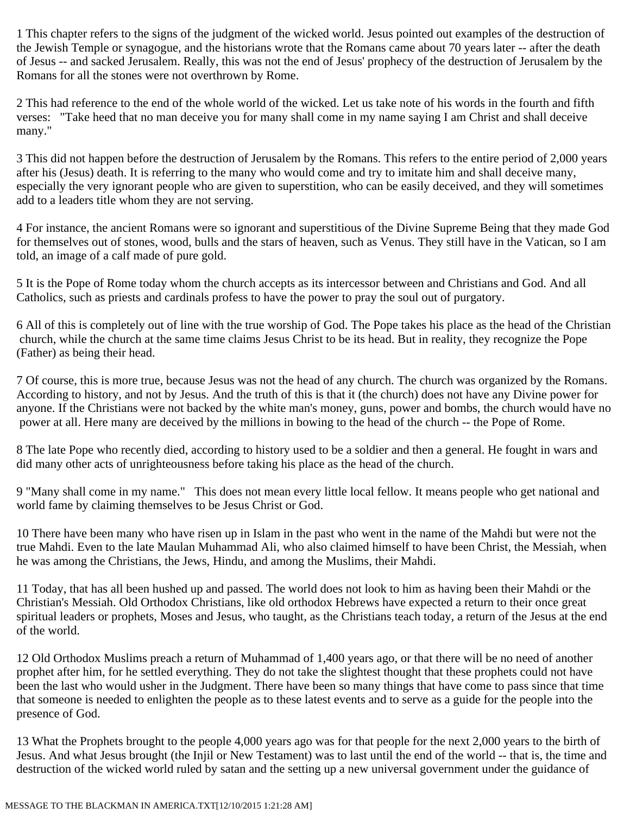1 This chapter refers to the signs of the judgment of the wicked world. Jesus pointed out examples of the destruction of the Jewish Temple or synagogue, and the historians wrote that the Romans came about 70 years later -- after the death of Jesus -- and sacked Jerusalem. Really, this was not the end of Jesus' prophecy of the destruction of Jerusalem by the Romans for all the stones were not overthrown by Rome.

2 This had reference to the end of the whole world of the wicked. Let us take note of his words in the fourth and fifth verses: "Take heed that no man deceive you for many shall come in my name saying I am Christ and shall deceive many."

3 This did not happen before the destruction of Jerusalem by the Romans. This refers to the entire period of 2,000 years after his (Jesus) death. It is referring to the many who would come and try to imitate him and shall deceive many, especially the very ignorant people who are given to superstition, who can be easily deceived, and they will sometimes add to a leaders title whom they are not serving.

4 For instance, the ancient Romans were so ignorant and superstitious of the Divine Supreme Being that they made God for themselves out of stones, wood, bulls and the stars of heaven, such as Venus. They still have in the Vatican, so I am told, an image of a calf made of pure gold.

5 It is the Pope of Rome today whom the church accepts as its intercessor between and Christians and God. And all Catholics, such as priests and cardinals profess to have the power to pray the soul out of purgatory.

6 All of this is completely out of line with the true worship of God. The Pope takes his place as the head of the Christian church, while the church at the same time claims Jesus Christ to be its head. But in reality, they recognize the Pope (Father) as being their head.

7 Of course, this is more true, because Jesus was not the head of any church. The church was organized by the Romans. According to history, and not by Jesus. And the truth of this is that it (the church) does not have any Divine power for anyone. If the Christians were not backed by the white man's money, guns, power and bombs, the church would have no power at all. Here many are deceived by the millions in bowing to the head of the church -- the Pope of Rome.

8 The late Pope who recently died, according to history used to be a soldier and then a general. He fought in wars and did many other acts of unrighteousness before taking his place as the head of the church.

9 "Many shall come in my name." This does not mean every little local fellow. It means people who get national and world fame by claiming themselves to be Jesus Christ or God.

10 There have been many who have risen up in Islam in the past who went in the name of the Mahdi but were not the true Mahdi. Even to the late Maulan Muhammad Ali, who also claimed himself to have been Christ, the Messiah, when he was among the Christians, the Jews, Hindu, and among the Muslims, their Mahdi.

11 Today, that has all been hushed up and passed. The world does not look to him as having been their Mahdi or the Christian's Messiah. Old Orthodox Christians, like old orthodox Hebrews have expected a return to their once great spiritual leaders or prophets, Moses and Jesus, who taught, as the Christians teach today, a return of the Jesus at the end of the world.

12 Old Orthodox Muslims preach a return of Muhammad of 1,400 years ago, or that there will be no need of another prophet after him, for he settled everything. They do not take the slightest thought that these prophets could not have been the last who would usher in the Judgment. There have been so many things that have come to pass since that time that someone is needed to enlighten the people as to these latest events and to serve as a guide for the people into the presence of God.

13 What the Prophets brought to the people 4,000 years ago was for that people for the next 2,000 years to the birth of Jesus. And what Jesus brought (the Injil or New Testament) was to last until the end of the world -- that is, the time and destruction of the wicked world ruled by satan and the setting up a new universal government under the guidance of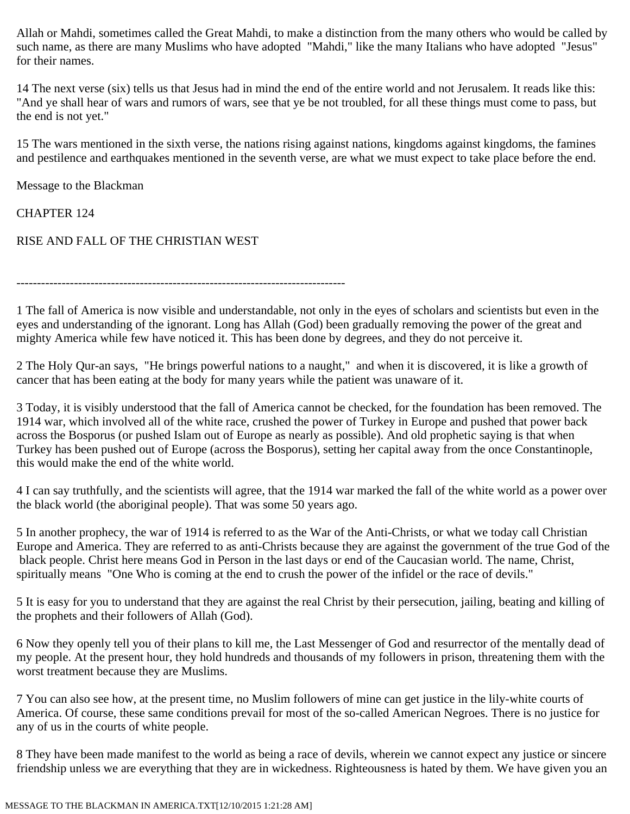Allah or Mahdi, sometimes called the Great Mahdi, to make a distinction from the many others who would be called by such name, as there are many Muslims who have adopted "Mahdi," like the many Italians who have adopted "Jesus" for their names.

14 The next verse (six) tells us that Jesus had in mind the end of the entire world and not Jerusalem. It reads like this: "And ye shall hear of wars and rumors of wars, see that ye be not troubled, for all these things must come to pass, but the end is not yet."

15 The wars mentioned in the sixth verse, the nations rising against nations, kingdoms against kingdoms, the famines and pestilence and earthquakes mentioned in the seventh verse, are what we must expect to take place before the end.

Message to the Blackman

CHAPTER 124

RISE AND FALL OF THE CHRISTIAN WEST

--------------------------------------------------------------------------------

1 The fall of America is now visible and understandable, not only in the eyes of scholars and scientists but even in the eyes and understanding of the ignorant. Long has Allah (God) been gradually removing the power of the great and mighty America while few have noticed it. This has been done by degrees, and they do not perceive it.

2 The Holy Qur-an says, "He brings powerful nations to a naught," and when it is discovered, it is like a growth of cancer that has been eating at the body for many years while the patient was unaware of it.

3 Today, it is visibly understood that the fall of America cannot be checked, for the foundation has been removed. The 1914 war, which involved all of the white race, crushed the power of Turkey in Europe and pushed that power back across the Bosporus (or pushed Islam out of Europe as nearly as possible). And old prophetic saying is that when Turkey has been pushed out of Europe (across the Bosporus), setting her capital away from the once Constantinople, this would make the end of the white world.

4 I can say truthfully, and the scientists will agree, that the 1914 war marked the fall of the white world as a power over the black world (the aboriginal people). That was some 50 years ago.

5 In another prophecy, the war of 1914 is referred to as the War of the Anti-Christs, or what we today call Christian Europe and America. They are referred to as anti-Christs because they are against the government of the true God of the black people. Christ here means God in Person in the last days or end of the Caucasian world. The name, Christ, spiritually means "One Who is coming at the end to crush the power of the infidel or the race of devils."

5 It is easy for you to understand that they are against the real Christ by their persecution, jailing, beating and killing of the prophets and their followers of Allah (God).

6 Now they openly tell you of their plans to kill me, the Last Messenger of God and resurrector of the mentally dead of my people. At the present hour, they hold hundreds and thousands of my followers in prison, threatening them with the worst treatment because they are Muslims.

7 You can also see how, at the present time, no Muslim followers of mine can get justice in the lily-white courts of America. Of course, these same conditions prevail for most of the so-called American Negroes. There is no justice for any of us in the courts of white people.

8 They have been made manifest to the world as being a race of devils, wherein we cannot expect any justice or sincere friendship unless we are everything that they are in wickedness. Righteousness is hated by them. We have given you an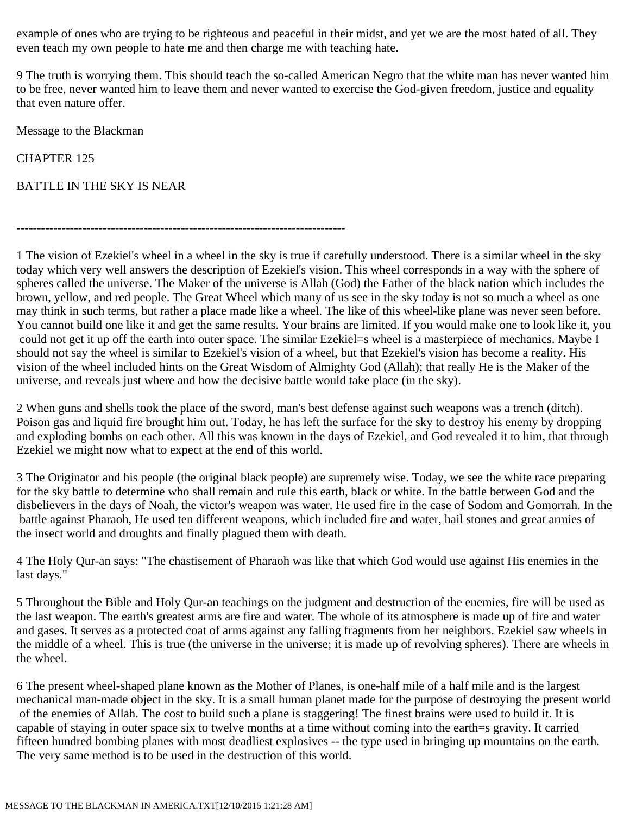example of ones who are trying to be righteous and peaceful in their midst, and yet we are the most hated of all. They even teach my own people to hate me and then charge me with teaching hate.

9 The truth is worrying them. This should teach the so-called American Negro that the white man has never wanted him to be free, never wanted him to leave them and never wanted to exercise the God-given freedom, justice and equality that even nature offer.

Message to the Blackman

CHAPTER 125

BATTLE IN THE SKY IS NEAR

--------------------------------------------------------------------------------

1 The vision of Ezekiel's wheel in a wheel in the sky is true if carefully understood. There is a similar wheel in the sky today which very well answers the description of Ezekiel's vision. This wheel corresponds in a way with the sphere of spheres called the universe. The Maker of the universe is Allah (God) the Father of the black nation which includes the brown, yellow, and red people. The Great Wheel which many of us see in the sky today is not so much a wheel as one may think in such terms, but rather a place made like a wheel. The like of this wheel-like plane was never seen before. You cannot build one like it and get the same results. Your brains are limited. If you would make one to look like it, you could not get it up off the earth into outer space. The similar Ezekiel=s wheel is a masterpiece of mechanics. Maybe I should not say the wheel is similar to Ezekiel's vision of a wheel, but that Ezekiel's vision has become a reality. His vision of the wheel included hints on the Great Wisdom of Almighty God (Allah); that really He is the Maker of the universe, and reveals just where and how the decisive battle would take place (in the sky).

2 When guns and shells took the place of the sword, man's best defense against such weapons was a trench (ditch). Poison gas and liquid fire brought him out. Today, he has left the surface for the sky to destroy his enemy by dropping and exploding bombs on each other. All this was known in the days of Ezekiel, and God revealed it to him, that through Ezekiel we might now what to expect at the end of this world.

3 The Originator and his people (the original black people) are supremely wise. Today, we see the white race preparing for the sky battle to determine who shall remain and rule this earth, black or white. In the battle between God and the disbelievers in the days of Noah, the victor's weapon was water. He used fire in the case of Sodom and Gomorrah. In the battle against Pharaoh, He used ten different weapons, which included fire and water, hail stones and great armies of the insect world and droughts and finally plagued them with death.

4 The Holy Qur-an says: "The chastisement of Pharaoh was like that which God would use against His enemies in the last days."

5 Throughout the Bible and Holy Qur-an teachings on the judgment and destruction of the enemies, fire will be used as the last weapon. The earth's greatest arms are fire and water. The whole of its atmosphere is made up of fire and water and gases. It serves as a protected coat of arms against any falling fragments from her neighbors. Ezekiel saw wheels in the middle of a wheel. This is true (the universe in the universe; it is made up of revolving spheres). There are wheels in the wheel.

6 The present wheel-shaped plane known as the Mother of Planes, is one-half mile of a half mile and is the largest mechanical man-made object in the sky. It is a small human planet made for the purpose of destroying the present world of the enemies of Allah. The cost to build such a plane is staggering! The finest brains were used to build it. It is capable of staying in outer space six to twelve months at a time without coming into the earth=s gravity. It carried fifteen hundred bombing planes with most deadliest explosives -- the type used in bringing up mountains on the earth. The very same method is to be used in the destruction of this world.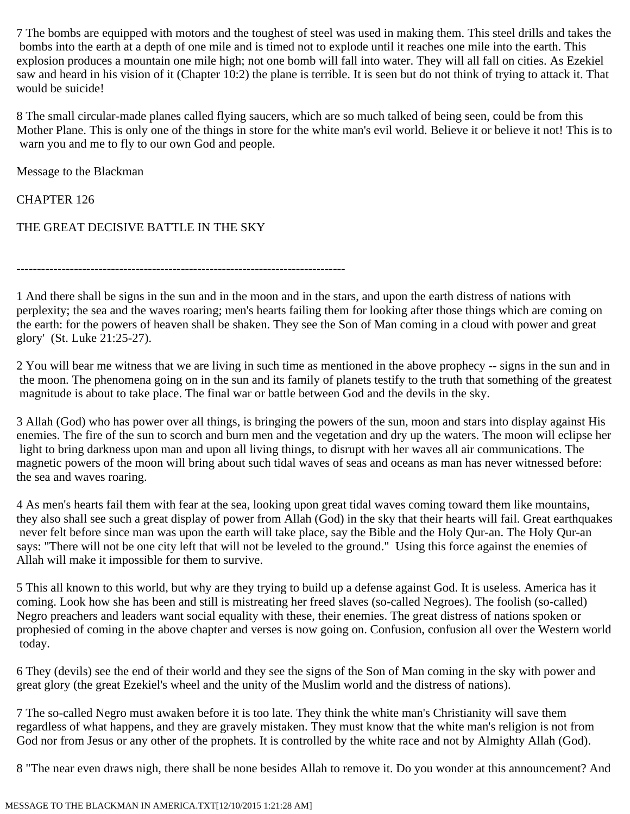7 The bombs are equipped with motors and the toughest of steel was used in making them. This steel drills and takes the bombs into the earth at a depth of one mile and is timed not to explode until it reaches one mile into the earth. This explosion produces a mountain one mile high; not one bomb will fall into water. They will all fall on cities. As Ezekiel saw and heard in his vision of it (Chapter 10:2) the plane is terrible. It is seen but do not think of trying to attack it. That would be suicide!

8 The small circular-made planes called flying saucers, which are so much talked of being seen, could be from this Mother Plane. This is only one of the things in store for the white man's evil world. Believe it or believe it not! This is to warn you and me to fly to our own God and people.

Message to the Blackman

CHAPTER 126

THE GREAT DECISIVE BATTLE IN THE SKY

--------------------------------------------------------------------------------

1 And there shall be signs in the sun and in the moon and in the stars, and upon the earth distress of nations with perplexity; the sea and the waves roaring; men's hearts failing them for looking after those things which are coming on the earth: for the powers of heaven shall be shaken. They see the Son of Man coming in a cloud with power and great glory' (St. Luke 21:25-27).

2 You will bear me witness that we are living in such time as mentioned in the above prophecy -- signs in the sun and in the moon. The phenomena going on in the sun and its family of planets testify to the truth that something of the greatest magnitude is about to take place. The final war or battle between God and the devils in the sky.

3 Allah (God) who has power over all things, is bringing the powers of the sun, moon and stars into display against His enemies. The fire of the sun to scorch and burn men and the vegetation and dry up the waters. The moon will eclipse her light to bring darkness upon man and upon all living things, to disrupt with her waves all air communications. The magnetic powers of the moon will bring about such tidal waves of seas and oceans as man has never witnessed before: the sea and waves roaring.

4 As men's hearts fail them with fear at the sea, looking upon great tidal waves coming toward them like mountains, they also shall see such a great display of power from Allah (God) in the sky that their hearts will fail. Great earthquakes never felt before since man was upon the earth will take place, say the Bible and the Holy Qur-an. The Holy Qur-an says: "There will not be one city left that will not be leveled to the ground." Using this force against the enemies of Allah will make it impossible for them to survive.

5 This all known to this world, but why are they trying to build up a defense against God. It is useless. America has it coming. Look how she has been and still is mistreating her freed slaves (so-called Negroes). The foolish (so-called) Negro preachers and leaders want social equality with these, their enemies. The great distress of nations spoken or prophesied of coming in the above chapter and verses is now going on. Confusion, confusion all over the Western world today.

6 They (devils) see the end of their world and they see the signs of the Son of Man coming in the sky with power and great glory (the great Ezekiel's wheel and the unity of the Muslim world and the distress of nations).

7 The so-called Negro must awaken before it is too late. They think the white man's Christianity will save them regardless of what happens, and they are gravely mistaken. They must know that the white man's religion is not from God nor from Jesus or any other of the prophets. It is controlled by the white race and not by Almighty Allah (God).

8 "The near even draws nigh, there shall be none besides Allah to remove it. Do you wonder at this announcement? And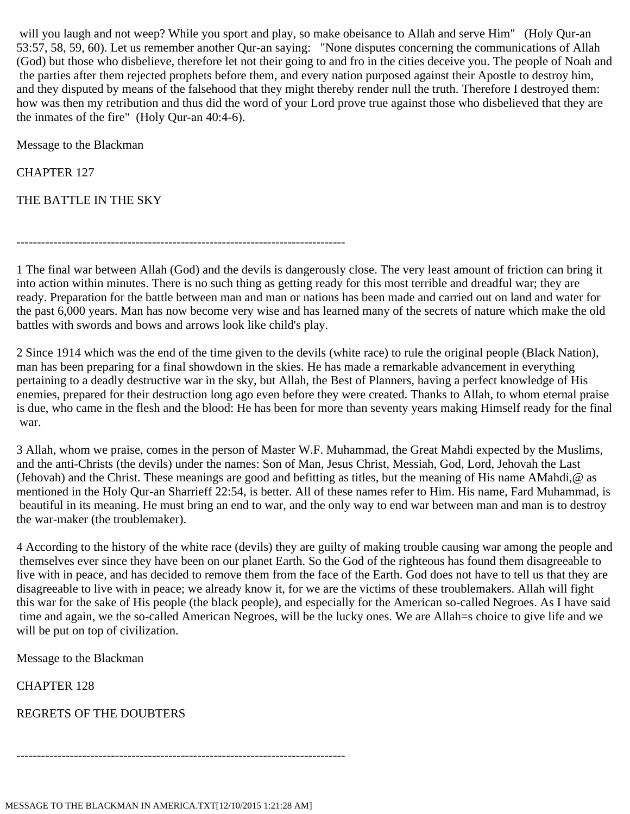will you laugh and not weep? While you sport and play, so make obeisance to Allah and serve Him" (Holy Qur-an 53:57, 58, 59, 60). Let us remember another Qur-an saying: "None disputes concerning the communications of Allah (God) but those who disbelieve, therefore let not their going to and fro in the cities deceive you. The people of Noah and the parties after them rejected prophets before them, and every nation purposed against their Apostle to destroy him, and they disputed by means of the falsehood that they might thereby render null the truth. Therefore I destroyed them: how was then my retribution and thus did the word of your Lord prove true against those who disbelieved that they are the inmates of the fire" (Holy Qur-an 40:4-6).

Message to the Blackman

CHAPTER 127

THE BATTLE IN THE SKY

--------------------------------------------------------------------------------

1 The final war between Allah (God) and the devils is dangerously close. The very least amount of friction can bring it into action within minutes. There is no such thing as getting ready for this most terrible and dreadful war; they are ready. Preparation for the battle between man and man or nations has been made and carried out on land and water for the past 6,000 years. Man has now become very wise and has learned many of the secrets of nature which make the old battles with swords and bows and arrows look like child's play.

2 Since 1914 which was the end of the time given to the devils (white race) to rule the original people (Black Nation), man has been preparing for a final showdown in the skies. He has made a remarkable advancement in everything pertaining to a deadly destructive war in the sky, but Allah, the Best of Planners, having a perfect knowledge of His enemies, prepared for their destruction long ago even before they were created. Thanks to Allah, to whom eternal praise is due, who came in the flesh and the blood: He has been for more than seventy years making Himself ready for the final war.

3 Allah, whom we praise, comes in the person of Master W.F. Muhammad, the Great Mahdi expected by the Muslims, and the anti-Christs (the devils) under the names: Son of Man, Jesus Christ, Messiah, God, Lord, Jehovah the Last (Jehovah) and the Christ. These meanings are good and befitting as titles, but the meaning of His name AMahdi,@ as mentioned in the Holy Qur-an Sharrieff 22:54, is better. All of these names refer to Him. His name, Fard Muhammad, is beautiful in its meaning. He must bring an end to war, and the only way to end war between man and man is to destroy the war-maker (the troublemaker).

4 According to the history of the white race (devils) they are guilty of making trouble causing war among the people and themselves ever since they have been on our planet Earth. So the God of the righteous has found them disagreeable to live with in peace, and has decided to remove them from the face of the Earth. God does not have to tell us that they are disagreeable to live with in peace; we already know it, for we are the victims of these troublemakers. Allah will fight this war for the sake of His people (the black people), and especially for the American so-called Negroes. As I have said time and again, we the so-called American Negroes, will be the lucky ones. We are Allah=s choice to give life and we will be put on top of civilization.

Message to the Blackman

CHAPTER 128

REGRETS OF THE DOUBTERS

--------------------------------------------------------------------------------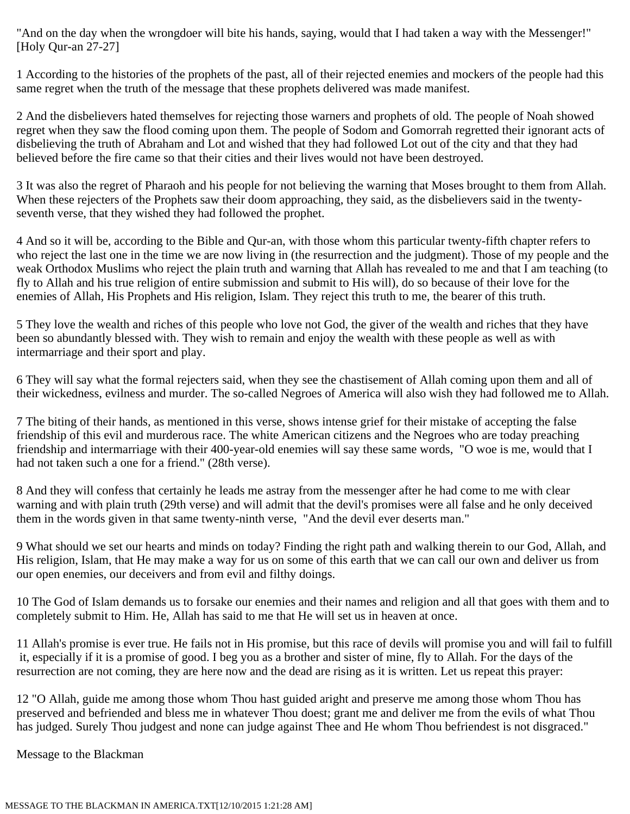"And on the day when the wrongdoer will bite his hands, saying, would that I had taken a way with the Messenger!" [Holy Qur-an 27-27]

1 According to the histories of the prophets of the past, all of their rejected enemies and mockers of the people had this same regret when the truth of the message that these prophets delivered was made manifest.

2 And the disbelievers hated themselves for rejecting those warners and prophets of old. The people of Noah showed regret when they saw the flood coming upon them. The people of Sodom and Gomorrah regretted their ignorant acts of disbelieving the truth of Abraham and Lot and wished that they had followed Lot out of the city and that they had believed before the fire came so that their cities and their lives would not have been destroyed.

3 It was also the regret of Pharaoh and his people for not believing the warning that Moses brought to them from Allah. When these rejecters of the Prophets saw their doom approaching, they said, as the disbelievers said in the twentyseventh verse, that they wished they had followed the prophet.

4 And so it will be, according to the Bible and Qur-an, with those whom this particular twenty-fifth chapter refers to who reject the last one in the time we are now living in (the resurrection and the judgment). Those of my people and the weak Orthodox Muslims who reject the plain truth and warning that Allah has revealed to me and that I am teaching (to fly to Allah and his true religion of entire submission and submit to His will), do so because of their love for the enemies of Allah, His Prophets and His religion, Islam. They reject this truth to me, the bearer of this truth.

5 They love the wealth and riches of this people who love not God, the giver of the wealth and riches that they have been so abundantly blessed with. They wish to remain and enjoy the wealth with these people as well as with intermarriage and their sport and play.

6 They will say what the formal rejecters said, when they see the chastisement of Allah coming upon them and all of their wickedness, evilness and murder. The so-called Negroes of America will also wish they had followed me to Allah.

7 The biting of their hands, as mentioned in this verse, shows intense grief for their mistake of accepting the false friendship of this evil and murderous race. The white American citizens and the Negroes who are today preaching friendship and intermarriage with their 400-year-old enemies will say these same words, "O woe is me, would that I had not taken such a one for a friend." (28th verse).

8 And they will confess that certainly he leads me astray from the messenger after he had come to me with clear warning and with plain truth (29th verse) and will admit that the devil's promises were all false and he only deceived them in the words given in that same twenty-ninth verse, "And the devil ever deserts man."

9 What should we set our hearts and minds on today? Finding the right path and walking therein to our God, Allah, and His religion, Islam, that He may make a way for us on some of this earth that we can call our own and deliver us from our open enemies, our deceivers and from evil and filthy doings.

10 The God of Islam demands us to forsake our enemies and their names and religion and all that goes with them and to completely submit to Him. He, Allah has said to me that He will set us in heaven at once.

11 Allah's promise is ever true. He fails not in His promise, but this race of devils will promise you and will fail to fulfill it, especially if it is a promise of good. I beg you as a brother and sister of mine, fly to Allah. For the days of the resurrection are not coming, they are here now and the dead are rising as it is written. Let us repeat this prayer:

12 "O Allah, guide me among those whom Thou hast guided aright and preserve me among those whom Thou has preserved and befriended and bless me in whatever Thou doest; grant me and deliver me from the evils of what Thou has judged. Surely Thou judgest and none can judge against Thee and He whom Thou befriendest is not disgraced."

Message to the Blackman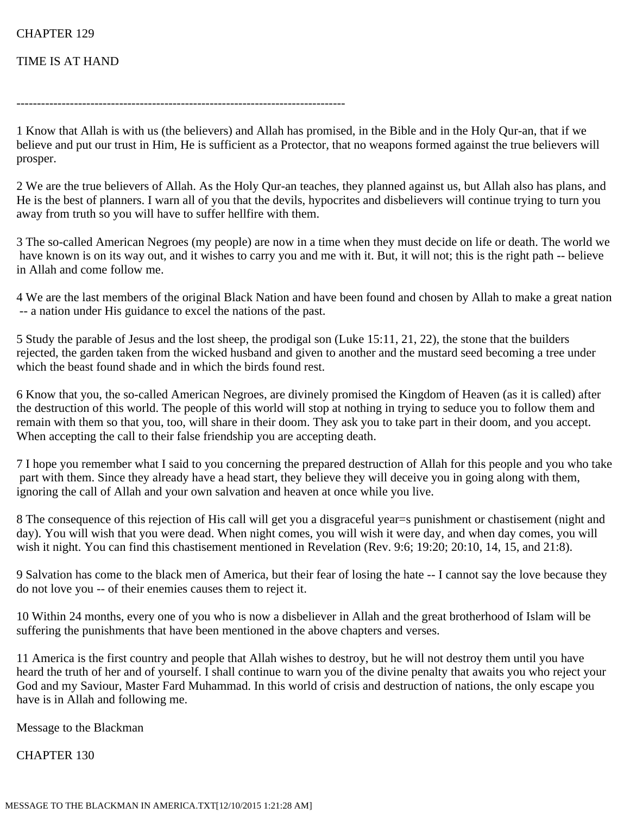#### CHAPTER 129

#### TIME IS AT HAND

--------------------------------------------------------------------------------

1 Know that Allah is with us (the believers) and Allah has promised, in the Bible and in the Holy Qur-an, that if we believe and put our trust in Him, He is sufficient as a Protector, that no weapons formed against the true believers will prosper.

2 We are the true believers of Allah. As the Holy Qur-an teaches, they planned against us, but Allah also has plans, and He is the best of planners. I warn all of you that the devils, hypocrites and disbelievers will continue trying to turn you away from truth so you will have to suffer hellfire with them.

3 The so-called American Negroes (my people) are now in a time when they must decide on life or death. The world we have known is on its way out, and it wishes to carry you and me with it. But, it will not; this is the right path -- believe in Allah and come follow me.

4 We are the last members of the original Black Nation and have been found and chosen by Allah to make a great nation -- a nation under His guidance to excel the nations of the past.

5 Study the parable of Jesus and the lost sheep, the prodigal son (Luke 15:11, 21, 22), the stone that the builders rejected, the garden taken from the wicked husband and given to another and the mustard seed becoming a tree under which the beast found shade and in which the birds found rest.

6 Know that you, the so-called American Negroes, are divinely promised the Kingdom of Heaven (as it is called) after the destruction of this world. The people of this world will stop at nothing in trying to seduce you to follow them and remain with them so that you, too, will share in their doom. They ask you to take part in their doom, and you accept. When accepting the call to their false friendship you are accepting death.

7 I hope you remember what I said to you concerning the prepared destruction of Allah for this people and you who take part with them. Since they already have a head start, they believe they will deceive you in going along with them, ignoring the call of Allah and your own salvation and heaven at once while you live.

8 The consequence of this rejection of His call will get you a disgraceful year=s punishment or chastisement (night and day). You will wish that you were dead. When night comes, you will wish it were day, and when day comes, you will wish it night. You can find this chastisement mentioned in Revelation (Rev. 9:6; 19:20; 20:10, 14, 15, and 21:8).

9 Salvation has come to the black men of America, but their fear of losing the hate -- I cannot say the love because they do not love you -- of their enemies causes them to reject it.

10 Within 24 months, every one of you who is now a disbeliever in Allah and the great brotherhood of Islam will be suffering the punishments that have been mentioned in the above chapters and verses.

11 America is the first country and people that Allah wishes to destroy, but he will not destroy them until you have heard the truth of her and of yourself. I shall continue to warn you of the divine penalty that awaits you who reject your God and my Saviour, Master Fard Muhammad. In this world of crisis and destruction of nations, the only escape you have is in Allah and following me.

Message to the Blackman

CHAPTER 130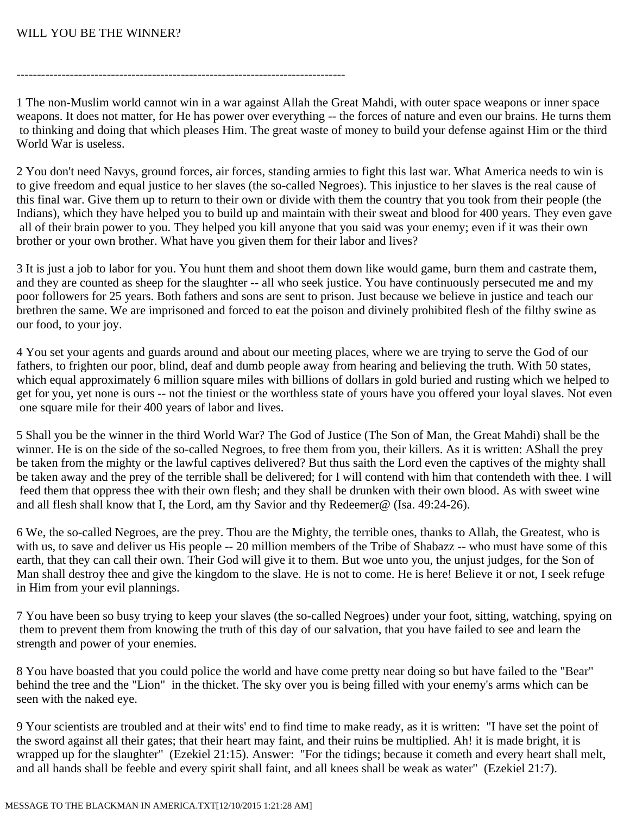--------------------------------------------------------------------------------

1 The non-Muslim world cannot win in a war against Allah the Great Mahdi, with outer space weapons or inner space weapons. It does not matter, for He has power over everything -- the forces of nature and even our brains. He turns them to thinking and doing that which pleases Him. The great waste of money to build your defense against Him or the third World War is useless.

2 You don't need Navys, ground forces, air forces, standing armies to fight this last war. What America needs to win is to give freedom and equal justice to her slaves (the so-called Negroes). This injustice to her slaves is the real cause of this final war. Give them up to return to their own or divide with them the country that you took from their people (the Indians), which they have helped you to build up and maintain with their sweat and blood for 400 years. They even gave all of their brain power to you. They helped you kill anyone that you said was your enemy; even if it was their own brother or your own brother. What have you given them for their labor and lives?

3 It is just a job to labor for you. You hunt them and shoot them down like would game, burn them and castrate them, and they are counted as sheep for the slaughter -- all who seek justice. You have continuously persecuted me and my poor followers for 25 years. Both fathers and sons are sent to prison. Just because we believe in justice and teach our brethren the same. We are imprisoned and forced to eat the poison and divinely prohibited flesh of the filthy swine as our food, to your joy.

4 You set your agents and guards around and about our meeting places, where we are trying to serve the God of our fathers, to frighten our poor, blind, deaf and dumb people away from hearing and believing the truth. With 50 states, which equal approximately 6 million square miles with billions of dollars in gold buried and rusting which we helped to get for you, yet none is ours -- not the tiniest or the worthless state of yours have you offered your loyal slaves. Not even one square mile for their 400 years of labor and lives.

5 Shall you be the winner in the third World War? The God of Justice (The Son of Man, the Great Mahdi) shall be the winner. He is on the side of the so-called Negroes, to free them from you, their killers. As it is written: AShall the prey be taken from the mighty or the lawful captives delivered? But thus saith the Lord even the captives of the mighty shall be taken away and the prey of the terrible shall be delivered; for I will contend with him that contendeth with thee. I will feed them that oppress thee with their own flesh; and they shall be drunken with their own blood. As with sweet wine and all flesh shall know that I, the Lord, am thy Savior and thy Redeemer@ (Isa. 49:24-26).

6 We, the so-called Negroes, are the prey. Thou are the Mighty, the terrible ones, thanks to Allah, the Greatest, who is with us, to save and deliver us His people -- 20 million members of the Tribe of Shabazz -- who must have some of this earth, that they can call their own. Their God will give it to them. But woe unto you, the unjust judges, for the Son of Man shall destroy thee and give the kingdom to the slave. He is not to come. He is here! Believe it or not, I seek refuge in Him from your evil plannings.

7 You have been so busy trying to keep your slaves (the so-called Negroes) under your foot, sitting, watching, spying on them to prevent them from knowing the truth of this day of our salvation, that you have failed to see and learn the strength and power of your enemies.

8 You have boasted that you could police the world and have come pretty near doing so but have failed to the "Bear" behind the tree and the "Lion" in the thicket. The sky over you is being filled with your enemy's arms which can be seen with the naked eye.

9 Your scientists are troubled and at their wits' end to find time to make ready, as it is written: "I have set the point of the sword against all their gates; that their heart may faint, and their ruins be multiplied. Ah! it is made bright, it is wrapped up for the slaughter" (Ezekiel 21:15). Answer: "For the tidings; because it cometh and every heart shall melt, and all hands shall be feeble and every spirit shall faint, and all knees shall be weak as water" (Ezekiel 21:7).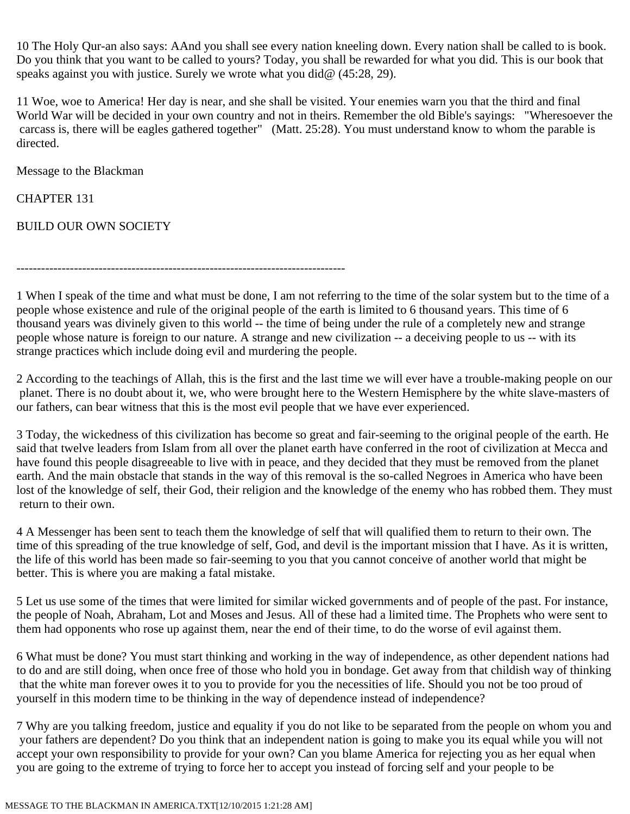10 The Holy Qur-an also says: AAnd you shall see every nation kneeling down. Every nation shall be called to is book. Do you think that you want to be called to yours? Today, you shall be rewarded for what you did. This is our book that speaks against you with justice. Surely we wrote what you did@  $(45:28, 29)$ .

11 Woe, woe to America! Her day is near, and she shall be visited. Your enemies warn you that the third and final World War will be decided in your own country and not in theirs. Remember the old Bible's sayings: "Wheresoever the carcass is, there will be eagles gathered together" (Matt. 25:28). You must understand know to whom the parable is directed.

Message to the Blackman

CHAPTER 131

BUILD OUR OWN SOCIETY

--------------------------------------------------------------------------------

1 When I speak of the time and what must be done, I am not referring to the time of the solar system but to the time of a people whose existence and rule of the original people of the earth is limited to 6 thousand years. This time of 6 thousand years was divinely given to this world -- the time of being under the rule of a completely new and strange people whose nature is foreign to our nature. A strange and new civilization -- a deceiving people to us -- with its strange practices which include doing evil and murdering the people.

2 According to the teachings of Allah, this is the first and the last time we will ever have a trouble-making people on our planet. There is no doubt about it, we, who were brought here to the Western Hemisphere by the white slave-masters of our fathers, can bear witness that this is the most evil people that we have ever experienced.

3 Today, the wickedness of this civilization has become so great and fair-seeming to the original people of the earth. He said that twelve leaders from Islam from all over the planet earth have conferred in the root of civilization at Mecca and have found this people disagreeable to live with in peace, and they decided that they must be removed from the planet earth. And the main obstacle that stands in the way of this removal is the so-called Negroes in America who have been lost of the knowledge of self, their God, their religion and the knowledge of the enemy who has robbed them. They must return to their own.

4 A Messenger has been sent to teach them the knowledge of self that will qualified them to return to their own. The time of this spreading of the true knowledge of self, God, and devil is the important mission that I have. As it is written, the life of this world has been made so fair-seeming to you that you cannot conceive of another world that might be better. This is where you are making a fatal mistake.

5 Let us use some of the times that were limited for similar wicked governments and of people of the past. For instance, the people of Noah, Abraham, Lot and Moses and Jesus. All of these had a limited time. The Prophets who were sent to them had opponents who rose up against them, near the end of their time, to do the worse of evil against them.

6 What must be done? You must start thinking and working in the way of independence, as other dependent nations had to do and are still doing, when once free of those who hold you in bondage. Get away from that childish way of thinking that the white man forever owes it to you to provide for you the necessities of life. Should you not be too proud of yourself in this modern time to be thinking in the way of dependence instead of independence?

7 Why are you talking freedom, justice and equality if you do not like to be separated from the people on whom you and your fathers are dependent? Do you think that an independent nation is going to make you its equal while you will not accept your own responsibility to provide for your own? Can you blame America for rejecting you as her equal when you are going to the extreme of trying to force her to accept you instead of forcing self and your people to be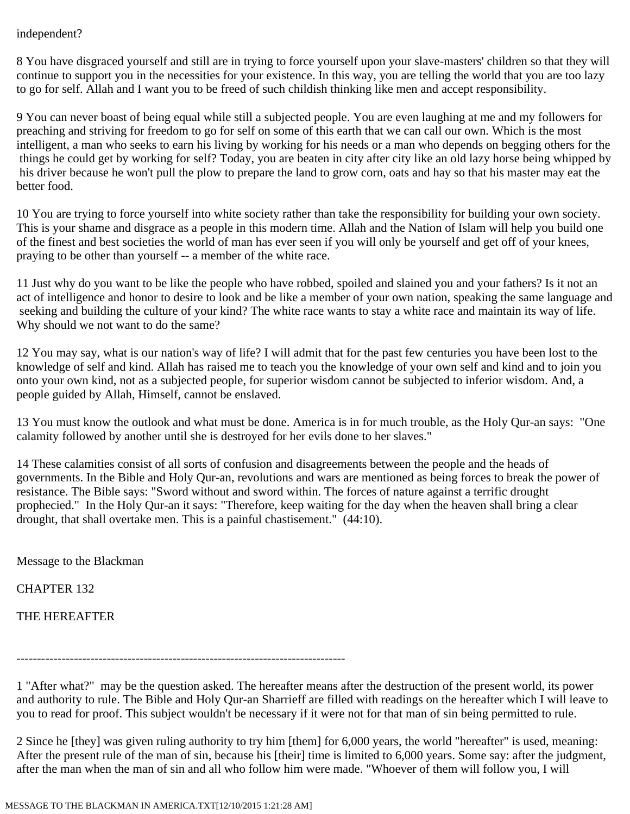#### independent?

8 You have disgraced yourself and still are in trying to force yourself upon your slave-masters' children so that they will continue to support you in the necessities for your existence. In this way, you are telling the world that you are too lazy to go for self. Allah and I want you to be freed of such childish thinking like men and accept responsibility.

9 You can never boast of being equal while still a subjected people. You are even laughing at me and my followers for preaching and striving for freedom to go for self on some of this earth that we can call our own. Which is the most intelligent, a man who seeks to earn his living by working for his needs or a man who depends on begging others for the things he could get by working for self? Today, you are beaten in city after city like an old lazy horse being whipped by his driver because he won't pull the plow to prepare the land to grow corn, oats and hay so that his master may eat the better food.

10 You are trying to force yourself into white society rather than take the responsibility for building your own society. This is your shame and disgrace as a people in this modern time. Allah and the Nation of Islam will help you build one of the finest and best societies the world of man has ever seen if you will only be yourself and get off of your knees, praying to be other than yourself -- a member of the white race.

11 Just why do you want to be like the people who have robbed, spoiled and slained you and your fathers? Is it not an act of intelligence and honor to desire to look and be like a member of your own nation, speaking the same language and seeking and building the culture of your kind? The white race wants to stay a white race and maintain its way of life. Why should we not want to do the same?

12 You may say, what is our nation's way of life? I will admit that for the past few centuries you have been lost to the knowledge of self and kind. Allah has raised me to teach you the knowledge of your own self and kind and to join you onto your own kind, not as a subjected people, for superior wisdom cannot be subjected to inferior wisdom. And, a people guided by Allah, Himself, cannot be enslaved.

13 You must know the outlook and what must be done. America is in for much trouble, as the Holy Qur-an says: "One calamity followed by another until she is destroyed for her evils done to her slaves."

14 These calamities consist of all sorts of confusion and disagreements between the people and the heads of governments. In the Bible and Holy Qur-an, revolutions and wars are mentioned as being forces to break the power of resistance. The Bible says: "Sword without and sword within. The forces of nature against a terrific drought prophecied." In the Holy Qur-an it says: "Therefore, keep waiting for the day when the heaven shall bring a clear drought, that shall overtake men. This is a painful chastisement." (44:10).

Message to the Blackman

CHAPTER 132

THE HEREAFTER

--------------------------------------------------------------------------------

1 "After what?" may be the question asked. The hereafter means after the destruction of the present world, its power and authority to rule. The Bible and Holy Qur-an Sharrieff are filled with readings on the hereafter which I will leave to you to read for proof. This subject wouldn't be necessary if it were not for that man of sin being permitted to rule.

2 Since he [they] was given ruling authority to try him [them] for 6,000 years, the world "hereafter" is used, meaning: After the present rule of the man of sin, because his [their] time is limited to 6,000 years. Some say: after the judgment, after the man when the man of sin and all who follow him were made. "Whoever of them will follow you, I will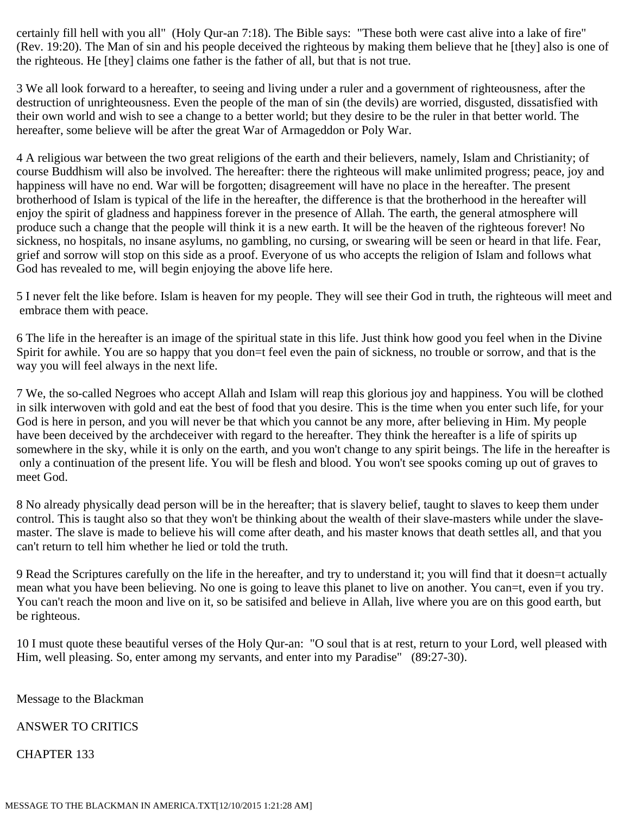certainly fill hell with you all" (Holy Qur-an 7:18). The Bible says: "These both were cast alive into a lake of fire" (Rev. 19:20). The Man of sin and his people deceived the righteous by making them believe that he [they] also is one of the righteous. He [they] claims one father is the father of all, but that is not true.

3 We all look forward to a hereafter, to seeing and living under a ruler and a government of righteousness, after the destruction of unrighteousness. Even the people of the man of sin (the devils) are worried, disgusted, dissatisfied with their own world and wish to see a change to a better world; but they desire to be the ruler in that better world. The hereafter, some believe will be after the great War of Armageddon or Poly War.

4 A religious war between the two great religions of the earth and their believers, namely, Islam and Christianity; of course Buddhism will also be involved. The hereafter: there the righteous will make unlimited progress; peace, joy and happiness will have no end. War will be forgotten; disagreement will have no place in the hereafter. The present brotherhood of Islam is typical of the life in the hereafter, the difference is that the brotherhood in the hereafter will enjoy the spirit of gladness and happiness forever in the presence of Allah. The earth, the general atmosphere will produce such a change that the people will think it is a new earth. It will be the heaven of the righteous forever! No sickness, no hospitals, no insane asylums, no gambling, no cursing, or swearing will be seen or heard in that life. Fear, grief and sorrow will stop on this side as a proof. Everyone of us who accepts the religion of Islam and follows what God has revealed to me, will begin enjoying the above life here.

5 I never felt the like before. Islam is heaven for my people. They will see their God in truth, the righteous will meet and embrace them with peace.

6 The life in the hereafter is an image of the spiritual state in this life. Just think how good you feel when in the Divine Spirit for awhile. You are so happy that you don=t feel even the pain of sickness, no trouble or sorrow, and that is the way you will feel always in the next life.

7 We, the so-called Negroes who accept Allah and Islam will reap this glorious joy and happiness. You will be clothed in silk interwoven with gold and eat the best of food that you desire. This is the time when you enter such life, for your God is here in person, and you will never be that which you cannot be any more, after believing in Him. My people have been deceived by the archdeceiver with regard to the hereafter. They think the hereafter is a life of spirits up somewhere in the sky, while it is only on the earth, and you won't change to any spirit beings. The life in the hereafter is only a continuation of the present life. You will be flesh and blood. You won't see spooks coming up out of graves to meet God.

8 No already physically dead person will be in the hereafter; that is slavery belief, taught to slaves to keep them under control. This is taught also so that they won't be thinking about the wealth of their slave-masters while under the slavemaster. The slave is made to believe his will come after death, and his master knows that death settles all, and that you can't return to tell him whether he lied or told the truth.

9 Read the Scriptures carefully on the life in the hereafter, and try to understand it; you will find that it doesn=t actually mean what you have been believing. No one is going to leave this planet to live on another. You can=t, even if you try. You can't reach the moon and live on it, so be satisifed and believe in Allah, live where you are on this good earth, but be righteous.

10 I must quote these beautiful verses of the Holy Qur-an: "O soul that is at rest, return to your Lord, well pleased with Him, well pleasing. So, enter among my servants, and enter into my Paradise" (89:27-30).

Message to the Blackman

ANSWER TO CRITICS

CHAPTER 133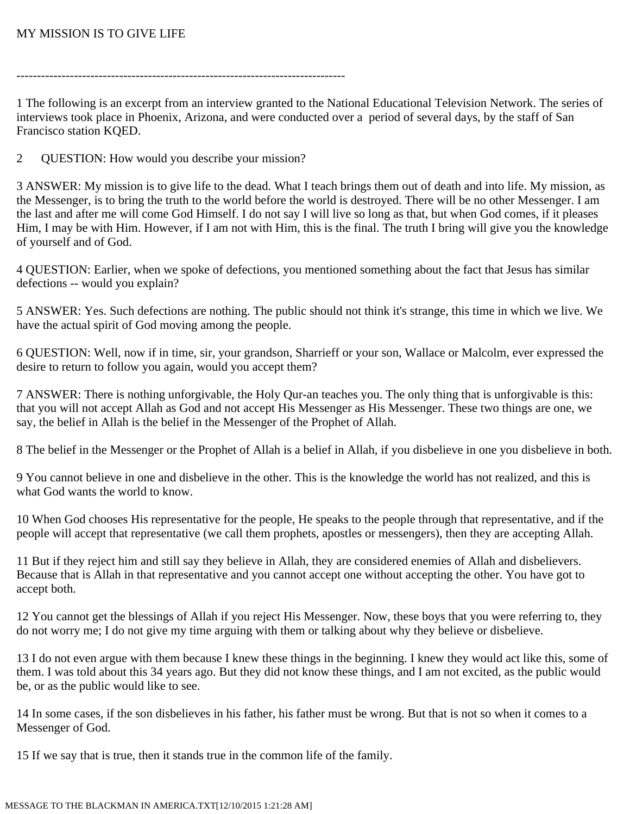--------------------------------------------------------------------------------

1 The following is an excerpt from an interview granted to the National Educational Television Network. The series of interviews took place in Phoenix, Arizona, and were conducted over a period of several days, by the staff of San Francisco station KQED.

2 QUESTION: How would you describe your mission?

3 ANSWER: My mission is to give life to the dead. What I teach brings them out of death and into life. My mission, as the Messenger, is to bring the truth to the world before the world is destroyed. There will be no other Messenger. I am the last and after me will come God Himself. I do not say I will live so long as that, but when God comes, if it pleases Him, I may be with Him. However, if I am not with Him, this is the final. The truth I bring will give you the knowledge of yourself and of God.

4 QUESTION: Earlier, when we spoke of defections, you mentioned something about the fact that Jesus has similar defections -- would you explain?

5 ANSWER: Yes. Such defections are nothing. The public should not think it's strange, this time in which we live. We have the actual spirit of God moving among the people.

6 QUESTION: Well, now if in time, sir, your grandson, Sharrieff or your son, Wallace or Malcolm, ever expressed the desire to return to follow you again, would you accept them?

7 ANSWER: There is nothing unforgivable, the Holy Qur-an teaches you. The only thing that is unforgivable is this: that you will not accept Allah as God and not accept His Messenger as His Messenger. These two things are one, we say, the belief in Allah is the belief in the Messenger of the Prophet of Allah.

8 The belief in the Messenger or the Prophet of Allah is a belief in Allah, if you disbelieve in one you disbelieve in both.

9 You cannot believe in one and disbelieve in the other. This is the knowledge the world has not realized, and this is what God wants the world to know.

10 When God chooses His representative for the people, He speaks to the people through that representative, and if the people will accept that representative (we call them prophets, apostles or messengers), then they are accepting Allah.

11 But if they reject him and still say they believe in Allah, they are considered enemies of Allah and disbelievers. Because that is Allah in that representative and you cannot accept one without accepting the other. You have got to accept both.

12 You cannot get the blessings of Allah if you reject His Messenger. Now, these boys that you were referring to, they do not worry me; I do not give my time arguing with them or talking about why they believe or disbelieve.

13 I do not even argue with them because I knew these things in the beginning. I knew they would act like this, some of them. I was told about this 34 years ago. But they did not know these things, and I am not excited, as the public would be, or as the public would like to see.

14 In some cases, if the son disbelieves in his father, his father must be wrong. But that is not so when it comes to a Messenger of God.

15 If we say that is true, then it stands true in the common life of the family.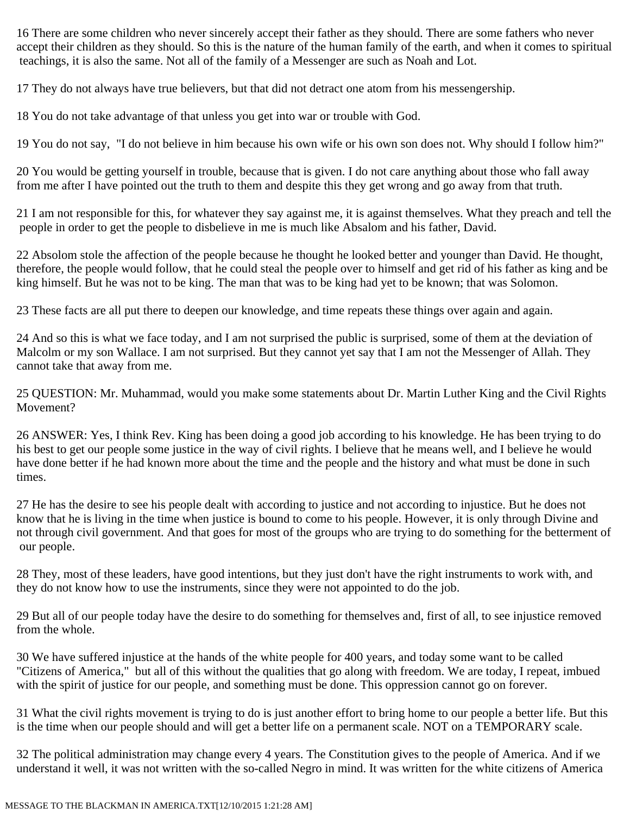16 There are some children who never sincerely accept their father as they should. There are some fathers who never accept their children as they should. So this is the nature of the human family of the earth, and when it comes to spiritual teachings, it is also the same. Not all of the family of a Messenger are such as Noah and Lot.

17 They do not always have true believers, but that did not detract one atom from his messengership.

18 You do not take advantage of that unless you get into war or trouble with God.

19 You do not say, "I do not believe in him because his own wife or his own son does not. Why should I follow him?"

20 You would be getting yourself in trouble, because that is given. I do not care anything about those who fall away from me after I have pointed out the truth to them and despite this they get wrong and go away from that truth.

21 I am not responsible for this, for whatever they say against me, it is against themselves. What they preach and tell the people in order to get the people to disbelieve in me is much like Absalom and his father, David.

22 Absolom stole the affection of the people because he thought he looked better and younger than David. He thought, therefore, the people would follow, that he could steal the people over to himself and get rid of his father as king and be king himself. But he was not to be king. The man that was to be king had yet to be known; that was Solomon.

23 These facts are all put there to deepen our knowledge, and time repeats these things over again and again.

24 And so this is what we face today, and I am not surprised the public is surprised, some of them at the deviation of Malcolm or my son Wallace. I am not surprised. But they cannot yet say that I am not the Messenger of Allah. They cannot take that away from me.

25 QUESTION: Mr. Muhammad, would you make some statements about Dr. Martin Luther King and the Civil Rights Movement?

26 ANSWER: Yes, I think Rev. King has been doing a good job according to his knowledge. He has been trying to do his best to get our people some justice in the way of civil rights. I believe that he means well, and I believe he would have done better if he had known more about the time and the people and the history and what must be done in such times.

27 He has the desire to see his people dealt with according to justice and not according to injustice. But he does not know that he is living in the time when justice is bound to come to his people. However, it is only through Divine and not through civil government. And that goes for most of the groups who are trying to do something for the betterment of our people.

28 They, most of these leaders, have good intentions, but they just don't have the right instruments to work with, and they do not know how to use the instruments, since they were not appointed to do the job.

29 But all of our people today have the desire to do something for themselves and, first of all, to see injustice removed from the whole.

30 We have suffered injustice at the hands of the white people for 400 years, and today some want to be called "Citizens of America," but all of this without the qualities that go along with freedom. We are today, I repeat, imbued with the spirit of justice for our people, and something must be done. This oppression cannot go on forever.

31 What the civil rights movement is trying to do is just another effort to bring home to our people a better life. But this is the time when our people should and will get a better life on a permanent scale. NOT on a TEMPORARY scale.

32 The political administration may change every 4 years. The Constitution gives to the people of America. And if we understand it well, it was not written with the so-called Negro in mind. It was written for the white citizens of America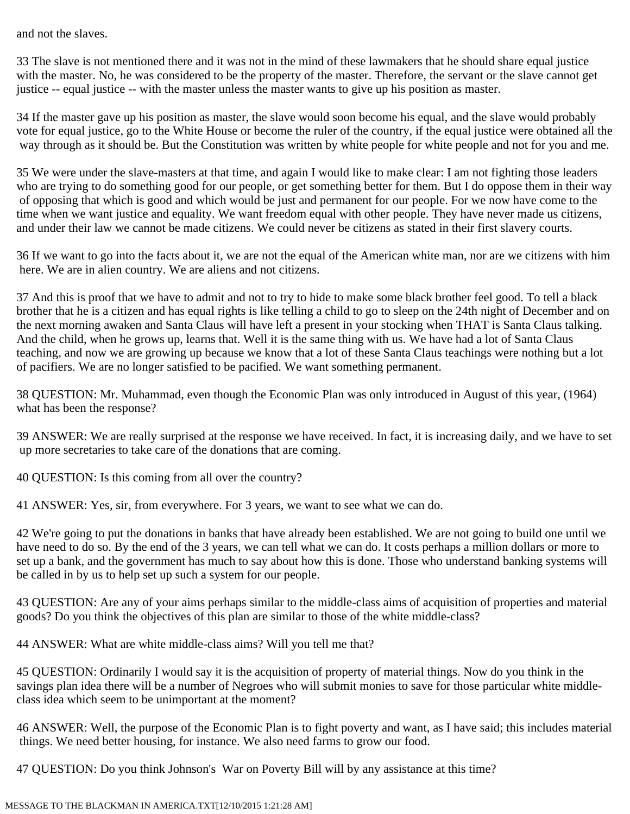and not the slaves.

33 The slave is not mentioned there and it was not in the mind of these lawmakers that he should share equal justice with the master. No, he was considered to be the property of the master. Therefore, the servant or the slave cannot get justice -- equal justice -- with the master unless the master wants to give up his position as master.

34 If the master gave up his position as master, the slave would soon become his equal, and the slave would probably vote for equal justice, go to the White House or become the ruler of the country, if the equal justice were obtained all the way through as it should be. But the Constitution was written by white people for white people and not for you and me.

35 We were under the slave-masters at that time, and again I would like to make clear: I am not fighting those leaders who are trying to do something good for our people, or get something better for them. But I do oppose them in their way of opposing that which is good and which would be just and permanent for our people. For we now have come to the time when we want justice and equality. We want freedom equal with other people. They have never made us citizens, and under their law we cannot be made citizens. We could never be citizens as stated in their first slavery courts.

36 If we want to go into the facts about it, we are not the equal of the American white man, nor are we citizens with him here. We are in alien country. We are aliens and not citizens.

37 And this is proof that we have to admit and not to try to hide to make some black brother feel good. To tell a black brother that he is a citizen and has equal rights is like telling a child to go to sleep on the 24th night of December and on the next morning awaken and Santa Claus will have left a present in your stocking when THAT is Santa Claus talking. And the child, when he grows up, learns that. Well it is the same thing with us. We have had a lot of Santa Claus teaching, and now we are growing up because we know that a lot of these Santa Claus teachings were nothing but a lot of pacifiers. We are no longer satisfied to be pacified. We want something permanent.

38 QUESTION: Mr. Muhammad, even though the Economic Plan was only introduced in August of this year, (1964) what has been the response?

39 ANSWER: We are really surprised at the response we have received. In fact, it is increasing daily, and we have to set up more secretaries to take care of the donations that are coming.

40 QUESTION: Is this coming from all over the country?

41 ANSWER: Yes, sir, from everywhere. For 3 years, we want to see what we can do.

42 We're going to put the donations in banks that have already been established. We are not going to build one until we have need to do so. By the end of the 3 years, we can tell what we can do. It costs perhaps a million dollars or more to set up a bank, and the government has much to say about how this is done. Those who understand banking systems will be called in by us to help set up such a system for our people.

43 QUESTION: Are any of your aims perhaps similar to the middle-class aims of acquisition of properties and material goods? Do you think the objectives of this plan are similar to those of the white middle-class?

44 ANSWER: What are white middle-class aims? Will you tell me that?

45 QUESTION: Ordinarily I would say it is the acquisition of property of material things. Now do you think in the savings plan idea there will be a number of Negroes who will submit monies to save for those particular white middleclass idea which seem to be unimportant at the moment?

46 ANSWER: Well, the purpose of the Economic Plan is to fight poverty and want, as I have said; this includes material things. We need better housing, for instance. We also need farms to grow our food.

47 QUESTION: Do you think Johnson's War on Poverty Bill will by any assistance at this time?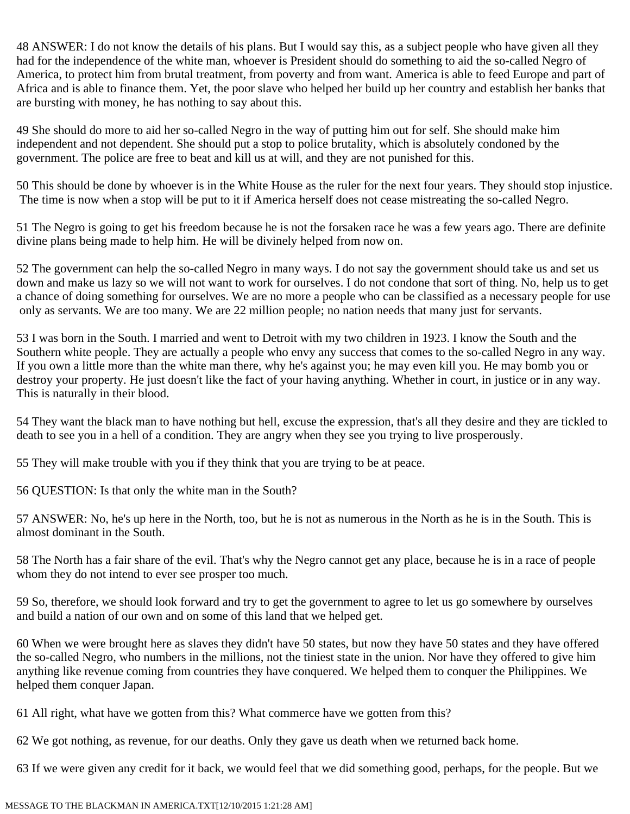48 ANSWER: I do not know the details of his plans. But I would say this, as a subject people who have given all they had for the independence of the white man, whoever is President should do something to aid the so-called Negro of America, to protect him from brutal treatment, from poverty and from want. America is able to feed Europe and part of Africa and is able to finance them. Yet, the poor slave who helped her build up her country and establish her banks that are bursting with money, he has nothing to say about this.

49 She should do more to aid her so-called Negro in the way of putting him out for self. She should make him independent and not dependent. She should put a stop to police brutality, which is absolutely condoned by the government. The police are free to beat and kill us at will, and they are not punished for this.

50 This should be done by whoever is in the White House as the ruler for the next four years. They should stop injustice. The time is now when a stop will be put to it if America herself does not cease mistreating the so-called Negro.

51 The Negro is going to get his freedom because he is not the forsaken race he was a few years ago. There are definite divine plans being made to help him. He will be divinely helped from now on.

52 The government can help the so-called Negro in many ways. I do not say the government should take us and set us down and make us lazy so we will not want to work for ourselves. I do not condone that sort of thing. No, help us to get a chance of doing something for ourselves. We are no more a people who can be classified as a necessary people for use only as servants. We are too many. We are 22 million people; no nation needs that many just for servants.

53 I was born in the South. I married and went to Detroit with my two children in 1923. I know the South and the Southern white people. They are actually a people who envy any success that comes to the so-called Negro in any way. If you own a little more than the white man there, why he's against you; he may even kill you. He may bomb you or destroy your property. He just doesn't like the fact of your having anything. Whether in court, in justice or in any way. This is naturally in their blood.

54 They want the black man to have nothing but hell, excuse the expression, that's all they desire and they are tickled to death to see you in a hell of a condition. They are angry when they see you trying to live prosperously.

55 They will make trouble with you if they think that you are trying to be at peace.

56 QUESTION: Is that only the white man in the South?

57 ANSWER: No, he's up here in the North, too, but he is not as numerous in the North as he is in the South. This is almost dominant in the South.

58 The North has a fair share of the evil. That's why the Negro cannot get any place, because he is in a race of people whom they do not intend to ever see prosper too much.

59 So, therefore, we should look forward and try to get the government to agree to let us go somewhere by ourselves and build a nation of our own and on some of this land that we helped get.

60 When we were brought here as slaves they didn't have 50 states, but now they have 50 states and they have offered the so-called Negro, who numbers in the millions, not the tiniest state in the union. Nor have they offered to give him anything like revenue coming from countries they have conquered. We helped them to conquer the Philippines. We helped them conquer Japan.

61 All right, what have we gotten from this? What commerce have we gotten from this?

62 We got nothing, as revenue, for our deaths. Only they gave us death when we returned back home.

63 If we were given any credit for it back, we would feel that we did something good, perhaps, for the people. But we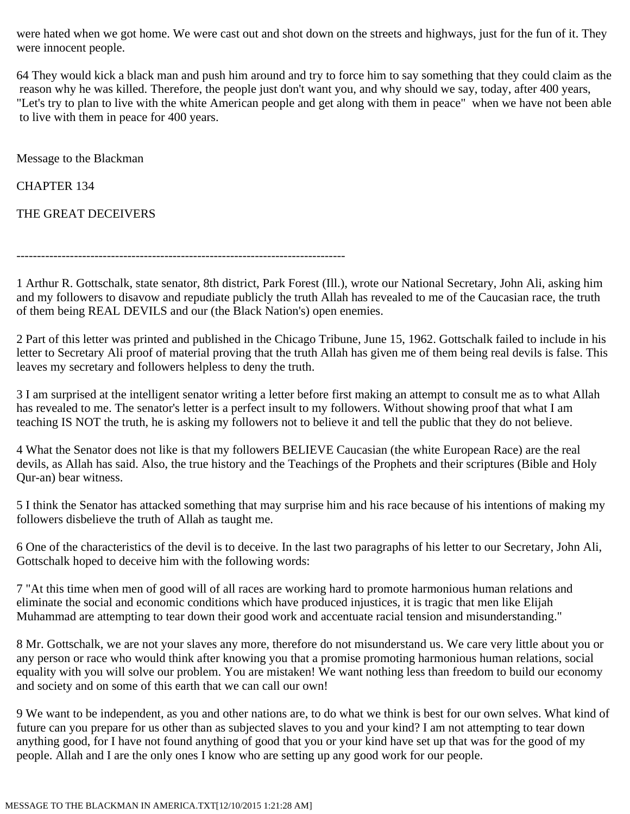were hated when we got home. We were cast out and shot down on the streets and highways, just for the fun of it. They were innocent people.

64 They would kick a black man and push him around and try to force him to say something that they could claim as the reason why he was killed. Therefore, the people just don't want you, and why should we say, today, after 400 years, "Let's try to plan to live with the white American people and get along with them in peace" when we have not been able to live with them in peace for 400 years.

Message to the Blackman

CHAPTER 134

THE GREAT DECEIVERS

--------------------------------------------------------------------------------

1 Arthur R. Gottschalk, state senator, 8th district, Park Forest (Ill.), wrote our National Secretary, John Ali, asking him and my followers to disavow and repudiate publicly the truth Allah has revealed to me of the Caucasian race, the truth of them being REAL DEVILS and our (the Black Nation's) open enemies.

2 Part of this letter was printed and published in the Chicago Tribune, June 15, 1962. Gottschalk failed to include in his letter to Secretary Ali proof of material proving that the truth Allah has given me of them being real devils is false. This leaves my secretary and followers helpless to deny the truth.

3 I am surprised at the intelligent senator writing a letter before first making an attempt to consult me as to what Allah has revealed to me. The senator's letter is a perfect insult to my followers. Without showing proof that what I am teaching IS NOT the truth, he is asking my followers not to believe it and tell the public that they do not believe.

4 What the Senator does not like is that my followers BELIEVE Caucasian (the white European Race) are the real devils, as Allah has said. Also, the true history and the Teachings of the Prophets and their scriptures (Bible and Holy Qur-an) bear witness.

5 I think the Senator has attacked something that may surprise him and his race because of his intentions of making my followers disbelieve the truth of Allah as taught me.

6 One of the characteristics of the devil is to deceive. In the last two paragraphs of his letter to our Secretary, John Ali, Gottschalk hoped to deceive him with the following words:

7 "At this time when men of good will of all races are working hard to promote harmonious human relations and eliminate the social and economic conditions which have produced injustices, it is tragic that men like Elijah Muhammad are attempting to tear down their good work and accentuate racial tension and misunderstanding."

8 Mr. Gottschalk, we are not your slaves any more, therefore do not misunderstand us. We care very little about you or any person or race who would think after knowing you that a promise promoting harmonious human relations, social equality with you will solve our problem. You are mistaken! We want nothing less than freedom to build our economy and society and on some of this earth that we can call our own!

9 We want to be independent, as you and other nations are, to do what we think is best for our own selves. What kind of future can you prepare for us other than as subjected slaves to you and your kind? I am not attempting to tear down anything good, for I have not found anything of good that you or your kind have set up that was for the good of my people. Allah and I are the only ones I know who are setting up any good work for our people.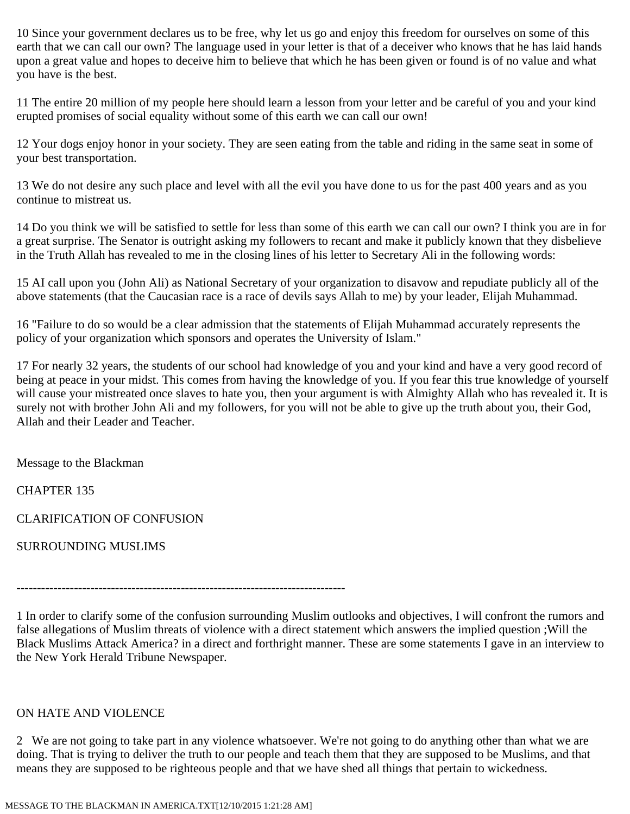10 Since your government declares us to be free, why let us go and enjoy this freedom for ourselves on some of this earth that we can call our own? The language used in your letter is that of a deceiver who knows that he has laid hands upon a great value and hopes to deceive him to believe that which he has been given or found is of no value and what you have is the best.

11 The entire 20 million of my people here should learn a lesson from your letter and be careful of you and your kind erupted promises of social equality without some of this earth we can call our own!

12 Your dogs enjoy honor in your society. They are seen eating from the table and riding in the same seat in some of your best transportation.

13 We do not desire any such place and level with all the evil you have done to us for the past 400 years and as you continue to mistreat us.

14 Do you think we will be satisfied to settle for less than some of this earth we can call our own? I think you are in for a great surprise. The Senator is outright asking my followers to recant and make it publicly known that they disbelieve in the Truth Allah has revealed to me in the closing lines of his letter to Secretary Ali in the following words:

15 AI call upon you (John Ali) as National Secretary of your organization to disavow and repudiate publicly all of the above statements (that the Caucasian race is a race of devils says Allah to me) by your leader, Elijah Muhammad.

16 "Failure to do so would be a clear admission that the statements of Elijah Muhammad accurately represents the policy of your organization which sponsors and operates the University of Islam."

17 For nearly 32 years, the students of our school had knowledge of you and your kind and have a very good record of being at peace in your midst. This comes from having the knowledge of you. If you fear this true knowledge of yourself will cause your mistreated once slaves to hate you, then your argument is with Almighty Allah who has revealed it. It is surely not with brother John Ali and my followers, for you will not be able to give up the truth about you, their God, Allah and their Leader and Teacher.

Message to the Blackman

CHAPTER 135

CLARIFICATION OF CONFUSION

SURROUNDING MUSLIMS

--------------------------------------------------------------------------------

1 In order to clarify some of the confusion surrounding Muslim outlooks and objectives, I will confront the rumors and false allegations of Muslim threats of violence with a direct statement which answers the implied question ;Will the Black Muslims Attack America? in a direct and forthright manner. These are some statements I gave in an interview to the New York Herald Tribune Newspaper.

# ON HATE AND VIOLENCE

2 We are not going to take part in any violence whatsoever. We're not going to do anything other than what we are doing. That is trying to deliver the truth to our people and teach them that they are supposed to be Muslims, and that means they are supposed to be righteous people and that we have shed all things that pertain to wickedness.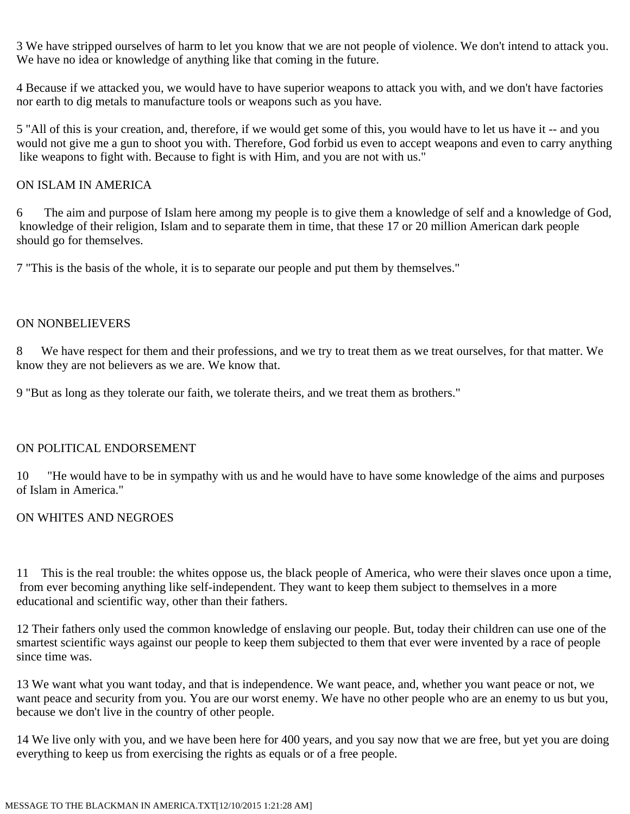3 We have stripped ourselves of harm to let you know that we are not people of violence. We don't intend to attack you. We have no idea or knowledge of anything like that coming in the future.

4 Because if we attacked you, we would have to have superior weapons to attack you with, and we don't have factories nor earth to dig metals to manufacture tools or weapons such as you have.

5 "All of this is your creation, and, therefore, if we would get some of this, you would have to let us have it -- and you would not give me a gun to shoot you with. Therefore, God forbid us even to accept weapons and even to carry anything like weapons to fight with. Because to fight is with Him, and you are not with us."

### ON ISLAM IN AMERICA

6 The aim and purpose of Islam here among my people is to give them a knowledge of self and a knowledge of God, knowledge of their religion, Islam and to separate them in time, that these 17 or 20 million American dark people should go for themselves.

7 "This is the basis of the whole, it is to separate our people and put them by themselves."

### ON NONBELIEVERS

8 We have respect for them and their professions, and we try to treat them as we treat ourselves, for that matter. We know they are not believers as we are. We know that.

9 "But as long as they tolerate our faith, we tolerate theirs, and we treat them as brothers."

#### ON POLITICAL ENDORSEMENT

10 "He would have to be in sympathy with us and he would have to have some knowledge of the aims and purposes of Islam in America."

# ON WHITES AND NEGROES

11 This is the real trouble: the whites oppose us, the black people of America, who were their slaves once upon a time, from ever becoming anything like self-independent. They want to keep them subject to themselves in a more educational and scientific way, other than their fathers.

12 Their fathers only used the common knowledge of enslaving our people. But, today their children can use one of the smartest scientific ways against our people to keep them subjected to them that ever were invented by a race of people since time was.

13 We want what you want today, and that is independence. We want peace, and, whether you want peace or not, we want peace and security from you. You are our worst enemy. We have no other people who are an enemy to us but you, because we don't live in the country of other people.

14 We live only with you, and we have been here for 400 years, and you say now that we are free, but yet you are doing everything to keep us from exercising the rights as equals or of a free people.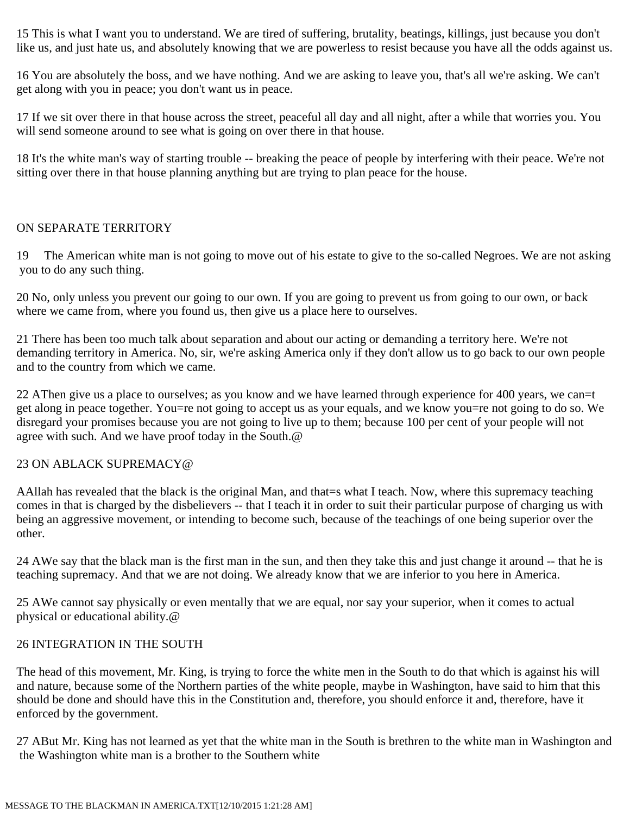15 This is what I want you to understand. We are tired of suffering, brutality, beatings, killings, just because you don't like us, and just hate us, and absolutely knowing that we are powerless to resist because you have all the odds against us.

16 You are absolutely the boss, and we have nothing. And we are asking to leave you, that's all we're asking. We can't get along with you in peace; you don't want us in peace.

17 If we sit over there in that house across the street, peaceful all day and all night, after a while that worries you. You will send someone around to see what is going on over there in that house.

18 It's the white man's way of starting trouble -- breaking the peace of people by interfering with their peace. We're not sitting over there in that house planning anything but are trying to plan peace for the house.

# ON SEPARATE TERRITORY

19 The American white man is not going to move out of his estate to give to the so-called Negroes. We are not asking you to do any such thing.

20 No, only unless you prevent our going to our own. If you are going to prevent us from going to our own, or back where we came from, where you found us, then give us a place here to ourselves.

21 There has been too much talk about separation and about our acting or demanding a territory here. We're not demanding territory in America. No, sir, we're asking America only if they don't allow us to go back to our own people and to the country from which we came.

22 AThen give us a place to ourselves; as you know and we have learned through experience for 400 years, we can=t get along in peace together. You=re not going to accept us as your equals, and we know you=re not going to do so. We disregard your promises because you are not going to live up to them; because 100 per cent of your people will not agree with such. And we have proof today in the South.@

# 23 ON ABLACK SUPREMACY@

AAllah has revealed that the black is the original Man, and that=s what I teach. Now, where this supremacy teaching comes in that is charged by the disbelievers -- that I teach it in order to suit their particular purpose of charging us with being an aggressive movement, or intending to become such, because of the teachings of one being superior over the other.

24 AWe say that the black man is the first man in the sun, and then they take this and just change it around -- that he is teaching supremacy. And that we are not doing. We already know that we are inferior to you here in America.

25 AWe cannot say physically or even mentally that we are equal, nor say your superior, when it comes to actual physical or educational ability.@

# 26 INTEGRATION IN THE SOUTH

The head of this movement, Mr. King, is trying to force the white men in the South to do that which is against his will and nature, because some of the Northern parties of the white people, maybe in Washington, have said to him that this should be done and should have this in the Constitution and, therefore, you should enforce it and, therefore, have it enforced by the government.

27 ABut Mr. King has not learned as yet that the white man in the South is brethren to the white man in Washington and the Washington white man is a brother to the Southern white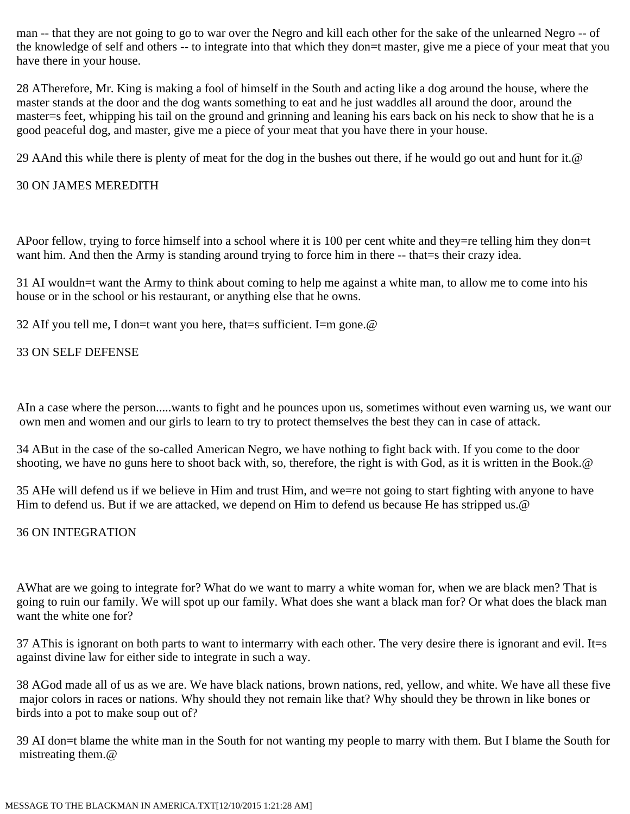man -- that they are not going to go to war over the Negro and kill each other for the sake of the unlearned Negro -- of the knowledge of self and others -- to integrate into that which they don=t master, give me a piece of your meat that you have there in your house.

28 ATherefore, Mr. King is making a fool of himself in the South and acting like a dog around the house, where the master stands at the door and the dog wants something to eat and he just waddles all around the door, around the master=s feet, whipping his tail on the ground and grinning and leaning his ears back on his neck to show that he is a good peaceful dog, and master, give me a piece of your meat that you have there in your house.

29 AAnd this while there is plenty of meat for the dog in the bushes out there, if he would go out and hunt for it.@

# 30 ON JAMES MEREDITH

APoor fellow, trying to force himself into a school where it is 100 per cent white and they=re telling him they don=t want him. And then the Army is standing around trying to force him in there -- that = stheir crazy idea.

31 AI wouldn=t want the Army to think about coming to help me against a white man, to allow me to come into his house or in the school or his restaurant, or anything else that he owns.

32 AIf you tell me, I don=t want you here, that=s sufficient. I=m gone.@

#### 33 ON SELF DEFENSE

AIn a case where the person.....wants to fight and he pounces upon us, sometimes without even warning us, we want our own men and women and our girls to learn to try to protect themselves the best they can in case of attack.

34 ABut in the case of the so-called American Negro, we have nothing to fight back with. If you come to the door shooting, we have no guns here to shoot back with, so, therefore, the right is with God, as it is written in the Book.@

35 AHe will defend us if we believe in Him and trust Him, and we=re not going to start fighting with anyone to have Him to defend us. But if we are attacked, we depend on Him to defend us because He has stripped us. @

36 ON INTEGRATION

AWhat are we going to integrate for? What do we want to marry a white woman for, when we are black men? That is going to ruin our family. We will spot up our family. What does she want a black man for? Or what does the black man want the white one for?

37 AThis is ignorant on both parts to want to intermarry with each other. The very desire there is ignorant and evil. It=s against divine law for either side to integrate in such a way.

38 AGod made all of us as we are. We have black nations, brown nations, red, yellow, and white. We have all these five major colors in races or nations. Why should they not remain like that? Why should they be thrown in like bones or birds into a pot to make soup out of?

39 AI don=t blame the white man in the South for not wanting my people to marry with them. But I blame the South for mistreating them.@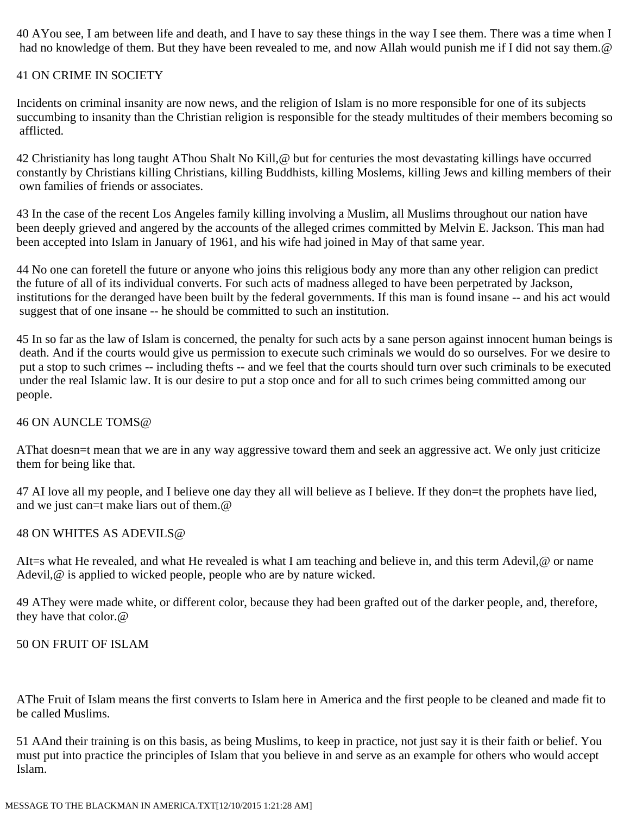40 AYou see, I am between life and death, and I have to say these things in the way I see them. There was a time when I had no knowledge of them. But they have been revealed to me, and now Allah would punish me if I did not say them. @

### 41 ON CRIME IN SOCIETY

Incidents on criminal insanity are now news, and the religion of Islam is no more responsible for one of its subjects succumbing to insanity than the Christian religion is responsible for the steady multitudes of their members becoming so afflicted.

42 Christianity has long taught AThou Shalt No Kill,@ but for centuries the most devastating killings have occurred constantly by Christians killing Christians, killing Buddhists, killing Moslems, killing Jews and killing members of their own families of friends or associates.

43 In the case of the recent Los Angeles family killing involving a Muslim, all Muslims throughout our nation have been deeply grieved and angered by the accounts of the alleged crimes committed by Melvin E. Jackson. This man had been accepted into Islam in January of 1961, and his wife had joined in May of that same year.

44 No one can foretell the future or anyone who joins this religious body any more than any other religion can predict the future of all of its individual converts. For such acts of madness alleged to have been perpetrated by Jackson, institutions for the deranged have been built by the federal governments. If this man is found insane -- and his act would suggest that of one insane -- he should be committed to such an institution.

45 In so far as the law of Islam is concerned, the penalty for such acts by a sane person against innocent human beings is death. And if the courts would give us permission to execute such criminals we would do so ourselves. For we desire to put a stop to such crimes -- including thefts -- and we feel that the courts should turn over such criminals to be executed under the real Islamic law. It is our desire to put a stop once and for all to such crimes being committed among our people.

# 46 ON AUNCLE TOMS@

AThat doesn=t mean that we are in any way aggressive toward them and seek an aggressive act. We only just criticize them for being like that.

47 AI love all my people, and I believe one day they all will believe as I believe. If they don=t the prophets have lied, and we just can=t make liars out of them.@

#### 48 ON WHITES AS ADEVILS@

AIt=s what He revealed, and what He revealed is what I am teaching and believe in, and this term Adevil,@ or name Adevil,@ is applied to wicked people, people who are by nature wicked.

49 AThey were made white, or different color, because they had been grafted out of the darker people, and, therefore, they have that color.@

#### 50 ON FRUIT OF ISLAM

AThe Fruit of Islam means the first converts to Islam here in America and the first people to be cleaned and made fit to be called Muslims.

51 AAnd their training is on this basis, as being Muslims, to keep in practice, not just say it is their faith or belief. You must put into practice the principles of Islam that you believe in and serve as an example for others who would accept Islam.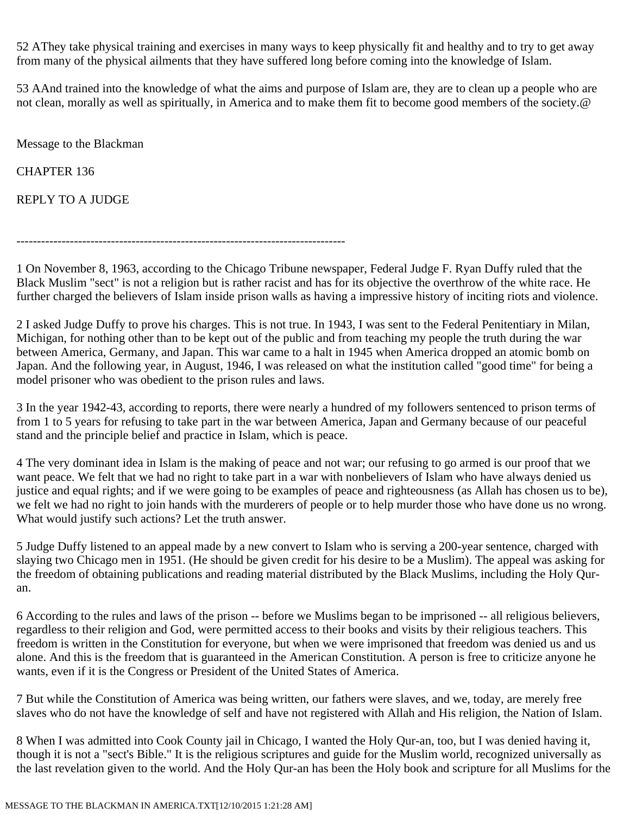52 AThey take physical training and exercises in many ways to keep physically fit and healthy and to try to get away from many of the physical ailments that they have suffered long before coming into the knowledge of Islam.

53 AAnd trained into the knowledge of what the aims and purpose of Islam are, they are to clean up a people who are not clean, morally as well as spiritually, in America and to make them fit to become good members of the society.@

Message to the Blackman

CHAPTER 136

REPLY TO A JUDGE

--------------------------------------------------------------------------------

1 On November 8, 1963, according to the Chicago Tribune newspaper, Federal Judge F. Ryan Duffy ruled that the Black Muslim "sect" is not a religion but is rather racist and has for its objective the overthrow of the white race. He further charged the believers of Islam inside prison walls as having a impressive history of inciting riots and violence.

2 I asked Judge Duffy to prove his charges. This is not true. In 1943, I was sent to the Federal Penitentiary in Milan, Michigan, for nothing other than to be kept out of the public and from teaching my people the truth during the war between America, Germany, and Japan. This war came to a halt in 1945 when America dropped an atomic bomb on Japan. And the following year, in August, 1946, I was released on what the institution called "good time" for being a model prisoner who was obedient to the prison rules and laws.

3 In the year 1942-43, according to reports, there were nearly a hundred of my followers sentenced to prison terms of from 1 to 5 years for refusing to take part in the war between America, Japan and Germany because of our peaceful stand and the principle belief and practice in Islam, which is peace.

4 The very dominant idea in Islam is the making of peace and not war; our refusing to go armed is our proof that we want peace. We felt that we had no right to take part in a war with nonbelievers of Islam who have always denied us justice and equal rights; and if we were going to be examples of peace and righteousness (as Allah has chosen us to be), we felt we had no right to join hands with the murderers of people or to help murder those who have done us no wrong. What would justify such actions? Let the truth answer.

5 Judge Duffy listened to an appeal made by a new convert to Islam who is serving a 200-year sentence, charged with slaying two Chicago men in 1951. (He should be given credit for his desire to be a Muslim). The appeal was asking for the freedom of obtaining publications and reading material distributed by the Black Muslims, including the Holy Quran.

6 According to the rules and laws of the prison -- before we Muslims began to be imprisoned -- all religious believers, regardless to their religion and God, were permitted access to their books and visits by their religious teachers. This freedom is written in the Constitution for everyone, but when we were imprisoned that freedom was denied us and us alone. And this is the freedom that is guaranteed in the American Constitution. A person is free to criticize anyone he wants, even if it is the Congress or President of the United States of America.

7 But while the Constitution of America was being written, our fathers were slaves, and we, today, are merely free slaves who do not have the knowledge of self and have not registered with Allah and His religion, the Nation of Islam.

8 When I was admitted into Cook County jail in Chicago, I wanted the Holy Qur-an, too, but I was denied having it, though it is not a "sect's Bible." It is the religious scriptures and guide for the Muslim world, recognized universally as the last revelation given to the world. And the Holy Qur-an has been the Holy book and scripture for all Muslims for the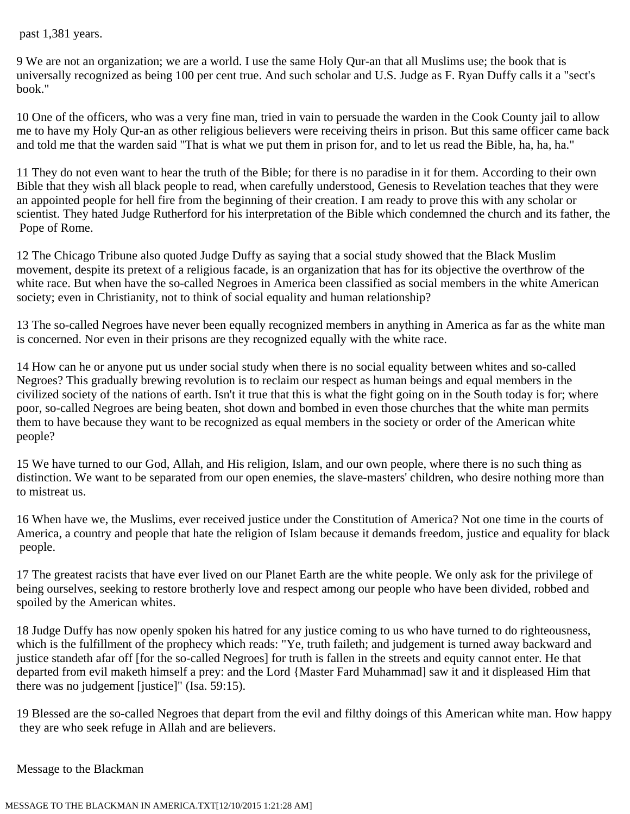past 1,381 years.

9 We are not an organization; we are a world. I use the same Holy Qur-an that all Muslims use; the book that is universally recognized as being 100 per cent true. And such scholar and U.S. Judge as F. Ryan Duffy calls it a "sect's book."

10 One of the officers, who was a very fine man, tried in vain to persuade the warden in the Cook County jail to allow me to have my Holy Qur-an as other religious believers were receiving theirs in prison. But this same officer came back and told me that the warden said "That is what we put them in prison for, and to let us read the Bible, ha, ha, ha."

11 They do not even want to hear the truth of the Bible; for there is no paradise in it for them. According to their own Bible that they wish all black people to read, when carefully understood, Genesis to Revelation teaches that they were an appointed people for hell fire from the beginning of their creation. I am ready to prove this with any scholar or scientist. They hated Judge Rutherford for his interpretation of the Bible which condemned the church and its father, the Pope of Rome.

12 The Chicago Tribune also quoted Judge Duffy as saying that a social study showed that the Black Muslim movement, despite its pretext of a religious facade, is an organization that has for its objective the overthrow of the white race. But when have the so-called Negroes in America been classified as social members in the white American society; even in Christianity, not to think of social equality and human relationship?

13 The so-called Negroes have never been equally recognized members in anything in America as far as the white man is concerned. Nor even in their prisons are they recognized equally with the white race.

14 How can he or anyone put us under social study when there is no social equality between whites and so-called Negroes? This gradually brewing revolution is to reclaim our respect as human beings and equal members in the civilized society of the nations of earth. Isn't it true that this is what the fight going on in the South today is for; where poor, so-called Negroes are being beaten, shot down and bombed in even those churches that the white man permits them to have because they want to be recognized as equal members in the society or order of the American white people?

15 We have turned to our God, Allah, and His religion, Islam, and our own people, where there is no such thing as distinction. We want to be separated from our open enemies, the slave-masters' children, who desire nothing more than to mistreat us.

16 When have we, the Muslims, ever received justice under the Constitution of America? Not one time in the courts of America, a country and people that hate the religion of Islam because it demands freedom, justice and equality for black people.

17 The greatest racists that have ever lived on our Planet Earth are the white people. We only ask for the privilege of being ourselves, seeking to restore brotherly love and respect among our people who have been divided, robbed and spoiled by the American whites.

18 Judge Duffy has now openly spoken his hatred for any justice coming to us who have turned to do righteousness, which is the fulfillment of the prophecy which reads: "Ye, truth faileth; and judgement is turned away backward and justice standeth afar off [for the so-called Negroes] for truth is fallen in the streets and equity cannot enter. He that departed from evil maketh himself a prey: and the Lord {Master Fard Muhammad] saw it and it displeased Him that there was no judgement [justice]" (Isa. 59:15).

19 Blessed are the so-called Negroes that depart from the evil and filthy doings of this American white man. How happy they are who seek refuge in Allah and are believers.

Message to the Blackman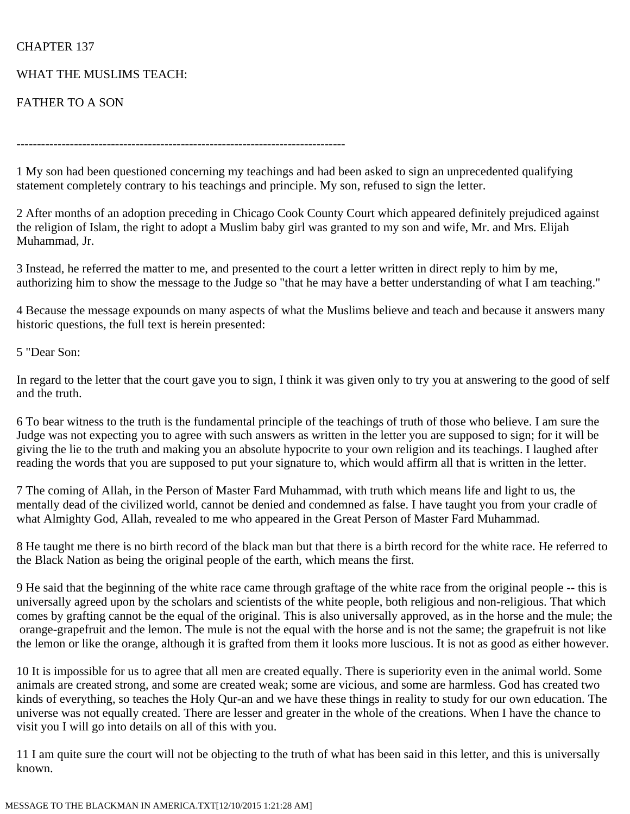### CHAPTER 137

### WHAT THE MUSLIMS TEACH:

FATHER TO A SON

--------------------------------------------------------------------------------

1 My son had been questioned concerning my teachings and had been asked to sign an unprecedented qualifying statement completely contrary to his teachings and principle. My son, refused to sign the letter.

2 After months of an adoption preceding in Chicago Cook County Court which appeared definitely prejudiced against the religion of Islam, the right to adopt a Muslim baby girl was granted to my son and wife, Mr. and Mrs. Elijah Muhammad, Jr.

3 Instead, he referred the matter to me, and presented to the court a letter written in direct reply to him by me, authorizing him to show the message to the Judge so "that he may have a better understanding of what I am teaching."

4 Because the message expounds on many aspects of what the Muslims believe and teach and because it answers many historic questions, the full text is herein presented:

5 "Dear Son:

In regard to the letter that the court gave you to sign, I think it was given only to try you at answering to the good of self and the truth.

6 To bear witness to the truth is the fundamental principle of the teachings of truth of those who believe. I am sure the Judge was not expecting you to agree with such answers as written in the letter you are supposed to sign; for it will be giving the lie to the truth and making you an absolute hypocrite to your own religion and its teachings. I laughed after reading the words that you are supposed to put your signature to, which would affirm all that is written in the letter.

7 The coming of Allah, in the Person of Master Fard Muhammad, with truth which means life and light to us, the mentally dead of the civilized world, cannot be denied and condemned as false. I have taught you from your cradle of what Almighty God, Allah, revealed to me who appeared in the Great Person of Master Fard Muhammad.

8 He taught me there is no birth record of the black man but that there is a birth record for the white race. He referred to the Black Nation as being the original people of the earth, which means the first.

9 He said that the beginning of the white race came through graftage of the white race from the original people -- this is universally agreed upon by the scholars and scientists of the white people, both religious and non-religious. That which comes by grafting cannot be the equal of the original. This is also universally approved, as in the horse and the mule; the orange-grapefruit and the lemon. The mule is not the equal with the horse and is not the same; the grapefruit is not like the lemon or like the orange, although it is grafted from them it looks more luscious. It is not as good as either however.

10 It is impossible for us to agree that all men are created equally. There is superiority even in the animal world. Some animals are created strong, and some are created weak; some are vicious, and some are harmless. God has created two kinds of everything, so teaches the Holy Qur-an and we have these things in reality to study for our own education. The universe was not equally created. There are lesser and greater in the whole of the creations. When I have the chance to visit you I will go into details on all of this with you.

11 I am quite sure the court will not be objecting to the truth of what has been said in this letter, and this is universally known.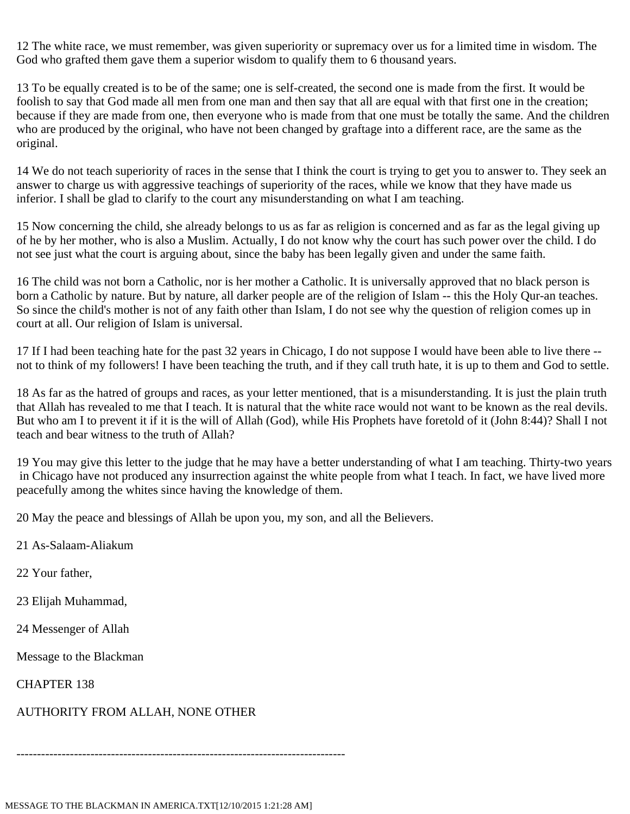12 The white race, we must remember, was given superiority or supremacy over us for a limited time in wisdom. The God who grafted them gave them a superior wisdom to qualify them to 6 thousand years.

13 To be equally created is to be of the same; one is self-created, the second one is made from the first. It would be foolish to say that God made all men from one man and then say that all are equal with that first one in the creation; because if they are made from one, then everyone who is made from that one must be totally the same. And the children who are produced by the original, who have not been changed by graftage into a different race, are the same as the original.

14 We do not teach superiority of races in the sense that I think the court is trying to get you to answer to. They seek an answer to charge us with aggressive teachings of superiority of the races, while we know that they have made us inferior. I shall be glad to clarify to the court any misunderstanding on what I am teaching.

15 Now concerning the child, she already belongs to us as far as religion is concerned and as far as the legal giving up of he by her mother, who is also a Muslim. Actually, I do not know why the court has such power over the child. I do not see just what the court is arguing about, since the baby has been legally given and under the same faith.

16 The child was not born a Catholic, nor is her mother a Catholic. It is universally approved that no black person is born a Catholic by nature. But by nature, all darker people are of the religion of Islam -- this the Holy Qur-an teaches. So since the child's mother is not of any faith other than Islam, I do not see why the question of religion comes up in court at all. Our religion of Islam is universal.

17 If I had been teaching hate for the past 32 years in Chicago, I do not suppose I would have been able to live there - not to think of my followers! I have been teaching the truth, and if they call truth hate, it is up to them and God to settle.

18 As far as the hatred of groups and races, as your letter mentioned, that is a misunderstanding. It is just the plain truth that Allah has revealed to me that I teach. It is natural that the white race would not want to be known as the real devils. But who am I to prevent it if it is the will of Allah (God), while His Prophets have foretold of it (John 8:44)? Shall I not teach and bear witness to the truth of Allah?

19 You may give this letter to the judge that he may have a better understanding of what I am teaching. Thirty-two years in Chicago have not produced any insurrection against the white people from what I teach. In fact, we have lived more peacefully among the whites since having the knowledge of them.

20 May the peace and blessings of Allah be upon you, my son, and all the Believers.

- 21 As-Salaam-Aliakum
- 22 Your father,
- 23 Elijah Muhammad,
- 24 Messenger of Allah

Message to the Blackman

CHAPTER 138

# AUTHORITY FROM ALLAH, NONE OTHER

--------------------------------------------------------------------------------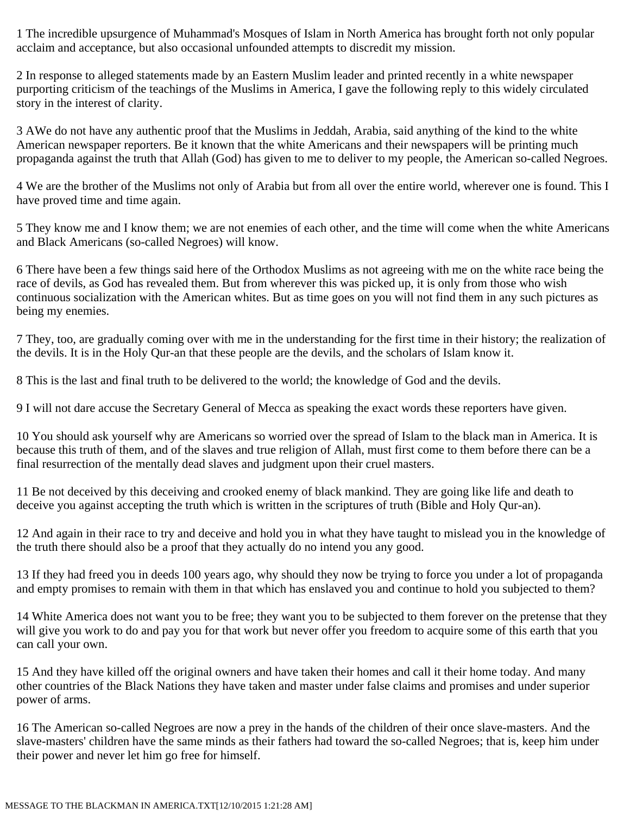1 The incredible upsurgence of Muhammad's Mosques of Islam in North America has brought forth not only popular acclaim and acceptance, but also occasional unfounded attempts to discredit my mission.

2 In response to alleged statements made by an Eastern Muslim leader and printed recently in a white newspaper purporting criticism of the teachings of the Muslims in America, I gave the following reply to this widely circulated story in the interest of clarity.

3 AWe do not have any authentic proof that the Muslims in Jeddah, Arabia, said anything of the kind to the white American newspaper reporters. Be it known that the white Americans and their newspapers will be printing much propaganda against the truth that Allah (God) has given to me to deliver to my people, the American so-called Negroes.

4 We are the brother of the Muslims not only of Arabia but from all over the entire world, wherever one is found. This I have proved time and time again.

5 They know me and I know them; we are not enemies of each other, and the time will come when the white Americans and Black Americans (so-called Negroes) will know.

6 There have been a few things said here of the Orthodox Muslims as not agreeing with me on the white race being the race of devils, as God has revealed them. But from wherever this was picked up, it is only from those who wish continuous socialization with the American whites. But as time goes on you will not find them in any such pictures as being my enemies.

7 They, too, are gradually coming over with me in the understanding for the first time in their history; the realization of the devils. It is in the Holy Qur-an that these people are the devils, and the scholars of Islam know it.

8 This is the last and final truth to be delivered to the world; the knowledge of God and the devils.

9 I will not dare accuse the Secretary General of Mecca as speaking the exact words these reporters have given.

10 You should ask yourself why are Americans so worried over the spread of Islam to the black man in America. It is because this truth of them, and of the slaves and true religion of Allah, must first come to them before there can be a final resurrection of the mentally dead slaves and judgment upon their cruel masters.

11 Be not deceived by this deceiving and crooked enemy of black mankind. They are going like life and death to deceive you against accepting the truth which is written in the scriptures of truth (Bible and Holy Qur-an).

12 And again in their race to try and deceive and hold you in what they have taught to mislead you in the knowledge of the truth there should also be a proof that they actually do no intend you any good.

13 If they had freed you in deeds 100 years ago, why should they now be trying to force you under a lot of propaganda and empty promises to remain with them in that which has enslaved you and continue to hold you subjected to them?

14 White America does not want you to be free; they want you to be subjected to them forever on the pretense that they will give you work to do and pay you for that work but never offer you freedom to acquire some of this earth that you can call your own.

15 And they have killed off the original owners and have taken their homes and call it their home today. And many other countries of the Black Nations they have taken and master under false claims and promises and under superior power of arms.

16 The American so-called Negroes are now a prey in the hands of the children of their once slave-masters. And the slave-masters' children have the same minds as their fathers had toward the so-called Negroes; that is, keep him under their power and never let him go free for himself.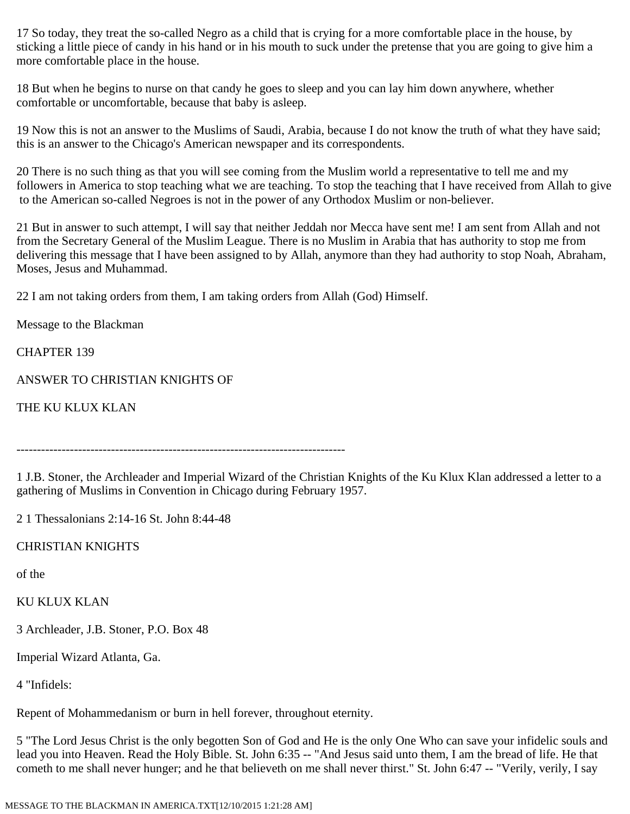17 So today, they treat the so-called Negro as a child that is crying for a more comfortable place in the house, by sticking a little piece of candy in his hand or in his mouth to suck under the pretense that you are going to give him a more comfortable place in the house.

18 But when he begins to nurse on that candy he goes to sleep and you can lay him down anywhere, whether comfortable or uncomfortable, because that baby is asleep.

19 Now this is not an answer to the Muslims of Saudi, Arabia, because I do not know the truth of what they have said; this is an answer to the Chicago's American newspaper and its correspondents.

20 There is no such thing as that you will see coming from the Muslim world a representative to tell me and my followers in America to stop teaching what we are teaching. To stop the teaching that I have received from Allah to give to the American so-called Negroes is not in the power of any Orthodox Muslim or non-believer.

21 But in answer to such attempt, I will say that neither Jeddah nor Mecca have sent me! I am sent from Allah and not from the Secretary General of the Muslim League. There is no Muslim in Arabia that has authority to stop me from delivering this message that I have been assigned to by Allah, anymore than they had authority to stop Noah, Abraham, Moses, Jesus and Muhammad.

22 I am not taking orders from them, I am taking orders from Allah (God) Himself.

Message to the Blackman

CHAPTER 139

ANSWER TO CHRISTIAN KNIGHTS OF

THE KU KLUX KLAN

--------------------------------------------------------------------------------

1 J.B. Stoner, the Archleader and Imperial Wizard of the Christian Knights of the Ku Klux Klan addressed a letter to a gathering of Muslims in Convention in Chicago during February 1957.

2 1 Thessalonians 2:14-16 St. John 8:44-48

CHRISTIAN KNIGHTS

of the

KU KLUX KLAN

3 Archleader, J.B. Stoner, P.O. Box 48

Imperial Wizard Atlanta, Ga.

4 "Infidels:

Repent of Mohammedanism or burn in hell forever, throughout eternity.

5 "The Lord Jesus Christ is the only begotten Son of God and He is the only One Who can save your infidelic souls and lead you into Heaven. Read the Holy Bible. St. John 6:35 -- "And Jesus said unto them, I am the bread of life. He that cometh to me shall never hunger; and he that believeth on me shall never thirst." St. John 6:47 -- "Verily, verily, I say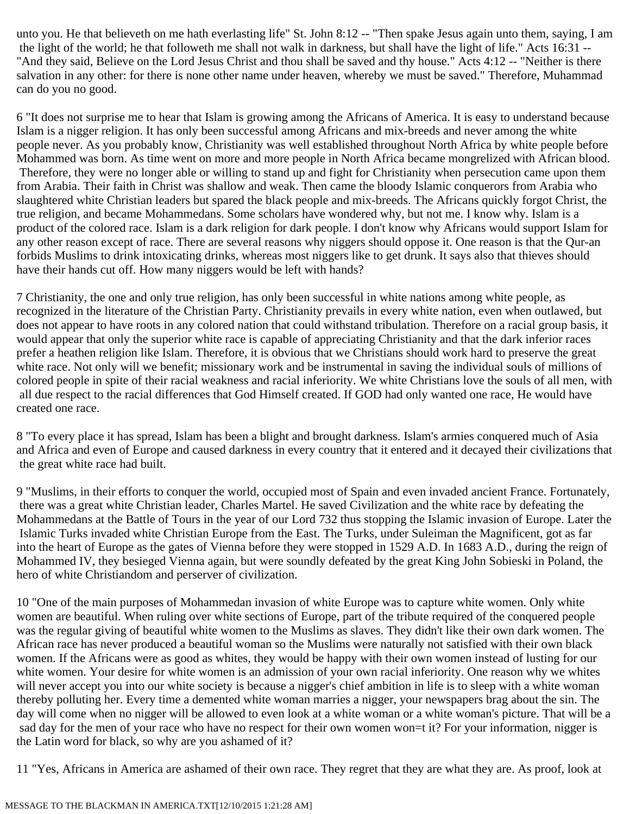unto you. He that believeth on me hath everlasting life" St. John 8:12 -- "Then spake Jesus again unto them, saying, I am the light of the world; he that followeth me shall not walk in darkness, but shall have the light of life." Acts 16:31 -- "And they said, Believe on the Lord Jesus Christ and thou shall be saved and thy house." Acts 4:12 -- "Neither is there salvation in any other: for there is none other name under heaven, whereby we must be saved." Therefore, Muhammad can do you no good.

6 "It does not surprise me to hear that Islam is growing among the Africans of America. It is easy to understand because Islam is a nigger religion. It has only been successful among Africans and mix-breeds and never among the white people never. As you probably know, Christianity was well established throughout North Africa by white people before Mohammed was born. As time went on more and more people in North Africa became mongrelized with African blood. Therefore, they were no longer able or willing to stand up and fight for Christianity when persecution came upon them from Arabia. Their faith in Christ was shallow and weak. Then came the bloody Islamic conquerors from Arabia who slaughtered white Christian leaders but spared the black people and mix-breeds. The Africans quickly forgot Christ, the true religion, and became Mohammedans. Some scholars have wondered why, but not me. I know why. Islam is a product of the colored race. Islam is a dark religion for dark people. I don't know why Africans would support Islam for any other reason except of race. There are several reasons why niggers should oppose it. One reason is that the Qur-an forbids Muslims to drink intoxicating drinks, whereas most niggers like to get drunk. It says also that thieves should have their hands cut off. How many niggers would be left with hands?

7 Christianity, the one and only true religion, has only been successful in white nations among white people, as recognized in the literature of the Christian Party. Christianity prevails in every white nation, even when outlawed, but does not appear to have roots in any colored nation that could withstand tribulation. Therefore on a racial group basis, it would appear that only the superior white race is capable of appreciating Christianity and that the dark inferior races prefer a heathen religion like Islam. Therefore, it is obvious that we Christians should work hard to preserve the great white race. Not only will we benefit; missionary work and be instrumental in saving the individual souls of millions of colored people in spite of their racial weakness and racial inferiority. We white Christians love the souls of all men, with all due respect to the racial differences that God Himself created. If GOD had only wanted one race, He would have created one race.

8 "To every place it has spread, Islam has been a blight and brought darkness. Islam's armies conquered much of Asia and Africa and even of Europe and caused darkness in every country that it entered and it decayed their civilizations that the great white race had built.

9 "Muslims, in their efforts to conquer the world, occupied most of Spain and even invaded ancient France. Fortunately, there was a great white Christian leader, Charles Martel. He saved Civilization and the white race by defeating the Mohammedans at the Battle of Tours in the year of our Lord 732 thus stopping the Islamic invasion of Europe. Later the Islamic Turks invaded white Christian Europe from the East. The Turks, under Suleiman the Magnificent, got as far into the heart of Europe as the gates of Vienna before they were stopped in 1529 A.D. In 1683 A.D., during the reign of Mohammed IV, they besieged Vienna again, but were soundly defeated by the great King John Sobieski in Poland, the hero of white Christiandom and perserver of civilization.

10 "One of the main purposes of Mohammedan invasion of white Europe was to capture white women. Only white women are beautiful. When ruling over white sections of Europe, part of the tribute required of the conquered people was the regular giving of beautiful white women to the Muslims as slaves. They didn't like their own dark women. The African race has never produced a beautiful woman so the Muslims were naturally not satisfied with their own black women. If the Africans were as good as whites, they would be happy with their own women instead of lusting for our white women. Your desire for white women is an admission of your own racial inferiority. One reason why we whites will never accept you into our white society is because a nigger's chief ambition in life is to sleep with a white woman thereby polluting her. Every time a demented white woman marries a nigger, your newspapers brag about the sin. The day will come when no nigger will be allowed to even look at a white woman or a white woman's picture. That will be a sad day for the men of your race who have no respect for their own women won=t it? For your information, nigger is the Latin word for black, so why are you ashamed of it?

11 "Yes, Africans in America are ashamed of their own race. They regret that they are what they are. As proof, look at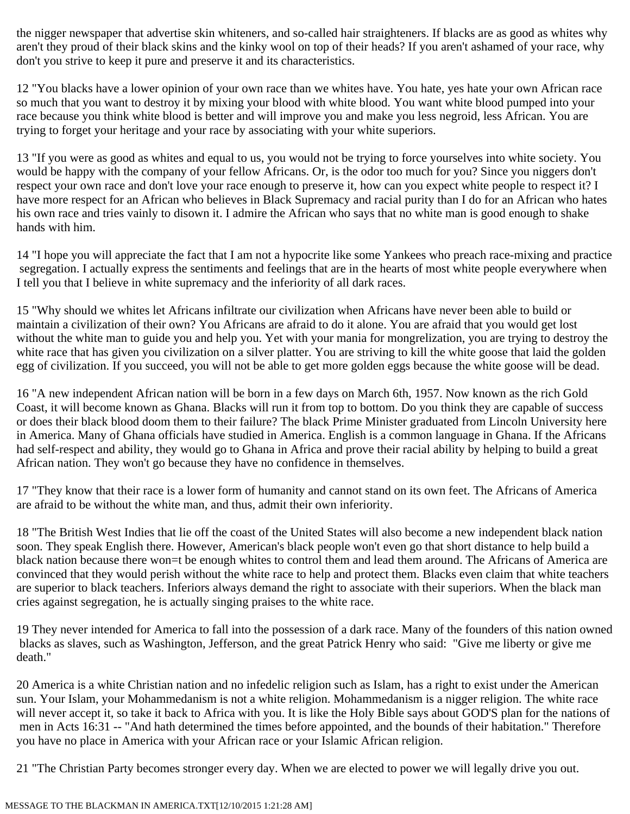the nigger newspaper that advertise skin whiteners, and so-called hair straighteners. If blacks are as good as whites why aren't they proud of their black skins and the kinky wool on top of their heads? If you aren't ashamed of your race, why don't you strive to keep it pure and preserve it and its characteristics.

12 "You blacks have a lower opinion of your own race than we whites have. You hate, yes hate your own African race so much that you want to destroy it by mixing your blood with white blood. You want white blood pumped into your race because you think white blood is better and will improve you and make you less negroid, less African. You are trying to forget your heritage and your race by associating with your white superiors.

13 "If you were as good as whites and equal to us, you would not be trying to force yourselves into white society. You would be happy with the company of your fellow Africans. Or, is the odor too much for you? Since you niggers don't respect your own race and don't love your race enough to preserve it, how can you expect white people to respect it? I have more respect for an African who believes in Black Supremacy and racial purity than I do for an African who hates his own race and tries vainly to disown it. I admire the African who says that no white man is good enough to shake hands with him.

14 "I hope you will appreciate the fact that I am not a hypocrite like some Yankees who preach race-mixing and practice segregation. I actually express the sentiments and feelings that are in the hearts of most white people everywhere when I tell you that I believe in white supremacy and the inferiority of all dark races.

15 "Why should we whites let Africans infiltrate our civilization when Africans have never been able to build or maintain a civilization of their own? You Africans are afraid to do it alone. You are afraid that you would get lost without the white man to guide you and help you. Yet with your mania for mongrelization, you are trying to destroy the white race that has given you civilization on a silver platter. You are striving to kill the white goose that laid the golden egg of civilization. If you succeed, you will not be able to get more golden eggs because the white goose will be dead.

16 "A new independent African nation will be born in a few days on March 6th, 1957. Now known as the rich Gold Coast, it will become known as Ghana. Blacks will run it from top to bottom. Do you think they are capable of success or does their black blood doom them to their failure? The black Prime Minister graduated from Lincoln University here in America. Many of Ghana officials have studied in America. English is a common language in Ghana. If the Africans had self-respect and ability, they would go to Ghana in Africa and prove their racial ability by helping to build a great African nation. They won't go because they have no confidence in themselves.

17 "They know that their race is a lower form of humanity and cannot stand on its own feet. The Africans of America are afraid to be without the white man, and thus, admit their own inferiority.

18 "The British West Indies that lie off the coast of the United States will also become a new independent black nation soon. They speak English there. However, American's black people won't even go that short distance to help build a black nation because there won=t be enough whites to control them and lead them around. The Africans of America are convinced that they would perish without the white race to help and protect them. Blacks even claim that white teachers are superior to black teachers. Inferiors always demand the right to associate with their superiors. When the black man cries against segregation, he is actually singing praises to the white race.

19 They never intended for America to fall into the possession of a dark race. Many of the founders of this nation owned blacks as slaves, such as Washington, Jefferson, and the great Patrick Henry who said: "Give me liberty or give me death."

20 America is a white Christian nation and no infedelic religion such as Islam, has a right to exist under the American sun. Your Islam, your Mohammedanism is not a white religion. Mohammedanism is a nigger religion. The white race will never accept it, so take it back to Africa with you. It is like the Holy Bible says about GOD'S plan for the nations of men in Acts 16:31 -- "And hath determined the times before appointed, and the bounds of their habitation." Therefore you have no place in America with your African race or your Islamic African religion.

21 "The Christian Party becomes stronger every day. When we are elected to power we will legally drive you out.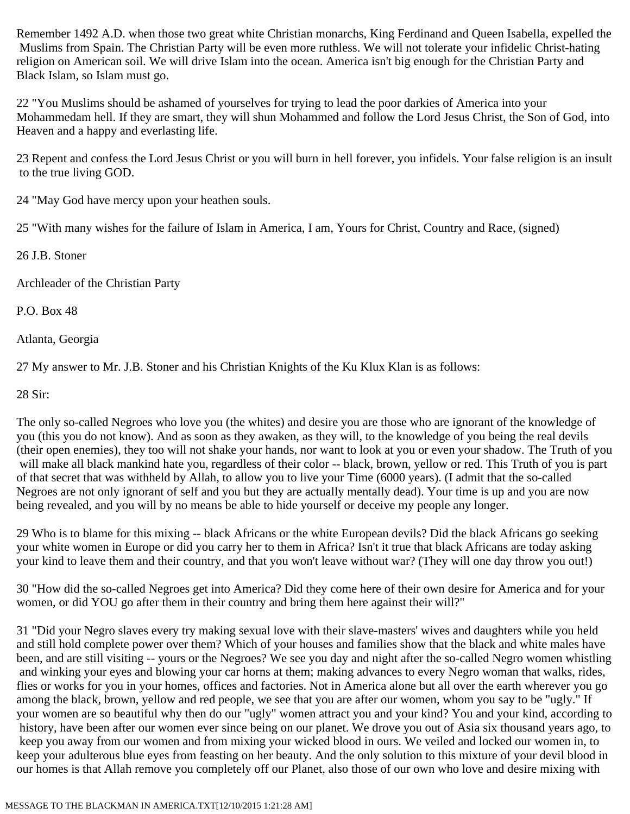Remember 1492 A.D. when those two great white Christian monarchs, King Ferdinand and Queen Isabella, expelled the Muslims from Spain. The Christian Party will be even more ruthless. We will not tolerate your infidelic Christ-hating religion on American soil. We will drive Islam into the ocean. America isn't big enough for the Christian Party and Black Islam, so Islam must go.

22 "You Muslims should be ashamed of yourselves for trying to lead the poor darkies of America into your Mohammedam hell. If they are smart, they will shun Mohammed and follow the Lord Jesus Christ, the Son of God, into Heaven and a happy and everlasting life.

23 Repent and confess the Lord Jesus Christ or you will burn in hell forever, you infidels. Your false religion is an insult to the true living GOD.

24 "May God have mercy upon your heathen souls.

25 "With many wishes for the failure of Islam in America, I am, Yours for Christ, Country and Race, (signed)

26 J.B. Stoner

Archleader of the Christian Party

P.O. Box 48

Atlanta, Georgia

27 My answer to Mr. J.B. Stoner and his Christian Knights of the Ku Klux Klan is as follows:

28 Sir:

The only so-called Negroes who love you (the whites) and desire you are those who are ignorant of the knowledge of you (this you do not know). And as soon as they awaken, as they will, to the knowledge of you being the real devils (their open enemies), they too will not shake your hands, nor want to look at you or even your shadow. The Truth of you will make all black mankind hate you, regardless of their color -- black, brown, yellow or red. This Truth of you is part of that secret that was withheld by Allah, to allow you to live your Time (6000 years). (I admit that the so-called Negroes are not only ignorant of self and you but they are actually mentally dead). Your time is up and you are now being revealed, and you will by no means be able to hide yourself or deceive my people any longer.

29 Who is to blame for this mixing -- black Africans or the white European devils? Did the black Africans go seeking your white women in Europe or did you carry her to them in Africa? Isn't it true that black Africans are today asking your kind to leave them and their country, and that you won't leave without war? (They will one day throw you out!)

30 "How did the so-called Negroes get into America? Did they come here of their own desire for America and for your women, or did YOU go after them in their country and bring them here against their will?"

31 "Did your Negro slaves every try making sexual love with their slave-masters' wives and daughters while you held and still hold complete power over them? Which of your houses and families show that the black and white males have been, and are still visiting -- yours or the Negroes? We see you day and night after the so-called Negro women whistling and winking your eyes and blowing your car horns at them; making advances to every Negro woman that walks, rides, flies or works for you in your homes, offices and factories. Not in America alone but all over the earth wherever you go among the black, brown, yellow and red people, we see that you are after our women, whom you say to be "ugly." If your women are so beautiful why then do our "ugly" women attract you and your kind? You and your kind, according to history, have been after our women ever since being on our planet. We drove you out of Asia six thousand years ago, to keep you away from our women and from mixing your wicked blood in ours. We veiled and locked our women in, to keep your adulterous blue eyes from feasting on her beauty. And the only solution to this mixture of your devil blood in our homes is that Allah remove you completely off our Planet, also those of our own who love and desire mixing with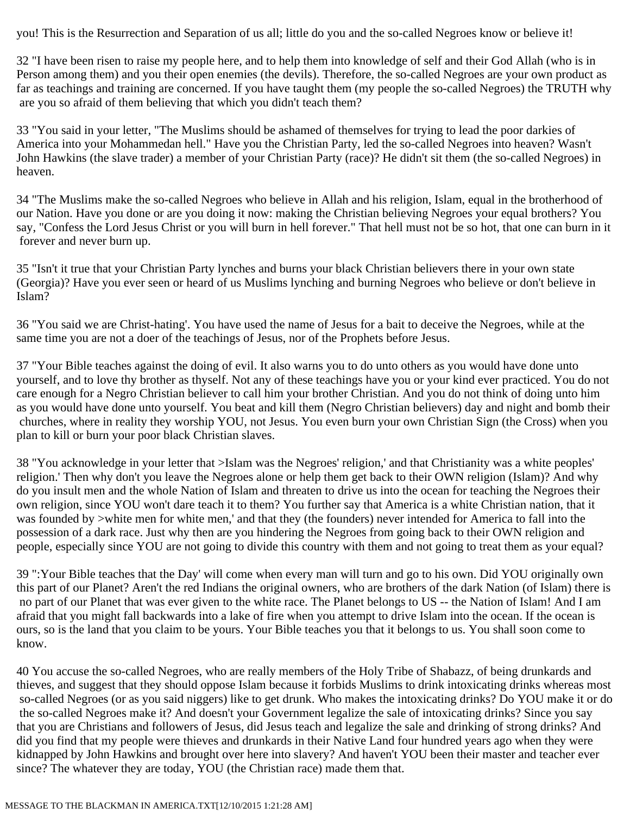you! This is the Resurrection and Separation of us all; little do you and the so-called Negroes know or believe it!

32 "I have been risen to raise my people here, and to help them into knowledge of self and their God Allah (who is in Person among them) and you their open enemies (the devils). Therefore, the so-called Negroes are your own product as far as teachings and training are concerned. If you have taught them (my people the so-called Negroes) the TRUTH why are you so afraid of them believing that which you didn't teach them?

33 "You said in your letter, "The Muslims should be ashamed of themselves for trying to lead the poor darkies of America into your Mohammedan hell." Have you the Christian Party, led the so-called Negroes into heaven? Wasn't John Hawkins (the slave trader) a member of your Christian Party (race)? He didn't sit them (the so-called Negroes) in heaven.

34 "The Muslims make the so-called Negroes who believe in Allah and his religion, Islam, equal in the brotherhood of our Nation. Have you done or are you doing it now: making the Christian believing Negroes your equal brothers? You say, "Confess the Lord Jesus Christ or you will burn in hell forever." That hell must not be so hot, that one can burn in it forever and never burn up.

35 "Isn't it true that your Christian Party lynches and burns your black Christian believers there in your own state (Georgia)? Have you ever seen or heard of us Muslims lynching and burning Negroes who believe or don't believe in Islam?

36 "You said we are Christ-hating'. You have used the name of Jesus for a bait to deceive the Negroes, while at the same time you are not a doer of the teachings of Jesus, nor of the Prophets before Jesus.

37 "Your Bible teaches against the doing of evil. It also warns you to do unto others as you would have done unto yourself, and to love thy brother as thyself. Not any of these teachings have you or your kind ever practiced. You do not care enough for a Negro Christian believer to call him your brother Christian. And you do not think of doing unto him as you would have done unto yourself. You beat and kill them (Negro Christian believers) day and night and bomb their churches, where in reality they worship YOU, not Jesus. You even burn your own Christian Sign (the Cross) when you plan to kill or burn your poor black Christian slaves.

38 "You acknowledge in your letter that >Islam was the Negroes' religion,' and that Christianity was a white peoples' religion.' Then why don't you leave the Negroes alone or help them get back to their OWN religion (Islam)? And why do you insult men and the whole Nation of Islam and threaten to drive us into the ocean for teaching the Negroes their own religion, since YOU won't dare teach it to them? You further say that America is a white Christian nation, that it was founded by >white men for white men,' and that they (the founders) never intended for America to fall into the possession of a dark race. Just why then are you hindering the Negroes from going back to their OWN religion and people, especially since YOU are not going to divide this country with them and not going to treat them as your equal?

39 ":Your Bible teaches that the Day' will come when every man will turn and go to his own. Did YOU originally own this part of our Planet? Aren't the red Indians the original owners, who are brothers of the dark Nation (of Islam) there is no part of our Planet that was ever given to the white race. The Planet belongs to US -- the Nation of Islam! And I am afraid that you might fall backwards into a lake of fire when you attempt to drive Islam into the ocean. If the ocean is ours, so is the land that you claim to be yours. Your Bible teaches you that it belongs to us. You shall soon come to know.

40 You accuse the so-called Negroes, who are really members of the Holy Tribe of Shabazz, of being drunkards and thieves, and suggest that they should oppose Islam because it forbids Muslims to drink intoxicating drinks whereas most so-called Negroes (or as you said niggers) like to get drunk. Who makes the intoxicating drinks? Do YOU make it or do the so-called Negroes make it? And doesn't your Government legalize the sale of intoxicating drinks? Since you say that you are Christians and followers of Jesus, did Jesus teach and legalize the sale and drinking of strong drinks? And did you find that my people were thieves and drunkards in their Native Land four hundred years ago when they were kidnapped by John Hawkins and brought over here into slavery? And haven't YOU been their master and teacher ever since? The whatever they are today, YOU (the Christian race) made them that.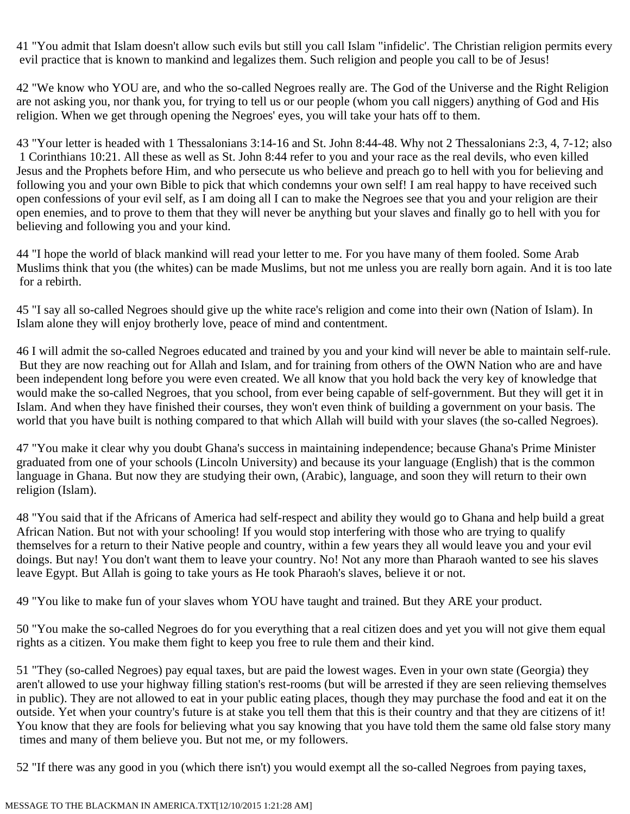41 "You admit that Islam doesn't allow such evils but still you call Islam "infidelic'. The Christian religion permits every evil practice that is known to mankind and legalizes them. Such religion and people you call to be of Jesus!

42 "We know who YOU are, and who the so-called Negroes really are. The God of the Universe and the Right Religion are not asking you, nor thank you, for trying to tell us or our people (whom you call niggers) anything of God and His religion. When we get through opening the Negroes' eyes, you will take your hats off to them.

43 "Your letter is headed with 1 Thessalonians 3:14-16 and St. John 8:44-48. Why not 2 Thessalonians 2:3, 4, 7-12; also 1 Corinthians 10:21. All these as well as St. John 8:44 refer to you and your race as the real devils, who even killed Jesus and the Prophets before Him, and who persecute us who believe and preach go to hell with you for believing and following you and your own Bible to pick that which condemns your own self! I am real happy to have received such open confessions of your evil self, as I am doing all I can to make the Negroes see that you and your religion are their open enemies, and to prove to them that they will never be anything but your slaves and finally go to hell with you for believing and following you and your kind.

44 "I hope the world of black mankind will read your letter to me. For you have many of them fooled. Some Arab Muslims think that you (the whites) can be made Muslims, but not me unless you are really born again. And it is too late for a rebirth.

45 "I say all so-called Negroes should give up the white race's religion and come into their own (Nation of Islam). In Islam alone they will enjoy brotherly love, peace of mind and contentment.

46 I will admit the so-called Negroes educated and trained by you and your kind will never be able to maintain self-rule. But they are now reaching out for Allah and Islam, and for training from others of the OWN Nation who are and have been independent long before you were even created. We all know that you hold back the very key of knowledge that would make the so-called Negroes, that you school, from ever being capable of self-government. But they will get it in Islam. And when they have finished their courses, they won't even think of building a government on your basis. The world that you have built is nothing compared to that which Allah will build with your slaves (the so-called Negroes).

47 "You make it clear why you doubt Ghana's success in maintaining independence; because Ghana's Prime Minister graduated from one of your schools (Lincoln University) and because its your language (English) that is the common language in Ghana. But now they are studying their own, (Arabic), language, and soon they will return to their own religion (Islam).

48 "You said that if the Africans of America had self-respect and ability they would go to Ghana and help build a great African Nation. But not with your schooling! If you would stop interfering with those who are trying to qualify themselves for a return to their Native people and country, within a few years they all would leave you and your evil doings. But nay! You don't want them to leave your country. No! Not any more than Pharaoh wanted to see his slaves leave Egypt. But Allah is going to take yours as He took Pharaoh's slaves, believe it or not.

49 "You like to make fun of your slaves whom YOU have taught and trained. But they ARE your product.

50 "You make the so-called Negroes do for you everything that a real citizen does and yet you will not give them equal rights as a citizen. You make them fight to keep you free to rule them and their kind.

51 "They (so-called Negroes) pay equal taxes, but are paid the lowest wages. Even in your own state (Georgia) they aren't allowed to use your highway filling station's rest-rooms (but will be arrested if they are seen relieving themselves in public). They are not allowed to eat in your public eating places, though they may purchase the food and eat it on the outside. Yet when your country's future is at stake you tell them that this is their country and that they are citizens of it! You know that they are fools for believing what you say knowing that you have told them the same old false story many times and many of them believe you. But not me, or my followers.

52 "If there was any good in you (which there isn't) you would exempt all the so-called Negroes from paying taxes,